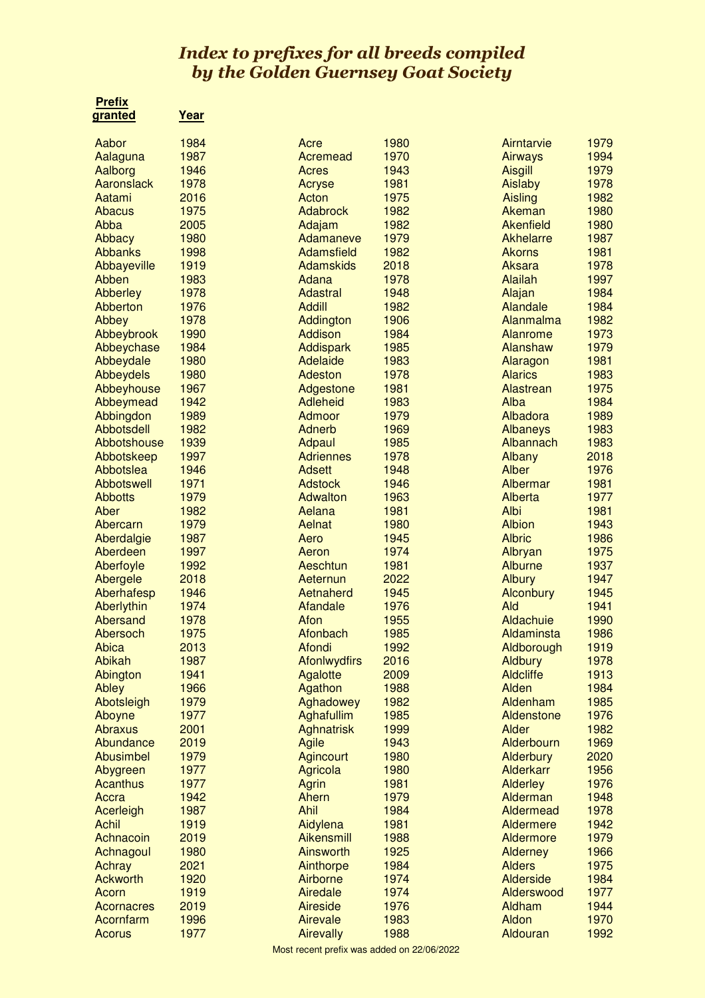## Index to prefixes for all breeds compiled by the Golden Guernsey Goat Society

 **Prefix**

| granted           | <u>Year</u> |                     |      |                  |      |
|-------------------|-------------|---------------------|------|------------------|------|
| Aabor             | 1984        | Acre                | 1980 | Airntarvie       | 1979 |
| Aalaguna          | 1987        | Acremead            | 1970 | Airways          | 1994 |
| Aalborg           | 1946        | Acres               | 1943 | <b>Aisgill</b>   | 1979 |
| Aaronslack        | 1978        | Acryse              | 1981 | Aislaby          | 1978 |
| Aatami            | 2016        | Acton               | 1975 | Aisling          | 1982 |
| Abacus            | 1975        | <b>Adabrock</b>     | 1982 | Akeman           | 1980 |
| Abba              | 2005        | Adajam              | 1982 | <b>Akenfield</b> | 1980 |
| <b>Abbacy</b>     | 1980        | Adamaneve           | 1979 | Akhelarre        | 1987 |
| <b>Abbanks</b>    | 1998        | Adamsfield          | 1982 | <b>Akorns</b>    | 1981 |
| Abbayeville       | 1919        | <b>Adamskids</b>    | 2018 | Aksara           | 1978 |
| Abben             | 1983        | Adana               | 1978 | <b>Alailah</b>   | 1997 |
| <b>Abberley</b>   | 1978        | Adastral            | 1948 | Alajan           | 1984 |
| Abberton          | 1976        | <b>Addill</b>       | 1982 | Alandale         | 1984 |
| Abbey             | 1978        | Addington           | 1906 | Alanmalma        | 1982 |
| Abbeybrook        | 1990        | Addison             | 1984 | Alanrome         | 1973 |
| Abbeychase        | 1984        | <b>Addispark</b>    | 1985 | Alanshaw         | 1979 |
| Abbeydale         | 1980        | Adelaide            | 1983 | Alaragon         | 1981 |
| Abbeydels         | 1980        | Adeston             | 1978 | <b>Alarics</b>   | 1983 |
| Abbeyhouse        | 1967        | Adgestone           | 1981 | Alastrean        | 1975 |
| Abbeymead         | 1942        | <b>Adleheid</b>     | 1983 | Alba             | 1984 |
| Abbingdon         | 1989        | Admoor              | 1979 | Albadora         | 1989 |
| Abbotsdell        | 1982        | Adnerb              | 1969 | <b>Albaneys</b>  | 1983 |
| Abbotshouse       | 1939        | Adpaul              | 1985 | Albannach        | 1983 |
| Abbotskeep        | 1997        | <b>Adriennes</b>    | 1978 | Albany           | 2018 |
| Abbotslea         | 1946        | Adsett              | 1948 | <b>Alber</b>     | 1976 |
| <b>Abbotswell</b> | 1971        | <b>Adstock</b>      | 1946 | Albermar         | 1981 |
| <b>Abbotts</b>    | 1979        | <b>Adwalton</b>     | 1963 | Alberta          | 1977 |
| Aber              | 1982        | Aelana              | 1981 | Albi             | 1981 |
| Abercarn          | 1979        | Aelnat              | 1980 | <b>Albion</b>    | 1943 |
| Aberdalgie        | 1987        | Aero                | 1945 | <b>Albric</b>    | 1986 |
| Aberdeen          | 1997        | Aeron               | 1974 | Albryan          | 1975 |
| Aberfoyle         | 1992        | Aeschtun            | 1981 | <b>Alburne</b>   | 1937 |
| Abergele          | 2018        | Aeternun            | 2022 | <b>Albury</b>    | 1947 |
| Aberhafesp        | 1946        | Aetnaherd           | 1945 | Alconbury        | 1945 |
| Aberlythin        | 1974        | Afandale            | 1976 | Ald              | 1941 |
| Abersand          | 1978        | Afon                | 1955 | Aldachuie        | 1990 |
| Abersoch          | 1975        | Afonbach            | 1985 | Aldaminsta       | 1986 |
| Abica             | 2013        | Afondi              | 1992 | Aldborough       | 1919 |
| Abikah            | 1987        | <b>Afonlwydfirs</b> | 2016 | <b>Aldbury</b>   | 1978 |
| Abington          | 1941        | Agalotte            | 2009 | <b>Aldcliffe</b> | 1913 |
| Abley             | 1966        | Agathon             | 1988 | Alden            | 1984 |
| Abotsleigh        | 1979        | Aghadowey           | 1982 | Aldenham         | 1985 |
| Aboyne            | 1977        | Aghafullim          | 1985 | Aldenstone       | 1976 |
| <b>Abraxus</b>    | 2001        | <b>Aghnatrisk</b>   | 1999 | Alder            | 1982 |
| Abundance         | 2019        | <b>Agile</b>        | 1943 | Alderbourn       | 1969 |
| Abusimbel         | 1979        | <b>Agincourt</b>    | 1980 | Alderbury        | 2020 |
| Abygreen          | 1977        | Agricola            | 1980 | Alderkarr        | 1956 |
| <b>Acanthus</b>   | 1977        | Agrin               | 1981 | <b>Alderley</b>  | 1976 |
| Accra             | 1942        | Ahern               | 1979 | Alderman         | 1948 |
| Acerleigh         | 1987        | Ahil                | 1984 | Aldermead        | 1978 |
| <b>Achil</b>      | 1919        | Aidylena            | 1981 | Aldermere        | 1942 |
| Achnacoin         | 2019        | <b>Aikensmill</b>   | 1988 | Aldermore        | 1979 |
| Achnagoul         | 1980        | Ainsworth           | 1925 | <b>Alderney</b>  | 1966 |
| Achray            | 2021        | Ainthorpe           | 1984 | <b>Alders</b>    | 1975 |
| <b>Ackworth</b>   | 1920        | Airborne            | 1974 | <b>Alderside</b> | 1984 |
| Acorn             | 1919        | Airedale            | 1974 | Alderswood       | 1977 |
| <b>Acornacres</b> | 2019        | <b>Aireside</b>     | 1976 | Aldham           | 1944 |
| Acornfarm         | 1996        | Airevale            | 1983 | Aldon            | 1970 |
| Acorus            | 1977        | <b>Airevally</b>    | 1988 | Aldouran         | 1992 |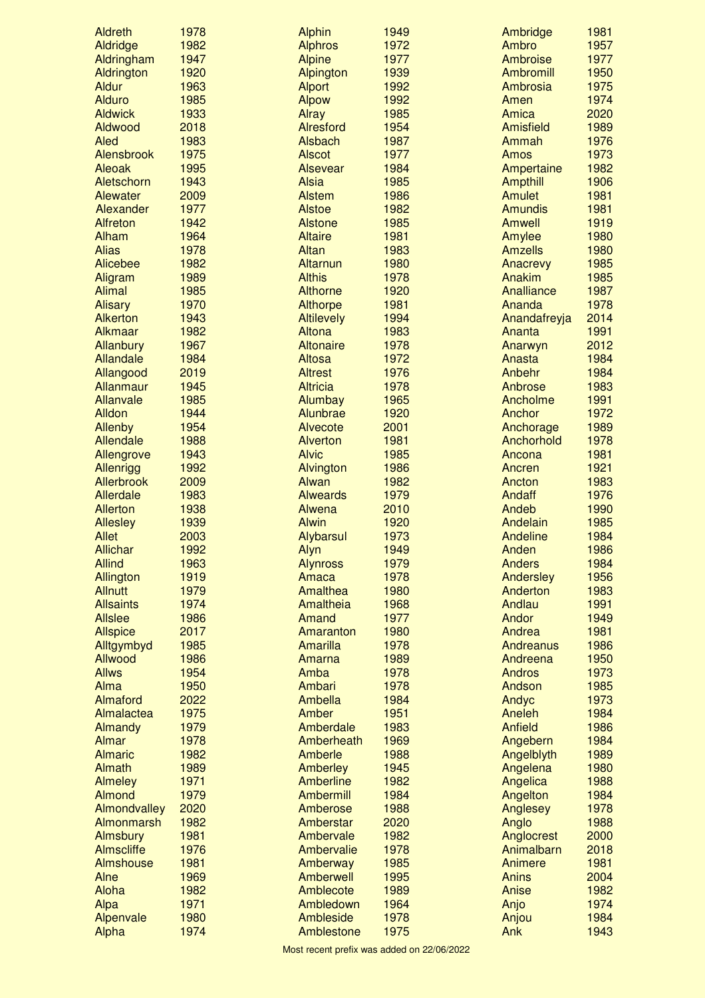| <b>Aldreth</b>    | 1978 | <b>Alphin</b>     | 1949 | Ambridge        | 1981 |
|-------------------|------|-------------------|------|-----------------|------|
| <b>Aldridge</b>   | 1982 | <b>Alphros</b>    | 1972 | Ambro           | 1957 |
| Aldringham        | 1947 | <b>Alpine</b>     | 1977 | Ambroise        | 1977 |
| Aldrington        | 1920 | Alpington         | 1939 | Ambromill       | 1950 |
| <b>Aldur</b>      | 1963 | <b>Alport</b>     | 1992 | Ambrosia        | 1975 |
| <b>Alduro</b>     | 1985 | <b>Alpow</b>      | 1992 | Amen            | 1974 |
| <b>Aldwick</b>    | 1933 | <b>Alray</b>      | 1985 | Amica           | 2020 |
| Aldwood           | 2018 | <b>Alresford</b>  | 1954 | Amisfield       | 1989 |
| Aled              | 1983 | Alsbach           | 1987 | Ammah           | 1976 |
| Alensbrook        | 1975 | <b>Alscot</b>     | 1977 | <b>Amos</b>     | 1973 |
| Aleoak            | 1995 | <b>Alsevear</b>   | 1984 | Ampertaine      | 1982 |
| Aletschorn        | 1943 | Alsia             | 1985 | <b>Ampthill</b> | 1906 |
| Alewater          | 2009 | <b>Alstem</b>     | 1986 | Amulet          | 1981 |
| Alexander         | 1977 | <b>Alstoe</b>     | 1982 | <b>Amundis</b>  | 1981 |
| <b>Alfreton</b>   | 1942 | <b>Alstone</b>    | 1985 | <b>Amwell</b>   | 1919 |
| Alham             | 1964 | <b>Altaire</b>    | 1981 | Amylee          | 1980 |
| <b>Alias</b>      | 1978 | Altan             | 1983 | <b>Amzells</b>  | 1980 |
| Alicebee          | 1982 | Altarnun          | 1980 | Anacrevy        | 1985 |
| Aligram           | 1989 | <b>Althis</b>     | 1978 | Anakim          | 1985 |
| <b>Alimal</b>     | 1985 | <b>Althorne</b>   | 1920 | Analliance      | 1987 |
| <b>Alisary</b>    | 1970 | Althorpe          | 1981 | Ananda          | 1978 |
| <b>Alkerton</b>   | 1943 | <b>Altilevely</b> | 1994 | Anandafreyja    | 2014 |
| Alkmaar           | 1982 | Altona            | 1983 | Ananta          | 1991 |
|                   |      |                   |      |                 |      |
| Allanbury         | 1967 | <b>Altonaire</b>  | 1978 | Anarwyn         | 2012 |
| Allandale         | 1984 | Altosa            | 1972 | Anasta          | 1984 |
| Allangood         | 2019 | <b>Altrest</b>    | 1976 | Anbehr          | 1984 |
| Allanmaur         | 1945 | <b>Altricia</b>   | 1978 | Anbrose         | 1983 |
| <b>Allanvale</b>  | 1985 | Alumbay           | 1965 | Ancholme        | 1991 |
| Alldon            | 1944 | Alunbrae          | 1920 | Anchor          | 1972 |
| <b>Allenby</b>    | 1954 | Alvecote          | 2001 | Anchorage       | 1989 |
| Allendale         | 1988 | <b>Alverton</b>   | 1981 | Anchorhold      | 1978 |
| Allengrove        | 1943 | <b>Alvic</b>      | 1985 | Ancona          | 1981 |
| <b>Allenrigg</b>  | 1992 | Alvington         | 1986 | Ancren          | 1921 |
| Allerbrook        | 2009 | Alwan             | 1982 | Ancton          | 1983 |
| Allerdale         | 1983 | <b>Alweards</b>   | 1979 | Andaff          | 1976 |
| <b>Allerton</b>   | 1938 | Alwena            | 2010 | Andeb           | 1990 |
| <b>Allesley</b>   | 1939 | <b>Alwin</b>      | 1920 | Andelain        | 1985 |
| <b>Allet</b>      | 2003 | Alybarsul         | 1973 | Andeline        | 1984 |
| <b>Allichar</b>   | 1992 | Alyn              | 1949 | Anden           | 1986 |
| <b>Allind</b>     | 1963 | <b>Alynross</b>   | 1979 | <b>Anders</b>   | 1984 |
| Allington         | 1919 | Amaca             | 1978 | Andersley       | 1956 |
| <b>Allnutt</b>    | 1979 | Amalthea          | 1980 | Anderton        | 1983 |
| <b>Allsaints</b>  | 1974 | Amaltheia         | 1968 | Andlau          | 1991 |
| <b>Allslee</b>    | 1986 | Amand             | 1977 | Andor           | 1949 |
| <b>Allspice</b>   | 2017 | Amaranton         | 1980 | Andrea          | 1981 |
| Alltgymbyd        | 1985 | Amarilla          | 1978 | Andreanus       | 1986 |
| Allwood           | 1986 | Amarna            | 1989 | Andreena        | 1950 |
| <b>Allws</b>      | 1954 | Amba              | 1978 | <b>Andros</b>   | 1973 |
| Alma              | 1950 | Ambari            | 1978 | Andson          | 1985 |
| Almaford          | 2022 | Ambella           | 1984 | Andyc           | 1973 |
| Almalactea        | 1975 | Amber             | 1951 | Aneleh          | 1984 |
| Almandy           | 1979 | Amberdale         | 1983 | Anfield         | 1986 |
| Almar             | 1978 | Amberheath        | 1969 | Angebern        | 1984 |
| <b>Almaric</b>    | 1982 | Amberle           | 1988 | Angelblyth      | 1989 |
| <b>Almath</b>     | 1989 | Amberley          | 1945 | Angelena        | 1980 |
| <b>Almeley</b>    | 1971 | Amberline         | 1982 | Angelica        | 1988 |
| Almond            | 1979 | Ambermill         | 1984 |                 | 1984 |
|                   | 2020 | Amberose          | 1988 | Angelton        | 1978 |
| Almondvalley      |      |                   |      | Anglesey        |      |
| Almonmarsh        | 1982 | Amberstar         | 2020 | Anglo           | 1988 |
| <b>Almsbury</b>   | 1981 | Ambervale         | 1982 | Anglocrest      | 2000 |
| <b>Almscliffe</b> | 1976 | Ambervalie        | 1978 | Animalbarn      | 2018 |
| Almshouse         | 1981 | Amberway          | 1985 | Animere         | 1981 |
| Alne              | 1969 | Amberwell         | 1995 | <b>Anins</b>    | 2004 |
| Aloha             | 1982 | Amblecote         | 1989 | Anise           | 1982 |
| Alpa              | 1971 | Ambledown         | 1964 | Anjo            | 1974 |
| Alpenvale         | 1980 | Ambleside         | 1978 | Anjou           | 1984 |
| Alpha             | 1974 | Amblestone        | 1975 | Ank             | 1943 |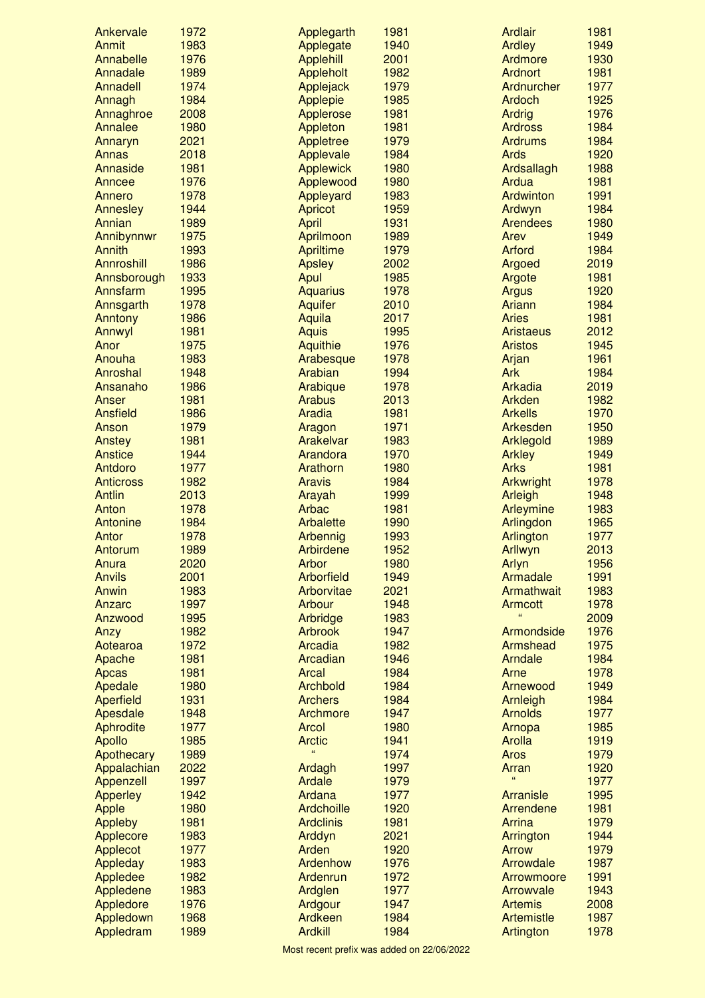| Ankervale        | 1972 | Applegarth       | 1981 | <b>Ardlair</b>     | 1981 |
|------------------|------|------------------|------|--------------------|------|
| Anmit            | 1983 | Applegate        | 1940 | <b>Ardley</b>      | 1949 |
| Annabelle        | 1976 | <b>Applehill</b> | 2001 | Ardmore            | 1930 |
| Annadale         | 1989 | Appleholt        | 1982 | <b>Ardnort</b>     | 1981 |
| Annadell         | 1974 | Applejack        | 1979 | Ardnurcher         | 1977 |
| Annagh           | 1984 | Applepie         | 1985 | <b>Ardoch</b>      | 1925 |
| Annaghroe        | 2008 | Applerose        | 1981 | <b>Ardrig</b>      | 1976 |
| Annalee          | 1980 | Appleton         | 1981 | <b>Ardross</b>     | 1984 |
| Annaryn          | 2021 | Appletree        | 1979 | <b>Ardrums</b>     | 1984 |
| Annas            | 2018 | Applevale        | 1984 | <b>Ards</b>        | 1920 |
| Annaside         | 1981 | <b>Applewick</b> | 1980 | Ardsallagh         | 1988 |
| Anncee           | 1976 | Applewood        | 1980 | Ardua              | 1981 |
| Annero           | 1978 | Appleyard        | 1983 | Ardwinton          | 1991 |
| <b>Annesley</b>  | 1944 | Apricot          | 1959 | Ardwyn             | 1984 |
| Annian           | 1989 | April            | 1931 | <b>Arendees</b>    | 1980 |
| Annibynnwr       | 1975 | Aprilmoon        | 1989 | Arev               | 1949 |
| Annith           | 1993 | Apriltime        | 1979 | <b>Arford</b>      | 1984 |
| Annroshill       | 1986 | <b>Apsley</b>    | 2002 | Argoed             | 2019 |
| Annsborough      | 1933 | Apul             | 1985 | Argote             | 1981 |
| Annsfarm         | 1995 | <b>Aquarius</b>  | 1978 | <b>Argus</b>       | 1920 |
| Annsgarth        | 1978 | <b>Aquifer</b>   | 2010 | Ariann             | 1984 |
| Anntony          | 1986 | Aquila           | 2017 | <b>Aries</b>       | 1981 |
| Annwyl           | 1981 | <b>Aquis</b>     | 1995 | <b>Aristaeus</b>   | 2012 |
|                  | 1975 |                  | 1976 | <b>Aristos</b>     | 1945 |
| Anor             | 1983 | Aquithie         |      |                    | 1961 |
| Anouha           |      | Arabesque        | 1978 | Arjan              |      |
| Anroshal         | 1948 | Arabian          | 1994 | Ark                | 1984 |
| Ansanaho         | 1986 | Arabique         | 1978 | Arkadia            | 2019 |
| Anser            | 1981 | Arabus           | 2013 | Arkden             | 1982 |
| <b>Ansfield</b>  | 1986 | Aradia           | 1981 | <b>Arkells</b>     | 1970 |
| Anson            | 1979 | Aragon           | 1971 | Arkesden           | 1950 |
| Anstey           | 1981 | Arakelvar        | 1983 | <b>Arklegold</b>   | 1989 |
| <b>Anstice</b>   | 1944 | Arandora         | 1970 | <b>Arkley</b>      | 1949 |
| Antdoro          | 1977 | Arathorn         | 1980 | <b>Arks</b>        | 1981 |
| <b>Anticross</b> | 1982 | <b>Aravis</b>    | 1984 | Arkwright          | 1978 |
| <b>Antlin</b>    | 2013 | Arayah           | 1999 | Arleigh            | 1948 |
| Anton            | 1978 | <b>Arbac</b>     | 1981 | Arleymine          | 1983 |
| Antonine         | 1984 | Arbalette        | 1990 | Arlingdon          | 1965 |
| Antor            | 1978 | Arbennig         | 1993 | Arlington          | 1977 |
| Antorum          | 1989 | Arbirdene        | 1952 | Arllwyn            | 2013 |
| Anura            | 2020 | Arbor            | 1980 | Arlyn              | 1956 |
| <b>Anvils</b>    | 2001 | Arborfield       | 1949 | Armadale           | 1991 |
| Anwin            | 1983 | Arborvitae       | 2021 | Armathwait         | 1983 |
| Anzarc           | 1997 | Arbour           | 1948 | <b>Armcott</b>     | 1978 |
| Anzwood          | 1995 | Arbridge         | 1983 | $\epsilon$         | 2009 |
| Anzy             | 1982 | <b>Arbrook</b>   | 1947 | Armondside         | 1976 |
| Aotearoa         | 1972 | Arcadia          | 1982 | Armshead           | 1975 |
| Apache           | 1981 | Arcadian         | 1946 | Arndale            | 1984 |
| Apcas            | 1981 | <b>Arcal</b>     | 1984 | Arne               | 1978 |
| Apedale          | 1980 | Archbold         | 1984 | Arnewood           | 1949 |
| <b>Aperfield</b> | 1931 | <b>Archers</b>   | 1984 | Arnleigh           | 1984 |
| Apesdale         | 1948 | Archmore         | 1947 | <b>Arnolds</b>     | 1977 |
| Aphrodite        | 1977 | Arcol            | 1980 | Arnopa             | 1985 |
| Apollo           | 1985 | <b>Arctic</b>    | 1941 | <b>Arolla</b>      | 1919 |
| Apothecary       | 1989 | $\epsilon$       | 1974 | <b>Aros</b>        | 1979 |
| Appalachian      | 2022 | Ardagh           | 1997 | Arran              | 1920 |
| Appenzell        | 1997 | Ardale           | 1979 | $\epsilon$         | 1977 |
| <b>Apperley</b>  | 1942 | Ardana           | 1977 | <b>Arranisle</b>   | 1995 |
| Apple            | 1980 | Ardchoille       | 1920 | Arrendene          | 1981 |
| Appleby          | 1981 | <b>Ardclinis</b> | 1981 | <b>Arrina</b>      | 1979 |
|                  | 1983 |                  | 2021 |                    | 1944 |
| Applecore        | 1977 | Arddyn<br>Arden  | 1920 | Arrington<br>Arrow | 1979 |
| Applecot         | 1983 | Ardenhow         | 1976 | Arrowdale          | 1987 |
| Appleday         |      |                  |      |                    |      |
| Appledee         | 1982 | Ardenrun         | 1972 | Arrowmoore         | 1991 |
| Appledene        | 1983 | Ardglen          | 1977 | Arrowvale          | 1943 |
| Appledore        | 1976 | Ardgour          | 1947 | <b>Artemis</b>     | 2008 |
| Appledown        | 1968 | Ardkeen          | 1984 | Artemistle         | 1987 |
| Appledram        | 1989 | <b>Ardkill</b>   | 1984 | Artington          | 1978 |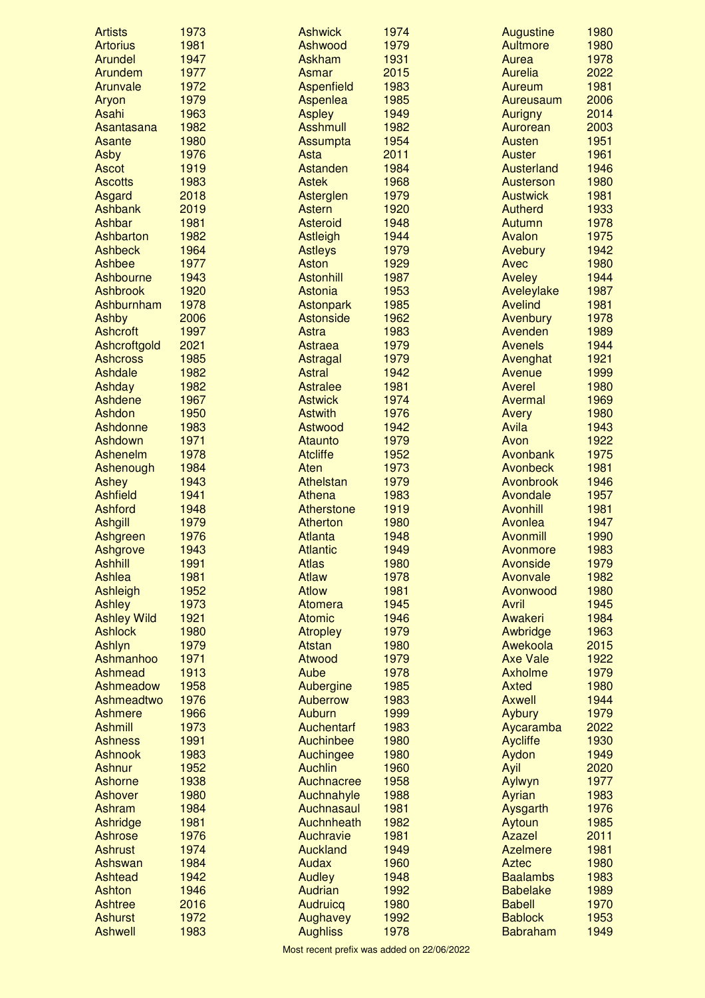| <b>Artists</b>             | 1973         | <b>Ashwick</b>                  | 1974         | Augustine                         | 1980         |
|----------------------------|--------------|---------------------------------|--------------|-----------------------------------|--------------|
| <b>Artorius</b>            | 1981         | Ashwood                         | 1979         | Aultmore                          | 1980         |
| <b>Arundel</b>             | 1947         | Askham                          | 1931         | Aurea                             | 1978         |
| Arundem                    | 1977         | Asmar                           | 2015         | Aurelia                           | 2022         |
| Arunvale                   | 1972         | Aspenfield                      | 1983         | Aureum                            | 1981         |
| Aryon                      | 1979         | Aspenlea                        | 1985         | Aureusaum                         | 2006         |
| Asahi                      | 1963         | <b>Aspley</b>                   | 1949         | <b>Aurigny</b>                    | 2014         |
| Asantasana                 | 1982         | <b>Asshmull</b>                 | 1982         | Aurorean                          | 2003         |
| Asante                     | 1980         | Assumpta                        | 1954         | <b>Austen</b>                     | 1951         |
| <b>Asby</b>                | 1976         | Asta                            | 2011         | <b>Auster</b>                     | 1961         |
| <b>Ascot</b>               | 1919         | Astanden                        | 1984         | Austerland                        | 1946         |
| <b>Ascotts</b>             | 1983<br>2018 | <b>Astek</b>                    | 1968         | Austerson                         | 1980         |
| Asgard<br><b>Ashbank</b>   | 2019         | Asterglen<br><b>Astern</b>      | 1979<br>1920 | <b>Austwick</b><br><b>Autherd</b> | 1981<br>1933 |
| Ashbar                     | 1981         | <b>Asteroid</b>                 | 1948         | Autumn                            | 1978         |
| Ashbarton                  | 1982         | Astleigh                        | 1944         | Avalon                            | 1975         |
| <b>Ashbeck</b>             | 1964         | <b>Astleys</b>                  | 1979         | Avebury                           | 1942         |
| Ashbee                     | 1977         | <b>Aston</b>                    | 1929         | Avec                              | 1980         |
| <b>Ashbourne</b>           | 1943         | <b>Astonhill</b>                | 1987         | Aveley                            | 1944         |
| <b>Ashbrook</b>            | 1920         | <b>Astonia</b>                  | 1953         | Aveleylake                        | 1987         |
| Ashburnham                 | 1978         | <b>Astonpark</b>                | 1985         | <b>Avelind</b>                    | 1981         |
| Ashby                      | 2006         | <b>Astonside</b>                | 1962         | Avenbury                          | 1978         |
| <b>Ashcroft</b>            | 1997         | Astra                           | 1983         | Avenden                           | 1989         |
| Ashcroftgold               | 2021         | Astraea                         | 1979         | <b>Avenels</b>                    | 1944         |
| <b>Ashcross</b>            | 1985         | Astragal                        | 1979         | Avenghat                          | 1921         |
| Ashdale                    | 1982         | <b>Astral</b>                   | 1942         | Avenue                            | 1999         |
| Ashday                     | 1982         | <b>Astralee</b>                 | 1981         | Averel                            | 1980         |
| Ashdene                    | 1967         | <b>Astwick</b>                  | 1974         | Avermal                           | 1969         |
| Ashdon                     | 1950         | <b>Astwith</b>                  | 1976         | Avery                             | 1980         |
| Ashdonne                   | 1983         | Astwood                         | 1942         | Avila                             | 1943         |
| Ashdown                    | 1971         | Ataunto                         | 1979         | Avon                              | 1922         |
| Ashenelm                   | 1978         | <b>Atcliffe</b>                 | 1952         | Avonbank                          | 1975         |
| Ashenough                  | 1984         | Aten                            | 1973         | Avonbeck                          | 1981         |
| Ashey                      | 1943         | Athelstan                       | 1979         | Avonbrook                         | 1946         |
| <b>Ashfield</b>            | 1941         | Athena                          | 1983         | Avondale                          | 1957         |
| <b>Ashford</b>             | 1948         | Atherstone                      | 1919         | <b>Avonhill</b>                   | 1981         |
| <b>Ashgill</b>             | 1979         | Atherton                        | 1980         | Avonlea                           | 1947         |
| Ashgreen                   | 1976         | <b>Atlanta</b>                  | 1948         | <b>Avonmill</b>                   | 1990         |
| Ashgrove<br><b>Ashhill</b> | 1943<br>1991 | <b>Atlantic</b><br><b>Atlas</b> | 1949<br>1980 | Avonmore<br>Avonside              | 1983<br>1979 |
| <b>Ashlea</b>              | 1981         | <b>Atlaw</b>                    | 1978         | Avonvale                          | 1982         |
| <b>Ashleigh</b>            | 1952         | <b>Atlow</b>                    | 1981         | Avonwood                          | 1980         |
| Ashley                     | 1973         | Atomera                         | 1945         | Avril                             | 1945         |
| <b>Ashley Wild</b>         | 1921         | <b>Atomic</b>                   | 1946         | Awakeri                           | 1984         |
| <b>Ashlock</b>             | 1980         | <b>Atropley</b>                 | 1979         | Awbridge                          | 1963         |
| Ashlyn                     | 1979         | <b>Atstan</b>                   | 1980         | Awekoola                          | 2015         |
| Ashmanhoo                  | 1971         | Atwood                          | 1979         | <b>Axe Vale</b>                   | 1922         |
| <b>Ashmead</b>             | 1913         | Aube                            | 1978         | Axholme                           | 1979         |
| Ashmeadow                  | 1958         | Aubergine                       | 1985         | <b>Axted</b>                      | 1980         |
| Ashmeadtwo                 | 1976         | Auberrow                        | 1983         | <b>Axwell</b>                     | 1944         |
| Ashmere                    | 1966         | Auburn                          | 1999         | Aybury                            | 1979         |
| <b>Ashmill</b>             | 1973         | Auchentarf                      | 1983         | Aycaramba                         | 2022         |
| <b>Ashness</b>             | 1991         | Auchinbee                       | 1980         | <b>Aycliffe</b>                   | 1930         |
| <b>Ashnook</b>             | 1983         | Auchingee                       | 1980         | Aydon                             | 1949         |
| <b>Ashnur</b>              | 1952         | <b>Auchlin</b>                  | 1960         | Ayil                              | 2020         |
| <b>Ashorne</b>             | 1938         | Auchnacree                      | 1958         | Aylwyn                            | 1977         |
| Ashover                    | 1980         | Auchnahyle                      | 1988         | Ayrian                            | 1983         |
| Ashram                     | 1984         | Auchnasaul                      | 1981         | Aysgarth                          | 1976         |
| Ashridge                   | 1981         | Auchnheath                      | 1982         | Aytoun                            | 1985         |
| <b>Ashrose</b>             | 1976         | Auchravie                       | 1981         | Azazel                            | 2011         |
| <b>Ashrust</b>             | 1974         | <b>Auckland</b>                 | 1949         | <b>Azelmere</b>                   | 1981         |
| Ashswan<br><b>Ashtead</b>  | 1984<br>1942 | <b>Audax</b>                    | 1960<br>1948 | <b>Aztec</b><br><b>Baalambs</b>   | 1980<br>1983 |
| <b>Ashton</b>              | 1946         | Audley<br>Audrian               | 1992         | <b>Babelake</b>                   | 1989         |
| <b>Ashtree</b>             | 2016         | Audruicq                        | 1980         | <b>Babell</b>                     | 1970         |
| <b>Ashurst</b>             | 1972         | Aughavey                        | 1992         | <b>Bablock</b>                    | 1953         |
| <b>Ashwell</b>             | 1983         | <b>Aughliss</b>                 | 1978         | <b>Babraham</b>                   | 1949         |
|                            |              |                                 |              |                                   |              |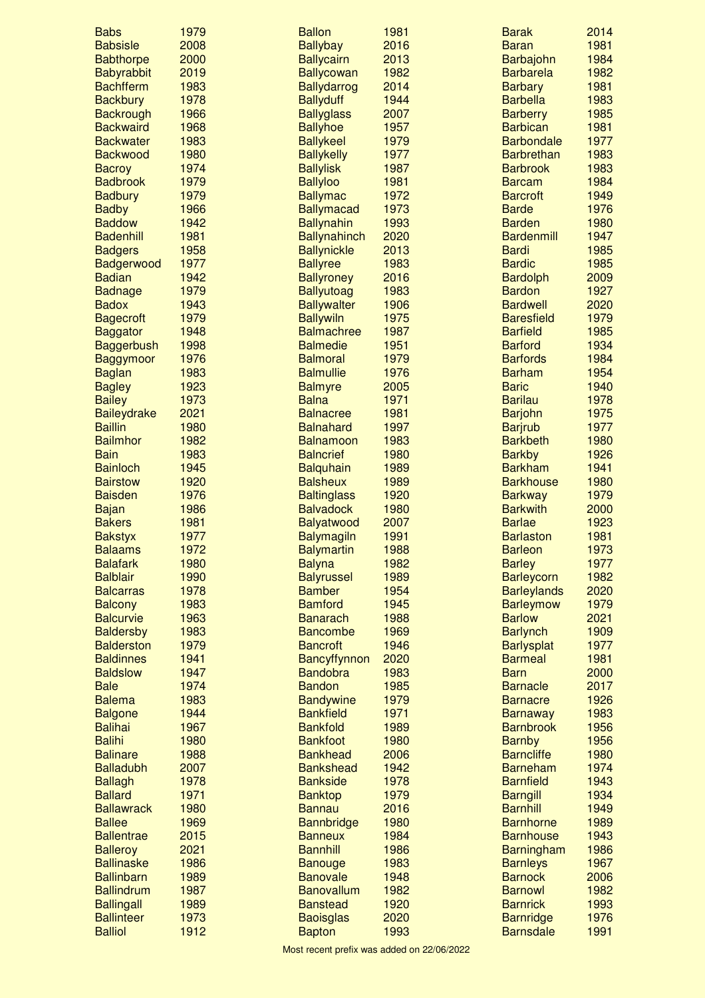| <b>Babs</b>        | 1979 | <b>Ballon</b>       | 1981 | <b>Barak</b>       | 2014 |
|--------------------|------|---------------------|------|--------------------|------|
| <b>Babsisle</b>    | 2008 | <b>Ballybay</b>     | 2016 | <b>Baran</b>       | 1981 |
| <b>Babthorpe</b>   | 2000 | <b>Ballycairn</b>   | 2013 | Barbajohn          | 1984 |
| Babyrabbit         | 2019 | <b>Ballycowan</b>   | 1982 | <b>Barbarela</b>   | 1982 |
| <b>Bachfferm</b>   | 1983 | <b>Ballydarrog</b>  | 2014 | <b>Barbary</b>     | 1981 |
| <b>Backbury</b>    | 1978 | <b>Ballyduff</b>    | 1944 | <b>Barbella</b>    | 1983 |
| <b>Backrough</b>   | 1966 | <b>Ballyglass</b>   | 2007 | <b>Barberry</b>    | 1985 |
| <b>Backwaird</b>   | 1968 | <b>Ballyhoe</b>     | 1957 | <b>Barbican</b>    | 1981 |
| <b>Backwater</b>   | 1983 | <b>Ballykeel</b>    | 1979 | <b>Barbondale</b>  | 1977 |
| <b>Backwood</b>    | 1980 | <b>Ballykelly</b>   |      | <b>Barbrethan</b>  | 1983 |
|                    |      |                     | 1977 | <b>Barbrook</b>    |      |
| <b>Bacroy</b>      | 1974 | <b>Ballylisk</b>    | 1987 |                    | 1983 |
| <b>Badbrook</b>    | 1979 | <b>Ballyloo</b>     | 1981 | <b>Barcam</b>      | 1984 |
| <b>Badbury</b>     | 1979 | <b>Ballymac</b>     | 1972 | <b>Barcroft</b>    | 1949 |
| <b>Badby</b>       | 1966 | <b>Ballymacad</b>   | 1973 | <b>Barde</b>       | 1976 |
| <b>Baddow</b>      | 1942 | <b>Ballynahin</b>   | 1993 | <b>Barden</b>      | 1980 |
| <b>Badenhill</b>   | 1981 | <b>Ballynahinch</b> | 2020 | <b>Bardenmill</b>  | 1947 |
| <b>Badgers</b>     | 1958 | <b>Ballynickle</b>  | 2013 | <b>Bardi</b>       | 1985 |
| Badgerwood         | 1977 | <b>Ballyree</b>     | 1983 | <b>Bardic</b>      | 1985 |
| <b>Badian</b>      | 1942 | <b>Ballyroney</b>   | 2016 | <b>Bardolph</b>    | 2009 |
| <b>Badnage</b>     | 1979 | <b>Ballyutoag</b>   | 1983 | <b>Bardon</b>      | 1927 |
| <b>Badox</b>       | 1943 | <b>Ballywalter</b>  | 1906 | <b>Bardwell</b>    | 2020 |
| <b>Bagecroft</b>   | 1979 | <b>Ballywiln</b>    | 1975 | <b>Baresfield</b>  | 1979 |
| <b>Baggator</b>    | 1948 | <b>Balmachree</b>   | 1987 | <b>Barfield</b>    | 1985 |
| <b>Baggerbush</b>  | 1998 | <b>Balmedie</b>     | 1951 | <b>Barford</b>     | 1934 |
| <b>Baggymoor</b>   | 1976 | <b>Balmoral</b>     | 1979 | <b>Barfords</b>    | 1984 |
| <b>Baglan</b>      | 1983 | <b>Balmullie</b>    | 1976 | <b>Barham</b>      | 1954 |
| <b>Bagley</b>      | 1923 | <b>Balmyre</b>      | 2005 | <b>Baric</b>       | 1940 |
| <b>Bailey</b>      | 1973 | <b>Balna</b>        | 1971 | <b>Barilau</b>     | 1978 |
| <b>Baileydrake</b> | 2021 | <b>Balnacree</b>    | 1981 |                    | 1975 |
|                    |      |                     |      | <b>Barjohn</b>     |      |
| <b>Baillin</b>     | 1980 | <b>Balnahard</b>    | 1997 | <b>Barjrub</b>     | 1977 |
| <b>Bailmhor</b>    | 1982 | <b>Balnamoon</b>    | 1983 | <b>Barkbeth</b>    | 1980 |
| <b>Bain</b>        | 1983 | <b>Balncrief</b>    | 1980 | <b>Barkby</b>      | 1926 |
| <b>Bainloch</b>    | 1945 | <b>Balquhain</b>    | 1989 | <b>Barkham</b>     | 1941 |
| <b>Bairstow</b>    | 1920 | <b>Balsheux</b>     | 1989 | <b>Barkhouse</b>   | 1980 |
| <b>Baisden</b>     | 1976 | <b>Baltinglass</b>  | 1920 | <b>Barkway</b>     | 1979 |
| <b>Bajan</b>       | 1986 | <b>Balvadock</b>    | 1980 | <b>Barkwith</b>    | 2000 |
| <b>Bakers</b>      | 1981 | <b>Balyatwood</b>   | 2007 | <b>Barlae</b>      | 1923 |
| <b>Bakstyx</b>     | 1977 | <b>Balymagiln</b>   | 1991 | <b>Barlaston</b>   | 1981 |
| <b>Balaams</b>     | 1972 | <b>Balymartin</b>   | 1988 | <b>Barleon</b>     | 1973 |
| <b>Balafark</b>    | 1980 | <b>Balyna</b>       | 1982 | <b>Barley</b>      | 1977 |
| <b>Balblair</b>    | 1990 | <b>Balyrussel</b>   | 1989 | Barleycorn         | 1982 |
| <b>Balcarras</b>   | 1978 | <b>Bamber</b>       | 1954 | <b>Barleylands</b> | 2020 |
| <b>Balcony</b>     | 1983 | <b>Bamford</b>      | 1945 | <b>Barleymow</b>   | 1979 |
| <b>Balcurvie</b>   | 1963 | <b>Banarach</b>     | 1988 | <b>Barlow</b>      | 2021 |
| <b>Baldersby</b>   | 1983 | <b>Bancombe</b>     | 1969 | <b>Barlynch</b>    | 1909 |
| <b>Balderston</b>  | 1979 | <b>Bancroft</b>     | 1946 | <b>Barlysplat</b>  | 1977 |
| <b>Baldinnes</b>   | 1941 | Bancyffynnon        | 2020 | <b>Barmeal</b>     | 1981 |
| <b>Baldslow</b>    | 1947 | <b>Bandobra</b>     | 1983 | <b>Barn</b>        | 2000 |
| <b>Bale</b>        | 1974 | <b>Bandon</b>       | 1985 | <b>Barnacle</b>    | 2017 |
| <b>Balema</b>      | 1983 | <b>Bandywine</b>    | 1979 |                    | 1926 |
|                    |      |                     |      | <b>Barnacre</b>    | 1983 |
| <b>Balgone</b>     | 1944 | <b>Bankfield</b>    | 1971 | <b>Barnaway</b>    |      |
| <b>Balihai</b>     | 1967 | <b>Bankfold</b>     | 1989 | <b>Barnbrook</b>   | 1956 |
| <b>Balihi</b>      | 1980 | <b>Bankfoot</b>     | 1980 | <b>Barnby</b>      | 1956 |
| <b>Balinare</b>    | 1988 | <b>Bankhead</b>     | 2006 | <b>Barncliffe</b>  | 1980 |
| <b>Balladubh</b>   | 2007 | <b>Bankshead</b>    | 1942 | <b>Barneham</b>    | 1974 |
| <b>Ballagh</b>     | 1978 | <b>Bankside</b>     | 1978 | <b>Barnfield</b>   | 1943 |
| <b>Ballard</b>     | 1971 | <b>Banktop</b>      | 1979 | <b>Barngill</b>    | 1934 |
| <b>Ballawrack</b>  | 1980 | <b>Bannau</b>       | 2016 | <b>Barnhill</b>    | 1949 |
| <b>Ballee</b>      | 1969 | <b>Bannbridge</b>   | 1980 | <b>Barnhorne</b>   | 1989 |
| <b>Ballentrae</b>  | 2015 | <b>Banneux</b>      | 1984 | <b>Barnhouse</b>   | 1943 |
| <b>Balleroy</b>    | 2021 | <b>Bannhill</b>     | 1986 | <b>Barningham</b>  | 1986 |
| <b>Ballinaske</b>  | 1986 | <b>Banouge</b>      | 1983 | <b>Barnleys</b>    | 1967 |
| <b>Ballinbarn</b>  | 1989 | <b>Banovale</b>     | 1948 | <b>Barnock</b>     | 2006 |
| <b>Ballindrum</b>  | 1987 | <b>Banovallum</b>   | 1982 | <b>Barnowl</b>     | 1982 |
| <b>Ballingall</b>  | 1989 | <b>Banstead</b>     | 1920 | <b>Barnrick</b>    | 1993 |
| <b>Ballinteer</b>  | 1973 | <b>Baoisglas</b>    | 2020 | <b>Barnridge</b>   | 1976 |
| <b>Balliol</b>     | 1912 | <b>Bapton</b>       | 1993 | <b>Barnsdale</b>   | 1991 |
|                    |      |                     |      |                    |      |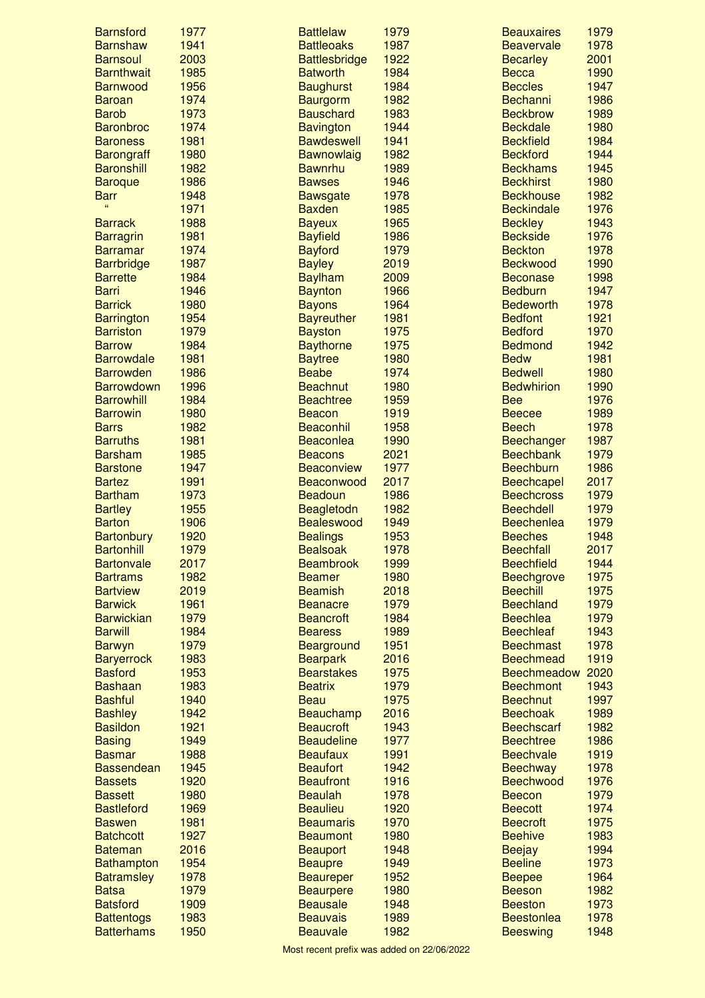| <b>Barnsford</b>  | 1977 | <b>Battlelaw</b>     | 1979 | <b>Beauxaires</b>  | 1979 |
|-------------------|------|----------------------|------|--------------------|------|
| <b>Barnshaw</b>   | 1941 | <b>Battleoaks</b>    | 1987 | <b>Beavervale</b>  | 1978 |
| <b>Barnsoul</b>   | 2003 | <b>Battlesbridge</b> | 1922 | <b>Becarley</b>    | 2001 |
| <b>Barnthwait</b> | 1985 | <b>Batworth</b>      | 1984 | <b>Becca</b>       | 1990 |
| <b>Barnwood</b>   | 1956 | <b>Baughurst</b>     | 1984 | <b>Beccles</b>     | 1947 |
| <b>Baroan</b>     | 1974 | Baurgorm             | 1982 | Bechanni           | 1986 |
| <b>Barob</b>      | 1973 | <b>Bauschard</b>     | 1983 | <b>Beckbrow</b>    | 1989 |
| <b>Baronbroc</b>  | 1974 | <b>Bavington</b>     | 1944 | <b>Beckdale</b>    | 1980 |
| <b>Baroness</b>   | 1981 | <b>Bawdeswell</b>    | 1941 | <b>Beckfield</b>   | 1984 |
| <b>Barongraff</b> | 1980 | Bawnowlaig           | 1982 | <b>Beckford</b>    | 1944 |
| <b>Baronshill</b> | 1982 | <b>Bawnrhu</b>       | 1989 | <b>Beckhams</b>    | 1945 |
| <b>Baroque</b>    | 1986 | <b>Bawses</b>        | 1946 | <b>Beckhirst</b>   | 1980 |
| <b>Barr</b>       | 1948 | <b>Bawsgate</b>      | 1978 | <b>Beckhouse</b>   | 1982 |
| $\epsilon$        | 1971 | <b>Baxden</b>        | 1985 | <b>Beckindale</b>  | 1976 |
| <b>Barrack</b>    | 1988 | <b>Bayeux</b>        | 1965 | <b>Beckley</b>     | 1943 |
| <b>Barragrin</b>  | 1981 | <b>Bayfield</b>      | 1986 | <b>Beckside</b>    | 1976 |
| <b>Barramar</b>   | 1974 | <b>Bayford</b>       | 1979 | <b>Beckton</b>     | 1978 |
| <b>Barrbridge</b> | 1987 | <b>Bayley</b>        | 2019 | <b>Beckwood</b>    | 1990 |
| <b>Barrette</b>   | 1984 | <b>Baylham</b>       | 2009 | <b>Beconase</b>    | 1998 |
| <b>Barri</b>      | 1946 | <b>Baynton</b>       | 1966 | <b>Bedburn</b>     | 1947 |
| <b>Barrick</b>    | 1980 | <b>Bayons</b>        | 1964 | <b>Bedeworth</b>   | 1978 |
| <b>Barrington</b> | 1954 | <b>Bayreuther</b>    | 1981 | <b>Bedfont</b>     | 1921 |
| <b>Barriston</b>  | 1979 | <b>Bayston</b>       | 1975 | <b>Bedford</b>     | 1970 |
| <b>Barrow</b>     | 1984 | <b>Baythorne</b>     | 1975 | <b>Bedmond</b>     | 1942 |
| <b>Barrowdale</b> | 1981 | <b>Baytree</b>       | 1980 | <b>Bedw</b>        | 1981 |
| <b>Barrowden</b>  | 1986 | <b>Beabe</b>         | 1974 | <b>Bedwell</b>     | 1980 |
| <b>Barrowdown</b> | 1996 | <b>Beachnut</b>      | 1980 | <b>Bedwhirion</b>  | 1990 |
| <b>Barrowhill</b> | 1984 | <b>Beachtree</b>     | 1959 | <b>Bee</b>         | 1976 |
| <b>Barrowin</b>   | 1980 | <b>Beacon</b>        | 1919 | <b>Beecee</b>      | 1989 |
| <b>Barrs</b>      | 1982 | <b>Beaconhil</b>     | 1958 | <b>Beech</b>       | 1978 |
| <b>Barruths</b>   | 1981 | <b>Beaconlea</b>     | 1990 | Beechanger         | 1987 |
| <b>Barsham</b>    | 1985 | <b>Beacons</b>       | 2021 | <b>Beechbank</b>   | 1979 |
| <b>Barstone</b>   | 1947 | Beaconview           | 1977 | <b>Beechburn</b>   | 1986 |
| <b>Bartez</b>     | 1991 | Beaconwood           | 2017 | <b>Beechcapel</b>  | 2017 |
| <b>Bartham</b>    | 1973 | <b>Beadoun</b>       | 1986 | <b>Beechcross</b>  | 1979 |
| <b>Bartley</b>    | 1955 | Beagletodn           | 1982 | <b>Beechdell</b>   | 1979 |
| <b>Barton</b>     | 1906 | Bealeswood           | 1949 | <b>Beechenlea</b>  | 1979 |
| <b>Bartonbury</b> | 1920 | <b>Bealings</b>      | 1953 | <b>Beeches</b>     | 1948 |
| <b>Bartonhill</b> | 1979 | <b>Bealsoak</b>      | 1978 | <b>Beechfall</b>   | 2017 |
| <b>Bartonvale</b> | 2017 | <b>Beambrook</b>     | 1999 | <b>Beechfield</b>  | 1944 |
| <b>Bartrams</b>   | 1982 | <b>Beamer</b>        | 1980 | <b>Beechgrove</b>  | 1975 |
| <b>Bartview</b>   | 2019 | <b>Beamish</b>       | 2018 | <b>Beechill</b>    | 1975 |
| <b>Barwick</b>    | 1961 | <b>Beanacre</b>      | 1979 | <b>Beechland</b>   | 1979 |
| <b>Barwickian</b> | 1979 | <b>Beancroft</b>     | 1984 | <b>Beechlea</b>    | 1979 |
| <b>Barwill</b>    | 1984 | <b>Bearess</b>       | 1989 | <b>Beechleaf</b>   | 1943 |
| <b>Barwyn</b>     | 1979 | Bearground           | 1951 | <b>Beechmast</b>   | 1978 |
| <b>Baryerrock</b> | 1983 | <b>Bearpark</b>      | 2016 | <b>Beechmead</b>   | 1919 |
| <b>Basford</b>    | 1953 | <b>Bearstakes</b>    | 1975 | <b>Beechmeadow</b> | 2020 |
| <b>Bashaan</b>    | 1983 | <b>Beatrix</b>       | 1979 | <b>Beechmont</b>   | 1943 |
| <b>Bashful</b>    | 1940 | <b>Beau</b>          | 1975 | <b>Beechnut</b>    | 1997 |
| <b>Bashley</b>    | 1942 | Beauchamp            | 2016 | <b>Beechoak</b>    | 1989 |
| <b>Basildon</b>   | 1921 | <b>Beaucroft</b>     | 1943 | <b>Beechscarf</b>  | 1982 |
| <b>Basing</b>     | 1949 | <b>Beaudeline</b>    | 1977 | <b>Beechtree</b>   | 1986 |
| <b>Basmar</b>     | 1988 | <b>Beaufaux</b>      | 1991 | <b>Beechvale</b>   | 1919 |
| <b>Bassendean</b> | 1945 | <b>Beaufort</b>      | 1942 | <b>Beechway</b>    | 1978 |
| <b>Bassets</b>    | 1920 | <b>Beaufront</b>     | 1916 | <b>Beechwood</b>   | 1976 |
| <b>Bassett</b>    | 1980 | <b>Beaulah</b>       | 1978 | <b>Beecon</b>      | 1979 |
| <b>Bastleford</b> | 1969 | <b>Beaulieu</b>      | 1920 | <b>Beecott</b>     | 1974 |
| <b>Baswen</b>     | 1981 | <b>Beaumaris</b>     | 1970 | <b>Beecroft</b>    | 1975 |
| <b>Batchcott</b>  | 1927 | <b>Beaumont</b>      | 1980 | <b>Beehive</b>     | 1983 |
| <b>Bateman</b>    | 2016 | <b>Beauport</b>      | 1948 | <b>Beejay</b>      | 1994 |
| <b>Bathampton</b> | 1954 | <b>Beaupre</b>       | 1949 | <b>Beeline</b>     | 1973 |
| <b>Batramsley</b> | 1978 | <b>Beaureper</b>     | 1952 | <b>Beepee</b>      | 1964 |
| <b>Batsa</b>      | 1979 | <b>Beaurpere</b>     | 1980 | <b>Beeson</b>      | 1982 |
| <b>Batsford</b>   | 1909 | <b>Beausale</b>      | 1948 | <b>Beeston</b>     | 1973 |
| <b>Battentogs</b> | 1983 | <b>Beauvais</b>      | 1989 | <b>Beestonlea</b>  | 1978 |
| <b>Batterhams</b> | 1950 | <b>Beauvale</b>      | 1982 | <b>Beeswing</b>    | 1948 |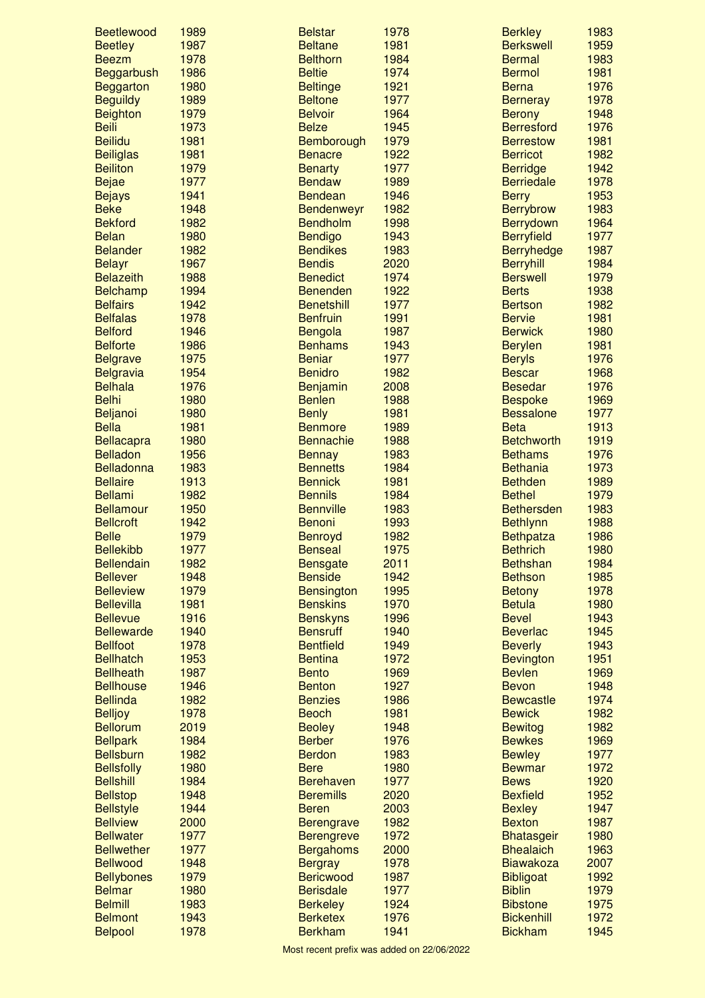| <b>Beetlewood</b> | 1989 | <b>Belstar</b>    | 1978 | <b>Berkley</b>    | 1983 |
|-------------------|------|-------------------|------|-------------------|------|
| <b>Beetley</b>    | 1987 | <b>Beltane</b>    | 1981 | <b>Berkswell</b>  | 1959 |
| <b>Beezm</b>      | 1978 | <b>Belthorn</b>   | 1984 | <b>Bermal</b>     | 1983 |
| Beggarbush        | 1986 | <b>Beltie</b>     | 1974 | <b>Bermol</b>     | 1981 |
| Beggarton         | 1980 | <b>Beltinge</b>   | 1921 | <b>Berna</b>      | 1976 |
| <b>Beguildy</b>   | 1989 | <b>Beltone</b>    | 1977 | <b>Berneray</b>   | 1978 |
| <b>Beighton</b>   | 1979 | <b>Belvoir</b>    | 1964 | <b>Berony</b>     | 1948 |
| <b>Beili</b>      | 1973 | <b>Belze</b>      | 1945 | <b>Berresford</b> | 1976 |
| <b>Beilidu</b>    | 1981 | Bemborough        | 1979 | <b>Berrestow</b>  | 1981 |
| <b>Beiliglas</b>  | 1981 | <b>Benacre</b>    | 1922 | <b>Berricot</b>   | 1982 |
| <b>Beiliton</b>   | 1979 | <b>Benarty</b>    | 1977 | <b>Berridge</b>   | 1942 |
| <b>Bejae</b>      | 1977 | <b>Bendaw</b>     | 1989 | <b>Berriedale</b> | 1978 |
| <b>Bejays</b>     | 1941 | <b>Bendean</b>    | 1946 | <b>Berry</b>      | 1953 |
| <b>Beke</b>       | 1948 | Bendenweyr        | 1982 | <b>Berrybrow</b>  | 1983 |
| <b>Bekford</b>    | 1982 | <b>Bendholm</b>   | 1998 | Berrydown         | 1964 |
| <b>Belan</b>      | 1980 | <b>Bendigo</b>    | 1943 | <b>Berryfield</b> | 1977 |
| <b>Belander</b>   | 1982 | <b>Bendikes</b>   | 1983 | <b>Berryhedge</b> | 1987 |
| <b>Belayr</b>     | 1967 | <b>Bendis</b>     | 2020 | <b>Berryhill</b>  | 1984 |
| <b>Belazeith</b>  | 1988 | <b>Benedict</b>   | 1974 | <b>Berswell</b>   | 1979 |
| <b>Belchamp</b>   | 1994 | <b>Benenden</b>   | 1922 | <b>Berts</b>      | 1938 |
| <b>Belfairs</b>   | 1942 | <b>Benetshill</b> | 1977 | <b>Bertson</b>    | 1982 |
| <b>Belfalas</b>   | 1978 | <b>Benfruin</b>   | 1991 | <b>Bervie</b>     | 1981 |
| <b>Belford</b>    | 1946 | Bengola           | 1987 | <b>Berwick</b>    | 1980 |
| <b>Belforte</b>   | 1986 | <b>Benhams</b>    | 1943 | <b>Berylen</b>    | 1981 |
| <b>Belgrave</b>   | 1975 | <b>Beniar</b>     | 1977 | <b>Beryls</b>     | 1976 |
| <b>Belgravia</b>  | 1954 | <b>Benidro</b>    | 1982 | <b>Bescar</b>     | 1968 |
| <b>Belhala</b>    | 1976 | <b>Benjamin</b>   | 2008 | <b>Besedar</b>    | 1976 |
| <b>Belhi</b>      | 1980 | <b>Benlen</b>     | 1988 | <b>Bespoke</b>    | 1969 |
| Beljanoi          | 1980 | <b>Benly</b>      | 1981 | <b>Bessalone</b>  | 1977 |
| <b>Bella</b>      | 1981 | <b>Benmore</b>    | 1989 | <b>Beta</b>       | 1913 |
| Bellacapra        | 1980 | <b>Bennachie</b>  | 1988 | <b>Betchworth</b> | 1919 |
| <b>Belladon</b>   | 1956 | <b>Bennay</b>     | 1983 | <b>Bethams</b>    | 1976 |
| Belladonna        | 1983 | <b>Bennetts</b>   | 1984 | <b>Bethania</b>   | 1973 |
| <b>Bellaire</b>   | 1913 | <b>Bennick</b>    | 1981 | <b>Bethden</b>    | 1989 |
| <b>Bellami</b>    | 1982 | <b>Bennils</b>    | 1984 | <b>Bethel</b>     | 1979 |
| <b>Bellamour</b>  | 1950 | <b>Bennville</b>  | 1983 | <b>Bethersden</b> | 1983 |
| <b>Bellcroft</b>  | 1942 | <b>Benoni</b>     | 1993 | <b>Bethlynn</b>   | 1988 |
| <b>Belle</b>      | 1979 | <b>Benroyd</b>    | 1982 | <b>Bethpatza</b>  | 1986 |
| <b>Bellekibb</b>  | 1977 | <b>Benseal</b>    | 1975 | <b>Bethrich</b>   | 1980 |
| <b>Bellendain</b> | 1982 | <b>Bensgate</b>   | 2011 | <b>Bethshan</b>   | 1984 |
| <b>Bellever</b>   | 1948 | <b>Benside</b>    | 1942 | <b>Bethson</b>    | 1985 |
| <b>Belleview</b>  | 1979 | <b>Bensington</b> | 1995 | <b>Betony</b>     | 1978 |
| <b>Bellevilla</b> | 1981 | <b>Benskins</b>   | 1970 | <b>Betula</b>     | 1980 |
| <b>Bellevue</b>   | 1916 | <b>Benskyns</b>   | 1996 | <b>Bevel</b>      | 1943 |
| <b>Bellewarde</b> | 1940 | <b>Bensruff</b>   | 1940 | <b>Beverlac</b>   | 1945 |
| <b>Bellfoot</b>   | 1978 | <b>Bentfield</b>  | 1949 | <b>Beverly</b>    | 1943 |
| <b>Bellhatch</b>  | 1953 | <b>Bentina</b>    | 1972 | <b>Bevington</b>  | 1951 |
| <b>Bellheath</b>  | 1987 | <b>Bento</b>      | 1969 | <b>Bevlen</b>     | 1969 |
| <b>Bellhouse</b>  | 1946 | <b>Benton</b>     | 1927 | <b>Bevon</b>      | 1948 |
| <b>Bellinda</b>   | 1982 | <b>Benzies</b>    | 1986 | <b>Bewcastle</b>  | 1974 |
| <b>Belljoy</b>    | 1978 | <b>Beoch</b>      | 1981 | <b>Bewick</b>     | 1982 |
| <b>Bellorum</b>   | 2019 | <b>Beoley</b>     | 1948 | <b>Bewitog</b>    | 1982 |
| <b>Bellpark</b>   | 1984 | <b>Berber</b>     | 1976 | <b>Bewkes</b>     | 1969 |
| <b>Bellsburn</b>  | 1982 | <b>Berdon</b>     | 1983 | <b>Bewley</b>     | 1977 |
| <b>Bellsfolly</b> | 1980 | <b>Bere</b>       | 1980 | <b>Bewmar</b>     | 1972 |
| <b>Bellshill</b>  | 1984 | <b>Berehaven</b>  | 1977 | <b>Bews</b>       | 1920 |
| <b>Bellstop</b>   | 1948 | <b>Beremills</b>  | 2020 | <b>Bexfield</b>   | 1952 |
| <b>Bellstyle</b>  | 1944 | <b>Beren</b>      | 2003 | <b>Bexley</b>     | 1947 |
| <b>Bellview</b>   | 2000 | <b>Berengrave</b> | 1982 | <b>Bexton</b>     | 1987 |
| <b>Bellwater</b>  | 1977 | <b>Berengreve</b> | 1972 | <b>Bhatasgeir</b> | 1980 |
| <b>Bellwether</b> | 1977 | <b>Bergahoms</b>  | 2000 | <b>Bhealaich</b>  | 1963 |
| <b>Bellwood</b>   | 1948 | <b>Bergray</b>    | 1978 | <b>Biawakoza</b>  | 2007 |
| <b>Bellybones</b> | 1979 | <b>Bericwood</b>  | 1987 | <b>Bibligoat</b>  | 1992 |
| <b>Belmar</b>     | 1980 | <b>Berisdale</b>  | 1977 | <b>Biblin</b>     | 1979 |
| <b>Belmill</b>    | 1983 | <b>Berkeley</b>   | 1924 | <b>Bibstone</b>   | 1975 |
| <b>Belmont</b>    | 1943 | <b>Berketex</b>   | 1976 | <b>Bickenhill</b> | 1972 |
| <b>Belpool</b>    | 1978 | <b>Berkham</b>    | 1941 | <b>Bickham</b>    | 1945 |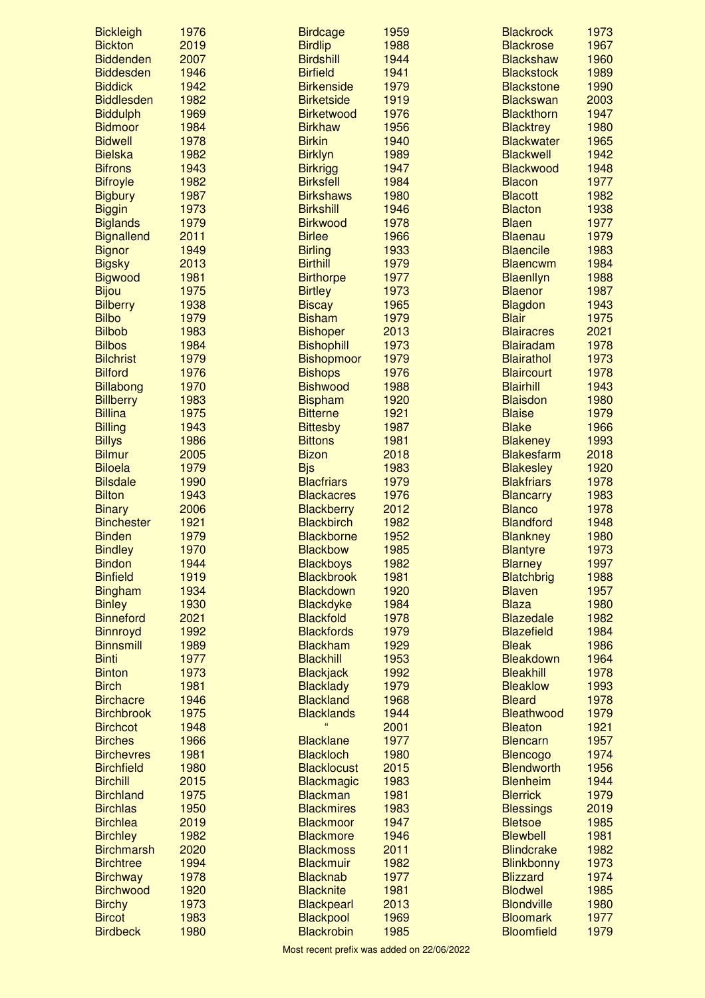| <b>Bickleigh</b>                     | 1976         | <b>Birdcage</b>                        | 1959         | <b>Blackrock</b>                      | 1973         |
|--------------------------------------|--------------|----------------------------------------|--------------|---------------------------------------|--------------|
| <b>Bickton</b>                       | 2019         | <b>Birdlip</b>                         | 1988         | <b>Blackrose</b>                      | 1967         |
| <b>Biddenden</b>                     | 2007         | <b>Birdshill</b>                       | 1944         | <b>Blackshaw</b>                      | 1960         |
| <b>Biddesden</b>                     | 1946         | <b>Birfield</b>                        | 1941         | <b>Blackstock</b>                     | 1989         |
| <b>Biddick</b>                       | 1942<br>1982 | <b>Birkenside</b>                      | 1979         | <b>Blackstone</b>                     | 1990<br>2003 |
| <b>Biddlesden</b><br><b>Biddulph</b> | 1969         | <b>Birketside</b><br><b>Birketwood</b> | 1919<br>1976 | <b>Blackswan</b><br><b>Blackthorn</b> | 1947         |
| <b>Bidmoor</b>                       | 1984         | <b>Birkhaw</b>                         | 1956         | <b>Blacktrey</b>                      | 1980         |
| <b>Bidwell</b>                       | 1978         | <b>Birkin</b>                          | 1940         | <b>Blackwater</b>                     | 1965         |
| <b>Bielska</b>                       | 1982         | <b>Birklyn</b>                         | 1989         | <b>Blackwell</b>                      | 1942         |
| <b>Bifrons</b>                       | 1943         | <b>Birkrigg</b>                        | 1947         | <b>Blackwood</b>                      | 1948         |
| <b>Bifroyle</b>                      | 1982         | <b>Birksfell</b>                       | 1984         | <b>Blacon</b>                         | 1977         |
| <b>Bigbury</b>                       | 1987         | <b>Birkshaws</b>                       | 1980         | <b>Blacott</b>                        | 1982         |
| <b>Biggin</b>                        | 1973         | <b>Birkshill</b>                       | 1946         | <b>Blacton</b>                        | 1938         |
| <b>Biglands</b>                      | 1979         | <b>Birkwood</b>                        | 1978         | <b>Blaen</b>                          | 1977         |
| <b>Bignallend</b>                    | 2011         | <b>Birlee</b>                          | 1966         | <b>Blaenau</b>                        | 1979         |
| <b>Bignor</b>                        | 1949         | <b>Birling</b>                         | 1933         | <b>Blaencile</b>                      | 1983         |
| <b>Bigsky</b>                        | 2013         | <b>Birthill</b>                        | 1979         | <b>Blaencwm</b>                       | 1984         |
| <b>Bigwood</b>                       | 1981         | <b>Birthorpe</b>                       | 1977         | <b>Blaenllyn</b>                      | 1988         |
| <b>Bijou</b>                         | 1975         | <b>Birtley</b>                         | 1973         | <b>Blaenor</b>                        | 1987         |
| <b>Bilberry</b>                      | 1938         | <b>Biscay</b>                          | 1965         | <b>Blagdon</b>                        | 1943         |
| <b>Bilbo</b>                         | 1979         | <b>Bisham</b>                          | 1979         | <b>Blair</b>                          | 1975         |
| <b>Bilbob</b>                        | 1983         | <b>Bishoper</b>                        | 2013         | <b>Blairacres</b>                     | 2021         |
| <b>Bilbos</b>                        | 1984         | <b>Bishophill</b>                      | 1973         | <b>Blairadam</b>                      | 1978         |
| <b>Bilchrist</b><br><b>Bilford</b>   | 1979<br>1976 | <b>Bishopmoor</b>                      | 1979         | <b>Blairathol</b>                     | 1973<br>1978 |
| <b>Billabong</b>                     | 1970         | <b>Bishops</b><br><b>Bishwood</b>      | 1976<br>1988 | <b>Blaircourt</b><br><b>Blairhill</b> | 1943         |
| <b>Billberry</b>                     | 1983         | <b>Bispham</b>                         | 1920         | <b>Blaisdon</b>                       | 1980         |
| <b>Billina</b>                       | 1975         | <b>Bitterne</b>                        | 1921         | <b>Blaise</b>                         | 1979         |
| <b>Billing</b>                       | 1943         | <b>Bittesby</b>                        | 1987         | <b>Blake</b>                          | 1966         |
| <b>Billys</b>                        | 1986         | <b>Bittons</b>                         | 1981         | <b>Blakeney</b>                       | 1993         |
| <b>Bilmur</b>                        | 2005         | <b>Bizon</b>                           | 2018         | <b>Blakesfarm</b>                     | 2018         |
| <b>Biloela</b>                       | 1979         | <b>Bjs</b>                             | 1983         | <b>Blakesley</b>                      | 1920         |
| <b>Bilsdale</b>                      | 1990         | <b>Blacfriars</b>                      | 1979         | <b>Blakfriars</b>                     | 1978         |
| <b>Bilton</b>                        | 1943         | <b>Blackacres</b>                      | 1976         | <b>Blancarry</b>                      | 1983         |
| <b>Binary</b>                        | 2006         | <b>Blackberry</b>                      | 2012         | <b>Blanco</b>                         | 1978         |
| <b>Binchester</b>                    | 1921         | <b>Blackbirch</b>                      | 1982         | <b>Blandford</b>                      | 1948         |
| <b>Binden</b>                        | 1979         | <b>Blackborne</b>                      | 1952         | <b>Blankney</b>                       | 1980         |
| <b>Bindley</b>                       | 1970         | <b>Blackbow</b>                        | 1985         | <b>Blantyre</b>                       | 1973         |
| <b>Bindon</b>                        | 1944         | <b>Blackboys</b>                       | 1982         | <b>Blarney</b>                        | 1997         |
| <b>Binfield</b>                      | 1919         | <b>Blackbrook</b>                      | 1981         | <b>Blatchbrig</b>                     | 1988         |
| <b>Bingham</b>                       | 1934         | <b>Blackdown</b>                       | 1920         | <b>Blaven</b>                         | 1957         |
| <b>Binley</b>                        | 1930         | <b>Blackdyke</b>                       | 1984         | <b>Blaza</b>                          | 1980         |
| <b>Binneford</b>                     | 2021         | <b>Blackfold</b>                       | 1978         | <b>Blazedale</b>                      | 1982         |
| <b>Binnroyd</b>                      | 1992         | <b>Blackfords</b>                      | 1979         | <b>Blazefield</b>                     | 1984         |
| <b>Binnsmill</b><br><b>Binti</b>     | 1989<br>1977 | <b>Blackham</b>                        | 1929         | <b>Bleak</b><br><b>Bleakdown</b>      | 1986         |
| <b>Binton</b>                        | 1973         | <b>Blackhill</b><br><b>Blackjack</b>   | 1953<br>1992 | <b>Bleakhill</b>                      | 1964<br>1978 |
| <b>Birch</b>                         | 1981         | <b>Blacklady</b>                       | 1979         | <b>Bleaklow</b>                       | 1993         |
| <b>Birchacre</b>                     | 1946         | <b>Blackland</b>                       | 1968         | <b>Bleard</b>                         | 1978         |
| <b>Birchbrook</b>                    | 1975         | <b>Blacklands</b>                      | 1944         | <b>Bleathwood</b>                     | 1979         |
| <b>Birchcot</b>                      | 1948         |                                        | 2001         | <b>Bleaton</b>                        | 1921         |
| <b>Birches</b>                       | 1966         | <b>Blacklane</b>                       | 1977         | <b>Blencarn</b>                       | 1957         |
| <b>Birchevres</b>                    | 1981         | <b>Blackloch</b>                       | 1980         | <b>Blencogo</b>                       | 1974         |
| <b>Birchfield</b>                    | 1980         | <b>Blacklocust</b>                     | 2015         | <b>Blendworth</b>                     | 1956         |
| <b>Birchill</b>                      | 2015         | <b>Blackmagic</b>                      | 1983         | <b>Blenheim</b>                       | 1944         |
| <b>Birchland</b>                     | 1975         | <b>Blackman</b>                        | 1981         | <b>Blerrick</b>                       | 1979         |
| <b>Birchlas</b>                      | 1950         | <b>Blackmires</b>                      | 1983         | <b>Blessings</b>                      | 2019         |
| <b>Birchlea</b>                      | 2019         | <b>Blackmoor</b>                       | 1947         | <b>Bletsoe</b>                        | 1985         |
| <b>Birchley</b>                      | 1982         | <b>Blackmore</b>                       | 1946         | <b>Blewbell</b>                       | 1981         |
| <b>Birchmarsh</b>                    | 2020         | <b>Blackmoss</b>                       | 2011         | <b>Blindcrake</b>                     | 1982         |
| <b>Birchtree</b>                     | 1994         | <b>Blackmuir</b>                       | 1982         | <b>Blinkbonny</b>                     | 1973         |
| <b>Birchway</b>                      | 1978         | <b>Blacknab</b>                        | 1977         | <b>Blizzard</b>                       | 1974         |
| <b>Birchwood</b>                     | 1920         | <b>Blacknite</b>                       | 1981         | <b>Blodwel</b>                        | 1985         |
| <b>Birchy</b>                        | 1973         | <b>Blackpearl</b>                      | 2013         | <b>Blondville</b>                     | 1980         |
| <b>Bircot</b>                        | 1983         | <b>Blackpool</b>                       | 1969         | <b>Bloomark</b>                       | 1977         |
| <b>Birdbeck</b>                      | 1980         | <b>Blackrobin</b>                      | 1985         | <b>Bloomfield</b>                     | 1979         |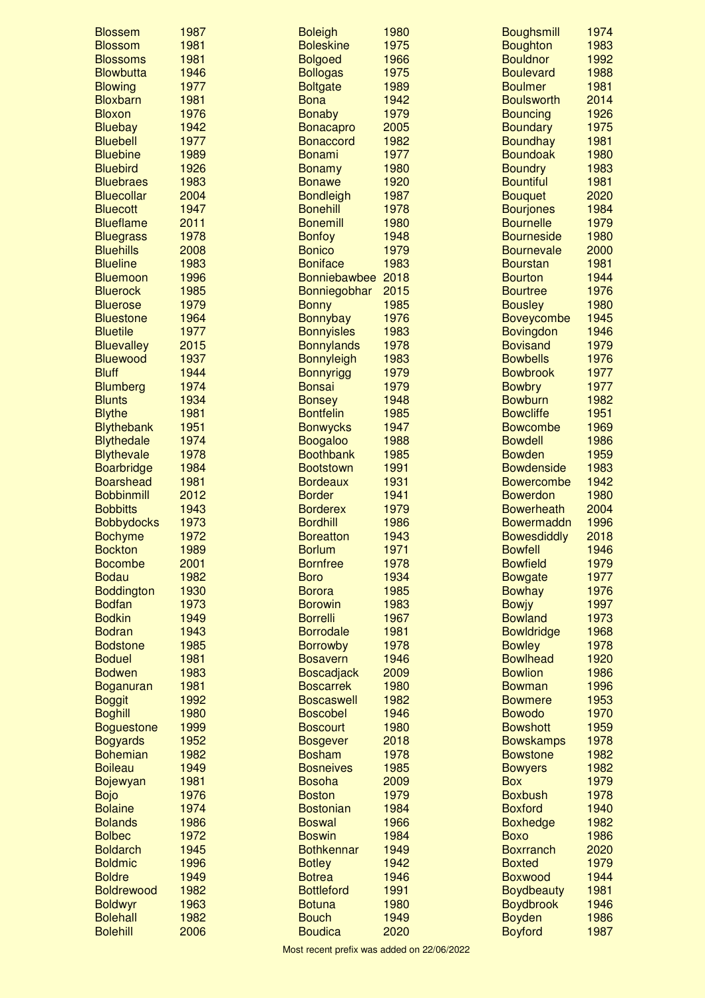| <b>Blossem</b>                       | 1987         | <b>Boleigh</b>                 | 1980         | <b>Boughsmill</b>                     | 1974         |
|--------------------------------------|--------------|--------------------------------|--------------|---------------------------------------|--------------|
| <b>Blossom</b>                       | 1981         | <b>Boleskine</b>               | 1975         | <b>Boughton</b>                       | 1983         |
| <b>Blossoms</b>                      | 1981         | <b>Bolgoed</b>                 | 1966         | <b>Bouldnor</b>                       | 1992         |
| <b>Blowbutta</b>                     | 1946         | <b>Bollogas</b>                | 1975         | <b>Boulevard</b>                      | 1988         |
| <b>Blowing</b>                       | 1977         | <b>Boltgate</b>                | 1989         | <b>Boulmer</b>                        | 1981         |
| <b>Bloxbarn</b>                      | 1981         | <b>Bona</b>                    | 1942         | <b>Boulsworth</b>                     | 2014         |
| <b>Bloxon</b>                        | 1976         | <b>Bonaby</b>                  | 1979         | <b>Bouncing</b>                       | 1926         |
| <b>Bluebay</b>                       | 1942         | <b>Bonacapro</b>               | 2005         | <b>Boundary</b>                       | 1975         |
| <b>Bluebell</b>                      | 1977         | <b>Bonaccord</b>               | 1982         | <b>Boundhay</b>                       | 1981         |
| <b>Bluebine</b>                      | 1989         | <b>Bonami</b>                  | 1977         | <b>Boundoak</b>                       | 1980         |
| <b>Bluebird</b>                      | 1926         | <b>Bonamy</b>                  | 1980         | <b>Boundry</b>                        | 1983         |
| <b>Bluebraes</b>                     | 1983         | <b>Bonawe</b>                  | 1920         | <b>Bountiful</b>                      | 1981         |
| <b>Bluecollar</b>                    | 2004         | <b>Bondleigh</b>               | 1987         | <b>Bouquet</b>                        | 2020         |
| <b>Bluecott</b>                      | 1947         | <b>Bonehill</b>                | 1978         | <b>Bourjones</b>                      | 1984         |
| <b>Blueflame</b>                     | 2011         | <b>Bonemill</b>                | 1980         | <b>Bournelle</b>                      | 1979<br>1980 |
| <b>Bluegrass</b><br><b>Bluehills</b> | 1978<br>2008 | <b>Bonfoy</b><br><b>Bonico</b> | 1948<br>1979 | <b>Bourneside</b>                     | 2000         |
| <b>Blueline</b>                      | 1983         | <b>Boniface</b>                | 1983         | <b>Bournevale</b><br><b>Bourstan</b>  | 1981         |
| <b>Bluemoon</b>                      | 1996         | Bonniebawbee 2018              |              | <b>Bourton</b>                        | 1944         |
| <b>Bluerock</b>                      | 1985         | Bonniegobhar                   | 2015         | <b>Bourtree</b>                       | 1976         |
| <b>Bluerose</b>                      | 1979         | <b>Bonny</b>                   | 1985         | <b>Bousley</b>                        | 1980         |
| <b>Bluestone</b>                     | 1964         | Bonnybay                       | 1976         | <b>Boveycombe</b>                     | 1945         |
| <b>Bluetile</b>                      | 1977         | <b>Bonnyisles</b>              | 1983         | <b>Bovingdon</b>                      | 1946         |
| <b>Bluevalley</b>                    | 2015         | <b>Bonnylands</b>              | 1978         | <b>Bovisand</b>                       | 1979         |
| <b>Bluewood</b>                      | 1937         | <b>Bonnyleigh</b>              | 1983         | <b>Bowbells</b>                       | 1976         |
| <b>Bluff</b>                         | 1944         | <b>Bonnyrigg</b>               | 1979         | <b>Bowbrook</b>                       | 1977         |
| <b>Blumberg</b>                      | 1974         | <b>Bonsai</b>                  | 1979         | <b>Bowbry</b>                         | 1977         |
| <b>Blunts</b>                        | 1934         | <b>Bonsey</b>                  | 1948         | <b>Bowburn</b>                        | 1982         |
| <b>Blythe</b>                        | 1981         | <b>Bontfelin</b>               | 1985         | <b>Bowcliffe</b>                      | 1951         |
| <b>Blythebank</b>                    | 1951         | <b>Bonwycks</b>                | 1947         | <b>Bowcombe</b>                       | 1969         |
| <b>Blythedale</b>                    | 1974         | <b>Boogaloo</b>                | 1988         | <b>Bowdell</b>                        | 1986         |
| <b>Blythevale</b>                    | 1978         | <b>Boothbank</b>               | 1985         | <b>Bowden</b>                         | 1959         |
| <b>Boarbridge</b>                    | 1984         | <b>Bootstown</b>               | 1991         | <b>Bowdenside</b>                     | 1983         |
| <b>Boarshead</b>                     | 1981         | <b>Bordeaux</b>                | 1931         | <b>Bowercombe</b>                     | 1942         |
| <b>Bobbinmill</b>                    | 2012         | <b>Border</b>                  | 1941         | <b>Bowerdon</b>                       | 1980         |
| <b>Bobbitts</b>                      | 1943         | <b>Borderex</b>                | 1979         | <b>Bowerheath</b>                     | 2004         |
| <b>Bobbydocks</b>                    | 1973         | <b>Bordhill</b>                | 1986         | Bowermaddn                            | 1996         |
| <b>Bochyme</b>                       | 1972         | <b>Boreatton</b>               | 1943         | <b>Bowesdiddly</b>                    | 2018         |
| <b>Bockton</b>                       | 1989         | <b>Borlum</b>                  | 1971         | <b>Bowfell</b>                        | 1946         |
| <b>Bocombe</b>                       | 2001         | <b>Bornfree</b>                | 1978         | <b>Bowfield</b>                       | 1979         |
| <b>Bodau</b>                         | 1982         | <b>Boro</b>                    | 1934         | <b>Bowgate</b>                        | 1977         |
| <b>Boddington</b>                    | 1930         | <b>Borora</b>                  | 1985         | <b>Bowhay</b>                         | 1976         |
| <b>Bodfan</b>                        | 1973         | <b>Borowin</b>                 | 1983         | <b>Bowiy</b>                          | 1997         |
| <b>Bodkin</b>                        | 1949         | <b>Borrelli</b>                | 1967         | <b>Bowland</b>                        | 1973         |
| <b>Bodran</b>                        | 1943         | <b>Borrodale</b>               | 1981         | <b>Bowldridge</b>                     | 1968         |
| <b>Bodstone</b>                      | 1985         | <b>Borrowby</b>                | 1978         | <b>Bowley</b>                         | 1978         |
| <b>Boduel</b>                        | 1981         | <b>Bosavern</b>                | 1946         | <b>Bowlhead</b>                       | 1920         |
| <b>Bodwen</b>                        | 1983         | <b>Boscadjack</b>              | 2009         | <b>Bowlion</b>                        | 1986         |
| <b>Boganuran</b>                     | 1981         | <b>Boscarrek</b>               | 1980         | <b>Bowman</b>                         | 1996         |
| <b>Boggit</b>                        | 1992         | <b>Boscaswell</b>              | 1982         | <b>Bowmere</b>                        | 1953         |
| <b>Boghill</b>                       | 1980         | <b>Boscobel</b>                | 1946         | <b>Bowodo</b>                         | 1970         |
| <b>Boguestone</b>                    | 1999         | <b>Boscourt</b>                | 1980         | <b>Bowshott</b>                       | 1959         |
| <b>Bogyards</b>                      | 1952         | <b>Bosgever</b>                | 2018         | <b>Bowskamps</b>                      | 1978         |
| <b>Bohemian</b>                      | 1982         | <b>Bosham</b>                  | 1978         | <b>Bowstone</b>                       | 1982         |
| <b>Boileau</b>                       | 1949         | <b>Bosneives</b>               | 1985         | <b>Bowyers</b>                        | 1982         |
| <b>Bojewyan</b>                      | 1981         | <b>Bosoha</b>                  | 2009         | <b>Box</b>                            | 1979         |
| <b>Bojo</b>                          | 1976         | <b>Boston</b>                  | 1979         | <b>Boxbush</b>                        | 1978         |
| <b>Bolaine</b>                       | 1974         | <b>Bostonian</b>               | 1984         | <b>Boxford</b>                        | 1940         |
| <b>Bolands</b>                       | 1986         | <b>Boswal</b>                  | 1966         | <b>Boxhedge</b>                       | 1982         |
| <b>Bolbec</b>                        | 1972         | <b>Boswin</b>                  | 1984         | <b>Boxo</b>                           | 1986         |
| <b>Boldarch</b>                      | 1945<br>1996 | <b>Bothkennar</b>              | 1949         | <b>Boxrranch</b>                      | 2020<br>1979 |
| <b>Boldmic</b><br><b>Boldre</b>      | 1949         | <b>Botley</b><br><b>Botrea</b> | 1942<br>1946 | <b>Boxted</b>                         | 1944         |
| <b>Boldrewood</b>                    | 1982         | <b>Bottleford</b>              | 1991         | <b>Boxwood</b>                        | 1981         |
| <b>Boldwyr</b>                       | 1963         | <b>Botuna</b>                  | 1980         | <b>Boydbeauty</b><br><b>Boydbrook</b> | 1946         |
| <b>Bolehall</b>                      | 1982         | <b>Bouch</b>                   | 1949         | <b>Boyden</b>                         | 1986         |
| <b>Bolehill</b>                      | 2006         | <b>Boudica</b>                 | 2020         | <b>Boyford</b>                        | 1987         |
|                                      |              |                                |              |                                       |              |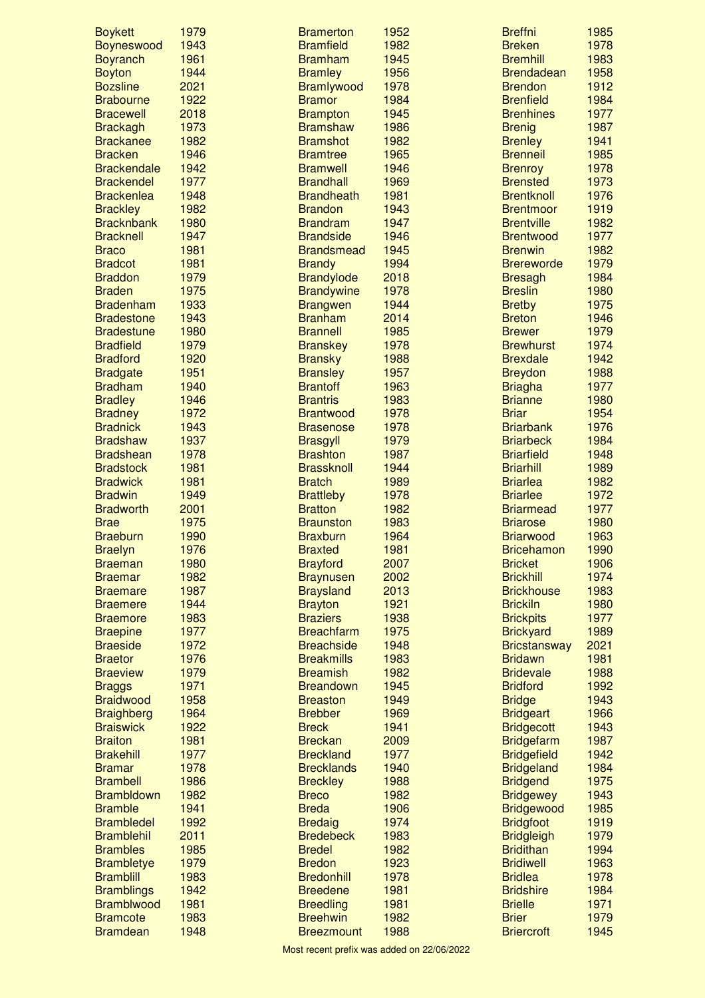| <b>Boykett</b>     | 1979 | <b>Bramerton</b>  | 1952 | <b>Breffni</b>      | 1985 |
|--------------------|------|-------------------|------|---------------------|------|
| <b>Boyneswood</b>  | 1943 | <b>Bramfield</b>  | 1982 | <b>Breken</b>       | 1978 |
| <b>Boyranch</b>    | 1961 | <b>Bramham</b>    | 1945 | <b>Bremhill</b>     | 1983 |
| <b>Boyton</b>      | 1944 | <b>Bramley</b>    | 1956 | <b>Brendadean</b>   | 1958 |
| <b>Bozsline</b>    | 2021 | <b>Bramlywood</b> | 1978 | <b>Brendon</b>      | 1912 |
| <b>Brabourne</b>   | 1922 | <b>Bramor</b>     | 1984 | <b>Brenfield</b>    | 1984 |
| <b>Bracewell</b>   | 2018 | <b>Brampton</b>   | 1945 | <b>Brenhines</b>    | 1977 |
| <b>Brackagh</b>    | 1973 | <b>Bramshaw</b>   | 1986 | <b>Brenig</b>       | 1987 |
| <b>Brackanee</b>   | 1982 | <b>Bramshot</b>   | 1982 | <b>Brenley</b>      | 1941 |
| <b>Bracken</b>     | 1946 | <b>Bramtree</b>   | 1965 | <b>Brenneil</b>     | 1985 |
| <b>Brackendale</b> | 1942 | <b>Bramwell</b>   | 1946 | <b>Brenroy</b>      | 1978 |
| <b>Brackendel</b>  | 1977 | <b>Brandhall</b>  | 1969 | <b>Brensted</b>     | 1973 |
| <b>Brackenlea</b>  | 1948 | <b>Brandheath</b> | 1981 | <b>Brentknoll</b>   | 1976 |
| <b>Brackley</b>    | 1982 | <b>Brandon</b>    | 1943 | <b>Brentmoor</b>    | 1919 |
| <b>Bracknbank</b>  | 1980 | <b>Brandram</b>   | 1947 | <b>Brentville</b>   | 1982 |
| <b>Bracknell</b>   | 1947 | <b>Brandside</b>  | 1946 | <b>Brentwood</b>    | 1977 |
| <b>Braco</b>       | 1981 | <b>Brandsmead</b> | 1945 | <b>Brenwin</b>      | 1982 |
| <b>Bradcot</b>     | 1981 | <b>Brandy</b>     | 1994 | <b>Brereworde</b>   | 1979 |
| <b>Braddon</b>     | 1979 | <b>Brandylode</b> | 2018 | <b>Bresagh</b>      | 1984 |
| <b>Braden</b>      | 1975 | <b>Brandywine</b> | 1978 | <b>Breslin</b>      | 1980 |
| <b>Bradenham</b>   | 1933 | <b>Brangwen</b>   | 1944 | <b>Bretby</b>       | 1975 |
| <b>Bradestone</b>  | 1943 | <b>Branham</b>    | 2014 | <b>Breton</b>       | 1946 |
| <b>Bradestune</b>  | 1980 | <b>Brannell</b>   | 1985 | <b>Brewer</b>       | 1979 |
| <b>Bradfield</b>   | 1979 | <b>Branskey</b>   | 1978 | <b>Brewhurst</b>    | 1974 |
|                    |      |                   |      |                     |      |
| <b>Bradford</b>    | 1920 | <b>Bransky</b>    | 1988 | <b>Brexdale</b>     | 1942 |
| <b>Bradgate</b>    | 1951 | <b>Bransley</b>   | 1957 | <b>Breydon</b>      | 1988 |
| <b>Bradham</b>     | 1940 | <b>Brantoff</b>   | 1963 | <b>Briagha</b>      | 1977 |
| <b>Bradley</b>     | 1946 | <b>Brantris</b>   | 1983 | <b>Brianne</b>      | 1980 |
| <b>Bradney</b>     | 1972 | <b>Brantwood</b>  | 1978 | <b>Briar</b>        | 1954 |
| <b>Bradnick</b>    | 1943 | <b>Brasenose</b>  | 1978 | <b>Briarbank</b>    | 1976 |
| <b>Bradshaw</b>    | 1937 | <b>Brasgyll</b>   | 1979 | <b>Briarbeck</b>    | 1984 |
| <b>Bradshean</b>   | 1978 | <b>Brashton</b>   | 1987 | <b>Briarfield</b>   | 1948 |
| <b>Bradstock</b>   | 1981 | <b>Brassknoll</b> | 1944 | <b>Briarhill</b>    | 1989 |
| <b>Bradwick</b>    | 1981 | <b>Bratch</b>     | 1989 | <b>Briarlea</b>     | 1982 |
| <b>Bradwin</b>     | 1949 | <b>Brattleby</b>  | 1978 | <b>Briarlee</b>     | 1972 |
| <b>Bradworth</b>   | 2001 | <b>Bratton</b>    | 1982 | <b>Briarmead</b>    | 1977 |
| <b>Brae</b>        | 1975 | <b>Braunston</b>  | 1983 | <b>Briarose</b>     | 1980 |
| <b>Braeburn</b>    | 1990 | <b>Braxburn</b>   | 1964 | <b>Briarwood</b>    | 1963 |
| <b>Braelyn</b>     | 1976 | <b>Braxted</b>    | 1981 | <b>Bricehamon</b>   | 1990 |
| <b>Braeman</b>     | 1980 | <b>Brayford</b>   | 2007 | <b>Bricket</b>      | 1906 |
| <b>Braemar</b>     | 1982 | <b>Braynusen</b>  | 2002 | <b>Brickhill</b>    | 1974 |
| <b>Braemare</b>    | 1987 | <b>Braysland</b>  | 2013 | <b>Brickhouse</b>   | 1983 |
| <b>Braemere</b>    | 1944 | <b>Brayton</b>    | 1921 | <b>Brickiln</b>     | 1980 |
| <b>Braemore</b>    | 1983 | <b>Braziers</b>   | 1938 | <b>Brickpits</b>    | 1977 |
| <b>Braepine</b>    | 1977 | <b>Breachfarm</b> | 1975 | <b>Brickyard</b>    | 1989 |
| <b>Braeside</b>    | 1972 | <b>Breachside</b> | 1948 | <b>Bricstansway</b> | 2021 |
| <b>Braetor</b>     | 1976 | <b>Breakmills</b> | 1983 | <b>Bridawn</b>      | 1981 |
| <b>Braeview</b>    | 1979 | <b>Breamish</b>   | 1982 | <b>Bridevale</b>    | 1988 |
| <b>Braggs</b>      | 1971 | <b>Breandown</b>  | 1945 | <b>Bridford</b>     | 1992 |
| <b>Braidwood</b>   | 1958 | <b>Breaston</b>   | 1949 | <b>Bridge</b>       | 1943 |
| <b>Braighberg</b>  | 1964 | <b>Brebber</b>    | 1969 | <b>Bridgeart</b>    | 1966 |
| <b>Braiswick</b>   | 1922 | <b>Breck</b>      | 1941 | <b>Bridgecott</b>   | 1943 |
| <b>Braiton</b>     | 1981 | <b>Breckan</b>    | 2009 | <b>Bridgefarm</b>   | 1987 |
| <b>Brakehill</b>   | 1977 | <b>Breckland</b>  | 1977 | <b>Bridgefield</b>  | 1942 |
| <b>Bramar</b>      | 1978 | <b>Brecklands</b> | 1940 | <b>Bridgeland</b>   | 1984 |
| <b>Brambell</b>    | 1986 | <b>Breckley</b>   | 1988 | <b>Bridgend</b>     | 1975 |
| <b>Brambldown</b>  | 1982 | <b>Breco</b>      | 1982 | <b>Bridgewey</b>    | 1943 |
| <b>Bramble</b>     | 1941 | <b>Breda</b>      | 1906 | <b>Bridgewood</b>   | 1985 |
| <b>Brambledel</b>  | 1992 | <b>Bredaig</b>    | 1974 | <b>Bridgfoot</b>    | 1919 |
| <b>Bramblehil</b>  | 2011 | <b>Bredebeck</b>  | 1983 | <b>Bridgleigh</b>   | 1979 |
| <b>Brambles</b>    | 1985 | <b>Bredel</b>     | 1982 | <b>Bridithan</b>    | 1994 |
| <b>Brambletye</b>  | 1979 | <b>Bredon</b>     | 1923 | <b>Bridiwell</b>    | 1963 |
| <b>Bramblill</b>   | 1983 | <b>Bredonhill</b> | 1978 | <b>Bridlea</b>      | 1978 |
| <b>Bramblings</b>  | 1942 | <b>Breedene</b>   | 1981 | <b>Bridshire</b>    | 1984 |
| <b>Bramblwood</b>  | 1981 | <b>Breedling</b>  | 1981 | <b>Brielle</b>      | 1971 |
| <b>Bramcote</b>    | 1983 | <b>Breehwin</b>   | 1982 | <b>Brier</b>        | 1979 |
|                    |      |                   |      |                     |      |
| <b>Bramdean</b>    | 1948 | <b>Breezmount</b> | 1988 | <b>Briercroft</b>   | 1945 |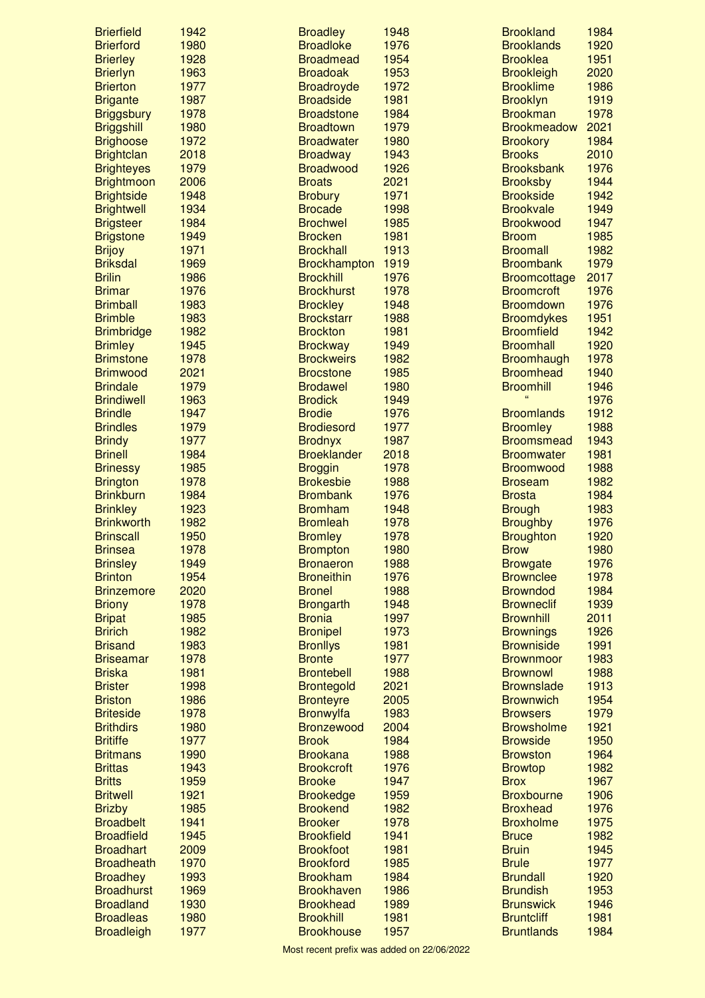| <b>Brierfield</b> | 1942 | <b>Broadley</b>     | 1948 | <b>Brookland</b>    | 1984 |
|-------------------|------|---------------------|------|---------------------|------|
| <b>Brierford</b>  | 1980 | <b>Broadloke</b>    | 1976 | <b>Brooklands</b>   | 1920 |
| <b>Brierley</b>   | 1928 | <b>Broadmead</b>    | 1954 | <b>Brooklea</b>     | 1951 |
| <b>Brierlyn</b>   | 1963 | <b>Broadoak</b>     | 1953 | <b>Brookleigh</b>   | 2020 |
| <b>Brierton</b>   | 1977 | <b>Broadroyde</b>   | 1972 | <b>Brooklime</b>    | 1986 |
| <b>Brigante</b>   | 1987 | <b>Broadside</b>    | 1981 | <b>Brooklyn</b>     | 1919 |
| <b>Briggsbury</b> | 1978 | <b>Broadstone</b>   | 1984 | <b>Brookman</b>     | 1978 |
| <b>Briggshill</b> | 1980 | <b>Broadtown</b>    | 1979 | <b>Brookmeadow</b>  | 2021 |
| <b>Brighoose</b>  | 1972 | <b>Broadwater</b>   | 1980 | <b>Brookory</b>     | 1984 |
| <b>Brightclan</b> | 2018 | <b>Broadway</b>     | 1943 | <b>Brooks</b>       | 2010 |
| <b>Brighteyes</b> | 1979 | <b>Broadwood</b>    | 1926 | <b>Brooksbank</b>   | 1976 |
| <b>Brightmoon</b> | 2006 | <b>Broats</b>       | 2021 | <b>Brooksby</b>     | 1944 |
| <b>Brightside</b> | 1948 | <b>Brobury</b>      | 1971 | <b>Brookside</b>    | 1942 |
| <b>Brightwell</b> | 1934 | <b>Brocade</b>      | 1998 | <b>Brookvale</b>    | 1949 |
| <b>Brigsteer</b>  | 1984 | <b>Brochwel</b>     | 1985 | <b>Brookwood</b>    | 1947 |
| <b>Brigstone</b>  | 1949 | <b>Brocken</b>      | 1981 | <b>Broom</b>        | 1985 |
| <b>Brijoy</b>     | 1971 | <b>Brockhall</b>    | 1913 | <b>Broomall</b>     | 1982 |
| <b>Briksdal</b>   | 1969 | <b>Brockhampton</b> | 1919 | <b>Broombank</b>    | 1979 |
| <b>Brilin</b>     | 1986 | <b>Brockhill</b>    | 1976 | <b>Broomcottage</b> | 2017 |
| <b>Brimar</b>     | 1976 | <b>Brockhurst</b>   | 1978 | <b>Broomcroft</b>   | 1976 |
| <b>Brimball</b>   | 1983 | <b>Brockley</b>     | 1948 | <b>Broomdown</b>    | 1976 |
| <b>Brimble</b>    | 1983 | <b>Brockstarr</b>   | 1988 | <b>Broomdykes</b>   | 1951 |
| <b>Brimbridge</b> | 1982 | <b>Brockton</b>     | 1981 | <b>Broomfield</b>   | 1942 |
| <b>Brimley</b>    | 1945 | <b>Brockway</b>     | 1949 | <b>Broomhall</b>    | 1920 |
| <b>Brimstone</b>  | 1978 | <b>Brockweirs</b>   | 1982 | <b>Broomhaugh</b>   | 1978 |
| <b>Brimwood</b>   | 2021 | <b>Brocstone</b>    | 1985 | <b>Broomhead</b>    | 1940 |
| <b>Brindale</b>   | 1979 | <b>Brodawel</b>     | 1980 | <b>Broomhill</b>    | 1946 |
| <b>Brindiwell</b> | 1963 | <b>Brodick</b>      | 1949 | $\alpha$            | 1976 |
| <b>Brindle</b>    | 1947 | <b>Brodie</b>       | 1976 | <b>Broomlands</b>   | 1912 |
| <b>Brindles</b>   | 1979 | <b>Brodiesord</b>   | 1977 | <b>Broomley</b>     | 1988 |
| <b>Brindy</b>     | 1977 | <b>Brodnyx</b>      | 1987 | <b>Broomsmead</b>   | 1943 |
| <b>Brinell</b>    | 1984 | <b>Broeklander</b>  | 2018 | <b>Broomwater</b>   | 1981 |
| <b>Brinessy</b>   | 1985 | <b>Broggin</b>      | 1978 | <b>Broomwood</b>    | 1988 |
| <b>Brington</b>   | 1978 | <b>Brokesbie</b>    | 1988 | <b>Broseam</b>      | 1982 |
| <b>Brinkburn</b>  | 1984 | <b>Brombank</b>     | 1976 | <b>Brosta</b>       | 1984 |
| <b>Brinkley</b>   | 1923 | <b>Bromham</b>      | 1948 | <b>Brough</b>       | 1983 |
| <b>Brinkworth</b> | 1982 | <b>Bromleah</b>     | 1978 | <b>Broughby</b>     | 1976 |
| <b>Brinscall</b>  | 1950 | <b>Bromley</b>      | 1978 | <b>Broughton</b>    | 1920 |
| <b>Brinsea</b>    | 1978 | <b>Brompton</b>     | 1980 | <b>Brow</b>         | 1980 |
| <b>Brinsley</b>   | 1949 | <b>Bronaeron</b>    | 1988 | <b>Browgate</b>     | 1976 |
| <b>Brinton</b>    | 1954 | <b>Broneithin</b>   | 1976 | <b>Brownclee</b>    | 1978 |
| <b>Brinzemore</b> | 2020 | <b>Bronel</b>       | 1988 | <b>Browndod</b>     | 1984 |
| <b>Briony</b>     | 1978 | <b>Brongarth</b>    | 1948 | <b>Browneclif</b>   | 1939 |
| <b>Bripat</b>     | 1985 | <b>Bronia</b>       | 1997 | <b>Brownhill</b>    | 2011 |
| <b>Bririch</b>    | 1982 | <b>Bronipel</b>     | 1973 | <b>Brownings</b>    | 1926 |
| <b>Brisand</b>    | 1983 | <b>Bronllys</b>     | 1981 | <b>Browniside</b>   | 1991 |
| <b>Briseamar</b>  | 1978 | <b>Bronte</b>       | 1977 | <b>Brownmoor</b>    | 1983 |
| <b>Briska</b>     | 1981 | <b>Brontebell</b>   | 1988 | <b>Brownowl</b>     | 1988 |
| <b>Brister</b>    | 1998 | <b>Brontegold</b>   | 2021 | <b>Brownslade</b>   | 1913 |
| <b>Briston</b>    | 1986 | <b>Bronteyre</b>    | 2005 | <b>Brownwich</b>    | 1954 |
| <b>Briteside</b>  | 1978 | <b>Bronwylfa</b>    | 1983 | <b>Browsers</b>     | 1979 |
| <b>Brithdirs</b>  | 1980 | <b>Bronzewood</b>   | 2004 | <b>Browsholme</b>   | 1921 |
| <b>Britiffe</b>   | 1977 | <b>Brook</b>        | 1984 | <b>Browside</b>     | 1950 |
| <b>Britmans</b>   | 1990 | <b>Brookana</b>     | 1988 | <b>Browston</b>     | 1964 |
| <b>Brittas</b>    | 1943 | <b>Brookcroft</b>   | 1976 | <b>Browtop</b>      | 1982 |
| <b>Britts</b>     | 1959 | <b>Brooke</b>       | 1947 | <b>Brox</b>         | 1967 |
| <b>Britwell</b>   | 1921 | <b>Brookedge</b>    | 1959 | <b>Broxbourne</b>   | 1906 |
| <b>Brizby</b>     | 1985 | <b>Brookend</b>     | 1982 | <b>Broxhead</b>     | 1976 |
| <b>Broadbelt</b>  | 1941 | <b>Brooker</b>      | 1978 | <b>Broxholme</b>    | 1975 |
| <b>Broadfield</b> | 1945 | <b>Brookfield</b>   | 1941 | <b>Bruce</b>        | 1982 |
| <b>Broadhart</b>  | 2009 | <b>Brookfoot</b>    | 1981 | <b>Bruin</b>        | 1945 |
| <b>Broadheath</b> | 1970 | <b>Brookford</b>    | 1985 | <b>Brule</b>        | 1977 |
| <b>Broadhey</b>   | 1993 | <b>Brookham</b>     | 1984 | <b>Brundall</b>     | 1920 |
| <b>Broadhurst</b> | 1969 | <b>Brookhaven</b>   | 1986 | <b>Brundish</b>     | 1953 |
| <b>Broadland</b>  | 1930 | <b>Brookhead</b>    | 1989 | <b>Brunswick</b>    | 1946 |
| <b>Broadleas</b>  | 1980 | <b>Brookhill</b>    | 1981 | <b>Bruntcliff</b>   | 1981 |
| <b>Broadleigh</b> | 1977 | <b>Brookhouse</b>   | 1957 | <b>Bruntlands</b>   | 1984 |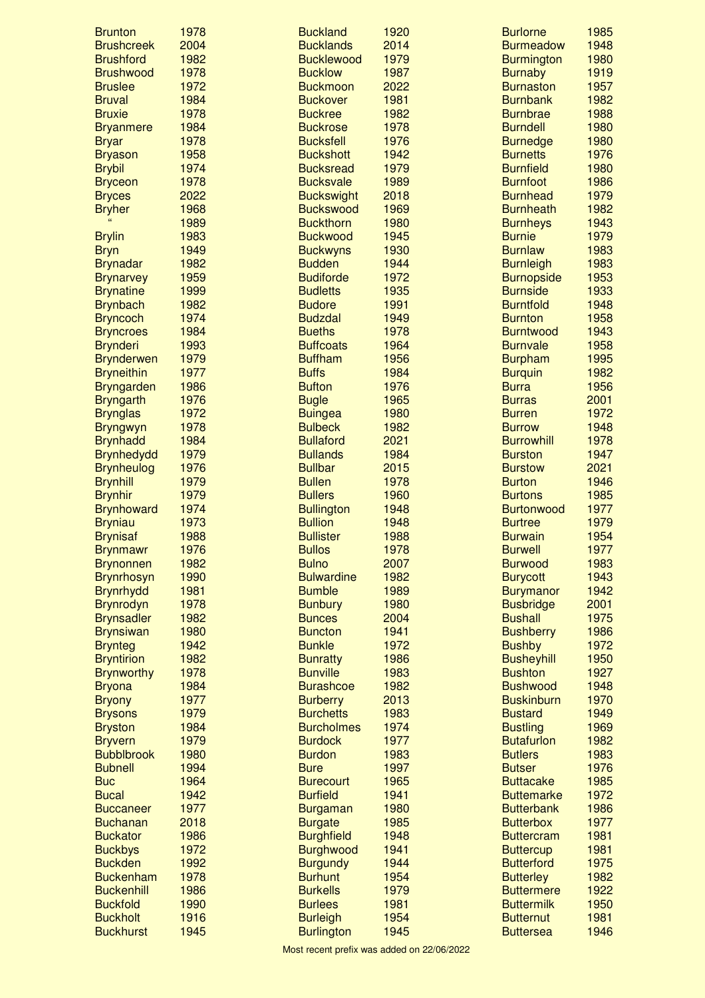| <b>Brunton</b>                      | 1978         | <b>Buckland</b>                      | 1920         | <b>Burlorne</b>                      | 1985         |
|-------------------------------------|--------------|--------------------------------------|--------------|--------------------------------------|--------------|
| <b>Brushcreek</b>                   | 2004         | <b>Bucklands</b>                     | 2014         | <b>Burmeadow</b>                     | 1948         |
| <b>Brushford</b>                    | 1982         | <b>Bucklewood</b>                    | 1979         | <b>Burmington</b>                    | 1980         |
| <b>Brushwood</b>                    | 1978         | <b>Bucklow</b>                       | 1987         | <b>Burnaby</b>                       | 1919         |
| <b>Bruslee</b>                      | 1972         | <b>Buckmoon</b>                      | 2022         | <b>Burnaston</b>                     | 1957         |
| <b>Bruval</b>                       | 1984         | <b>Buckover</b>                      | 1981         | <b>Burnbank</b>                      | 1982         |
| <b>Bruxie</b>                       | 1978         | <b>Buckree</b>                       | 1982         | <b>Burnbrae</b>                      | 1988         |
| <b>Bryanmere</b>                    | 1984         | <b>Buckrose</b>                      | 1978         | <b>Burndell</b>                      | 1980         |
| <b>Bryar</b>                        | 1978         | <b>Bucksfell</b>                     | 1976         | <b>Burnedge</b>                      | 1980         |
| <b>Bryason</b>                      | 1958         | <b>Buckshott</b>                     | 1942         | <b>Burnetts</b>                      | 1976         |
| <b>Brybil</b>                       | 1974         | <b>Bucksread</b>                     | 1979         | <b>Burnfield</b>                     | 1980         |
| <b>Bryceon</b>                      | 1978         | <b>Bucksvale</b>                     | 1989         | <b>Burnfoot</b>                      | 1986         |
| <b>Bryces</b>                       | 2022         | <b>Buckswight</b>                    | 2018         | <b>Burnhead</b>                      | 1979         |
| <b>Bryher</b>                       | 1968         | <b>Buckswood</b>                     | 1969         | <b>Burnheath</b>                     | 1982         |
|                                     | 1989         | <b>Buckthorn</b>                     | 1980         | <b>Burnheys</b>                      | 1943         |
| <b>Brylin</b>                       | 1983         | <b>Buckwood</b>                      | 1945         | <b>Burnie</b>                        | 1979         |
| <b>Bryn</b>                         | 1949         | <b>Buckwyns</b>                      | 1930         | <b>Burnlaw</b>                       | 1983         |
| <b>Brynadar</b>                     | 1982         | <b>Budden</b><br><b>Budiforde</b>    | 1944<br>1972 | <b>Burnleigh</b>                     | 1983<br>1953 |
| <b>Brynarvey</b>                    | 1959         | <b>Budletts</b>                      | 1935         | <b>Burnopside</b><br><b>Burnside</b> | 1933         |
| <b>Brynatine</b>                    | 1999         | <b>Budore</b>                        |              | <b>Burntfold</b>                     | 1948         |
| <b>Brynbach</b>                     | 1982<br>1974 | <b>Budzdal</b>                       | 1991<br>1949 |                                      | 1958         |
| <b>Bryncoch</b>                     | 1984         | <b>Bueths</b>                        | 1978         | <b>Burnton</b><br><b>Burntwood</b>   | 1943         |
| <b>Bryncroes</b><br><b>Brynderi</b> | 1993         | <b>Buffcoats</b>                     | 1964         | <b>Burnvale</b>                      | 1958         |
| <b>Brynderwen</b>                   | 1979         | <b>Buffham</b>                       | 1956         | <b>Burpham</b>                       | 1995         |
| <b>Bryneithin</b>                   | 1977         | <b>Buffs</b>                         | 1984         | <b>Burquin</b>                       | 1982         |
| <b>Bryngarden</b>                   | 1986         | <b>Bufton</b>                        | 1976         | <b>Burra</b>                         | 1956         |
| <b>Bryngarth</b>                    | 1976         | <b>Bugle</b>                         | 1965         | <b>Burras</b>                        | 2001         |
| <b>Brynglas</b>                     | 1972         | <b>Buingea</b>                       | 1980         | <b>Burren</b>                        | 1972         |
| <b>Bryngwyn</b>                     | 1978         | <b>Bulbeck</b>                       | 1982         | <b>Burrow</b>                        | 1948         |
| <b>Brynhadd</b>                     | 1984         | <b>Bullaford</b>                     | 2021         | <b>Burrowhill</b>                    | 1978         |
| <b>Brynhedydd</b>                   | 1979         | <b>Bullands</b>                      | 1984         | <b>Burston</b>                       | 1947         |
| <b>Brynheulog</b>                   | 1976         | <b>Bullbar</b>                       | 2015         | <b>Burstow</b>                       | 2021         |
| <b>Brynhill</b>                     | 1979         | <b>Bullen</b>                        | 1978         | <b>Burton</b>                        | 1946         |
| <b>Brynhir</b>                      | 1979         | <b>Bullers</b>                       | 1960         | <b>Burtons</b>                       | 1985         |
| <b>Brynhoward</b>                   | 1974         | <b>Bullington</b>                    | 1948         | <b>Burtonwood</b>                    | 1977         |
| <b>Bryniau</b>                      | 1973         | <b>Bullion</b>                       | 1948         | <b>Burtree</b>                       | 1979         |
| <b>Brynisaf</b>                     | 1988         | <b>Bullister</b>                     | 1988         | <b>Burwain</b>                       | 1954         |
| <b>Brynmawr</b>                     | 1976         | <b>Bullos</b>                        | 1978         | <b>Burwell</b>                       | 1977         |
| <b>Brynonnen</b>                    | 1982         | <b>Bulno</b>                         | 2007         | <b>Burwood</b>                       | 1983         |
| <b>Brynrhosyn</b>                   | 1990         | <b>Bulwardine</b>                    | 1982         | <b>Burycott</b>                      | 1943         |
| <b>Brynrhydd</b>                    |              |                                      |              |                                      |              |
|                                     |              |                                      |              |                                      |              |
|                                     | 1981         | <b>Bumble</b>                        | 1989         | <b>Burymanor</b>                     | 1942         |
| <b>Brynrodyn</b>                    | 1978         | <b>Bunbury</b>                       | 1980         | <b>Busbridge</b><br><b>Bushall</b>   | 2001         |
| <b>Brynsadler</b>                   | 1982         | <b>Bunces</b>                        | 2004         |                                      | 1975         |
| <b>Brynsiwan</b>                    | 1980         | <b>Buncton</b>                       | 1941         | <b>Bushberry</b>                     | 1986         |
| <b>Brynteg</b><br><b>Bryntirion</b> | 1942<br>1982 | <b>Bunkle</b>                        | 1972<br>1986 | <b>Bushby</b><br><b>Busheyhill</b>   | 1972<br>1950 |
| <b>Brynworthy</b>                   | 1978         | <b>Bunratty</b><br><b>Bunville</b>   | 1983         | <b>Bushton</b>                       | 1927         |
| <b>Bryona</b>                       | 1984         | <b>Burashcoe</b>                     | 1982         | <b>Bushwood</b>                      | 1948         |
| <b>Bryony</b>                       | 1977         | <b>Burberry</b>                      | 2013         | <b>Buskinburn</b>                    | 1970         |
| <b>Brysons</b>                      | 1979         | <b>Burchetts</b>                     | 1983         | <b>Bustard</b>                       | 1949         |
| <b>Bryston</b>                      | 1984         | <b>Burcholmes</b>                    | 1974         | <b>Bustling</b>                      | 1969         |
| <b>Bryvern</b>                      | 1979         | <b>Burdock</b>                       | 1977         | <b>Butafurlon</b>                    | 1982         |
| <b>Bubblbrook</b>                   | 1980         | <b>Burdon</b>                        | 1983         | <b>Butlers</b>                       | 1983         |
| <b>Bubnell</b>                      | 1994         | <b>Bure</b>                          | 1997         | <b>Butser</b>                        | 1976         |
| <b>Buc</b>                          | 1964         | <b>Burecourt</b>                     | 1965         | <b>Buttacake</b>                     | 1985         |
| <b>Bucal</b>                        | 1942         | <b>Burfield</b>                      | 1941         | <b>Buttemarke</b>                    | 1972         |
| <b>Buccaneer</b>                    | 1977         | <b>Burgaman</b>                      | 1980         | <b>Butterbank</b>                    | 1986         |
| <b>Buchanan</b>                     | 2018         | <b>Burgate</b>                       | 1985         | <b>Butterbox</b>                     | 1977         |
| <b>Buckator</b>                     | 1986         | <b>Burghfield</b>                    | 1948         | <b>Buttercram</b>                    | 1981         |
| <b>Buckbys</b>                      | 1972         | <b>Burghwood</b>                     | 1941         | <b>Buttercup</b>                     | 1981         |
| <b>Buckden</b>                      | 1992         | <b>Burgundy</b>                      | 1944         | <b>Butterford</b>                    | 1975         |
| <b>Buckenham</b>                    | 1978         | <b>Burhunt</b>                       | 1954         | <b>Butterley</b>                     | 1982         |
| <b>Buckenhill</b>                   | 1986         | <b>Burkells</b>                      | 1979         | <b>Buttermere</b>                    | 1922         |
| <b>Buckfold</b>                     | 1990         | <b>Burlees</b>                       | 1981         | <b>Buttermilk</b>                    | 1950         |
| <b>Buckholt</b><br><b>Buckhurst</b> | 1916<br>1945 | <b>Burleigh</b><br><b>Burlington</b> | 1954<br>1945 | <b>Butternut</b><br><b>Buttersea</b> | 1981<br>1946 |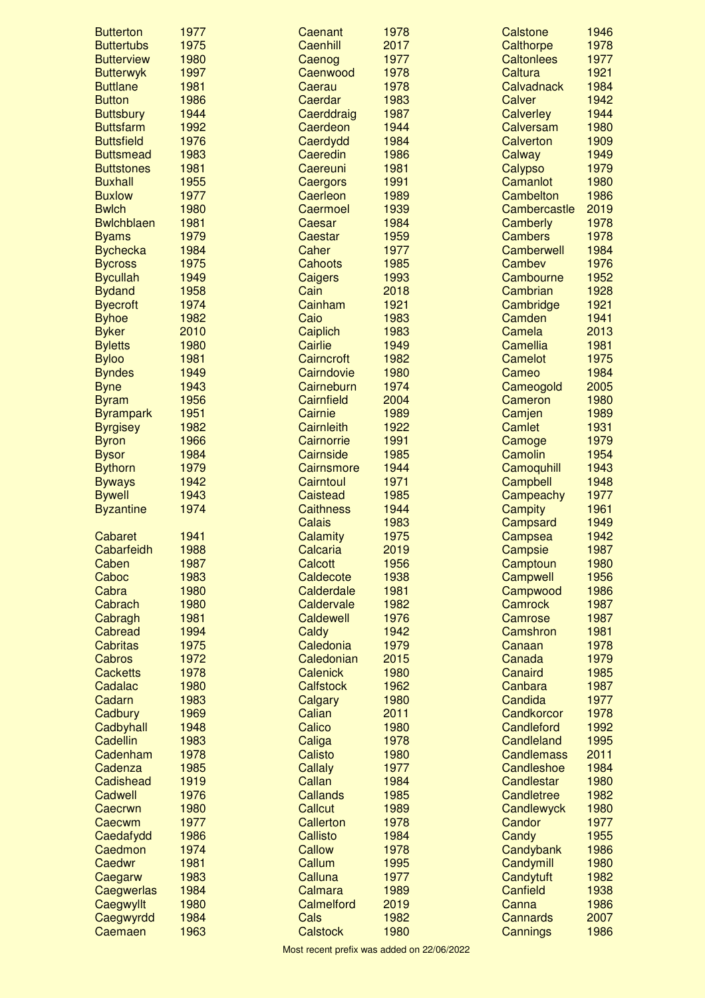| <b>Butterton</b>  | 1977 | Caenant           | 1978 | Calstone          | 1946 |
|-------------------|------|-------------------|------|-------------------|------|
| <b>Buttertubs</b> | 1975 | Caenhill          | 2017 | Calthorpe         | 1978 |
| <b>Butterview</b> | 1980 | Caenog            | 1977 | <b>Caltonlees</b> | 1977 |
| <b>Butterwyk</b>  | 1997 | Caenwood          | 1978 | <b>Caltura</b>    | 1921 |
| <b>Buttlane</b>   | 1981 | Caerau            | 1978 | Calvadnack        | 1984 |
| <b>Button</b>     | 1986 | Caerdar           | 1983 | Calver            | 1942 |
| <b>Buttsbury</b>  | 1944 | Caerddraig        | 1987 | <b>Calverley</b>  | 1944 |
| <b>Buttsfarm</b>  | 1992 | Caerdeon          | 1944 | Calversam         | 1980 |
| <b>Buttsfield</b> | 1976 | Caerdydd          | 1984 | <b>Calverton</b>  | 1909 |
| <b>Buttsmead</b>  | 1983 | Caeredin          | 1986 | Calway            | 1949 |
| <b>Buttstones</b> | 1981 | Caereuni          | 1981 | Calypso           | 1979 |
| <b>Buxhall</b>    | 1955 | Caergors          | 1991 | Camanlot          | 1980 |
| <b>Buxlow</b>     | 1977 | Caerleon          | 1989 | Cambelton         | 1986 |
| <b>Bwlch</b>      | 1980 | Caermoel          | 1939 | Cambercastle      | 2019 |
| <b>Bwlchblaen</b> | 1981 | Caesar            | 1984 | Camberly          | 1978 |
| <b>Byams</b>      | 1979 | Caestar           | 1959 | <b>Cambers</b>    | 1978 |
| <b>Bychecka</b>   | 1984 | Caher             | 1977 | <b>Camberwell</b> | 1984 |
| <b>Bycross</b>    | 1975 | <b>Cahoots</b>    | 1985 | Cambev            | 1976 |
| <b>Bycullah</b>   | 1949 | <b>Caigers</b>    | 1993 | Cambourne         | 1952 |
| <b>Bydand</b>     | 1958 | Cain              | 2018 | Cambrian          | 1928 |
| <b>Byecroft</b>   | 1974 | Cainham           | 1921 | Cambridge         | 1921 |
| <b>Byhoe</b>      | 1982 | Caio              | 1983 | Camden            | 1941 |
| <b>Byker</b>      | 2010 | Caiplich          | 1983 | Camela            | 2013 |
| <b>Byletts</b>    | 1980 | Cairlie           | 1949 | <b>Camellia</b>   | 1981 |
| <b>Byloo</b>      | 1981 | Cairncroft        | 1982 | <b>Camelot</b>    | 1975 |
| <b>Byndes</b>     | 1949 | Cairndovie        | 1980 | Cameo             | 1984 |
| <b>Byne</b>       | 1943 | Cairneburn        | 1974 | Cameogold         | 2005 |
|                   | 1956 | Cairnfield        | 2004 | Cameron           | 1980 |
| <b>Byram</b>      |      |                   |      |                   |      |
| <b>Byrampark</b>  | 1951 | Cairnie           | 1989 | Camjen            | 1989 |
| <b>Byrgisey</b>   | 1982 | <b>Cairnleith</b> | 1922 | <b>Camlet</b>     | 1931 |
| <b>Byron</b>      | 1966 | Cairnorrie        | 1991 | Camoge            | 1979 |
| <b>Bysor</b>      | 1984 | Cairnside         | 1985 | Camolin           | 1954 |
| <b>Bythorn</b>    | 1979 | Cairnsmore        | 1944 | Camoquhill        | 1943 |
| <b>Byways</b>     | 1942 | Cairntoul         | 1971 | Campbell          | 1948 |
| <b>Bywell</b>     | 1943 | Caistead          | 1985 | Campeachy         | 1977 |
| <b>Byzantine</b>  | 1974 | <b>Caithness</b>  | 1944 | <b>Campity</b>    | 1961 |
|                   |      | <b>Calais</b>     | 1983 | Campsard          | 1949 |
| <b>Cabaret</b>    | 1941 | Calamity          | 1975 | Campsea           | 1942 |
| Cabarfeidh        | 1988 | Calcaria          | 2019 | Campsie           | 1987 |
| Caben             | 1987 | <b>Calcott</b>    | 1956 | Camptoun          | 1980 |
| Caboc             | 1983 | Caldecote         | 1938 | Campwell          | 1956 |
| Cabra             | 1980 | Calderdale        | 1981 | Campwood          | 1986 |
| Cabrach           | 1980 | Caldervale        | 1982 | Camrock           | 1987 |
| Cabragh           | 1981 | Caldewell         | 1976 | Camrose           | 1987 |
| <b>Cabread</b>    | 1994 | Caldy             | 1942 | Camshron          | 1981 |
| <b>Cabritas</b>   | 1975 | Caledonia         | 1979 | Canaan            | 1978 |
| Cabros            | 1972 | Caledonian        | 2015 | Canada            | 1979 |
| <b>Cacketts</b>   | 1978 | <b>Calenick</b>   | 1980 | Canaird           | 1985 |
| Cadalac           | 1980 | <b>Calfstock</b>  | 1962 | Canbara           | 1987 |
| Cadarn            | 1983 | Calgary           | 1980 | Candida           | 1977 |
| Cadbury           | 1969 | Calian            | 2011 | Candkorcor        | 1978 |
| Cadbyhall         | 1948 | Calico            | 1980 | Candleford        | 1992 |
| Cadellin          | 1983 | Caliga            | 1978 | Candleland        | 1995 |
| Cadenham          | 1978 | Calisto           | 1980 | <b>Candlemass</b> | 2011 |
| Cadenza           | 1985 | Callaly           | 1977 | Candleshoe        | 1984 |
| Cadishead         | 1919 | Callan            | 1984 | <b>Candlestar</b> | 1980 |
|                   | 1976 | <b>Callands</b>   | 1985 | <b>Candletree</b> | 1982 |
| Cadwell           |      |                   |      |                   |      |
| Caecrwn           | 1980 | Callcut           | 1989 | Candlewyck        | 1980 |
| Caecwm            | 1977 | Callerton         | 1978 | Candor            | 1977 |
| Caedafydd         | 1986 | <b>Callisto</b>   | 1984 | Candy             | 1955 |
| Caedmon           | 1974 | Callow            | 1978 | Candybank         | 1986 |
| <b>Caedwr</b>     | 1981 | Callum            | 1995 | Candymill         | 1980 |
| Caegarw           | 1983 | Calluna           | 1977 | Candytuft         | 1982 |
| Caegwerlas        | 1984 | Calmara           | 1989 | Canfield          | 1938 |
| Caegwyllt         | 1980 | Calmelford        | 2019 | Canna             | 1986 |
| Caegwyrdd         | 1984 | Cals              | 1982 | <b>Cannards</b>   | 2007 |
| Caemaen           | 1963 | <b>Calstock</b>   | 1980 | Cannings          | 1986 |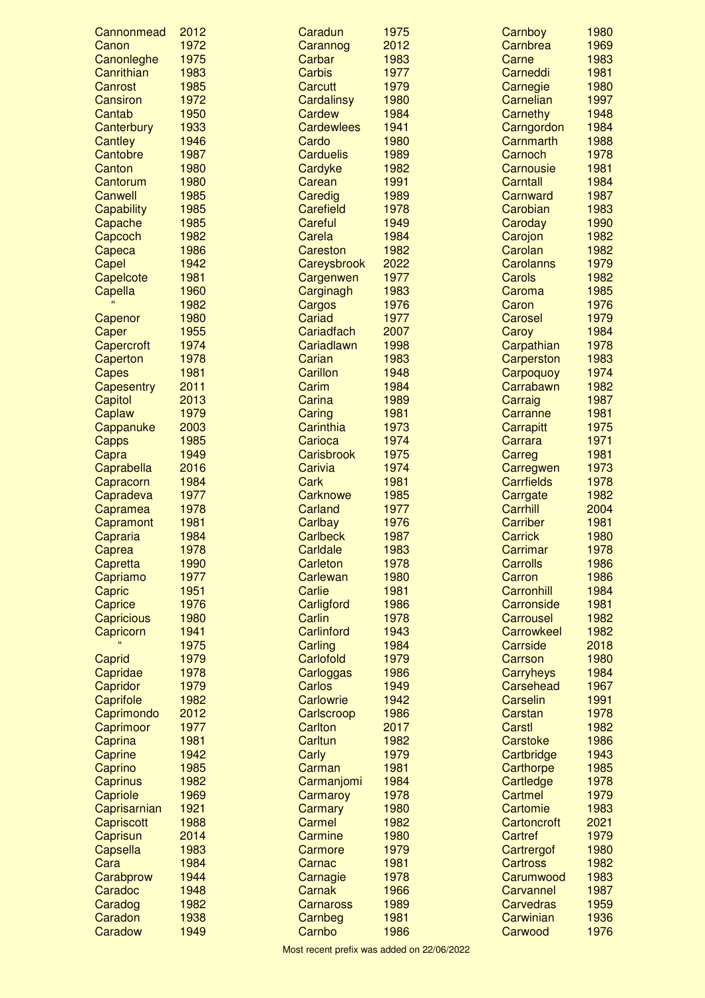| Cannonmead          | 2012         | Caradun                    | 1975         | Carnboy                           | 1980         |
|---------------------|--------------|----------------------------|--------------|-----------------------------------|--------------|
| Canon               | 1972         | Carannog                   | 2012         | Carnbrea                          | 1969         |
| Canonleghe          | 1975         | Carbar                     | 1983         | Carne                             | 1983         |
| Canrithian          | 1983         | <b>Carbis</b>              | 1977         | Carneddi                          | 1981         |
| Canrost             | 1985         | Carcutt                    | 1979         | Carnegie                          | 1980         |
| Cansiron            | 1972         | Cardalinsy                 | 1980         | Carnelian                         | 1997         |
| Cantab              | 1950         | <b>Cardew</b>              | 1984         | Carnethy                          | 1948         |
| Canterbury          | 1933         | <b>Cardewlees</b>          | 1941         | Carngordon                        | 1984         |
| Cantley             | 1946         | Cardo                      | 1980         | Carnmarth                         | 1988         |
| Cantobre            | 1987         | <b>Carduelis</b>           | 1989         | Carnoch                           | 1978         |
| Canton              | 1980<br>1980 | Cardyke                    | 1982         | Carnousie                         | 1981         |
| Cantorum<br>Canwell | 1985         | Carean<br>Caredig          | 1991<br>1989 | Carntall<br>Carnward              | 1984<br>1987 |
| Capability          | 1985         | <b>Carefield</b>           | 1978         | Carobian                          | 1983         |
| Capache             | 1985         | Careful                    | 1949         | Caroday                           | 1990         |
| Capcoch             | 1982         | Carela                     | 1984         | Carojon                           | 1982         |
| Capeca              | 1986         | Careston                   | 1982         | Carolan                           | 1982         |
| Capel               | 1942         | Careysbrook                | 2022         | <b>Carolanns</b>                  | 1979         |
| Capelcote           | 1981         | Cargenwen                  | 1977         | Carols                            | 1982         |
| Capella             | 1960         | Carginagh                  | 1983         | Caroma                            | 1985         |
|                     | 1982         | Cargos                     | 1976         | Caron                             | 1976         |
| Capenor             | 1980         | Cariad                     | 1977         | Carosel                           | 1979         |
| Caper               | 1955         | Cariadfach                 | 2007         | Caroy                             | 1984         |
| Capercroft          | 1974         | Cariadlawn                 | 1998         | Carpathian                        | 1978         |
| Caperton            | 1978         | Carian                     | 1983         | Carperston                        | 1983         |
| Capes               | 1981         | Carillon                   | 1948         | Carpoquoy                         | 1974         |
| Capesentry          | 2011         | Carim                      | 1984         | Carrabawn                         | 1982         |
| Capitol             | 2013         | Carina                     | 1989         | Carraig                           | 1987         |
| Caplaw              | 1979         | Caring                     | 1981         | Carranne                          | 1981         |
| Cappanuke           | 2003         | Carinthia                  | 1973         | Carrapitt                         | 1975         |
| Capps               | 1985         | Carioca                    | 1974         | Carrara                           | 1971         |
| Capra               | 1949         | Carisbrook                 | 1975         | Carreg                            | 1981         |
| Caprabella          | 2016         | Carivia                    | 1974         | Carregwen                         | 1973         |
| Capracorn           | 1984         | Cark                       | 1981         | <b>Carrfields</b>                 | 1978         |
| Capradeva           | 1977         | <b>Carknowe</b>            | 1985         | Carrgate                          | 1982         |
| Capramea            | 1978         | <b>Carland</b>             | 1977         | Carrhill                          | 2004         |
| Capramont           | 1981<br>1984 | Carlbay<br><b>Carlbeck</b> | 1976<br>1987 | <b>Carriber</b><br><b>Carrick</b> | 1981<br>1980 |
| Capraria            | 1978         | Carldale                   | 1983         | Carrimar                          | 1978         |
| Caprea<br>Capretta  | 1990         | Carleton                   | 1978         | <b>Carrolls</b>                   | 1986         |
| Capriamo            | 1977         | Carlewan                   | 1980         | Carron                            | 1986         |
| Capric              | 1951         | Carlie                     | 1981         | Carronhill                        | 1984         |
| Caprice             | 1976         | Carligford                 | 1986         | Carronside                        | 1981         |
| Capricious          | 1980         | Carlin                     | 1978         | Carrousel                         | 1982         |
| Capricorn           | 1941         | Carlinford                 | 1943         | Carrowkeel                        | 1982         |
|                     | 1975         | Carling                    | 1984         | Carrside                          | 2018         |
| Caprid              | 1979         | Carlofold                  | 1979         | Carrson                           | 1980         |
| Capridae            | 1978         | Carloggas                  | 1986         | <b>Carryheys</b>                  | 1984         |
| Capridor            | 1979         | Carlos                     | 1949         | Carsehead                         | 1967         |
| Caprifole           | 1982         | Carlowrie                  | 1942         | Carselin                          | 1991         |
| Caprimondo          | 2012         | Carlscroop                 | 1986         | Carstan                           | 1978         |
| Caprimoor           | 1977         | <b>Carlton</b>             | 2017         | Carstl                            | 1982         |
| Caprina             | 1981         | Carltun                    | 1982         | Carstoke                          | 1986         |
| Caprine             | 1942         | Carly                      | 1979         | Cartbridge                        | 1943         |
| Caprino             | 1985         | Carman                     | 1981         | Carthorpe                         | 1985         |
| Caprinus            | 1982         | Carmanjomi                 | 1984         | Cartledge                         | 1978         |
| Capriole            | 1969         | Carmaroy                   | 1978         | Cartmel                           | 1979         |
| Caprisarnian        | 1921         | Carmary                    | 1980         | Cartomie                          | 1983<br>2021 |
| Capriscott          | 1988<br>2014 | Carmel<br>Carmine          | 1982<br>1980 | Cartoncroft<br>Cartref            | 1979         |
| Caprisun            | 1983         |                            | 1979         |                                   | 1980         |
| Capsella<br>Cara    | 1984         | Carmore<br>Carnac          | 1981         | Cartrergof<br><b>Cartross</b>     | 1982         |
| Carabprow           | 1944         | Carnagie                   | 1978         | Carumwood                         | 1983         |
| Caradoc             | 1948         | Carnak                     | 1966         | Carvannel                         | 1987         |
| Caradog             | 1982         | <b>Carnaross</b>           | 1989         | <b>Carvedras</b>                  | 1959         |
| Caradon             | 1938         | Carnbeg                    | 1981         | Carwinian                         | 1936         |
| Caradow             | 1949         | Carnbo                     | 1986         | Carwood                           | 1976         |
|                     |              |                            |              |                                   |              |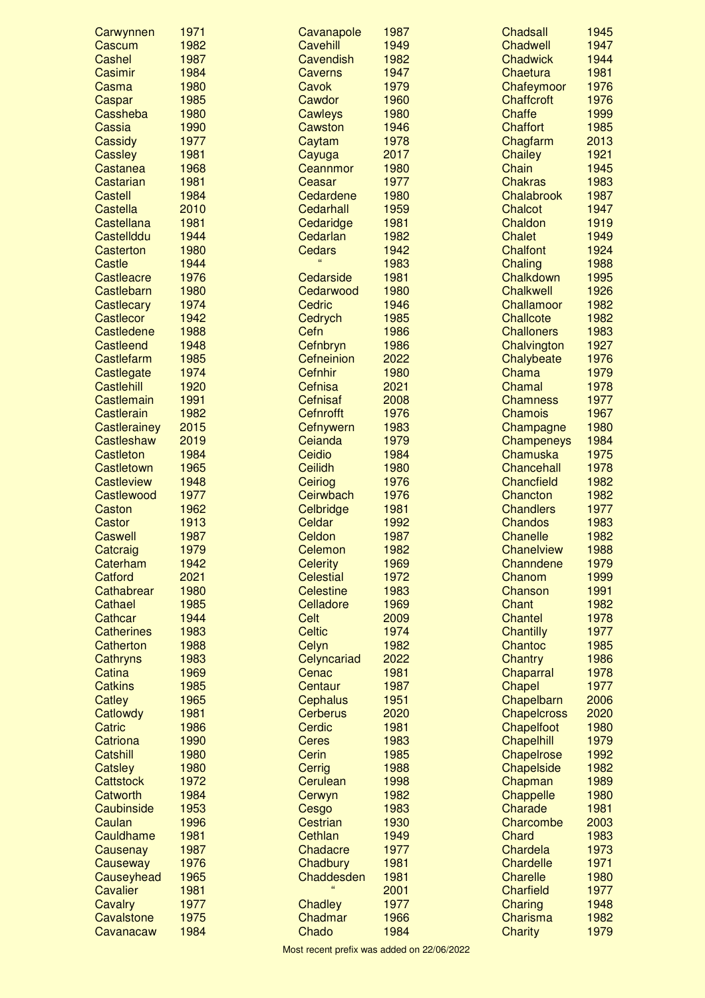| Carwynnen               | 1971         | Cavanapole             | 1987         | <b>Chadsall</b>              | 1945         |
|-------------------------|--------------|------------------------|--------------|------------------------------|--------------|
| Cascum                  | 1982         | <b>Cavehill</b>        | 1949         | Chadwell                     | 1947         |
| Cashel                  | 1987         | Cavendish              | 1982         | <b>Chadwick</b>              | 1944         |
| Casimir                 | 1984         | <b>Caverns</b>         | 1947         | Chaetura                     | 1981         |
| Casma                   | 1980         | Cavok                  | 1979         | Chafeymoor                   | 1976         |
| Caspar                  | 1985         | Cawdor                 | 1960         | <b>Chaffcroft</b>            | 1976         |
| Cassheba                | 1980         | <b>Cawleys</b>         | 1980         | <b>Chaffe</b>                | 1999         |
| Cassia                  | 1990         | Cawston                | 1946         | <b>Chaffort</b>              | 1985         |
| Cassidy                 | 1977         | Caytam                 | 1978         | Chagfarm                     | 2013         |
| <b>Cassley</b>          | 1981         | Cayuga                 | 2017         | <b>Chailey</b>               | 1921         |
| Castanea                | 1968         | Ceannmor               | 1980         | Chain                        | 1945         |
| Castarian               | 1981<br>1984 | Ceasar                 | 1977         | <b>Chakras</b><br>Chalabrook | 1983         |
| Castell<br>Castella     | 2010         | Cedardene<br>Cedarhall | 1980<br>1959 | Chalcot                      | 1987<br>1947 |
| Castellana              | 1981         | Cedaridge              | 1981         | Chaldon                      | 1919         |
| Castellddu              | 1944         | Cedarlan               | 1982         | <b>Chalet</b>                | 1949         |
| Casterton               | 1980         | <b>Cedars</b>          | 1942         | <b>Chalfont</b>              | 1924         |
| Castle                  | 1944         | $\alpha$               | 1983         | Chaling                      | 1988         |
| <b>Castleacre</b>       | 1976         | Cedarside              | 1981         | Chalkdown                    | 1995         |
| Castlebarn              | 1980         | Cedarwood              | 1980         | <b>Chalkwell</b>             | 1926         |
| Castlecary              | 1974         | Cedric                 | 1946         | Challamoor                   | 1982         |
| Castlecor               | 1942         | Cedrych                | 1985         | <b>Challcote</b>             | 1982         |
| Castledene              | 1988         | Cefn                   | 1986         | <b>Challoners</b>            | 1983         |
| <b>Castleend</b>        | 1948         | Cefnbryn               | 1986         | Chalvington                  | 1927         |
| Castlefarm              | 1985         | Cefneinion             | 2022         | Chalybeate                   | 1976         |
| Castlegate              | 1974         | Cefnhir                | 1980         | Chama                        | 1979         |
| Castlehill              | 1920         | Cefnisa                | 2021         | Chamal                       | 1978         |
| Castlemain              | 1991         | <b>Cefnisaf</b>        | 2008         | <b>Chamness</b>              | 1977         |
| Castlerain              | 1982         | <b>Cefnrofft</b>       | 1976         | <b>Chamois</b>               | 1967         |
| Castlerainey            | 2015         | Cefnywern              | 1983         | Champagne                    | 1980         |
| Castleshaw              | 2019         | Ceianda                | 1979         | Champeneys                   | 1984         |
| Castleton               | 1984         | Ceidio                 | 1984         | Chamuska                     | 1975         |
| Castletown              | 1965         | <b>Ceilidh</b>         | 1980         | Chancehall                   | 1978         |
| <b>Castleview</b>       | 1948         | Ceiriog                | 1976         | Chancfield                   | 1982         |
| Castlewood              | 1977         | Ceirwbach              | 1976         | Chancton                     | 1982         |
| Caston                  | 1962         | Celbridge              | 1981         | <b>Chandlers</b>             | 1977         |
| Castor                  | 1913         | Celdar                 | 1992         | <b>Chandos</b>               | 1983         |
| Caswell                 | 1987         | Celdon                 | 1987         | <b>Chanelle</b>              | 1982         |
| Catcraig                | 1979         | Celemon                | 1982         | Chanelview                   | 1988         |
| Caterham                | 1942         | <b>Celerity</b>        | 1969         | Channdene                    | 1979         |
| Catford                 | 2021         | <b>Celestial</b>       | 1972         | Chanom                       | 1999         |
| Cathabrear              | 1980         | <b>Celestine</b>       | 1983         | Chanson                      | 1991         |
| Cathael                 | 1985         | Celladore              | 1969         | <b>Chant</b>                 | 1982         |
| Cathcar                 | 1944         | Celt                   | 2009         | <b>Chantel</b>               | 1978         |
| <b>Catherines</b>       | 1983         | <b>Celtic</b>          | 1974         | <b>Chantilly</b>             | 1977         |
| Catherton               | 1988<br>1983 | Celyn<br>Celyncariad   | 1982<br>2022 | Chantoc<br><b>Chantry</b>    | 1985<br>1986 |
| Cathryns<br>Catina      | 1969         | Cenac                  | 1981         | Chaparral                    | 1978         |
| <b>Catkins</b>          | 1985         | Centaur                | 1987         | Chapel                       | 1977         |
| Catley                  | 1965         | <b>Cephalus</b>        | 1951         | Chapelbarn                   | 2006         |
| Catlowdy                | 1981         | <b>Cerberus</b>        | 2020         | <b>Chapelcross</b>           | 2020         |
| Catric                  | 1986         | Cerdic                 | 1981         | Chapelfoot                   | 1980         |
| Catriona                | 1990         | <b>Ceres</b>           | 1983         | <b>Chapelhill</b>            | 1979         |
| <b>Catshill</b>         | 1980         | Cerin                  | 1985         | Chapelrose                   | 1992         |
| <b>Catsley</b>          | 1980         | Cerrig                 | 1988         | Chapelside                   | 1982         |
| Cattstock               | 1972         | Cerulean               | 1998         | Chapman                      | 1989         |
| Catworth                | 1984         | Cerwyn                 | 1982         | Chappelle                    | 1980         |
| Caubinside              | 1953         | Cesgo                  | 1983         | Charade                      | 1981         |
| Caulan                  | 1996         | Cestrian               | 1930         | Charcombe                    | 2003         |
| Cauldhame               | 1981         | Cethlan                | 1949         | Chard                        | 1983         |
| Causenay                |              | Chadacre               | 1977         | Chardela                     | 1973         |
|                         | 1987         |                        |              |                              |              |
| Causeway                | 1976         | Chadbury               | 1981         | Chardelle                    | 1971         |
| Causeyhead              | 1965         | Chaddesden             | 1981         | <b>Charelle</b>              | 1980         |
| <b>Cavalier</b>         | 1981         | $\epsilon\epsilon$     | 2001         | <b>Charfield</b>             | 1977         |
| Cavalry                 | 1977         | <b>Chadley</b>         | 1977         | Charing                      | 1948         |
| Cavalstone<br>Cavanacaw | 1975<br>1984 | Chadmar<br>Chado       | 1966<br>1984 | Charisma<br><b>Charity</b>   | 1982<br>1979 |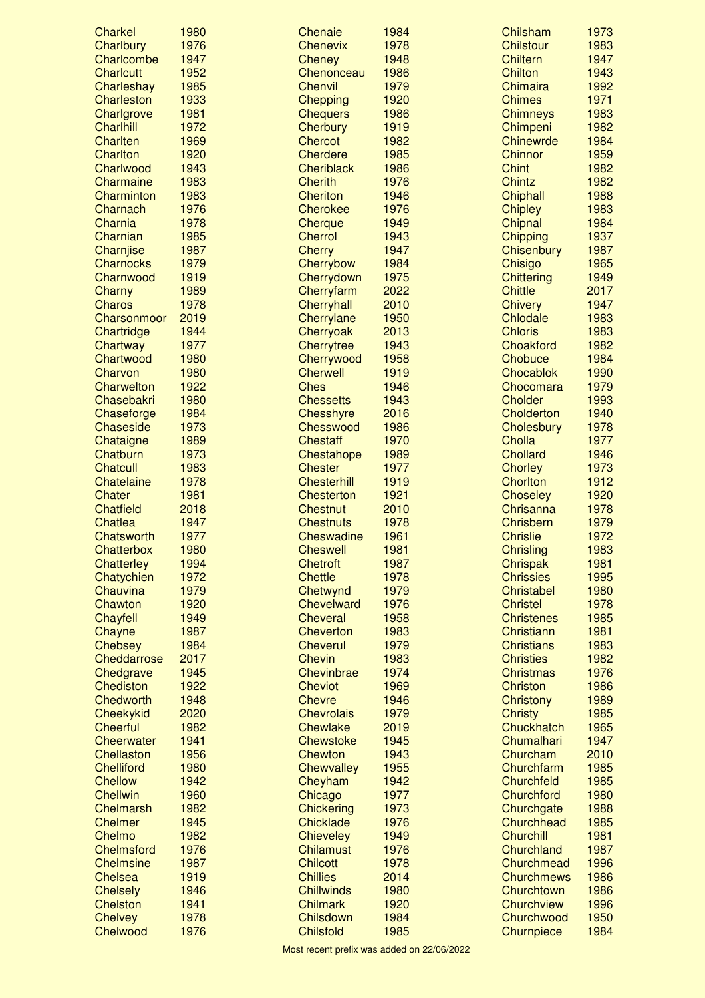| <b>Charkel</b>    | 1980 | Chenaie            | 1984 | Chilsham          | 1973 |
|-------------------|------|--------------------|------|-------------------|------|
| Charlbury         | 1976 | <b>Chenevix</b>    | 1978 | <b>Chilstour</b>  | 1983 |
| Charlcombe        | 1947 | <b>Cheney</b>      | 1948 | <b>Chiltern</b>   | 1947 |
| <b>Charlcutt</b>  | 1952 | Chenonceau         | 1986 | <b>Chilton</b>    | 1943 |
| Charleshay        | 1985 | Chenvil            | 1979 | Chimaira          | 1992 |
| <b>Charleston</b> | 1933 | <b>Chepping</b>    | 1920 | <b>Chimes</b>     | 1971 |
| Charlgrove        | 1981 | <b>Chequers</b>    | 1986 | <b>Chimneys</b>   | 1983 |
| <b>Charlhill</b>  | 1972 | Cherbury           | 1919 | Chimpeni          | 1982 |
| <b>Charlten</b>   | 1969 | <b>Chercot</b>     | 1982 | <b>Chinewrde</b>  | 1984 |
| <b>Charlton</b>   | 1920 | <b>Cherdere</b>    | 1985 | <b>Chinnor</b>    | 1959 |
| Charlwood         | 1943 | <b>Cheriblack</b>  | 1986 | <b>Chint</b>      | 1982 |
| Charmaine         | 1983 | <b>Cherith</b>     | 1976 | <b>Chintz</b>     | 1982 |
| Charminton        | 1983 | <b>Cheriton</b>    | 1946 | Chiphall          | 1988 |
| Charnach          | 1976 | Cherokee           | 1976 | <b>Chipley</b>    | 1983 |
| Charnia           | 1978 | Cherque            | 1949 | Chipnal           | 1984 |
| Charnian          | 1985 | Cherrol            | 1943 | Chipping          | 1937 |
| Charnjise         | 1987 | <b>Cherry</b>      | 1947 | Chisenbury        | 1987 |
| <b>Charnocks</b>  | 1979 | Cherrybow          | 1984 | Chisigo           | 1965 |
| Charnwood         | 1919 | Cherrydown         | 1975 | <b>Chittering</b> | 1949 |
| Charny            | 1989 | Cherryfarm         | 2022 | <b>Chittle</b>    | 2017 |
| <b>Charos</b>     | 1978 | Cherryhall         | 2010 | <b>Chivery</b>    | 1947 |
| Charsonmoor       | 2019 | Cherrylane         | 1950 | Chlodale          | 1983 |
| Chartridge        | 1944 | Cherryoak          | 2013 | <b>Chloris</b>    | 1983 |
| Chartway          | 1977 | Cherrytree         | 1943 | Choakford         | 1982 |
| Chartwood         | 1980 | Cherrywood         | 1958 | Chobuce           | 1984 |
| Charvon           | 1980 | <b>Cherwell</b>    | 1919 | Chocablok         | 1990 |
| Charwelton        | 1922 | <b>Ches</b>        | 1946 | Chocomara         | 1979 |
| Chasebakri        | 1980 | <b>Chessetts</b>   | 1943 | Cholder           | 1993 |
| Chaseforge        | 1984 | <b>Chesshyre</b>   | 2016 | Cholderton        | 1940 |
| <b>Chaseside</b>  | 1973 | Chesswood          | 1986 | Cholesbury        | 1978 |
| Chataigne         | 1989 | <b>Chestaff</b>    | 1970 | Cholla            | 1977 |
| Chatburn          | 1973 | Chestahope         | 1989 | <b>Chollard</b>   | 1946 |
| <b>Chatcull</b>   | 1983 | <b>Chester</b>     | 1977 | <b>Chorley</b>    | 1973 |
| Chatelaine        | 1978 | <b>Chesterhill</b> | 1919 | <b>Chorlton</b>   | 1912 |
| Chater            | 1981 | <b>Chesterton</b>  | 1921 | <b>Choseley</b>   | 1920 |
| <b>Chatfield</b>  | 2018 | <b>Chestnut</b>    | 2010 | Chrisanna         | 1978 |
| Chatlea           | 1947 | <b>Chestnuts</b>   | 1978 | Chrisbern         | 1979 |
| Chatsworth        | 1977 | <b>Cheswadine</b>  | 1961 | <b>Chrislie</b>   | 1972 |
| Chatterbox        | 1980 | <b>Cheswell</b>    | 1981 | <b>Chrisling</b>  | 1983 |
| <b>Chatterley</b> | 1994 | <b>Chetroft</b>    | 1987 | Chrispak          | 1981 |
| Chatychien        | 1972 | <b>Chettle</b>     | 1978 | <b>Chrissies</b>  | 1995 |
| Chauvina          | 1979 | Chetwynd           | 1979 | Christabel        | 1980 |
| Chawton           | 1920 | <b>Chevelward</b>  | 1976 | <b>Christel</b>   | 1978 |
| Chayfell          | 1949 | <b>Cheveral</b>    | 1958 | <b>Christenes</b> | 1985 |
| Chayne            | 1987 | <b>Cheverton</b>   | 1983 | Christiann        | 1981 |
| <b>Chebsey</b>    | 1984 | <b>Cheverul</b>    | 1979 | <b>Christians</b> | 1983 |
| Cheddarrose       | 2017 | <b>Chevin</b>      | 1983 | <b>Christies</b>  | 1982 |
| Chedgrave         | 1945 | Chevinbrae         | 1974 | <b>Christmas</b>  | 1976 |
| Chediston         | 1922 | <b>Cheviot</b>     | 1969 | Christon          | 1986 |
| Chedworth         | 1948 | <b>Chevre</b>      | 1946 | Christony         | 1989 |
| Cheekykid         | 2020 | <b>Chevrolais</b>  | 1979 | <b>Christy</b>    | 1985 |
| <b>Cheerful</b>   | 1982 | <b>Chewlake</b>    | 2019 | Chuckhatch        | 1965 |
| <b>Cheerwater</b> | 1941 | <b>Chewstoke</b>   | 1945 | Chumalhari        | 1947 |
| Chellaston        | 1956 | Chewton            | 1943 | Churcham          | 2010 |
| <b>Chelliford</b> | 1980 |                    | 1955 | Churchfarm        | 1985 |
| <b>Chellow</b>    | 1942 | <b>Chewvalley</b>  | 1942 | Churchfeld        | 1985 |
|                   |      | Cheyham            |      |                   |      |
| <b>Chellwin</b>   | 1960 | Chicago            | 1977 | Churchford        | 1980 |
| Chelmarsh         | 1982 | <b>Chickering</b>  | 1973 | Churchgate        | 1988 |
| <b>Chelmer</b>    | 1945 | Chicklade          | 1976 | Churchhead        | 1985 |
| Chelmo            | 1982 | <b>Chieveley</b>   | 1949 | Churchill         | 1981 |
| <b>Chelmsford</b> | 1976 | <b>Chilamust</b>   | 1976 | Churchland        | 1987 |
| <b>Chelmsine</b>  | 1987 | <b>Chilcott</b>    | 1978 | Churchmead        | 1996 |
| Chelsea           | 1919 | <b>Chillies</b>    | 2014 | <b>Churchmews</b> | 1986 |
| <b>Chelsely</b>   | 1946 | <b>Chillwinds</b>  | 1980 | Churchtown        | 1986 |
| <b>Chelston</b>   | 1941 | <b>Chilmark</b>    | 1920 | Churchview        | 1996 |
| <b>Chelvey</b>    | 1978 | Chilsdown          | 1984 | Churchwood        | 1950 |
| Chelwood          | 1976 | <b>Chilsfold</b>   | 1985 | Churnpiece        | 1984 |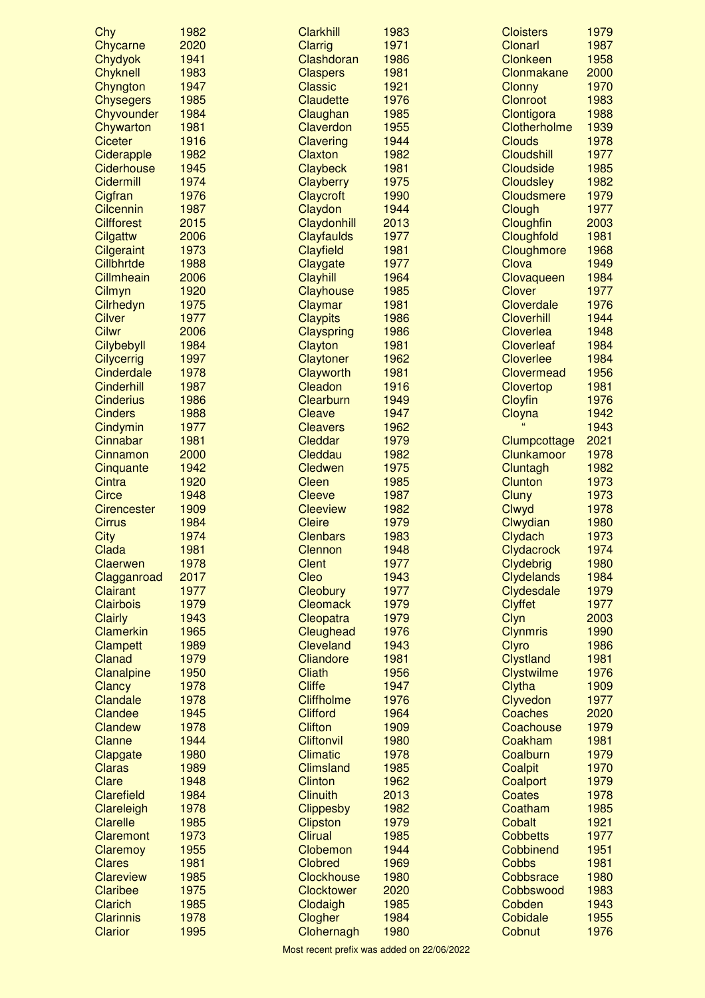| Chy                                 | 1982         | <b>Clarkhill</b>                  | 1983         | <b>Cloisters</b>                      | 1979         |
|-------------------------------------|--------------|-----------------------------------|--------------|---------------------------------------|--------------|
| Chycarne                            | 2020         | <b>Clarrig</b>                    | 1971         | <b>Clonarl</b>                        | 1987         |
| Chydyok                             | 1941         | Clashdoran                        | 1986         | <b>Clonkeen</b>                       | 1958         |
| <b>Chyknell</b>                     | 1983         | <b>Claspers</b>                   | 1981         | Clonmakane                            | 2000         |
| Chyngton                            | 1947         | <b>Classic</b>                    | 1921         | <b>Clonny</b>                         | 1970         |
| <b>Chysegers</b>                    | 1985         | Claudette                         | 1976         | <b>Clonroot</b>                       | 1983         |
| Chyvounder                          | 1984         | Claughan                          | 1985         | Clontigora                            | 1988         |
| Chywarton                           | 1981         | Claverdon                         | 1955         | Clotherholme                          | 1939         |
| <b>Ciceter</b>                      | 1916         | Clavering                         | 1944         | <b>Clouds</b>                         | 1978         |
| Ciderapple                          | 1982         | <b>Claxton</b>                    | 1982         | <b>Cloudshill</b>                     | 1977         |
| Ciderhouse                          | 1945         | Claybeck                          | 1981         | <b>Cloudside</b>                      | 1985         |
| Cidermill                           | 1974<br>1976 | Clayberry<br>Claycroft            | 1975<br>1990 | <b>Cloudsley</b><br><b>Cloudsmere</b> | 1982<br>1979 |
| Cigfran<br><b>Cilcennin</b>         | 1987         | Claydon                           | 1944         | Clough                                | 1977         |
| <b>Cilfforest</b>                   | 2015         | Claydonhill                       | 2013         | Cloughfin                             | 2003         |
| Cilgattw                            | 2006         | Clayfaulds                        | 1977         | Cloughfold                            | 1981         |
| <b>Cilgeraint</b>                   | 1973         | Clayfield                         | 1981         | Cloughmore                            | 1968         |
| Cillbhrtde                          | 1988         | Claygate                          | 1977         | Clova                                 | 1949         |
| Cillmheain                          | 2006         | Clayhill                          | 1964         | Clovaqueen                            | 1984         |
| Cilmyn                              | 1920         | Clayhouse                         | 1985         | <b>Clover</b>                         | 1977         |
| Cilrhedyn                           | 1975         | Claymar                           | 1981         | Cloverdale                            | 1976         |
| <b>Cilver</b>                       | 1977         | <b>Claypits</b>                   | 1986         | <b>Cloverhill</b>                     | 1944         |
| <b>Cilwr</b>                        | 2006         | Clayspring                        | 1986         | Cloverlea                             | 1948         |
| Cilybebyll                          | 1984         | Clayton                           | 1981         | <b>Cloverleaf</b>                     | 1984         |
| <b>Cilycerrig</b>                   | 1997         | Claytoner                         | 1962         | <b>Cloverlee</b>                      | 1984         |
| Cinderdale                          | 1978         | Clayworth                         | 1981         | Clovermead                            | 1956         |
| <b>Cinderhill</b>                   | 1987         | Cleadon                           | 1916         | Clovertop                             | 1981         |
| <b>Cinderius</b>                    | 1986         | Clearburn                         | 1949         | Cloyfin                               | 1976         |
| <b>Cinders</b>                      | 1988         | Cleave                            | 1947         | Cloyna                                | 1942         |
| Cindymin                            | 1977         | <b>Cleavers</b>                   | 1962         | $\epsilon$                            | 1943         |
| Cinnabar                            | 1981         | Cleddar                           | 1979         | Clumpcottage                          | 2021         |
| Cinnamon                            | 2000         | Cleddau                           | 1982         | Clunkamoor                            | 1978         |
| Cinquante                           | 1942         | <b>Cledwen</b>                    | 1975         | Cluntagh                              | 1982         |
| Cintra                              | 1920         | Cleen                             | 1985         | <b>Clunton</b>                        | 1973         |
| <b>Circe</b>                        | 1948<br>1909 | <b>Cleeve</b>                     | 1987<br>1982 | Cluny                                 | 1973<br>1978 |
| <b>Cirencester</b><br><b>Cirrus</b> | 1984         | <b>Cleeview</b><br><b>Cleire</b>  | 1979         | Clwyd<br>Clwydian                     | 1980         |
| <b>City</b>                         | 1974         | <b>Clenbars</b>                   | 1983         | Clydach                               | 1973         |
| Clada                               | 1981         | Clennon                           | 1948         | Clydacrock                            | 1974         |
| Claerwen                            | 1978         | <b>Clent</b>                      | 1977         | Clydebrig                             | 1980         |
| Clagganroad                         | 2017         | Cleo                              | 1943         | <b>Clydelands</b>                     | 1984         |
| <b>Clairant</b>                     | 1977         | Cleobury                          | 1977         | Clydesdale                            | 1979         |
| <b>Clairbois</b>                    | 1979         | <b>Cleomack</b>                   | 1979         | <b>Clyffet</b>                        | 1977         |
| <b>Clairly</b>                      | 1943         | Cleopatra                         | 1979         | Clyn                                  | 2003         |
| <b>Clamerkin</b>                    | 1965         | Cleughead                         | 1976         | <b>Clynmris</b>                       | 1990         |
| Clampett                            | 1989         | <b>Cleveland</b>                  | 1943         | <b>Clyro</b>                          | 1986         |
| Clanad                              | 1979         | Cliandore                         | 1981         | <b>Clystland</b>                      | 1981         |
| Clanalpine                          | 1950         | <b>Cliath</b>                     | 1956         | <b>Clystwilme</b>                     | 1976         |
| Clancy                              | 1978         | <b>Cliffe</b>                     | 1947         | Clytha                                | 1909         |
| Clandale                            | 1978         | <b>Cliffholme</b>                 | 1976         | Clyvedon                              | 1977         |
| Clandee                             | 1945         | <b>Clifford</b>                   | 1964         | Coaches                               | 2020         |
| Clandew                             | 1978         | <b>Clifton</b>                    | 1909         | Coachouse                             | 1979         |
| Clanne                              | 1944         | <b>Cliftonvil</b>                 | 1980         | Coakham                               | 1981         |
| Clapgate                            | 1980         | <b>Climatic</b>                   | 1978         | Coalburn                              | 1979         |
| Claras                              | 1989         | <b>Climsland</b>                  | 1985         | Coalpit                               | 1970         |
| Clare<br>Clarefield                 | 1948         | <b>Clinton</b><br><b>Clinuith</b> | 1962         | Coalport                              | 1979<br>1978 |
| Clareleigh                          | 1984<br>1978 | <b>Clippesby</b>                  | 2013<br>1982 | <b>Coates</b><br>Coatham              | 1985         |
| <b>Clarelle</b>                     | 1985         | <b>Clipston</b>                   | 1979         | Cobalt                                | 1921         |
| Claremont                           | 1973         | <b>Clirual</b>                    | 1985         | <b>Cobbetts</b>                       | 1977         |
| Claremoy                            | 1955         | Clobemon                          | 1944         | Cobbinend                             | 1951         |
| <b>Clares</b>                       | 1981         | <b>Clobred</b>                    | 1969         | <b>Cobbs</b>                          | 1981         |
| <b>Clareview</b>                    | 1985         | Clockhouse                        | 1980         | Cobbsrace                             | 1980         |
| <b>Claribee</b>                     | 1975         | <b>Clocktower</b>                 | 2020         | Cobbswood                             | 1983         |
| <b>Clarich</b>                      | 1985         | Clodaigh                          | 1985         | Cobden                                | 1943         |
| <b>Clarinnis</b>                    | 1978         | Clogher                           | 1984         | Cobidale                              | 1955         |
| <b>Clarior</b>                      | 1995         | Clohernagh                        | 1980         | Cobnut                                | 1976         |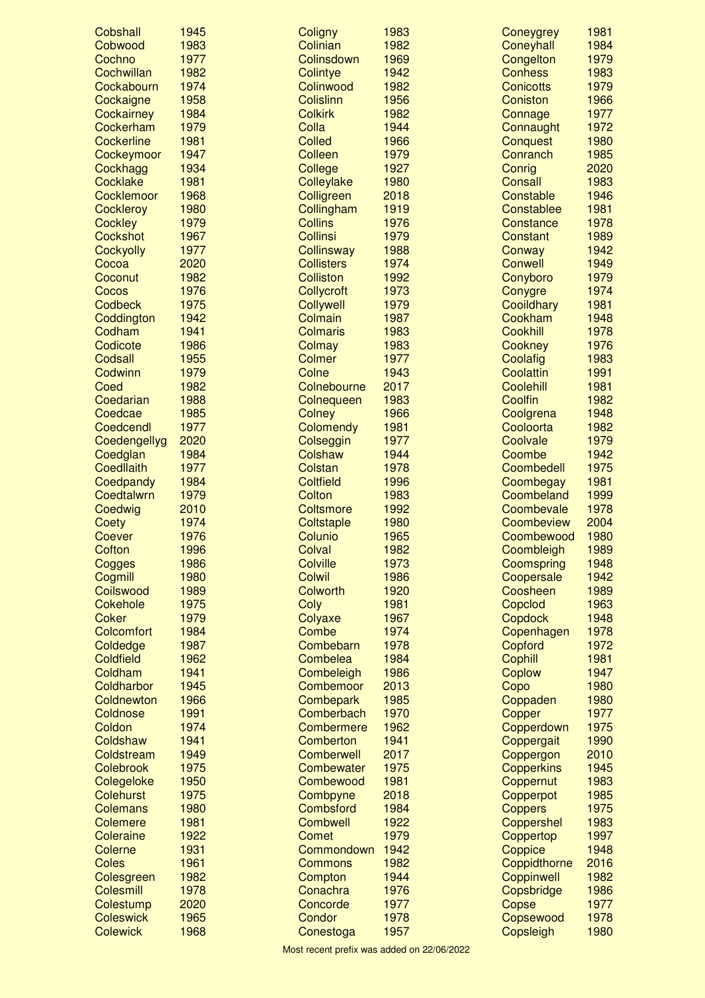| Cobshall          | 1945 | Coligny           | 1983 | Coneygrey             | 1981 |
|-------------------|------|-------------------|------|-----------------------|------|
| Cobwood           | 1983 | Colinian          | 1982 | Coneyhall             | 1984 |
| Cochno            | 1977 | Colinsdown        | 1969 | Congelton             | 1979 |
| Cochwillan        | 1982 | Colintye          | 1942 | <b>Conhess</b>        | 1983 |
| Cockabourn        | 1974 | Colinwood         | 1982 | <b>Conicotts</b>      | 1979 |
| Cockaigne         | 1958 | <b>Colislinn</b>  | 1956 | Coniston              | 1966 |
| Cockairney        | 1984 | <b>Colkirk</b>    | 1982 | Connage               | 1977 |
| Cockerham         | 1979 | Colla             | 1944 | Connaught             | 1972 |
| <b>Cockerline</b> | 1981 | <b>Colled</b>     | 1966 | Conquest              | 1980 |
| Cockeymoor        | 1947 | <b>Colleen</b>    | 1979 | Conranch              | 1985 |
| Cockhagg          | 1934 | College           | 1927 | Conrig                | 2020 |
| Cocklake          | 1981 | Colleylake        | 1980 | <b>Consall</b>        | 1983 |
| Cocklemoor        | 1968 | Colligreen        | 2018 | Constable             | 1946 |
| <b>Cockleroy</b>  | 1980 | Collingham        | 1919 | Constablee            | 1981 |
| <b>Cockley</b>    | 1979 | <b>Collins</b>    | 1976 | Constance             | 1978 |
| Cockshot          | 1967 | <b>Collinsi</b>   | 1979 | Constant              | 1989 |
| Cockyolly         | 1977 | Collinsway        | 1988 | Conway                | 1942 |
| Cocoa             | 2020 | <b>Collisters</b> | 1974 | Conwell               | 1949 |
| Coconut           | 1982 | <b>Colliston</b>  | 1992 | Conyboro              | 1979 |
| Cocos             | 1976 | Collycroft        | 1973 | Conygre               | 1974 |
| <b>Codbeck</b>    | 1975 | Collywell         | 1979 | Cooildhary            | 1981 |
| Coddington        | 1942 | Colmain           | 1987 | Cookham               | 1948 |
| Codham            | 1941 | <b>Colmaris</b>   | 1983 | <b>Cookhill</b>       | 1978 |
| Codicote          | 1986 | Colmay            | 1983 | Cookney               | 1976 |
| Codsall           | 1955 | <b>Colmer</b>     | 1977 |                       | 1983 |
| Codwinn           | 1979 | Colne             | 1943 | Coolafig<br>Coolattin | 1991 |
|                   |      |                   |      |                       |      |
| Coed              | 1982 | Colnebourne       | 2017 | Coolehill             | 1981 |
| Coedarian         | 1988 | Colnequeen        | 1983 | Coolfin               | 1982 |
| Coedcae           | 1985 | <b>Colney</b>     | 1966 | Coolgrena             | 1948 |
| Coedcendl         | 1977 | Colomendy         | 1981 | Cooloorta             | 1982 |
| Coedengellyg      | 2020 | Colseggin         | 1977 | Coolvale              | 1979 |
| Coedglan          | 1984 | Colshaw           | 1944 | Coombe                | 1942 |
| <b>Coedllaith</b> | 1977 | Colstan           | 1978 | Coombedell            | 1975 |
| Coedpandy         | 1984 | <b>Coltfield</b>  | 1996 | Coombegay             | 1981 |
| Coedtalwrn        | 1979 | Colton            | 1983 | Coombeland            | 1999 |
| Coedwig           | 2010 | <b>Coltsmore</b>  | 1992 | Coombevale            | 1978 |
| Coety             | 1974 | Coltstaple        | 1980 | Coombeview            | 2004 |
| Coever            | 1976 | Colunio           | 1965 | Coombewood            | 1980 |
| Cofton            | 1996 | Colval            | 1982 | Coombleigh            | 1989 |
| Cogges            | 1986 | Colville          | 1973 | Coomspring            | 1948 |
| Cogmill           | 1980 | <b>Colwil</b>     | 1986 | Coopersale            | 1942 |
| Coilswood         | 1989 | Colworth          | 1920 | Coosheen              | 1989 |
| Cokehole          | 1975 | Coly              | 1981 | Copclod               | 1963 |
| <b>Coker</b>      | 1979 | Colyaxe           | 1967 | Copdock               | 1948 |
| <b>Colcomfort</b> | 1984 | Combe             | 1974 | Copenhagen            | 1978 |
| Coldedge          | 1987 | Combebarn         | 1978 | Copford               | 1972 |
| <b>Coldfield</b>  | 1962 | Combelea          | 1984 | Cophill               | 1981 |
| Coldham           | 1941 | Combeleigh        | 1986 | Coplow                | 1947 |
| Coldharbor        | 1945 | Combemoor         | 2013 | Copo                  | 1980 |
| Coldnewton        | 1966 | Combepark         | 1985 | Coppaden              | 1980 |
| Coldnose          | 1991 | Comberbach        | 1970 | Copper                | 1977 |
| Coldon            | 1974 | Combermere        | 1962 | Copperdown            | 1975 |
| Coldshaw          | 1941 | Comberton         | 1941 | Coppergait            | 1990 |
| Coldstream        | 1949 | <b>Comberwell</b> | 2017 | Coppergon             | 2010 |
| Colebrook         | 1975 | Combewater        | 1975 | Copperkins            | 1945 |
| Colegeloke        | 1950 | Combewood         | 1981 | Coppernut             | 1983 |
| <b>Colehurst</b>  | 1975 | Combpyne          | 2018 | Copperpot             | 1985 |
| <b>Colemans</b>   | 1980 | Combsford         | 1984 | <b>Coppers</b>        | 1975 |
| <b>Colemere</b>   | 1981 | <b>Combwell</b>   | 1922 | Coppershel            | 1983 |
|                   |      |                   |      |                       |      |
| Coleraine         | 1922 | Comet             | 1979 | Coppertop             | 1997 |
| Colerne           | 1931 | Commondown        | 1942 | Coppice               | 1948 |
| <b>Coles</b>      | 1961 | <b>Commons</b>    | 1982 | Coppidthorne          | 2016 |
| Colesgreen        | 1982 | Compton           | 1944 | Coppinwell            | 1982 |
| Colesmill         | 1978 | Conachra          | 1976 | Copsbridge            | 1986 |
| Colestump         | 2020 | Concorde          | 1977 | Copse                 | 1977 |
| <b>Coleswick</b>  | 1965 | Condor            | 1978 | Copsewood             | 1978 |
| <b>Colewick</b>   | 1968 | Conestoga         | 1957 | Copsleigh             | 1980 |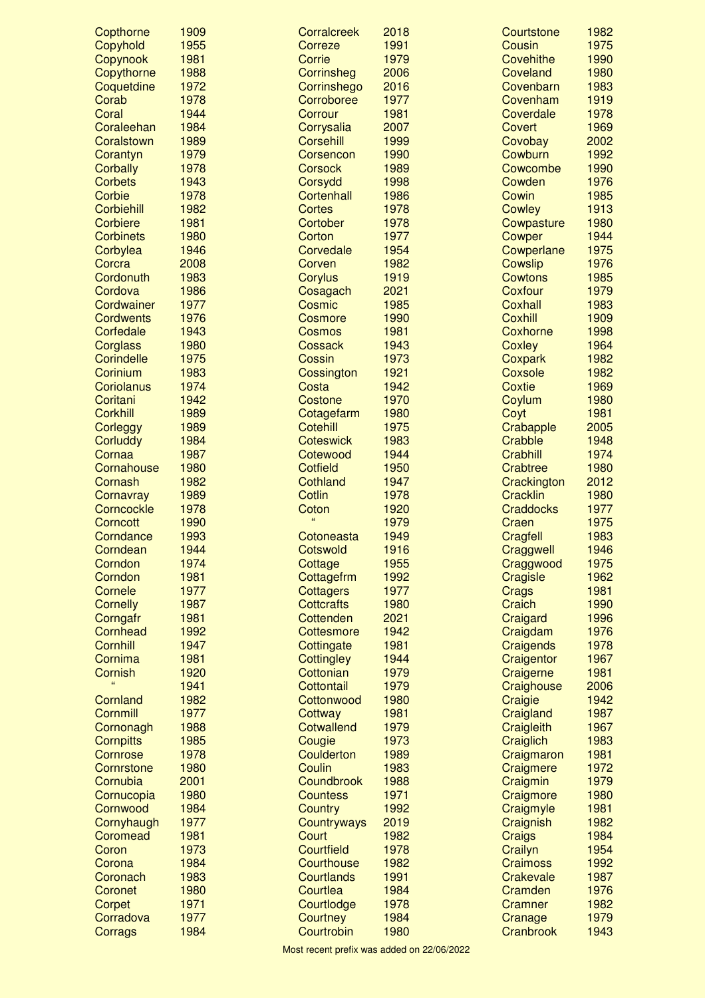| Copthorne         | 1909 | Corralcreek       | 2018 | Courtstone            | 1982 |
|-------------------|------|-------------------|------|-----------------------|------|
| Copyhold          | 1955 | Correze           | 1991 | Cousin                | 1975 |
| Copynook          | 1981 | Corrie            | 1979 | Covehithe             | 1990 |
| Copythorne        | 1988 | Corrinsheg        | 2006 | Coveland              | 1980 |
| Coquetdine        | 1972 | Corrinshego       | 2016 | Covenbarn             | 1983 |
| Corab             | 1978 | Corroboree        | 1977 | Covenham              | 1919 |
| Coral             | 1944 | Corrour           | 1981 | Coverdale             | 1978 |
| Coraleehan        | 1984 | Corrysalia        | 2007 | Covert                | 1969 |
| Coralstown        | 1989 | <b>Corsehill</b>  | 1999 | Covobay               | 2002 |
| Corantyn          | 1979 | Corsencon         | 1990 | Cowburn               | 1992 |
| Corbally          | 1978 | <b>Corsock</b>    | 1989 | Cowcombe              | 1990 |
| <b>Corbets</b>    | 1943 | Corsydd           | 1998 | Cowden                | 1976 |
| Corbie            | 1978 | Cortenhall        | 1986 | Cowin                 | 1985 |
| Corbiehill        | 1982 | <b>Cortes</b>     | 1978 | Cowley                | 1913 |
| <b>Corbiere</b>   | 1981 | Cortober          | 1978 | Cowpasture            | 1980 |
| <b>Corbinets</b>  | 1980 | Corton            | 1977 | Cowper                | 1944 |
| Corbylea          | 1946 | Corvedale         | 1954 | Cowperlane            | 1975 |
| Corcra            | 2008 | Corven            | 1982 | <b>Cowslip</b>        | 1976 |
| Cordonuth         | 1983 | Corylus           | 1919 | <b>Cowtons</b>        | 1985 |
| Cordova           | 1986 | Cosagach          | 2021 | Coxfour               | 1979 |
| Cordwainer        | 1977 | Cosmic            | 1985 | <b>Coxhall</b>        | 1983 |
| <b>Cordwents</b>  | 1976 | Cosmore           | 1990 | Coxhill               | 1909 |
| Corfedale         | 1943 | Cosmos            | 1981 | Coxhorne              | 1998 |
| Corglass          | 1980 | <b>Cossack</b>    | 1943 | Coxley                | 1964 |
| <b>Corindelle</b> | 1975 | Cossin            | 1973 | Coxpark               | 1982 |
| Corinium          | 1983 | Cossington        | 1921 | Coxsole               | 1982 |
| Coriolanus        | 1974 | Costa             | 1942 | <b>Coxtie</b>         | 1969 |
| Coritani          | 1942 | Costone           | 1970 | Coylum                | 1980 |
| <b>Corkhill</b>   | 1989 | Cotagefarm        | 1980 | Coyt                  | 1981 |
| Corleggy          | 1989 | <b>Cotehill</b>   | 1975 | Crabapple             | 2005 |
| <b>Corluddy</b>   | 1984 | <b>Coteswick</b>  | 1983 | Crabble               | 1948 |
| Cornaa            | 1987 | Cotewood          | 1944 | <b>Crabhill</b>       | 1974 |
| Cornahouse        | 1980 | <b>Cotfield</b>   | 1950 | Crabtree              | 1980 |
| Cornash           | 1982 | Cothland          | 1947 | Crackington           | 2012 |
| Cornavray         | 1989 | <b>Cotlin</b>     | 1978 | <b>Cracklin</b>       | 1980 |
| Corncockle        | 1978 | Coton             | 1920 | <b>Craddocks</b>      | 1977 |
| Corncott          | 1990 | ££                | 1979 | Craen                 | 1975 |
| Corndance         | 1993 | Cotoneasta        | 1949 | Cragfell              | 1983 |
| Corndean          | 1944 | Cotswold          | 1916 | Craggwell             | 1946 |
| Corndon           | 1974 | Cottage           | 1955 | Craggwood             | 1975 |
| Corndon           | 1981 | Cottagefrm        | 1992 | Cragisle              | 1962 |
| Cornele           | 1977 | <b>Cottagers</b>  | 1977 | Crags                 | 1981 |
| <b>Cornelly</b>   | 1987 | <b>Cottcrafts</b> | 1980 | Craich                | 1990 |
| Corngafr          | 1981 | Cottenden         | 2021 | Craigard              | 1996 |
| Cornhead          | 1992 | Cottesmore        | 1942 | Craigdam              | 1976 |
| Cornhill          | 1947 | Cottingate        | 1981 | Craigends             | 1978 |
| Cornima           | 1981 | <b>Cottingley</b> | 1944 | Craigentor            | 1967 |
| Cornish           | 1920 | Cottonian         | 1979 | Craigerne             | 1981 |
|                   | 1941 | Cottontail        | 1979 |                       | 2006 |
| Cornland          | 1982 | Cottonwood        | 1980 | Craighouse<br>Craigie | 1942 |
| Cornmill          | 1977 |                   | 1981 | Craigland             | 1987 |
|                   | 1988 | Cottway           | 1979 |                       | 1967 |
| Cornonagh         |      | <b>Cotwallend</b> | 1973 | Craigleith            | 1983 |
| <b>Cornpitts</b>  | 1985 | Cougie            |      | Craiglich             | 1981 |
| Cornrose          | 1978 | Coulderton        | 1989 | Craigmaron            |      |
| Cornrstone        | 1980 | Coulin            | 1983 | Craigmere             | 1972 |
| Cornubia          | 2001 | Coundbrook        | 1988 | Craigmin              | 1979 |
| Cornucopia        | 1980 | <b>Countess</b>   | 1971 | Craigmore             | 1980 |
| Cornwood          | 1984 | <b>Country</b>    | 1992 | Craigmyle             | 1981 |
| Cornyhaugh        | 1977 | Countryways       | 2019 | Craignish             | 1982 |
| Coromead          | 1981 | Court             | 1982 | Craigs                | 1984 |
| Coron             | 1973 | <b>Courtfield</b> | 1978 | Crailyn               | 1954 |
| Corona            | 1984 | Courthouse        | 1982 | <b>Craimoss</b>       | 1992 |
| Coronach          | 1983 | <b>Courtlands</b> | 1991 | Crakevale             | 1987 |
| Coronet           | 1980 | Courtlea          | 1984 | Cramden               | 1976 |
| Corpet            | 1971 | Courtlodge        | 1978 | Cramner               | 1982 |
| Corradova         | 1977 | Courtney          | 1984 | Cranage               | 1979 |
| Corrags           | 1984 | Courtrobin        | 1980 | Cranbrook             | 1943 |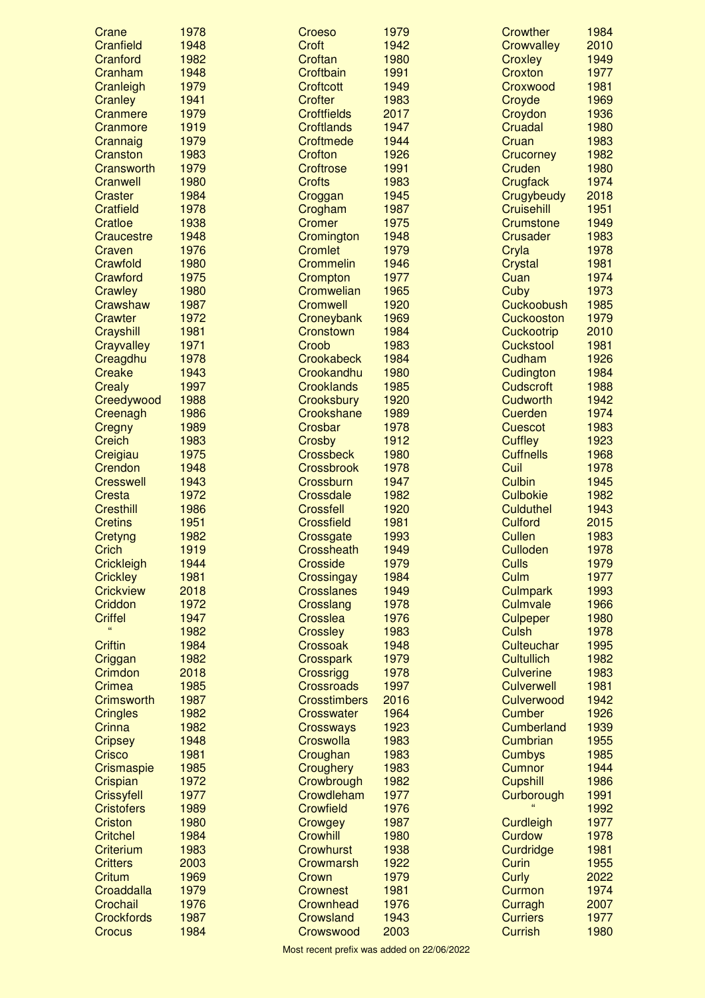| Crane                  | 1978         | Croeso                       | 1979         | <b>Crowther</b>            | 1984         |
|------------------------|--------------|------------------------------|--------------|----------------------------|--------------|
| Cranfield              | 1948         | Croft                        | 1942         | Crowvalley                 | 2010         |
| Cranford               | 1982         | Croftan                      | 1980         | Croxley                    | 1949         |
| Cranham                | 1948         | Croftbain                    | 1991         | Croxton                    | 1977         |
| Cranleigh              | 1979         | <b>Croftcott</b>             | 1949         | Croxwood                   | 1981         |
| Cranley                | 1941         | <b>Crofter</b>               | 1983         | Croyde                     | 1969         |
| Cranmere               | 1979         | <b>Croftfields</b>           | 2017         | Croydon                    | 1936         |
| Cranmore               | 1919         | <b>Croftlands</b>            | 1947         | Cruadal                    | 1980         |
| Crannaig               | 1979         | Croftmede                    | 1944         | Cruan                      | 1983         |
| Cranston               | 1983         | <b>Crofton</b>               | 1926         | Crucorney                  | 1982         |
| Cransworth             | 1979         | <b>Croftrose</b>             | 1991         | Cruden                     | 1980         |
| Cranwell               | 1980         | <b>Crofts</b>                | 1983         | <b>Crugfack</b>            | 1974         |
| Craster                | 1984         | Croggan                      | 1945         | Crugybeudy                 | 2018         |
| <b>Cratfield</b>       | 1978         | Crogham                      | 1987         | Cruisehill                 | 1951         |
| Cratloe                | 1938         | <b>Cromer</b>                | 1975         | Crumstone                  | 1949         |
| Craucestre             | 1948         | Cromington                   | 1948         | Crusader                   | 1983         |
| Craven                 | 1976         | <b>Cromlet</b>               | 1979<br>1946 | Cryla                      | 1978<br>1981 |
| Crawfold<br>Crawford   | 1980<br>1975 | Crommelin                    | 1977         | <b>Crystal</b><br>Cuan     | 1974         |
| Crawley                | 1980         | Crompton<br>Cromwelian       | 1965         | Cuby                       | 1973         |
| Crawshaw               | 1987         | <b>Cromwell</b>              | 1920         | Cuckoobush                 | 1985         |
| <b>Crawter</b>         | 1972         | Croneybank                   | 1969         | <b>Cuckooston</b>          | 1979         |
| Crayshill              | 1981         | Cronstown                    | 1984         | Cuckootrip                 | 2010         |
| Crayvalley             | 1971         | Croob                        | 1983         | <b>Cuckstool</b>           | 1981         |
| Creagdhu               | 1978         | <b>Crookabeck</b>            | 1984         | Cudham                     | 1926         |
| <b>Creake</b>          | 1943         | Crookandhu                   | 1980         | Cudington                  | 1984         |
| <b>Crealy</b>          | 1997         | <b>Crooklands</b>            | 1985         | <b>Cudscroft</b>           | 1988         |
| Creedywood             | 1988         | Crooksbury                   | 1920         | <b>Cudworth</b>            | 1942         |
| Creenagh               | 1986         | Crookshane                   | 1989         | Cuerden                    | 1974         |
| <b>Cregny</b>          | 1989         | Crosbar                      | 1978         | <b>Cuescot</b>             | 1983         |
| <b>Creich</b>          | 1983         | Crosby                       | 1912         | <b>Cuffley</b>             | 1923         |
| Creigiau               | 1975         | <b>Crossbeck</b>             | 1980         | <b>Cuffnells</b>           | 1968         |
| Crendon                | 1948         | <b>Crossbrook</b>            | 1978         | Cuil                       | 1978         |
| <b>Cresswell</b>       | 1943         | Crossburn                    | 1947         | <b>Culbin</b>              | 1945         |
| Cresta                 | 1972         | Crossdale                    | 1982         | <b>Culbokie</b>            | 1982         |
| <b>Cresthill</b>       | 1986         | <b>Crossfell</b>             | 1920         | <b>Culduthel</b>           | 1943         |
| <b>Cretins</b>         | 1951         | <b>Crossfield</b>            | 1981         | <b>Culford</b>             | 2015         |
| <b>Cretyng</b>         | 1982         | Crossgate                    | 1993         | <b>Cullen</b>              | 1983         |
| Crich                  | 1919         | Crossheath                   | 1949         | <b>Culloden</b>            | 1978         |
| Crickleigh             | 1944         | <b>Crosside</b>              | 1979         | <b>Culls</b>               | 1979         |
| <b>Crickley</b>        | 1981         | Crossingay                   | 1984         | Culm                       | 1977         |
| <b>Crickview</b>       | 2018         | <b>Crosslanes</b>            | 1949         | <b>Culmpark</b>            | 1993         |
| Criddon                | 1972         | Crosslang                    | 1978         | Culmvale                   | 1966         |
| <b>Criffel</b>         | 1947         | Crosslea                     | 1976         | <b>Culpeper</b>            | 1980         |
| ££                     | 1982         | <b>Crossley</b>              | 1983         | <b>Culsh</b>               | 1978         |
| <b>Criftin</b>         | 1984         | Crossoak                     | 1948         | Culteuchar                 | 1995         |
| Criggan                | 1982         | Crosspark                    | 1979         | <b>Cultullich</b>          | 1982         |
| Crimdon                | 2018         | Crossrigg                    | 1978         | <b>Culverine</b>           | 1983         |
| Crimea                 | 1985         | <b>Crossroads</b>            | 1997         | <b>Culverwell</b>          | 1981         |
| Crimsworth             | 1987         | <b>Crosstimbers</b>          | 2016         | Culverwood                 | 1942         |
| <b>Cringles</b>        | 1982         | <b>Crosswater</b>            | 1964         | <b>Cumber</b>              | 1926         |
| Crinna                 | 1982         | <b>Crossways</b>             | 1923         | Cumberland                 | 1939         |
| <b>Cripsey</b>         | 1948         | Croswolla                    | 1983         | Cumbrian                   | 1955         |
| Crisco                 | 1981         | Croughan                     | 1983         | <b>Cumbys</b>              | 1985         |
| Crismaspie             | 1985         | Croughery                    | 1983         | <b>Cumnor</b>              | 1944         |
| Crispian               | 1972         | Crowbrough                   | 1982         | <b>Cupshill</b>            | 1986         |
| <b>Crissyfell</b>      | 1977         | Crowdleham                   | 1977         | Curborough                 | 1991         |
| <b>Cristofers</b>      | 1989         | <b>Crowfield</b>             | 1976         |                            | 1992         |
| <b>Criston</b>         | 1980         | Crowgey                      | 1987         | Curdleigh                  | 1977         |
| <b>Critchel</b>        | 1984         | <b>Crowhill</b>              | 1980         | Curdow                     | 1978         |
| Criterium              | 1983         | <b>Crowhurst</b>             | 1938         | Curdridge                  | 1981         |
| <b>Critters</b>        | 2003         | Crowmarsh                    | 1922         | Curin                      | 1955         |
| <b>Critum</b>          | 1969         | Crown                        | 1979<br>1981 | Curly                      | 2022<br>1974 |
| Croaddalla<br>Crochail | 1979<br>1976 | <b>Crownest</b><br>Crownhead | 1976         | Curmon                     | 2007         |
| <b>Crockfords</b>      | 1987         | Crowsland                    | 1943         | Curragh<br><b>Curriers</b> | 1977         |
| Crocus                 | 1984         | Crowswood                    | 2003         | <b>Currish</b>             | 1980         |
|                        |              |                              |              |                            |              |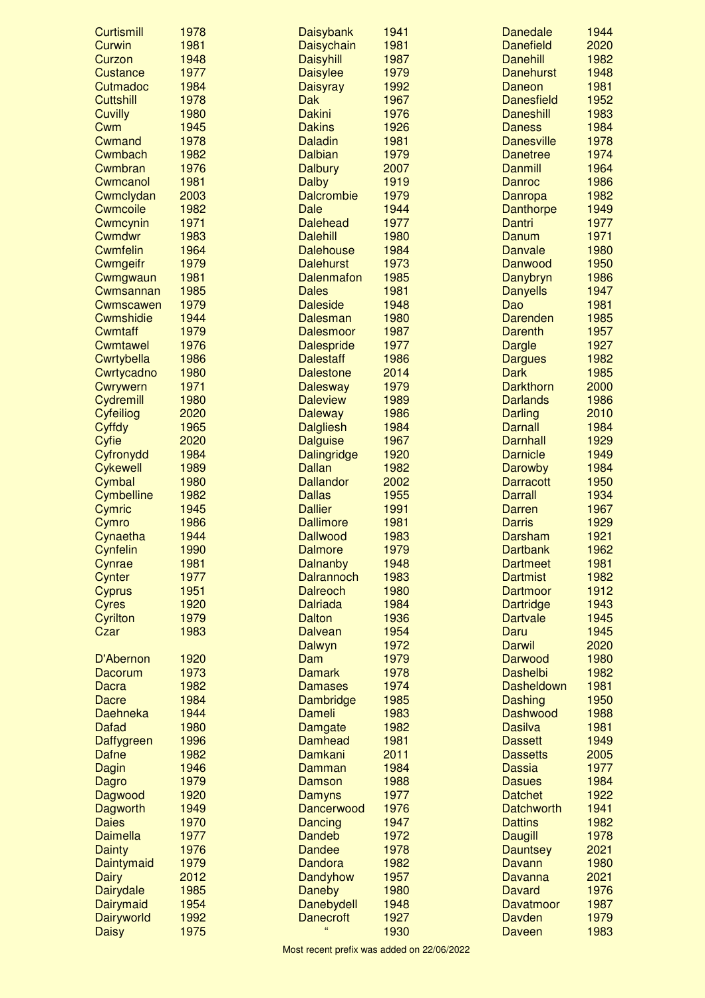| <b>Curtismill</b>        | 1978 | <b>Daisybank</b>   | 1941 | <b>Danedale</b>   | 1944 |
|--------------------------|------|--------------------|------|-------------------|------|
| Curwin                   | 1981 | Daisychain         | 1981 | <b>Danefield</b>  | 2020 |
| Curzon                   | 1948 | <b>Daisyhill</b>   | 1987 | <b>Danehill</b>   | 1982 |
| Custance                 | 1977 | <b>Daisylee</b>    | 1979 | <b>Danehurst</b>  | 1948 |
| Cutmadoc                 | 1984 | Daisyray           | 1992 | Daneon            | 1981 |
| <b>Cuttshill</b>         | 1978 | <b>Dak</b>         | 1967 | <b>Danesfield</b> | 1952 |
| <b>Cuvilly</b>           | 1980 | <b>Dakini</b>      | 1976 | <b>Daneshill</b>  | 1983 |
| Cwm                      | 1945 | <b>Dakins</b>      | 1926 | <b>Daness</b>     | 1984 |
| Cwmand                   | 1978 | <b>Daladin</b>     | 1981 | <b>Danesville</b> | 1978 |
| Cwmbach                  | 1982 | <b>Dalbian</b>     | 1979 | <b>Danetree</b>   | 1974 |
| Cwmbran                  | 1976 | <b>Dalbury</b>     | 2007 | <b>Danmill</b>    | 1964 |
| Cwmcanol                 | 1981 | <b>Dalby</b>       | 1919 | Danroc            | 1986 |
| Cwmclydan                | 2003 | <b>Dalcrombie</b>  | 1979 | Danropa           | 1982 |
| <b>Cwmcoile</b>          | 1982 | Dale               | 1944 | <b>Danthorpe</b>  | 1949 |
| Cwmcynin                 | 1971 | <b>Dalehead</b>    | 1977 | Dantri            | 1977 |
| Cwmdwr                   | 1983 | <b>Dalehill</b>    | 1980 | Danum             | 1971 |
| <b>Cwmfelin</b>          | 1964 | <b>Dalehouse</b>   | 1984 | Danvale           | 1980 |
| Cwmgeifr                 | 1979 | <b>Dalehurst</b>   | 1973 | Danwood           | 1950 |
| Cwmgwaun                 | 1981 | <b>Dalenmafon</b>  | 1985 | Danybryn          | 1986 |
| Cwmsannan                | 1985 | <b>Dales</b>       | 1981 | <b>Danyells</b>   | 1947 |
| Cwmscawen                | 1979 | <b>Daleside</b>    | 1948 | Dao               | 1981 |
| Cwmshidie                | 1944 | <b>Dalesman</b>    | 1980 | <b>Darenden</b>   | 1985 |
| <b>Cwmtaff</b>           | 1979 | <b>Dalesmoor</b>   | 1987 | <b>Darenth</b>    | 1957 |
| Cwmtawel                 | 1976 | <b>Dalespride</b>  | 1977 | <b>Dargle</b>     | 1927 |
| Cwrtybella               | 1986 | <b>Dalestaff</b>   | 1986 | <b>Dargues</b>    | 1982 |
|                          | 1980 |                    | 2014 | <b>Dark</b>       | 1985 |
| Cwrtycadno               |      | <b>Dalestone</b>   |      |                   |      |
| Cwrywern                 | 1971 | <b>Dalesway</b>    | 1979 | <b>Darkthorn</b>  | 2000 |
| Cydremill                | 1980 | <b>Daleview</b>    | 1989 | <b>Darlands</b>   | 1986 |
| Cyfeiliog                | 2020 | <b>Daleway</b>     | 1986 | Darling           | 2010 |
| Cyffdy                   | 1965 | <b>Dalgliesh</b>   | 1984 | <b>Darnall</b>    | 1984 |
| Cyfie                    | 2020 | <b>Dalguise</b>    | 1967 | <b>Darnhall</b>   | 1929 |
| Cyfronydd                | 1984 | <b>Dalingridge</b> | 1920 | <b>Darnicle</b>   | 1949 |
| <b>Cykewell</b>          | 1989 | <b>Dallan</b>      | 1982 | Darowby           | 1984 |
| Cymbal                   | 1980 | <b>Dallandor</b>   | 2002 | <b>Darracott</b>  | 1950 |
| Cymbelline               | 1982 | <b>Dallas</b>      | 1955 | <b>Darrall</b>    | 1934 |
| Cymric                   | 1945 | <b>Dallier</b>     | 1991 | Darren            | 1967 |
| Cymro                    | 1986 | <b>Dallimore</b>   | 1981 | <b>Darris</b>     | 1929 |
| Cynaetha                 | 1944 | <b>Dallwood</b>    | 1983 | Darsham           | 1921 |
| Cynfelin                 | 1990 | <b>Dalmore</b>     | 1979 | <b>Dartbank</b>   | 1962 |
| Cynrae                   | 1981 | <b>Dalnanby</b>    | 1948 | <b>Dartmeet</b>   | 1981 |
| Cynter                   | 1977 | <b>Dalrannoch</b>  | 1983 | <b>Dartmist</b>   | 1982 |
| <b>Cyprus</b>            | 1951 | <b>Dalreoch</b>    | 1980 | Dartmoor          | 1912 |
| <b>Cyres</b>             | 1920 | <b>Dalriada</b>    | 1984 | <b>Dartridge</b>  | 1943 |
| Cyrilton                 | 1979 | <b>Dalton</b>      | 1936 | <b>Dartvale</b>   | 1945 |
| Czar                     | 1983 | <b>Dalvean</b>     | 1954 | Daru              | 1945 |
|                          |      | Dalwyn             | 1972 | <b>Darwil</b>     | 2020 |
| D'Abernon                | 1920 | Dam                | 1979 | Darwood           | 1980 |
| Dacorum                  | 1973 | <b>Damark</b>      | 1978 | <b>Dashelbi</b>   | 1982 |
| Dacra                    | 1982 | <b>Damases</b>     | 1974 | <b>Dasheldown</b> | 1981 |
| Dacre                    | 1984 | <b>Dambridge</b>   | 1985 | Dashing           | 1950 |
| Daehneka                 | 1944 | Dameli             | 1983 | Dashwood          | 1988 |
| <b>Dafad</b>             | 1980 | Damgate            | 1982 | <b>Dasilva</b>    | 1981 |
| Daffygreen               | 1996 | Damhead            | 1981 | <b>Dassett</b>    | 1949 |
| <b>Dafne</b>             | 1982 | Damkani            | 2011 | <b>Dassetts</b>   | 2005 |
| Dagin                    | 1946 | Damman             | 1984 | <b>Dassia</b>     | 1977 |
| Dagro                    | 1979 | Damson             | 1988 | <b>Dasues</b>     | 1984 |
| Dagwood                  | 1920 | Damyns             | 1977 | <b>Datchet</b>    | 1922 |
|                          | 1949 | Dancerwood         | 1976 | <b>Datchworth</b> | 1941 |
| Dagworth<br><b>Daies</b> | 1970 |                    | 1947 | <b>Dattins</b>    | 1982 |
|                          |      | Dancing            |      |                   |      |
| <b>Daimella</b>          | 1977 | <b>Dandeb</b>      | 1972 | <b>Daugill</b>    | 1978 |
| <b>Dainty</b>            | 1976 | <b>Dandee</b>      | 1978 | <b>Dauntsey</b>   | 2021 |
| Daintymaid               | 1979 | <b>Dandora</b>     | 1982 | Davann            | 1980 |
| <b>Dairy</b>             | 2012 | Dandyhow           | 1957 | Davanna           | 2021 |
| Dairydale                | 1985 | <b>Daneby</b>      | 1980 | <b>Davard</b>     | 1976 |
| Dairymaid                | 1954 | <b>Danebydell</b>  | 1948 | Davatmoor         | 1987 |
| Dairyworld               | 1992 | <b>Danecroft</b>   | 1927 | Davden            | 1979 |
| <b>Daisy</b>             | 1975 | $\epsilon\epsilon$ | 1930 | Daveen            | 1983 |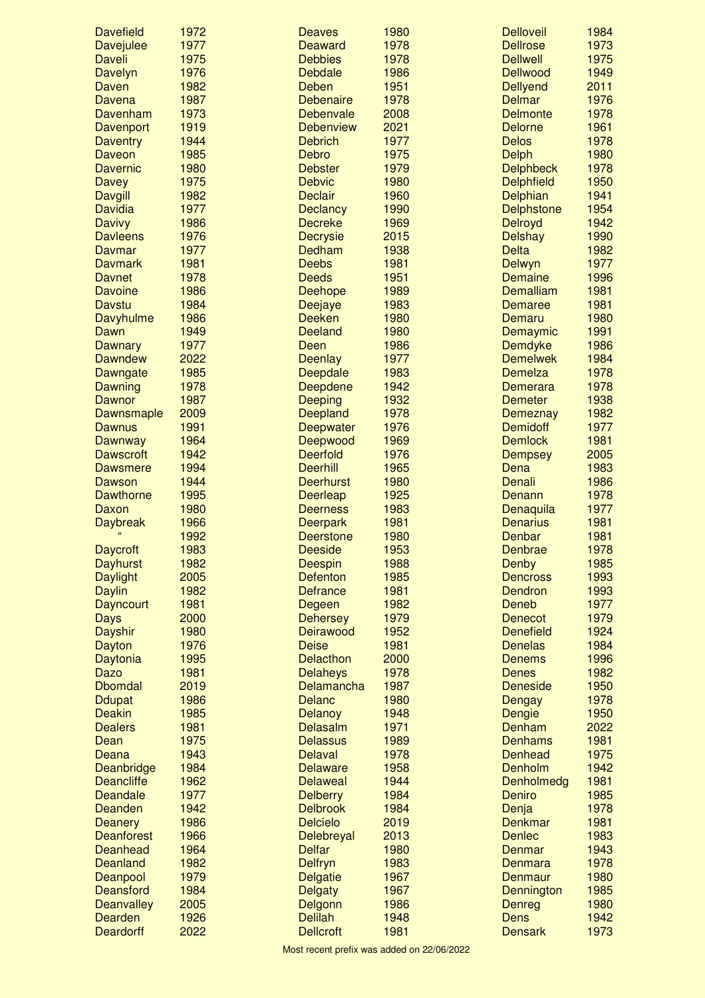| <b>Davefield</b>                   | 1972         | <b>Deaves</b>                     | 1980         | <b>Delloveil</b>                | 1984         |
|------------------------------------|--------------|-----------------------------------|--------------|---------------------------------|--------------|
| <b>Davejulee</b>                   | 1977         | <b>Deaward</b>                    | 1978         | <b>Dellrose</b>                 | 1973         |
| <b>Daveli</b>                      | 1975         | <b>Debbies</b>                    | 1978         | <b>Deliwell</b>                 | 1975         |
| Davelyn                            | 1976         | <b>Debdale</b>                    | 1986         | <b>Dellwood</b>                 | 1949         |
| Daven                              | 1982         | Deben                             | 1951         | <b>Dellyend</b>                 | 2011         |
| Davena                             | 1987         | <b>Debenaire</b>                  | 1978         | <b>Delmar</b>                   | 1976         |
| Davenham                           | 1973         | Debenvale                         | 2008         | <b>Delmonte</b>                 | 1978         |
| Davenport                          | 1919         | <b>Debenview</b>                  | 2021         | <b>Delorne</b>                  | 1961         |
| <b>Daventry</b>                    | 1944         | <b>Debrich</b>                    | 1977         | <b>Delos</b>                    | 1978         |
| Daveon                             | 1985         | <b>Debro</b>                      | 1975         | <b>Delph</b>                    | 1980         |
| <b>Davernic</b>                    | 1980         | <b>Debster</b>                    | 1979         | <b>Delphbeck</b>                | 1978         |
| <b>Davey</b>                       | 1975         | <b>Debvic</b>                     | 1980         | <b>Delphfield</b>               | 1950<br>1941 |
| <b>Davgill</b>                     | 1982<br>1977 | <b>Declair</b>                    | 1960<br>1990 | Delphian                        | 1954         |
| <b>Davidia</b><br><b>Davivy</b>    | 1986         | <b>Declancy</b><br><b>Decreke</b> | 1969         | <b>Delphstone</b><br>Delroyd    | 1942         |
| <b>Davleens</b>                    | 1976         | <b>Decrysie</b>                   | 2015         | <b>Delshay</b>                  | 1990         |
| Davmar                             | 1977         | Dedham                            | 1938         | <b>Delta</b>                    | 1982         |
| <b>Davmark</b>                     | 1981         | <b>Deebs</b>                      | 1981         | Delwyn                          | 1977         |
| <b>Davnet</b>                      | 1978         | <b>Deeds</b>                      | 1951         | Demaine                         | 1996         |
| <b>Davoine</b>                     | 1986         | Deehope                           | 1989         | Demalliam                       | 1981         |
| Davstu                             | 1984         | <b>Deejaye</b>                    | 1983         | <b>Demaree</b>                  | 1981         |
| Davyhulme                          | 1986         | <b>Deeken</b>                     | 1980         | Demaru                          | 1980         |
| Dawn                               | 1949         | <b>Deeland</b>                    | 1980         | Demaymic                        | 1991         |
| <b>Dawnary</b>                     | 1977         | Deen                              | 1986         | Demdyke                         | 1986         |
| <b>Dawndew</b>                     | 2022         | <b>Deenlay</b>                    | 1977         | <b>Demelwek</b>                 | 1984         |
| Dawngate                           | 1985         | Deepdale                          | 1983         | <b>Demelza</b>                  | 1978         |
| Dawning                            | 1978         | Deepdene                          | 1942         | <b>Demerara</b>                 | 1978         |
| <b>Dawnor</b>                      | 1987         | <b>Deeping</b>                    | 1932         | <b>Demeter</b>                  | 1938         |
| Dawnsmaple                         | 2009         | Deepland                          | 1978         | <b>Demeznay</b>                 | 1982         |
| <b>Dawnus</b>                      | 1991         | Deepwater                         | 1976         | <b>Demidoff</b>                 | 1977         |
| <b>Dawnway</b>                     | 1964         | Deepwood                          | 1969         | <b>Demlock</b>                  | 1981         |
| <b>Dawscroft</b>                   | 1942         | <b>Deerfold</b>                   | 1976         | <b>Dempsey</b>                  | 2005         |
| <b>Dawsmere</b>                    | 1994         | <b>Deerhill</b>                   | 1965         | Dena                            | 1983         |
| <b>Dawson</b>                      | 1944         | <b>Deerhurst</b>                  | 1980         | Denali                          | 1986         |
| <b>Dawthorne</b>                   | 1995         | <b>Deerleap</b>                   | 1925         | Denann                          | 1978         |
| Daxon                              | 1980         | <b>Deerness</b>                   | 1983         | Denaquila                       | 1977         |
| <b>Daybreak</b>                    | 1966         | <b>Deerpark</b>                   | 1981         | <b>Denarius</b>                 | 1981         |
|                                    | 1992         | <b>Deerstone</b>                  | 1980         | Denbar                          | 1981         |
| <b>Daycroft</b><br><b>Dayhurst</b> | 1983<br>1982 | <b>Deeside</b>                    | 1953<br>1988 | Denbrae                         | 1978<br>1985 |
|                                    | 2005         | <b>Deespin</b><br><b>Defenton</b> | 1985         | <b>Denby</b><br><b>Dencross</b> | 1993         |
| <b>Daylight</b><br><b>Daylin</b>   | 1982         | <b>Defrance</b>                   | 1981         | Dendron                         | 1993         |
| <b>Dayncourt</b>                   | 1981         | Degeen                            | 1982         | Deneb                           | 1977         |
| Days                               | 2000         | <b>Dehersey</b>                   | 1979         | <b>Denecot</b>                  | 1979         |
| <b>Dayshir</b>                     | 1980         | Deirawood                         | 1952         | <b>Denefield</b>                | 1924         |
| Dayton                             | 1976         | <b>Deise</b>                      | 1981         | <b>Denelas</b>                  | 1984         |
| Daytonia                           | 1995         | <b>Delacthon</b>                  | 2000         | <b>Denems</b>                   | 1996         |
| Dazo                               | 1981         | <b>Delaheys</b>                   | 1978         | <b>Denes</b>                    | 1982         |
| <b>Dbomdal</b>                     | 2019         | Delamancha                        | 1987         | <b>Deneside</b>                 | 1950         |
| <b>Ddupat</b>                      | 1986         | <b>Delanc</b>                     | 1980         | <b>Dengay</b>                   | 1978         |
| <b>Deakin</b>                      | 1985         | <b>Delanoy</b>                    | 1948         | Dengie                          | 1950         |
| <b>Dealers</b>                     | 1981         | <b>Delasalm</b>                   | 1971         | Denham                          | 2022         |
| Dean                               | 1975         | <b>Delassus</b>                   | 1989         | <b>Denhams</b>                  | 1981         |
| Deana                              | 1943         | <b>Delaval</b>                    | 1978         | <b>Denhead</b>                  | 1975         |
| <b>Deanbridge</b>                  | 1984         | <b>Delaware</b>                   | 1958         | Denholm                         | 1942         |
| <b>Deancliffe</b>                  | 1962         | <b>Delaweal</b>                   | 1944         | Denholmedg                      | 1981         |
| <b>Deandale</b>                    | 1977         | <b>Delberry</b>                   | 1984         | Deniro                          | 1985         |
| Deanden                            | 1942         | <b>Delbrook</b>                   | 1984         | Denja                           | 1978         |
| <b>Deanery</b>                     | 1986         | <b>Delcielo</b>                   | 2019         | <b>Denkmar</b>                  | 1981         |
| <b>Deanforest</b>                  | 1966         | Delebreyal                        | 2013         | <b>Denlec</b>                   | 1983         |
| Deanhead                           | 1964         | <b>Delfar</b>                     | 1980         | Denmar                          | 1943         |
| <b>Deanland</b>                    | 1982<br>1979 | <b>Delfryn</b>                    | 1983<br>1967 | Denmara                         | 1978<br>1980 |
| Deanpool<br>Deansford              | 1984         | <b>Delgatie</b>                   | 1967         | Denmaur                         | 1985         |
| <b>Deanvalley</b>                  | 2005         | <b>Delgaty</b><br>Delgonn         | 1986         | Dennington<br><b>Denreg</b>     | 1980         |
| Dearden                            | 1926         | <b>Delilah</b>                    | 1948         | <b>Dens</b>                     | 1942         |
| <b>Deardorff</b>                   | 2022         | <b>Dellcroft</b>                  | 1981         | <b>Densark</b>                  | 1973         |
|                                    |              |                                   |              |                                 |              |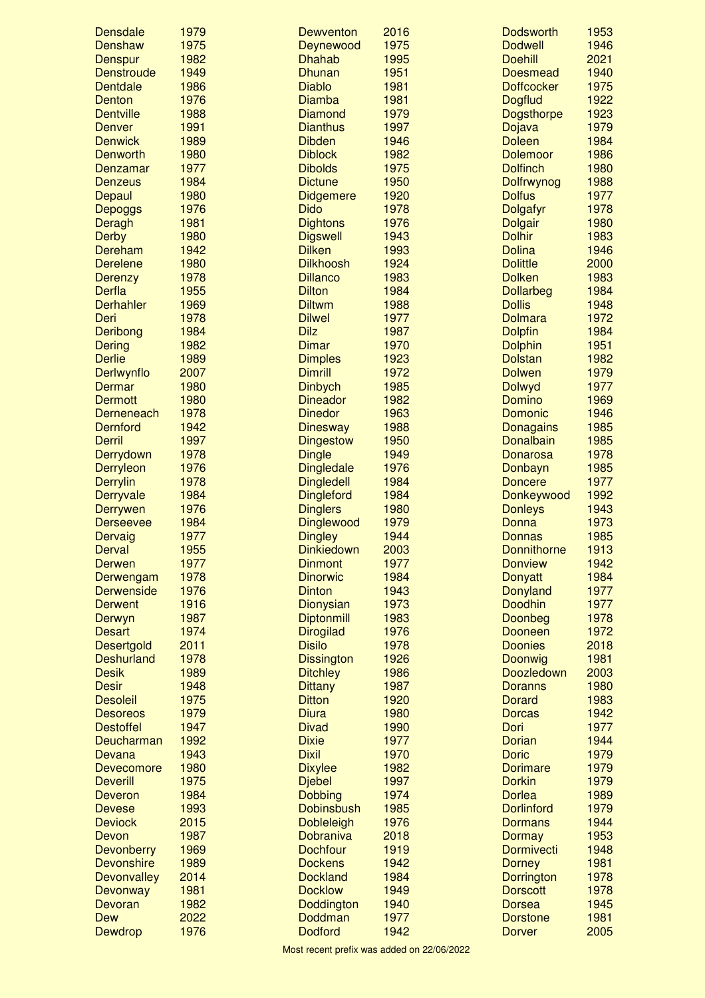| <b>Densdale</b>            | 1979         | Dewventon                           | 2016         | <b>Dodsworth</b>                 | 1953         |
|----------------------------|--------------|-------------------------------------|--------------|----------------------------------|--------------|
| Denshaw                    | 1975         | Deynewood                           | 1975         | <b>Dodwell</b>                   | 1946         |
| <b>Denspur</b>             | 1982         | <b>Dhahab</b>                       | 1995         | <b>Doehill</b>                   | 2021         |
| <b>Denstroude</b>          | 1949         | <b>Dhunan</b>                       | 1951         | <b>Doesmead</b>                  | 1940         |
| Dentdale                   | 1986         | <b>Diablo</b>                       | 1981         | <b>Doffcocker</b>                | 1975         |
| Denton                     | 1976         | <b>Diamba</b>                       | 1981         | <b>Dogflud</b>                   | 1922         |
| <b>Dentville</b>           | 1988         | <b>Diamond</b>                      | 1979         | <b>Dogsthorpe</b>                | 1923         |
| <b>Denver</b>              | 1991         | <b>Dianthus</b>                     | 1997         | Dojava                           | 1979         |
| <b>Denwick</b>             | 1989         | <b>Dibden</b>                       | 1946         | <b>Doleen</b>                    | 1984         |
| <b>Denworth</b>            | 1980         | <b>Diblock</b>                      | 1982         | <b>Dolemoor</b>                  | 1986         |
| Denzamar                   | 1977         | <b>Dibolds</b>                      | 1975         | <b>Dolfinch</b>                  | 1980         |
| <b>Denzeus</b>             | 1984         | <b>Dictune</b>                      | 1950         | Dolfrwynog                       | 1988         |
| Depaul                     | 1980         | <b>Didgemere</b>                    | 1920         | <b>Dolfus</b>                    | 1977         |
| <b>Depoggs</b>             | 1976         | <b>Dido</b>                         | 1978         | <b>Dolgafyr</b>                  | 1978         |
| Deragh                     | 1981         | <b>Dightons</b>                     | 1976         | <b>Dolgair</b>                   | 1980         |
| <b>Derby</b>               | 1980         | <b>Digswell</b>                     | 1943<br>1993 | <b>Dolhir</b>                    | 1983         |
| Dereham<br><b>Derelene</b> | 1942<br>1980 | <b>Dilken</b>                       |              | <b>Dolina</b>                    | 1946         |
| <b>Derenzy</b>             | 1978         | <b>Dilkhoosh</b><br><b>Dillanco</b> | 1924<br>1983 | <b>Dolittle</b><br><b>Dolken</b> | 2000<br>1983 |
| Derfla                     | 1955         | <b>Dilton</b>                       | 1984         | <b>Dollarbeg</b>                 | 1984         |
| <b>Derhahler</b>           | 1969         | <b>Diltwm</b>                       | 1988         | <b>Dollis</b>                    | 1948         |
| Deri                       | 1978         | <b>Dilwel</b>                       | 1977         | <b>Dolmara</b>                   | 1972         |
| Deribong                   | 1984         | <b>Dilz</b>                         | 1987         | <b>Dolpfin</b>                   | 1984         |
| <b>Dering</b>              | 1982         | <b>Dimar</b>                        | 1970         | <b>Dolphin</b>                   | 1951         |
| <b>Derlie</b>              | 1989         | <b>Dimples</b>                      | 1923         | <b>Dolstan</b>                   | 1982         |
| Derlwynflo                 | 2007         | <b>Dimrill</b>                      | 1972         | <b>Dolwen</b>                    | 1979         |
| Dermar                     | 1980         | <b>Dinbych</b>                      | 1985         | <b>Dolwyd</b>                    | 1977         |
| <b>Dermott</b>             | 1980         | <b>Dineador</b>                     | 1982         | Domino                           | 1969         |
| Derneneach                 | 1978         | <b>Dinedor</b>                      | 1963         | Domonic                          | 1946         |
| <b>Dernford</b>            | 1942         | <b>Dinesway</b>                     | 1988         | Donagains                        | 1985         |
| <b>Derril</b>              | 1997         | <b>Dingestow</b>                    | 1950         | Donalbain                        | 1985         |
| Derrydown                  | 1978         | <b>Dingle</b>                       | 1949         | <b>Donarosa</b>                  | 1978         |
| Derryleon                  | 1976         | <b>Dingledale</b>                   | 1976         | Donbayn                          | 1985         |
| <b>Derrylin</b>            | 1978         | <b>Dingledell</b>                   | 1984         | <b>Doncere</b>                   | 1977         |
| <b>Derryvale</b>           | 1984         | <b>Dingleford</b>                   | 1984         | Donkeywood                       | 1992         |
| Derrywen                   | 1976         | <b>Dinglers</b>                     | 1980         | <b>Donleys</b>                   | 1943         |
| <b>Derseevee</b>           | 1984         | Dinglewood                          | 1979         | <b>Donna</b>                     | 1973         |
| Dervaig                    | 1977         | <b>Dingley</b>                      | 1944         | <b>Donnas</b>                    | 1985         |
| Derval                     | 1955         | <b>Dinkiedown</b>                   | 2003         | <b>Donnithorne</b>               | 1913         |
| <b>Derwen</b>              | 1977         | <b>Dinmont</b>                      | 1977         | <b>Donview</b>                   | 1942         |
| Derwengam                  | 1978         | <b>Dinorwic</b>                     | 1984         | <b>Donyatt</b>                   | 1984         |
| <b>Derwenside</b>          | 1976         | <b>Dinton</b>                       | 1943         | <b>Donyland</b>                  | 1977         |
| <b>Derwent</b>             | 1916         | <b>Dionysian</b>                    | 1973         | <b>Doodhin</b>                   | 1977         |
| Derwyn                     | 1987         | <b>Diptonmill</b>                   | 1983         | Doonbeg                          | 1978         |
| <b>Desart</b>              | 1974         | <b>Dirogilad</b>                    | 1976         | <b>Dooneen</b>                   | 1972         |
| <b>Desertgold</b>          | 2011         | <b>Disilo</b>                       | 1978         | <b>Doonies</b>                   | 2018         |
| <b>Deshurland</b>          | 1978         | <b>Dissington</b>                   | 1926         | Doonwig                          | 1981         |
| <b>Desik</b>               | 1989         | <b>Ditchley</b>                     | 1986         | Doozledown                       | 2003         |
| <b>Desir</b>               | 1948         | <b>Dittany</b>                      | 1987         | <b>Doranns</b>                   | 1980         |
| <b>Desoleil</b>            | 1975         | <b>Ditton</b>                       | 1920         | Dorard                           | 1983         |
| <b>Desoreos</b>            | 1979         | <b>Diura</b>                        | 1980         | <b>Dorcas</b>                    | 1942         |
| <b>Destoffel</b>           | 1947         | <b>Divad</b>                        | 1990         | Dori                             | 1977         |
| Deucharman                 | 1992         | <b>Dixie</b>                        | 1977         | Dorian                           | 1944         |
| Devana                     | 1943         | <b>Dixil</b>                        | 1970         | <b>Doric</b>                     | 1979         |
| Devecomore                 | 1980         | <b>Dixylee</b>                      | 1982         | <b>Dorimare</b>                  | 1979         |
| <b>Deverill</b>            | 1975         | <b>Djebel</b>                       | 1997         | <b>Dorkin</b>                    | 1979         |
| <b>Deveron</b>             | 1984         | <b>Dobbing</b>                      | 1974         | <b>Dorlea</b>                    | 1989         |
| <b>Devese</b>              | 1993         | <b>Dobinsbush</b>                   | 1985         | <b>Dorlinford</b>                | 1979         |
| <b>Deviock</b>             | 2015         | <b>Dobleleigh</b>                   | 1976         | <b>Dormans</b>                   | 1944         |
| Devon                      | 1987         | Dobraniva                           | 2018         | <b>Dormay</b>                    | 1953         |
| Devonberry                 | 1969         | <b>Dochfour</b>                     | 1919         | Dormivecti                       | 1948         |
| <b>Devonshire</b>          | 1989         | <b>Dockens</b>                      | 1942         | <b>Dorney</b>                    | 1981         |
| <b>Devonvalley</b>         | 2014         | <b>Dockland</b>                     | 1984         | Dorrington                       | 1978         |
| Devonway                   | 1981         | <b>Docklow</b>                      | 1949         | <b>Dorscott</b>                  | 1978         |
| Devoran                    | 1982         | Doddington                          | 1940         | <b>Dorsea</b>                    | 1945         |
| <b>Dew</b><br>Dewdrop      | 2022         | Doddman                             | 1977         | <b>Dorstone</b>                  | 1981         |
|                            | 1976         | <b>Dodford</b>                      | 1942         | <b>Dorver</b>                    | 2005         |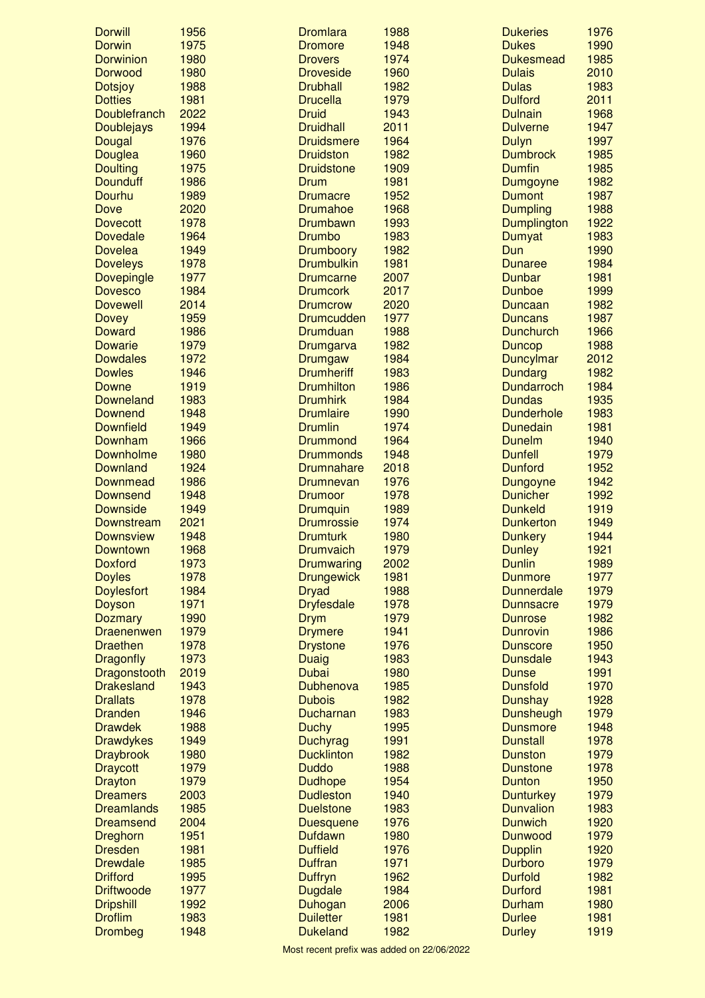| <b>Dorwill</b>      | 1956 | <b>Dromlara</b>   | 1988 | <b>Dukeries</b>   | 1976 |
|---------------------|------|-------------------|------|-------------------|------|
| Dorwin              | 1975 | <b>Dromore</b>    | 1948 | <b>Dukes</b>      | 1990 |
| <b>Dorwinion</b>    | 1980 | <b>Drovers</b>    | 1974 | <b>Dukesmead</b>  | 1985 |
| Dorwood             | 1980 | <b>Droveside</b>  | 1960 | <b>Dulais</b>     | 2010 |
| <b>Dotsjoy</b>      | 1988 | <b>Drubhall</b>   | 1982 | <b>Dulas</b>      | 1983 |
| <b>Dotties</b>      | 1981 | <b>Drucella</b>   | 1979 | <b>Dulford</b>    | 2011 |
| <b>Doublefranch</b> | 2022 | <b>Druid</b>      | 1943 | <b>Dulnain</b>    | 1968 |
| Doublejays          | 1994 | <b>Druidhall</b>  | 2011 | <b>Dulverne</b>   | 1947 |
| Dougal              | 1976 | <b>Druidsmere</b> | 1964 | <b>Dulyn</b>      | 1997 |
| Douglea             | 1960 | <b>Druidston</b>  | 1982 | <b>Dumbrock</b>   | 1985 |
| <b>Doulting</b>     | 1975 | <b>Druidstone</b> | 1909 | <b>Dumfin</b>     | 1985 |
| <b>Dounduff</b>     | 1986 | Drum              | 1981 | Dumgoyne          | 1982 |
| Dourhu              | 1989 | <b>Drumacre</b>   | 1952 | <b>Dumont</b>     | 1987 |
| <b>Dove</b>         | 2020 | <b>Drumahoe</b>   | 1968 | <b>Dumpling</b>   | 1988 |
| <b>Dovecott</b>     | 1978 | <b>Drumbawn</b>   | 1993 | Dumplington       | 1922 |
| <b>Dovedale</b>     | 1964 | Drumbo            | 1983 | Dumyat            | 1983 |
| <b>Dovelea</b>      | 1949 | Drumboory         | 1982 | Dun               | 1990 |
| <b>Doveleys</b>     | 1978 | <b>Drumbulkin</b> | 1981 | <b>Dunaree</b>    | 1984 |
| Dovepingle          | 1977 | <b>Drumcarne</b>  | 2007 | <b>Dunbar</b>     | 1981 |
| <b>Dovesco</b>      | 1984 | <b>Drumcork</b>   | 2017 | <b>Dunboe</b>     | 1999 |
| <b>Dovewell</b>     | 2014 | <b>Drumcrow</b>   | 2020 | Duncaan           | 1982 |
| <b>Dovey</b>        | 1959 | <b>Drumcudden</b> | 1977 | <b>Duncans</b>    | 1987 |
| <b>Doward</b>       | 1986 | <b>Drumduan</b>   | 1988 | <b>Dunchurch</b>  | 1966 |
| <b>Dowarie</b>      | 1979 | Drumgarva         | 1982 | <b>Duncop</b>     | 1988 |
| <b>Dowdales</b>     | 1972 | Drumgaw           | 1984 | <b>Duncylmar</b>  | 2012 |
| <b>Dowles</b>       | 1946 | <b>Drumheriff</b> | 1983 | <b>Dundarg</b>    | 1982 |
| Downe               | 1919 | <b>Drumhilton</b> | 1986 | <b>Dundarroch</b> | 1984 |
| <b>Downeland</b>    | 1983 | <b>Drumhirk</b>   | 1984 | <b>Dundas</b>     | 1935 |
| Downend             | 1948 | <b>Drumlaire</b>  | 1990 | <b>Dunderhole</b> | 1983 |
| <b>Downfield</b>    | 1949 | <b>Drumlin</b>    | 1974 | <b>Dunedain</b>   | 1981 |
| Downham             | 1966 | <b>Drummond</b>   | 1964 | <b>Dunelm</b>     | 1940 |
| Downholme           | 1980 | <b>Drummonds</b>  | 1948 | <b>Dunfell</b>    | 1979 |
|                     |      |                   |      |                   |      |
| <b>Downland</b>     | 1924 | <b>Drumnahare</b> | 2018 | <b>Dunford</b>    | 1952 |
| Downmead            | 1986 | Drumnevan         | 1976 | Dungoyne          | 1942 |
| <b>Downsend</b>     | 1948 | <b>Drumoor</b>    | 1978 | <b>Dunicher</b>   | 1992 |
| <b>Downside</b>     | 1949 | <b>Drumquin</b>   | 1989 | <b>Dunkeld</b>    | 1919 |
| Downstream          | 2021 | <b>Drumrossie</b> | 1974 | <b>Dunkerton</b>  | 1949 |
| <b>Downsview</b>    | 1948 | <b>Drumturk</b>   | 1980 | <b>Dunkery</b>    | 1944 |
| Downtown            | 1968 | Drumvaich         | 1979 | <b>Dunley</b>     | 1921 |
| <b>Doxford</b>      | 1973 | Drumwaring        | 2002 | <b>Dunlin</b>     | 1989 |
| <b>Doyles</b>       | 1978 | <b>Drungewick</b> | 1981 | <b>Dunmore</b>    | 1977 |
| <b>Doylesfort</b>   | 1984 | <b>Dryad</b>      | 1988 | <b>Dunnerdale</b> | 1979 |
| Doyson              | 1971 | <b>Dryfesdale</b> | 1978 | <b>Dunnsacre</b>  | 1979 |
| <b>Dozmary</b>      | 1990 | <b>Drym</b>       | 1979 | <b>Dunrose</b>    | 1982 |
| Draenenwen          | 1979 | <b>Drymere</b>    | 1941 | <b>Dunrovin</b>   | 1986 |
| <b>Draethen</b>     | 1978 | <b>Drystone</b>   | 1976 | <b>Dunscore</b>   | 1950 |
| <b>Dragonfly</b>    | 1973 | Duaig             | 1983 | <b>Dunsdale</b>   | 1943 |
| Dragonstooth        | 2019 | <b>Dubai</b>      | 1980 | <b>Dunse</b>      | 1991 |
| <b>Drakesland</b>   | 1943 | Dubhenova         | 1985 | <b>Dunsfold</b>   | 1970 |
| <b>Drallats</b>     | 1978 | <b>Dubois</b>     | 1982 | Dunshay           | 1928 |
| <b>Dranden</b>      | 1946 | Ducharnan         | 1983 | <b>Dunsheugh</b>  | 1979 |
| <b>Drawdek</b>      | 1988 | <b>Duchy</b>      | 1995 | <b>Dunsmore</b>   | 1948 |
| <b>Drawdykes</b>    | 1949 | Duchyrag          | 1991 | <b>Dunstall</b>   | 1978 |
| <b>Draybrook</b>    | 1980 | <b>Ducklinton</b> | 1982 | Dunston           | 1979 |
| <b>Draycott</b>     | 1979 | <b>Duddo</b>      | 1988 | <b>Dunstone</b>   | 1978 |
| <b>Drayton</b>      | 1979 | <b>Dudhope</b>    | 1954 | <b>Dunton</b>     | 1950 |
| <b>Dreamers</b>     | 2003 | <b>Dudleston</b>  | 1940 | <b>Dunturkey</b>  | 1979 |
| <b>Dreamlands</b>   | 1985 | <b>Duelstone</b>  | 1983 | <b>Dunvalion</b>  | 1983 |
| <b>Dreamsend</b>    | 2004 | <b>Duesquene</b>  | 1976 | <b>Dunwich</b>    | 1920 |
| Dreghorn            | 1951 | <b>Dufdawn</b>    | 1980 | Dunwood           | 1979 |
| <b>Dresden</b>      | 1981 | <b>Duffield</b>   | 1976 | <b>Dupplin</b>    | 1920 |
| <b>Drewdale</b>     | 1985 | <b>Duffran</b>    | 1971 | Durboro           | 1979 |
| <b>Drifford</b>     | 1995 | Duffryn           | 1962 | <b>Durfold</b>    | 1982 |
| <b>Driftwoode</b>   | 1977 | <b>Dugdale</b>    | 1984 | <b>Durford</b>    | 1981 |
| <b>Dripshill</b>    | 1992 | Duhogan           | 2006 | Durham            | 1980 |
| <b>Droflim</b>      | 1983 | <b>Duiletter</b>  | 1981 | <b>Durlee</b>     | 1981 |
| <b>Drombeg</b>      | 1948 | <b>Dukeland</b>   | 1982 | <b>Durley</b>     | 1919 |
|                     |      |                   |      |                   |      |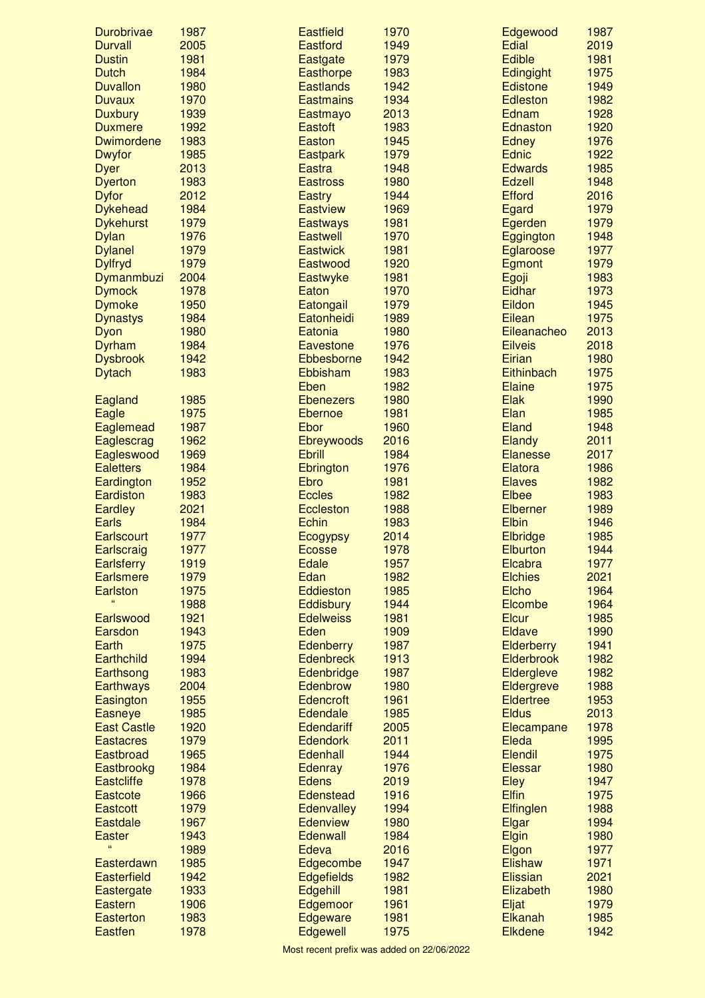| Durobrivae                         | 1987         | <b>Eastfield</b>                 | 1970         | Edgewood                  | 1987         |
|------------------------------------|--------------|----------------------------------|--------------|---------------------------|--------------|
| <b>Durvall</b>                     | 2005         | <b>Eastford</b>                  | 1949         | Edial                     | 2019         |
| <b>Dustin</b>                      | 1981         | Eastgate                         | 1979         | <b>Edible</b>             | 1981         |
| <b>Dutch</b>                       | 1984         | <b>Easthorpe</b>                 | 1983         | <b>Edingight</b>          | 1975         |
| <b>Duvallon</b>                    | 1980         | <b>Eastlands</b>                 | 1942         | <b>Edistone</b>           | 1949         |
| <b>Duvaux</b>                      | 1970         | <b>Eastmains</b>                 | 1934         | Edleston                  | 1982         |
| <b>Duxbury</b>                     | 1939         | Eastmayo                         | 2013         | Ednam                     | 1928         |
| <b>Duxmere</b>                     | 1992         | <b>Eastoft</b>                   | 1983         | Ednaston                  | 1920         |
| <b>Dwimordene</b>                  | 1983         | <b>Easton</b>                    | 1945         | <b>Edney</b>              | 1976         |
| <b>Dwyfor</b>                      | 1985         | <b>Eastpark</b>                  | 1979         | <b>Ednic</b>              | 1922         |
| <b>Dyer</b>                        | 2013         | <b>Eastra</b>                    | 1948         | <b>Edwards</b>            | 1985         |
| <b>Dyerton</b>                     | 1983<br>2012 | <b>Eastross</b><br><b>Eastry</b> | 1980<br>1944 | Edzell<br><b>Efford</b>   | 1948<br>2016 |
| <b>Dyfor</b><br><b>Dykehead</b>    | 1984         | <b>Eastview</b>                  | 1969         | Egard                     | 1979         |
| <b>Dykehurst</b>                   | 1979         | <b>Eastways</b>                  | 1981         | Egerden                   | 1979         |
| <b>Dylan</b>                       | 1976         | <b>Eastwell</b>                  | 1970         | Eggington                 | 1948         |
| <b>Dylanel</b>                     | 1979         | <b>Eastwick</b>                  | 1981         | Eglaroose                 | 1977         |
| <b>Dylfryd</b>                     | 1979         | Eastwood                         | 1920         | Egmont                    | 1979         |
| Dymanmbuzi                         | 2004         | Eastwyke                         | 1981         | Egoji                     | 1983         |
| <b>Dymock</b>                      | 1978         | Eaton                            | 1970         | Eidhar                    | 1973         |
| <b>Dymoke</b>                      | 1950         | Eatongail                        | 1979         | Eildon                    | 1945         |
| <b>Dynastys</b>                    | 1984         | Eatonheidi                       | 1989         | Eilean                    | 1975         |
| Dyon                               | 1980         | Eatonia                          | 1980         | Eileanacheo               | 2013         |
| Dyrham                             | 1984         | <b>Eavestone</b>                 | 1976         | <b>Eilveis</b>            | 2018         |
| <b>Dysbrook</b>                    | 1942         | Ebbesborne                       | 1942         | <b>Eirian</b>             | 1980         |
| <b>Dytach</b>                      | 1983         | Ebbisham                         | 1983         | Eithinbach                | 1975         |
|                                    |              | Eben                             | 1982         | <b>Elaine</b>             | 1975         |
| Eagland                            | 1985         | <b>Ebenezers</b>                 | 1980         | <b>Elak</b>               | 1990         |
| Eagle                              | 1975         | Ebernoe                          | 1981         | Elan                      | 1985         |
| Eaglemead                          | 1987         | Ebor                             | 1960         | Eland                     | 1948         |
| Eaglescrag                         | 1962         | Ebreywoods                       | 2016         | <b>Elandy</b>             | 2011         |
| Eagleswood                         | 1969         | <b>Ebrill</b>                    | 1984         | <b>Elanesse</b>           | 2017         |
| <b>Ealetters</b>                   | 1984         | Ebrington                        | 1976         | Elatora                   | 1986         |
| Eardington                         | 1952         | <b>Ebro</b>                      | 1981         | <b>Elaves</b>             | 1982         |
| Eardiston                          | 1983         | <b>Eccles</b>                    | 1982         | <b>Elbee</b>              | 1983         |
| <b>Eardley</b><br><b>Earls</b>     | 2021<br>1984 | Eccleston<br>Echin               | 1988<br>1983 | Elberner<br><b>Elbin</b>  | 1989<br>1946 |
| <b>Earlscourt</b>                  | 1977         | <b>Ecogypsy</b>                  | 2014         | Elbridge                  | 1985         |
| Earlscraig                         | 1977         | <b>Ecosse</b>                    | 1978         | Elburton                  | 1944         |
| <b>Earlsferry</b>                  | 1919         | <b>Edale</b>                     | 1957         | Elcabra                   | 1977         |
| <b>Earlsmere</b>                   | 1979         | Edan                             | 1982         | <b>Elchies</b>            | 2021         |
| <b>Earlston</b>                    | 1975         | Eddieston                        | 1985         | Elcho                     | 1964         |
| ££                                 | 1988         | <b>Eddisbury</b>                 | 1944         | Elcombe                   | 1964         |
| Earlswood                          | 1921         | <b>Edelweiss</b>                 | 1981         | <b>Elcur</b>              | 1985         |
| Earsdon                            | 1943         | Eden                             | 1909         | <b>Eldave</b>             | 1990         |
| Earth                              | 1975         | Edenberry                        | 1987         | <b>Elderberry</b>         | 1941         |
| <b>Earthchild</b>                  | 1994         | <b>Edenbreck</b>                 | 1913         | Elderbrook                | 1982         |
| Earthsong                          | 1983         | Edenbridge                       | 1987         | Eldergleve                | 1982         |
| <b>Earthways</b>                   | 2004         | Edenbrow                         | 1980         | Eldergreve                | 1988         |
| Easington                          | 1955         | Edencroft                        | 1961         | <b>Eldertree</b>          | 1953         |
| <b>Easneye</b>                     | 1985         | <b>Edendale</b>                  | 1985         | <b>Eldus</b>              | 2013         |
| <b>East Castle</b>                 | 1920         | Edendariff                       | 2005         | Elecampane                | 1978         |
| <b>Eastacres</b>                   | 1979         | <b>Edendork</b>                  | 2011         | Eleda                     | 1995         |
| Eastbroad                          | 1965         | Edenhall                         | 1944         | <b>Elendil</b>            | 1975         |
| Eastbrookg                         | 1984         | Edenray                          | 1976         | <b>Elessar</b>            | 1980         |
| <b>Eastcliffe</b>                  | 1978         | <b>Edens</b><br><b>Edenstead</b> | 2019         | Eley<br><b>Elfin</b>      | 1947         |
| <b>Eastcote</b>                    | 1966         |                                  | 1916         |                           | 1975         |
| <b>Eastcott</b><br><b>Eastdale</b> | 1979<br>1967 | Edenvalley<br><b>Edenview</b>    | 1994<br>1980 | Elfinglen<br><b>Elgar</b> | 1988<br>1994 |
| <b>Easter</b>                      | 1943         | Edenwall                         | 1984         | <b>Elgin</b>              | 1980         |
| ££                                 | 1989         | Edeva                            | 2016         | Elgon                     | 1977         |
| Easterdawn                         | 1985         | Edgecombe                        | 1947         | <b>Elishaw</b>            | 1971         |
| Easterfield                        | 1942         | <b>Edgefields</b>                | 1982         | <b>Elissian</b>           | 2021         |
| Eastergate                         | 1933         | Edgehill                         | 1981         | Elizabeth                 | 1980         |
| <b>Eastern</b>                     | 1906         | Edgemoor                         | 1961         | Eljat                     | 1979         |
| Easterton                          | 1983         | Edgeware                         | 1981         | Elkanah                   | 1985         |
| <b>Eastfen</b>                     | 1978         | Edgewell                         | 1975         | <b>Elkdene</b>            | 1942         |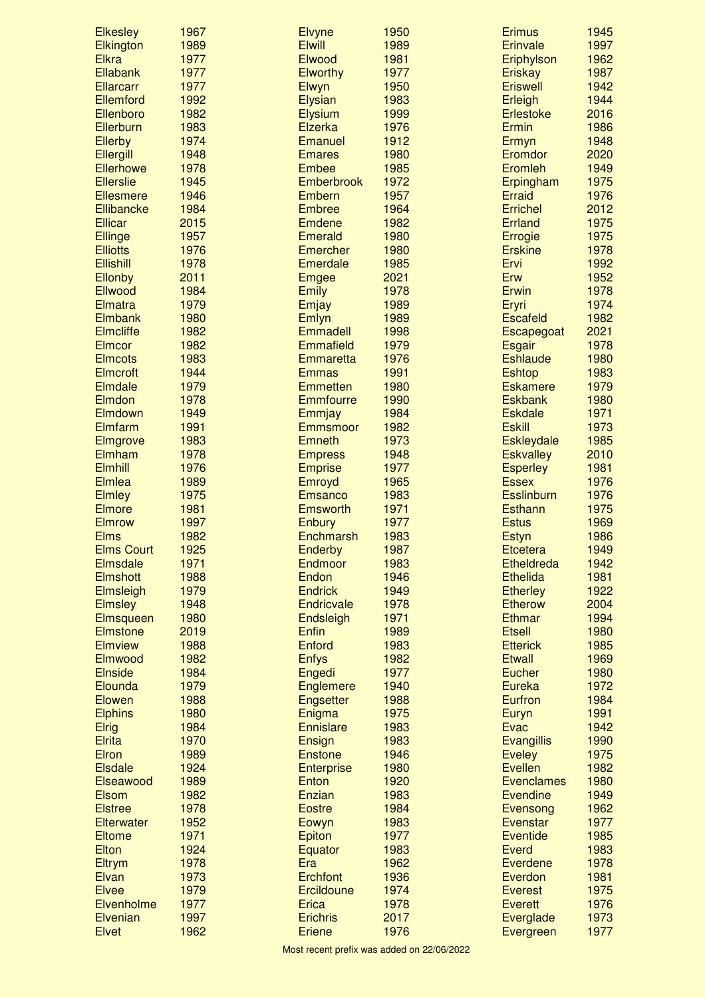| <b>Elkesley</b>             | 1967         | <b>Elvyne</b>                   | 1950         | <b>Erimus</b>               | 1945         |
|-----------------------------|--------------|---------------------------------|--------------|-----------------------------|--------------|
| Elkington                   | 1989         | <b>Elwill</b>                   | 1989         | <b>Erinvale</b>             | 1997         |
| <b>Elkra</b>                | 1977         | Elwood                          | 1981         | Eriphylson                  | 1962         |
| Ellabank                    | 1977         | <b>Elworthy</b>                 | 1977         | <b>Eriskay</b>              | 1987         |
| <b>Ellarcarr</b>            | 1977         | Elwyn                           | 1950         | <b>Eriswell</b>             | 1942         |
| Ellemford                   | 1992         | <b>Elysian</b>                  | 1983         | Erleigh                     | 1944         |
| Ellenboro                   | 1982         | <b>Elysium</b>                  | 1999         | <b>Erlestoke</b>            | 2016         |
| Ellerburn                   | 1983         | Elzerka                         | 1976         | Ermin                       | 1986         |
| <b>Ellerby</b>              | 1974         | <b>Emanuel</b>                  | 1912         | Ermyn                       | 1948         |
| Ellergill                   | 1948         | <b>Emares</b>                   | 1980         | Eromdor                     | 2020         |
| <b>Ellerhowe</b>            | 1978         | <b>Embee</b>                    | 1985         | Eromleh                     | 1949         |
| <b>Ellerslie</b>            | 1945         | <b>Emberbrook</b>               | 1972         | Erpingham                   | 1975         |
| <b>Ellesmere</b>            | 1946         | Embern                          | 1957         | <b>Erraid</b>               | 1976         |
| Ellibancke                  | 1984         | <b>Embree</b>                   | 1964         | <b>Errichel</b>             | 2012         |
| <b>Ellicar</b>              | 2015         | <b>Emdene</b>                   | 1982         | <b>Errland</b>              | 1975         |
| <b>Ellinge</b>              | 1957         | Emerald                         | 1980         | Errogie                     | 1975         |
| <b>Elliotts</b>             | 1976         | Emercher                        | 1980         | <b>Erskine</b>              | 1978         |
| <b>Ellishill</b><br>Ellonby | 1978<br>2011 | Emerdale                        | 1985<br>2021 | Ervi<br>Erw                 | 1992<br>1952 |
| Ellwood                     | 1984         | Emgee                           | 1978         | <b>Erwin</b>                | 1978         |
| Elmatra                     | 1979         | <b>Emily</b>                    |              |                             | 1974         |
| <b>Elmbank</b>              | 1980         | Emjay<br>Emlyn                  | 1989<br>1989 | Eryri<br><b>Escafeld</b>    | 1982         |
| <b>Elmcliffe</b>            | 1982         | Emmadell                        | 1998         |                             | 2021         |
| <b>Elmcor</b>               | 1982         | Emmafield                       | 1979         | Escapegoat<br><b>Esgair</b> | 1978         |
| <b>Elmcots</b>              | 1983         | <b>Emmaretta</b>                | 1976         | <b>Eshlaude</b>             | 1980         |
| <b>Elmcroft</b>             | 1944         | <b>Emmas</b>                    | 1991         | <b>Eshtop</b>               | 1983         |
| Elmdale                     | 1979         | <b>Emmetten</b>                 | 1980         | <b>Eskamere</b>             | 1979         |
| Elmdon                      | 1978         | <b>Emmfourre</b>                | 1990         | <b>Eskbank</b>              | 1980         |
| Elmdown                     | 1949         | Emmjay                          | 1984         | <b>Eskdale</b>              | 1971         |
| Elmfarm                     | 1991         | <b>Emmsmoor</b>                 | 1982         | <b>Eskill</b>               | 1973         |
| Elmgrove                    | 1983         | <b>Emneth</b>                   | 1973         | <b>Eskleydale</b>           | 1985         |
| Elmham                      | 1978         | <b>Empress</b>                  | 1948         | <b>Eskvalley</b>            | 2010         |
| <b>Elmhill</b>              | 1976         | <b>Emprise</b>                  | 1977         | <b>Esperley</b>             | 1981         |
| <b>Elmlea</b>               | 1989         | Emroyd                          | 1965         | <b>Essex</b>                | 1976         |
| <b>Elmley</b>               | 1975         | <b>Emsanco</b>                  | 1983         | <b>Esslinburn</b>           | 1976         |
| <b>Elmore</b>               | 1981         | <b>Emsworth</b>                 | 1971         | <b>Esthann</b>              | 1975         |
| <b>Elmrow</b>               | 1997         | Enbury                          | 1977         | <b>Estus</b>                | 1969         |
| <b>Elms</b>                 | 1982         | Enchmarsh                       | 1983         | <b>Estyn</b>                | 1986         |
| <b>Elms Court</b>           | 1925         | Enderby                         | 1987         | <b>Etcetera</b>             | 1949         |
| <b>Elmsdale</b>             | 1971         | Endmoor                         | 1983         | Etheldreda                  | 1942         |
| <b>Elmshott</b>             | 1988         | Endon                           | 1946         | <b>Ethelida</b>             | 1981         |
| Elmsleigh                   | 1979         | <b>Endrick</b>                  | 1949         | <b>Etherley</b>             | 1922         |
| <b>Elmsley</b>              | 1948         | Endricvale                      | 1978         | <b>Etherow</b>              | 2004         |
| Elmsqueen                   | 1980         | Endsleigh                       | 1971         | Ethmar                      | 1994         |
| <b>Elmstone</b>             | 2019         | <b>Enfin</b>                    | 1989         | <b>Etsell</b>               | 1980         |
| <b>Elmview</b>              | 1988         | Enford                          | 1983         | <b>Etterick</b>             | 1985         |
| Elmwood                     | 1982         | <b>Enfys</b>                    | 1982         | <b>Etwall</b>               | 1969         |
| <b>Elnside</b>              | 1984         | Engedi                          | 1977         | Eucher                      | 1980         |
| Elounda                     | 1979         | <b>Englemere</b>                | 1940         | <b>Eureka</b>               | 1972         |
| Elowen                      | 1988         | Engsetter                       | 1988         | Eurfron                     | 1984         |
| <b>Elphins</b>              | 1980         | Enigma                          | 1975         | Euryn                       | 1991         |
| <b>Elrig</b>                | 1984         | <b>Ennislare</b>                | 1983         | <b>Evac</b>                 | 1942         |
| <b>Elrita</b>               | 1970         | Ensign                          | 1983         | <b>Evangillis</b>           | 1990         |
| <b>Elron</b>                | 1989         | <b>Enstone</b>                  | 1946         | <b>Eveley</b>               | 1975         |
| <b>Elsdale</b>              | 1924         | <b>Enterprise</b>               | 1980         | <b>Evellen</b>              | 1982         |
| Elseawood                   | 1989         | Enton                           | 1920         | <b>Evenclames</b>           | 1980         |
| <b>Elsom</b>                | 1982         | Enzian                          | 1983         | <b>Evendine</b>             | 1949         |
| <b>Elstree</b>              | 1978         | <b>Eostre</b>                   | 1984         | Evensong                    | 1962         |
| <b>Elterwater</b>           | 1952         | Eowyn                           | 1983         | Evenstar                    | 1977         |
| <b>Eltome</b>               | 1971         | Epiton                          | 1977         | <b>Eventide</b>             | 1985         |
| Elton                       | 1924         | Equator                         | 1983         | <b>Everd</b>                | 1983         |
| <b>Eltrym</b>               | 1978         | Era                             | 1962         | <b>Everdene</b>             | 1978         |
| Elvan                       | 1973         | <b>Erchfont</b>                 | 1936         | Everdon                     | 1981         |
| <b>Elvee</b>                | 1979         | Ercildoune                      | 1974         | <b>Everest</b>              | 1975         |
| Elvenholme<br>Elvenian      | 1977<br>1997 | <b>Erica</b><br><b>Erichris</b> | 1978<br>2017 | <b>Everett</b>              | 1976<br>1973 |
| <b>Elvet</b>                | 1962         | <b>Eriene</b>                   | 1976         | Everglade                   | 1977         |
|                             |              |                                 |              | Evergreen                   |              |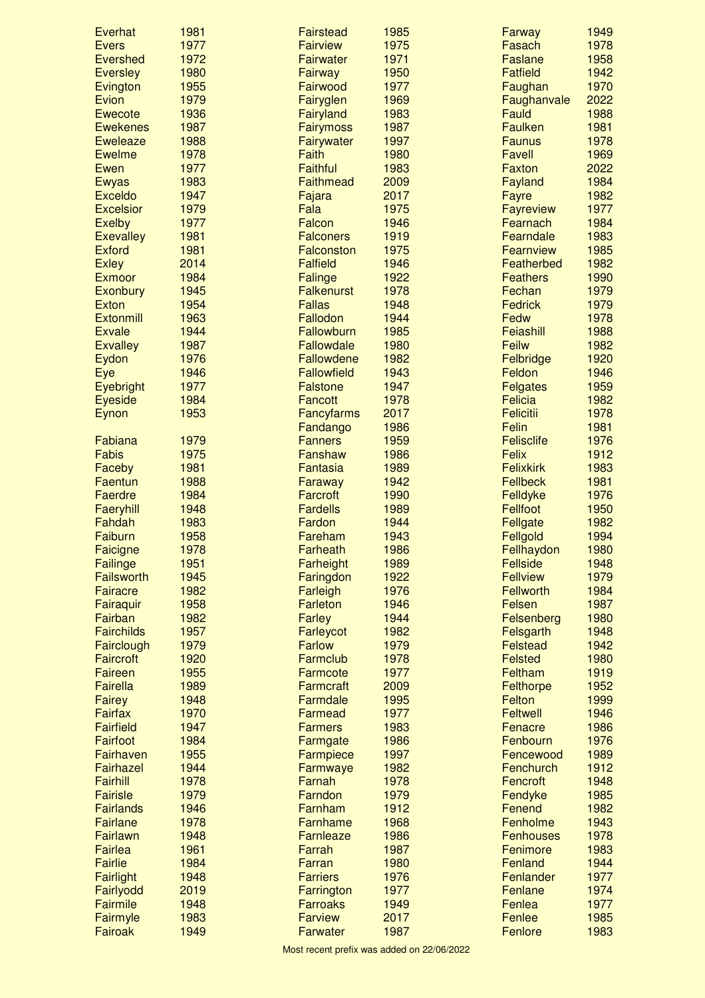| Everhat           | 1981         | <b>Fairstead</b>           | 1985         | Farway                            | 1949         |
|-------------------|--------------|----------------------------|--------------|-----------------------------------|--------------|
| <b>Evers</b>      | 1977         | <b>Fairview</b>            | 1975         | Fasach                            | 1978         |
| <b>Evershed</b>   | 1972         | <b>Fairwater</b>           | 1971         | <b>Faslane</b>                    | 1958         |
| <b>Eversley</b>   | 1980         | <b>Fairway</b>             | 1950         | <b>Fatfield</b>                   | 1942         |
| Evington          | 1955         | Fairwood                   | 1977         | Faughan                           | 1970         |
| Evion             | 1979         | Fairyglen                  | 1969         | Faughanvale                       | 2022         |
| <b>Ewecote</b>    | 1936         | Fairyland                  | 1983         | Fauld                             | 1988         |
| <b>Ewekenes</b>   | 1987         | <b>Fairymoss</b>           | 1987         | <b>Faulken</b>                    | 1981         |
| <b>Eweleaze</b>   | 1988         | Fairywater                 | 1997         | <b>Faunus</b>                     | 1978         |
| <b>Ewelme</b>     | 1978         | Faith                      | 1980         | <b>Favell</b>                     | 1969         |
| Ewen              | 1977         | <b>Faithful</b>            | 1983         | <b>Faxton</b>                     | 2022         |
| <b>Ewyas</b>      | 1983         | <b>Faithmead</b>           | 2009         | Fayland                           | 1984         |
| <b>Exceldo</b>    | 1947         | Fajara                     | 2017         | Fayre                             | 1982         |
| <b>Excelsior</b>  | 1979         | Fala                       | 1975         | Fayreview                         | 1977         |
| <b>Exelby</b>     | 1977         | Falcon                     | 1946         | Fearnach                          | 1984         |
| <b>Exevalley</b>  | 1981         | <b>Falconers</b>           | 1919         | Fearndale                         | 1983         |
| <b>Exford</b>     | 1981         | <b>Falconston</b>          | 1975         | Fearnview                         | 1985         |
| <b>Exley</b>      | 2014         | <b>Falfield</b>            | 1946         | Featherbed                        | 1982         |
| <b>Exmoor</b>     | 1984         | Falinge                    | 1922         | <b>Feathers</b>                   | 1990         |
| Exonbury          | 1945         | <b>Falkenurst</b>          | 1978         | Fechan                            | 1979         |
| <b>Exton</b>      | 1954         | <b>Fallas</b>              | 1948         | <b>Fedrick</b>                    | 1979         |
| <b>Extonmill</b>  | 1963         | Fallodon                   | 1944         | Fedw                              | 1978         |
| <b>Exvale</b>     | 1944         | Fallowburn                 | 1985         | Feiashill                         | 1988         |
| <b>Exvalley</b>   | 1987         | Fallowdale                 | 1980         | <b>Feilw</b>                      | 1982         |
| Eydon             | 1976         | Fallowdene                 | 1982         | Felbridge<br>Feldon               | 1920         |
| Eye               | 1946<br>1977 | <b>Fallowfield</b>         | 1943<br>1947 |                                   | 1946         |
| Eyebright         | 1984         | <b>Falstone</b>            | 1978         | <b>Felgates</b><br><b>Felicia</b> | 1959<br>1982 |
| <b>Eyeside</b>    | 1953         | <b>Fancott</b>             | 2017         | <b>Felicitii</b>                  | 1978         |
| Eynon             |              | <b>Fancyfarms</b>          | 1986         | Felin                             | 1981         |
| Fabiana           | 1979         | Fandango<br><b>Fanners</b> | 1959         | <b>Felisclife</b>                 | 1976         |
| <b>Fabis</b>      | 1975         | Fanshaw                    | 1986         | Felix                             | 1912         |
| Faceby            | 1981         | Fantasia                   | 1989         | <b>Felixkirk</b>                  | 1983         |
| Faentun           | 1988         | Faraway                    | 1942         | <b>Fellbeck</b>                   | 1981         |
| Faerdre           | 1984         | <b>Farcroft</b>            | 1990         | Felldyke                          | 1976         |
| Faeryhill         | 1948         | <b>Fardells</b>            | 1989         | <b>Fellfoot</b>                   | 1950         |
| Fahdah            | 1983         | Fardon                     | 1944         | Fellgate                          | 1982         |
| Faiburn           | 1958         | Fareham                    | 1943         | Fellgold                          | 1994         |
| Faicigne          | 1978         | Farheath                   | 1986         | Fellhaydon                        | 1980         |
| <b>Failinge</b>   | 1951         | Farheight                  | 1989         | Fellside                          | 1948         |
| <b>Failsworth</b> | 1945         | Faringdon                  | 1922         | <b>Fellview</b>                   | 1979         |
| <b>Fairacre</b>   | 1982         | Farleigh                   | 1976         | <b>Fellworth</b>                  | 1984         |
| Fairaquir         | 1958         | <b>Farleton</b>            | 1946         | Felsen                            | 1987         |
| Fairban           | 1982         | <b>Farley</b>              | 1944         | Felsenberg                        | 1980         |
| <b>Fairchilds</b> | 1957         | Farleycot                  | 1982         | Felsgarth                         | 1948         |
| Fairclough        | 1979         | <b>Farlow</b>              | 1979         | <b>Felstead</b>                   | 1942         |
| <b>Faircroft</b>  | 1920         | Farmclub                   | 1978         | <b>Felsted</b>                    | 1980         |
| Faireen           | 1955         | Farmcote                   | 1977         | Feltham                           | 1919         |
| Fairella          | 1989         | <b>Farmcraft</b>           | 2009         | Felthorpe                         | 1952         |
| <b>Fairey</b>     | 1948         | Farmdale                   | 1995         | Felton                            | 1999         |
| <b>Fairfax</b>    | 1970         | <b>Farmead</b>             | 1977         | <b>Feltwell</b>                   | 1946         |
| <b>Fairfield</b>  | 1947         | <b>Farmers</b>             | 1983         | Fenacre                           | 1986         |
| Fairfoot          | 1984         | Farmgate                   | 1986         | Fenbourn                          | 1976         |
| <b>Fairhaven</b>  | 1955         | <b>Farmpiece</b>           | 1997         | Fencewood                         | 1989         |
| Fairhazel         | 1944         | Farmwaye                   | 1982         | <b>Fenchurch</b>                  | 1912         |
| Fairhill          | 1978         | Farnah                     | 1978         | Fencroft                          | 1948         |
| <b>Fairisle</b>   | 1979         | Farndon                    | 1979         | Fendyke                           | 1985         |
| <b>Fairlands</b>  | 1946         | Farnham                    | 1912         | Fenend                            | 1982         |
| <b>Fairlane</b>   | 1978         | Farnhame                   | 1968         | Fenholme                          | 1943         |
| Fairlawn          | 1948         | <b>Farnleaze</b>           | 1986         | <b>Fenhouses</b>                  | 1978         |
| <b>Fairlea</b>    | 1961         | Farrah                     | 1987         | Fenimore                          | 1983         |
| <b>Fairlie</b>    | 1984         | Farran                     | 1980         | Fenland                           | 1944         |
| Fairlight         | 1948         | <b>Farriers</b>            | 1976         | Fenlander                         | 1977         |
| Fairlyodd         | 2019         | Farrington                 | 1977         | Fenlane                           | 1974         |
| Fairmile          | 1948         | <b>Farroaks</b>            | 1949         | Fenlea                            | 1977         |
| Fairmyle          | 1983         | <b>Farview</b>             | 2017         | Fenlee                            | 1985         |
| Fairoak           | 1949         | <b>Farwater</b>            | 1987         | Fenlore                           | 1983         |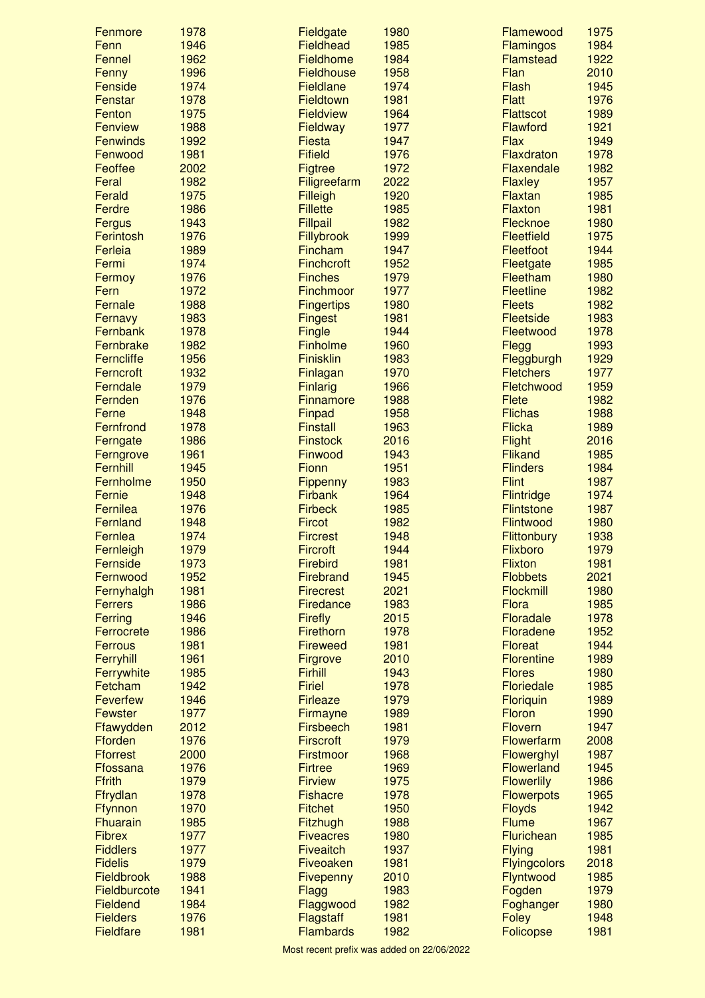| Fenmore                      | 1978         | Fieldgate                           | 1980         | Flamewood                      | 1975         |
|------------------------------|--------------|-------------------------------------|--------------|--------------------------------|--------------|
| Fenn                         | 1946         | <b>Fieldhead</b>                    | 1985         | <b>Flamingos</b>               | 1984         |
| Fennel                       | 1962         | Fieldhome                           | 1984         | <b>Flamstead</b>               | 1922         |
| Fenny                        | 1996         | <b>Fieldhouse</b>                   | 1958         | Flan                           | 2010         |
| Fenside                      | 1974         | Fieldlane                           | 1974         | Flash                          | 1945         |
| Fenstar                      | 1978         | Fieldtown                           | 1981         | <b>Flatt</b>                   | 1976         |
| Fenton                       | 1975         | <b>Fieldview</b>                    | 1964         | <b>Flattscot</b>               | 1989         |
| <b>Fenview</b>               | 1988         | Fieldway                            | 1977         | Flawford                       | 1921         |
| <b>Fenwinds</b>              | 1992         | <b>Fiesta</b>                       | 1947         | <b>Flax</b>                    | 1949         |
| Fenwood                      | 1981         | <b>Fifield</b>                      | 1976         | Flaxdraton                     | 1978         |
| Feoffee                      | 2002         | <b>Figtree</b>                      | 1972         | Flaxendale                     | 1982         |
| Feral                        | 1982         | Filigreefarm                        | 2022         | <b>Flaxley</b>                 | 1957         |
| Ferald                       | 1975         | Filleigh                            | 1920         | Flaxtan                        | 1985         |
| Ferdre                       | 1986         | <b>Fillette</b>                     | 1985         | Flaxton                        | 1981         |
| Fergus                       | 1943         | <b>Fillpail</b>                     | 1982         | Flecknoe                       | 1980         |
| Ferintosh                    | 1976         | Fillybrook                          | 1999         | <b>Fleetfield</b>              | 1975         |
| Ferleia                      | 1989         | Fincham                             | 1947         | Fleetfoot                      | 1944         |
| Fermi                        | 1974         | <b>Finchcroft</b><br><b>Finches</b> | 1952         | Fleetgate                      | 1985         |
| Fermoy                       | 1976         | Finchmoor                           | 1979<br>1977 | Fleetham<br><b>Fleetline</b>   | 1980         |
| Fern                         | 1972         |                                     |              |                                | 1982         |
| Fernale                      | 1988<br>1983 | <b>Fingertips</b>                   | 1980<br>1981 | <b>Fleets</b><br>Fleetside     | 1982<br>1983 |
| Fernavy<br>Fernbank          | 1978         | <b>Fingest</b>                      | 1944         | Fleetwood                      | 1978         |
| Fernbrake                    | 1982         | Fingle<br><b>Finholme</b>           | 1960         |                                | 1993         |
| <b>Ferncliffe</b>            | 1956         | <b>Finisklin</b>                    | 1983         | Flegg                          | 1929         |
| Ferncroft                    | 1932         | Finlagan                            | 1970         | Fleggburgh<br><b>Fletchers</b> | 1977         |
| Ferndale                     | 1979         | <b>Finlarig</b>                     | 1966         | Fletchwood                     | 1959         |
| Fernden                      | 1976         | <b>Finnamore</b>                    | 1988         | <b>Flete</b>                   | 1982         |
| Ferne                        | 1948         | Finpad                              | 1958         | <b>Flichas</b>                 | 1988         |
| Fernfrond                    | 1978         | <b>Finstall</b>                     | 1963         | <b>Flicka</b>                  | 1989         |
| Ferngate                     | 1986         | <b>Finstock</b>                     | 2016         | <b>Flight</b>                  | 2016         |
| Ferngrove                    | 1961         | Finwood                             | 1943         | <b>Flikand</b>                 | 1985         |
| Fernhill                     | 1945         | Fionn                               | 1951         | <b>Flinders</b>                | 1984         |
| Fernholme                    | 1950         | Fippenny                            | 1983         | <b>Flint</b>                   | 1987         |
| Fernie                       | 1948         | <b>Firbank</b>                      | 1964         | <b>Flintridge</b>              | 1974         |
| Fernilea                     | 1976         | <b>Firbeck</b>                      | 1985         | <b>Flintstone</b>              | 1987         |
| Fernland                     | 1948         | <b>Fircot</b>                       | 1982         | Flintwood                      | 1980         |
| Fernlea                      | 1974         | <b>Fircrest</b>                     | 1948         | <b>Flittonbury</b>             | 1938         |
| Fernleigh                    | 1979         | <b>Fircroft</b>                     | 1944         | Flixboro                       | 1979         |
| Fernside                     | 1973         | <b>Firebird</b>                     | 1981         | <b>Flixton</b>                 | 1981         |
| Fernwood                     | 1952         | <b>Firebrand</b>                    | 1945         | <b>Flobbets</b>                | 2021         |
| Fernyhalgh                   | 1981         | <b>Firecrest</b>                    | 2021         | Flockmill                      | 1980         |
| <b>Ferrers</b>               | 1986         | Firedance                           | 1983         | <b>Flora</b>                   | 1985         |
| Ferring                      | 1946         | <b>Firefly</b>                      | 2015         | Floradale                      | 1978         |
| Ferrocrete                   | 1986         | Firethorn                           | 1978         | Floradene                      | 1952         |
| <b>Ferrous</b>               | 1981         | <b>Fireweed</b>                     | 1981         | <b>Floreat</b>                 | 1944         |
| Ferryhill                    | 1961         | Firgrove                            | 2010         | <b>Florentine</b>              | 1989         |
| Ferrywhite                   | 1985         | <b>Firhill</b>                      | 1943         | <b>Flores</b>                  | 1980         |
| Fetcham                      | 1942         | <b>Firiel</b>                       | 1978         | <b>Floriedale</b>              | 1985         |
| <b>Feverfew</b>              | 1946         | <b>Firleaze</b>                     | 1979         | Floriquin                      | 1989         |
| <b>Fewster</b>               | 1977         | Firmayne                            | 1989         | Floron                         | 1990         |
| Ffawydden                    | 2012         | <b>Firsbeech</b>                    | 1981         | <b>Flovern</b>                 | 1947         |
| <b>Fforden</b>               | 1976         | <b>Firscroft</b>                    | 1979         | Flowerfarm                     | 2008         |
| <b>Fforrest</b>              | 2000         | <b>Firstmoor</b>                    | 1968         | Flowerghyl                     | 1987         |
| Ffossana                     | 1976         | <b>Firtree</b>                      | 1969         | <b>Flowerland</b>              | 1945         |
| <b>Ffrith</b>                | 1979         | <b>Firview</b>                      | 1975         | <b>Flowerlily</b>              | 1986         |
| Ffrydlan                     | 1978         | <b>Fishacre</b>                     | 1978         | <b>Flowerpots</b>              | 1965         |
| Ffynnon                      | 1970         | <b>Fitchet</b>                      | 1950         | <b>Floyds</b>                  | 1942         |
| <b>Fhuarain</b>              | 1985         | Fitzhugh                            | 1988         | <b>Flume</b>                   | 1967         |
| <b>Fibrex</b>                | 1977         | <b>Fiveacres</b>                    | 1980         | Flurichean                     | 1985         |
| <b>Fiddlers</b>              | 1977         | <b>Fiveaitch</b>                    | 1937         | <b>Flying</b>                  | 1981         |
| <b>Fidelis</b><br>Fieldbrook | 1979<br>1988 | Fiveoaken                           | 1981         | <b>Flyingcolors</b>            | 2018<br>1985 |
| Fieldburcote                 | 1941         | Fivepenny                           | 2010<br>1983 | Flyntwood                      | 1979         |
| Fieldend                     | 1984         | <b>Flagg</b><br>Flaggwood           | 1982         | Fogden<br>Foghanger            | 1980         |
| <b>Fielders</b>              | 1976         | Flagstaff                           | 1981         | <b>Foley</b>                   | 1948         |
| <b>Fieldfare</b>             | 1981         | <b>Flambards</b>                    | 1982         | Folicopse                      | 1981         |
|                              |              |                                     |              |                                |              |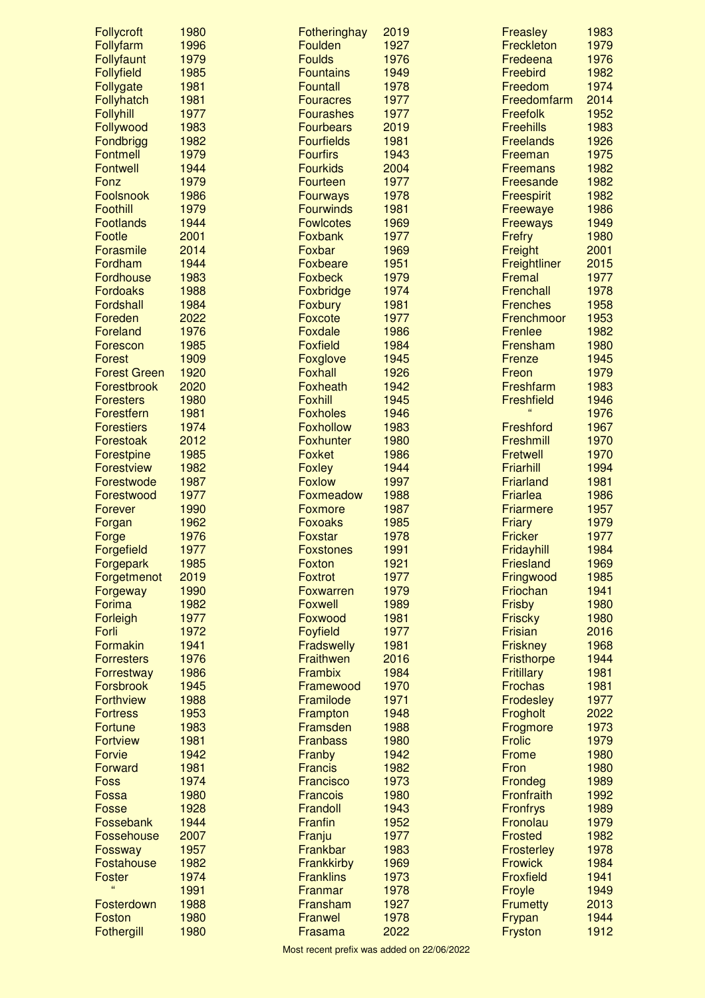| Follycroft              | 1980         | Fotheringhay                     | 2019         | Freasley                     | 1983         |
|-------------------------|--------------|----------------------------------|--------------|------------------------------|--------------|
| Follyfarm               | 1996         | Foulden                          | 1927         | Freckleton                   | 1979         |
| Follyfaunt              | 1979         | <b>Foulds</b>                    | 1976         | Fredeena                     | 1976         |
| <b>Follyfield</b>       | 1985         | <b>Fountains</b>                 | 1949         | Freebird                     | 1982         |
| Follygate               | 1981         | <b>Fountall</b>                  | 1978         | Freedom                      | 1974         |
| Follyhatch              | 1981         | <b>Fouracres</b>                 | 1977         | Freedomfarm                  | 2014         |
| Follyhill               | 1977         | <b>Fourashes</b>                 | 1977         | <b>Freefolk</b>              | 1952         |
| Follywood               | 1983         | <b>Fourbears</b>                 | 2019         | <b>Freehills</b>             | 1983         |
| Fondbrigg               | 1982         | <b>Fourfields</b>                | 1981         | <b>Freelands</b>             | 1926         |
| <b>Fontmell</b>         | 1979         | <b>Fourfirs</b>                  | 1943         | Freeman                      | 1975         |
| <b>Fontwell</b><br>Fonz | 1944<br>1979 | <b>Fourkids</b><br>Fourteen      | 2004<br>1977 | <b>Freemans</b><br>Freesande | 1982<br>1982 |
| Foolsnook               | 1986         | <b>Fourways</b>                  | 1978         | <b>Freespirit</b>            | 1982         |
| Foothill                | 1979         | <b>Fourwinds</b>                 | 1981         | Freewaye                     | 1986         |
| <b>Footlands</b>        | 1944         | <b>Fowlcotes</b>                 | 1969         | <b>Freeways</b>              | 1949         |
| Footle                  | 2001         | Foxbank                          | 1977         | Frefry                       | 1980         |
| Forasmile               | 2014         | Foxbar                           | 1969         | Freight                      | 2001         |
| Fordham                 | 1944         | Foxbeare                         | 1951         | Freightliner                 | 2015         |
| <b>Fordhouse</b>        | 1983         | <b>Foxbeck</b>                   | 1979         | Fremal                       | 1977         |
| <b>Fordoaks</b>         | 1988         | Foxbridge                        | 1974         | Frenchall                    | 1978         |
| Fordshall               | 1984         | Foxbury                          | 1981         | <b>Frenches</b>              | 1958         |
| Foreden                 | 2022         | <b>Foxcote</b>                   | 1977         | Frenchmoor                   | 1953         |
| <b>Foreland</b>         | 1976         | Foxdale                          | 1986         | Frenlee                      | 1982         |
| Forescon                | 1985         | <b>Foxfield</b>                  | 1984         | Frensham                     | 1980         |
| Forest                  | 1909         | Foxglove                         | 1945         | Frenze                       | 1945         |
| <b>Forest Green</b>     | 1920         | <b>Foxhall</b>                   | 1926         | Freon                        | 1979         |
| Forestbrook             | 2020         | Foxheath                         | 1942         | Freshfarm                    | 1983         |
| <b>Foresters</b>        | 1980         | <b>Foxhill</b>                   | 1945         | <b>Freshfield</b>            | 1946         |
| Forestfern              | 1981         | <b>Foxholes</b>                  | 1946         | $\epsilon$                   | 1976         |
| <b>Forestiers</b>       | 1974         | <b>Foxhollow</b>                 | 1983         | Freshford                    | 1967         |
| Forestoak               | 2012         | <b>Foxhunter</b>                 | 1980         | Freshmill                    | 1970         |
| Forestpine              | 1985         | <b>Foxket</b>                    | 1986         | Fretwell                     | 1970         |
| <b>Forestview</b>       | 1982         | <b>Foxley</b>                    | 1944         | Friarhill                    | 1994         |
| Forestwode              | 1987         | <b>Foxlow</b>                    | 1997         | Friarland                    | 1981         |
| Forestwood              | 1977         | Foxmeadow                        | 1988         | Friarlea<br><b>Friarmere</b> | 1986<br>1957 |
| Forever<br>Forgan       | 1990<br>1962 | <b>Foxmore</b><br><b>Foxoaks</b> | 1987<br>1985 | <b>Friary</b>                | 1979         |
| Forge                   | 1976         | <b>Foxstar</b>                   | 1978         | <b>Fricker</b>               | 1977         |
| Forgefield              | 1977         | <b>Foxstones</b>                 | 1991         | Fridayhill                   | 1984         |
| Forgepark               | 1985         | <b>Foxton</b>                    | 1921         | <b>Friesland</b>             | 1969         |
| Forgetmenot             | 2019         | <b>Foxtrot</b>                   | 1977         | Fringwood                    | 1985         |
| Forgeway                | 1990         | <b>Foxwarren</b>                 | 1979         | Friochan                     | 1941         |
| Forima                  | 1982         | <b>Foxwell</b>                   | 1989         | Frisby                       | 1980         |
| Forleigh                | 1977         | Foxwood                          | 1981         | <b>Friscky</b>               | 1980         |
| Forli                   | 1972         | <b>Foyfield</b>                  | 1977         | <b>Frisian</b>               | 2016         |
| Formakin                | 1941         | <b>Fradswelly</b>                | 1981         | <b>Friskney</b>              | 1968         |
| <b>Forresters</b>       | 1976         | Fraithwen                        | 2016         | <b>Fristhorpe</b>            | 1944         |
| Forrestway              | 1986         | Frambix                          | 1984         | <b>Fritillary</b>            | 1981         |
| Forsbrook               | 1945         | Framewood                        | 1970         | <b>Frochas</b>               | 1981         |
| <b>Forthview</b>        | 1988         | Framilode                        | 1971         | <b>Frodesley</b>             | 1977         |
| <b>Fortress</b>         | 1953         | Frampton                         | 1948         | Frogholt                     | 2022         |
| <b>Fortune</b>          | 1983         | Framsden                         | 1988         | Frogmore                     | 1973         |
| <b>Fortview</b>         | 1981         | <b>Franbass</b>                  | 1980         | <b>Frolic</b>                | 1979         |
| Forvie                  | 1942         | Franby                           | 1942         | Frome                        | 1980         |
| <b>Forward</b>          | 1981         | <b>Francis</b>                   | 1982         | Fron                         | 1980         |
| <b>Foss</b>             | 1974<br>1980 | Francisco                        | 1973<br>1980 | Frondeg<br>Fronfraith        | 1989<br>1992 |
| Fossa<br>Fosse          | 1928         | <b>Francois</b><br>Frandoll      | 1943         | <b>Fronfrys</b>              | 1989         |
| Fossebank               | 1944         | <b>Franfin</b>                   | 1952         | Fronolau                     | 1979         |
| Fossehouse              | 2007         | Franju                           | 1977         | <b>Frosted</b>               | 1982         |
| Fossway                 | 1957         | Frankbar                         | 1983         | <b>Frosterley</b>            | 1978         |
| Fostahouse              | 1982         | <b>Frankkirby</b>                | 1969         | <b>Frowick</b>               | 1984         |
| Foster                  | 1974         | <b>Franklins</b>                 | 1973         | <b>Froxfield</b>             | 1941         |
| $\epsilon\epsilon$      | 1991         | Franmar                          | 1978         | Froyle                       | 1949         |
| Fosterdown              | 1988         | Fransham                         | 1927         | <b>Frumetty</b>              | 2013         |
| Foston                  | 1980         | Franwel                          | 1978         | Frypan                       | 1944         |
| Fothergill              | 1980         | Frasama                          | 2022         | Fryston                      | 1912         |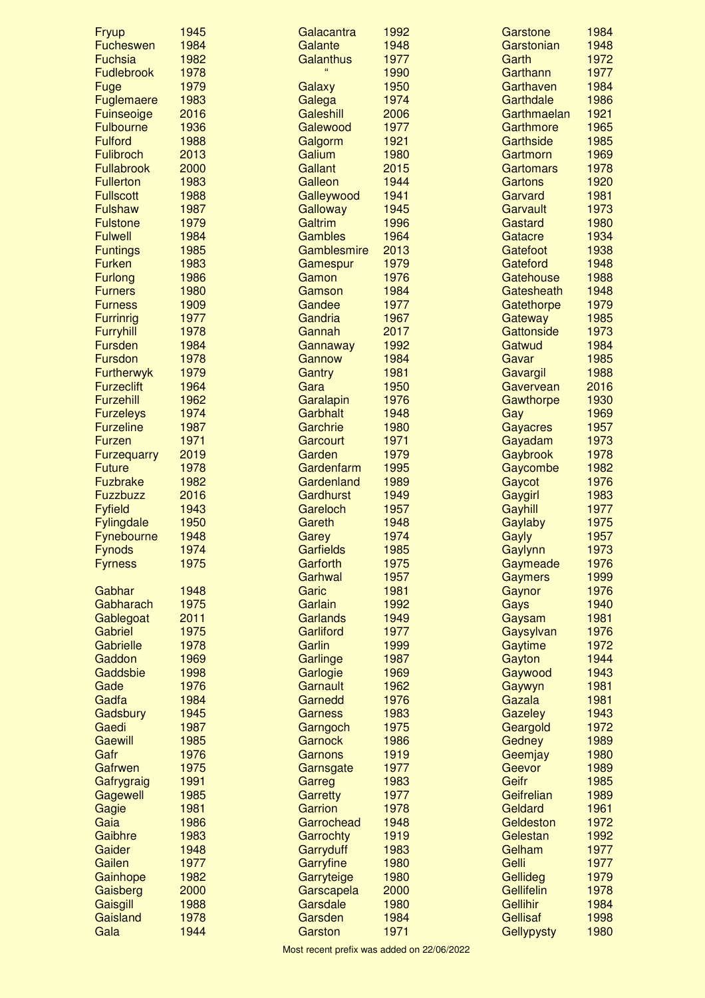| <b>Fryup</b>       | 1945 | Galacantra       | 1992 | Garstone          | 1984 |
|--------------------|------|------------------|------|-------------------|------|
| <b>Fucheswen</b>   | 1984 | Galante          | 1948 | Garstonian        | 1948 |
| <b>Fuchsia</b>     | 1982 | Galanthus        | 1977 | Garth             | 1972 |
| <b>Fudlebrook</b>  | 1978 | $\epsilon$       | 1990 | Garthann          | 1977 |
| Fuge               | 1979 | Galaxy           | 1950 | Garthaven         | 1984 |
| Fuglemaere         | 1983 | Galega           | 1974 | Garthdale         | 1986 |
| Fuinseoige         | 2016 | Galeshill        | 2006 | Garthmaelan       | 1921 |
| <b>Fulbourne</b>   | 1936 | Galewood         | 1977 | Garthmore         | 1965 |
| <b>Fulford</b>     | 1988 | Galgorm          | 1921 | Garthside         | 1985 |
| <b>Fulibroch</b>   | 2013 | Galium           | 1980 | Gartmorn          | 1969 |
| <b>Fullabrook</b>  | 2000 | Gallant          | 2015 | <b>Gartomars</b>  | 1978 |
| <b>Fullerton</b>   | 1983 | Galleon          | 1944 | <b>Gartons</b>    | 1920 |
| <b>Fullscott</b>   | 1988 | Galleywood       | 1941 | Garvard           | 1981 |
| <b>Fulshaw</b>     | 1987 | Galloway         | 1945 | Garvault          | 1973 |
| <b>Fulstone</b>    | 1979 | Galtrim          | 1996 | Gastard           | 1980 |
| <b>Fulwell</b>     | 1984 | <b>Gambles</b>   | 1964 | Gatacre           | 1934 |
| <b>Funtings</b>    | 1985 | Gamblesmire      | 2013 | Gatefoot          | 1938 |
| <b>Furken</b>      | 1983 | Gamespur         | 1979 | Gateford          | 1948 |
| <b>Furlong</b>     | 1986 | Gamon            | 1976 | Gatehouse         | 1988 |
| <b>Furners</b>     | 1980 | Gamson           | 1984 | Gatesheath        | 1948 |
| <b>Furness</b>     | 1909 | Gandee           | 1977 | Gatethorpe        | 1979 |
| <b>Furrinrig</b>   | 1977 | Gandria          | 1967 | Gateway           | 1985 |
| <b>Furryhill</b>   | 1978 | Gannah           | 2017 | Gattonside        | 1973 |
| <b>Fursden</b>     | 1984 | Gannaway         | 1992 | Gatwud            | 1984 |
| Fursdon            | 1978 | Gannow           | 1984 | Gavar             | 1985 |
| <b>Furtherwyk</b>  | 1979 | Gantry           | 1981 | Gavargil          | 1988 |
| <b>Furzeclift</b>  | 1964 | Gara             | 1950 | Gavervean         | 2016 |
| Furzehill          | 1962 | Garalapin        | 1976 | Gawthorpe         | 1930 |
| <b>Furzeleys</b>   | 1974 | Garbhalt         | 1948 | Gay               | 1969 |
| <b>Furzeline</b>   | 1987 | Garchrie         | 1980 | <b>Gayacres</b>   | 1957 |
| <b>Furzen</b>      | 1971 | <b>Garcourt</b>  | 1971 | Gayadam           | 1973 |
| <b>Furzequarry</b> | 2019 | Garden           | 1979 | Gaybrook          | 1978 |
| <b>Future</b>      | 1978 | Gardenfarm       | 1995 | Gaycombe          | 1982 |
| <b>Fuzbrake</b>    | 1982 | Gardenland       | 1989 | Gaycot            | 1976 |
| <b>Fuzzbuzz</b>    | 2016 | Gardhurst        | 1949 | Gaygirl           | 1983 |
| <b>Fyfield</b>     | 1943 | Gareloch         | 1957 | Gayhill           | 1977 |
| <b>Fylingdale</b>  | 1950 | Gareth           | 1948 | Gaylaby           | 1975 |
| Fynebourne         | 1948 | Garey            | 1974 | Gayly             | 1957 |
| <b>Fynods</b>      | 1974 | <b>Garfields</b> | 1985 | Gaylynn           | 1973 |
| <b>Fyrness</b>     | 1975 | Garforth         | 1975 | Gaymeade          | 1976 |
|                    |      | Garhwal          | 1957 | <b>Gaymers</b>    | 1999 |
| Gabhar             | 1948 | Garic            | 1981 | Gaynor            | 1976 |
| Gabharach          | 1975 | Garlain          | 1992 | Gays              | 1940 |
| Gablegoat          | 2011 | <b>Garlands</b>  | 1949 | Gaysam            | 1981 |
| Gabriel            | 1975 | Garliford        | 1977 | Gaysylvan         | 1976 |
| Gabrielle          | 1978 | Garlin           | 1999 | Gaytime           | 1972 |
| Gaddon             | 1969 | Garlinge         | 1987 | Gayton            | 1944 |
| Gaddsbie           | 1998 | Garlogie         | 1969 | Gaywood           | 1943 |
| Gade               | 1976 | Garnault         | 1962 | Gaywyn            | 1981 |
| Gadfa              | 1984 | Garnedd          | 1976 | Gazala            | 1981 |
| Gadsbury           | 1945 | <b>Garness</b>   | 1983 | <b>Gazeley</b>    | 1943 |
| Gaedi              | 1987 | Garngoch         | 1975 | Geargold          | 1972 |
| <b>Gaewill</b>     | 1985 | Garnock          | 1986 | Gedney            | 1989 |
| Gafr               | 1976 | Garnons          | 1919 | Geemjay           | 1980 |
| Gafrwen            | 1975 | Garnsgate        | 1977 | Geevor            | 1989 |
| Gafrygraig         | 1991 | Garreg           | 1983 | Geifr             | 1985 |
| Gagewell           | 1985 | <b>Garretty</b>  | 1977 | Geifrelian        | 1989 |
| Gagie              | 1981 | Garrion          | 1978 | Geldard           | 1961 |
| Gaia               | 1986 | Garrochead       | 1948 | Geldeston         | 1972 |
| Gaibhre            | 1983 | Garrochty        | 1919 | Gelestan          | 1992 |
| Gaider             | 1948 | Garryduff        | 1983 | Gelham            | 1977 |
| Gailen             | 1977 | Garryfine        | 1980 | Gelli             | 1977 |
| Gainhope           | 1982 | Garryteige       | 1980 | Gellideg          | 1979 |
| Gaisberg           | 2000 | Garscapela       | 2000 | <b>Gellifelin</b> | 1978 |
| Gaisgill           | 1988 | Garsdale         | 1980 | <b>Gellihir</b>   | 1984 |
| Gaisland           | 1978 | Garsden          | 1984 | <b>Gellisaf</b>   | 1998 |
| Gala               | 1944 | Garston          | 1971 | Gellypysty        | 1980 |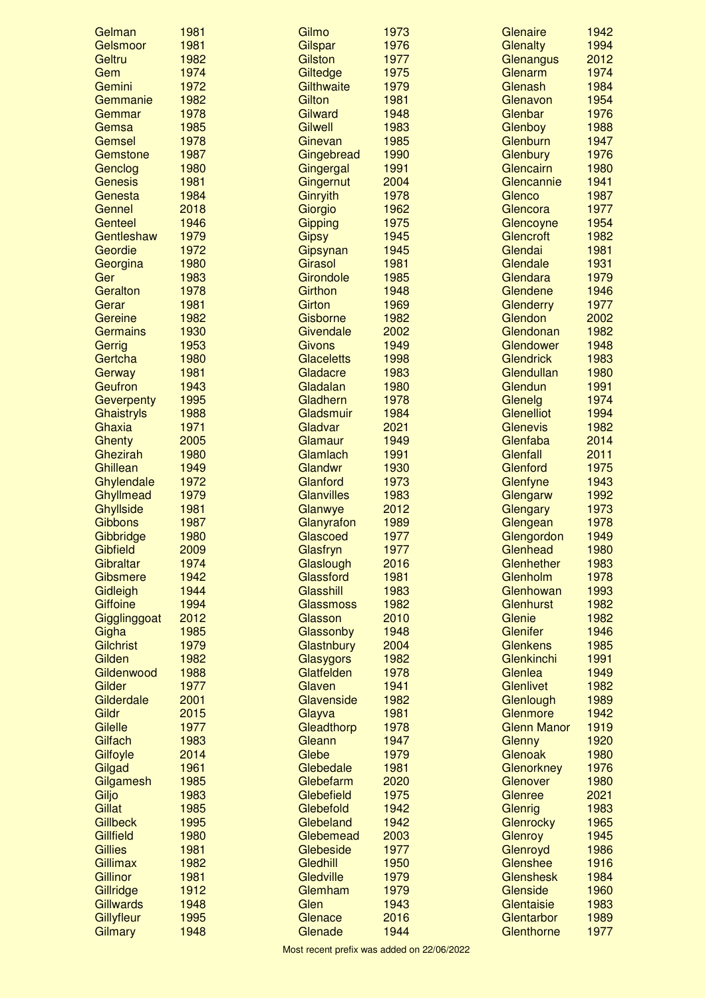| Gelman            | 1981         | Gilmo                         | 1973         | Glenaire                       | 1942         |
|-------------------|--------------|-------------------------------|--------------|--------------------------------|--------------|
| Gelsmoor          | 1981         | Gilspar                       | 1976         | Glenalty                       | 1994         |
| Geltru            | 1982         | <b>Gilston</b>                | 1977         | Glenangus                      | 2012         |
| Gem               | 1974         | Giltedge                      | 1975         | Glenarm                        | 1974         |
| Gemini            | 1972         | Gilthwaite                    | 1979         | Glenash                        | 1984         |
| Gemmanie          | 1982         | Gilton                        | 1981         | Glenavon                       | 1954         |
| Gemmar            | 1978         | Gilward                       | 1948         | Glenbar                        | 1976         |
| Gemsa             | 1985         | <b>Gilwell</b>                | 1983         | Glenboy                        | 1988         |
| Gemsel            | 1978         | Ginevan                       | 1985         | Glenburn                       | 1947         |
| Gemstone          | 1987         | Gingebread                    | 1990         | Glenbury                       | 1976         |
| Genclog           | 1980         | Gingergal                     | 1991         | Glencairn                      | 1980         |
| <b>Genesis</b>    | 1981         | Gingernut                     | 2004         | Glencannie                     | 1941         |
| Genesta           | 1984         | Ginryith                      | 1978         | Glenco                         | 1987         |
| Gennel            | 2018         | Giorgio                       | 1962         | Glencora                       | 1977         |
| Genteel           | 1946         | Gipping                       | 1975         | Glencoyne                      | 1954         |
| Gentleshaw        | 1979         | <b>Gipsy</b>                  | 1945         | Glencroft                      | 1982         |
| Geordie           | 1972         | Gipsynan                      | 1945         | Glendai                        | 1981         |
| Georgina          | 1980         | Girasol                       | 1981         | Glendale                       | 1931<br>1979 |
| Ger<br>Geralton   | 1983         | Girondole<br>Girthon          | 1985         | Glendara<br>Glendene           | 1946         |
|                   | 1978         |                               | 1948         |                                | 1977         |
| Gerar<br>Gereine  | 1981         | <b>Girton</b><br>Gisborne     | 1969         | Glenderry<br>Glendon           |              |
| <b>Germains</b>   | 1982         |                               | 1982<br>2002 |                                | 2002<br>1982 |
|                   | 1930         | Givendale                     | 1949         | Glendonan                      | 1948         |
| Gerrig            | 1953<br>1980 | <b>Givons</b>                 | 1998         | Glendower                      | 1983         |
| Gertcha           | 1981         | <b>Glaceletts</b><br>Gladacre | 1983         | <b>Glendrick</b><br>Glendullan | 1980         |
| Gerway<br>Geufron | 1943         | Gladalan                      | 1980         | Glendun                        | 1991         |
| Geverpenty        | 1995         | Gladhern                      | 1978         | Glenelg                        | 1974         |
| Ghaistryls        | 1988         | Gladsmuir                     | 1984         | <b>Glenelliot</b>              | 1994         |
| Ghaxia            | 1971         | Gladvar                       | 2021         | <b>Glenevis</b>                | 1982         |
| Ghenty            | 2005         | Glamaur                       | 1949         | Glenfaba                       | 2014         |
| Ghezirah          | 1980         | Glamlach                      | 1991         | Glenfall                       | 2011         |
| Ghillean          | 1949         | Glandwr                       | 1930         | Glenford                       | 1975         |
| Ghylendale        | 1972         | Glanford                      | 1973         | Glenfyne                       | 1943         |
| Ghyllmead         | 1979         | <b>Glanvilles</b>             | 1983         | Glengarw                       | 1992         |
| <b>Ghyllside</b>  | 1981         | Glanwye                       | 2012         | Glengary                       | 1973         |
| <b>Gibbons</b>    | 1987         | Glanyrafon                    | 1989         | Glengean                       | 1978         |
| Gibbridge         | 1980         | Glascoed                      | 1977         | Glengordon                     | 1949         |
| Gibfield          | 2009         | Glasfryn                      | 1977         | Glenhead                       | 1980         |
| Gibraltar         | 1974         | Glaslough                     | 2016         | Glenhether                     | 1983         |
| Gibsmere          | 1942         | Glassford                     | 1981         | Glenholm                       | 1978         |
| Gidleigh          | 1944         | Glasshill                     | 1983         | Glenhowan                      | 1993         |
| <b>Giffoine</b>   | 1994         | <b>Glassmoss</b>              | 1982         | Glenhurst                      | 1982         |
| Gigglinggoat      | 2012         | Glasson                       | 2010         | Glenie                         | 1982         |
| Gigha             | 1985         | Glassonby                     | 1948         | Glenifer                       | 1946         |
| <b>Gilchrist</b>  | 1979         | Glastnbury                    | 2004         | <b>Glenkens</b>                | 1985         |
| Gilden            | 1982         | Glasygors                     | 1982         | Glenkinchi                     | 1991         |
| Gildenwood        | 1988         | Glatfelden                    | 1978         | Glenlea                        | 1949         |
| Gilder            | 1977         | Glaven                        | 1941         | <b>Glenlivet</b>               | 1982         |
| Gilderdale        | 2001         | Glavenside                    | 1982         | Glenlough                      | 1989         |
| Gildr             | 2015         | Glayva                        | 1981         | Glenmore                       | 1942         |
| Gilelle           | 1977         | Gleadthorp                    | 1978         | <b>Glenn Manor</b>             | 1919         |
| Gilfach           | 1983         | Gleann                        | 1947         | Glenny                         | 1920         |
| Gilfoyle          | 2014         | Glebe                         | 1979         | Glenoak                        | 1980         |
| Gilgad            | 1961         | Glebedale                     | 1981         | Glenorkney                     | 1976         |
| Gilgamesh         | 1985         | Glebefarm                     | 2020         | Glenover                       | 1980         |
| Giljo             | 1983         | Glebefield                    | 1975         | Glenree                        | 2021         |
| <b>Gillat</b>     | 1985         | Glebefold                     | 1942         | Glenrig                        | 1983         |
| <b>Gillbeck</b>   | 1995         | Glebeland                     | 1942         | Glenrocky                      | 1965         |
| Gillfield         | 1980         | Glebemead                     | 2003         | Glenroy                        | 1945         |
| <b>Gillies</b>    | 1981         | Glebeside                     | 1977         | Glenroyd                       | 1986         |
| Gillimax          | 1982         | Gledhill                      | 1950         | Glenshee                       | 1916         |
| Gillinor          | 1981         | Gledville                     | 1979         | <b>Glenshesk</b>               | 1984         |
| Gillridge         | 1912         | Glemham                       | 1979         | Glenside                       | 1960         |
| <b>Gillwards</b>  | 1948         | Glen                          | 1943         | Glentaisie                     | 1983         |
| Gillyfleur        | 1995         | Glenace                       | 2016         | Glentarbor                     | 1989         |
| Gilmary           | 1948         | Glenade                       | 1944         | Glenthorne                     | 1977         |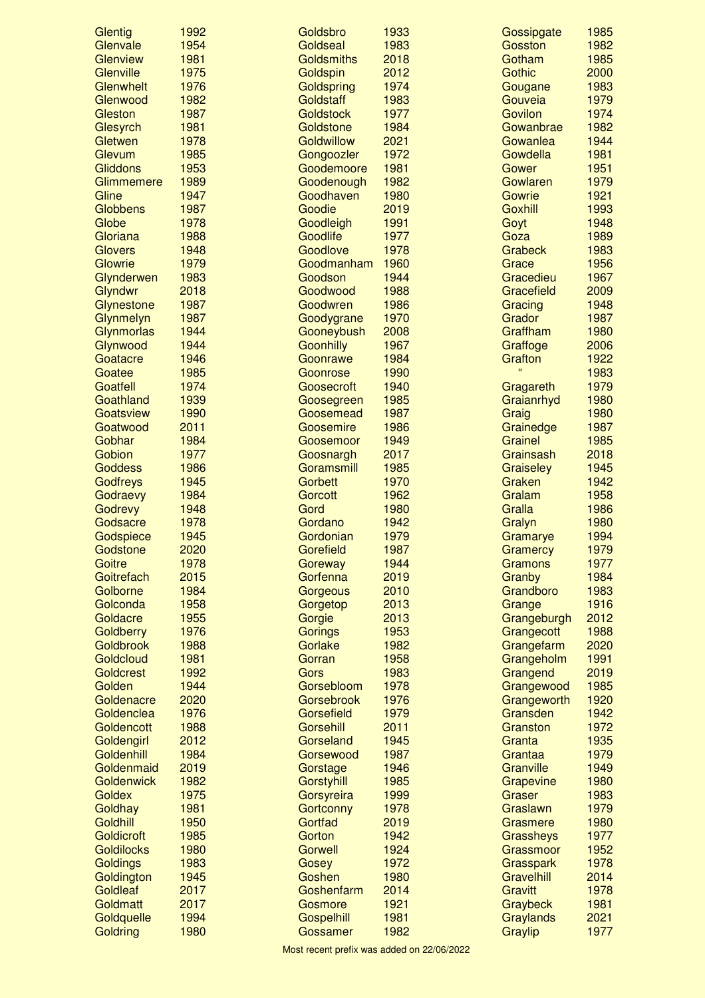| Glentig           | 1992 | Goldsbro          | 1933 | Gossipgate      | 1985 |
|-------------------|------|-------------------|------|-----------------|------|
| Glenvale          | 1954 | Goldseal          | 1983 | Gosston         | 1982 |
| Glenview          | 1981 | Goldsmiths        | 2018 | Gotham          | 1985 |
| Glenville         | 1975 | Goldspin          | 2012 | Gothic          | 2000 |
| Glenwhelt         | 1976 | Goldspring        | 1974 | Gougane         | 1983 |
| Glenwood          | 1982 | Goldstaff         | 1983 | Gouveia         | 1979 |
| Gleston           | 1987 | <b>Goldstock</b>  | 1977 | Govilon         | 1974 |
| Glesyrch          | 1981 | Goldstone         | 1984 | Gowanbrae       | 1982 |
| Gletwen           | 1978 | <b>Goldwillow</b> | 2021 | Gowanlea        | 1944 |
| Glevum            | 1985 | Gongoozler        | 1972 | Gowdella        | 1981 |
| <b>Gliddons</b>   | 1953 | Goodemoore        | 1981 | Gower           | 1951 |
| Glimmemere        | 1989 | Goodenough        | 1982 | Gowlaren        | 1979 |
| Gline             | 1947 | Goodhaven         | 1980 | Gowrie          | 1921 |
| Globbens          | 1987 | Goodie            | 2019 | <b>Goxhill</b>  | 1993 |
| Globe             | 1978 | Goodleigh         | 1991 | Goyt            | 1948 |
| Gloriana          | 1988 | Goodlife          | 1977 | Goza            | 1989 |
| <b>Glovers</b>    | 1948 | Goodlove          | 1978 | <b>Grabeck</b>  | 1983 |
| Glowrie           | 1979 | Goodmanham        | 1960 | Grace           | 1956 |
| Glynderwen        | 1983 | Goodson           | 1944 | Gracedieu       | 1967 |
| Glyndwr           | 2018 | Goodwood          | 1988 | Gracefield      | 2009 |
| Glynestone        | 1987 | Goodwren          | 1986 | Gracing         | 1948 |
| Glynmelyn         | 1987 | Goodygrane        | 1970 | Grador          | 1987 |
| Glynmorlas        | 1944 | Gooneybush        | 2008 | Graffham        | 1980 |
| Glynwood          | 1944 | <b>Goonhilly</b>  | 1967 | Graffoge        | 2006 |
| Goatacre          | 1946 | Goonrawe          | 1984 | Grafton         | 1922 |
| Goatee            | 1985 | Goonrose          | 1990 | $\epsilon$      | 1983 |
| Goatfell          | 1974 | Goosecroft        | 1940 | Gragareth       | 1979 |
| Goathland         | 1939 | Goosegreen        | 1985 | Graianrhyd      | 1980 |
| Goatsview         | 1990 | Goosemead         | 1987 | Graig           | 1980 |
| Goatwood          | 2011 | Goosemire         | 1986 | Grainedge       | 1987 |
| Gobhar            | 1984 | Goosemoor         | 1949 | Grainel         | 1985 |
| Gobion            | 1977 | Goosnargh         | 2017 | Grainsash       | 2018 |
| <b>Goddess</b>    | 1986 | Goramsmill        | 1985 | Graiseley       | 1945 |
| Godfreys          | 1945 | Gorbett           | 1970 | Graken          | 1942 |
| Godraevy          | 1984 | Gorcott           | 1962 | Gralam          | 1958 |
| Godrevy           | 1948 | Gord              | 1980 | Gralla          | 1986 |
| Godsacre          | 1978 | Gordano           | 1942 | Gralyn          | 1980 |
| Godspiece         | 1945 | Gordonian         | 1979 | Gramarye        | 1994 |
| Godstone          | 2020 | Gorefield         | 1987 | <b>Gramercy</b> | 1979 |
| Goitre            | 1978 | Goreway           | 1944 | Gramons         | 1977 |
| Goitrefach        | 2015 | Gorfenna          | 2019 | Granby          | 1984 |
| Golborne          | 1984 | Gorgeous          | 2010 | Grandboro       | 1983 |
| Golconda          | 1958 | Gorgetop          | 2013 | Grange          | 1916 |
| Goldacre          | 1955 | Gorgie            | 2013 | Grangeburgh     | 2012 |
| Goldberry         | 1976 | Gorings           | 1953 | Grangecott      | 1988 |
| Goldbrook         | 1988 | Gorlake           | 1982 | Grangefarm      | 2020 |
| Goldcloud         | 1981 | Gorran            | 1958 | Grangeholm      | 1991 |
| <b>Goldcrest</b>  | 1992 | Gors              | 1983 | Grangend        | 2019 |
| Golden            | 1944 | Gorsebloom        | 1978 | Grangewood      | 1985 |
| Goldenacre        | 2020 | <b>Gorsebrook</b> | 1976 | Grangeworth     | 1920 |
| Goldenclea        | 1976 | Gorsefield        | 1979 | Gransden        | 1942 |
| Goldencott        | 1988 | Gorsehill         | 2011 | Granston        | 1972 |
| Goldengirl        | 2012 | Gorseland         | 1945 | Granta          | 1935 |
| Goldenhill        | 1984 | Gorsewood         | 1987 | Grantaa         | 1979 |
| Goldenmaid        | 2019 | Gorstage          | 1946 | Granville       | 1949 |
| Goldenwick        | 1982 | Gorstyhill        | 1985 | Grapevine       | 1980 |
| Goldex            | 1975 | Gorsyreira        | 1999 | Graser          | 1983 |
| Goldhay           | 1981 | Gortconny         | 1978 | Graslawn        | 1979 |
| Goldhill          | 1950 | Gortfad           | 2019 | Grasmere        | 1980 |
| Goldicroft        | 1985 | Gorton            | 1942 | Grassheys       | 1977 |
| <b>Goldilocks</b> | 1980 | Gorwell           | 1924 | Grassmoor       | 1952 |
| Goldings          | 1983 | Gosey             | 1972 | Grasspark       | 1978 |
| Goldington        | 1945 | Goshen            | 1980 | Gravelhill      | 2014 |
| Goldleaf          | 2017 | Goshenfarm        | 2014 | <b>Gravitt</b>  | 1978 |
| Goldmatt          | 2017 | Gosmore           | 1921 | Graybeck        | 1981 |
| Goldquelle        | 1994 | <b>Gospelhill</b> | 1981 | Graylands       | 2021 |
| Goldring          | 1980 | Gossamer          | 1982 | Graylip         | 1977 |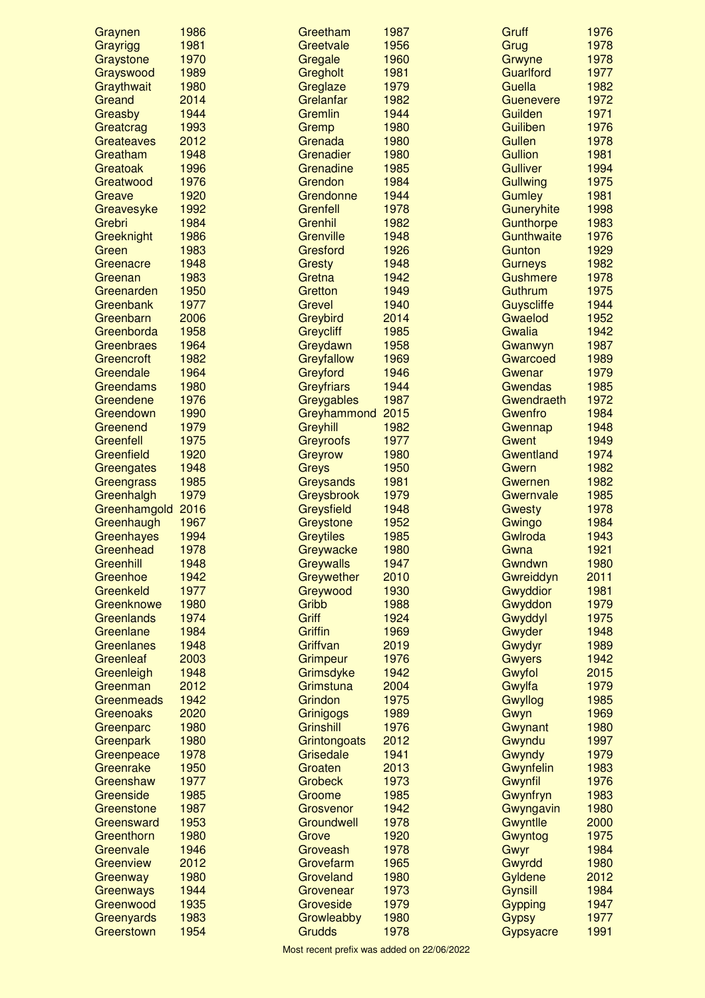| Graynen           | 1986 | Greetham          | 1987 | Gruff             | 1976 |
|-------------------|------|-------------------|------|-------------------|------|
| Grayrigg          | 1981 | Greetvale         | 1956 | Grug              | 1978 |
| Graystone         | 1970 | Gregale           | 1960 | Grwyne            | 1978 |
| Grayswood         | 1989 | Gregholt          | 1981 | Guarlford         | 1977 |
| Graythwait        | 1980 | Greglaze          | 1979 | Guella            | 1982 |
| Greand            | 2014 | Grelanfar         | 1982 | Guenevere         | 1972 |
| Greasby           | 1944 | Gremlin           | 1944 | Guilden           | 1971 |
| Greatcrag         | 1993 | Gremp             | 1980 | <b>Guiliben</b>   | 1976 |
| Greateaves        | 2012 | Grenada           | 1980 | <b>Gullen</b>     | 1978 |
| Greatham          | 1948 | Grenadier         | 1980 | <b>Gullion</b>    | 1981 |
| Greatoak          | 1996 | Grenadine         | 1985 | <b>Gulliver</b>   | 1994 |
| Greatwood         | 1976 | Grendon           | 1984 | Gullwing          | 1975 |
| Greave            | 1920 | Grendonne         | 1944 | <b>Gumley</b>     | 1981 |
| Greavesyke        | 1992 | Grenfell          | 1978 | Guneryhite        | 1998 |
| Grebri            | 1984 | Grenhil           | 1982 | Gunthorpe         | 1983 |
| Greeknight        | 1986 | Grenville         | 1948 | Gunthwaite        | 1976 |
| Green             | 1983 | Gresford          | 1926 | Gunton            | 1929 |
| Greenacre         | 1948 | <b>Gresty</b>     | 1948 | <b>Gurneys</b>    | 1982 |
| Greenan           | 1983 | Gretna            | 1942 | <b>Gushmere</b>   | 1978 |
| Greenarden        | 1950 | Gretton           | 1949 | Guthrum           | 1975 |
| Greenbank         | 1977 | <b>Grevel</b>     | 1940 | <b>Guyscliffe</b> | 1944 |
| Greenbarn         | 2006 | Greybird          | 2014 | Gwaelod           | 1952 |
| Greenborda        | 1958 | <b>Greycliff</b>  | 1985 | Gwalia            | 1942 |
| Greenbraes        | 1964 | Greydawn          | 1958 | Gwanwyn           | 1987 |
| Greencroft        | 1982 | Greyfallow        | 1969 | Gwarcoed          | 1989 |
| Greendale         | 1964 | Greyford          | 1946 | Gwenar            | 1979 |
| Greendams         | 1980 | <b>Greyfriars</b> | 1944 | <b>Gwendas</b>    | 1985 |
| Greendene         | 1976 | Greygables        | 1987 | Gwendraeth        | 1972 |
| Greendown         | 1990 | Greyhammond 2015  |      | Gwenfro           | 1984 |
| Greenend          | 1979 | Greyhill          | 1982 | Gwennap           | 1948 |
| Greenfell         | 1975 | <b>Greyroofs</b>  | 1977 | Gwent             | 1949 |
| Greenfield        | 1920 | Greyrow           | 1980 | Gwentland         | 1974 |
| Greengates        | 1948 | Greys             | 1950 | <b>Gwern</b>      | 1982 |
| Greengrass        | 1985 | Greysands         | 1981 | Gwernen           | 1982 |
| Greenhalgh        | 1979 | Greysbrook        | 1979 | Gwernvale         | 1985 |
| Greenhamgold      | 2016 | Greysfield        | 1948 | <b>Gwesty</b>     | 1978 |
| Greenhaugh        | 1967 | Greystone         | 1952 | Gwingo            | 1984 |
| Greenhayes        | 1994 | <b>Greytiles</b>  | 1985 | Gwlroda           | 1943 |
| Greenhead         | 1978 | Greywacke         | 1980 | Gwna              | 1921 |
| Greenhill         | 1948 | <b>Greywalls</b>  | 1947 | Gwndwn            | 1980 |
| Greenhoe          | 1942 | Greywether        | 2010 | Gwreiddyn         | 2011 |
| Greenkeld         | 1977 | Greywood          | 1930 | Gwyddior          | 1981 |
| Greenknowe        | 1980 | Gribb             | 1988 | Gwyddon           | 1979 |
| Greenlands        | 1974 | Griff             | 1924 | Gwyddyl           | 1975 |
| Greenlane         | 1984 | <b>Griffin</b>    | 1969 | Gwyder            | 1948 |
| <b>Greenlanes</b> | 1948 | Griffvan          | 2019 | Gwydyr            | 1989 |
| Greenleaf         | 2003 | <b>Grimpeur</b>   | 1976 | <b>Gwyers</b>     | 1942 |
| Greenleigh        | 1948 | Grimsdyke         | 1942 | Gwyfol            | 2015 |
| Greenman          | 2012 | Grimstuna         | 2004 | Gwylfa            | 1979 |
| Greenmeads        | 1942 | Grindon           | 1975 | Gwyllog           | 1985 |
| Greenoaks         | 2020 | Grinigogs         | 1989 | Gwyn              | 1969 |
| Greenparc         | 1980 | Grinshill         | 1976 | Gwynant           | 1980 |
| Greenpark         | 1980 | Grintongoats      | 2012 | Gwyndu            | 1997 |
| Greenpeace        | 1978 | Grisedale         | 1941 | Gwyndy            | 1979 |
| Greenrake         | 1950 | Groaten           | 2013 | Gwynfelin         | 1983 |
| Greenshaw         | 1977 | <b>Grobeck</b>    | 1973 | Gwynfil           | 1976 |
| Greenside         | 1985 | Groome            | 1985 | Gwynfryn          | 1983 |
| Greenstone        | 1987 | Grosvenor         | 1942 | Gwyngavin         | 1980 |
| Greensward        | 1953 | Groundwell        | 1978 | Gwyntlle          | 2000 |
| Greenthorn        | 1980 | <b>Grove</b>      | 1920 | Gwyntog           | 1975 |
| Greenvale         | 1946 | Groveash          | 1978 | Gwyr              | 1984 |
| Greenview         | 2012 | Grovefarm         | 1965 | Gwyrdd            | 1980 |
| Greenway          | 1980 | Groveland         | 1980 | Gyldene           | 2012 |
| Greenways         | 1944 | Grovenear         | 1973 | Gynsill           | 1984 |
| Greenwood         | 1935 | Groveside         | 1979 | Gypping           | 1947 |
| Greenyards        | 1983 | Growleabby        | 1980 | <b>Gypsy</b>      | 1977 |
| Greerstown        | 1954 | Grudds            | 1978 | Gypsyacre         | 1991 |
|                   |      |                   |      |                   |      |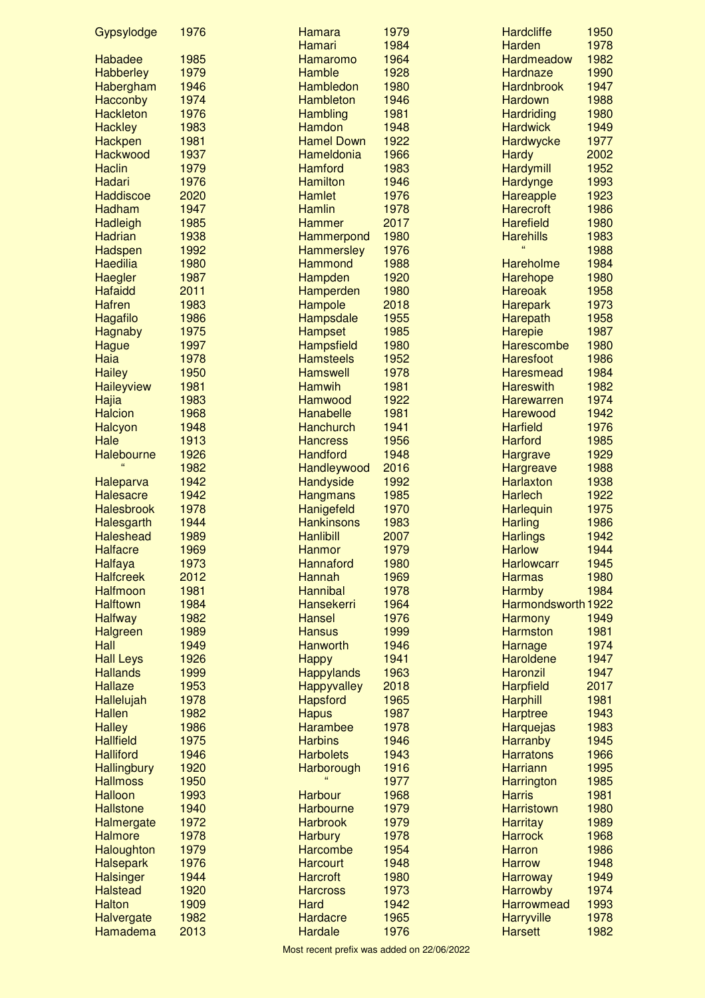| Gypsylodge         | 1976 | Hamara             | 1979 | <b>Hardcliffe</b>  | 1950 |
|--------------------|------|--------------------|------|--------------------|------|
|                    |      | <b>Hamari</b>      | 1984 | <b>Harden</b>      | 1978 |
| Habadee            | 1985 | Hamaromo           | 1964 | Hardmeadow         | 1982 |
| <b>Habberley</b>   | 1979 | Hamble             | 1928 | Hardnaze           | 1990 |
| Habergham          | 1946 | Hambledon          | 1980 | <b>Hardnbrook</b>  | 1947 |
| Hacconby           | 1974 | <b>Hambleton</b>   | 1946 | <b>Hardown</b>     | 1988 |
| <b>Hackleton</b>   | 1976 | <b>Hambling</b>    | 1981 | <b>Hardriding</b>  | 1980 |
| <b>Hackley</b>     | 1983 | <b>Hamdon</b>      | 1948 | <b>Hardwick</b>    | 1949 |
| Hackpen            | 1981 | <b>Hamel Down</b>  | 1922 | Hardwycke          | 1977 |
| <b>Hackwood</b>    | 1937 | Hameldonia         | 1966 | <b>Hardy</b>       | 2002 |
| <b>Haclin</b>      | 1979 | <b>Hamford</b>     | 1983 | <b>Hardymill</b>   | 1952 |
| Hadari             | 1976 | <b>Hamilton</b>    | 1946 | Hardynge           | 1993 |
| <b>Haddiscoe</b>   | 2020 | <b>Hamlet</b>      | 1976 | Hareapple          | 1923 |
| <b>Hadham</b>      | 1947 | <b>Hamlin</b>      | 1978 | <b>Harecroft</b>   | 1986 |
| <b>Hadleigh</b>    | 1985 | <b>Hammer</b>      | 2017 | <b>Harefield</b>   | 1980 |
| <b>Hadrian</b>     | 1938 | Hammerpond         | 1980 | <b>Harehills</b>   | 1983 |
| Hadspen            | 1992 | <b>Hammersley</b>  | 1976 |                    | 1988 |
| <b>Haedilia</b>    | 1980 | <b>Hammond</b>     | 1988 | <b>Hareholme</b>   | 1984 |
| Haegler            | 1987 | Hampden            | 1920 | Harehope           | 1980 |
| <b>Hafaidd</b>     | 2011 | Hamperden          | 1980 | <b>Hareoak</b>     | 1958 |
| <b>Hafren</b>      | 1983 | Hampole            | 2018 | <b>Harepark</b>    | 1973 |
| <b>Hagafilo</b>    | 1986 | Hampsdale          | 1955 | Harepath           | 1958 |
| <b>Hagnaby</b>     | 1975 | <b>Hampset</b>     | 1985 | <b>Harepie</b>     | 1987 |
| <b>Hague</b>       | 1997 | <b>Hampsfield</b>  | 1980 | <b>Harescombe</b>  | 1980 |
| Haia               | 1978 | <b>Hamsteels</b>   | 1952 | <b>Haresfoot</b>   | 1986 |
| <b>Hailey</b>      | 1950 | <b>Hamswell</b>    | 1978 | <b>Haresmead</b>   | 1984 |
| <b>Haileyview</b>  | 1981 | <b>Hamwih</b>      | 1981 | <b>Hareswith</b>   | 1982 |
| Hajia              | 1983 | Hamwood            | 1922 | <b>Harewarren</b>  | 1974 |
|                    | 1968 | <b>Hanabelle</b>   | 1981 | Harewood           | 1942 |
| <b>Halcion</b>     |      |                    | 1941 |                    | 1976 |
| <b>Halcyon</b>     | 1948 | <b>Hanchurch</b>   |      | <b>Harfield</b>    |      |
| Hale               | 1913 | <b>Hancress</b>    | 1956 | <b>Harford</b>     | 1985 |
| Halebourne<br>66   | 1926 | <b>Handford</b>    | 1948 | <b>Hargrave</b>    | 1929 |
|                    | 1982 | Handleywood        | 2016 | <b>Hargreave</b>   | 1988 |
| <b>Haleparva</b>   | 1942 | <b>Handyside</b>   | 1992 | <b>Harlaxton</b>   | 1938 |
| <b>Halesacre</b>   | 1942 | <b>Hangmans</b>    | 1985 | <b>Harlech</b>     | 1922 |
| <b>Halesbrook</b>  | 1978 | Hanigefeld         | 1970 | Harlequin          | 1975 |
| Halesgarth         | 1944 | <b>Hankinsons</b>  | 1983 | <b>Harling</b>     | 1986 |
| <b>Haleshead</b>   | 1989 | <b>Hanlibill</b>   | 2007 | <b>Harlings</b>    | 1942 |
| <b>Halfacre</b>    | 1969 | <b>Hanmor</b>      | 1979 | <b>Harlow</b>      | 1944 |
| <b>Halfaya</b>     | 1973 | Hannaford          | 1980 | <b>Harlowcarr</b>  | 1945 |
| <b>Halfcreek</b>   | 2012 | Hannah             | 1969 | <b>Harmas</b>      | 1980 |
| <b>Halfmoon</b>    | 1981 | <b>Hannibal</b>    | 1978 | <b>Harmby</b>      | 1984 |
| <b>Halftown</b>    | 1984 | <b>Hansekerri</b>  | 1964 | Harmondsworth 1922 |      |
| <b>Halfway</b>     | 1982 | <b>Hansel</b>      | 1976 | <b>Harmony</b>     | 1949 |
| <b>Halgreen</b>    | 1989 | <b>Hansus</b>      | 1999 | <b>Harmston</b>    | 1981 |
| Hall               | 1949 | <b>Hanworth</b>    | 1946 | Harnage            | 1974 |
| <b>Hall Leys</b>   | 1926 | <b>Happy</b>       | 1941 | <b>Haroldene</b>   | 1947 |
| <b>Hallands</b>    | 1999 | <b>Happylands</b>  | 1963 | <b>Haronzil</b>    | 1947 |
| <b>Hallaze</b>     | 1953 | <b>Happyvalley</b> | 2018 | <b>Harpfield</b>   | 2017 |
| Hallelujah         | 1978 | <b>Hapsford</b>    | 1965 | <b>Harphill</b>    | 1981 |
| <b>Hallen</b>      | 1982 | <b>Hapus</b>       | 1987 | <b>Harptree</b>    | 1943 |
| <b>Halley</b>      | 1986 | <b>Harambee</b>    | 1978 | <b>Harquejas</b>   | 1983 |
| <b>Hallfield</b>   | 1975 | <b>Harbins</b>     | 1946 | <b>Harranby</b>    | 1945 |
| <b>Halliford</b>   | 1946 | <b>Harbolets</b>   | 1943 | <b>Harratons</b>   | 1966 |
| <b>Hallingbury</b> | 1920 | Harborough         | 1916 | <b>Harriann</b>    | 1995 |
| <b>Hallmoss</b>    | 1950 |                    | 1977 | <b>Harrington</b>  | 1985 |
| <b>Halloon</b>     | 1993 | <b>Harbour</b>     | 1968 | <b>Harris</b>      | 1981 |
| <b>Hallstone</b>   | 1940 | <b>Harbourne</b>   | 1979 | <b>Harristown</b>  | 1980 |
| Halmergate         | 1972 | <b>Harbrook</b>    | 1979 | <b>Harritay</b>    | 1989 |
| <b>Halmore</b>     | 1978 | <b>Harbury</b>     | 1978 | <b>Harrock</b>     | 1968 |
| Haloughton         | 1979 | <b>Harcombe</b>    | 1954 | <b>Harron</b>      | 1986 |
| <b>Halsepark</b>   | 1976 | <b>Harcourt</b>    | 1948 | <b>Harrow</b>      | 1948 |
| <b>Halsinger</b>   | 1944 | <b>Harcroft</b>    | 1980 | <b>Harroway</b>    | 1949 |
| <b>Halstead</b>    | 1920 | <b>Harcross</b>    | 1973 | <b>Harrowby</b>    | 1974 |
| <b>Halton</b>      | 1909 | <b>Hard</b>        | 1942 | <b>Harrowmead</b>  | 1993 |
| <b>Halvergate</b>  | 1982 | Hardacre           | 1965 | <b>Harryville</b>  | 1978 |
| Hamadema           | 2013 | <b>Hardale</b>     | 1976 | <b>Harsett</b>     | 1982 |
|                    |      |                    |      |                    |      |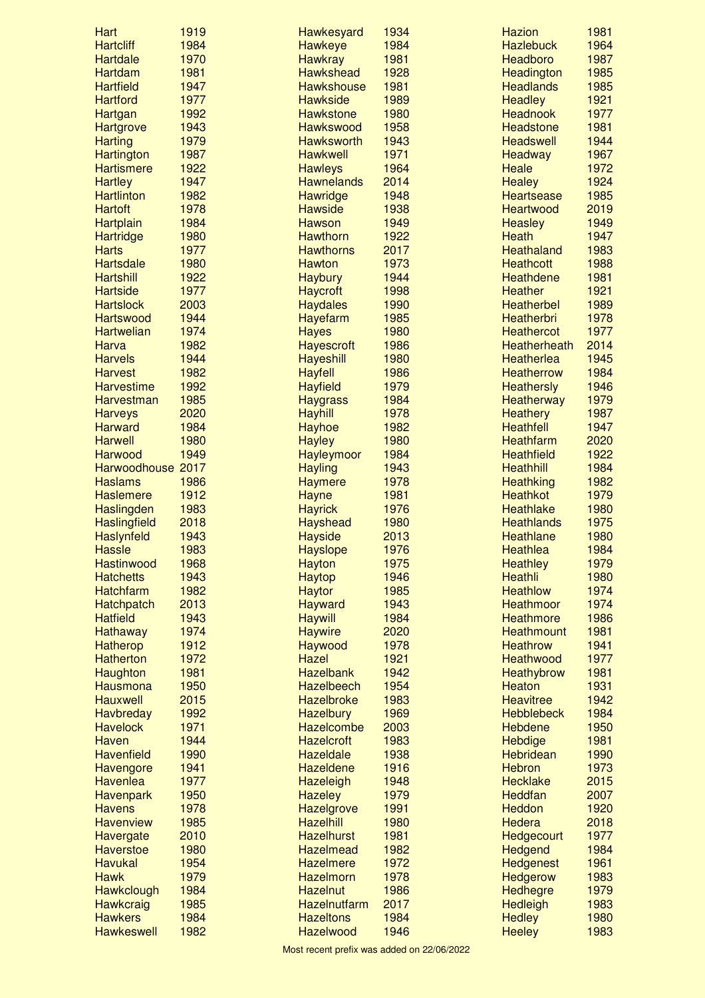| Hart                | 1919 | Hawkesyard        | 1934 | <b>Hazion</b>       | 1981 |
|---------------------|------|-------------------|------|---------------------|------|
| <b>Hartcliff</b>    | 1984 | <b>Hawkeye</b>    | 1984 | <b>Hazlebuck</b>    | 1964 |
| <b>Hartdale</b>     | 1970 | <b>Hawkray</b>    | 1981 | Headboro            | 1987 |
| <b>Hartdam</b>      | 1981 | <b>Hawkshead</b>  | 1928 | Headington          | 1985 |
| <b>Hartfield</b>    | 1947 | <b>Hawkshouse</b> | 1981 | <b>Headlands</b>    | 1985 |
| <b>Hartford</b>     | 1977 | <b>Hawkside</b>   | 1989 | <b>Headley</b>      | 1921 |
| <b>Hartgan</b>      | 1992 | <b>Hawkstone</b>  | 1980 | <b>Headnook</b>     | 1977 |
| <b>Hartgrove</b>    | 1943 | <b>Hawkswood</b>  | 1958 | <b>Headstone</b>    | 1981 |
| <b>Harting</b>      | 1979 | <b>Hawksworth</b> | 1943 | <b>Headswell</b>    | 1944 |
| <b>Hartington</b>   | 1987 | <b>Hawkwell</b>   | 1971 | <b>Headway</b>      | 1967 |
| <b>Hartismere</b>   | 1922 | <b>Hawleys</b>    | 1964 | <b>Heale</b>        | 1972 |
| <b>Hartley</b>      | 1947 | <b>Hawnelands</b> | 2014 | <b>Healey</b>       | 1924 |
| <b>Hartlinton</b>   | 1982 | Hawridge          | 1948 | <b>Heartsease</b>   | 1985 |
| <b>Hartoft</b>      | 1978 | <b>Hawside</b>    | 1938 | <b>Heartwood</b>    | 2019 |
| Hartplain           | 1984 | <b>Hawson</b>     | 1949 | <b>Heasley</b>      | 1949 |
| <b>Hartridge</b>    | 1980 | <b>Hawthorn</b>   | 1922 | Heath               | 1947 |
| <b>Harts</b>        | 1977 | <b>Hawthorns</b>  | 2017 | <b>Heathaland</b>   | 1983 |
| <b>Hartsdale</b>    | 1980 | <b>Hawton</b>     | 1973 | <b>Heathcott</b>    | 1988 |
| <b>Hartshill</b>    | 1922 | <b>Haybury</b>    | 1944 | <b>Heathdene</b>    | 1981 |
| <b>Hartside</b>     | 1977 | <b>Haycroft</b>   | 1998 | <b>Heather</b>      | 1921 |
| <b>Hartslock</b>    | 2003 | <b>Haydales</b>   | 1990 | <b>Heatherbel</b>   | 1989 |
| <b>Hartswood</b>    | 1944 | Hayefarm          | 1985 | <b>Heatherbri</b>   | 1978 |
| <b>Hartwelian</b>   | 1974 | <b>Hayes</b>      | 1980 | <b>Heathercot</b>   | 1977 |
| Harva               | 1982 | <b>Hayescroft</b> | 1986 | <b>Heatherheath</b> | 2014 |
| <b>Harvels</b>      | 1944 | <b>Hayeshill</b>  | 1980 | <b>Heatherlea</b>   | 1945 |
| <b>Harvest</b>      | 1982 | <b>Hayfell</b>    | 1986 | <b>Heatherrow</b>   | 1984 |
| <b>Harvestime</b>   | 1992 | <b>Hayfield</b>   | 1979 | <b>Heathersly</b>   | 1946 |
|                     | 1985 |                   | 1984 |                     | 1979 |
| Harvestman          |      | <b>Haygrass</b>   |      | <b>Heatherway</b>   |      |
| <b>Harveys</b>      | 2020 | <b>Hayhill</b>    | 1978 | <b>Heathery</b>     | 1987 |
| <b>Harward</b>      | 1984 | Hayhoe            | 1982 | <b>Heathfell</b>    | 1947 |
| <b>Harwell</b>      | 1980 | <b>Hayley</b>     | 1980 | <b>Heathfarm</b>    | 2020 |
| Harwood             | 1949 | Hayleymoor        | 1984 | <b>Heathfield</b>   | 1922 |
| Harwoodhouse 2017   |      | <b>Hayling</b>    | 1943 | <b>Heathhill</b>    | 1984 |
| <b>Haslams</b>      | 1986 | <b>Haymere</b>    | 1978 | <b>Heathking</b>    | 1982 |
| <b>Haslemere</b>    | 1912 | <b>Hayne</b>      | 1981 | <b>Heathkot</b>     | 1979 |
| Haslingden          | 1983 | <b>Hayrick</b>    | 1976 | <b>Heathlake</b>    | 1980 |
| <b>Haslingfield</b> | 2018 | <b>Hayshead</b>   | 1980 | <b>Heathlands</b>   | 1975 |
| Haslynfeld          | 1943 | <b>Hayside</b>    | 2013 | Heathlane           | 1980 |
| <b>Hassle</b>       | 1983 | <b>Hayslope</b>   | 1976 | <b>Heathlea</b>     | 1984 |
| Hastinwood          | 1968 | Hayton            | 1975 | <b>Heathley</b>     | 1979 |
| <b>Hatchetts</b>    | 1943 | Haytop            | 1946 | <b>Heathli</b>      | 1980 |
| <b>Hatchfarm</b>    | 1982 | <b>Haytor</b>     | 1985 | <b>Heathlow</b>     | 1974 |
| <b>Hatchpatch</b>   | 2013 | <b>Hayward</b>    | 1943 | Heathmoor           | 1974 |
| <b>Hatfield</b>     | 1943 | <b>Haywill</b>    | 1984 | <b>Heathmore</b>    | 1986 |
| Hathaway            | 1974 | <b>Haywire</b>    | 2020 | <b>Heathmount</b>   | 1981 |
| <b>Hatherop</b>     | 1912 | Haywood           | 1978 | <b>Heathrow</b>     | 1941 |
| <b>Hatherton</b>    | 1972 | <b>Hazel</b>      | 1921 | Heathwood           | 1977 |
| Haughton            | 1981 | <b>Hazelbank</b>  | 1942 | Heathybrow          | 1981 |
| Hausmona            | 1950 | Hazelbeech        | 1954 | <b>Heaton</b>       | 1931 |
| <b>Hauxwell</b>     | 2015 | <b>Hazelbroke</b> | 1983 | <b>Heavitree</b>    | 1942 |
| <b>Havbreday</b>    | 1992 | <b>Hazelbury</b>  | 1969 | <b>Hebblebeck</b>   | 1984 |
| <b>Havelock</b>     | 1971 | <b>Hazelcombe</b> | 2003 | <b>Hebdene</b>      | 1950 |
| Haven               | 1944 | <b>Hazelcroft</b> | 1983 | <b>Hebdige</b>      | 1981 |
| <b>Havenfield</b>   | 1990 | <b>Hazeldale</b>  | 1938 | Hebridean           | 1990 |
| Havengore           | 1941 | <b>Hazeldene</b>  | 1916 | <b>Hebron</b>       | 1973 |
| Havenlea            | 1977 | <b>Hazeleigh</b>  | 1948 | <b>Hecklake</b>     | 2015 |
|                     | 1950 |                   | 1979 | <b>Heddfan</b>      | 2007 |
| <b>Havenpark</b>    |      | <b>Hazeley</b>    |      |                     |      |
| <b>Havens</b>       | 1978 | Hazelgrove        | 1991 | <b>Heddon</b>       | 1920 |
| <b>Havenview</b>    | 1985 | <b>Hazelhill</b>  | 1980 | Hedera              | 2018 |
| Havergate           | 2010 | <b>Hazelhurst</b> | 1981 | Hedgecourt          | 1977 |
| <b>Haverstoe</b>    | 1980 | <b>Hazelmead</b>  | 1982 | Hedgend             | 1984 |
| <b>Havukal</b>      | 1954 | <b>Hazelmere</b>  | 1972 | <b>Hedgenest</b>    | 1961 |
| <b>Hawk</b>         | 1979 | <b>Hazelmorn</b>  | 1978 | <b>Hedgerow</b>     | 1983 |
| Hawkclough          | 1984 | <b>Hazelnut</b>   | 1986 | <b>Hedhegre</b>     | 1979 |
| Hawkcraig           | 1985 | Hazelnutfarm      | 2017 | <b>Hedleigh</b>     | 1983 |
| <b>Hawkers</b>      | 1984 | <b>Hazeltons</b>  | 1984 | <b>Hedley</b>       | 1980 |
| <b>Hawkeswell</b>   | 1982 | <b>Hazelwood</b>  | 1946 | <b>Heeley</b>       | 1983 |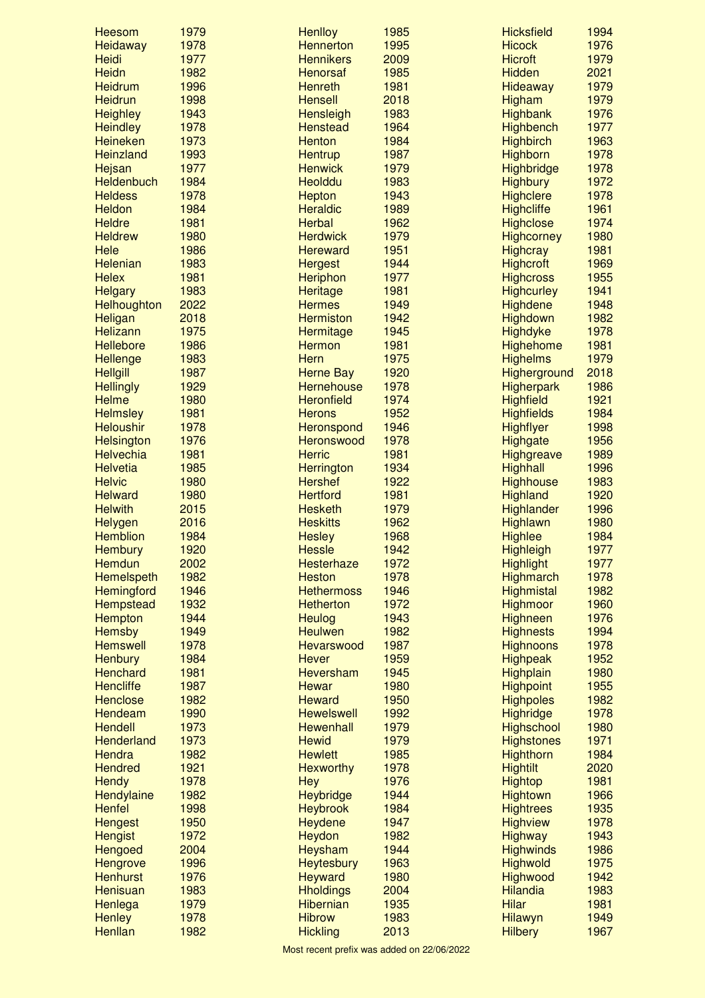| <b>Heesom</b>                   | 1979         | <b>Henlloy</b>                    | 1985         | <b>Hicksfield</b>                   | 1994         |
|---------------------------------|--------------|-----------------------------------|--------------|-------------------------------------|--------------|
| Heidaway                        | 1978         | <b>Hennerton</b>                  | 1995         | <b>Hicock</b>                       | 1976         |
| Heidi                           | 1977         | <b>Hennikers</b>                  | 2009         | <b>Hicroft</b>                      | 1979         |
| <b>Heidn</b>                    | 1982         | <b>Henorsaf</b>                   | 1985         | <b>Hidden</b>                       | 2021         |
| <b>Heidrum</b>                  | 1996         | <b>Henreth</b>                    | 1981         | Hideaway                            | 1979         |
| <b>Heidrun</b>                  | 1998         | <b>Hensell</b>                    | 2018         | Higham                              | 1979         |
| <b>Heighley</b>                 | 1943         | Hensleigh                         | 1983         | <b>Highbank</b>                     | 1976         |
| <b>Heindley</b>                 | 1978         | <b>Henstead</b>                   | 1964         | <b>Highbench</b>                    | 1977         |
| <b>Heineken</b>                 | 1973         | <b>Henton</b>                     | 1984         | <b>Highbirch</b>                    | 1963         |
| Heinzland                       | 1993         | <b>Hentrup</b>                    | 1987         | Highborn                            | 1978         |
| Hejsan                          | 1977         | <b>Henwick</b>                    | 1979         | <b>Highbridge</b>                   | 1978         |
| Heldenbuch                      | 1984         | <b>Heolddu</b>                    | 1983         | <b>Highbury</b>                     | 1972         |
| <b>Heldess</b>                  | 1978         | <b>Hepton</b>                     | 1943         | <b>Highclere</b>                    | 1978         |
| <b>Heldon</b>                   | 1984         | <b>Heraldic</b>                   | 1989         | <b>Highcliffe</b>                   | 1961         |
| <b>Heldre</b>                   | 1981         | <b>Herbal</b>                     | 1962         | <b>Highclose</b>                    | 1974         |
| <b>Heldrew</b><br>Hele          | 1980<br>1986 | <b>Herdwick</b>                   | 1979<br>1951 | <b>Highcorney</b>                   | 1980<br>1981 |
| <b>Helenian</b>                 | 1983         | <b>Hereward</b>                   | 1944         | <b>Highcray</b><br><b>Highcroft</b> | 1969         |
| <b>Helex</b>                    | 1981         | <b>Hergest</b><br><b>Heriphon</b> | 1977         | <b>Highcross</b>                    | 1955         |
| <b>Helgary</b>                  | 1983         | <b>Heritage</b>                   | 1981         | <b>Highcurley</b>                   | 1941         |
| Helhoughton                     | 2022         | <b>Hermes</b>                     | 1949         | <b>Highdene</b>                     | 1948         |
| Heligan                         | 2018         | <b>Hermiston</b>                  | 1942         | Highdown                            | 1982         |
| Helizann                        | 1975         | Hermitage                         | 1945         | <b>Highdyke</b>                     | 1978         |
| <b>Hellebore</b>                | 1986         | <b>Hermon</b>                     | 1981         | <b>Highehome</b>                    | 1981         |
| <b>Hellenge</b>                 | 1983         | <b>Hern</b>                       | 1975         | <b>Highelms</b>                     | 1979         |
| <b>Hellgill</b>                 | 1987         | <b>Herne Bay</b>                  | 1920         | Higherground                        | 2018         |
| <b>Hellingly</b>                | 1929         | <b>Hernehouse</b>                 | 1978         | <b>Higherpark</b>                   | 1986         |
| <b>Helme</b>                    | 1980         | <b>Heronfield</b>                 | 1974         | <b>Highfield</b>                    | 1921         |
| <b>Helmsley</b>                 | 1981         | <b>Herons</b>                     | 1952         | <b>Highfields</b>                   | 1984         |
| <b>Heloushir</b>                | 1978         | Heronspond                        | 1946         | <b>Highflyer</b>                    | 1998         |
| <b>Helsington</b>               | 1976         | <b>Heronswood</b>                 | 1978         | <b>Highgate</b>                     | 1956         |
| <b>Helvechia</b>                | 1981         | <b>Herric</b>                     | 1981         | <b>Highgreave</b>                   | 1989         |
| <b>Helvetia</b>                 | 1985         | <b>Herrington</b>                 | 1934         | <b>Highhall</b>                     | 1996         |
| <b>Helvic</b>                   | 1980         | <b>Hershef</b>                    | 1922         | <b>Highhouse</b>                    | 1983         |
| <b>Helward</b>                  | 1980         | <b>Hertford</b>                   | 1981         | <b>Highland</b>                     | 1920         |
| <b>Helwith</b>                  | 2015         | <b>Hesketh</b>                    | 1979         | <b>Highlander</b>                   | 1996         |
| <b>Helygen</b>                  | 2016         | <b>Heskitts</b>                   | 1962         | <b>Highlawn</b>                     | 1980         |
| <b>Hemblion</b>                 | 1984         | <b>Hesley</b>                     | 1968         | <b>Highlee</b>                      | 1984         |
| <b>Hembury</b>                  | 1920         | <b>Hessle</b>                     | 1942         | <b>Highleigh</b>                    | 1977         |
| Hemdun                          | 2002         | <b>Hesterhaze</b>                 | 1972         | <b>Highlight</b>                    | 1977         |
| <b>Hemelspeth</b>               | 1982         | <b>Heston</b>                     | 1978         | <b>Highmarch</b>                    | 1978         |
| Hemingford                      | 1946         | <b>Hethermoss</b>                 | 1946         | Highmistal                          | 1982         |
| <b>Hempstead</b>                | 1932         | <b>Hetherton</b>                  | 1972         | <b>Highmoor</b>                     | 1960         |
| Hempton                         | 1944         | <b>Heulog</b>                     | 1943         | <b>Highneen</b>                     | 1976         |
| <b>Hemsby</b>                   | 1949         | <b>Heulwen</b>                    | 1982         | <b>Highnests</b>                    | 1994         |
| <b>Hemswell</b>                 | 1978         | Hevarswood                        | 1987         | <b>Highnoons</b>                    | 1978         |
| <b>Henbury</b>                  | 1984         | <b>Hever</b>                      | 1959         | <b>Highpeak</b>                     | 1952         |
| <b>Henchard</b>                 | 1981         | Heversham                         | 1945         | <b>Highplain</b>                    | 1980         |
| <b>Hencliffe</b>                | 1987         | <b>Hewar</b>                      | 1980         | <b>Highpoint</b>                    | 1955         |
| <b>Henclose</b>                 | 1982         | <b>Heward</b>                     | 1950         | <b>Highpoles</b>                    | 1982         |
| Hendeam                         | 1990         | <b>Hewelswell</b>                 | 1992         | Highridge                           | 1978         |
| <b>Hendell</b>                  | 1973         | <b>Hewenhall</b>                  | 1979         | <b>Highschool</b>                   | 1980         |
| <b>Henderland</b>               | 1973         | <b>Hewid</b>                      | 1979         | <b>Highstones</b>                   | 1971         |
| <b>Hendra</b><br><b>Hendred</b> | 1982<br>1921 | <b>Hewlett</b>                    | 1985<br>1978 | Highthorn                           | 1984<br>2020 |
| <b>Hendy</b>                    | 1978         | <b>Hexworthy</b><br><b>Hey</b>    | 1976         | <b>Hightilt</b><br><b>Hightop</b>   | 1981         |
| Hendylaine                      | 1982         | <b>Heybridge</b>                  | 1944         | <b>Hightown</b>                     | 1966         |
| <b>Henfel</b>                   | 1998         | <b>Heybrook</b>                   | 1984         | <b>Hightrees</b>                    | 1935         |
| <b>Hengest</b>                  | 1950         | <b>Heydene</b>                    | 1947         | <b>Highview</b>                     | 1978         |
| <b>Hengist</b>                  | 1972         | Heydon                            | 1982         | <b>Highway</b>                      | 1943         |
| <b>Hengoed</b>                  | 2004         | Heysham                           | 1944         | <b>Highwinds</b>                    | 1986         |
| <b>Hengrove</b>                 | 1996         | <b>Heytesbury</b>                 | 1963         | <b>Highwold</b>                     | 1975         |
| <b>Henhurst</b>                 | 1976         | <b>Heyward</b>                    | 1980         | Highwood                            | 1942         |
| Henisuan                        | 1983         | <b>Hholdings</b>                  | 2004         | <b>Hilandia</b>                     | 1983         |
| Henlega                         | 1979         | <b>Hibernian</b>                  | 1935         | <b>Hilar</b>                        | 1981         |
| <b>Henley</b>                   | 1978         | <b>Hibrow</b>                     | 1983         | <b>Hilawyn</b>                      | 1949         |
| Henllan                         | 1982         | <b>Hickling</b>                   | 2013         | <b>Hilbery</b>                      | 1967         |
|                                 |              |                                   |              |                                     |              |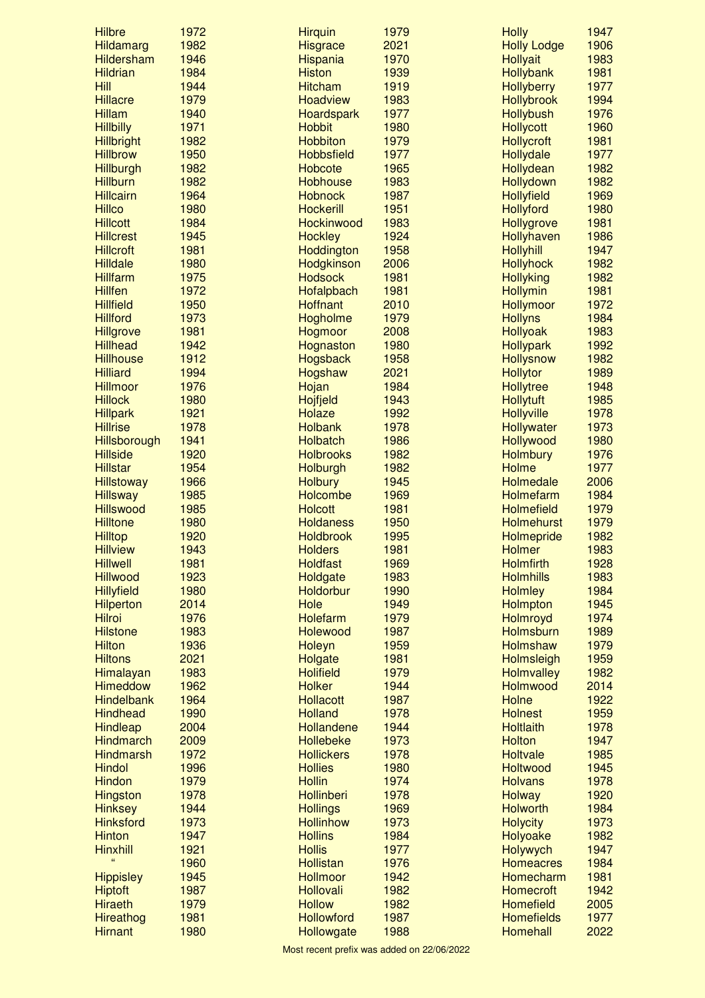| <b>Hilbre</b>     | 1972 | <b>Hirquin</b>    | 1979 | <b>Holly</b>       | 1947 |
|-------------------|------|-------------------|------|--------------------|------|
| <b>Hildamarg</b>  | 1982 | <b>Hisgrace</b>   | 2021 | <b>Holly Lodge</b> | 1906 |
| <b>Hildersham</b> | 1946 | <b>Hispania</b>   | 1970 | <b>Hollyait</b>    | 1983 |
| <b>Hildrian</b>   | 1984 | <b>Histon</b>     | 1939 | <b>Hollybank</b>   | 1981 |
| Hill              | 1944 | <b>Hitcham</b>    | 1919 | <b>Hollyberry</b>  | 1977 |
| <b>Hillacre</b>   | 1979 | <b>Hoadview</b>   | 1983 | <b>Hollybrook</b>  | 1994 |
| <b>Hillam</b>     | 1940 | Hoardspark        | 1977 | <b>Hollybush</b>   | 1976 |
| <b>Hillbilly</b>  | 1971 | <b>Hobbit</b>     | 1980 | <b>Hollycott</b>   | 1960 |
| <b>Hillbright</b> | 1982 | <b>Hobbiton</b>   | 1979 | <b>Hollycroft</b>  | 1981 |
| <b>Hillbrow</b>   | 1950 | <b>Hobbsfield</b> | 1977 | Hollydale          | 1977 |
| Hillburgh         | 1982 | <b>Hobcote</b>    | 1965 | Hollydean          | 1982 |
| <b>Hillburn</b>   | 1982 | <b>Hobhouse</b>   | 1983 | Hollydown          | 1982 |
| <b>Hillcairn</b>  | 1964 | <b>Hobnock</b>    | 1987 | <b>Hollyfield</b>  | 1969 |
| <b>Hillco</b>     | 1980 | <b>Hockerill</b>  | 1951 | Hollyford          | 1980 |
| <b>Hillcott</b>   | 1984 | Hockinwood        | 1983 | <b>Hollygrove</b>  | 1981 |
| <b>Hillcrest</b>  | 1945 | <b>Hockley</b>    | 1924 | Hollyhaven         | 1986 |
| <b>Hillcroft</b>  | 1981 | Hoddington        | 1958 | <b>Hollyhill</b>   | 1947 |
| <b>Hilldale</b>   | 1980 | Hodgkinson        | 2006 | <b>Hollyhock</b>   | 1982 |
| <b>Hillfarm</b>   | 1975 | <b>Hodsock</b>    | 1981 | <b>Hollyking</b>   | 1982 |
| <b>Hillfen</b>    | 1972 | Hofalpbach        | 1981 | <b>Hollymin</b>    | 1981 |
| <b>Hillfield</b>  | 1950 | <b>Hoffnant</b>   | 2010 | Hollymoor          | 1972 |
| <b>Hillford</b>   | 1973 | Hogholme          | 1979 | <b>Hollyns</b>     | 1984 |
| <b>Hillgrove</b>  | 1981 |                   | 2008 | <b>Hollyoak</b>    | 1983 |
| <b>Hillhead</b>   | 1942 | Hogmoor           | 1980 | <b>Hollypark</b>   | 1992 |
|                   |      | Hognaston         |      |                    |      |
| <b>Hillhouse</b>  | 1912 | <b>Hogsback</b>   | 1958 | <b>Hollysnow</b>   | 1982 |
| <b>Hilliard</b>   | 1994 | Hogshaw           | 2021 | <b>Hollytor</b>    | 1989 |
| <b>Hillmoor</b>   | 1976 | Hojan             | 1984 | Hollytree          | 1948 |
| <b>Hillock</b>    | 1980 | Hojfjeld          | 1943 | <b>Hollytuft</b>   | 1985 |
| <b>Hillpark</b>   | 1921 | Holaze            | 1992 | <b>Hollyville</b>  | 1978 |
| <b>Hillrise</b>   | 1978 | <b>Holbank</b>    | 1978 | <b>Hollywater</b>  | 1973 |
| Hillsborough      | 1941 | <b>Holbatch</b>   | 1986 | Hollywood          | 1980 |
| <b>Hillside</b>   | 1920 | <b>Holbrooks</b>  | 1982 | <b>Holmbury</b>    | 1976 |
| <b>Hillstar</b>   | 1954 | Holburgh          | 1982 | <b>Holme</b>       | 1977 |
| <b>Hillstoway</b> | 1966 | <b>Holbury</b>    | 1945 | <b>Holmedale</b>   | 2006 |
| <b>Hillsway</b>   | 1985 | <b>Holcombe</b>   | 1969 | Holmefarm          | 1984 |
| <b>Hillswood</b>  | 1985 | <b>Holcott</b>    | 1981 | <b>Holmefield</b>  | 1979 |
| <b>Hilltone</b>   | 1980 | <b>Holdaness</b>  | 1950 | <b>Holmehurst</b>  | 1979 |
| <b>Hilltop</b>    | 1920 | <b>Holdbrook</b>  | 1995 | <b>Holmepride</b>  | 1982 |
| <b>Hillview</b>   | 1943 | <b>Holders</b>    | 1981 | <b>Holmer</b>      | 1983 |
| <b>Hillwell</b>   | 1981 | <b>Holdfast</b>   | 1969 | <b>Holmfirth</b>   | 1928 |
| <b>Hillwood</b>   | 1923 | Holdgate          | 1983 | <b>Holmhills</b>   | 1983 |
| <b>Hillyfield</b> | 1980 | Holdorbur         | 1990 | <b>Holmley</b>     | 1984 |
| <b>Hilperton</b>  | 2014 | Hole              | 1949 | <b>Holmpton</b>    | 1945 |
| <b>Hilroi</b>     | 1976 | <b>Holefarm</b>   | 1979 | Holmroyd           | 1974 |
| <b>Hilstone</b>   | 1983 | <b>Holewood</b>   | 1987 | Holmsburn          | 1989 |
| <b>Hilton</b>     | 1936 | Holeyn            | 1959 | <b>Holmshaw</b>    | 1979 |
| <b>Hiltons</b>    | 2021 | Holgate           | 1981 | Holmsleigh         | 1959 |
| Himalayan         | 1983 | <b>Holifield</b>  | 1979 | <b>Holmvalley</b>  | 1982 |
| <b>Himeddow</b>   | 1962 | <b>Holker</b>     | 1944 | Holmwood           | 2014 |
| <b>Hindelbank</b> | 1964 | <b>Hollacott</b>  | 1987 | <b>Holne</b>       | 1922 |
| <b>Hindhead</b>   | 1990 | <b>Holland</b>    | 1978 | <b>Holnest</b>     | 1959 |
| <b>Hindleap</b>   | 2004 | Hollandene        | 1944 | <b>Holtlaith</b>   | 1978 |
| <b>Hindmarch</b>  | 2009 | <b>Hollebeke</b>  | 1973 | <b>Holton</b>      | 1947 |
| <b>Hindmarsh</b>  | 1972 | <b>Hollickers</b> | 1978 | <b>Holtvale</b>    | 1985 |
| <b>Hindol</b>     | 1996 | <b>Hollies</b>    | 1980 | Holtwood           | 1945 |
| <b>Hindon</b>     | 1979 | <b>Hollin</b>     | 1974 | <b>Holvans</b>     | 1978 |
| <b>Hingston</b>   | 1978 | <b>Hollinberi</b> | 1978 | <b>Holway</b>      | 1920 |
| <b>Hinksey</b>    | 1944 | <b>Hollings</b>   | 1969 | <b>Holworth</b>    | 1984 |
| <b>Hinksford</b>  | 1973 | <b>Hollinhow</b>  | 1973 | <b>Holycity</b>    | 1973 |
| <b>Hinton</b>     | 1947 | <b>Hollins</b>    | 1984 | Holyoake           | 1982 |
| <b>Hinxhill</b>   | 1921 | <b>Hollis</b>     | 1977 | Holywych           | 1947 |
| Ġ                 | 1960 | <b>Hollistan</b>  | 1976 | <b>Homeacres</b>   | 1984 |
| <b>Hippisley</b>  | 1945 | <b>Hollmoor</b>   | 1942 | Homecharm          | 1981 |
| <b>Hiptoft</b>    | 1987 | Hollovali         | 1982 | <b>Homecroft</b>   | 1942 |
| <b>Hiraeth</b>    | 1979 | <b>Hollow</b>     | 1982 | <b>Homefield</b>   | 2005 |
|                   | 1981 | <b>Hollowford</b> | 1987 | <b>Homefields</b>  | 1977 |
| <b>Hireathog</b>  | 1980 |                   | 1988 | <b>Homehall</b>    | 2022 |
| <b>Hirnant</b>    |      | Hollowgate        |      |                    |      |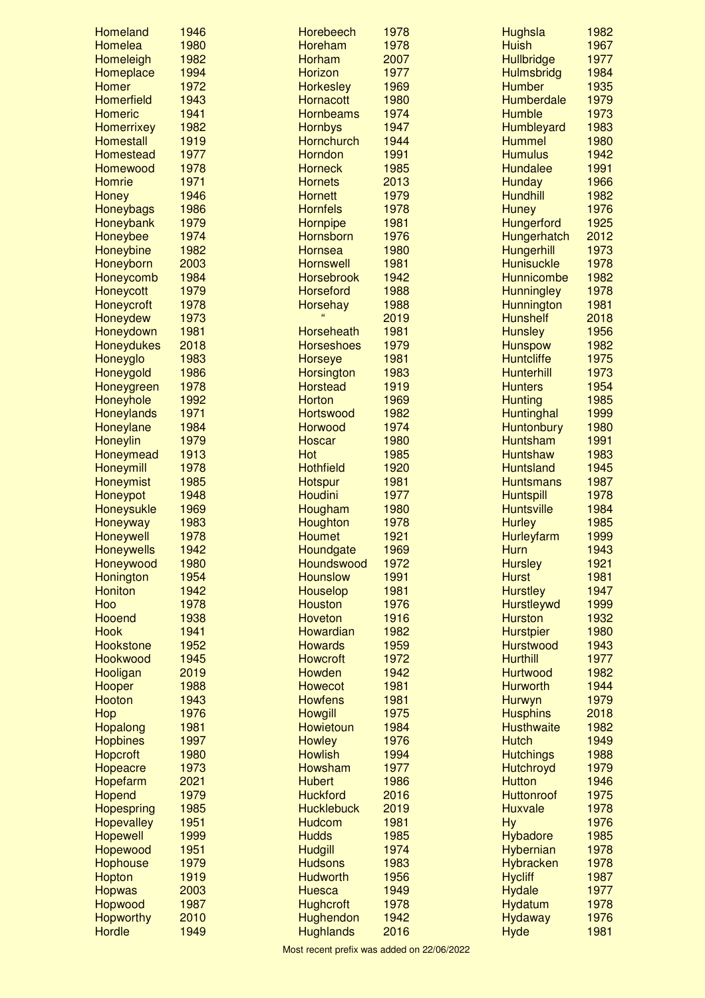| <b>Homeland</b>   | 1946 | <b>Horebeech</b>  | 1978 | <b>Hughsla</b>    | 1982 |
|-------------------|------|-------------------|------|-------------------|------|
| Homelea           | 1980 | Horeham           | 1978 | <b>Huish</b>      | 1967 |
| Homeleigh         | 1982 | Horham            | 2007 | Hullbridge        | 1977 |
| Homeplace         | 1994 | Horizon           | 1977 | <b>Hulmsbridg</b> | 1984 |
| <b>Homer</b>      | 1972 | <b>Horkesley</b>  | 1969 | <b>Humber</b>     | 1935 |
| <b>Homerfield</b> | 1943 | <b>Hornacott</b>  | 1980 | <b>Humberdale</b> | 1979 |
| <b>Homeric</b>    | 1941 | <b>Hornbeams</b>  | 1974 | <b>Humble</b>     | 1973 |
| <b>Homerrixey</b> | 1982 | <b>Hornbys</b>    | 1947 | Humbleyard        | 1983 |
| <b>Homestall</b>  | 1919 | Hornchurch        | 1944 | <b>Hummel</b>     | 1980 |
| <b>Homestead</b>  | 1977 | Horndon           | 1991 | <b>Humulus</b>    | 1942 |
| <b>Homewood</b>   | 1978 | <b>Horneck</b>    | 1985 | <b>Hundalee</b>   | 1991 |
| <b>Homrie</b>     | 1971 | <b>Hornets</b>    | 2013 | Hunday            | 1966 |
| <b>Honey</b>      | 1946 | <b>Hornett</b>    | 1979 | <b>Hundhill</b>   | 1982 |
| Honeybags         | 1986 | <b>Hornfels</b>   | 1978 | <b>Huney</b>      | 1976 |
| Honeybank         | 1979 | Hornpipe          | 1981 | Hungerford        | 1925 |
| Honeybee          | 1974 | Hornsborn         | 1976 | Hungerhatch       | 2012 |
| Honeybine         | 1982 | <b>Hornsea</b>    | 1980 | <b>Hungerhill</b> | 1973 |
| Honeyborn         | 2003 | <b>Hornswell</b>  | 1981 | <b>Hunisuckle</b> | 1978 |
| Honeycomb         | 1984 | <b>Horsebrook</b> | 1942 | <b>Hunnicombe</b> | 1982 |
| Honeycott         | 1979 | <b>Horseford</b>  | 1988 | <b>Hunningley</b> | 1978 |
| Honeycroft        | 1978 | <b>Horsehay</b>   | 1988 | Hunnington        | 1981 |
| Honeydew          | 1973 |                   | 2019 | <b>Hunshelf</b>   | 2018 |
| Honeydown         | 1981 | Horseheath        | 1981 | <b>Hunsley</b>    | 1956 |
| <b>Honeydukes</b> | 2018 | <b>Horseshoes</b> | 1979 | <b>Hunspow</b>    | 1982 |
| Honeyglo          | 1983 | <b>Horseye</b>    | 1981 | <b>Huntcliffe</b> | 1975 |
| Honeygold         | 1986 | Horsington        | 1983 | <b>Hunterhill</b> | 1973 |
| Honeygreen        | 1978 | <b>Horstead</b>   | 1919 | <b>Hunters</b>    | 1954 |
| Honeyhole         | 1992 | <b>Horton</b>     | 1969 | <b>Hunting</b>    | 1985 |
|                   | 1971 |                   | 1982 |                   | 1999 |
| Honeylands        | 1984 | Hortswood         | 1974 | Huntinghal        |      |
| Honeylane         |      | Horwood           |      | <b>Huntonbury</b> | 1980 |
| <b>Honeylin</b>   | 1979 | <b>Hoscar</b>     | 1980 | <b>Huntsham</b>   | 1991 |
| Honeymead         | 1913 | Hot               | 1985 | <b>Huntshaw</b>   | 1983 |
| <b>Honeymill</b>  | 1978 | <b>Hothfield</b>  | 1920 | <b>Huntsland</b>  | 1945 |
| Honeymist         | 1985 | Hotspur           | 1981 | <b>Huntsmans</b>  | 1987 |
| Honeypot          | 1948 | Houdini           | 1977 | <b>Huntspill</b>  | 1978 |
| Honeysukle        | 1969 | Hougham           | 1980 | <b>Huntsville</b> | 1984 |
| Honeyway          | 1983 | Houghton          | 1978 | <b>Hurley</b>     | 1985 |
| Honeywell         | 1978 | <b>Houmet</b>     | 1921 | Hurleyfarm        | 1999 |
| <b>Honeywells</b> | 1942 | Houndgate         | 1969 | Hurn              | 1943 |
| Honeywood         | 1980 | Houndswood        | 1972 | <b>Hursley</b>    | 1921 |
| Honington         | 1954 | <b>Hounslow</b>   | 1991 | <b>Hurst</b>      | 1981 |
| <b>Honiton</b>    | 1942 | <b>Houselop</b>   | 1981 | <b>Hurstley</b>   | 1947 |
| Hoo               | 1978 | <b>Houston</b>    | 1976 | <b>Hurstleywd</b> | 1999 |
| <b>Hooend</b>     | 1938 | <b>Hoveton</b>    | 1916 | <b>Hurston</b>    | 1932 |
| <b>Hook</b>       | 1941 | Howardian         | 1982 | <b>Hurstpier</b>  | 1980 |
| <b>Hookstone</b>  | 1952 | <b>Howards</b>    | 1959 | <b>Hurstwood</b>  | 1943 |
| Hookwood          | 1945 | <b>Howcroft</b>   | 1972 | <b>Hurthill</b>   | 1977 |
| Hooligan          | 2019 | Howden            | 1942 | Hurtwood          | 1982 |
| Hooper            | 1988 | <b>Howecot</b>    | 1981 | <b>Hurworth</b>   | 1944 |
| Hooton            | 1943 | <b>Howfens</b>    | 1981 | Hurwyn            | 1979 |
| Hop               | 1976 | <b>Howgill</b>    | 1975 | <b>Husphins</b>   | 2018 |
| Hopalong          | 1981 | Howietoun         | 1984 | <b>Husthwaite</b> | 1982 |
| <b>Hopbines</b>   | 1997 | <b>Howley</b>     | 1976 | <b>Hutch</b>      | 1949 |
| <b>Hopcroft</b>   | 1980 | <b>Howlish</b>    | 1994 | <b>Hutchings</b>  | 1988 |
| Hopeacre          | 1973 | Howsham           | 1977 | Hutchroyd         | 1979 |
| Hopefarm          | 2021 | <b>Hubert</b>     | 1986 | <b>Hutton</b>     | 1946 |
| <b>Hopend</b>     | 1979 | <b>Huckford</b>   | 2016 | Huttonroof        | 1975 |
| <b>Hopespring</b> | 1985 | <b>Hucklebuck</b> | 2019 | <b>Huxvale</b>    | 1978 |
| <b>Hopevalley</b> | 1951 | <b>Hudcom</b>     | 1981 | <b>Hy</b>         | 1976 |
|                   |      |                   |      |                   |      |
| <b>Hopewell</b>   | 1999 | <b>Hudds</b>      | 1985 | <b>Hybadore</b>   | 1985 |
| Hopewood          | 1951 | <b>Hudgill</b>    | 1974 | Hybernian         | 1978 |
| <b>Hophouse</b>   | 1979 | <b>Hudsons</b>    | 1983 | <b>Hybracken</b>  | 1978 |
| Hopton            | 1919 | <b>Hudworth</b>   | 1956 | <b>Hycliff</b>    | 1987 |
| <b>Hopwas</b>     | 2003 | <b>Huesca</b>     | 1949 | <b>Hydale</b>     | 1977 |
| <b>Hopwood</b>    | 1987 | <b>Hughcroft</b>  | 1978 | <b>Hydatum</b>    | 1978 |
| <b>Hopworthy</b>  | 2010 | Hughendon         | 1942 | <b>Hydaway</b>    | 1976 |
| <b>Hordle</b>     | 1949 | <b>Hughlands</b>  | 2016 | <b>Hyde</b>       | 1981 |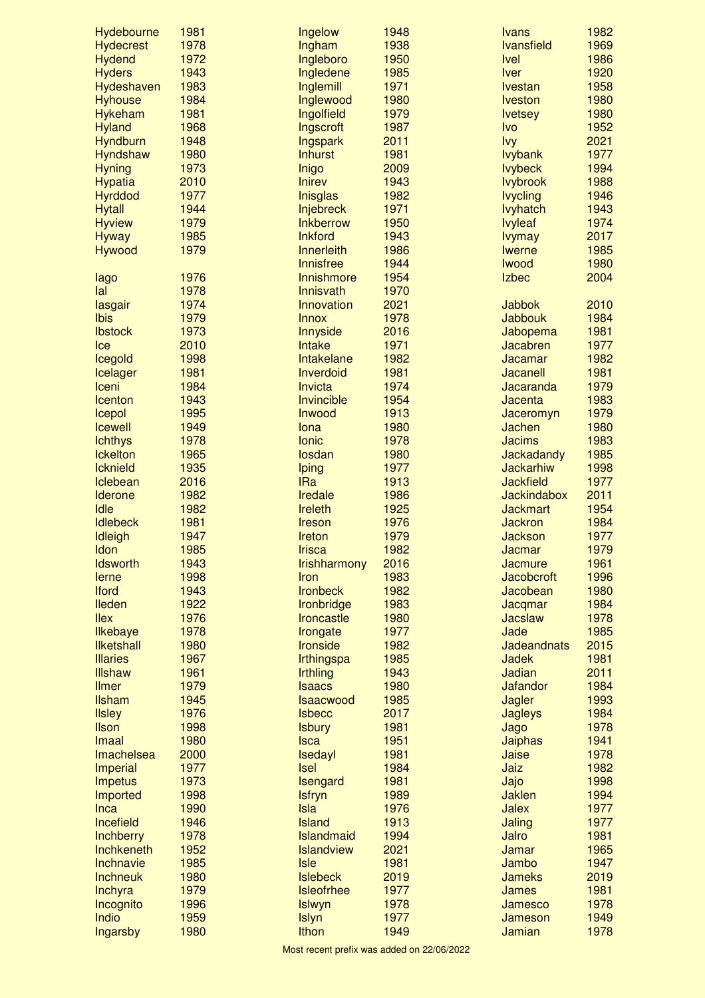| Hydebourne         | 1981 | Ingelow             | 1948 | <b>Ivans</b>       | 1982 |
|--------------------|------|---------------------|------|--------------------|------|
| <b>Hydecrest</b>   | 1978 | Ingham              | 1938 | <b>Ivansfield</b>  | 1969 |
| <b>Hydend</b>      | 1972 | Ingleboro           | 1950 | <b>Ivel</b>        | 1986 |
| <b>Hyders</b>      | 1943 | Ingledene           | 1985 | <b>Iver</b>        | 1920 |
| Hydeshaven         | 1983 | Inglemill           | 1971 | <b>Ivestan</b>     | 1958 |
| <b>Hyhouse</b>     | 1984 | Inglewood           | 1980 | <b>Iveston</b>     | 1980 |
| <b>Hykeham</b>     | 1981 | Ingolfield          | 1979 | <b>lvetsey</b>     | 1980 |
| <b>Hyland</b>      | 1968 | Ingscroft           | 1987 | <b>Ivo</b>         | 1952 |
| <b>Hyndburn</b>    | 1948 | Ingspark            | 2011 | <b>lvy</b>         | 2021 |
| <b>Hyndshaw</b>    | 1980 | <b>Inhurst</b>      | 1981 | <b>lvybank</b>     | 1977 |
| <b>Hyning</b>      | 1973 | Inigo               | 2009 | <b>lvybeck</b>     | 1994 |
| <b>Hypatia</b>     | 2010 | <b>Inirev</b>       | 1943 | <b>lvybrook</b>    | 1988 |
| <b>Hyrddod</b>     | 1977 | <b>Inisglas</b>     | 1982 | <b>lvycling</b>    | 1946 |
| <b>Hytall</b>      | 1944 | Injebreck           | 1971 | <b>lvyhatch</b>    | 1943 |
| <b>Hyview</b>      | 1979 | <b>Inkberrow</b>    | 1950 | <b>lvyleaf</b>     | 1974 |
| <b>Hyway</b>       | 1985 | <b>Inkford</b>      | 1943 | <b>lvymay</b>      | 2017 |
| Hywood             | 1979 | Innerleith          | 1986 | <b>Iwerne</b>      | 1985 |
|                    |      | Innisfree           | 1944 | <b>lwood</b>       | 1980 |
| lago               | 1976 | Innishmore          | 1954 | <b>Izbec</b>       | 2004 |
| lal                | 1978 | Innisvath           | 1970 |                    |      |
| lasgair            | 1974 | Innovation          | 2021 | <b>Jabbok</b>      | 2010 |
| Ibis               | 1979 | <b>Innox</b>        | 1978 | Jabbouk            | 1984 |
| <b>Ibstock</b>     | 1973 | Innyside            | 2016 | Jabopema           | 1981 |
| Ice                | 2010 | <b>Intake</b>       | 1971 | Jacabren           | 1977 |
|                    | 1998 | Intakelane          | 1982 | Jacamar            | 1982 |
| Icegold            | 1981 | Inverdoid           | 1981 | Jacanell           | 1981 |
| Icelager           |      |                     |      |                    |      |
| Iceni              | 1984 | Invicta             | 1974 | Jacaranda          | 1979 |
| <b>Icenton</b>     | 1943 | Invincible          | 1954 | Jacenta            | 1983 |
| Icepol             | 1995 | Inwood              | 1913 | Jaceromyn          | 1979 |
| <b>Icewell</b>     | 1949 | lona                | 1980 | Jachen             | 1980 |
| <b>Ichthys</b>     | 1978 | <b>lonic</b>        | 1978 | <b>Jacims</b>      | 1983 |
| <b>Ickelton</b>    | 1965 | losdan              | 1980 | Jackadandy         | 1985 |
| <b>Icknield</b>    | 1935 | Iping               | 1977 | <b>Jackarhiw</b>   | 1998 |
| Iclebean           | 2016 | <b>IRa</b>          | 1913 | <b>Jackfield</b>   | 1977 |
| <b>Iderone</b>     | 1982 | Iredale             | 1986 | <b>Jackindabox</b> | 2011 |
| Idle               | 1982 | <b>Ireleth</b>      | 1925 | <b>Jackmart</b>    | 1954 |
| <b>Idlebeck</b>    | 1981 | <b>Ireson</b>       | 1976 | <b>Jackron</b>     | 1984 |
| Idleigh            | 1947 | <b>Ireton</b>       | 1979 | <b>Jackson</b>     | 1977 |
| Idon               | 1985 | <b>Irisca</b>       | 1982 | Jacmar             | 1979 |
| <b>Idsworth</b>    | 1943 | <b>Irishharmony</b> | 2016 | Jacmure            | 1961 |
| lerne              | 1998 | Iron                | 1983 | <b>Jacobcroft</b>  | 1996 |
| <b>Iford</b>       | 1943 | <b>Ironbeck</b>     | 1982 | Jacobean           | 1980 |
| <b>Ileden</b>      | 1922 | Ironbridge          | 1983 | Jacqmar            | 1984 |
| <b>Ilex</b>        | 1976 | <b>Ironcastle</b>   | 1980 | <b>Jacslaw</b>     | 1978 |
| <b>Ilkebaye</b>    | 1978 | Irongate            | 1977 | Jade               | 1985 |
| <b>Ilketshall</b>  | 1980 | <b>Ironside</b>     | 1982 | <b>Jadeandnats</b> | 2015 |
| <b>Illaries</b>    | 1967 | Irthingspa          | 1985 | <b>Jadek</b>       | 1981 |
| <b>Illshaw</b>     | 1961 | <b>Irthling</b>     | 1943 | Jadian             | 2011 |
| <b>Ilmer</b>       | 1979 | <b>Isaacs</b>       | 1980 | <b>Jafandor</b>    | 1984 |
| <b>Ilsham</b>      | 1945 | <b>Isaacwood</b>    | 1985 | Jagler             | 1993 |
| <b>Ilsley</b>      | 1976 | <b>Isbecc</b>       | 2017 | Jagleys            | 1984 |
| <b>Ilson</b>       | 1998 | <b>Isbury</b>       | 1981 | Jago               | 1978 |
| Imaal              | 1980 | <b>Isca</b>         | 1951 | Jaiphas            | 1941 |
| Imachelsea         | 2000 | Isedayl             | 1981 | Jaise              | 1978 |
| <b>Imperial</b>    | 1977 | <b>Isel</b>         | 1984 | Jaiz               | 1982 |
| <b>Impetus</b>     | 1973 | Isengard            | 1981 | Jajo               | 1998 |
| Imported           | 1998 | <b>Isfryn</b>       | 1989 | <b>Jaklen</b>      | 1994 |
| Inca               | 1990 | Isla                | 1976 | <b>Jalex</b>       | 1977 |
| Incefield          | 1946 | <b>Island</b>       | 1913 | Jaling             | 1977 |
| Inchberry          | 1978 | Islandmaid          | 1994 | Jalro              | 1981 |
| Inchkeneth         | 1952 | <b>Islandview</b>   | 2021 | Jamar              | 1965 |
| Inchnavie          | 1985 | Isle                | 1981 | Jambo              | 1947 |
| <b>Inchneuk</b>    | 1980 | <b>Islebeck</b>     | 2019 | <b>Jameks</b>      | 2019 |
| Inchyra            | 1979 | <b>Isleofrhee</b>   | 1977 | James              | 1981 |
|                    | 1996 |                     | 1978 | Jamesco            | 1978 |
| Incognito<br>Indio | 1959 | <b>Islwyn</b>       | 1977 |                    | 1949 |
| <b>Ingarsby</b>    | 1980 | <b>Islyn</b>        |      | Jameson            | 1978 |
|                    |      | Ithon               | 1949 | Jamian             |      |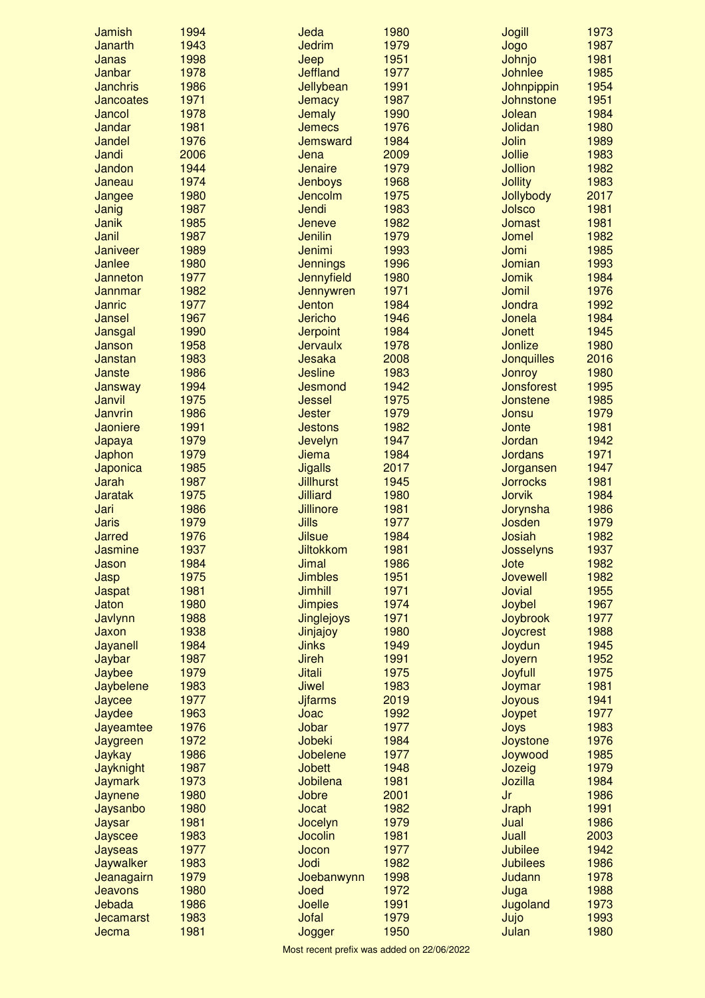| <b>Jamish</b>    | 1994 | Jeda              | 1980 | <b>Jogill</b>     | 1973 |
|------------------|------|-------------------|------|-------------------|------|
| Janarth          | 1943 | <b>Jedrim</b>     | 1979 | Jogo              | 1987 |
| Janas            | 1998 | Jeep              | 1951 | Johnjo            | 1981 |
| Janbar           | 1978 | <b>Jeffland</b>   | 1977 | <b>Johnlee</b>    | 1985 |
| <b>Janchris</b>  | 1986 | Jellybean         | 1991 | Johnpippin        | 1954 |
| <b>Jancoates</b> | 1971 | Jemacy            | 1987 | Johnstone         | 1951 |
| Jancol           | 1978 | <b>Jemaly</b>     | 1990 | Jolean            | 1984 |
| Jandar           | 1981 | <b>Jemecs</b>     | 1976 | Jolidan           | 1980 |
| Jandel           | 1976 | Jemsward          | 1984 | Jolin             | 1989 |
| Jandi            | 2006 | Jena              | 2009 | <b>Jollie</b>     | 1983 |
| Jandon           | 1944 | Jenaire           | 1979 | Jollion           | 1982 |
| Janeau           | 1974 | Jenboys           | 1968 | <b>Jollity</b>    | 1983 |
| Jangee           | 1980 | Jencolm           | 1975 | Jollybody         | 2017 |
| Janig            | 1987 | Jendi             | 1983 | Jolsco            | 1981 |
| <b>Janik</b>     | 1985 | Jeneve            | 1982 | <b>Jomast</b>     | 1981 |
| Janil            | 1987 | <b>Jenilin</b>    | 1979 | Jomel             | 1982 |
| <b>Janiveer</b>  | 1989 | Jenimi            | 1993 | Jomi              | 1985 |
| Janlee           | 1980 | <b>Jennings</b>   | 1996 | Jomian            | 1993 |
| Janneton         | 1977 | <b>Jennyfield</b> | 1980 | Jomik             | 1984 |
| Jannmar          | 1982 | Jennywren         | 1971 | Jomil             | 1976 |
| <b>Janric</b>    | 1977 | <b>Jenton</b>     | 1984 | Jondra            | 1992 |
| Jansel           | 1967 | <b>Jericho</b>    | 1946 | Jonela            | 1984 |
| Jansgal          | 1990 | <b>Jerpoint</b>   | 1984 | <b>Jonett</b>     | 1945 |
|                  | 1958 | <b>Jervaulx</b>   | 1978 | Jonlize           | 1980 |
| Janson           |      |                   |      |                   |      |
| Janstan          | 1983 | Jesaka            | 2008 | <b>Jonquilles</b> | 2016 |
| Janste           | 1986 | <b>Jesline</b>    | 1983 | Jonroy            | 1980 |
| Jansway          | 1994 | Jesmond           | 1942 | <b>Jonsforest</b> | 1995 |
| Janvil           | 1975 | <b>Jessel</b>     | 1975 | Jonstene          | 1985 |
| Janvrin          | 1986 | <b>Jester</b>     | 1979 | Jonsu             | 1979 |
| Jaoniere         | 1991 | <b>Jestons</b>    | 1982 | Jonte             | 1981 |
| Japaya           | 1979 | Jevelyn           | 1947 | Jordan            | 1942 |
| Japhon           | 1979 | <b>Jiema</b>      | 1984 | <b>Jordans</b>    | 1971 |
| Japonica         | 1985 | <b>Jigalls</b>    | 2017 | Jorgansen         | 1947 |
| Jarah            | 1987 | <b>Jillhurst</b>  | 1945 | <b>Jorrocks</b>   | 1981 |
| <b>Jaratak</b>   | 1975 | <b>Jilliard</b>   | 1980 | Jorvik            | 1984 |
| Jari             | 1986 | <b>Jillinore</b>  | 1981 | Jorynsha          | 1986 |
| <b>Jaris</b>     | 1979 | Jills             | 1977 | Josden            | 1979 |
| Jarred           | 1976 | <b>Jilsue</b>     | 1984 | Josiah            | 1982 |
| Jasmine          | 1937 | <b>Jiltokkom</b>  | 1981 | Josselyns         | 1937 |
| Jason            | 1984 | Jimal             | 1986 | Jote              | 1982 |
| Jasp             | 1975 | <b>Jimbles</b>    | 1951 | Jovewell          | 1982 |
| Jaspat           | 1981 | <b>Jimhill</b>    | 1971 | Jovial            | 1955 |
| Jaton            | 1980 | <b>Jimpies</b>    | 1974 | Joybel            | 1967 |
| Javlynn          | 1988 | <b>Jinglejoys</b> | 1971 | Joybrook          | 1977 |
| Jaxon            | 1938 | Jinjajoy          | 1980 | <b>Joycrest</b>   | 1988 |
| Jayanell         | 1984 | <b>Jinks</b>      | 1949 | Joydun            | 1945 |
| Jaybar           | 1987 | <b>Jireh</b>      | 1991 | Joyern            | 1952 |
| Jaybee           | 1979 | <b>Jitali</b>     | 1975 | Joyfull           | 1975 |
| Jaybelene        | 1983 | Jiwel             | 1983 | Joymar            | 1981 |
| Jaycee           | 1977 | <b>Jjfarms</b>    | 2019 | Joyous            | 1941 |
| Jaydee           | 1963 | Joac              | 1992 | Joypet            | 1977 |
| Jayeamtee        | 1976 | Jobar             | 1977 | Joys              | 1983 |
| Jaygreen         | 1972 | Jobeki            | 1984 | Joystone          | 1976 |
| Jaykay           | 1986 | Jobelene          | 1977 | Joywood           | 1985 |
| <b>Jayknight</b> | 1987 | <b>Jobett</b>     | 1948 | Jozeig            | 1979 |
| <b>Jaymark</b>   | 1973 | Jobilena          | 1981 | Jozilla           | 1984 |
| Jaynene          | 1980 | Jobre             | 2001 | Jr                | 1986 |
| Jaysanbo         | 1980 | Jocat             | 1982 | <b>Jraph</b>      | 1991 |
| Jaysar           | 1981 | Jocelyn           | 1979 | Jual              | 1986 |
| Jayscee          | 1983 | Jocolin           | 1981 | Juall             | 2003 |
| Jayseas          | 1977 | Jocon             | 1977 | <b>Jubilee</b>    | 1942 |
| Jaywalker        | 1983 | Jodi              | 1982 | <b>Jubilees</b>   | 1986 |
| Jeanagairn       | 1979 | Joebanwynn        | 1998 | Judann            | 1978 |
| Jeavons          | 1980 | Joed              | 1972 |                   | 1988 |
| Jebada           | 1986 | Joelle            | 1991 | Juga<br>Jugoland  | 1973 |
|                  | 1983 | Jofal             | 1979 |                   | 1993 |
| <b>Jecamarst</b> |      |                   |      | Jujo              |      |
| Jecma            | 1981 | Jogger            | 1950 | Julan             | 1980 |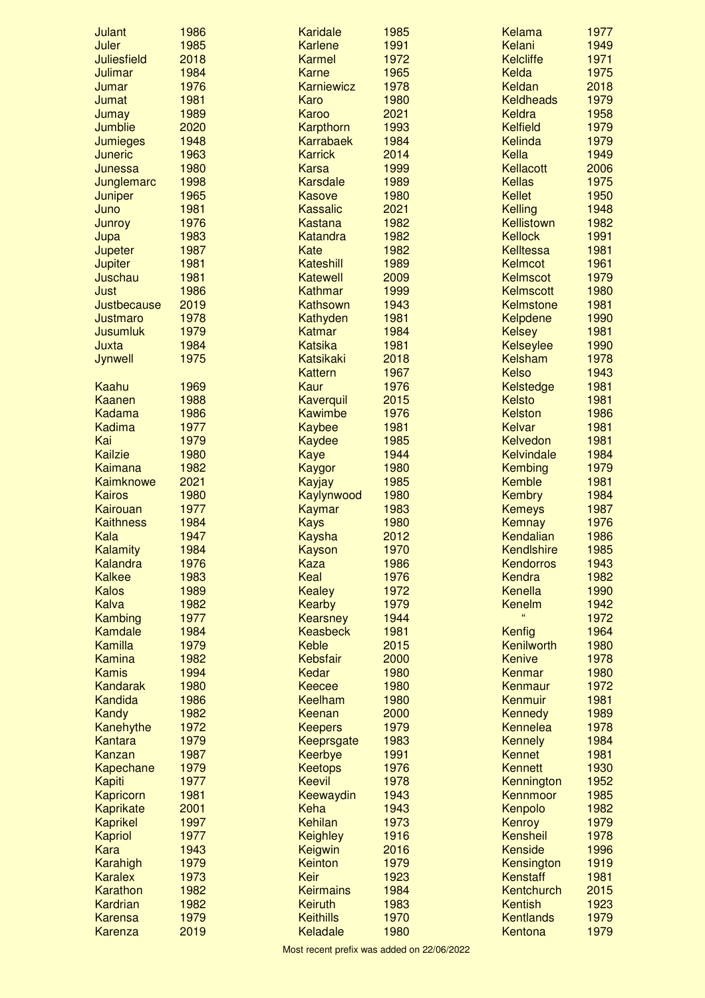| <b>Julant</b>      | 1986         | <b>Karidale</b>   | 1985 | Kelama            | 1977 |
|--------------------|--------------|-------------------|------|-------------------|------|
| Juler              | 1985         | <b>Karlene</b>    | 1991 | Kelani            | 1949 |
| <b>Juliesfield</b> | 2018         | <b>Karmel</b>     | 1972 | <b>Kelcliffe</b>  | 1971 |
| Julimar            | 1984         | <b>Karne</b>      | 1965 | Kelda             | 1975 |
| Jumar              | 1976         | <b>Karniewicz</b> | 1978 | Keldan            | 2018 |
| Jumat              | 1981         | Karo              | 1980 | <b>Keldheads</b>  | 1979 |
| Jumay              | 1989         | Karoo             | 2021 | <b>Keldra</b>     | 1958 |
| Jumblie            | 2020         | Karpthorn         | 1993 | <b>Kelfield</b>   | 1979 |
| <b>Jumieges</b>    | 1948         | <b>Karrabaek</b>  | 1984 | Kelinda           | 1979 |
| <b>Juneric</b>     | 1963         | <b>Karrick</b>    | 2014 | Kella             | 1949 |
| Junessa            | 1980         | <b>Karsa</b>      | 1999 | Kellacott         | 2006 |
| Junglemarc         | 1998         | Karsdale          | 1989 | <b>Kellas</b>     | 1975 |
| Juniper            | 1965         | <b>Kasove</b>     | 1980 | <b>Kellet</b>     | 1950 |
| Juno               | 1981         | <b>Kassalic</b>   | 2021 | <b>Kelling</b>    | 1948 |
| Junroy             | 1976         | <b>Kastana</b>    | 1982 | Kellistown        | 1982 |
| Jupa               | 1983         | Katandra          | 1982 | <b>Kellock</b>    | 1991 |
| Jupeter            | 1987         | Kate              | 1982 | <b>Kelltessa</b>  | 1981 |
| <b>Jupiter</b>     | 1981         | Kateshill         | 1989 | Kelmcot           | 1961 |
| Juschau            | 1981         | <b>Katewell</b>   | 2009 | Kelmscot          | 1979 |
| Just               | 1986         | Kathmar           | 1999 | Kelmscott         | 1980 |
| Justbecause        | 2019         | Kathsown          | 1943 | <b>Kelmstone</b>  | 1981 |
| Justmaro           | 1978         | Kathyden          | 1981 | <b>Kelpdene</b>   | 1990 |
| <b>Jusumluk</b>    | 1979         | Katmar            | 1984 | <b>Kelsey</b>     | 1981 |
| Juxta              | 1984         | <b>Katsika</b>    | 1981 | <b>Kelseylee</b>  | 1990 |
|                    |              | <b>Katsikaki</b>  |      |                   | 1978 |
| Jynwell            | 1975         |                   | 2018 | Kelsham           |      |
|                    |              | <b>Kattern</b>    | 1967 | <b>Kelso</b>      | 1943 |
| Kaahu              | 1969         | <b>Kaur</b>       | 1976 | Kelstedge         | 1981 |
| Kaanen             | 1988         | Kaverquil         | 2015 | <b>Kelsto</b>     | 1981 |
| <b>Kadama</b>      | 1986         | <b>Kawimbe</b>    | 1976 | <b>Kelston</b>    | 1986 |
| <b>Kadima</b>      | 1977         | <b>Kaybee</b>     | 1981 | <b>Kelvar</b>     | 1981 |
| Kai                | 1979         | Kaydee            | 1985 | <b>Kelvedon</b>   | 1981 |
| <b>Kailzie</b>     | 1980         | <b>Kaye</b>       | 1944 | <b>Kelvindale</b> | 1984 |
| Kaimana            | 1982         | Kaygor            | 1980 | Kembing           | 1979 |
| Kaimknowe          | 2021         | Kayjay            | 1985 | Kemble            | 1981 |
| <b>Kairos</b>      | 1980         | Kaylynwood        | 1980 | <b>Kembry</b>     | 1984 |
| Kairouan           | 1977         | <b>Kaymar</b>     | 1983 | <b>Kemeys</b>     | 1987 |
| <b>Kaithness</b>   | 1984         | <b>Kays</b>       | 1980 | Kemnay            | 1976 |
| Kala               | 1947         | <b>Kaysha</b>     | 2012 | Kendalian         | 1986 |
| Kalamity           | 1984         | <b>Kayson</b>     | 1970 | <b>Kendlshire</b> | 1985 |
| Kalandra           | 1976         | Kaza              | 1986 | <b>Kendorros</b>  | 1943 |
| <b>Kalkee</b>      | 1983         | Keal              | 1976 | Kendra            | 1982 |
| <b>Kalos</b>       | 1989         | <b>Kealey</b>     | 1972 | Kenella           | 1990 |
| <b>Kalva</b>       | 1982         | <b>Kearby</b>     | 1979 | Kenelm            | 1942 |
| Kambing            | 1977         | <b>Kearsney</b>   | 1944 | $\epsilon$        | 1972 |
| Kamdale            | 1984         | <b>Keasbeck</b>   | 1981 | Kenfig            | 1964 |
| Kamilla            | 1979         | <b>Keble</b>      | 2015 | Kenilworth        | 1980 |
| <b>Kamina</b>      | 1982         | Kebsfair          | 2000 | <b>Kenive</b>     | 1978 |
| <b>Kamis</b>       | 1994         | Kedar             | 1980 | Kenmar            | 1980 |
| <b>Kandarak</b>    | 1980         | <b>Keecee</b>     | 1980 | Kenmaur           | 1972 |
| Kandida            | 1986         | <b>Keelham</b>    | 1980 | Kenmuir           | 1981 |
| Kandy              | 1982         | Keenan            | 2000 | Kennedy           | 1989 |
| Kanehythe          | 1972         | <b>Keepers</b>    | 1979 | <b>Kennelea</b>   | 1978 |
| Kantara            | 1979         | Keeprsgate        | 1983 | Kennely           | 1984 |
| Kanzan             | 1987         | Keerbye           | 1991 | <b>Kennet</b>     | 1981 |
| Kapechane          | 1979         | <b>Keetops</b>    | 1976 | <b>Kennett</b>    | 1930 |
| Kapiti             | 1977         | <b>Keevil</b>     | 1978 | Kennington        | 1952 |
| Kapricorn          | 1981         | Keewaydin         | 1943 | Kennmoor          | 1985 |
| <b>Kaprikate</b>   | 2001         | Keha              | 1943 | Kenpolo           | 1982 |
| <b>Kaprikel</b>    | 1997         | Kehilan           | 1973 | Kenroy            | 1979 |
|                    |              |                   |      |                   |      |
| Kapriol            | 1977<br>1943 | <b>Keighley</b>   | 1916 | Kensheil          | 1978 |
| <b>Kara</b>        |              | Keigwin           | 2016 | <b>Kenside</b>    | 1996 |
| Karahigh           | 1979         | Keinton           | 1979 | Kensington        | 1919 |
| <b>Karalex</b>     | 1973         | Keir              | 1923 | Kenstaff          | 1981 |
| Karathon           | 1982         | <b>Keirmains</b>  | 1984 | Kentchurch        | 2015 |
| Kardrian           | 1982         | Keiruth           | 1983 | Kentish           | 1923 |
| <b>Karensa</b>     | 1979         | <b>Keithills</b>  | 1970 | <b>Kentlands</b>  | 1979 |
| <b>Karenza</b>     | 2019         | Keladale          | 1980 | Kentona           | 1979 |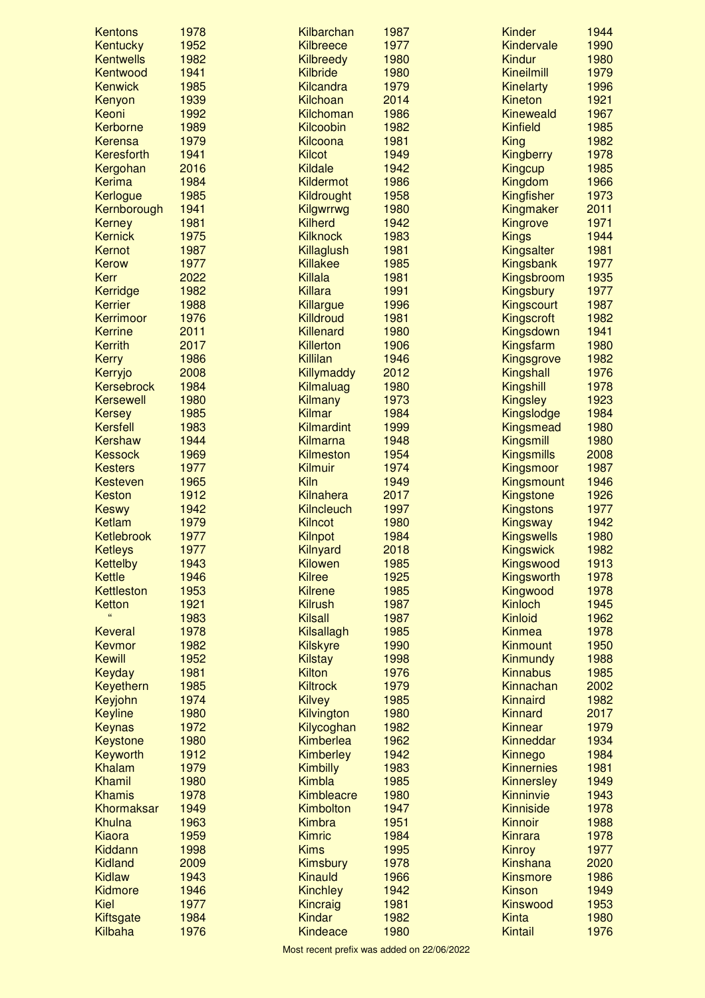| <b>Kentons</b>                   | 1978         | Kilbarchan                           | 1987         | <b>Kinder</b>                | 1944         |
|----------------------------------|--------------|--------------------------------------|--------------|------------------------------|--------------|
| Kentucky                         | 1952         | <b>Kilbreece</b>                     | 1977         | Kindervale                   | 1990         |
| <b>Kentwells</b>                 | 1982         | <b>Kilbreedy</b>                     | 1980         | Kindur                       | 1980         |
| Kentwood                         | 1941         | Kilbride                             | 1980         | <b>Kineilmill</b>            | 1979         |
| <b>Kenwick</b>                   | 1985         | <b>Kilcandra</b>                     | 1979         | <b>Kinelarty</b>             | 1996         |
| Kenyon                           | 1939         | Kilchoan                             | 2014         | Kineton                      | 1921         |
| Keoni                            | 1992         | Kilchoman                            | 1986         | <b>Kineweald</b>             | 1967         |
| Kerborne                         | 1989         | Kilcoobin                            | 1982         | <b>Kinfield</b>              | 1985         |
| <b>Kerensa</b>                   | 1979         | Kilcoona                             | 1981         | <b>King</b>                  | 1982         |
| Keresforth                       | 1941         | <b>Kilcot</b>                        | 1949         | <b>Kingberry</b>             | 1978         |
| Kergohan                         | 2016         | <b>Kildale</b>                       | 1942         | <b>Kingcup</b>               | 1985         |
| <b>Kerima</b>                    | 1984         | <b>Kildermot</b>                     | 1986         | Kingdom                      | 1966         |
| Kerlogue                         | 1985         | Kildrought                           | 1958         | Kingfisher                   | 1973         |
| Kernborough                      | 1941         | Kilgwrrwg                            | 1980         | Kingmaker                    | 2011         |
| <b>Kerney</b>                    | 1981         | <b>Kilherd</b>                       | 1942         | Kingrove                     | 1971         |
| <b>Kernick</b>                   | 1975         | <b>Kilknock</b>                      | 1983         | <b>Kings</b>                 | 1944         |
| Kernot                           | 1987         | Killaglush                           | 1981         | Kingsalter                   | 1981         |
| <b>Kerow</b>                     | 1977         | <b>Killakee</b><br>Killala           | 1985         | Kingsbank                    | 1977         |
| <b>Kerr</b>                      | 2022<br>1982 | <b>Killara</b>                       | 1981<br>1991 | Kingsbroom                   | 1935         |
| Kerridge                         |              |                                      |              | Kingsbury                    | 1977         |
| <b>Kerrier</b><br>Kerrimoor      | 1988<br>1976 | Killargue                            | 1996         | Kingscourt                   | 1987         |
|                                  | 2011         | <b>Killdroud</b>                     | 1981         | Kingscroft                   | 1982<br>1941 |
| <b>Kerrine</b>                   |              | <b>Killenard</b><br><b>Killerton</b> | 1980         | Kingsdown                    | 1980         |
| <b>Kerrith</b>                   | 2017         |                                      | 1906         | Kingsfarm                    |              |
| <b>Kerry</b>                     | 1986<br>2008 | Killilan                             | 1946<br>2012 | Kingsgrove                   | 1982<br>1976 |
| Kerryjo<br><b>Kersebrock</b>     | 1984         | Killymaddy                           | 1980         | Kingshall                    | 1978         |
| <b>Kersewell</b>                 | 1980         | Kilmaluag<br>Kilmany                 | 1973         | Kingshill<br><b>Kingsley</b> | 1923         |
|                                  | 1985         | <b>Kilmar</b>                        | 1984         | Kingslodge                   | 1984         |
| <b>Kersey</b><br><b>Kersfell</b> | 1983         | Kilmardint                           | 1999         | Kingsmead                    | 1980         |
| <b>Kershaw</b>                   | 1944         | Kilmarna                             | 1948         | Kingsmill                    | 1980         |
| <b>Kessock</b>                   | 1969         | <b>Kilmeston</b>                     | 1954         | <b>Kingsmills</b>            | 2008         |
| <b>Kesters</b>                   | 1977         | Kilmuir                              | 1974         | Kingsmoor                    | 1987         |
| Kesteven                         | 1965         | Kiln                                 | 1949         | Kingsmount                   | 1946         |
| Keston                           | 1912         | Kilnahera                            | 2017         | Kingstone                    | 1926         |
| <b>Keswy</b>                     | 1942         | <b>Kilncleuch</b>                    | 1997         | <b>Kingstons</b>             | 1977         |
| <b>Ketlam</b>                    | 1979         | <b>Kilncot</b>                       | 1980         | Kingsway                     | 1942         |
| Ketlebrook                       | 1977         | <b>Kilnpot</b>                       | 1984         | <b>Kingswells</b>            | 1980         |
| <b>Ketleys</b>                   | 1977         | Kilnyard                             | 2018         | <b>Kingswick</b>             | 1982         |
| <b>Kettelby</b>                  | 1943         | Kilowen                              | 1985         | Kingswood                    | 1913         |
| Kettle                           | 1946         | <b>Kilree</b>                        | 1925         | Kingsworth                   | 1978         |
| Kettleston                       | 1953         | <b>Kilrene</b>                       | 1985         | Kingwood                     | 1978         |
| Ketton                           | 1921         | <b>Kilrush</b>                       | 1987         | Kinloch                      | 1945         |
|                                  | 1983         | <b>Kilsall</b>                       | 1987         | Kinloid                      | 1962         |
| <b>Keveral</b>                   | 1978         | Kilsallagh                           | 1985         | <b>Kinmea</b>                | 1978         |
| Kevmor                           | 1982         | <b>Kilskyre</b>                      | 1990         | <b>Kinmount</b>              | 1950         |
| <b>Kewill</b>                    | 1952         | <b>Kilstay</b>                       | 1998         | Kinmundy                     | 1988         |
| Keyday                           | 1981         | <b>Kilton</b>                        | 1976         | <b>Kinnabus</b>              | 1985         |
| Keyethern                        | 1985         | <b>Kiltrock</b>                      | 1979         | Kinnachan                    | 2002         |
| Keyjohn                          | 1974         | <b>Kilvey</b>                        | 1985         | Kinnaird                     | 1982         |
| <b>Keyline</b>                   | 1980         | Kilvington                           | 1980         | <b>Kinnard</b>               | 2017         |
| <b>Keynas</b>                    | 1972         | Kilycoghan                           | 1982         | Kinnear                      | 1979         |
| <b>Keystone</b>                  | 1980         | Kimberlea                            | 1962         | Kinneddar                    | 1934         |
| Keyworth                         | 1912         | Kimberley                            | 1942         | Kinnego                      | 1984         |
| <b>Khalam</b>                    | 1979         | <b>Kimbilly</b>                      | 1983         | <b>Kinnernies</b>            | 1981         |
| <b>Khamil</b>                    | 1980         | Kimbla                               | 1985         | <b>Kinnersley</b>            | 1949         |
| <b>Khamis</b>                    | 1978         | Kimbleacre                           | 1980         | Kinninvie                    | 1943         |
| Khormaksar                       | 1949         | Kimbolton                            | 1947         | <b>Kinniside</b>             | 1978         |
| Khulna                           | 1963         | <b>Kimbra</b>                        | 1951         | Kinnoir                      | 1988         |
| <b>Kiaora</b>                    | 1959         | <b>Kimric</b>                        | 1984         | <b>Kinrara</b>               | 1978         |
| Kiddann                          | 1998         | <b>Kims</b>                          | 1995         | <b>Kinroy</b>                | 1977         |
| <b>Kidland</b>                   | 2009         | Kimsbury                             | 1978         | Kinshana                     | 2020         |
| <b>Kidlaw</b>                    | 1943         | Kinauld                              | 1966         | <b>Kinsmore</b>              | 1986         |
| Kidmore                          | 1946         | <b>Kinchley</b>                      | 1942         | <b>Kinson</b>                | 1949         |
| Kiel                             | 1977         | Kincraig                             | 1981         | <b>Kinswood</b>              | 1953         |
| Kiftsgate                        | 1984         | <b>Kindar</b>                        | 1982         | <b>Kinta</b>                 | 1980         |
| Kilbaha                          | 1976         | Kindeace                             | 1980         | Kintail                      | 1976         |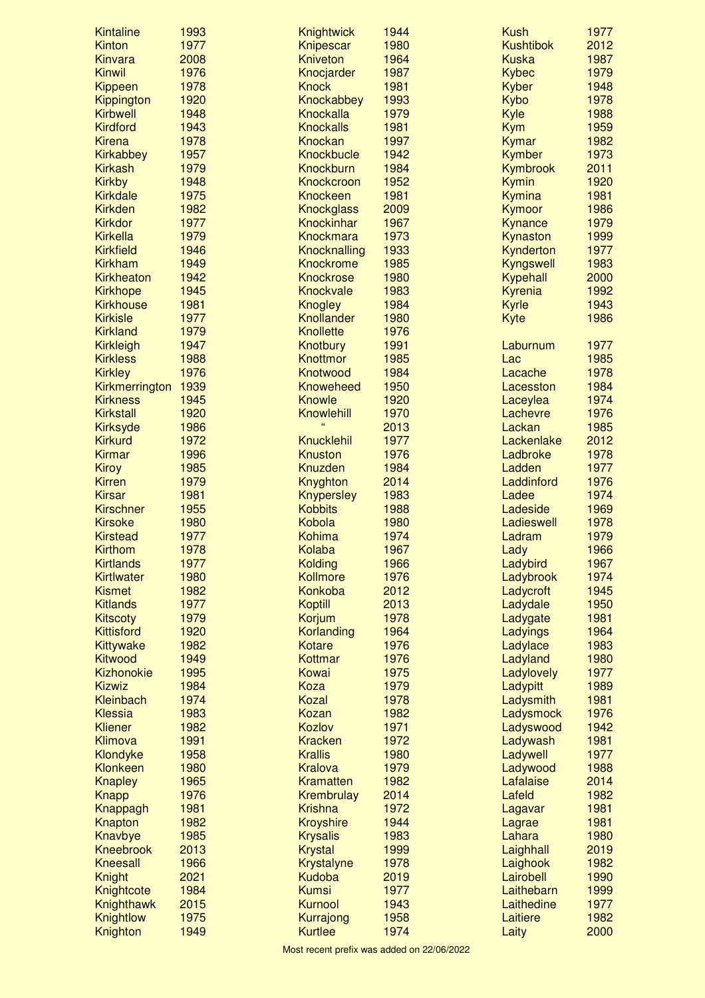| <b>Kintaline</b>                  | 1993 | Knightwick               | 1944 | <b>Kush</b>      | 1977 |
|-----------------------------------|------|--------------------------|------|------------------|------|
| <b>Kinton</b>                     | 1977 | Knipescar                | 1980 | <b>Kushtibok</b> | 2012 |
| <b>Kinvara</b>                    | 2008 | <b>Kniveton</b>          | 1964 | <b>Kuska</b>     | 1987 |
| <b>Kinwil</b>                     | 1976 | Knocjarder               | 1987 | <b>Kybec</b>     | 1979 |
| Kippeen                           | 1978 | <b>Knock</b>             | 1981 | Kyber            | 1948 |
| Kippington                        | 1920 | Knockabbey               | 1993 | Kybo             | 1978 |
| <b>Kirbwell</b>                   | 1948 | Knockalla                | 1979 | Kyle             | 1988 |
| <b>Kirdford</b>                   | 1943 | <b>Knockalls</b>         | 1981 | <b>Kym</b>       | 1959 |
| <b>Kirena</b>                     | 1978 | <b>Knockan</b>           | 1997 | Kymar            | 1982 |
| Kirkabbey                         | 1957 | <b>Knockbucle</b>        | 1942 | Kymber           | 1973 |
| <b>Kirkash</b>                    | 1979 | <b>Knockburn</b>         | 1984 | Kymbrook         | 2011 |
| <b>Kirkby</b>                     | 1948 | Knockcroon               | 1952 | <b>Kymin</b>     | 1920 |
| <b>Kirkdale</b>                   | 1975 | <b>Knockeen</b>          | 1981 | Kymina           | 1981 |
| <b>Kirkden</b>                    | 1982 | <b>Knockglass</b>        | 2009 | Kymoor           | 1986 |
| <b>Kirkdor</b>                    | 1977 | Knockinhar               | 1967 | Kynance          | 1979 |
| <b>Kirkella</b>                   | 1979 | <b>Knockmara</b>         | 1973 | Kynaston         | 1999 |
| <b>Kirkfield</b>                  | 1946 | <b>Knocknalling</b>      | 1933 | Kynderton        | 1977 |
| <b>Kirkham</b>                    | 1949 | Knockrome                | 1985 | Kyngswell        | 1983 |
| <b>Kirkheaton</b>                 | 1942 | Knockrose                | 1980 | Kypehall         | 2000 |
| <b>Kirkhope</b>                   | 1945 | <b>Knockvale</b>         | 1983 | Kyrenia          | 1992 |
| <b>Kirkhouse</b>                  | 1981 | <b>Knogley</b>           | 1984 | <b>Kyrle</b>     | 1943 |
| <b>Kirkisle</b>                   | 1977 | Knollander               | 1980 | Kyte             | 1986 |
| <b>Kirkland</b>                   | 1979 | <b>Knollette</b>         | 1976 |                  |      |
| <b>Kirkleigh</b>                  | 1947 | Knotbury                 | 1991 | Laburnum         | 1977 |
| <b>Kirkless</b>                   | 1988 | Knottmor                 | 1985 | Lac              | 1985 |
| <b>Kirkley</b>                    | 1976 | Knotwood                 | 1984 | Lacache          | 1978 |
|                                   | 1939 | <b>Knoweheed</b>         | 1950 |                  | 1984 |
| Kirkmerrington<br><b>Kirkness</b> |      |                          | 1920 | Lacesston        | 1974 |
|                                   | 1945 | Knowle                   |      | Laceylea         |      |
| <b>Kirkstall</b>                  | 1920 | Knowlehill<br>$\epsilon$ | 1970 | Lachevre         | 1976 |
| <b>Kirksyde</b>                   | 1986 |                          | 2013 | Lackan           | 1985 |
| <b>Kirkurd</b>                    | 1972 | <b>Knucklehil</b>        | 1977 | Lackenlake       | 2012 |
| <b>Kirmar</b>                     | 1996 | <b>Knuston</b>           | 1976 | Ladbroke         | 1978 |
| <b>Kiroy</b>                      | 1985 | <b>Knuzden</b>           | 1984 | Ladden           | 1977 |
| <b>Kirren</b>                     | 1979 | Knyghton                 | 2014 | Laddinford       | 1976 |
| <b>Kirsar</b>                     | 1981 | <b>Knypersley</b>        | 1983 | Ladee            | 1974 |
| <b>Kirschner</b>                  | 1955 | <b>Kobbits</b>           | 1988 | Ladeside         | 1969 |
| <b>Kirsoke</b>                    | 1980 | Kobola                   | 1980 | Ladieswell       | 1978 |
| <b>Kirstead</b>                   | 1977 | Kohima                   | 1974 | Ladram           | 1979 |
| Kirthom                           | 1978 | <b>Kolaba</b>            | 1967 | Lady             | 1966 |
| <b>Kirtlands</b>                  | 1977 | Kolding                  | 1966 | Ladybird         | 1967 |
| <b>Kirtlwater</b>                 | 1980 | Kollmore                 | 1976 | Ladybrook        | 1974 |
| <b>Kismet</b>                     | 1982 | Konkoba                  | 2012 | Ladycroft        | 1945 |
| <b>Kitlands</b>                   | 1977 | <b>Koptill</b>           | 2013 | Ladydale         | 1950 |
| <b>Kitscoty</b>                   | 1979 | Korjum                   | 1978 | Ladygate         | 1981 |
| <b>Kittisford</b>                 | 1920 | Korlanding               | 1964 | Ladyings         | 1964 |
| Kittywake                         | 1982 | <b>Kotare</b>            | 1976 | Ladylace         | 1983 |
| Kitwood                           | 1949 | Kottmar                  | 1976 | Ladyland         | 1980 |
| Kizhonokie                        | 1995 | Kowai                    | 1975 | Ladylovely       | 1977 |
| <b>Kizwiz</b>                     | 1984 | Koza                     | 1979 | Ladypitt         | 1989 |
| Kleinbach                         | 1974 | <b>Kozal</b>             | 1978 | Ladysmith        | 1981 |
| <b>Klessia</b>                    | 1983 | Kozan                    | 1982 | Ladysmock        | 1976 |
| <b>Kliener</b>                    | 1982 | Kozlov                   | 1971 | Ladyswood        | 1942 |
| Klimova                           | 1991 | <b>Kracken</b>           | 1972 | Ladywash         | 1981 |
| Klondyke                          | 1958 | <b>Krallis</b>           | 1980 | Ladywell         | 1977 |
| Klonkeen                          | 1980 | <b>Kralova</b>           | 1979 | Ladywood         | 1988 |
| <b>Knapley</b>                    | 1965 | Kramatten                | 1982 | Lafalaise        | 2014 |
| Knapp                             | 1976 | Krembrulay               | 2014 | Lafeld           | 1982 |
| Knappagh                          | 1981 | <b>Krishna</b>           | 1972 | Lagavar          | 1981 |
| Knapton                           | 1982 | <b>Kroyshire</b>         | 1944 | Lagrae           | 1981 |
| Knavbye                           | 1985 | <b>Krysalis</b>          | 1983 | Lahara           | 1980 |
| <b>Kneebrook</b>                  | 2013 | <b>Krystal</b>           | 1999 | Laighhall        | 2019 |
| <b>Kneesall</b>                   | 1966 | Krystalyne               | 1978 | Laighook         | 1982 |
| <b>Knight</b>                     | 2021 | Kudoba                   | 2019 | Lairobell        | 1990 |
| Knightcote                        | 1984 | <b>Kumsi</b>             | 1977 | Laithebarn       | 1999 |
| Knighthawk                        | 2015 | Kurnool                  | 1943 | Laithedine       | 1977 |
| Knightlow                         | 1975 | Kurrajong                | 1958 | Laitiere         | 1982 |
| Knighton                          | 1949 | <b>Kurtlee</b>           | 1974 | Laity            | 2000 |
|                                   |      |                          |      |                  |      |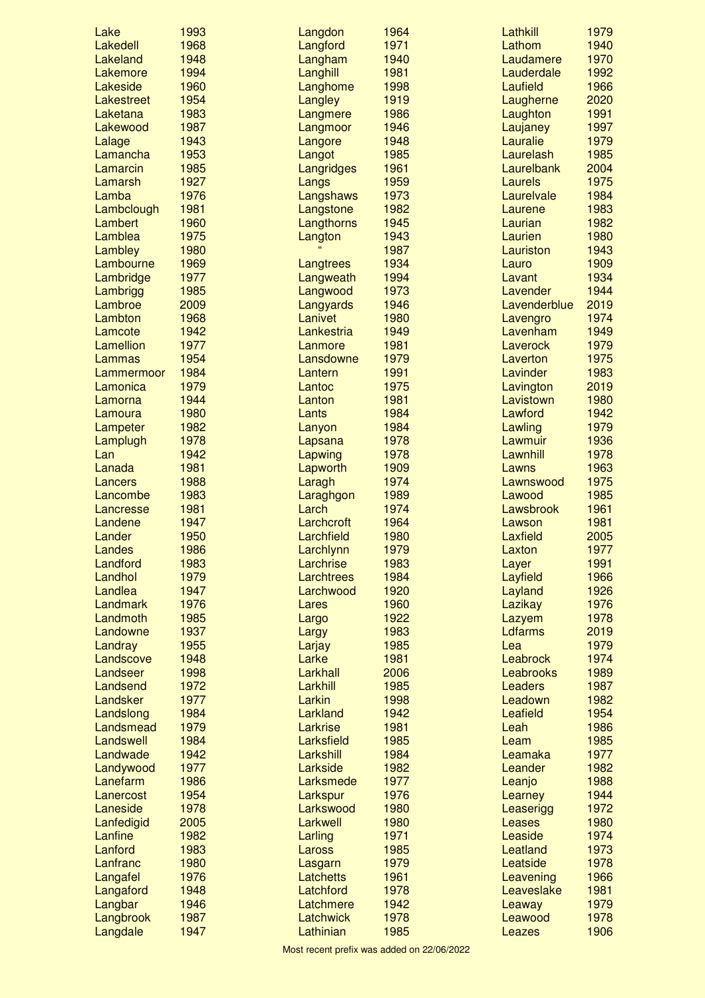| Lake                  | 1993         | Langdon               | 1964         | Lathkill              | 1979         |
|-----------------------|--------------|-----------------------|--------------|-----------------------|--------------|
| Lakedell              | 1968         | Langford              | 1971         | Lathom                | 1940         |
| Lakeland              | 1948         | Langham               | 1940         | Laudamere             | 1970         |
| Lakemore              | 1994         | Langhill              | 1981         | Lauderdale            | 1992         |
| Lakeside              | 1960         | Langhome              | 1998         | Laufield              | 1966         |
| Lakestreet            | 1954         | Langley               | 1919         | Laugherne             | 2020         |
| Laketana              | 1983         | Langmere              | 1986         | Laughton              | 1991         |
| Lakewood              | 1987         | Langmoor              | 1946         | Laujaney              | 1997         |
| Lalage                | 1943         | Langore               | 1948         | Lauralie              | 1979         |
| Lamancha              | 1953         | Langot                | 1985         | Laurelash             | 1985         |
| Lamarcin              | 1985         | Langridges            | 1961         | Laurelbank            | 2004         |
| Lamarsh<br>Lamba      | 1927<br>1976 | Langs<br>Langshaws    | 1959<br>1973 | Laurels<br>Laurelvale | 1975<br>1984 |
| Lambclough            | 1981         | Langstone             | 1982         | Laurene               | 1983         |
| Lambert               | 1960         | Langthorns            | 1945         | Laurian               | 1982         |
| Lamblea               | 1975         | Langton               | 1943         | Laurien               | 1980         |
| Lambley               | 1980         |                       | 1987         | Lauriston             | 1943         |
| Lambourne             | 1969         | Langtrees             | 1934         | Lauro                 | 1909         |
| Lambridge             | 1977         | Langweath             | 1994         | Lavant                | 1934         |
| Lambrigg              | 1985         | Langwood              | 1973         | Lavender              | 1944         |
| Lambroe               | 2009         | Langyards             | 1946         | Lavenderblue          | 2019         |
| Lambton               | 1968         | Lanivet               | 1980         | Lavengro              | 1974         |
| Lamcote               | 1942         | Lankestria            | 1949         | Lavenham              | 1949         |
| Lamellion             | 1977         | Lanmore               | 1981         | Laverock              | 1979         |
| Lammas                | 1954         | Lansdowne             | 1979         | Laverton              | 1975         |
| Lammermoor            | 1984         | Lantern               | 1991         | Lavinder              | 1983         |
| Lamonica              | 1979         | Lantoc                | 1975         | Lavington             | 2019         |
| Lamorna               | 1944         | Lanton                | 1981         | Lavistown             | 1980         |
| Lamoura               | 1980         | Lants                 | 1984         | Lawford               | 1942         |
| Lampeter              | 1982         | Lanyon                | 1984         | Lawling               | 1979         |
| Lamplugh              | 1978         | Lapsana               | 1978         | Lawmuir               | 1936         |
| Lan                   | 1942         | Lapwing               | 1978         | Lawnhill              | 1978         |
| Lanada                | 1981         | Lapworth              | 1909         | Lawns                 | 1963         |
| Lancers               | 1988         | Laragh                | 1974         | Lawnswood             | 1975         |
| Lancombe              | 1983         | Laraghgon<br>Larch    | 1989<br>1974 | Lawood<br>Lawsbrook   | 1985<br>1961 |
| Lancresse<br>Landene  | 1981<br>1947 | Larchcroft            | 1964         | Lawson                | 1981         |
| Lander                | 1950         | Larchfield            | 1980         | Laxfield              | 2005         |
| Landes                | 1986         | Larchlynn             | 1979         | Laxton                | 1977         |
| Landford              | 1983         | Larchrise             | 1983         | Layer                 | 1991         |
| Landhol               | 1979         | Larchtrees            | 1984         | Layfield              | 1966         |
| Landlea               | 1947         | Larchwood             | 1920         | Layland               | 1926         |
| Landmark              | 1976         | Lares                 | 1960         | Lazikay               | 1976         |
| Landmoth              | 1985         | Largo                 | 1922         | Lazyem                | 1978         |
| Landowne              | 1937         | Largy                 | 1983         | Ldfarms               | 2019         |
| Landray               | 1955         | Larjay                | 1985         | Lea                   | 1979         |
| Landscove             | 1948         | Larke                 | 1981         | Leabrock              | 1974         |
| Landseer              | 1998         | Larkhall              | 2006         | Leabrooks             | 1989         |
| Landsend              | 1972         | Larkhill              | 1985         | <b>Leaders</b>        | 1987         |
| Landsker              | 1977         | Larkin                | 1998         | Leadown               | 1982         |
| Landslong             | 1984         | Larkland              | 1942         | Leafield              | 1954         |
| Landsmead             | 1979         | Larkrise              | 1981         | Leah                  | 1986         |
| Landswell             | 1984         | Larksfield            | 1985         | Leam                  | 1985         |
| Landwade              | 1942         | Larkshill             | 1984         | Leamaka               | 1977         |
| Landywood             | 1977         | Larkside              | 1982         | Leander               | 1982         |
| Lanefarm              | 1986         | Larksmede             | 1977         | Leanjo                | 1988         |
| Lanercost<br>Laneside | 1954         | Larkspur<br>Larkswood | 1976<br>1980 | Learney               | 1944<br>1972 |
| Lanfedigid            | 1978<br>2005 | Larkwell              | 1980         | Leaserigg<br>Leases   | 1980         |
| Lanfine               | 1982         | Larling               | 1971         | Leaside               | 1974         |
| Lanford               | 1983         | Laross                | 1985         | Leatland              | 1973         |
| Lanfranc              | 1980         | Lasgarn               | 1979         | Leatside              | 1978         |
| Langafel              | 1976         | Latchetts             | 1961         | Leavening             | 1966         |
| Langaford             | 1948         | Latchford             | 1978         | Leaveslake            | 1981         |
| Langbar               | 1946         | Latchmere             | 1942         | Leaway                | 1979         |
| Langbrook             | 1987         | Latchwick             | 1978         | Leawood               | 1978         |
| Langdale              | 1947         | Lathinian             | 1985         | Leazes                | 1906         |
|                       |              |                       |              |                       |              |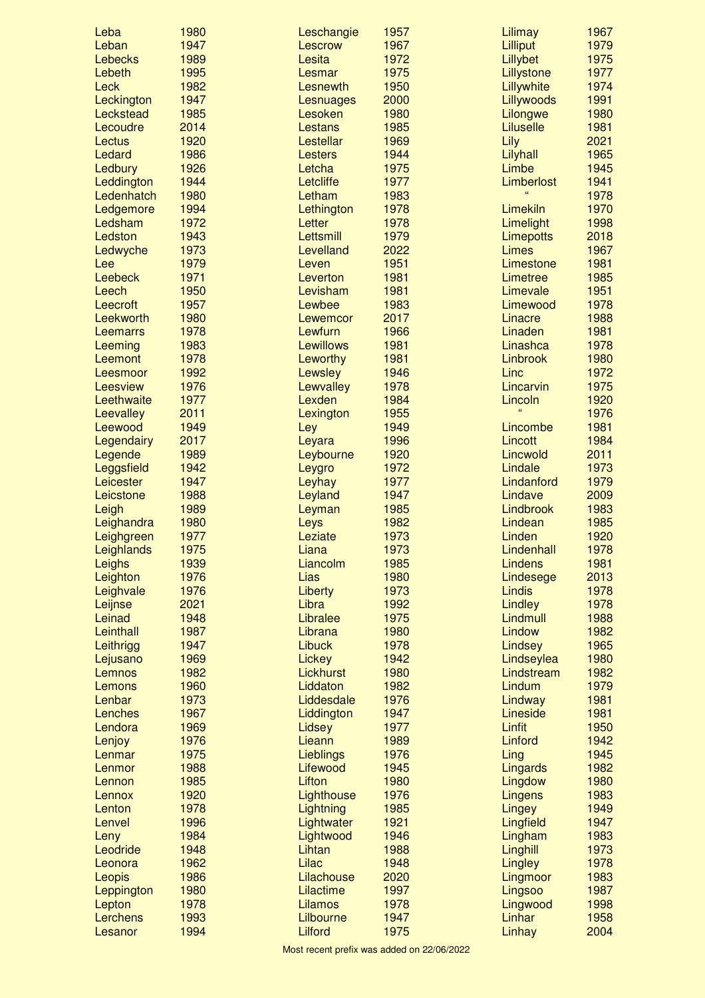| Leba           | 1980 | Leschangie       | 1957 | Lilimay                 | 1967 |
|----------------|------|------------------|------|-------------------------|------|
| Leban          | 1947 | Lescrow          | 1967 | Lilliput                | 1979 |
| <b>Lebecks</b> | 1989 | Lesita           | 1972 | Lillybet                | 1975 |
| Lebeth         | 1995 | Lesmar           | 1975 | Lillystone              | 1977 |
| Leck           | 1982 | Lesnewth         | 1950 | Lillywhite              | 1974 |
| Leckington     | 1947 | Lesnuages        | 2000 | Lillywoods              | 1991 |
| Leckstead      | 1985 | Lesoken          | 1980 | Lilongwe                | 1980 |
| Lecoudre       | 2014 | <b>Lestans</b>   | 1985 | Liluselle               | 1981 |
| Lectus         | 1920 | Lestellar        | 1969 | Lily                    | 2021 |
| Ledard         | 1986 | <b>Lesters</b>   | 1944 | Lilyhall                | 1965 |
| Ledbury        | 1926 | Letcha           | 1975 | Limbe                   | 1945 |
| Leddington     | 1944 | Letcliffe        | 1977 | Limberlost              | 1941 |
| Ledenhatch     | 1980 | Letham           | 1983 |                         | 1978 |
| Ledgemore      | 1994 | Lethington       | 1978 | Limekiln                | 1970 |
| Ledsham        | 1972 | Letter           | 1978 | Limelight               | 1998 |
| Ledston        | 1943 | Lettsmill        | 1979 | Limepotts               | 2018 |
| Ledwyche       | 1973 | Levelland        | 2022 | Limes                   | 1967 |
| Lee            | 1979 | Leven            | 1951 | Limestone               | 1981 |
| Leebeck        | 1971 | Leverton         | 1981 | Limetree                | 1985 |
| Leech          | 1950 | Levisham         | 1981 | Limevale                | 1951 |
| Leecroft       | 1957 | Lewbee           | 1983 | Limewood                | 1978 |
| Leekworth      | 1980 | Lewemcor         | 2017 | Linacre                 | 1988 |
| Leemarrs       | 1978 | Lewfurn          | 1966 | Linaden                 | 1981 |
| Leeming        | 1983 | <b>Lewillows</b> | 1981 | Linashca                | 1978 |
| Leemont        | 1978 | Leworthy         | 1981 | Linbrook                | 1980 |
| Leesmoor       | 1992 | Lewsley          | 1946 | Linc                    | 1972 |
| Leesview       | 1976 | Lewvalley        | 1978 | Lincarvin               | 1975 |
| Leethwaite     | 1977 | Lexden           | 1984 |                         | 1920 |
|                |      |                  |      | Lincoln<br>$\mathbf{G}$ |      |
| Leevalley      | 2011 | Lexington        | 1955 |                         | 1976 |
| Leewood        | 1949 | Ley              | 1949 | Lincombe                | 1981 |
| Legendairy     | 2017 | Leyara           | 1996 | Lincott                 | 1984 |
| Legende        | 1989 | Leybourne        | 1920 | Lincwold                | 2011 |
| Leggsfield     | 1942 | Leygro           | 1972 | Lindale                 | 1973 |
| Leicester      | 1947 | Leyhay           | 1977 | Lindanford              | 1979 |
| Leicstone      | 1988 | Leyland          | 1947 | Lindave                 | 2009 |
| Leigh          | 1989 | Leyman           | 1985 | Lindbrook               | 1983 |
| Leighandra     | 1980 | Leys             | 1982 | Lindean                 | 1985 |
| Leighgreen     | 1977 | Leziate          | 1973 | Linden                  | 1920 |
| Leighlands     | 1975 | Liana            | 1973 | Lindenhall              | 1978 |
| Leighs         | 1939 | Liancolm         | 1985 | <b>Lindens</b>          | 1981 |
| Leighton       | 1976 | Lias             | 1980 | Lindesege               | 2013 |
| Leighvale      | 1976 | Liberty          | 1973 | Lindis                  | 1978 |
| Leijnse        | 2021 | Libra            | 1992 | Lindley                 | 1978 |
| Leinad         | 1948 | Libralee         | 1975 | Lindmull                | 1988 |
| Leinthall      | 1987 | Librana          | 1980 | Lindow                  | 1982 |
| Leithrigg      | 1947 | <b>Libuck</b>    | 1978 | Lindsey                 | 1965 |
| Lejusano       | 1969 | Lickey           | 1942 | Lindseylea              | 1980 |
| Lemnos         | 1982 | <b>Lickhurst</b> | 1980 | Lindstream              | 1982 |
| Lemons         | 1960 | Liddaton         | 1982 | Lindum                  | 1979 |
| Lenbar         | 1973 | Liddesdale       | 1976 | Lindway                 | 1981 |
| Lenches        | 1967 | Liddington       | 1947 | Lineside                | 1981 |
| Lendora        | 1969 | Lidsey           | 1977 | <b>Linfit</b>           | 1950 |
| Lenjoy         | 1976 | Lieann           | 1989 | Linford                 | 1942 |
| Lenmar         | 1975 | Lieblings        | 1976 | Ling                    | 1945 |
| Lenmor         | 1988 | Lifewood         | 1945 | Lingards                | 1982 |
| Lennon         | 1985 | Lifton           | 1980 | Lingdow                 | 1980 |
| Lennox         | 1920 | Lighthouse       | 1976 | Lingens                 | 1983 |
| Lenton         | 1978 | Lightning        | 1985 |                         | 1949 |
|                | 1996 |                  | 1921 | Lingey                  | 1947 |
| Lenvel         |      | Lightwater       |      | Lingfield               |      |
| Leny           | 1984 | Lightwood        | 1946 | Lingham                 | 1983 |
| Leodride       | 1948 | Lihtan           | 1988 | Linghill                | 1973 |
| Leonora        | 1962 | Lilac            | 1948 | Lingley                 | 1978 |
| Leopis         | 1986 | Lilachouse       | 2020 | Lingmoor                | 1983 |
| Leppington     | 1980 | Lilactime        | 1997 | Lingsoo                 | 1987 |
| Lepton         | 1978 | Lilamos          | 1978 | Lingwood                | 1998 |
| Lerchens       | 1993 | Lilbourne        | 1947 | Linhar                  | 1958 |
| Lesanor        | 1994 | Lilford          | 1975 | Linhay                  | 2004 |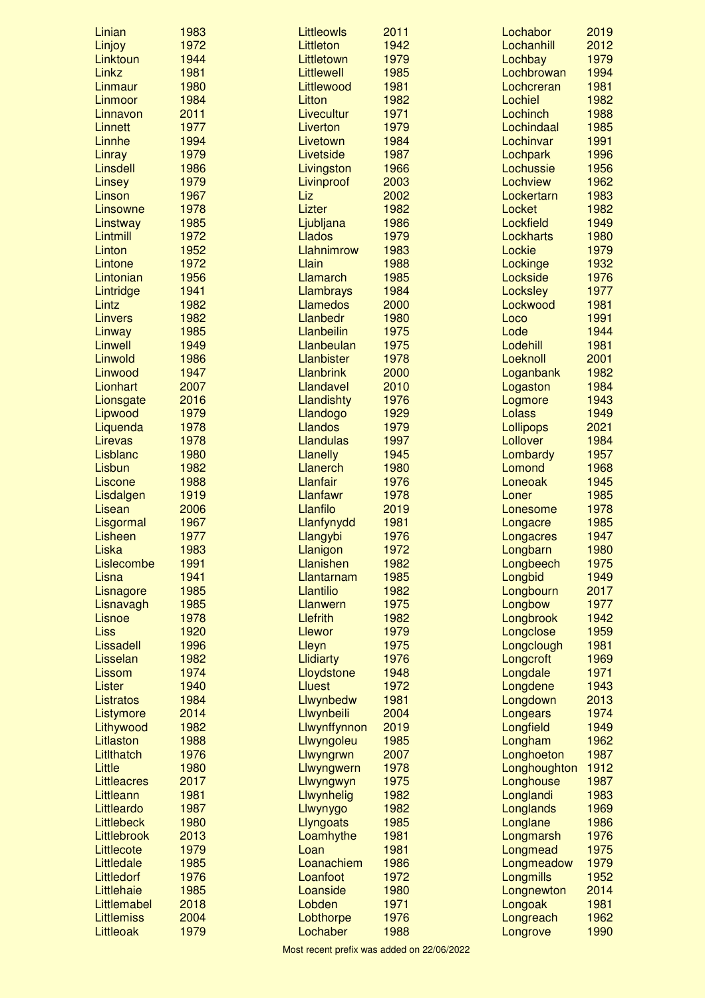| Linian                | 1983         | Littleowls                | 2011         | Lochabor              | 2019         |
|-----------------------|--------------|---------------------------|--------------|-----------------------|--------------|
| Linjoy                | 1972         | Littleton                 | 1942         | Lochanhill            | 2012         |
| Linktoun              | 1944         | Littletown                | 1979         | Lochbay               | 1979         |
| Linkz                 | 1981         | Littlewell                | 1985         | Lochbrowan            | 1994         |
| Linmaur               | 1980         | Littlewood                | 1981         | Lochcreran            | 1981         |
| Linmoor               | 1984         | Litton                    | 1982         | Lochiel               | 1982         |
| Linnavon              | 2011         | Livecultur                | 1971         | Lochinch              | 1988         |
| <b>Linnett</b>        | 1977         | Liverton                  | 1979         | Lochindaal            | 1985         |
| Linnhe                | 1994         | Livetown                  | 1984         | Lochinvar             | 1991         |
| Linray                | 1979         | Livetside                 | 1987         | Lochpark              | 1996         |
| Linsdell              | 1986         | Livingston                | 1966         | Lochussie             | 1956         |
| Linsey                | 1979         | Livinproof                | 2003         | Lochview              | 1962         |
| Linson<br>Linsowne    | 1967<br>1978 | Liz<br>Lizter             | 2002<br>1982 | Lockertarn<br>Locket  | 1983<br>1982 |
| Linstway              | 1985         | Ljubljana                 | 1986         | Lockfield             | 1949         |
| Lintmill              | 1972         | <b>Llados</b>             | 1979         | Lockharts             | 1980         |
| Linton                | 1952         | Llahnimrow                | 1983         | Lockie                | 1979         |
| Lintone               | 1972         | Llain                     | 1988         | Lockinge              | 1932         |
| Lintonian             | 1956         | Llamarch                  | 1985         | Lockside              | 1976         |
| Lintridge             | 1941         | <b>Llambrays</b>          | 1984         | Locksley              | 1977         |
| Lintz                 | 1982         | <b>Llamedos</b>           | 2000         | Lockwood              | 1981         |
| <b>Linvers</b>        | 1982         | <b>Llanbedr</b>           | 1980         | Loco                  | 1991         |
| Linway                | 1985         | Llanbeilin                | 1975         | Lode                  | 1944         |
| Linwell               | 1949         | Llanbeulan                | 1975         | Lodehill              | 1981         |
| Linwold               | 1986         | <b>Llanbister</b>         | 1978         | Loeknoll              | 2001         |
| Linwood               | 1947         | <b>Llanbrink</b>          | 2000         | Loganbank             | 1982         |
| Lionhart              | 2007         | Llandavel                 | 2010         | Logaston              | 1984         |
| Lionsgate             | 2016         | Llandishty                | 1976         | Logmore               | 1943         |
| Lipwood               | 1979         | Llandogo                  | 1929         | Lolass                | 1949         |
| Liquenda              | 1978         | Llandos                   | 1979         | Lollipops             | 2021         |
| Lirevas               | 1978         | <b>Llandulas</b>          | 1997         | Lollover              | 1984         |
| Lisblanc              | 1980         | <b>Llanelly</b>           | 1945         | Lombardy              | 1957         |
| Lisbun                | 1982         | <b>Llanerch</b>           | 1980         | Lomond                | 1968         |
| Liscone               | 1988         | Llanfair                  | 1976         | Loneoak               | 1945         |
| Lisdalgen             | 1919         | Llanfawr                  | 1978         | Loner                 | 1985         |
| Lisean                | 2006         | Llanfilo                  | 2019         | Lonesome              | 1978         |
| Lisgormal             | 1967         | Llanfynydd                | 1981         | Longacre              | 1985         |
| Lisheen               | 1977         | Llangybi                  | 1976         | Longacres             | 1947         |
| Liska                 | 1983         | Llanigon                  | 1972         | Longbarn              | 1980         |
| Lislecombe            | 1991         | Llanishen                 | 1982         | Longbeech             | 1975         |
| Lisna                 | 1941         | Llantarnam                | 1985         | Longbid               | 1949         |
| Lisnagore             | 1985         | Llantilio                 | 1982         | Longbourn             | 2017         |
| Lisnavagh             | 1985         | Llanwern                  | 1975         | Longbow               | 1977         |
| Lisnoe                | 1978         | Llefrith                  | 1982         | Longbrook             | 1942         |
| Liss                  | 1920         | Llewor                    | 1979         | Longclose             | 1959         |
| Lissadell<br>Lisselan | 1996<br>1982 | Lleyn<br><b>Llidiarty</b> | 1975<br>1976 | Longclough            | 1981<br>1969 |
| Lissom                | 1974         | Lloydstone                | 1948         | Longcroft<br>Longdale | 1971         |
| Lister                | 1940         | <b>Lluest</b>             | 1972         | Longdene              | 1943         |
| Listratos             | 1984         | Llwynbedw                 | 1981         | Longdown              | 2013         |
| Listymore             | 2014         | Llwynbeili                | 2004         | Longears              | 1974         |
| Lithywood             | 1982         | Llwynffynnon              | 2019         | Longfield             | 1949         |
| Litlaston             | 1988         | Llwyngoleu                | 1985         | Longham               | 1962         |
| LitIthatch            | 1976         | Llwyngrwn                 | 2007         | Longhoeton            | 1987         |
| Little                | 1980         | Llwyngwern                | 1978         | Longhoughton          | 1912         |
| <b>Littleacres</b>    | 2017         | Llwyngwyn                 | 1975         | Longhouse             | 1987         |
| Littleann             | 1981         | Llwynhelig                | 1982         | Longlandi             | 1983         |
| Littleardo            | 1987         | Llwynygo                  | 1982         | Longlands             | 1969         |
| Littlebeck            | 1980         | Llyngoats                 | 1985         | Longlane              | 1986         |
| Littlebrook           | 2013         | Loamhythe                 | 1981         | Longmarsh             | 1976         |
| Littlecote            | 1979         | Loan                      | 1981         | Longmead              | 1975         |
| Littledale            | 1985         | Loanachiem                | 1986         | Longmeadow            | 1979         |
| Littledorf            | 1976         | Loanfoot                  | 1972         | Longmills             | 1952         |
| Littlehaie            | 1985         | Loanside                  | 1980         | Longnewton            | 2014         |
| Littlemabel           | 2018         | Lobden                    | 1971         | Longoak               | 1981         |
| <b>Littlemiss</b>     | 2004         | Lobthorpe                 | 1976         | Longreach             | 1962         |
| Littleoak             | 1979         | Lochaber                  | 1988         | Longrove              | 1990         |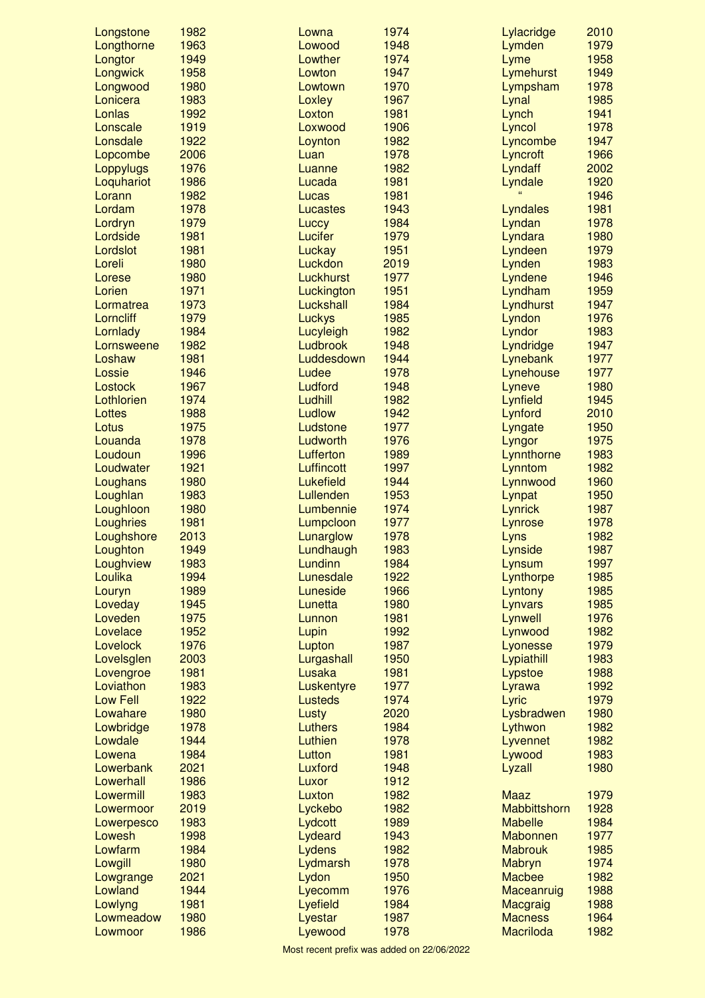| Longstone       | 1982         | Lowna              | 1974         | Lylacridge                  | 2010         |
|-----------------|--------------|--------------------|--------------|-----------------------------|--------------|
| Longthorne      | 1963         | Lowood             | 1948         | Lymden                      | 1979         |
| Longtor         | 1949         | Lowther            | 1974         | Lyme                        | 1958         |
| Longwick        | 1958         | Lowton             | 1947         | Lymehurst                   | 1949         |
| Longwood        | 1980         | Lowtown            | 1970         | Lympsham                    | 1978         |
| Lonicera        | 1983         | Loxley             | 1967         | Lynal                       | 1985         |
| Lonlas          | 1992         | Loxton             | 1981         | Lynch                       | 1941         |
| Lonscale        | 1919         | Loxwood            | 1906         | Lyncol                      | 1978         |
| Lonsdale        | 1922         | Loynton            | 1982         | Lyncombe                    | 1947         |
| Lopcombe        | 2006         | Luan               | 1978         | Lyncroft                    | 1966         |
| Loppylugs       | 1976         | Luanne             | 1982         | Lyndaff                     | 2002         |
| Loquhariot      | 1986         | Lucada             | 1981         | Lyndale                     | 1920         |
| Lorann          | 1982         | Lucas              | 1981         |                             | 1946         |
| Lordam          | 1978         | Lucastes           | 1943         | Lyndales                    | 1981         |
| Lordryn         | 1979         | Luccy              | 1984         | Lyndan                      | 1978         |
| Lordside        | 1981         | Lucifer            | 1979         | Lyndara                     | 1980         |
| Lordslot        | 1981         | Luckay             | 1951         | Lyndeen                     | 1979         |
| Loreli          | 1980         | Luckdon            | 2019         | Lynden                      | 1983         |
| Lorese          | 1980         | <b>Luckhurst</b>   | 1977         | Lyndene                     | 1946         |
| Lorien          | 1971         | Luckington         | 1951         | Lyndham                     | 1959         |
| Lormatrea       | 1973         | Luckshall          | 1984         | Lyndhurst                   | 1947         |
| Lorncliff       | 1979         | Luckys             | 1985         | Lyndon                      | 1976         |
| Lornlady        | 1984         | Lucyleigh          | 1982         | Lyndor                      | 1983         |
| Lornsweene      | 1982         | Ludbrook           | 1948         | Lyndridge                   | 1947         |
| Loshaw          | 1981         | Luddesdown         | 1944         | Lynebank                    | 1977         |
| Lossie          | 1946         | Ludee              | 1978         | Lynehouse                   | 1977         |
| Lostock         | 1967         | Ludford            | 1948         | Lyneve                      | 1980         |
| Lothlorien      | 1974         | Ludhill            | 1982         | Lynfield                    | 1945         |
| Lottes          | 1988         | Ludlow             | 1942         | Lynford                     | 2010         |
| Lotus           | 1975         | Ludstone           | 1977         | Lyngate                     | 1950         |
| Louanda         | 1978         | Ludworth           | 1976         | Lyngor                      | 1975         |
| Loudoun         | 1996         | Lufferton          | 1989         | Lynnthorne                  | 1983         |
| Loudwater       | 1921         | Luffincott         | 1997         | Lynntom                     | 1982         |
| Loughans        | 1980         | Lukefield          | 1944         | Lynnwood                    | 1960         |
| Loughlan        | 1983         | Lullenden          | 1953         | Lynpat                      | 1950         |
| Loughloon       | 1980         | Lumbennie          | 1974         | Lynrick                     | 1987         |
| Loughries       | 1981         | Lumpcloon          | 1977         | Lynrose                     | 1978         |
| Loughshore      | 2013         | Lunarglow          | 1978         | Lyns                        | 1982         |
| Loughton        | 1949         | Lundhaugh          | 1983         | Lynside                     | 1987         |
| Loughview       | 1983         | Lundinn            | 1984         | Lynsum                      | 1997         |
| Loulika         | 1994         | Lunesdale          | 1922         | Lynthorpe                   | 1985         |
| Louryn          | 1989         | Luneside           | 1966         | Lyntony                     | 1985         |
| Loveday         | 1945         | Lunetta            | 1980         | Lynvars                     | 1985         |
| Loveden         | 1975         | Lunnon             | 1981         | Lynwell                     | 1976         |
| Lovelace        | 1952         | Lupin              | 1992         | Lynwood                     | 1982         |
| Lovelock        | 1976         | Lupton             | 1987         | Lyonesse                    | 1979         |
| Lovelsglen      | 2003         | Lurgashall         | 1950         | Lypiathill                  | 1983         |
| Lovengroe       | 1981         | Lusaka             | 1981         | Lypstoe                     | 1988         |
| Loviathon       | 1983         | Luskentyre         | 1977         | Lyrawa                      | 1992         |
| <b>Low Fell</b> | 1922         | <b>Lusteds</b>     | 1974         | Lyric                       | 1979         |
| Lowahare        | 1980         | Lusty              | 2020         | Lysbradwen                  | 1980         |
| Lowbridge       | 1978<br>1944 | Luthers<br>Luthien | 1984<br>1978 | Lythwon                     | 1982<br>1982 |
| Lowdale         |              |                    |              | Lyvennet                    |              |
| Lowena          | 1984         | Lutton             | 1981         | Lywood                      | 1983         |
| Lowerbank       | 2021<br>1986 | Luxford            | 1948         | Lyzall                      | 1980         |
| Lowerhall       | 1983         | Luxor              | 1912         |                             |              |
| Lowermill       |              | Luxton             | 1982<br>1982 | <b>Maaz</b><br>Mabbittshorn | 1979         |
| Lowermoor       | 2019         | Lyckebo            |              |                             | 1928         |
| Lowerpesco      | 1983<br>1998 | Lydcott            | 1989         | <b>Mabelle</b>              | 1984<br>1977 |
| Lowesh          | 1984         | Lydeard            | 1943         | Mabonnen                    | 1985         |
| Lowfarm         | 1980         | Lydens             | 1982<br>1978 | <b>Mabrouk</b>              | 1974         |
| Lowgill         | 2021         | Lydmarsh           |              | Mabryn                      | 1982         |
| Lowgrange       |              | Lydon              | 1950         | <b>Macbee</b>               |              |
| Lowland         | 1944<br>1981 | Lyecomm            | 1976         | Maceanruig                  | 1988<br>1988 |
| Lowlyng         | 1980         | Lyefield           | 1984         | Macgraig<br><b>Macness</b>  | 1964         |
| Lowmeadow       |              | Lyestar            | 1987         |                             |              |
| Lowmoor         | 1986         | Lyewood            | 1978         | <b>Macriloda</b>            | 1982         |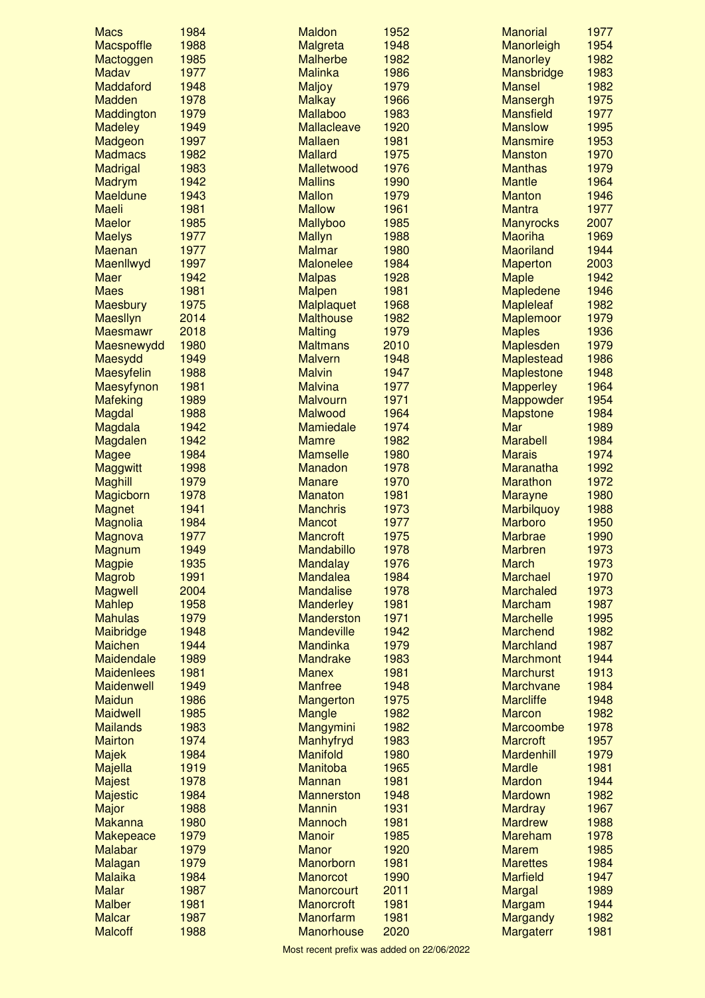| <b>Macs</b>                        | 1984         | <b>Maldon</b>               | 1952         | <b>Manorial</b>   | 1977         |
|------------------------------------|--------------|-----------------------------|--------------|-------------------|--------------|
| Macspoffle                         | 1988         | Malgreta                    | 1948         | Manorleigh        | 1954         |
| Mactoggen                          | 1985         | <b>Malherbe</b>             | 1982         | <b>Manorley</b>   | 1982         |
| Madav                              | 1977         | <b>Malinka</b>              | 1986         | Mansbridge        | 1983         |
| Maddaford                          | 1948         | Maljoy                      | 1979         | <b>Mansel</b>     | 1982         |
| Madden                             | 1978         | <b>Malkay</b>               | 1966         | Mansergh          | 1975         |
| Maddington                         | 1979         | <b>Mallaboo</b>             | 1983         | <b>Mansfield</b>  | 1977         |
| <b>Madeley</b>                     | 1949         | Mallacleave                 | 1920         | <b>Manslow</b>    | 1995         |
| Madgeon                            | 1997         | <b>Mallaen</b>              | 1981         | <b>Mansmire</b>   | 1953         |
| <b>Madmacs</b>                     | 1982         | <b>Mallard</b>              | 1975         | <b>Manston</b>    | 1970         |
| Madrigal                           | 1983         | Malletwood                  | 1976         | <b>Manthas</b>    | 1979         |
| Madrym                             | 1942         | <b>Mallins</b>              | 1990         | <b>Mantle</b>     | 1964         |
| <b>Maeldune</b>                    | 1943         | <b>Mallon</b>               | 1979         | <b>Manton</b>     | 1946         |
| <b>Maeli</b>                       | 1981         | <b>Mallow</b>               | 1961         | <b>Mantra</b>     | 1977         |
| <b>Maelor</b>                      | 1985         | <b>Mallyboo</b>             | 1985         | <b>Manyrocks</b>  | 2007         |
| <b>Maelys</b>                      | 1977         | <b>Mallyn</b>               | 1988         | <b>Maoriha</b>    | 1969         |
| <b>Maenan</b>                      | 1977         | <b>Malmar</b>               | 1980         | <b>Maoriland</b>  | 1944         |
| Maenllwyd                          | 1997         | <b>Malonelee</b>            | 1984         | <b>Maperton</b>   | 2003         |
| Maer                               | 1942         | <b>Malpas</b>               | 1928         | <b>Maple</b>      | 1942         |
| <b>Maes</b>                        | 1981         | <b>Malpen</b>               | 1981         | <b>Mapledene</b>  | 1946         |
| Maesbury                           | 1975         | Malplaquet                  | 1968         | <b>Mapleleaf</b>  | 1982         |
| Maesllyn                           | 2014         | <b>Malthouse</b>            | 1982         | Maplemoor         | 1979         |
| <b>Maesmawr</b>                    | 2018         | <b>Malting</b>              | 1979         | <b>Maples</b>     | 1936         |
| Maesnewydd                         | 1980         | <b>Maltmans</b>             | 2010         | Maplesden         | 1979         |
| Maesydd                            | 1949         | <b>Malvern</b>              | 1948         | Maplestead        | 1986         |
| Maesyfelin                         | 1988         | <b>Malvin</b>               | 1947         | <b>Maplestone</b> | 1948         |
| Maesyfynon                         | 1981         | <b>Malvina</b>              | 1977         | <b>Mapperley</b>  | 1964         |
| Mafeking                           | 1989         | <b>Malvourn</b>             | 1971         | Mappowder         | 1954         |
| Magdal                             | 1988         | Malwood                     | 1964         | <b>Mapstone</b>   | 1984         |
| Magdala                            | 1942         | Mamiedale                   | 1974         | Mar               | 1989         |
| Magdalen                           | 1942         | <b>Mamre</b>                | 1982         | <b>Marabell</b>   | 1984         |
| <b>Magee</b>                       | 1984         | <b>Mamselle</b>             | 1980         | <b>Marais</b>     | 1974         |
| <b>Maggwitt</b>                    | 1998         | Manadon                     | 1978         | Maranatha         | 1992         |
| <b>Maghill</b>                     | 1979         | <b>Manare</b>               | 1970         | <b>Marathon</b>   | 1972         |
| Magicborn                          | 1978         | <b>Manaton</b>              | 1981         | <b>Marayne</b>    | 1980         |
| <b>Magnet</b>                      | 1941         | <b>Manchris</b>             | 1973         | <b>Marbilguoy</b> | 1988         |
| Magnolia                           | 1984         | <b>Mancot</b>               | 1977         | <b>Marboro</b>    | 1950         |
| Magnova                            | 1977         | <b>Mancroft</b>             | 1975         | <b>Marbrae</b>    | 1990         |
| <b>Magnum</b>                      | 1949         | Mandabillo                  | 1978         | <b>Marbren</b>    | 1973         |
| <b>Magpie</b>                      | 1935         | <b>Mandalay</b>             | 1976         | <b>March</b>      | 1973         |
| <b>Magrob</b>                      | 1991         | Mandalea                    | 1984         | <b>Marchael</b>   | 1970         |
| <b>Magwell</b>                     | 2004         | <b>Mandalise</b>            | 1978         | <b>Marchaled</b>  | 1973         |
| <b>Mahlep</b>                      | 1958         | <b>Manderley</b>            | 1981         | <b>Marcham</b>    | 1987         |
| <b>Mahulas</b>                     | 1979         | <b>Manderston</b>           | 1971         | <b>Marchelle</b>  | 1995         |
|                                    | 1948         | <b>Mandeville</b>           | 1942         | <b>Marchend</b>   | 1982         |
| Maibridge<br><b>Maichen</b>        | 1944         | <b>Mandinka</b>             |              | <b>Marchland</b>  | 1987         |
| Maidendale                         | 1989         | <b>Mandrake</b>             | 1979<br>1983 | <b>Marchmont</b>  | 1944         |
| <b>Maidenlees</b>                  |              |                             |              | <b>Marchurst</b>  | 1913         |
|                                    | 1981         | <b>Manex</b>                | 1981         | <b>Marchvane</b>  | 1984         |
| <b>Maidenwell</b><br><b>Maidun</b> | 1949<br>1986 | <b>Manfree</b><br>Mangerton | 1948<br>1975 | <b>Marcliffe</b>  | 1948         |
| <b>Maidwell</b>                    | 1985         |                             | 1982         | <b>Marcon</b>     | 1982         |
|                                    |              | Mangle                      |              |                   |              |
| <b>Mailands</b>                    | 1983         | Mangymini                   | 1982         | Marcoombe         | 1978<br>1957 |
| <b>Mairton</b>                     | 1974         | Manhyfryd                   | 1983         | <b>Marcroft</b>   |              |
| <b>Majek</b>                       | 1984         | Manifold                    | 1980         | <b>Mardenhill</b> | 1979         |
| Majella                            | 1919         | Manitoba                    | 1965         | <b>Mardle</b>     | 1981         |
| <b>Majest</b>                      | 1978         | <b>Mannan</b>               | 1981         | <b>Mardon</b>     | 1944         |
| <b>Majestic</b>                    | 1984         | <b>Mannerston</b>           | 1948         | <b>Mardown</b>    | 1982         |
| Major                              | 1988         | <b>Mannin</b>               | 1931         | <b>Mardray</b>    | 1967         |
| Makanna                            | 1980         | <b>Mannoch</b>              | 1981         | <b>Mardrew</b>    | 1988         |
| Makepeace                          | 1979         | <b>Manoir</b>               | 1985         | <b>Mareham</b>    | 1978         |
| <b>Malabar</b>                     | 1979         | <b>Manor</b>                | 1920         | <b>Marem</b>      | 1985         |
| <b>Malagan</b>                     | 1979         | Manorborn                   | 1981         | <b>Marettes</b>   | 1984         |
| <b>Malaika</b>                     | 1984         | <b>Manorcot</b>             | 1990         | <b>Marfield</b>   | 1947         |
| <b>Malar</b>                       | 1987         | <b>Manorcourt</b>           | 2011         | Margal            | 1989         |
| <b>Malber</b>                      | 1981         | <b>Manorcroft</b>           | 1981         | <b>Margam</b>     | 1944         |
| <b>Malcar</b>                      | 1987         | Manorfarm                   | 1981         | Margandy          | 1982         |
| <b>Malcoff</b>                     | 1988         | Manorhouse                  | 2020         | <b>Margaterr</b>  | 1981         |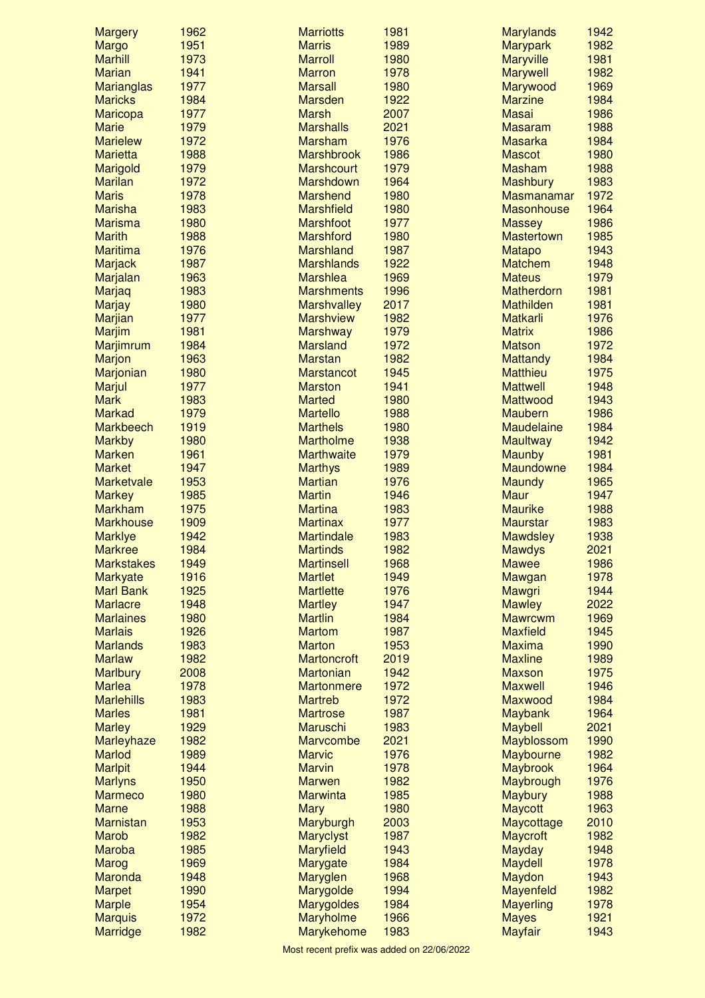| <b>Margery</b>                      | 1962         | <b>Marriotts</b>                    | 1981         | <b>Marylands</b>        | 1942         |
|-------------------------------------|--------------|-------------------------------------|--------------|-------------------------|--------------|
| Margo                               | 1951         | <b>Marris</b>                       | 1989         | <b>Marypark</b>         | 1982         |
| <b>Marhill</b>                      | 1973         | <b>Marroll</b>                      | 1980         | <b>Maryville</b>        | 1981         |
| <b>Marian</b>                       | 1941         | <b>Marron</b>                       | 1978         | <b>Marywell</b>         | 1982         |
| Marianglas                          | 1977         | <b>Marsall</b>                      | 1980         | Marywood                | 1969         |
| <b>Maricks</b>                      | 1984         | <b>Marsden</b>                      | 1922         | <b>Marzine</b>          | 1984         |
| Maricopa                            | 1977         | <b>Marsh</b>                        | 2007         | <b>Masai</b>            | 1986         |
| <b>Marie</b>                        | 1979         | <b>Marshalls</b>                    | 2021         | <b>Masaram</b>          | 1988         |
| <b>Marielew</b>                     | 1972         | <b>Marsham</b>                      | 1976         | <b>Masarka</b>          | 1984         |
| <b>Marietta</b>                     | 1988         | <b>Marshbrook</b>                   | 1986         | <b>Mascot</b>           | 1980         |
| Marigold                            | 1979         | <b>Marshcourt</b>                   | 1979         | <b>Masham</b>           | 1988         |
| <b>Marilan</b>                      | 1972         | Marshdown                           | 1964         | <b>Mashbury</b>         | 1983         |
| <b>Maris</b>                        | 1978         | <b>Marshend</b>                     | 1980         | <b>Masmanamar</b>       | 1972         |
| <b>Marisha</b>                      | 1983         | <b>Marshfield</b>                   | 1980         | <b>Masonhouse</b>       | 1964         |
| <b>Marisma</b>                      | 1980         | <b>Marshfoot</b>                    | 1977         | <b>Massey</b>           | 1986         |
| <b>Marith</b>                       | 1988         | <b>Marshford</b>                    | 1980         | <b>Mastertown</b>       | 1985         |
| <b>Maritima</b>                     | 1976         | <b>Marshland</b>                    | 1987         | <b>Matapo</b>           | 1943         |
| <b>Marjack</b>                      | 1987         | <b>Marshlands</b>                   | 1922         | <b>Matchem</b>          | 1948         |
| Marjalan                            | 1963         | <b>Marshlea</b>                     | 1969         | <b>Mateus</b>           | 1979         |
| Marjaq                              | 1983         | <b>Marshments</b>                   | 1996         | <b>Matherdorn</b>       | 1981         |
| <b>Marjay</b>                       | 1980         | <b>Marshvalley</b>                  | 2017         | <b>Mathilden</b>        | 1981         |
| Marjian                             | 1977         | <b>Marshview</b>                    | 1982         | <b>Matkarli</b>         | 1976         |
| <b>Marjim</b>                       | 1981         | <b>Marshway</b>                     | 1979         | <b>Matrix</b>           | 1986         |
| Marjimrum                           | 1984         | <b>Marsland</b>                     | 1972         | <b>Matson</b>           | 1972         |
| <b>Marjon</b>                       | 1963         | <b>Marstan</b>                      | 1982         | <b>Mattandy</b>         | 1984         |
| Marjonian                           | 1980         | <b>Marstancot</b>                   | 1945         | <b>Matthieu</b>         | 1975         |
| Marjul                              | 1977         | <b>Marston</b>                      | 1941         | <b>Mattwell</b>         | 1948         |
| <b>Mark</b>                         | 1983         | <b>Marted</b>                       | 1980         | Mattwood                | 1943         |
| <b>Markad</b>                       | 1979         | <b>Martello</b>                     | 1988         | <b>Maubern</b>          | 1986         |
| <b>Markbeech</b>                    | 1919         | <b>Marthels</b>                     | 1980         | <b>Maudelaine</b>       | 1984         |
| <b>Markby</b>                       | 1980         | <b>Martholme</b>                    | 1938         | <b>Maultway</b>         | 1942         |
| <b>Marken</b>                       | 1961         | <b>Marthwaite</b>                   | 1979         | <b>Maunby</b>           | 1981         |
| <b>Market</b>                       | 1947         | <b>Marthys</b>                      | 1989         | Maundowne               | 1984         |
| <b>Marketvale</b>                   | 1953         | <b>Martian</b>                      | 1976         | <b>Maundy</b>           | 1965         |
| <b>Markey</b>                       | 1985         | <b>Martin</b>                       | 1946         | <b>Maur</b>             | 1947         |
| <b>Markham</b>                      | 1975         | <b>Martina</b>                      | 1983         | <b>Maurike</b>          | 1988         |
| <b>Markhouse</b>                    | 1909         | <b>Martinax</b>                     | 1977         | <b>Maurstar</b>         | 1983         |
| <b>Marklye</b>                      | 1942         | <b>Martindale</b>                   | 1983         | <b>Mawdsley</b>         | 1938         |
| <b>Markree</b>                      | 1984         | <b>Martinds</b>                     | 1982         | <b>Mawdys</b>           | 2021         |
| <b>Markstakes</b>                   | 1949<br>1916 | <b>Martinsell</b><br><b>Martlet</b> | 1968<br>1949 | <b>Mawee</b>            | 1986<br>1978 |
| <b>Markyate</b><br><b>Marl Bank</b> | 1925         | <b>Martlette</b>                    | 1976         | Mawgan<br><b>Mawgri</b> | 1944         |
| <b>Marlacre</b>                     | 1948         |                                     | 1947         | <b>Mawley</b>           | 2022         |
| <b>Marlaines</b>                    | 1980         | <b>Martley</b><br><b>Martlin</b>    | 1984         | <b>Mawrcwm</b>          | 1969         |
| <b>Marlais</b>                      |              | <b>Martom</b>                       | 1987         | <b>Maxfield</b>         |              |
|                                     | 1926         |                                     |              | <b>Maxima</b>           | 1945         |
| <b>Marlands</b><br><b>Marlaw</b>    | 1983<br>1982 | <b>Marton</b><br><b>Martoncroft</b> | 1953<br>2019 | <b>Maxline</b>          | 1990<br>1989 |
| <b>Marlbury</b>                     | 2008         | <b>Martonian</b>                    | 1942         | <b>Maxson</b>           | 1975         |
| <b>Marlea</b>                       | 1978         | <b>Martonmere</b>                   | 1972         | <b>Maxwell</b>          | 1946         |
| <b>Marlehills</b>                   | 1983         | <b>Martreb</b>                      | 1972         | Maxwood                 | 1984         |
| <b>Marles</b>                       | 1981         | <b>Martrose</b>                     | 1987         | <b>Maybank</b>          | 1964         |
| <b>Marley</b>                       | 1929         | Maruschi                            | 1983         | <b>Maybell</b>          | 2021         |
| Marleyhaze                          | 1982         | Marvcombe                           | 2021         | Mayblossom              | 1990         |
| Marlod                              | 1989         | <b>Marvic</b>                       | 1976         | Maybourne               | 1982         |
| <b>Marlpit</b>                      | 1944         | <b>Marvin</b>                       | 1978         | <b>Maybrook</b>         | 1964         |
| <b>Marlyns</b>                      | 1950         | <b>Marwen</b>                       | 1982         | Maybrough               | 1976         |
| <b>Marmeco</b>                      | 1980         | <b>Marwinta</b>                     | 1985         | <b>Maybury</b>          | 1988         |
| <b>Marne</b>                        | 1988         | <b>Mary</b>                         | 1980         | <b>Maycott</b>          | 1963         |
| <b>Marnistan</b>                    | 1953         | Maryburgh                           | 2003         | Maycottage              | 2010         |
| <b>Marob</b>                        | 1982         | <b>Maryclyst</b>                    | 1987         | <b>Maycroft</b>         | 1982         |
| <b>Maroba</b>                       | 1985         | <b>Maryfield</b>                    | 1943         | <b>Mayday</b>           | 1948         |
| <b>Marog</b>                        | 1969         | Marygate                            | 1984         | <b>Maydell</b>          | 1978         |
| <b>Maronda</b>                      | 1948         | Maryglen                            | 1968         | Maydon                  | 1943         |
| <b>Marpet</b>                       | 1990         | Marygolde                           | 1994         | Mayenfeld               | 1982         |
| <b>Marple</b>                       | 1954         | <b>Marygoldes</b>                   | 1984         | <b>Mayerling</b>        | 1978         |
| <b>Marquis</b>                      | 1972         | <b>Maryholme</b>                    | 1966         | <b>Mayes</b>            | 1921         |
| Marridge                            | 1982         | <b>Marykehome</b>                   | 1983         | <b>Mayfair</b>          | 1943         |
|                                     |              |                                     |              |                         |              |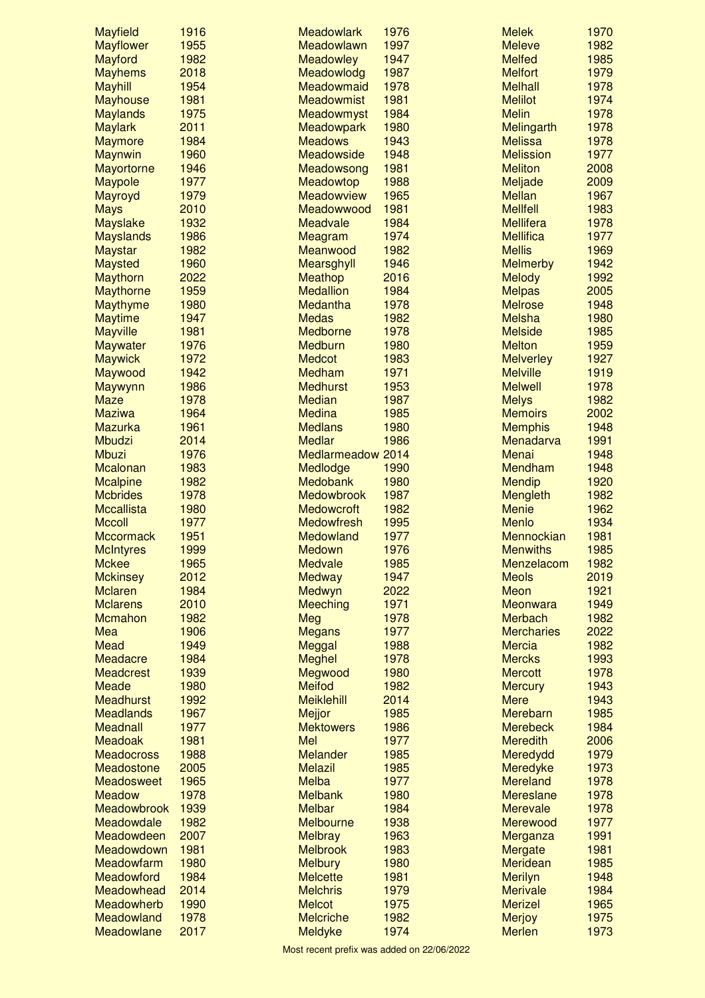| <b>Mayfield</b>    | 1916 | <b>Meadowlark</b> | 1976 | <b>Melek</b>      | 1970 |
|--------------------|------|-------------------|------|-------------------|------|
| <b>Mayflower</b>   | 1955 | Meadowlawn        | 1997 | <b>Meleve</b>     | 1982 |
| Mayford            | 1982 | <b>Meadowley</b>  | 1947 | <b>Melfed</b>     | 1985 |
| <b>Mayhems</b>     | 2018 | Meadowlodg        | 1987 | <b>Melfort</b>    | 1979 |
| <b>Mayhill</b>     | 1954 | Meadowmaid        | 1978 | <b>Melhall</b>    | 1978 |
| <b>Mayhouse</b>    | 1981 | <b>Meadowmist</b> | 1981 | <b>Melilot</b>    | 1974 |
| <b>Maylands</b>    | 1975 | Meadowmyst        | 1984 | <b>Melin</b>      | 1978 |
| <b>Maylark</b>     | 2011 | <b>Meadowpark</b> | 1980 | Melingarth        | 1978 |
| <b>Maymore</b>     | 1984 | <b>Meadows</b>    | 1943 | <b>Melissa</b>    | 1978 |
| <b>Maynwin</b>     | 1960 | Meadowside        | 1948 | <b>Melission</b>  | 1977 |
| <b>Mayortorne</b>  | 1946 | Meadowsong        | 1981 | <b>Meliton</b>    | 2008 |
| <b>Maypole</b>     | 1977 | Meadowtop         | 1988 | Meljade           | 2009 |
| Mayroyd            | 1979 | Meadowview        | 1965 | <b>Mellan</b>     | 1967 |
| <b>Mays</b>        | 2010 | Meadowwood        | 1981 | <b>Mellfell</b>   | 1983 |
| <b>Mayslake</b>    | 1932 | <b>Meadvale</b>   | 1984 | <b>Mellifera</b>  | 1978 |
| <b>Mayslands</b>   | 1986 | Meagram           | 1974 | <b>Mellifica</b>  | 1977 |
| <b>Maystar</b>     | 1982 | Meanwood          | 1982 | <b>Mellis</b>     | 1969 |
| <b>Maysted</b>     | 1960 | Mearsghyll        | 1946 | <b>Melmerby</b>   | 1942 |
| <b>Maythorn</b>    | 2022 | <b>Meathop</b>    | 2016 | <b>Melody</b>     | 1992 |
| <b>Maythorne</b>   | 1959 | <b>Medallion</b>  | 1984 | <b>Melpas</b>     | 2005 |
| Maythyme           | 1980 | Medantha          | 1978 | <b>Melrose</b>    | 1948 |
| <b>Maytime</b>     | 1947 | <b>Medas</b>      | 1982 | <b>Melsha</b>     | 1980 |
| <b>Mayville</b>    | 1981 | Medborne          | 1978 | <b>Melside</b>    | 1985 |
| <b>Maywater</b>    | 1976 | Medburn           | 1980 | <b>Melton</b>     | 1959 |
| <b>Maywick</b>     | 1972 | <b>Medcot</b>     | 1983 | <b>Melverley</b>  | 1927 |
| Maywood            | 1942 | Medham            | 1971 | <b>Melville</b>   | 1919 |
| Maywynn            | 1986 | <b>Medhurst</b>   | 1953 | <b>Melwell</b>    | 1978 |
| <b>Maze</b>        | 1978 | <b>Median</b>     | 1987 | <b>Melys</b>      | 1982 |
| <b>Maziwa</b>      | 1964 | <b>Medina</b>     | 1985 | <b>Memoirs</b>    | 2002 |
| <b>Mazurka</b>     | 1961 | <b>Medlans</b>    | 1980 | <b>Memphis</b>    | 1948 |
| Mbudzi             | 2014 | <b>Medlar</b>     | 1986 | Menadarva         | 1991 |
| <b>Mbuzi</b>       | 1976 | Medlarmeadow 2014 |      | Menai             | 1948 |
| <b>Mcalonan</b>    | 1983 | Medlodge          | 1990 | Mendham           | 1948 |
| <b>Mcalpine</b>    | 1982 | Medobank          | 1980 | <b>Mendip</b>     | 1920 |
| <b>Mcbrides</b>    | 1978 | Medowbrook        | 1987 | Mengleth          | 1982 |
| <b>Mccallista</b>  | 1980 | <b>Medowcroft</b> | 1982 | <b>Menie</b>      | 1962 |
| <b>Mccoll</b>      | 1977 | <b>Medowfresh</b> | 1995 | <b>Menlo</b>      | 1934 |
| <b>Mccormack</b>   | 1951 | Medowland         | 1977 | Mennockian        | 1981 |
| <b>McIntyres</b>   | 1999 | Medown            | 1976 | <b>Menwiths</b>   | 1985 |
| <b>Mckee</b>       | 1965 | Medvale           | 1985 | Menzelacom        | 1982 |
| <b>Mckinsey</b>    | 2012 | <b>Medway</b>     | 1947 | <b>Meols</b>      | 2019 |
| <b>Mclaren</b>     | 1984 | Medwyn            | 2022 | Meon              | 1921 |
| <b>Mclarens</b>    | 2010 | <b>Meeching</b>   | 1971 | Meonwara          | 1949 |
| Mcmahon            | 1982 | Meg               | 1978 | <b>Merbach</b>    | 1982 |
| Mea                | 1906 | <b>Megans</b>     | 1977 | <b>Mercharies</b> | 2022 |
| <b>Mead</b>        | 1949 | Meggal            | 1988 | <b>Mercia</b>     | 1982 |
| Meadacre           | 1984 | <b>Meghel</b>     | 1978 | <b>Mercks</b>     | 1993 |
| <b>Meadcrest</b>   | 1939 | Megwood           | 1980 | <b>Mercott</b>    | 1978 |
| <b>Meade</b>       | 1980 | <b>Meifod</b>     | 1982 | <b>Mercury</b>    | 1943 |
| <b>Meadhurst</b>   | 1992 | <b>Meiklehill</b> | 2014 | <b>Mere</b>       | 1943 |
| <b>Meadlands</b>   | 1967 | Mejjor            | 1985 | Merebarn          | 1985 |
| <b>Meadnall</b>    | 1977 | <b>Mektowers</b>  | 1986 | <b>Merebeck</b>   | 1984 |
| <b>Meadoak</b>     | 1981 | Mel               | 1977 | <b>Meredith</b>   | 2006 |
| <b>Meadocross</b>  | 1988 | <b>Melander</b>   | 1985 | Meredydd          | 1979 |
| Meadostone         | 2005 | <b>Melazil</b>    | 1985 | Meredyke          | 1973 |
| Meadosweet         | 1965 | Melba             | 1977 | <b>Mereland</b>   | 1978 |
| <b>Meadow</b>      | 1978 | <b>Melbank</b>    | 1980 | <b>Mereslane</b>  | 1978 |
| <b>Meadowbrook</b> | 1939 | <b>Melbar</b>     | 1984 | <b>Merevale</b>   | 1978 |
| Meadowdale         | 1982 | Melbourne         | 1938 | Merewood          | 1977 |
| Meadowdeen         | 2007 | <b>Melbray</b>    | 1963 | Merganza          | 1991 |
| Meadowdown         | 1981 | <b>Melbrook</b>   | 1983 | Mergate           | 1981 |
| Meadowfarm         | 1980 | <b>Melbury</b>    | 1980 | <b>Meridean</b>   | 1985 |
| Meadowford         | 1984 | <b>Melcette</b>   | 1981 | <b>Merilyn</b>    | 1948 |
| Meadowhead         | 2014 | <b>Melchris</b>   | 1979 | <b>Merivale</b>   | 1984 |
| Meadowherb         | 1990 | <b>Melcot</b>     | 1975 | <b>Merizel</b>    | 1965 |
| Meadowland         | 1978 | <b>Melcriche</b>  | 1982 | <b>Merjoy</b>     | 1975 |
| Meadowlane         | 2017 | Meldyke           | 1974 | <b>Merlen</b>     | 1973 |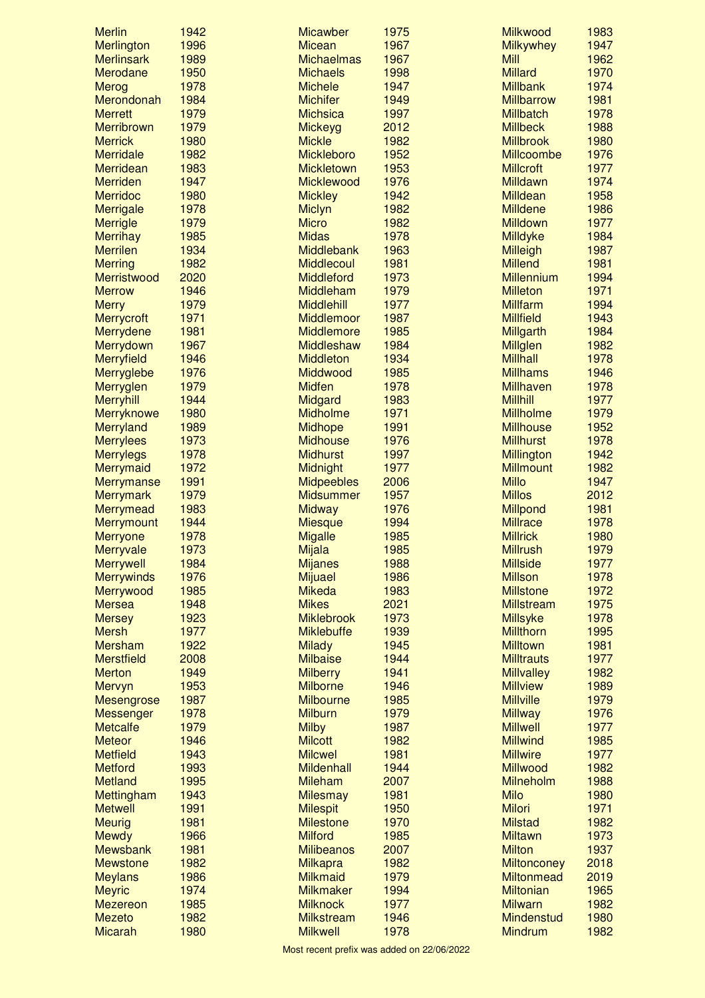| <b>Merlin</b>                 | 1942 | <b>Micawber</b>                  | 1975         | <b>Milkwood</b>                      | 1983         |
|-------------------------------|------|----------------------------------|--------------|--------------------------------------|--------------|
| <b>Merlington</b>             | 1996 | <b>Micean</b>                    | 1967         | <b>Milkywhey</b>                     | 1947         |
| <b>Merlinsark</b>             | 1989 | <b>Michaelmas</b>                | 1967         | <b>Mill</b>                          | 1962         |
| Merodane                      | 1950 | <b>Michaels</b>                  | 1998         | <b>Millard</b>                       | 1970         |
| <b>Merog</b>                  | 1978 | <b>Michele</b>                   | 1947         | <b>Millbank</b>                      | 1974         |
| Merondonah                    | 1984 | <b>Michifer</b>                  | 1949         | <b>Millbarrow</b>                    | 1981         |
| <b>Merrett</b>                | 1979 | <b>Michsica</b>                  | 1997         | <b>Millbatch</b>                     | 1978         |
| Merribrown                    | 1979 | Mickeyg                          | 2012         | <b>Millbeck</b>                      | 1988         |
| <b>Merrick</b>                | 1980 | <b>Mickle</b>                    | 1982         | <b>Millbrook</b>                     | 1980         |
| <b>Merridale</b>              | 1982 | <b>Mickleboro</b>                | 1952         | Millcoombe                           | 1976         |
| Merridean                     | 1983 | <b>Mickletown</b>                | 1953         | <b>Millcroft</b>                     | 1977         |
| <b>Merriden</b>               | 1947 | Micklewood                       | 1976         | <b>Milldawn</b>                      | 1974         |
| <b>Merridoc</b>               | 1980 | <b>Mickley</b>                   | 1942         | <b>Milldean</b>                      | 1958         |
| <b>Merrigale</b>              | 1978 | <b>Miclyn</b>                    | 1982         | <b>Milldene</b>                      | 1986         |
| <b>Merrigle</b>               | 1979 | <b>Micro</b>                     | 1982         | <b>Milldown</b>                      | 1977         |
| <b>Merrihay</b>               | 1985 | <b>Midas</b>                     | 1978         | Milldyke                             | 1984         |
| <b>Merrilen</b>               | 1934 | Middlebank                       | 1963         | <b>Milleigh</b>                      | 1987         |
| <b>Merring</b>                | 1982 | <b>Middlecoul</b>                | 1981         | <b>Millend</b>                       | 1981         |
| Merristwood                   | 2020 | Middleford                       | 1973         | <b>Millennium</b>                    | 1994         |
| <b>Merrow</b>                 | 1946 | Middleham                        | 1979         | <b>Milleton</b>                      | 1971         |
| <b>Merry</b>                  | 1979 | <b>Middlehill</b>                | 1977         | <b>Millfarm</b>                      | 1994         |
| Merrycroft                    | 1971 | Middlemoor                       | 1987         | <b>Millfield</b>                     | 1943         |
| Merrydene                     | 1981 | Middlemore                       | 1985         | <b>Millgarth</b>                     | 1984         |
| Merrydown                     | 1967 | Middleshaw                       | 1984         | <b>Millglen</b>                      | 1982         |
| Merryfield                    | 1946 | <b>Middleton</b>                 | 1934         | <b>Millhall</b>                      | 1978         |
| Merryglebe                    | 1976 | Middwood                         | 1985         | <b>Millhams</b>                      | 1946         |
| Merryglen                     | 1979 | <b>Midfen</b>                    | 1978         | Millhaven                            | 1978         |
| <b>Merryhill</b>              | 1944 | Midgard                          | 1983         | <b>Millhill</b>                      | 1977         |
| Merryknowe                    | 1980 | Midholme                         | 1971         | <b>Millholme</b>                     | 1979         |
| Merryland                     | 1989 | <b>Midhope</b>                   | 1991         | <b>Millhouse</b>                     | 1952         |
| <b>Merrylees</b>              | 1973 | <b>Midhouse</b>                  | 1976         | <b>Millhurst</b>                     | 1978         |
| <b>Merrylegs</b>              | 1978 | <b>Midhurst</b>                  | 1997         | Millington                           | 1942         |
| Merrymaid                     | 1972 | Midnight                         | 1977         | <b>Millmount</b>                     | 1982         |
| Merrymanse                    | 1991 | <b>Midpeebles</b>                | 2006         | <b>Millo</b>                         | 1947         |
| <b>Merrymark</b>              | 1979 | <b>Midsummer</b>                 | 1957         | <b>Millos</b>                        | 2012         |
| Merrymead                     | 1983 | <b>Midway</b>                    | 1976         | Millpond                             | 1981         |
| Merrymount                    | 1944 | <b>Miesque</b>                   | 1994         | <b>Millrace</b>                      | 1978         |
| <b>Merryone</b>               | 1978 | <b>Migalle</b>                   | 1985         | <b>Millrick</b>                      | 1980         |
| Merryvale                     | 1973 | Mijala                           | 1985         | <b>Millrush</b>                      | 1979         |
| <b>Merrywell</b>              | 1984 | <b>Mijanes</b>                   | 1988         | <b>Millside</b>                      | 1977         |
| <b>Merrywinds</b>             | 1976 | <b>Mijuael</b>                   | 1986         | <b>Millson</b>                       | 1978         |
| Merrywood                     | 1985 | <b>Mikeda</b>                    | 1983         | <b>Millstone</b>                     | 1972         |
| <b>Mersea</b>                 | 1948 | <b>Mikes</b>                     | 2021         | <b>Millstream</b>                    | 1975         |
|                               | 1923 | <b>Miklebrook</b>                | 1973         | <b>Millsyke</b>                      | 1978         |
| <b>Mersey</b><br><b>Mersh</b> | 1977 | <b>Miklebuffe</b>                | 1939         | <b>Millthorn</b>                     | 1995         |
|                               |      |                                  |              | <b>Milltown</b>                      |              |
| <b>Mersham</b>                | 1922 | <b>Milady</b><br><b>Milbaise</b> | 1945         |                                      | 1981<br>1977 |
| <b>Merstfield</b>             | 2008 |                                  | 1944<br>1941 | <b>Milltrauts</b>                    | 1982         |
| <b>Merton</b>                 | 1949 | <b>Milberry</b>                  |              | <b>Millvalley</b><br><b>Millview</b> |              |
| Mervyn                        | 1953 | <b>Milborne</b>                  | 1946         | <b>Millville</b>                     | 1989<br>1979 |
| <b>Mesengrose</b>             | 1987 | <b>Milbourne</b>                 | 1985         |                                      | 1976         |
| <b>Messenger</b>              | 1978 | <b>Milburn</b>                   | 1979         | <b>Millway</b>                       |              |
| <b>Metcalfe</b>               | 1979 | <b>Milby</b>                     | 1987         | <b>Millwell</b>                      | 1977         |
| <b>Meteor</b>                 | 1946 | <b>Milcott</b>                   | 1982         | <b>Millwind</b>                      | 1985         |
| <b>Metfield</b>               | 1943 | <b>Milcwel</b>                   | 1981         | <b>Millwire</b>                      | 1977         |
| <b>Metford</b>                | 1993 | <b>Mildenhall</b>                | 1944         | <b>Millwood</b>                      | 1982         |
| <b>Metland</b>                | 1995 | <b>Mileham</b>                   | 2007         | Milneholm                            | 1988         |
| Mettingham                    | 1943 | <b>Milesmay</b>                  | 1981         | <b>Milo</b>                          | 1980         |
| <b>Metwell</b>                | 1991 | <b>Milespit</b>                  | 1950         | <b>Milori</b>                        | 1971         |
| <b>Meurig</b>                 | 1981 | <b>Milestone</b>                 | 1970         | <b>Milstad</b>                       | 1982         |
| <b>Mewdy</b>                  | 1966 | <b>Milford</b>                   | 1985         | <b>Miltawn</b>                       | 1973         |
| <b>Mewsbank</b>               | 1981 | <b>Milibeanos</b>                | 2007         | <b>Milton</b>                        | 1937         |
| <b>Mewstone</b>               | 1982 | <b>Milkapra</b>                  | 1982         | <b>Miltonconey</b>                   | 2018         |
| <b>Meylans</b>                | 1986 | <b>Milkmaid</b>                  | 1979         | <b>Miltonmead</b>                    | 2019         |
| <b>Meyric</b>                 | 1974 | <b>Milkmaker</b>                 | 1994         | <b>Miltonian</b>                     | 1965         |
| <b>Mezereon</b>               | 1985 | <b>Milknock</b>                  | 1977         | <b>Milwarn</b>                       | 1982         |
| <b>Mezeto</b>                 | 1982 | <b>Milkstream</b>                | 1946         | <b>Mindenstud</b>                    | 1980         |
| <b>Micarah</b>                | 1980 | <b>Milkwell</b>                  | 1978         | <b>Mindrum</b>                       | 1982         |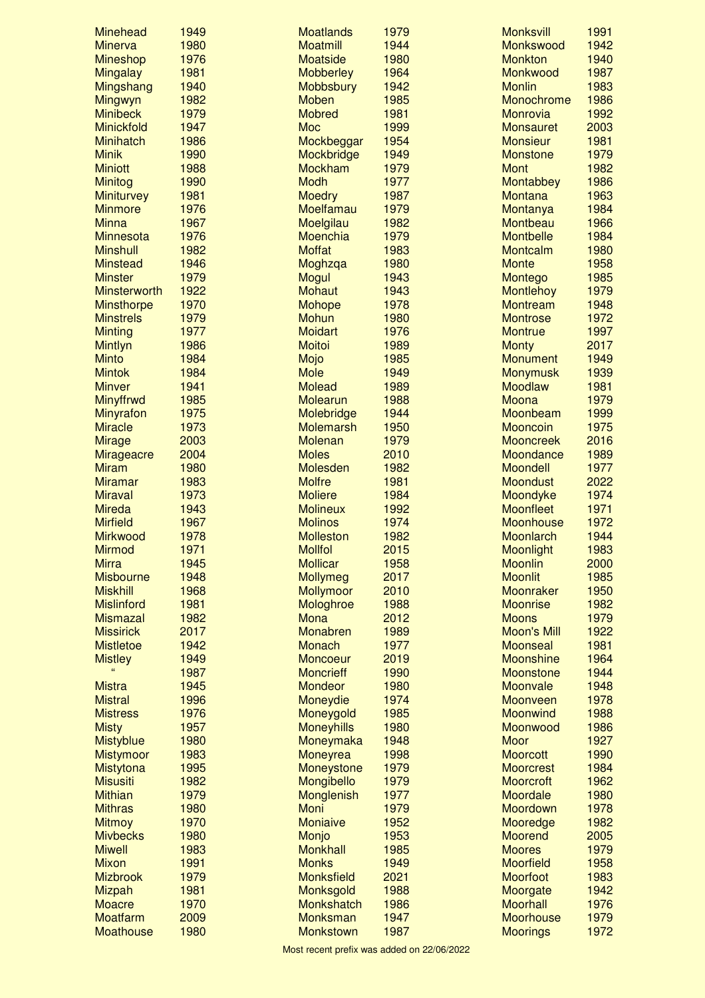| <b>Minehead</b>     | 1949 | <b>Moatlands</b>  | 1979 | <b>Monksvill</b>   | 1991 |
|---------------------|------|-------------------|------|--------------------|------|
| <b>Minerva</b>      | 1980 | <b>Moatmill</b>   | 1944 | Monkswood          | 1942 |
| <b>Mineshop</b>     | 1976 | <b>Moatside</b>   | 1980 | <b>Monkton</b>     | 1940 |
| <b>Mingalay</b>     | 1981 | <b>Mobberley</b>  | 1964 | Monkwood           | 1987 |
| Mingshang           | 1940 | <b>Mobbsbury</b>  | 1942 | <b>Monlin</b>      | 1983 |
| Mingwyn             | 1982 | <b>Moben</b>      | 1985 | Monochrome         | 1986 |
| <b>Minibeck</b>     | 1979 | <b>Mobred</b>     | 1981 | <b>Monrovia</b>    | 1992 |
| Minickfold          | 1947 | <b>Moc</b>        | 1999 | <b>Monsauret</b>   | 2003 |
| <b>Minihatch</b>    | 1986 | Mockbeggar        | 1954 | <b>Monsieur</b>    | 1981 |
| <b>Minik</b>        | 1990 | Mockbridge        | 1949 | <b>Monstone</b>    | 1979 |
| <b>Miniott</b>      | 1988 | <b>Mockham</b>    | 1979 | <b>Mont</b>        | 1982 |
| <b>Minitog</b>      | 1990 | <b>Modh</b>       | 1977 | Montabbey          | 1986 |
| <b>Miniturvey</b>   | 1981 | <b>Moedry</b>     | 1987 | <b>Montana</b>     | 1963 |
| <b>Minmore</b>      | 1976 | Moelfamau         | 1979 | Montanya           | 1984 |
| <b>Minna</b>        | 1967 | Moelgilau         | 1982 | Montbeau           | 1966 |
| <b>Minnesota</b>    | 1976 | <b>Moenchia</b>   | 1979 | <b>Montbelle</b>   | 1984 |
| <b>Minshull</b>     | 1982 | <b>Moffat</b>     | 1983 | Montcalm           | 1980 |
| <b>Minstead</b>     | 1946 | Moghzqa           | 1980 | <b>Monte</b>       | 1958 |
| <b>Minster</b>      | 1979 | <b>Mogul</b>      | 1943 | Montego            | 1985 |
| <b>Minsterworth</b> | 1922 | <b>Mohaut</b>     | 1943 | <b>Montlehoy</b>   | 1979 |
| <b>Minsthorpe</b>   | 1970 | <b>Mohope</b>     | 1978 | <b>Montream</b>    | 1948 |
| <b>Minstrels</b>    | 1979 | <b>Mohun</b>      | 1980 | <b>Montrose</b>    | 1972 |
| <b>Minting</b>      | 1977 | <b>Moidart</b>    | 1976 | <b>Montrue</b>     | 1997 |
| Mintlyn             | 1986 | <b>Moitoi</b>     | 1989 | <b>Monty</b>       | 2017 |
| <b>Minto</b>        | 1984 | Mojo              | 1985 | <b>Monument</b>    | 1949 |
| <b>Mintok</b>       | 1984 | <b>Mole</b>       | 1949 | <b>Monymusk</b>    | 1939 |
| <b>Minver</b>       | 1941 | <b>Molead</b>     | 1989 | <b>Moodlaw</b>     | 1981 |
| Minyffrwd           | 1985 | <b>Molearun</b>   | 1988 | Moona              | 1979 |
| Minyrafon           | 1975 | Molebridge        | 1944 | Moonbeam           | 1999 |
| <b>Miracle</b>      | 1973 | <b>Molemarsh</b>  | 1950 | <b>Mooncoin</b>    | 1975 |
| <b>Mirage</b>       | 2003 | <b>Molenan</b>    | 1979 | <b>Mooncreek</b>   | 2016 |
| Mirageacre          | 2004 | <b>Moles</b>      | 2010 | Moondance          | 1989 |
| <b>Miram</b>        | 1980 | Molesden          | 1982 | <b>Moondell</b>    | 1977 |
| <b>Miramar</b>      | 1983 | <b>Molfre</b>     | 1981 | <b>Moondust</b>    | 2022 |
| <b>Miraval</b>      | 1973 | <b>Moliere</b>    | 1984 | Moondyke           | 1974 |
| <b>Mireda</b>       | 1943 | <b>Molineux</b>   | 1992 | <b>Moonfleet</b>   | 1971 |
| <b>Mirfield</b>     | 1967 | <b>Molinos</b>    | 1974 | <b>Moonhouse</b>   | 1972 |
| <b>Mirkwood</b>     | 1978 | <b>Molleston</b>  | 1982 | Moonlarch          | 1944 |
| Mirmod              | 1971 | <b>Mollfol</b>    | 2015 | Moonlight          | 1983 |
| <b>Mirra</b>        | 1945 | <b>Mollicar</b>   | 1958 | <b>Moonlin</b>     | 2000 |
| <b>Misbourne</b>    | 1948 | <b>Mollymeg</b>   | 2017 | <b>Moonlit</b>     | 1985 |
| <b>Miskhill</b>     | 1968 | <b>Mollymoor</b>  | 2010 | <b>Moonraker</b>   | 1950 |
| <b>Mislinford</b>   | 1981 | Mologhroe         | 1988 | <b>Moonrise</b>    | 1982 |
| <b>Mismazal</b>     | 1982 | <b>Mona</b>       | 2012 | <b>Moons</b>       | 1979 |
| <b>Missirick</b>    | 2017 | Monabren          | 1989 | <b>Moon's Mill</b> | 1922 |
| <b>Mistletoe</b>    | 1942 | <b>Monach</b>     | 1977 | <b>Moonseal</b>    | 1981 |
| <b>Mistley</b>      | 1949 | Moncoeur          | 2019 | <b>Moonshine</b>   | 1964 |
|                     | 1987 | <b>Moncrieff</b>  | 1990 | Moonstone          | 1944 |
| Mistra              | 1945 | <b>Mondeor</b>    | 1980 | Moonvale           | 1948 |
| <b>Mistral</b>      | 1996 | Moneydie          | 1974 | <b>Moonveen</b>    | 1978 |
| <b>Mistress</b>     | 1976 | Moneygold         | 1985 | <b>Moonwind</b>    | 1988 |
| <b>Misty</b>        | 1957 | <b>Moneyhills</b> | 1980 | Moonwood           | 1986 |
| Mistyblue           | 1980 | Moneymaka         | 1948 | <b>Moor</b>        | 1927 |
| <b>Mistymoor</b>    | 1983 | Moneyrea          | 1998 | <b>Moorcott</b>    | 1990 |
| Mistytona           | 1995 | Moneystone        | 1979 | <b>Moorcrest</b>   | 1984 |
| <b>Misusiti</b>     | 1982 | Mongibello        | 1979 | <b>Moorcroft</b>   | 1962 |
| <b>Mithian</b>      | 1979 | Monglenish        | 1977 | Moordale           | 1980 |
| <b>Mithras</b>      | 1980 | Moni              | 1979 | Moordown           | 1978 |
| <b>Mitmoy</b>       | 1970 | <b>Moniaive</b>   | 1952 | Mooredge           | 1982 |
| <b>Mivbecks</b>     | 1980 | Monjo             | 1953 | <b>Moorend</b>     | 2005 |
| <b>Miwell</b>       | 1983 | <b>Monkhall</b>   | 1985 | <b>Moores</b>      | 1979 |
| <b>Mixon</b>        | 1991 | <b>Monks</b>      | 1949 | <b>Moorfield</b>   | 1958 |
| <b>Mizbrook</b>     | 1979 | <b>Monksfield</b> | 2021 | Moorfoot           | 1983 |
| <b>Mizpah</b>       | 1981 | Monksgold         | 1988 | Moorgate           | 1942 |
| <b>Moacre</b>       | 1970 | <b>Monkshatch</b> | 1986 | <b>Moorhall</b>    | 1976 |
| <b>Moatfarm</b>     | 2009 | <b>Monksman</b>   | 1947 | <b>Moorhouse</b>   | 1979 |
| Moathouse           | 1980 | <b>Monkstown</b>  | 1987 | <b>Moorings</b>    | 1972 |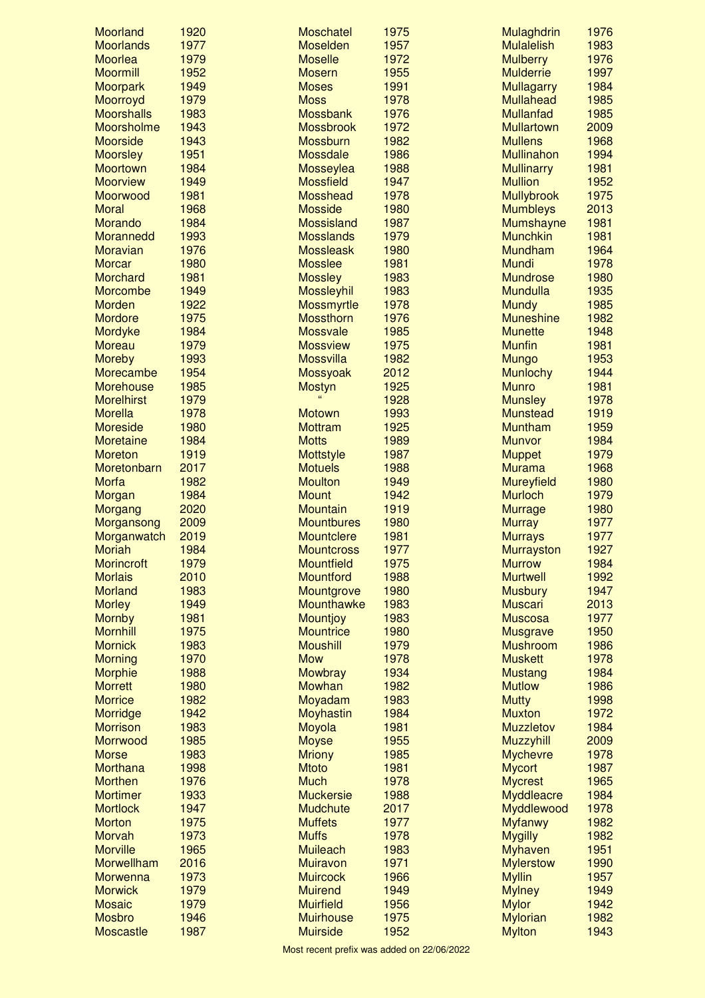| Moorland          | 1920 | <b>Moschatel</b>  | 1975 | Mulaghdrin        | 1976 |
|-------------------|------|-------------------|------|-------------------|------|
| <b>Moorlands</b>  | 1977 | <b>Moselden</b>   | 1957 | <b>Mulalelish</b> | 1983 |
| <b>Moorlea</b>    | 1979 | <b>Moselle</b>    | 1972 | <b>Mulberry</b>   | 1976 |
| <b>Moormill</b>   | 1952 | <b>Mosern</b>     | 1955 | <b>Mulderrie</b>  | 1997 |
| <b>Moorpark</b>   | 1949 | <b>Moses</b>      | 1991 | <b>Mullagarry</b> | 1984 |
| Moorroyd          | 1979 | <b>Moss</b>       | 1978 | <b>Mullahead</b>  | 1985 |
| <b>Moorshalls</b> | 1983 | <b>Mossbank</b>   | 1976 | <b>Mullanfad</b>  | 1985 |
| <b>Moorsholme</b> | 1943 | <b>Mossbrook</b>  | 1972 | <b>Mullartown</b> | 2009 |
| <b>Moorside</b>   | 1943 | <b>Mossburn</b>   | 1982 | <b>Mullens</b>    | 1968 |
| <b>Moorsley</b>   | 1951 | <b>Mossdale</b>   | 1986 | <b>Mullinahon</b> | 1994 |
| Moortown          | 1984 | Mosseylea         | 1988 | <b>Mullinarry</b> | 1981 |
| <b>Moorview</b>   | 1949 | <b>Mossfield</b>  | 1947 | <b>Mullion</b>    | 1952 |
| Moorwood          | 1981 | <b>Mosshead</b>   | 1978 | <b>Mullybrook</b> | 1975 |
| <b>Moral</b>      | 1968 | <b>Mosside</b>    | 1980 | <b>Mumbleys</b>   | 2013 |
| Morando           | 1984 | <b>Mossisland</b> | 1987 | Mumshayne         | 1981 |
| Morannedd         | 1993 | <b>Mosslands</b>  | 1979 | <b>Munchkin</b>   | 1981 |
| <b>Moravian</b>   | 1976 | <b>Mossleask</b>  | 1980 | <b>Mundham</b>    | 1964 |
| <b>Morcar</b>     | 1980 | <b>Mosslee</b>    | 1981 | <b>Mundi</b>      | 1978 |
| Morchard          | 1981 | <b>Mossley</b>    | 1983 | <b>Mundrose</b>   | 1980 |
| Morcombe          | 1949 | <b>Mossleyhil</b> | 1983 | <b>Mundulla</b>   | 1935 |
| <b>Morden</b>     | 1922 | <b>Mossmyrtle</b> | 1978 | <b>Mundy</b>      | 1985 |
| <b>Mordore</b>    | 1975 | <b>Mossthorn</b>  | 1976 | <b>Muneshine</b>  | 1982 |
| Mordyke           | 1984 | <b>Mossvale</b>   | 1985 | <b>Munette</b>    | 1948 |
| <b>Moreau</b>     | 1979 | <b>Mossview</b>   | 1975 | <b>Munfin</b>     | 1981 |
| <b>Moreby</b>     | 1993 | <b>Mossvilla</b>  | 1982 | <b>Mungo</b>      | 1953 |
| Morecambe         | 1954 | Mossyoak          | 2012 | <b>Munlochy</b>   | 1944 |
| <b>Morehouse</b>  | 1985 | <b>Mostyn</b>     | 1925 | <b>Munro</b>      | 1981 |
| <b>Morelhirst</b> | 1979 | $\alpha$          | 1928 | <b>Munsley</b>    | 1978 |
| <b>Morella</b>    | 1978 | <b>Motown</b>     | 1993 | <b>Munstead</b>   | 1919 |
| <b>Moreside</b>   | 1980 | <b>Mottram</b>    | 1925 | <b>Muntham</b>    | 1959 |
| <b>Moretaine</b>  | 1984 | <b>Motts</b>      | 1989 | <b>Munvor</b>     | 1984 |
| <b>Moreton</b>    | 1919 | <b>Mottstyle</b>  | 1987 | <b>Muppet</b>     | 1979 |
| Moretonbarn       | 2017 | <b>Motuels</b>    | 1988 | <b>Murama</b>     | 1968 |
| <b>Morfa</b>      | 1982 | <b>Moulton</b>    | 1949 | <b>Mureyfield</b> | 1980 |
| Morgan            | 1984 | <b>Mount</b>      | 1942 | <b>Murloch</b>    | 1979 |
| Morgang           | 2020 | <b>Mountain</b>   | 1919 | <b>Murrage</b>    | 1980 |
| Morgansong        | 2009 | <b>Mountbures</b> | 1980 | <b>Murray</b>     | 1977 |
| Morganwatch       | 2019 | <b>Mountclere</b> | 1981 | <b>Murrays</b>    | 1977 |
| <b>Moriah</b>     | 1984 | <b>Mountcross</b> | 1977 | <b>Murrayston</b> | 1927 |
| <b>Morincroft</b> | 1979 | <b>Mountfield</b> | 1975 | <b>Murrow</b>     | 1984 |
| <b>Morlais</b>    | 2010 | Mountford         | 1988 | <b>Murtwell</b>   | 1992 |
| <b>Morland</b>    | 1983 | Mountgrove        | 1980 | <b>Musbury</b>    | 1947 |
| <b>Morley</b>     | 1949 | <b>Mounthawke</b> | 1983 | <b>Muscari</b>    | 2013 |
| <b>Mornby</b>     | 1981 | <b>Mountjoy</b>   | 1983 | <b>Muscosa</b>    | 1977 |
| <b>Mornhill</b>   | 1975 | <b>Mountrice</b>  | 1980 | <b>Musgrave</b>   | 1950 |
| <b>Mornick</b>    | 1983 | <b>Moushill</b>   | 1979 | <b>Mushroom</b>   | 1986 |
| <b>Morning</b>    | 1970 | <b>Mow</b>        | 1978 | <b>Muskett</b>    | 1978 |
| <b>Morphie</b>    | 1988 | Mowbray           | 1934 | <b>Mustang</b>    | 1984 |
| <b>Morrett</b>    | 1980 | Mowhan            | 1982 | <b>Mutlow</b>     | 1986 |
| <b>Morrice</b>    | 1982 | Moyadam           | 1983 | <b>Mutty</b>      | 1998 |
| Morridge          | 1942 | Moyhastin         | 1984 | <b>Muxton</b>     | 1972 |
| <b>Morrison</b>   | 1983 | Moyola            | 1981 | <b>Muzzletov</b>  | 1984 |
| Morrwood          | 1985 | <b>Moyse</b>      | 1955 | <b>Muzzyhill</b>  | 2009 |
| <b>Morse</b>      | 1983 | <b>Mriony</b>     | 1985 | <b>Mychevre</b>   | 1978 |
| Morthana          | 1998 | <b>Mtoto</b>      | 1981 | <b>Mycort</b>     | 1987 |
| <b>Morthen</b>    | 1976 | <b>Much</b>       | 1978 | <b>Mycrest</b>    | 1965 |
| <b>Mortimer</b>   | 1933 | <b>Muckersie</b>  | 1988 | <b>Myddleacre</b> | 1984 |
| <b>Mortlock</b>   | 1947 | <b>Mudchute</b>   | 2017 | Myddlewood        | 1978 |
| <b>Morton</b>     | 1975 | <b>Muffets</b>    | 1977 | <b>Myfanwy</b>    | 1982 |
| Morvah            | 1973 | <b>Muffs</b>      | 1978 | <b>Mygilly</b>    | 1982 |
| <b>Morville</b>   | 1965 | <b>Muileach</b>   | 1983 | <b>Myhaven</b>    | 1951 |
| Morwellham        | 2016 | <b>Muiravon</b>   | 1971 | <b>Mylerstow</b>  | 1990 |
| <b>Morwenna</b>   | 1973 | <b>Muircock</b>   | 1966 | <b>Myllin</b>     | 1957 |
| <b>Morwick</b>    | 1979 | <b>Muirend</b>    | 1949 | <b>Mylney</b>     | 1949 |
| <b>Mosaic</b>     | 1979 | <b>Muirfield</b>  | 1956 | <b>Mylor</b>      | 1942 |
| <b>Mosbro</b>     | 1946 | <b>Muirhouse</b>  | 1975 | <b>Mylorian</b>   | 1982 |
| <b>Moscastle</b>  | 1987 | <b>Muirside</b>   | 1952 | <b>Mylton</b>     | 1943 |
|                   |      |                   |      |                   |      |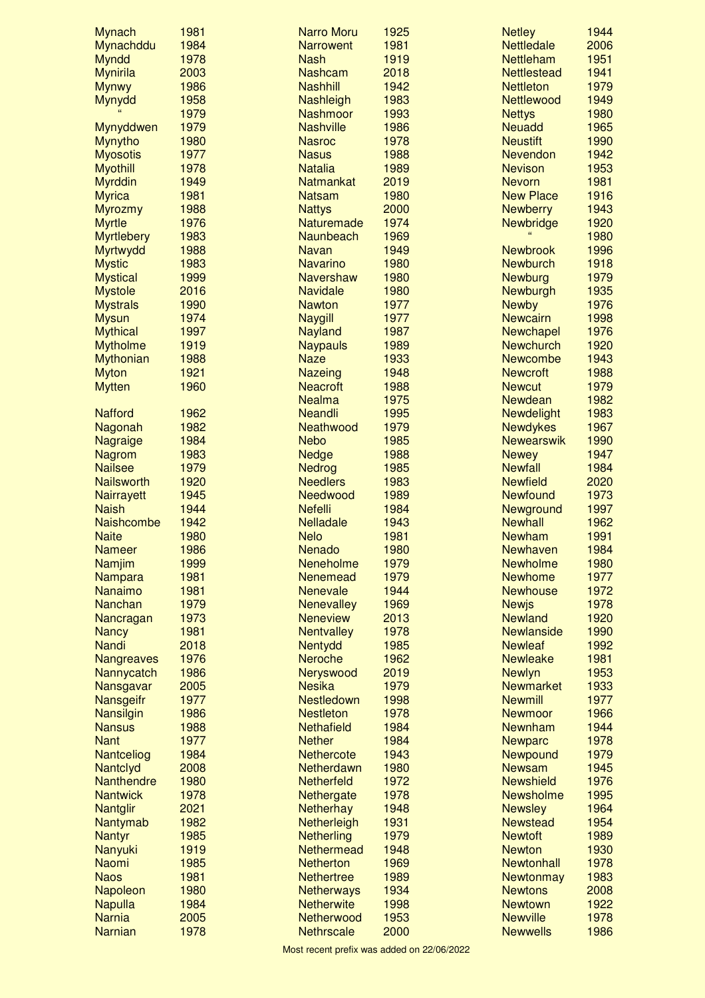| <b>Mynach</b>                    | 1981 | <b>Narro Moru</b> | 1925 | <b>Netley</b>      | 1944 |
|----------------------------------|------|-------------------|------|--------------------|------|
| Mynachddu                        | 1984 | <b>Narrowent</b>  | 1981 | <b>Nettledale</b>  | 2006 |
| <b>Myndd</b>                     | 1978 | <b>Nash</b>       | 1919 | <b>Nettleham</b>   | 1951 |
| <b>Mynirila</b>                  | 2003 | <b>Nashcam</b>    | 2018 | <b>Nettlestead</b> | 1941 |
| <b>Mynwy</b>                     | 1986 | <b>Nashhill</b>   | 1942 | <b>Nettleton</b>   | 1979 |
| Mynydd                           | 1958 | Nashleigh         | 1983 | <b>Nettlewood</b>  | 1949 |
|                                  | 1979 | <b>Nashmoor</b>   | 1993 | <b>Nettys</b>      | 1980 |
| Mynyddwen                        | 1979 | <b>Nashville</b>  | 1986 | <b>Neuadd</b>      | 1965 |
| <b>Mynytho</b>                   | 1980 | <b>Nasroc</b>     | 1978 | <b>Neustift</b>    | 1990 |
| <b>Myosotis</b>                  | 1977 | <b>Nasus</b>      | 1988 | Nevendon           | 1942 |
| <b>Myothill</b>                  | 1978 | <b>Natalia</b>    | 1989 | <b>Nevison</b>     | 1953 |
| <b>Myrddin</b>                   | 1949 | <b>Natmankat</b>  | 2019 | <b>Nevorn</b>      | 1981 |
| <b>Myrica</b>                    | 1981 | <b>Natsam</b>     | 1980 | <b>New Place</b>   | 1916 |
| <b>Myrozmy</b>                   | 1988 | <b>Nattys</b>     | 2000 | <b>Newberry</b>    | 1943 |
| <b>Myrtle</b>                    | 1976 | Naturemade        | 1974 | Newbridge          | 1920 |
| <b>Myrtlebery</b>                | 1983 | <b>Naunbeach</b>  | 1969 |                    | 1980 |
| Myrtwydd                         | 1988 | <b>Navan</b>      | 1949 | <b>Newbrook</b>    | 1996 |
| <b>Mystic</b>                    | 1983 | <b>Navarino</b>   | 1980 | <b>Newburch</b>    | 1918 |
| <b>Mystical</b>                  | 1999 | <b>Navershaw</b>  | 1980 | Newburg            | 1979 |
| <b>Mystole</b>                   | 2016 | <b>Navidale</b>   | 1980 | Newburgh           | 1935 |
| <b>Mystrals</b>                  | 1990 | <b>Nawton</b>     | 1977 | <b>Newby</b>       | 1976 |
| <b>Mysun</b>                     | 1974 | <b>Naygill</b>    | 1977 | <b>Newcairn</b>    | 1998 |
| <b>Mythical</b>                  | 1997 | <b>Nayland</b>    | 1987 | <b>Newchapel</b>   | 1976 |
| <b>Mytholme</b>                  | 1919 | <b>Naypauls</b>   | 1989 | <b>Newchurch</b>   | 1920 |
| Mythonian                        | 1988 | <b>Naze</b>       | 1933 | <b>Newcombe</b>    | 1943 |
| <b>Myton</b>                     | 1921 | <b>Nazeing</b>    | 1948 | <b>Newcroft</b>    | 1988 |
| <b>Mytten</b>                    | 1960 | <b>Neacroft</b>   | 1988 | <b>Newcut</b>      | 1979 |
|                                  |      | <b>Nealma</b>     | 1975 | <b>Newdean</b>     | 1982 |
| <b>Nafford</b>                   | 1962 | <b>Neandli</b>    | 1995 | Newdelight         | 1983 |
| Nagonah                          | 1982 | Neathwood         | 1979 | <b>Newdykes</b>    | 1967 |
| <b>Nagraige</b>                  | 1984 | <b>Nebo</b>       | 1985 | <b>Newearswik</b>  | 1990 |
| <b>Nagrom</b>                    | 1983 | <b>Nedge</b>      | 1988 | <b>Newey</b>       | 1947 |
| <b>Nailsee</b>                   | 1979 | Nedrog            | 1985 | <b>Newfall</b>     | 1984 |
| <b>Nailsworth</b>                | 1920 | <b>Needlers</b>   | 1983 | <b>Newfield</b>    | 2020 |
| <b>Nairrayett</b>                | 1945 | Needwood          | 1989 | <b>Newfound</b>    | 1973 |
| <b>Naish</b>                     | 1944 | <b>Nefelli</b>    | 1984 | Newground          | 1997 |
| Naishcombe                       | 1942 | <b>Nelladale</b>  | 1943 | <b>Newhall</b>     | 1962 |
| <b>Naite</b>                     | 1980 | <b>Nelo</b>       | 1981 | <b>Newham</b>      | 1991 |
| <b>Nameer</b>                    | 1986 | <b>Nenado</b>     | 1980 | Newhaven           | 1984 |
| Namjim                           | 1999 | Neneholme         | 1979 | <b>Newholme</b>    | 1980 |
|                                  | 1981 | <b>Nenemead</b>   | 1979 | <b>Newhome</b>     | 1977 |
| <b>Nampara</b><br><b>Nanaimo</b> | 1981 | <b>Nenevale</b>   | 1944 | <b>Newhouse</b>    | 1972 |
|                                  | 1979 |                   | 1969 |                    | 1978 |
| <b>Nanchan</b>                   |      | <b>Nenevalley</b> |      | <b>Newjs</b>       |      |
| Nancragan                        | 1973 | <b>Neneview</b>   | 2013 | <b>Newland</b>     | 1920 |
| <b>Nancy</b>                     | 1981 | <b>Nentvalley</b> | 1978 | <b>Newlanside</b>  | 1990 |
| <b>Nandi</b>                     | 2018 | Nentydd           | 1985 | <b>Newleaf</b>     | 1992 |
| Nangreaves                       | 1976 | <b>Neroche</b>    | 1962 | <b>Newleake</b>    | 1981 |
| Nannycatch                       | 1986 | Neryswood         | 2019 | <b>Newlyn</b>      | 1953 |
| Nansgavar                        | 2005 | <b>Nesika</b>     | 1979 | <b>Newmarket</b>   | 1933 |
| Nansgeifr                        | 1977 | <b>Nestledown</b> | 1998 | <b>Newmill</b>     | 1977 |
| Nansilgin                        | 1986 | <b>Nestleton</b>  | 1978 | <b>Newmoor</b>     | 1966 |
| <b>Nansus</b>                    | 1988 | <b>Nethafield</b> | 1984 | <b>Newnham</b>     | 1944 |
| <b>Nant</b>                      | 1977 | <b>Nether</b>     | 1984 | <b>Newparc</b>     | 1978 |
| Nantceliog                       | 1984 | <b>Nethercote</b> | 1943 | Newpound           | 1979 |
| Nantclyd                         | 2008 | Netherdawn        | 1980 | <b>Newsam</b>      | 1945 |
| Nanthendre                       | 1980 | <b>Netherfeld</b> | 1972 | <b>Newshield</b>   | 1976 |
| <b>Nantwick</b>                  | 1978 | Nethergate        | 1978 | Newsholme          | 1995 |
| <b>Nantglir</b>                  | 2021 | <b>Netherhay</b>  | 1948 | <b>Newsley</b>     | 1964 |
| Nantymab                         | 1982 | Netherleigh       | 1931 | <b>Newstead</b>    | 1954 |
| <b>Nantyr</b>                    | 1985 | Netherling        | 1979 | <b>Newtoft</b>     | 1989 |
| Nanyuki                          | 1919 | Nethermead        | 1948 | <b>Newton</b>      | 1930 |
| <b>Naomi</b>                     | 1985 | <b>Netherton</b>  | 1969 | Newtonhall         | 1978 |
| <b>Naos</b>                      | 1981 | <b>Nethertree</b> | 1989 | <b>Newtonmay</b>   | 1983 |
| Napoleon                         | 1980 | <b>Netherways</b> | 1934 | <b>Newtons</b>     | 2008 |
| <b>Napulla</b>                   | 1984 | <b>Netherwite</b> | 1998 | <b>Newtown</b>     | 1922 |
| <b>Narnia</b>                    | 2005 | Netherwood        | 1953 | <b>Newville</b>    | 1978 |
| <b>Narnian</b>                   | 1978 | <b>Nethrscale</b> | 2000 | <b>Newwells</b>    | 1986 |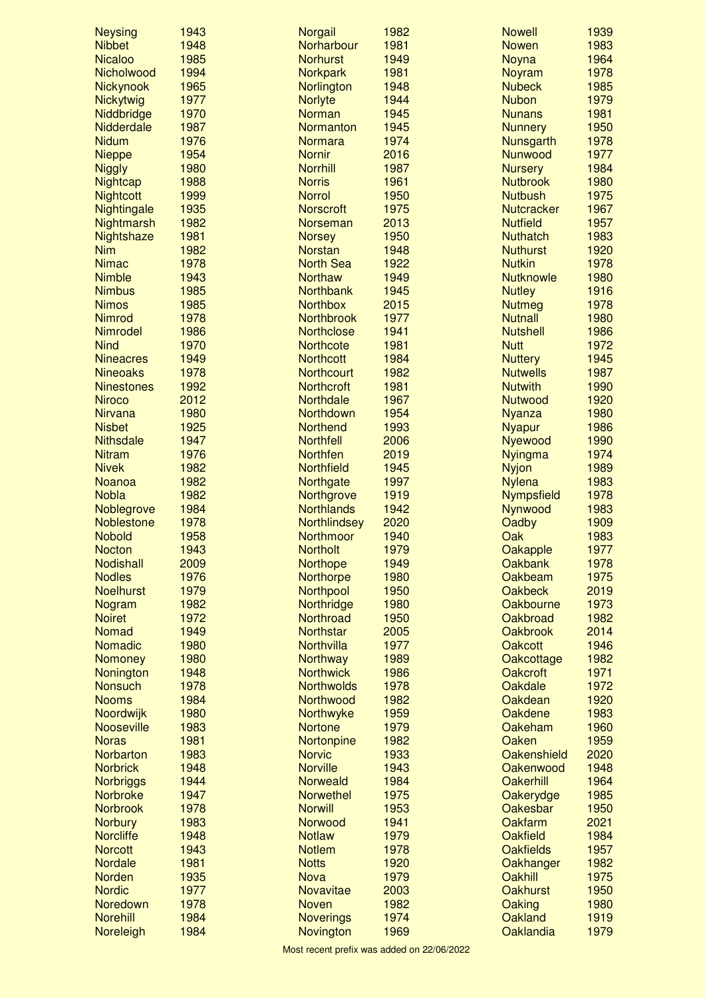| <b>Neysing</b>               | 1943         | <b>Norgail</b>                  | 1982         | <b>Nowell</b>                      | 1939         |
|------------------------------|--------------|---------------------------------|--------------|------------------------------------|--------------|
| <b>Nibbet</b>                | 1948         | Norharbour                      | 1981         | <b>Nowen</b>                       | 1983         |
| <b>Nicaloo</b>               | 1985         | <b>Norhurst</b>                 | 1949         | Noyna                              | 1964         |
| Nicholwood                   | 1994         | <b>Norkpark</b>                 | 1981         | Noyram                             | 1978         |
| Nickynook                    | 1965         | Norlington                      | 1948         | <b>Nubeck</b>                      | 1985         |
| Nickytwig                    | 1977         | <b>Norlyte</b>                  | 1944         | <b>Nubon</b>                       | 1979         |
| Niddbridge                   | 1970         | Norman                          | 1945         | <b>Nunans</b>                      | 1981         |
| Nidderdale                   | 1987         | Normanton                       | 1945         | <b>Nunnery</b>                     | 1950         |
| <b>Nidum</b>                 | 1976         | <b>Normara</b>                  | 1974         | Nunsgarth                          | 1978         |
| <b>Nieppe</b>                | 1954         | <b>Nornir</b>                   | 2016         | Nunwood                            | 1977         |
| <b>Niggly</b>                | 1980         | <b>Norrhill</b>                 | 1987         | <b>Nursery</b>                     | 1984         |
| <b>Nightcap</b>              | 1988         | <b>Norris</b>                   | 1961         | <b>Nutbrook</b>                    | 1980         |
| <b>Nightcott</b>             | 1999         | <b>Norrol</b>                   | 1950         | <b>Nutbush</b>                     | 1975         |
| Nightingale                  | 1935         | <b>Norscroft</b>                | 1975         | <b>Nutcracker</b>                  | 1967         |
| Nightmarsh                   | 1982         | Norseman                        | 2013         | <b>Nutfield</b>                    | 1957<br>1983 |
| Nightshaze<br><b>Nim</b>     | 1981<br>1982 | <b>Norsey</b><br><b>Norstan</b> | 1950<br>1948 | <b>Nuthatch</b><br><b>Nuthurst</b> | 1920         |
| <b>Nimac</b>                 | 1978         | <b>North Sea</b>                | 1922         | <b>Nutkin</b>                      | 1978         |
| <b>Nimble</b>                | 1943         | <b>Northaw</b>                  | 1949         | <b>Nutknowle</b>                   | 1980         |
| <b>Nimbus</b>                | 1985         | <b>Northbank</b>                | 1945         | <b>Nutley</b>                      | 1916         |
| <b>Nimos</b>                 | 1985         | <b>Northbox</b>                 | 2015         | <b>Nutmeg</b>                      | 1978         |
| <b>Nimrod</b>                | 1978         | <b>Northbrook</b>               | 1977         | <b>Nutnall</b>                     | 1980         |
| Nimrodel                     | 1986         | <b>Northclose</b>               | 1941         | <b>Nutshell</b>                    | 1986         |
| <b>Nind</b>                  | 1970         | <b>Northcote</b>                | 1981         | <b>Nutt</b>                        | 1972         |
| <b>Nineacres</b>             | 1949         | <b>Northcott</b>                | 1984         | <b>Nuttery</b>                     | 1945         |
| <b>Nineoaks</b>              | 1978         | <b>Northcourt</b>               | 1982         | <b>Nutwells</b>                    | 1987         |
| <b>Ninestones</b>            | 1992         | <b>Northcroft</b>               | 1981         | <b>Nutwith</b>                     | 1990         |
| <b>Niroco</b>                | 2012         | Northdale                       | 1967         | <b>Nutwood</b>                     | 1920         |
| <b>Nirvana</b>               | 1980         | <b>Northdown</b>                | 1954         | <b>Nyanza</b>                      | 1980         |
| <b>Nisbet</b>                | 1925         | <b>Northend</b>                 | 1993         | <b>Nyapur</b>                      | 1986         |
| <b>Nithsdale</b>             | 1947         | <b>Northfell</b>                | 2006         | Nyewood                            | 1990         |
| <b>Nitram</b>                | 1976         | <b>Northfen</b>                 | 2019         | <b>Nyingma</b>                     | 1974         |
| <b>Nivek</b>                 | 1982         | <b>Northfield</b>               | 1945         | <b>Nyjon</b>                       | 1989         |
| <b>Noanoa</b>                | 1982         | Northgate                       | 1997         | <b>Nylena</b>                      | 1983         |
| <b>Nobla</b>                 | 1982         | Northgrove                      | 1919         | <b>Nympsfield</b>                  | 1978         |
| Noblegrove                   | 1984         | <b>Northlands</b>               | 1942         | Nynwood                            | 1983         |
| Noblestone                   | 1978         | <b>Northlindsey</b>             | 2020         | Oadby                              | 1909         |
| <b>Nobold</b>                | 1958         | Northmoor                       | 1940         | Oak                                | 1983         |
| <b>Nocton</b>                | 1943         | <b>Northolt</b>                 | 1979         | Oakapple                           | 1977         |
| Nodishall                    | 2009         | <b>Northope</b>                 | 1949         | <b>Oakbank</b>                     | 1978         |
| <b>Nodles</b>                | 1976         | Northorpe                       | 1980         | Oakbeam                            | 1975         |
| <b>Noelhurst</b>             | 1979         | Northpool                       | 1950         | <b>Oakbeck</b>                     | 2019         |
| Nogram                       | 1982         | Northridge                      | 1980         | Oakbourne                          | 1973         |
| <b>Noiret</b>                | 1972         | Northroad                       | 1950         | Oakbroad                           | 1982         |
| Nomad                        | 1949         | <b>Northstar</b>                | 2005         | <b>Oakbrook</b>                    | 2014         |
| <b>Nomadic</b>               | 1980         | Northvilla                      | 1977         | <b>Oakcott</b>                     | 1946         |
| Nomoney                      | 1980         | <b>Northway</b>                 | 1989         | Oakcottage                         | 1982         |
| Nonington                    | 1948         | <b>Northwick</b>                | 1986         | <b>Oakcroft</b>                    | 1971         |
| <b>Nonsuch</b>               | 1978         | <b>Northwolds</b>               | 1978         | Oakdale                            | 1972         |
| <b>Nooms</b>                 | 1984         | Northwood                       | 1982         | Oakdean                            | 1920         |
| Noordwijk                    | 1980         | Northwyke                       | 1959         | Oakdene                            | 1983         |
| <b>Nooseville</b>            | 1983         | <b>Nortone</b>                  | 1979         | Oakeham                            | 1960         |
| <b>Noras</b>                 | 1981         | Nortonpine                      | 1982         | Oaken                              | 1959         |
| Norbarton                    | 1983         | <b>Norvic</b>                   | 1933         | Oakenshield                        | 2020         |
| <b>Norbrick</b>              | 1948         | <b>Norville</b>                 | 1943         | Oakenwood                          | 1948         |
| <b>Norbriggs</b>             | 1944         | <b>Norweald</b>                 | 1984         | <b>Oakerhill</b>                   | 1964         |
| <b>Norbroke</b>              | 1947         | <b>Norwethel</b>                | 1975         | Oakerydge                          | 1985         |
| <b>Norbrook</b>              | 1978         | <b>Norwill</b>                  | 1953         | Oakesbar                           | 1950         |
| <b>Norbury</b>               | 1983         | Norwood                         | 1941         | Oakfarm                            | 2021         |
| <b>Norcliffe</b>             | 1948         | <b>Notlaw</b>                   | 1979         | Oakfield                           | 1984         |
| <b>Norcott</b>               | 1943         | <b>Notlem</b>                   | 1978         | <b>Oakfields</b>                   | 1957         |
| <b>Nordale</b>               | 1981         | <b>Notts</b>                    | 1920<br>1979 | Oakhanger<br>Oakhill               | 1982<br>1975 |
| <b>Norden</b>                |              |                                 |              |                                    |              |
|                              | 1935         | <b>Nova</b>                     |              |                                    |              |
| <b>Nordic</b>                | 1977         | Novavitae                       | 2003         | <b>Oakhurst</b>                    | 1950         |
| Noredown                     | 1978         | <b>Noven</b>                    | 1982         | Oaking                             | 1980         |
| <b>Norehill</b><br>Noreleigh | 1984<br>1984 | <b>Noverings</b><br>Novington   | 1974<br>1969 | Oakland<br>Oaklandia               | 1919<br>1979 |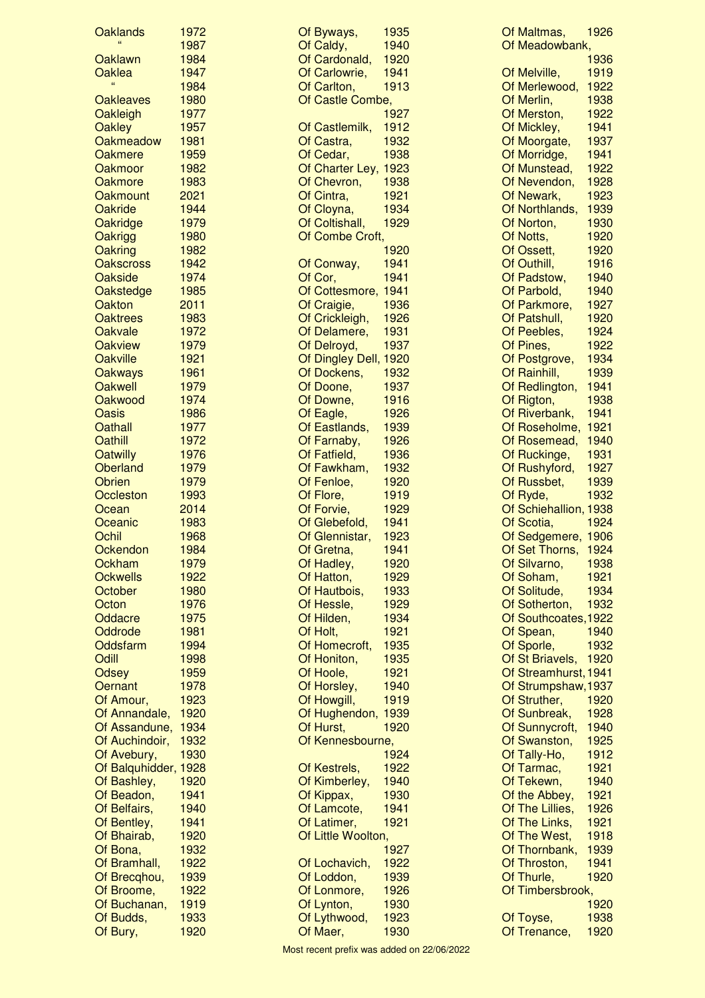| <b>Oaklands</b>                     | 1972         | Of Byways,                  | 1935         |
|-------------------------------------|--------------|-----------------------------|--------------|
|                                     | 1987         | Of Caldy,                   | 1940         |
| Oaklawn                             | 1984         | Of Cardonald,               | 1920         |
| Oaklea<br>$\epsilon$                | 1947         | Of Carlowrie,               | 1941         |
|                                     | 1984<br>1980 | Of Carlton,                 | 1913         |
| <b>Oakleaves</b><br>Oakleigh        | 1977         | Of Castle Combe,            | 1927         |
| Oakley                              | 1957         | Of Castlemilk,              | 1912         |
| <b>Oakmeadow</b>                    | 1981         | Of Castra,                  | 1932         |
| Oakmere                             | 1959         | Of Cedar,                   | 1938         |
| Oakmoor                             | 1982         | Of Charter Ley,             | 1923         |
| Oakmore                             | 1983         | Of Chevron,                 | 1938         |
| Oakmount                            | 2021         | Of Cintra,                  | 1921         |
| Oakride                             | 1944         | Of Cloyna,                  | 1934         |
| Oakridge                            | 1979         | Of Coltishall,              | 1929         |
| Oakrigg                             | 1980         | Of Combe Croft,             |              |
| Oakring                             | 1982         |                             | 1920         |
| <b>Oakscross</b>                    | 1942         | Of Conway,                  | 1941         |
| Oakside                             | 1974         | Of Cor,                     | 1941         |
| Oakstedge                           | 1985         | Of Cottesmore,              | 1941         |
| Oakton                              | 2011         | Of Craigie,                 | 1936         |
| <b>Oaktrees</b>                     | 1983         | Of Crickleigh,              | 1926         |
| Oakvale                             | 1972         | Of Delamere,                | 1931         |
| <b>Oakview</b>                      | 1979         | Of Delroyd,                 | 1937         |
| <b>Oakville</b>                     | 1921         | Of Dingley Dell, 1920       |              |
| Oakways                             | 1961         | Of Dockens,                 | 1932         |
| <b>Oakwell</b>                      | 1979         | Of Doone,                   | 1937         |
| Oakwood                             | 1974         | Of Downe,                   | 1916         |
| Oasis                               | 1986         | Of Eagle,                   | 1926         |
| Oathall                             | 1977         | Of Eastlands,               | 1939         |
| Oathill                             | 1972<br>1976 | Of Farnaby,<br>Of Fatfield, | 1926         |
| <b>Oatwilly</b><br><b>Oberland</b>  | 1979         | Of Fawkham,                 | 1936<br>1932 |
| <b>Obrien</b>                       | 1979         | Of Fenloe,                  | 1920         |
| Occleston                           | 1993         | Of Flore,                   | 1919         |
| Ocean                               | 2014         | Of Forvie,                  | 1929         |
| Oceanic                             | 1983         | Of Glebefold,               | 1941         |
| Ochil                               | 1968         | Of Glennistar,              | 1923         |
| Ockendon                            | 1984         | Of Gretna,                  | 1941         |
| Ockham                              | 1979         | Of Hadley,                  | 1920         |
| <b>Ockwells</b>                     | 1922         | Of Hatton,                  | 1929         |
| October                             | 1980         | Of Hautbois,                | 1933         |
| Octon                               | 1976         | Of Hessle,                  | 1929         |
| Oddacre                             | 1975         | Of Hilden,                  | 1934         |
| Oddrode                             | 1981         | Of Holt,                    | 1921         |
| Oddsfarm                            | 1994         | Of Homecroft,               | 1935         |
| Odill                               | 1998         | Of Honiton,                 | 1935         |
| <b>Odsey</b>                        | 1959         | Of Hoole,                   | 1921         |
| Oernant                             | 1978         | Of Horsley,                 | 1940         |
| Of Amour,                           | 1923         | Of Howgill,                 | 1919         |
| Of Annandale,                       | 1920         | Of Hughendon,               | 1939         |
| Of Assandune,                       | 1934         | Of Hurst,                   | 1920         |
| Of Auchindoir,                      | 1932         | Of Kennesbourne,            |              |
| Of Avebury,<br>Of Balguhidder, 1928 | 1930         | Of Kestrels,                | 1924<br>1922 |
| Of Bashley,                         | 1920         | Of Kimberley,               | 1940         |
| Of Beadon,                          | 1941         | Of Kippax,                  | 1930         |
| Of Belfairs,                        | 1940         | Of Lamcote,                 | 1941         |
| Of Bentley,                         | 1941         | Of Latimer,                 | 1921         |
| Of Bhairab,                         | 1920         | Of Little Woolton,          |              |
| Of Bona,                            | 1932         |                             | 1927         |
| Of Bramhall,                        | 1922         | Of Lochavich,               | 1922         |
| Of Brecqhou,                        | 1939         | Of Loddon,                  | 1939         |
| Of Broome,                          | 1922         | Of Lonmore,                 | 1926         |
| Of Buchanan,                        | 1919         | Of Lynton,                  | 1930         |
| Of Budds,                           | 1933         | Of Lythwood,                | 1923         |
| Of Bury,                            | 1920         | Of Maer,                    | 1930         |

| Of Maltmas,<br>Of Meadowbank,                   | 1926         |
|-------------------------------------------------|--------------|
|                                                 | 1936         |
| Melville,<br>Of                                 | 1919         |
| Merlewood,<br>Of                                | 1922         |
| Of<br>Merlin,                                   | 1938         |
| Of<br>Merston,                                  | 1922         |
| Of<br>Mickley,                                  | 1941         |
| Of<br>Moorgate,                                 | 1937         |
| Of<br>Morridge,<br>$\overline{Of}$<br>Munstead, | 1941<br>1922 |
| Of<br>Nevendon,                                 | 1928         |
| Of<br>Newark,                                   | 1923         |
| Of<br>Northlands,                               | 1939         |
| Of<br>Norton,                                   | 1930         |
| Of<br>Notts,                                    | 1920         |
| Ossett,<br>Of                                   | 1920         |
| Outhill,<br>Of                                  | 1916         |
| Padstow,<br>Of                                  | 1940         |
| Parbold,<br>Of                                  | 1940         |
| Of<br>Of<br>Parkmore,                           | 1927         |
| Patshull,<br>Of                                 | 1920         |
| Peebles,<br>Of                                  | 1924         |
| Pines,<br>Of<br>Postgrove,                      | 1922<br>1934 |
| Of<br>Rainhill,                                 | 1939         |
| Of<br>Redlington,                               | 1941         |
| Of<br>Rigton,                                   | 1938         |
| Of<br>Riverbank,                                | 1941         |
| Of<br>Roseholme,                                | 1921         |
| Of<br>Rosemead,                                 | 1940         |
| Ruckinge,<br>Of                                 | 1931         |
| Of<br>Of<br>Rushyford,                          | 1927         |
| Russbet,                                        | 1939         |
| Of<br>Ryde,<br>Of                               | 1932         |
| Schiehallion,<br>Of<br>Scotia,                  | 1938<br>1924 |
| Of<br>Sedgemere,                                | 1906         |
| Set Thorns,<br>Of                               | 1924         |
| Of Silvarno,                                    | 1938         |
| Of Soham,                                       | 1921         |
| Of Solitude,                                    | 1934         |
| Of Sotherton,                                   | 1932         |
| Of Southcoates, 1922                            |              |
| Of Spean,                                       | 1940         |
| Of Sporle,                                      | 1932         |
| Of St Briavels,                                 | 1920         |
| Of Streamhurst,                                 | 1941<br>1937 |
| Of Strumpshaw,<br>Of Struther,                  | 1920         |
| Of Sunbreak,                                    | 1928         |
| Of Sunnycroft,                                  | 1940         |
| Of Swanston,                                    | 1925         |
| Of Tally-Ho,                                    | 1912         |
| Of Tarmac,                                      | 1921         |
| Of Tekewn,                                      | 1940         |
| Of the Abbey,                                   | 1921         |
| Of The Lillies,                                 | 1926         |
| Of The Links,<br>Of The West,                   | 1921         |
| Of Thornbank,                                   | 1918<br>1939 |
| Of Throston,                                    | 1941         |
| Of Thurle,                                      | 1920         |
| Of Timbersbrook,                                |              |
|                                                 | 1920         |
| Of Toyse,                                       | 1938         |
| Of Trenance,                                    | 1920         |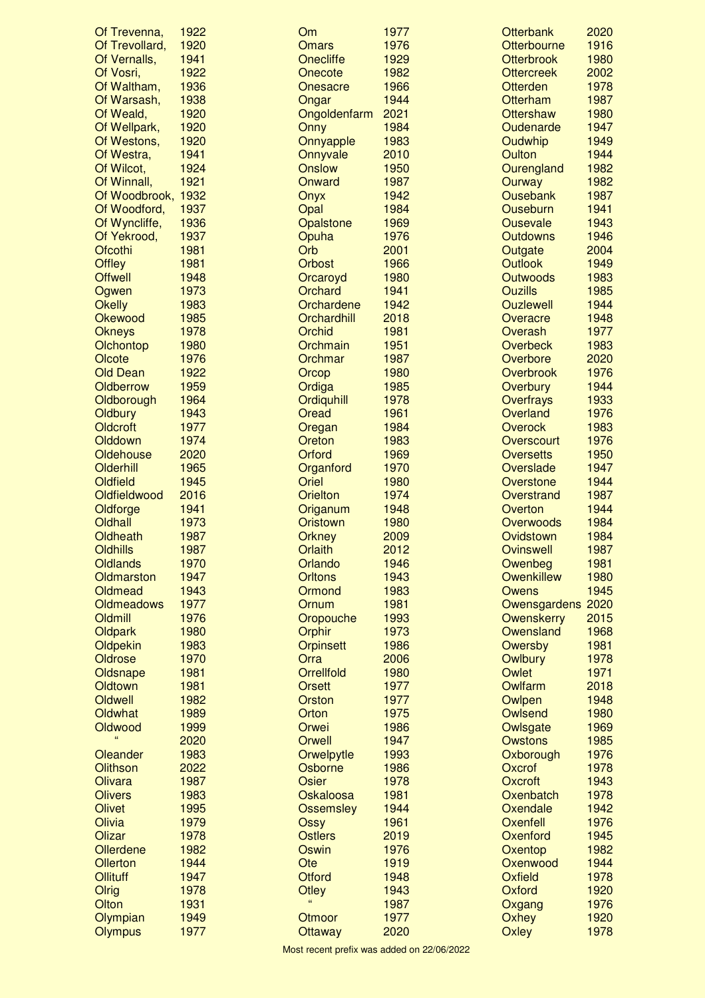| Of Trevenna,               | 1922         | <b>Om</b>                | 1977         | <b>Otterbank</b>  | 2020         |
|----------------------------|--------------|--------------------------|--------------|-------------------|--------------|
| Of Trevollard,             | 1920         | <b>Omars</b>             | 1976         | Otterbourne       | 1916         |
| Of Vernalls,               | 1941         | Onecliffe                | 1929         | <b>Otterbrook</b> | 1980         |
| Of Vosri,                  | 1922         | Onecote                  | 1982         | <b>Ottercreek</b> | 2002         |
| Of Waltham,                | 1936         | Onesacre                 | 1966         | <b>Otterden</b>   | 1978         |
| Of Warsash,                | 1938         | Ongar                    | 1944         | <b>Otterham</b>   | 1987         |
| Of Weald,                  | 1920         | Ongoldenfarm             | 2021         | <b>Ottershaw</b>  | 1980         |
| Of Wellpark,               | 1920         | Onny                     | 1984         | Oudenarde         | 1947         |
| Of Westons,                | 1920         | Onnyapple                | 1983         | Oudwhip           | 1949         |
| Of Westra,                 | 1941         | Onnyvale                 | 2010         | Oulton            | 1944         |
| Of Wilcot,                 | 1924         | <b>Onslow</b>            | 1950         | Ourengland        | 1982         |
| Of Winnall,                | 1921         | Onward                   | 1987         | Ourway            | 1982         |
| Of Woodbrook, 1932         |              | Onyx                     | 1942         | <b>Ousebank</b>   | 1987         |
| Of Woodford,               | 1937         | Opal                     | 1984         | <b>Ouseburn</b>   | 1941         |
| Of Wyncliffe,              | 1936         | Opalstone                | 1969         | <b>Ousevale</b>   | 1943         |
| Of Yekrood,                | 1937         | Opuha                    | 1976         | <b>Outdowns</b>   | 1946         |
| Ofcothi                    | 1981         | Orb                      | 2001         | Outgate           | 2004         |
| <b>Offley</b>              | 1981         | <b>Orbost</b>            | 1966         | <b>Outlook</b>    | 1949         |
| <b>Offwell</b>             | 1948         | Orcaroyd                 | 1980         | <b>Outwoods</b>   | 1983         |
| Ogwen                      | 1973         | Orchard                  | 1941         | <b>Ouzills</b>    | 1985         |
| <b>Okelly</b>              | 1983         | Orchardene               | 1942         | <b>Ouzlewell</b>  | 1944         |
| Okewood                    | 1985         | Orchardhill              | 2018         | Overacre          | 1948         |
| <b>Okneys</b>              | 1978         | Orchid                   | 1981         | Overash           | 1977         |
| Olchontop                  | 1980         | Orchmain                 | 1951         | <b>Overbeck</b>   | 1983         |
| Olcote                     | 1976         | Orchmar                  | 1987         | Overbore          | 2020         |
| <b>Old Dean</b>            | 1922         | Orcop                    | 1980         | <b>Overbrook</b>  | 1976         |
|                            |              |                          |              |                   |              |
| Oldberrow                  | 1959         | Ordiga                   | 1985         | <b>Overbury</b>   | 1944         |
| Oldborough                 | 1964         | Ordiquhill               | 1978         | <b>Overfrays</b>  | 1933         |
| Oldbury                    | 1943         | Oread                    | 1961         | Overland          | 1976         |
| Oldcroft                   | 1977         | Oregan                   | 1984         | Overock           | 1983         |
| Olddown                    | 1974         | Oreton                   | 1983         | Overscourt        | 1976         |
| Oldehouse                  | 2020         | Orford                   | 1969         | <b>Oversetts</b>  | 1950         |
| Olderhill                  | 1965         | Organford                | 1970         | Overslade         | 1947         |
| Oldfield                   | 1945         | Oriel                    | 1980         | Overstone         | 1944         |
| Oldfieldwood               | 2016         | Orielton                 | 1974         | Overstrand        | 1987         |
| Oldforge                   | 1941         | Origanum                 | 1948         | Overton           | 1944         |
| Oldhall                    | 1973         | Oristown                 | 1980         | Overwoods         | 1984         |
| Oldheath                   | 1987         | Orkney                   | 2009         | Ovidstown         | 1984         |
| Oldhills                   | 1987         | Orlaith                  | 2012         | <b>Ovinswell</b>  | 1987         |
| <b>Oldlands</b>            | 1970         | Orlando                  | 1946         | Owenbeg           | 1981         |
| Oldmarston                 | 1947         | <b>Orltons</b>           | 1943         | <b>Owenkillew</b> | 1980         |
| Oldmead                    | 1943         | Ormond                   | 1983         | <b>Owens</b>      | 1945         |
| <b>Oldmeadows</b>          | 1977         | Ornum                    | 1981         | Owensgardens 2020 |              |
| Oldmill                    | 1976         | Oropouche                | 1993         | Owenskerry        | 2015         |
| Oldpark                    | 1980         | Orphir                   | 1973         | Owensland         | 1968         |
| Oldpekin                   | 1983         | <b>Orpinsett</b>         | 1986         | Owersby           | 1981         |
| Oldrose                    | 1970         | Orra                     | 2006         | <b>Owlbury</b>    | 1978         |
| Oldsnape                   | 1981         | <b>Orrellfold</b>        | 1980         | Owlet             | 1971         |
| Oldtown                    | 1981         | Orsett                   | 1977         | Owlfarm           | 2018         |
| Oldwell                    | 1982         | <b>Orston</b>            | 1977         | Owlpen            | 1948         |
| Oldwhat                    | 1989         | Orton                    | 1975         | <b>Owlsend</b>    | 1980         |
| Oldwood                    | 1999         | Orwei                    | 1986         | Owlsgate          | 1969         |
|                            | 2020         | Orwell                   | 1947         | <b>Owstons</b>    | 1985         |
| Oleander                   | 1983         | Orwelpytle               | 1993         | Oxborough         | 1976         |
| <b>Olithson</b>            | 2022         | Osborne                  | 1986         | Oxcrof            | 1978         |
| Olivara                    | 1987         | Osier                    | 1978         | Oxcroft           | 1943         |
| <b>Olivers</b>             | 1983         | Oskaloosa                | 1981         | Oxenbatch         | 1978         |
| <b>Olivet</b>              | 1995         | <b>Ossemsley</b>         | 1944         | Oxendale          | 1942         |
| Olivia                     | 1979         | <b>Ossy</b>              | 1961         | Oxenfell          | 1976         |
| Olizar                     | 1978         | <b>Ostlers</b>           | 2019         | Oxenford          | 1945         |
| Ollerdene                  | 1982         | Oswin                    | 1976         |                   | 1982         |
|                            | 1944         |                          | 1919         | Oxentop           | 1944         |
| Ollerton                   |              | Ote                      |              | Oxenwood          |              |
| Ollituff                   | 1947<br>1978 | <b>Otford</b>            | 1948         | Oxfield           | 1978         |
| Olrig<br>Olton             |              | <b>Otley</b>             | 1943         | Oxford            | 1920         |
|                            |              |                          |              |                   |              |
|                            | 1931         | 66                       | 1987         | Oxgang            | 1976         |
| Olympian<br><b>Olympus</b> | 1949<br>1977 | Otmoor<br><b>Ottaway</b> | 1977<br>2020 | Oxhey<br>Oxley    | 1920<br>1978 |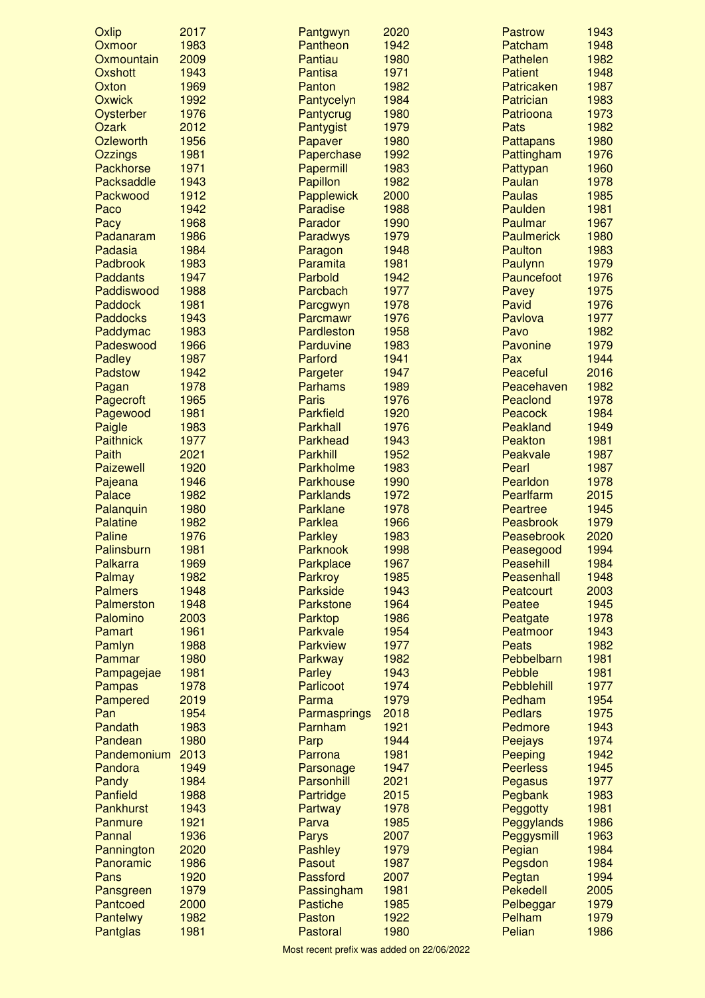| Oxlip            | 2017 | Pantgwyn         | 2020 | <b>Pastrow</b>    | 1943 |
|------------------|------|------------------|------|-------------------|------|
| Oxmoor           | 1983 | Pantheon         | 1942 | Patcham           | 1948 |
| Oxmountain       | 2009 | Pantiau          | 1980 | Pathelen          | 1982 |
| Oxshott          | 1943 | <b>Pantisa</b>   | 1971 | <b>Patient</b>    | 1948 |
| Oxton            | 1969 | Panton           | 1982 | Patricaken        | 1987 |
| <b>Oxwick</b>    | 1992 | Pantycelyn       | 1984 | Patrician         | 1983 |
| Oysterber        | 1976 | Pantycrug        | 1980 | Patrioona         | 1973 |
| <b>Ozark</b>     | 2012 | Pantygist        | 1979 | Pats              | 1982 |
| Ozleworth        | 1956 | Papaver          | 1980 | <b>Pattapans</b>  | 1980 |
| <b>Ozzings</b>   | 1981 | Paperchase       | 1992 | Pattingham        | 1976 |
| <b>Packhorse</b> | 1971 | Papermill        | 1983 | Pattypan          | 1960 |
| Packsaddle       | 1943 | Papillon         | 1982 | Paulan            | 1978 |
| Packwood         | 1912 | Papplewick       | 2000 | <b>Paulas</b>     | 1985 |
| Paco             | 1942 | Paradise         | 1988 | Paulden           | 1981 |
| Pacy             | 1968 | Parador          | 1990 | Paulmar           | 1967 |
| Padanaram        | 1986 | Paradwys         | 1979 | <b>Paulmerick</b> | 1980 |
| Padasia          | 1984 | Paragon          | 1948 | Paulton           | 1983 |
| Padbrook         | 1983 | Paramita         | 1981 | Paulynn           | 1979 |
| Paddants         | 1947 | Parbold          | 1942 | Pauncefoot        | 1976 |
| Paddiswood       | 1988 | Parcbach         | 1977 | Pavey             | 1975 |
| <b>Paddock</b>   | 1981 | Parcgwyn         | 1978 | Pavid             | 1976 |
| <b>Paddocks</b>  | 1943 | Parcmawr         | 1976 | Pavlova           | 1977 |
| Paddymac         | 1983 | Pardleston       | 1958 | Pavo              | 1982 |
|                  |      |                  |      |                   | 1979 |
| Padeswood        | 1966 | Parduvine        | 1983 | Pavonine          |      |
| <b>Padley</b>    | 1987 | Parford          | 1941 | Pax               | 1944 |
| Padstow          | 1942 | Pargeter         | 1947 | Peaceful          | 2016 |
| Pagan            | 1978 | <b>Parhams</b>   | 1989 | Peacehaven        | 1982 |
| Pagecroft        | 1965 | <b>Paris</b>     | 1976 | Peaclond          | 1978 |
| Pagewood         | 1981 | <b>Parkfield</b> | 1920 | Peacock           | 1984 |
| Paigle           | 1983 | Parkhall         | 1976 | Peakland          | 1949 |
| <b>Paithnick</b> | 1977 | Parkhead         | 1943 | Peakton           | 1981 |
| Paith            | 2021 | <b>Parkhill</b>  | 1952 | Peakvale          | 1987 |
| <b>Paizewell</b> | 1920 | Parkholme        | 1983 | Pearl             | 1987 |
| Pajeana          | 1946 | <b>Parkhouse</b> | 1990 | Pearldon          | 1978 |
| Palace           | 1982 | <b>Parklands</b> | 1972 | Pearlfarm         | 2015 |
| Palanquin        | 1980 | <b>Parklane</b>  | 1978 | <b>Peartree</b>   | 1945 |
| Palatine         | 1982 | <b>Parklea</b>   | 1966 | Peasbrook         | 1979 |
| <b>Paline</b>    | 1976 | <b>Parkley</b>   | 1983 | Peasebrook        | 2020 |
| Palinsburn       | 1981 | <b>Parknook</b>  | 1998 | Peasegood         | 1994 |
| Palkarra         | 1969 | Parkplace        | 1967 | Peasehill         | 1984 |
| Palmay           | 1982 | Parkroy          | 1985 | Peasenhall        | 1948 |
| <b>Palmers</b>   | 1948 | Parkside         | 1943 | Peatcourt         | 2003 |
| Palmerston       | 1948 | <b>Parkstone</b> | 1964 | Peatee            | 1945 |
| Palomino         | 2003 | Parktop          | 1986 | Peatgate          | 1978 |
| Pamart           | 1961 | Parkvale         | 1954 | Peatmoor          | 1943 |
| Pamlyn           | 1988 | <b>Parkview</b>  | 1977 | <b>Peats</b>      | 1982 |
| Pammar           | 1980 | Parkway          | 1982 | Pebbelbarn        | 1981 |
| Pampagejae       | 1981 | <b>Parley</b>    | 1943 | Pebble            | 1981 |
| <b>Pampas</b>    | 1978 | Parlicoot        | 1974 | Pebblehill        | 1977 |
| Pampered         | 2019 | Parma            | 1979 | Pedham            | 1954 |
| Pan              | 1954 | Parmasprings     | 2018 | <b>Pedlars</b>    | 1975 |
| Pandath          | 1983 | Parnham          | 1921 | Pedmore           | 1943 |
| Pandean          | 1980 | Parp             | 1944 | Peejays           | 1974 |
| Pandemonium      | 2013 | Parrona          | 1981 | Peeping           | 1942 |
| Pandora          | 1949 | Parsonage        | 1947 | <b>Peerless</b>   | 1945 |
| Pandy            | 1984 | Parsonhill       | 2021 | Pegasus           | 1977 |
| <b>Panfield</b>  | 1988 | Partridge        | 2015 | Pegbank           | 1983 |
| <b>Pankhurst</b> | 1943 | Partway          | 1978 | Peggotty          | 1981 |
| Panmure          | 1921 | Parva            | 1985 | Peggylands        | 1986 |
| Pannal           | 1936 | <b>Parys</b>     | 2007 | Peggysmill        | 1963 |
| Pannington       | 2020 | Pashley          | 1979 | Pegian            | 1984 |
| Panoramic        | 1986 | Pasout           | 1987 | Pegsdon           | 1984 |
| Pans             | 1920 | Passford         | 2007 | Pegtan            | 1994 |
| Pansgreen        | 1979 | Passingham       | 1981 | Pekedell          | 2005 |
| Pantcoed         | 2000 | <b>Pastiche</b>  | 1985 | Pelbeggar         | 1979 |
| Pantelwy         | 1982 | Paston           | 1922 | Pelham            | 1979 |
| Pantglas         | 1981 | Pastoral         | 1980 | Pelian            | 1986 |
|                  |      |                  |      |                   |      |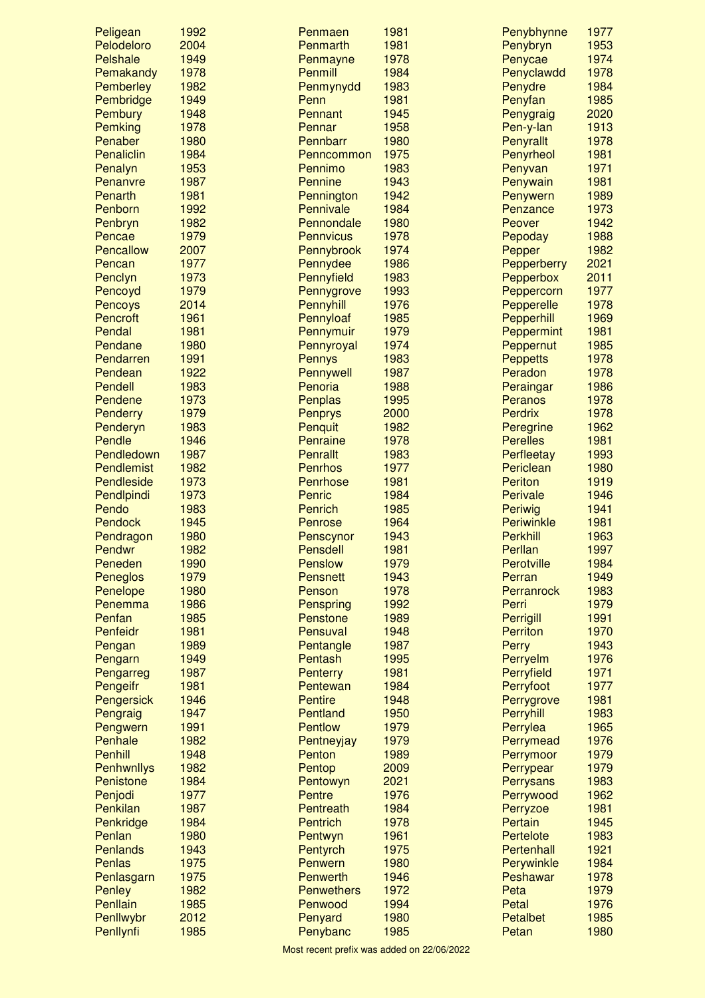| Peligean                 | 1992         | Penmaen                    | 1981         | Penybhynne              | 1977         |
|--------------------------|--------------|----------------------------|--------------|-------------------------|--------------|
| Pelodeloro               | 2004         | Penmarth                   | 1981         | Penybryn                | 1953         |
| Pelshale                 | 1949         | Penmayne                   | 1978         | Penycae                 | 1974         |
| Pemakandy                | 1978         | <b>Penmill</b>             | 1984         | Penyclawdd              | 1978         |
| Pemberley                | 1982         | Penmynydd                  | 1983         | Penydre                 | 1984         |
| Pembridge                | 1949         | Penn                       | 1981         | Penyfan                 | 1985         |
| Pembury                  | 1948         | Pennant                    | 1945         | Penygraig               | 2020         |
| Pemking                  | 1978         | Pennar                     | 1958         | Pen-y-lan               | 1913         |
| Penaber                  | 1980         | Pennbarr                   | 1980         | Penyrallt               | 1978         |
| Penaliclin               | 1984         | Penncommon                 | 1975         | Penyrheol               | 1981         |
| Penalyn                  | 1953         | Pennimo                    | 1983         | Penyvan                 | 1971<br>1981 |
| Penanvre<br>Penarth      | 1987<br>1981 | <b>Pennine</b>             | 1943<br>1942 | Penywain                | 1989         |
| Penborn                  | 1992         | Pennington<br>Pennivale    | 1984         | Penywern<br>Penzance    | 1973         |
| Penbryn                  | 1982         | Pennondale                 | 1980         | Peover                  | 1942         |
| Pencae                   | 1979         | <b>Pennvicus</b>           | 1978         | Pepoday                 | 1988         |
| Pencallow                | 2007         | Pennybrook                 | 1974         | Pepper                  | 1982         |
| Pencan                   | 1977         | Pennydee                   | 1986         | Pepperberry             | 2021         |
| Penclyn                  | 1973         | Pennyfield                 | 1983         | Pepperbox               | 2011         |
| Pencoyd                  | 1979         | Pennygrove                 | 1993         | Peppercorn              | 1977         |
| <b>Pencoys</b>           | 2014         | Pennyhill                  | 1976         | Pepperelle              | 1978         |
| Pencroft                 | 1961         | Pennyloaf                  | 1985         | Pepperhill              | 1969         |
| Pendal                   | 1981         | Pennymuir                  | 1979         | Peppermint              | 1981         |
| Pendane                  | 1980         | Pennyroyal                 | 1974         | Peppernut               | 1985         |
| Pendarren                | 1991         | <b>Pennys</b>              | 1983         | <b>Peppetts</b>         | 1978         |
| Pendean                  | 1922         | Pennywell                  | 1987         | Peradon                 | 1978         |
| <b>Pendell</b>           | 1983         | Penoria                    | 1988         | Peraingar               | 1986         |
| Pendene                  | 1973         | Penplas                    | 1995         | Peranos                 | 1978         |
| Penderry                 | 1979         | <b>Penprys</b>             | 2000         | <b>Perdrix</b>          | 1978         |
| Penderyn                 | 1983         | Penquit                    | 1982         | Peregrine               | 1962         |
| Pendle                   | 1946         | Penraine                   | 1978         | <b>Perelles</b>         | 1981         |
| Pendledown<br>Pendlemist | 1987<br>1982 | Penrallt<br><b>Penrhos</b> | 1983<br>1977 | Perfleetay<br>Periclean | 1993         |
| Pendleside               | 1973         | Penrhose                   | 1981         | <b>Periton</b>          | 1980<br>1919 |
| Pendlpindi               | 1973         | Penric                     | 1984         | Perivale                | 1946         |
| Pendo                    | 1983         | <b>Penrich</b>             | 1985         | <b>Periwig</b>          | 1941         |
| <b>Pendock</b>           | 1945         | <b>Penrose</b>             | 1964         | <b>Periwinkle</b>       | 1981         |
| Pendragon                | 1980         | Penscynor                  | 1943         | <b>Perkhill</b>         | 1963         |
| Pendwr                   | 1982         | <b>Pensdell</b>            | 1981         | Perllan                 | 1997         |
| Peneden                  | 1990         | Penslow                    | 1979         | Perotville              | 1984         |
| Peneglos                 | 1979         | Pensnett                   | 1943         | Perran                  | 1949         |
| Penelope                 | 1980         | Penson                     | 1978         | Perranrock              | 1983         |
| Penemma                  | 1986         | Penspring                  | 1992         | Perri                   | 1979         |
| Penfan                   | 1985         | Penstone                   | 1989         | <b>Perrigill</b>        | 1991         |
| Penfeidr                 | 1981         | Pensuval                   | 1948         | <b>Perriton</b>         | 1970         |
| Pengan                   | 1989         | Pentangle                  | 1987         | Perry                   | 1943         |
| Pengarn                  | 1949         | Pentash                    | 1995         | Perryelm                | 1976         |
| Pengarreg                | 1987         | <b>Penterry</b>            | 1981         | Perryfield              | 1971         |
| Pengeifr                 | 1981         | Pentewan<br><b>Pentire</b> | 1984         | Perryfoot               | 1977         |
| Pengersick               | 1946<br>1947 | Pentland                   | 1948<br>1950 | Perrygrove<br>Perryhill | 1981<br>1983 |
| Pengraig<br>Pengwern     | 1991         | <b>Pentlow</b>             | 1979         | Perrylea                | 1965         |
| Penhale                  | 1982         | Pentneyjay                 | 1979         | Perrymead               | 1976         |
| <b>Penhill</b>           | 1948         | Penton                     | 1989         | Perrymoor               | 1979         |
| Penhwnllys               | 1982         | Pentop                     | 2009         | Perrypear               | 1979         |
| Penistone                | 1984         | Pentowyn                   | 2021         | <b>Perrysans</b>        | 1983         |
| Penjodi                  | 1977         | <b>Pentre</b>              | 1976         | Perrywood               | 1962         |
| Penkilan                 | 1987         | Pentreath                  | 1984         | Perryzoe                | 1981         |
| Penkridge                | 1984         | <b>Pentrich</b>            | 1978         | Pertain                 | 1945         |
| Penlan                   | 1980         | Pentwyn                    | 1961         | Pertelote               | 1983         |
| <b>Penlands</b>          | 1943         | Pentyrch                   | 1975         | Pertenhall              | 1921         |
| <b>Penlas</b>            | 1975         | Penwern                    | 1980         | Perywinkle              | 1984         |
| Penlasgarn               | 1975         | <b>Penwerth</b>            | 1946         | Peshawar                | 1978         |
| <b>Penley</b>            | 1982         | <b>Penwethers</b>          | 1972         | Peta                    | 1979         |
| Penllain                 | 1985         | Penwood                    | 1994         | Petal                   | 1976         |
| Penllwybr                | 2012         | Penyard                    | 1980         | <b>Petalbet</b>         | 1985         |
| Penllynfi                | 1985         | Penybanc                   | 1985         | Petan                   | 1980         |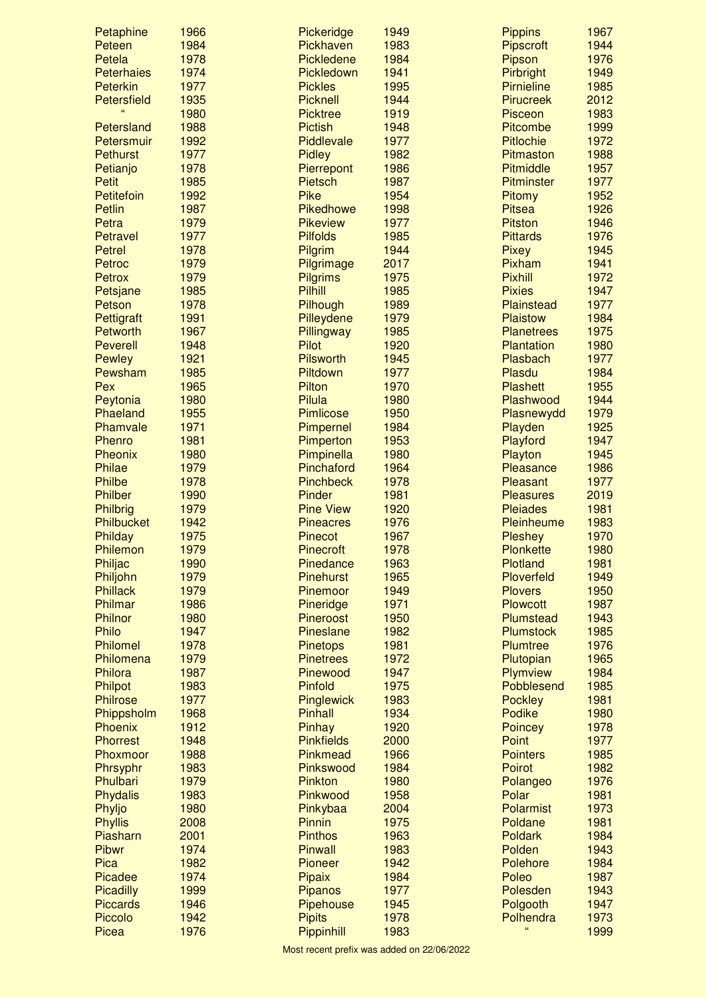| Petaphine         | 1966 | Pickeridge        | 1949 | <b>Pippins</b>     | 1967 |
|-------------------|------|-------------------|------|--------------------|------|
| Peteen            | 1984 | Pickhaven         | 1983 | <b>Pipscroft</b>   | 1944 |
| Petela            | 1978 | <b>Pickledene</b> | 1984 | Pipson             | 1976 |
| <b>Peterhaies</b> | 1974 | Pickledown        | 1941 | Pirbright          | 1949 |
| <b>Peterkin</b>   | 1977 | <b>Pickles</b>    | 1995 | <b>Pirnieline</b>  | 1985 |
| Petersfield       | 1935 | <b>Picknell</b>   | 1944 | <b>Pirucreek</b>   | 2012 |
|                   | 1980 | <b>Picktree</b>   | 1919 | <b>Pisceon</b>     | 1983 |
| Petersland        | 1988 | <b>Pictish</b>    | 1948 | Pitcombe           | 1999 |
| Petersmuir        | 1992 | Piddlevale        | 1977 | <b>Pitlochie</b>   | 1972 |
| <b>Pethurst</b>   | 1977 | <b>Pidley</b>     | 1982 | Pitmaston          | 1988 |
| Petianjo          | 1978 | Pierrepont        | 1986 | Pitmiddle          | 1957 |
| <b>Petit</b>      | 1985 | <b>Pietsch</b>    | 1987 | <b>Pitminster</b>  | 1977 |
| Petitefoin        | 1992 | <b>Pike</b>       | 1954 | Pitomy             | 1952 |
| <b>Petlin</b>     | 1987 | <b>Pikedhowe</b>  | 1998 | <b>Pitsea</b>      | 1926 |
| Petra             | 1979 | <b>Pikeview</b>   | 1977 | <b>Pitston</b>     | 1946 |
| <b>Petravel</b>   | 1977 | <b>Pilfolds</b>   | 1985 | <b>Pittards</b>    | 1976 |
| <b>Petrel</b>     | 1978 | Pilgrim           | 1944 | <b>Pixey</b>       | 1945 |
| Petroc            | 1979 | Pilgrimage        | 2017 | Pixham             | 1941 |
| Petrox            | 1979 | <b>Pilgrims</b>   | 1975 | <b>Pixhill</b>     | 1972 |
| Petsjane          | 1985 | <b>Pilhill</b>    | 1985 | <b>Pixies</b>      | 1947 |
| Petson            | 1978 | Pilhough          | 1989 | Plainstead         | 1977 |
| Pettigraft        | 1991 | Pilleydene        | 1979 | <b>Plaistow</b>    | 1984 |
| Petworth          | 1967 | Pillingway        | 1985 | <b>Planetrees</b>  | 1975 |
| <b>Peverell</b>   | 1948 | Pilot             | 1920 | Plantation         | 1980 |
| <b>Pewley</b>     | 1921 | <b>Pilsworth</b>  | 1945 | Plasbach           | 1977 |
| Pewsham           | 1985 | Piltdown          | 1977 | Plasdu             | 1984 |
| Pex               | 1965 | Pilton            | 1970 | <b>Plashett</b>    | 1955 |
| Peytonia          | 1980 | <b>Pilula</b>     | 1980 | Plashwood          | 1944 |
| Phaeland          | 1955 | <b>Pimlicose</b>  | 1950 | Plasnewydd         | 1979 |
| Phamvale          | 1971 | Pimpernel         | 1984 | Playden            | 1925 |
| Phenro            | 1981 | Pimperton         | 1953 | Playford           | 1947 |
| Pheonix           | 1980 | Pimpinella        | 1980 | Playton            | 1945 |
| <b>Philae</b>     | 1979 | Pinchaford        | 1964 | Pleasance          | 1986 |
| <b>Philbe</b>     | 1978 | <b>Pinchbeck</b>  | 1978 | Pleasant           | 1977 |
| Philber           | 1990 | Pinder            | 1981 | <b>Pleasures</b>   | 2019 |
| Philbrig          | 1979 | <b>Pine View</b>  | 1920 | <b>Pleiades</b>    | 1981 |
| Philbucket        | 1942 | <b>Pineacres</b>  | 1976 | Pleinheume         | 1983 |
| Philday           | 1975 | <b>Pinecot</b>    | 1967 | <b>Pleshey</b>     | 1970 |
| Philemon          | 1979 | <b>Pinecroft</b>  | 1978 | <b>Plonkette</b>   | 1980 |
| Philjac           | 1990 | Pinedance         | 1963 | Plotland           | 1981 |
| Philjohn          | 1979 | <b>Pinehurst</b>  | 1965 | Ploverfeld         | 1949 |
| <b>Phillack</b>   | 1979 | Pinemoor          | 1949 | <b>Plovers</b>     | 1950 |
| Philmar           | 1986 | Pineridge         | 1971 | <b>Plowcott</b>    | 1987 |
| <b>Philnor</b>    | 1980 | <b>Pineroost</b>  | 1950 | Plumstead          | 1943 |
| <b>Philo</b>      | 1947 | <b>Pineslane</b>  | 1982 | Plumstock          | 1985 |
| Philomel          | 1978 | <b>Pinetops</b>   | 1981 | Plumtree           | 1976 |
| Philomena         | 1979 | <b>Pinetrees</b>  | 1972 | Plutopian          | 1965 |
| Philora           | 1987 | Pinewood          | 1947 | Plymview           | 1984 |
| <b>Philpot</b>    | 1983 | Pinfold           | 1975 | Pobblesend         | 1985 |
| <b>Philrose</b>   | 1977 | Pinglewick        | 1983 | <b>Pockley</b>     | 1981 |
| Phippsholm        | 1968 | <b>Pinhall</b>    | 1934 | Podike             | 1980 |
| <b>Phoenix</b>    | 1912 | Pinhay            | 1920 | <b>Poincey</b>     | 1978 |
| <b>Phorrest</b>   | 1948 | <b>Pinkfields</b> | 2000 | Point              | 1977 |
| Phoxmoor          | 1988 | <b>Pinkmead</b>   | 1966 | <b>Pointers</b>    | 1985 |
| Phrsyphr          | 1983 | Pinkswood         | 1984 | <b>Poirot</b>      | 1982 |
| Phulbari          | 1979 | Pinkton           | 1980 | Polangeo           | 1976 |
| Phydalis          | 1983 | Pinkwood          | 1958 | Polar              | 1981 |
| Phyljo            | 1980 | Pinkybaa          | 2004 | Polarmist          | 1973 |
| <b>Phyllis</b>    | 2008 | Pinnin            | 1975 | Poldane            | 1981 |
| Piasharn          | 2001 | <b>Pinthos</b>    | 1963 | <b>Poldark</b>     | 1984 |
| <b>Pibwr</b>      | 1974 | <b>Pinwall</b>    | 1983 | Polden             | 1943 |
| Pica              | 1982 | Pioneer           | 1942 | Polehore           | 1984 |
| <b>Picadee</b>    | 1974 | Pipaix            | 1984 | Poleo              | 1987 |
| <b>Picadilly</b>  | 1999 | Pipanos           | 1977 | Polesden           | 1943 |
| <b>Piccards</b>   | 1946 | <b>Pipehouse</b>  | 1945 | Polgooth           | 1947 |
| Piccolo           | 1942 | <b>Pipits</b>     | 1978 | Polhendra          | 1973 |
| Picea             | 1976 | Pippinhill        | 1983 | $\epsilon\epsilon$ | 1999 |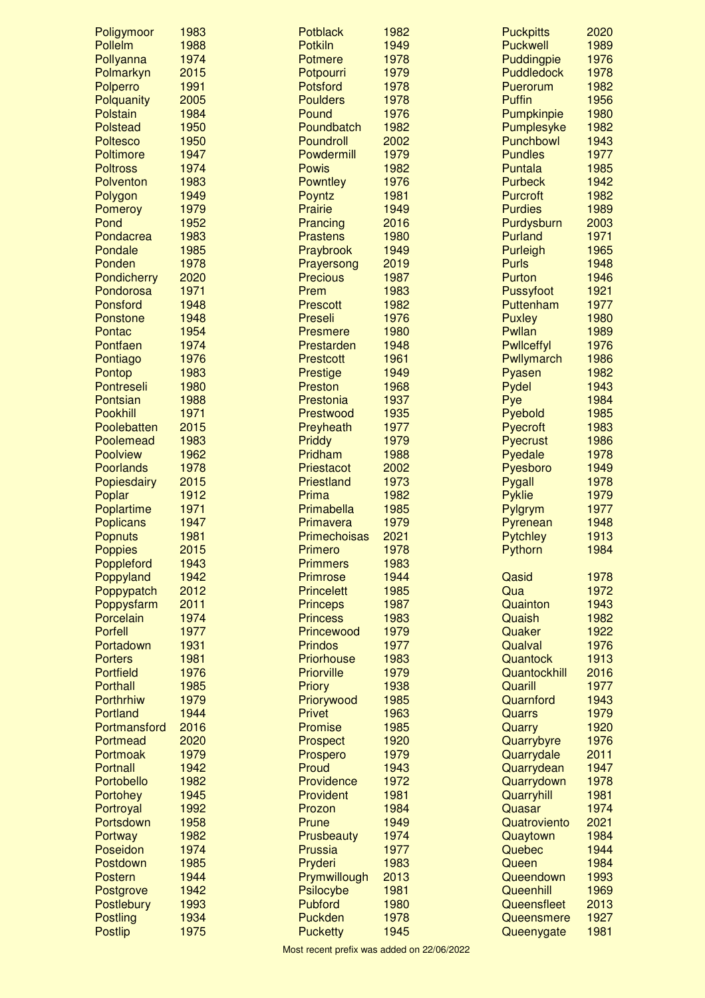| Poligymoor                     | 1983         | <b>Potblack</b>         | 1982         | <b>Puckpitts</b>        | 2020         |
|--------------------------------|--------------|-------------------------|--------------|-------------------------|--------------|
| Pollelm                        | 1988         | <b>Potkiln</b>          | 1949         | <b>Puckwell</b>         | 1989         |
| Pollyanna                      | 1974         | Potmere                 | 1978         | Puddingpie              | 1976         |
| Polmarkyn                      | 2015         | Potpourri               | 1979         | <b>Puddledock</b>       | 1978         |
| Polperro                       | 1991         | Potsford                | 1978         | Puerorum                | 1982         |
| Polquanity                     | 2005         | <b>Poulders</b>         | 1978         | <b>Puffin</b>           | 1956         |
| Polstain<br><b>Polstead</b>    | 1984<br>1950 | Pound<br>Poundbatch     | 1976<br>1982 | Pumpkinpie              | 1980<br>1982 |
| <b>Poltesco</b>                | 1950         | Poundroll               | 2002         | Pumplesyke<br>Punchbowl | 1943         |
| <b>Poltimore</b>               | 1947         | Powdermill              | 1979         | <b>Pundles</b>          | 1977         |
| <b>Poltross</b>                | 1974         | <b>Powis</b>            | 1982         | Puntala                 | 1985         |
| Polventon                      | 1983         | <b>Powntley</b>         | 1976         | <b>Purbeck</b>          | 1942         |
| Polygon                        | 1949         | Poyntz                  | 1981         | <b>Purcroft</b>         | 1982         |
| <b>Pomeroy</b>                 | 1979         | Prairie                 | 1949         | <b>Purdies</b>          | 1989         |
| Pond                           | 1952         | Prancing                | 2016         | Purdysburn              | 2003         |
| Pondacrea                      | 1983         | <b>Prastens</b>         | 1980         | Purland                 | 1971         |
| Pondale                        | 1985         | Praybrook               | 1949         | <b>Purleigh</b>         | 1965         |
| Ponden                         | 1978         | Prayersong              | 2019         | <b>Purls</b>            | 1948         |
| Pondicherry                    | 2020         | <b>Precious</b>         | 1987         | Purton                  | 1946         |
| Pondorosa                      | 1971         | Prem                    | 1983         | Pussyfoot               | 1921         |
| Ponsford                       | 1948         | <b>Prescott</b>         | 1982         | Puttenham               | 1977         |
| Ponstone                       | 1948         | Preseli                 | 1976         | <b>Puxley</b>           | 1980         |
| Pontac                         | 1954         | <b>Presmere</b>         | 1980         | Pwllan                  | 1989         |
| Pontfaen                       | 1974         | Prestarden              | 1948         | <b>Pwllceffyl</b>       | 1976         |
| Pontiago                       | 1976         | <b>Prestcott</b>        | 1961         | Pwllymarch              | 1986         |
| Pontop                         | 1983         | <b>Prestige</b>         | 1949         | Pyasen                  | 1982         |
| Pontreseli                     | 1980         | Preston                 | 1968         | Pydel                   | 1943         |
| Pontsian                       | 1988         | Prestonia               | 1937         | Pye                     | 1984         |
| Pookhill                       | 1971         | Prestwood               | 1935         | Pyebold                 | 1985         |
| Poolebatten                    | 2015         | Preyheath               | 1977         | Pyecroft                | 1983         |
| Poolemead                      | 1983         | Priddy                  | 1979         | Pyecrust                | 1986         |
| <b>Poolview</b>                | 1962         | Pridham                 | 1988         | Pyedale                 | 1978         |
| Poorlands                      | 1978         | Priestacot              | 2002         | Pyesboro                | 1949         |
| Popiesdairy                    | 2015         | Priestland              | 1973         | Pygall                  | 1978         |
| Poplar                         | 1912         | Prima                   | 1982         | <b>Pyklie</b>           | 1979<br>1977 |
| Poplartime<br><b>Poplicans</b> | 1971<br>1947 | Primabella<br>Primavera | 1985<br>1979 | Pylgrym<br>Pyrenean     | 1948         |
| <b>Popnuts</b>                 | 1981         | Primechoisas            | 2021         | <b>Pytchley</b>         | 1913         |
| <b>Poppies</b>                 | 2015         | Primero                 | 1978         | Pythorn                 | 1984         |
| Poppleford                     | 1943         | <b>Primmers</b>         | 1983         |                         |              |
| Poppyland                      | 1942         | <b>Primrose</b>         | 1944         | Qasid                   | 1978         |
| Poppypatch                     | 2012         | <b>Princelett</b>       | 1985         | Qua                     | 1972         |
| Poppysfarm                     | 2011         | <b>Princeps</b>         | 1987         | Quainton                | 1943         |
| Porcelain                      | 1974         | <b>Princess</b>         | 1983         | Quaish                  | 1982         |
| <b>Porfell</b>                 | 1977         | Princewood              | 1979         | Quaker                  | 1922         |
| Portadown                      | 1931         | <b>Prindos</b>          | 1977         | Qualval                 | 1976         |
| <b>Porters</b>                 | 1981         | Priorhouse              | 1983         | Quantock                | 1913         |
| <b>Portfield</b>               | 1976         | <b>Priorville</b>       | 1979         | Quantockhill            | 2016         |
| <b>Porthall</b>                | 1985         | <b>Priory</b>           | 1938         | Quarill                 | 1977         |
| <b>Porthrhiw</b>               | 1979         | Priorywood              | 1985         | Quarnford               | 1943         |
| <b>Portland</b>                | 1944         | <b>Privet</b>           | 1963         | Quarrs                  | 1979         |
| Portmansford                   | 2016         | Promise                 | 1985         | Quarry                  | 1920         |
| Portmead                       | 2020         | <b>Prospect</b>         | 1920         | Quarrybyre              | 1976         |
| Portmoak                       | 1979         | Prospero                | 1979         | Quarrydale              | 2011         |
| Portnall                       | 1942         | Proud                   | 1943         | Quarrydean              | 1947         |
| Portobello                     | 1982<br>1945 | Providence              | 1972<br>1981 | Quarrydown              | 1978<br>1981 |
| Portohey<br>Portroyal          | 1992         | Provident<br>Prozon     | 1984         | Quarryhill<br>Quasar    | 1974         |
| Portsdown                      | 1958         | Prune                   | 1949         | Quatroviento            | 2021         |
| Portway                        | 1982         | Prusbeauty              | 1974         | Quaytown                | 1984         |
| Poseidon                       | 1974         | Prussia                 | 1977         | Quebec                  | 1944         |
| Postdown                       | 1985         | Pryderi                 | 1983         | Queen                   | 1984         |
| <b>Postern</b>                 | 1944         | Prymwillough            | 2013         | Queendown               | 1993         |
| Postgrove                      | 1942         | Psilocybe               | 1981         | Queenhill               | 1969         |
| Postlebury                     | 1993         | Pubford                 | 1980         | Queensfleet             | 2013         |
| <b>Postling</b>                | 1934         | Puckden                 | 1978         | Queensmere              | 1927         |
| <b>Postlip</b>                 | 1975         | <b>Pucketty</b>         | 1945         | Queenygate              | 1981         |
|                                |              |                         |              |                         |              |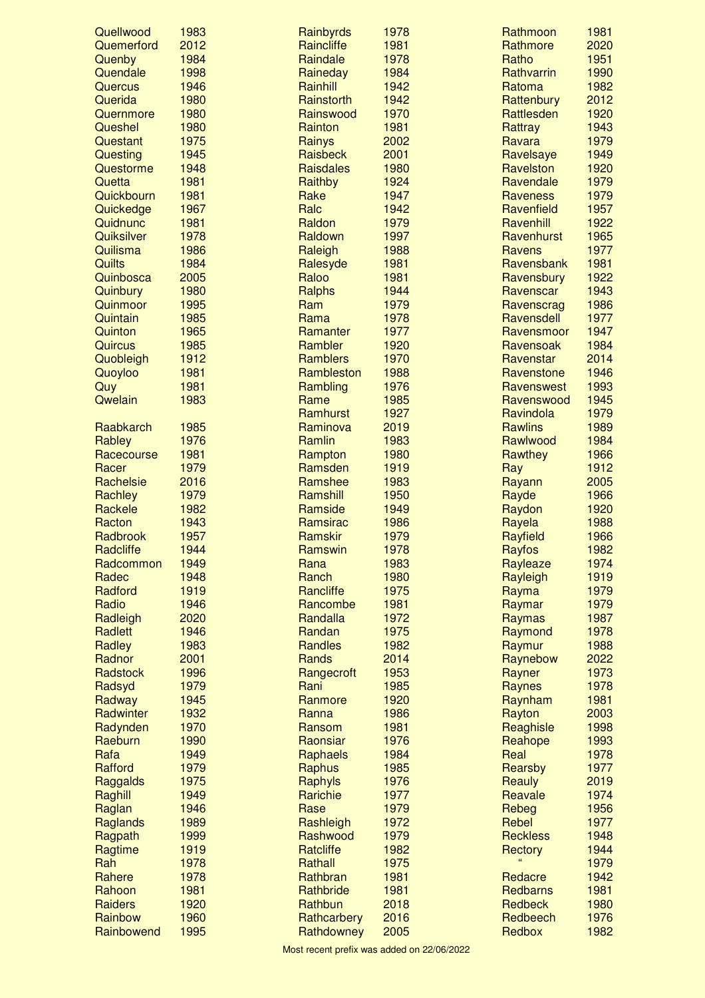| Quellwood      | 1983 | Rainbyrds        | 1978 | Rathmoon        | 1981 |
|----------------|------|------------------|------|-----------------|------|
| Quemerford     | 2012 | Raincliffe       | 1981 | Rathmore        | 2020 |
| Quenby         | 1984 | Raindale         | 1978 | Ratho           | 1951 |
| Quendale       | 1998 | Raineday         | 1984 | Rathvarrin      | 1990 |
| Quercus        | 1946 | Rainhill         | 1942 | Ratoma          | 1982 |
| Querida        | 1980 | Rainstorth       | 1942 | Rattenbury      | 2012 |
| Quernmore      | 1980 | Rainswood        | 1970 | Rattlesden      | 1920 |
| Queshel        | 1980 | Rainton          | 1981 | Rattray         | 1943 |
| Questant       | 1975 | Rainys           | 2002 | Ravara          | 1979 |
| Questing       | 1945 | Raisbeck         | 2001 | Ravelsaye       | 1949 |
| Questorme      | 1948 | <b>Raisdales</b> | 1980 | Ravelston       | 1920 |
| Quetta         | 1981 | Raithby          | 1924 | Ravendale       | 1979 |
| Quickbourn     | 1981 | Rake             | 1947 | <b>Raveness</b> | 1979 |
| Quickedge      | 1967 | Ralc             | 1942 | Ravenfield      | 1957 |
| Quidnunc       | 1981 | Raldon           | 1979 | Ravenhill       | 1922 |
| Quiksilver     | 1978 | Raldown          | 1997 | Ravenhurst      | 1965 |
| Quilisma       | 1986 | Raleigh          | 1988 | Ravens          | 1977 |
| Quilts         | 1984 | Ralesyde         | 1981 | Ravensbank      | 1981 |
| Quinbosca      | 2005 | Raloo            | 1981 | Ravensbury      | 1922 |
| Quinbury       | 1980 | Ralphs           | 1944 | Ravenscar       | 1943 |
| Quinmoor       | 1995 | Ram              | 1979 | Ravenscrag      | 1986 |
| Quintain       | 1985 | Rama             | 1978 | Ravensdell      | 1977 |
| Quinton        | 1965 | Ramanter         | 1977 | Ravensmoor      | 1947 |
| Quircus        | 1985 | Rambler          | 1920 | Ravensoak       | 1984 |
|                | 1912 |                  |      |                 | 2014 |
| Quobleigh      |      | <b>Ramblers</b>  | 1970 | Ravenstar       |      |
| Quoyloo        | 1981 | Rambleston       | 1988 | Ravenstone      | 1946 |
| Quy            | 1981 | Rambling         | 1976 | Ravenswest      | 1993 |
| Qwelain        | 1983 | Rame             | 1985 | Ravenswood      | 1945 |
|                |      | Ramhurst         | 1927 | Ravindola       | 1979 |
| Raabkarch      | 1985 | Raminova         | 2019 | <b>Rawlins</b>  | 1989 |
| Rabley         | 1976 | Ramlin           | 1983 | Rawlwood        | 1984 |
| Racecourse     | 1981 | Rampton          | 1980 | Rawthey         | 1966 |
| Racer          | 1979 | Ramsden          | 1919 | Ray             | 1912 |
| Rachelsie      | 2016 | Ramshee          | 1983 | Rayann          | 2005 |
| Rachley        | 1979 | Ramshill         | 1950 | Rayde           | 1966 |
| Rackele        | 1982 | Ramside          | 1949 | Raydon          | 1920 |
| Racton         | 1943 | Ramsirac         | 1986 | Rayela          | 1988 |
| Radbrook       | 1957 | Ramskir          | 1979 | Rayfield        | 1966 |
| Radcliffe      | 1944 | Ramswin          | 1978 | Rayfos          | 1982 |
| Radcommon      | 1949 | Rana             | 1983 | Rayleaze        | 1974 |
| Radec          | 1948 | Ranch            | 1980 | Rayleigh        | 1919 |
| Radford        | 1919 | Rancliffe        | 1975 | Rayma           | 1979 |
| Radio          | 1946 | Rancombe         | 1981 | Raymar          | 1979 |
| Radleigh       | 2020 | Randalla         | 1972 | Raymas          | 1987 |
| <b>Radlett</b> | 1946 | Randan           | 1975 | Raymond         | 1978 |
| Radley         | 1983 | <b>Randles</b>   | 1982 | Raymur          | 1988 |
| Radnor         | 2001 | Rands            | 2014 | Raynebow        | 2022 |
| Radstock       | 1996 | Rangecroft       | 1953 | Rayner          | 1973 |
| Radsyd         | 1979 | Rani             | 1985 | <b>Raynes</b>   | 1978 |
| Radway         | 1945 | Ranmore          | 1920 | Raynham         | 1981 |
| Radwinter      | 1932 | Ranna            | 1986 | Rayton          | 2003 |
| Radynden       | 1970 | Ransom           | 1981 | Reaghisle       | 1998 |
| Raeburn        | 1990 | Raonsiar         | 1976 | Reahope         | 1993 |
| Rafa           | 1949 | Raphaels         | 1984 | Real            | 1978 |
| <b>Rafford</b> | 1979 | Raphus           | 1985 | Rearsby         | 1977 |
|                | 1975 |                  | 1976 |                 | 2019 |
| Raggalds       |      | Raphyls          |      | Reauly          | 1974 |
| Raghill        | 1949 | Rarichie         | 1977 | Reavale         |      |
| Raglan         | 1946 | Rase             | 1979 | Rebeg           | 1956 |
| Raglands       | 1989 | Rashleigh        | 1972 | Rebel           | 1977 |
| Ragpath        | 1999 | Rashwood         | 1979 | <b>Reckless</b> | 1948 |
| Ragtime        | 1919 | <b>Ratcliffe</b> | 1982 | Rectory         | 1944 |
| Rah            | 1978 | Rathall          | 1975 |                 | 1979 |
| Rahere         | 1978 | Rathbran         | 1981 | Redacre         | 1942 |
| Rahoon         | 1981 | Rathbride        | 1981 | <b>Redbarns</b> | 1981 |
| Raiders        | 1920 | Rathbun          | 2018 | <b>Redbeck</b>  | 1980 |
| Rainbow        | 1960 | Rathcarbery      | 2016 | Redbeech        | 1976 |
| Rainbowend     | 1995 | Rathdowney       | 2005 | Redbox          | 1982 |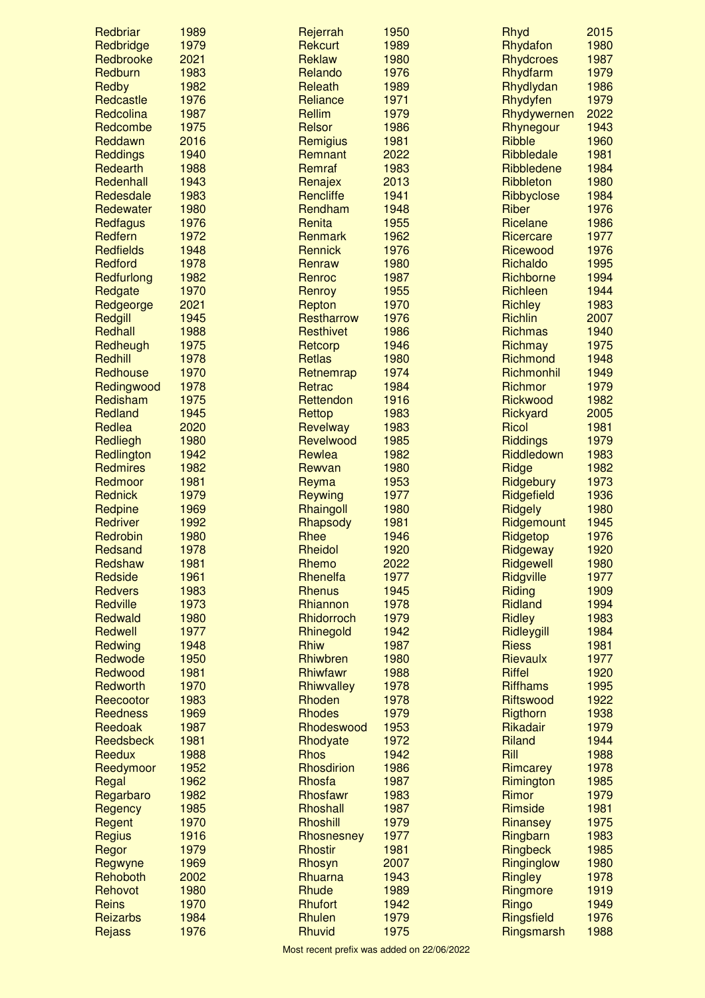| Redbriar                   | 1989         | Rejerrah                  | 1950         | Rhyd                  | 2015         |
|----------------------------|--------------|---------------------------|--------------|-----------------------|--------------|
| Redbridge                  | 1979         | Rekcurt                   | 1989         | Rhydafon              | 1980         |
| Redbrooke                  | 2021         | Reklaw                    | 1980         | <b>Rhydcroes</b>      | 1987         |
| Redburn                    | 1983         | Relando                   | 1976         | Rhydfarm              | 1979         |
| Redby                      | 1982         | Releath                   | 1989         | Rhydlydan             | 1986         |
| Redcastle                  | 1976         | Reliance                  | 1971         | Rhydyfen              | 1979         |
| Redcolina                  | 1987         | Rellim                    | 1979         | Rhydywernen           | 2022         |
| Redcombe                   | 1975         | Relsor                    | 1986         | Rhynegour             | 1943         |
| Reddawn                    | 2016         | Remigius                  | 1981         | <b>Ribble</b>         | 1960         |
| <b>Reddings</b>            | 1940         | Remnant                   | 2022         | Ribbledale            | 1981         |
| Redearth                   | 1988         | Remraf                    | 1983         | Ribbledene            | 1984         |
| Redenhall                  | 1943         | Renajex                   | 2013         | Ribbleton             | 1980         |
| Redesdale                  | 1983         | <b>Rencliffe</b>          | 1941         | Ribbyclose            | 1984         |
| Redewater                  | 1980         | Rendham                   | 1948         | Riber                 | 1976         |
| <b>Redfagus</b><br>Redfern | 1976<br>1972 | Renita                    | 1955<br>1962 | Ricelane<br>Ricercare | 1986<br>1977 |
| <b>Redfields</b>           | 1948         | Renmark<br><b>Rennick</b> | 1976         | Ricewood              | 1976         |
| Redford                    | 1978         |                           | 1980         | Richaldo              | 1995         |
| Redfurlong                 | 1982         | Renraw<br>Renroc          | 1987         | Richborne             | 1994         |
| Redgate                    | 1970         | Renroy                    | 1955         | Richleen              | 1944         |
| Redgeorge                  | 2021         | Repton                    | 1970         | <b>Richley</b>        | 1983         |
| Redgill                    | 1945         | Restharrow                | 1976         | <b>Richlin</b>        | 2007         |
| Redhall                    | 1988         | Resthivet                 | 1986         | <b>Richmas</b>        | 1940         |
| Redheugh                   | 1975         | Retcorp                   | 1946         | Richmay               | 1975         |
| Redhill                    | 1978         | Retlas                    | 1980         | Richmond              | 1948         |
| Redhouse                   | 1970         | Retnemrap                 | 1974         | Richmonhil            | 1949         |
| Redingwood                 | 1978         | Retrac                    | 1984         | Richmor               | 1979         |
| Redisham                   | 1975         | Rettendon                 | 1916         | Rickwood              | 1982         |
| Redland                    | 1945         | Rettop                    | 1983         | Rickyard              | 2005         |
| Redlea                     | 2020         | Revelway                  | 1983         | Ricol                 | 1981         |
| Redliegh                   | 1980         | Revelwood                 | 1985         | <b>Riddings</b>       | 1979         |
| Redlington                 | 1942         | Rewlea                    | 1982         | Riddledown            | 1983         |
| <b>Redmires</b>            | 1982         | Rewvan                    | 1980         | Ridge                 | 1982         |
| Redmoor                    | 1981         | Reyma                     | 1953         | Ridgebury             | 1973         |
| <b>Rednick</b>             | 1979         | Reywing                   | 1977         | Ridgefield            | 1936         |
| Redpine                    | 1969         | Rhaingoll                 | 1980         | Ridgely               | 1980         |
| <b>Redriver</b>            | 1992         | Rhapsody                  | 1981         | Ridgemount            | 1945         |
| Redrobin                   | 1980         | Rhee                      | 1946         | Ridgetop              | 1976         |
| Redsand                    | 1978         | Rheidol                   | 1920         | Ridgeway              | 1920         |
| Redshaw                    | 1981         | Rhemo                     | 2022         | Ridgewell             | 1980         |
| Redside                    | 1961         | Rhenelfa                  | 1977         | Ridgville             | 1977         |
| <b>Redvers</b>             | 1983         | <b>Rhenus</b>             | 1945         | Riding                | 1909         |
| Redville                   | 1973         | Rhiannon                  | 1978         | <b>Ridland</b>        | 1994         |
| Redwald                    | 1980         | <b>Rhidorroch</b>         | 1979         | <b>Ridley</b>         | 1983         |
| Redwell                    | 1977         | Rhinegold                 | 1942         | Ridleygill            | 1984         |
| Redwing                    | 1948         | <b>Rhiw</b>               | 1987         | <b>Riess</b>          | 1981         |
| Redwode                    | 1950         | Rhiwbren                  | 1980         | Rievaulx              | 1977         |
| Redwood                    | 1981         | Rhiwfawr                  | 1988         | <b>Riffel</b>         | 1920         |
| Redworth                   | 1970         | Rhiwvalley                | 1978         | <b>Riffhams</b>       | 1995         |
| Reecootor                  | 1983         | Rhoden                    | 1978         | <b>Riftswood</b>      | 1922         |
| <b>Reedness</b>            | 1969         | <b>Rhodes</b>             | 1979         | Rigthorn              | 1938         |
| Reedoak                    | 1987         | Rhodeswood                | 1953         | Rikadair              | 1979         |
| Reedsbeck                  | 1981         | Rhodyate                  | 1972         | Riland                | 1944         |
| Reedux                     | 1988         | <b>Rhos</b>               | 1942         | Rill                  | 1988         |
| Reedymoor                  | 1952         | Rhosdirion                | 1986         | Rimcarey              | 1978         |
| Regal                      | 1962         | Rhosfa                    | 1987         | Rimington             | 1985         |
| Regarbaro                  | 1982         | Rhosfawr                  | 1983         | Rimor                 | 1979         |
| Regency                    | 1985         | Rhoshall                  | 1987         | Rimside               | 1981         |
| Regent                     | 1970         | Rhoshill                  | 1979         | Rinansey              | 1975         |
| Regius                     | 1916         | Rhosnesney                | 1977         | Ringbarn              | 1983         |
| Regor                      | 1979         | <b>Rhostir</b>            | 1981         | Ringbeck              | 1985         |
| Regwyne                    | 1969         | Rhosyn                    | 2007         | Ringinglow            | 1980         |
| Rehoboth                   | 2002<br>1980 | Rhuarna                   | 1943<br>1989 | Ringley               | 1978<br>1919 |
| Rehovot<br><b>Reins</b>    | 1970         | Rhude<br><b>Rhufort</b>   | 1942         | Ringmore<br>Ringo     | 1949         |
| Reizarbs                   | 1984         | Rhulen                    | 1979         | Ringsfield            | 1976         |
| Rejass                     | 1976         | Rhuvid                    | 1975         | Ringsmarsh            | 1988         |
|                            |              |                           |              |                       |              |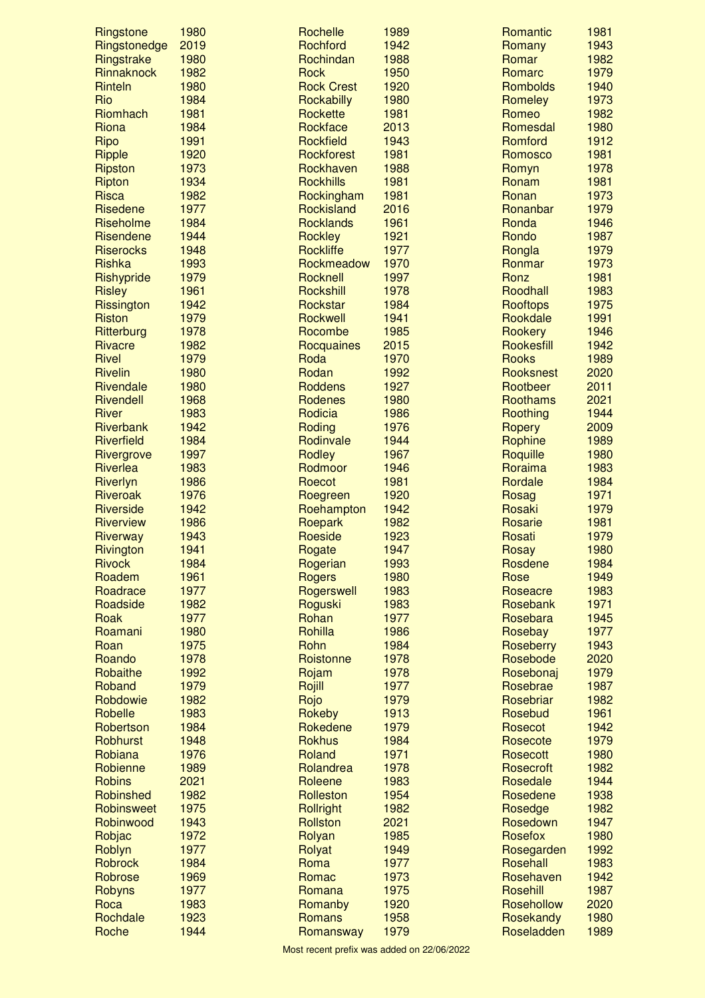| Ringstone                   | 1980         | Rochelle               | 1989         | Romantic         | 1981         |
|-----------------------------|--------------|------------------------|--------------|------------------|--------------|
| Ringstonedge                | 2019         | Rochford               | 1942         | Romany           | 1943         |
| Ringstrake                  | 1980         | Rochindan              | 1988         | Romar            | 1982         |
| Rinnaknock                  | 1982         | <b>Rock</b>            | 1950         | Romarc           | 1979         |
| Rinteln                     | 1980         | <b>Rock Crest</b>      | 1920         | <b>Rombolds</b>  | 1940         |
| Rio                         | 1984         | Rockabilly             | 1980         | Romeley          | 1973         |
| Riomhach                    | 1981         | Rockette               | 1981         | Romeo            | 1982         |
| Riona                       | 1984         | Rockface               | 2013         | Romesdal         | 1980         |
| Ripo                        | 1991         | Rockfield              | 1943         | Romford          | 1912         |
| <b>Ripple</b>               | 1920         | Rockforest             | 1981         | Romosco          | 1981         |
| Ripston                     | 1973         | Rockhaven              | 1988         | Romyn            | 1978         |
| Ripton                      | 1934         | <b>Rockhills</b>       | 1981         | Ronam            | 1981         |
| <b>Risca</b>                | 1982         | Rockingham             | 1981         | Ronan            | 1973         |
| <b>Risedene</b>             | 1977         | Rockisland             | 2016         | Ronanbar         | 1979         |
| Riseholme                   | 1984         | <b>Rocklands</b>       | 1961         | Ronda            | 1946         |
| Risendene                   | 1944         | Rockley                | 1921         | Rondo            | 1987         |
| <b>Riserocks</b>            | 1948         | <b>Rockliffe</b>       | 1977         | Rongla<br>Ronmar | 1979         |
| Rishka                      | 1993<br>1979 | Rockmeadow<br>Rocknell | 1970<br>1997 | Ronz             | 1973<br>1981 |
| Rishypride                  | 1961         | Rockshill              | 1978         | Roodhall         | 1983         |
| <b>Risley</b><br>Rissington | 1942         | Rockstar               | 1984         | <b>Rooftops</b>  | 1975         |
| <b>Riston</b>               | 1979         | Rockwell               | 1941         | Rookdale         | 1991         |
| Ritterburg                  | 1978         | Rocombe                | 1985         | Rookery          | 1946         |
| <b>Rivacre</b>              | 1982         | Rocquaines             | 2015         | Rookesfill       | 1942         |
| <b>Rivel</b>                | 1979         | Roda                   | 1970         | <b>Rooks</b>     | 1989         |
| <b>Rivelin</b>              | 1980         | Rodan                  | 1992         | Rooksnest        | 2020         |
| Rivendale                   | 1980         | <b>Roddens</b>         | 1927         | Rootbeer         | 2011         |
| Rivendell                   | 1968         | Rodenes                | 1980         | Roothams         | 2021         |
| <b>River</b>                | 1983         | Rodicia                | 1986         | Roothing         | 1944         |
| Riverbank                   | 1942         | Roding                 | 1976         | Ropery           | 2009         |
| <b>Riverfield</b>           | 1984         | Rodinvale              | 1944         | Rophine          | 1989         |
| Rivergrove                  | 1997         | <b>Rodley</b>          | 1967         | Roquille         | 1980         |
| Riverlea                    | 1983         | Rodmoor                | 1946         | Roraima          | 1983         |
| Riverlyn                    | 1986         | Roecot                 | 1981         | Rordale          | 1984         |
| Riveroak                    | 1976         | Roegreen               | 1920         | Rosag            | 1971         |
| <b>Riverside</b>            | 1942         | Roehampton             | 1942         | Rosaki           | 1979         |
| <b>Riverview</b>            | 1986         | Roepark                | 1982         | Rosarie          | 1981         |
| Riverway                    | 1943         | Roeside                | 1923         | Rosati           | 1979         |
| Rivington                   | 1941         | Rogate                 | 1947         | Rosay            | 1980         |
| <b>Rivock</b>               | 1984         | Rogerian               | 1993         | Rosdene          | 1984         |
| Roadem                      | 1961         | Rogers                 | 1980         | Rose             | 1949         |
| Roadrace                    | 1977         | Rogerswell             | 1983         | Roseacre         | 1983         |
| Roadside                    | 1982         | Roguski                | 1983         | Rosebank         | 1971         |
| Roak                        | 1977         | Rohan                  | 1977         | Rosebara         | 1945         |
| Roamani                     | 1980         | Rohilla                | 1986         | Rosebay          | 1977         |
| Roan                        | 1975         | Rohn                   | 1984         | Roseberry        | 1943         |
| Roando                      | 1978         | Roistonne              | 1978         | Rosebode         | 2020         |
| Robaithe                    | 1992         | Rojam                  | 1978         | Rosebonaj        | 1979         |
| Roband                      | 1979         | Rojill                 | 1977         | Rosebrae         | 1987         |
| Robdowie                    | 1982         | Rojo                   | 1979         | Rosebriar        | 1982         |
| Robelle                     | 1983         | Rokeby                 | 1913         | Rosebud          | 1961         |
| Robertson                   | 1984         | Rokedene               | 1979         | Rosecot          | 1942         |
| Robhurst                    | 1948         | <b>Rokhus</b>          | 1984         | Rosecote         | 1979         |
| Robiana                     | 1976         | Roland                 | 1971         | Rosecott         | 1980         |
| Robienne                    | 1989         | Rolandrea              | 1978         | Rosecroft        | 1982         |
| <b>Robins</b>               | 2021         | Roleene                | 1983         | Rosedale         | 1944         |
| Robinshed                   | 1982         | Rolleston              | 1954         | Rosedene         | 1938         |
| Robinsweet                  | 1975         | <b>Rollright</b>       | 1982         | Rosedge          | 1982         |
| Robinwood                   | 1943         | Rollston               | 2021         | Rosedown         | 1947         |
| Robjac                      | 1972         | Rolyan                 | 1985         | Rosefox          | 1980         |
| Roblyn                      | 1977         | Rolyat                 | 1949         | Rosegarden       | 1992         |
| <b>Robrock</b>              | 1984         | Roma                   | 1977         | Rosehall         | 1983         |
| Robrose                     | 1969         | Romac                  | 1973         | Rosehaven        | 1942         |
| Robyns                      | 1977         | Romana                 | 1975         | Rosehill         | 1987         |
| Roca                        | 1983         | Romanby                | 1920         | Rosehollow       | 2020         |
| Rochdale                    | 1923         | Romans                 | 1958         | Rosekandy        | 1980         |
| Roche                       | 1944         | Romansway              | 1979         | Roseladden       | 1989         |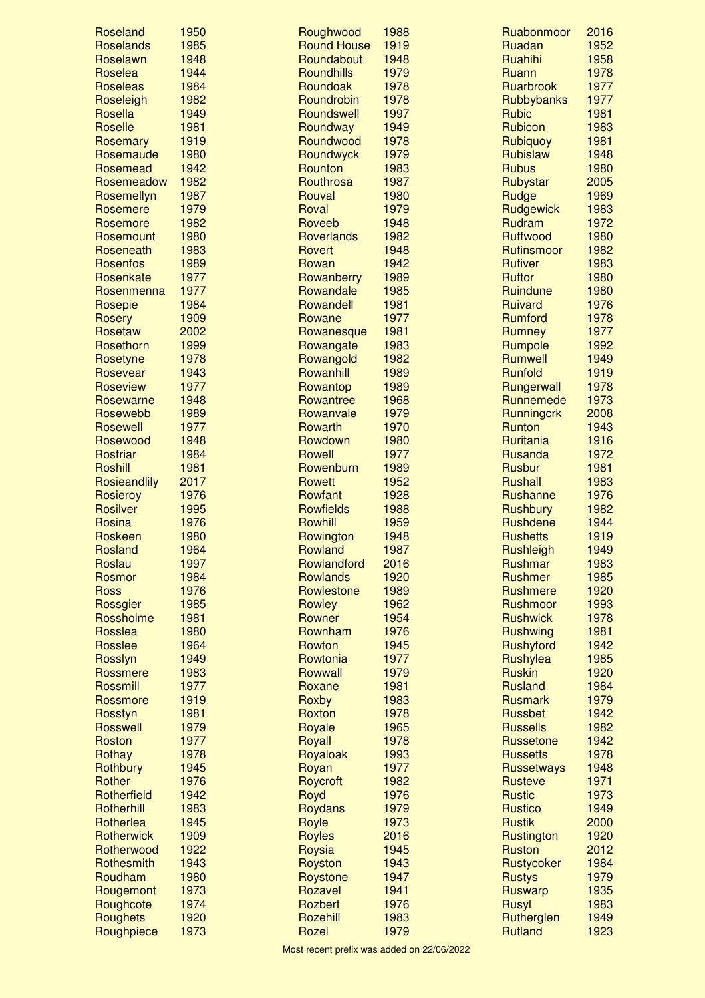| Roseland        | 1950 | Roughwood          | 1988 | Ruabonmoor                      | 2016 |
|-----------------|------|--------------------|------|---------------------------------|------|
| Roselands       | 1985 | <b>Round House</b> | 1919 | Ruadan                          | 1952 |
| Roselawn        | 1948 | Roundabout         | 1948 | Ruahihi                         | 1958 |
| Roselea         | 1944 | Roundhills         | 1979 | Ruann                           | 1978 |
| <b>Roseleas</b> | 1984 | Roundoak           | 1978 | Ruarbrook                       | 1977 |
| Roseleigh       | 1982 | Roundrobin         | 1978 | Rubbybanks                      | 1977 |
| Rosella         | 1949 | Roundswell         | 1997 | <b>Rubic</b>                    | 1981 |
| Roselle         | 1981 | Roundway           | 1949 | Rubicon                         | 1983 |
| Rosemary        | 1919 | Roundwood          | 1978 | Rubiquoy                        | 1981 |
| Rosemaude       | 1980 | Roundwyck          | 1979 | <b>Rubislaw</b>                 | 1948 |
| Rosemead        | 1942 | Rounton            | 1983 | <b>Rubus</b>                    | 1980 |
| Rosemeadow      | 1982 | Routhrosa          | 1987 | Rubystar                        | 2005 |
| Rosemellyn      | 1987 | Rouval             | 1980 | Rudge                           | 1969 |
| Rosemere        | 1979 | Roval              | 1979 | Rudgewick                       | 1983 |
| Rosemore        | 1982 | Roveeb             | 1948 | Rudram                          | 1972 |
| Rosemount       | 1980 | Roverlands         | 1982 | Ruffwood                        | 1980 |
| Roseneath       | 1983 | Rovert             | 1948 | Rufinsmoor                      | 1982 |
| <b>Rosenfos</b> | 1989 | Rowan              | 1942 | <b>Rufiver</b>                  | 1983 |
| Rosenkate       | 1977 | Rowanberry         | 1989 | <b>Ruftor</b>                   | 1980 |
| Rosenmenna      | 1977 | Rowandale          | 1985 | Ruindune                        | 1980 |
| Rosepie         | 1984 | Rowandell          | 1981 | Ruivard                         | 1976 |
| <b>Rosery</b>   | 1909 | Rowane             | 1977 | <b>Rumford</b>                  | 1978 |
| Rosetaw         | 2002 | Rowanesque         | 1981 | <b>Rumney</b>                   | 1977 |
| Rosethorn       | 1999 | Rowangate          | 1983 | Rumpole                         | 1992 |
| Rosetyne        | 1978 | Rowangold          | 1982 | <b>Rumwell</b>                  | 1949 |
| Rosevear        | 1943 | Rowanhill          | 1989 | Runfold                         | 1919 |
| Roseview        | 1977 | Rowantop           | 1989 | Rungerwall                      | 1978 |
| Rosewarne       | 1948 | Rowantree          | 1968 | Runnemede                       | 1973 |
| Rosewebb        | 1989 | Rowanvale          | 1979 | <b>Runningcrk</b>               | 2008 |
| <b>Rosewell</b> | 1977 | Rowarth            | 1970 | Runton                          | 1943 |
| Rosewood        | 1948 | Rowdown            | 1980 | Ruritania                       | 1916 |
| Rosfriar        | 1984 | <b>Rowell</b>      | 1977 | Rusanda                         | 1972 |
| <b>Roshill</b>  | 1981 | Rowenburn          | 1989 |                                 | 1981 |
|                 | 2017 |                    | 1952 | <b>Rusbur</b><br><b>Rushall</b> | 1983 |
| Rosieandlily    |      | Rowett             |      |                                 | 1976 |
| Rosieroy        | 1976 | Rowfant            | 1928 | Rushanne                        |      |
| <b>Rosilver</b> | 1995 | <b>Rowfields</b>   | 1988 | <b>Rushbury</b>                 | 1982 |
| Rosina          | 1976 | Rowhill            | 1959 | <b>Rushdene</b>                 | 1944 |
| Roskeen         | 1980 | Rowington          | 1948 | <b>Rushetts</b>                 | 1919 |
| Rosland         | 1964 | Rowland            | 1987 | <b>Rushleigh</b>                | 1949 |
| Roslau          | 1997 | Rowlandford        | 2016 | Rushmar                         | 1983 |
| Rosmor          | 1984 | <b>Rowlands</b>    | 1920 | <b>Rushmer</b>                  | 1985 |
| <b>Ross</b>     | 1976 | Rowlestone         | 1989 | <b>Rushmere</b>                 | 1920 |
| Rossgier        | 1985 | Rowley             | 1962 | Rushmoor                        | 1993 |
| Rossholme       | 1981 | Rowner             | 1954 | <b>Rushwick</b>                 | 1978 |
| Rosslea         | 1980 | Rownham            | 1976 | <b>Rushwing</b>                 | 1981 |
| <b>Rosslee</b>  | 1964 | Rowton             | 1945 | Rushyford                       | 1942 |
| Rosslyn         | 1949 | Rowtonia           | 1977 | Rushylea                        | 1985 |
| Rossmere        | 1983 | Rowwall            | 1979 | <b>Ruskin</b>                   | 1920 |
| <b>Rossmill</b> | 1977 | Roxane             | 1981 | <b>Rusland</b>                  | 1984 |
| Rossmore        | 1919 | Roxby              | 1983 | <b>Rusmark</b>                  | 1979 |
| Rosstyn         | 1981 | Roxton             | 1978 | <b>Russbet</b>                  | 1942 |
| <b>Rosswell</b> | 1979 | Royale             | 1965 | <b>Russells</b>                 | 1982 |
| Roston          | 1977 | Royall             | 1978 | <b>Russetone</b>                | 1942 |
| Rothay          | 1978 | Royaloak           | 1993 | <b>Russetts</b>                 | 1978 |
| Rothbury        | 1945 | Royan              | 1977 | <b>Russetways</b>               | 1948 |
| Rother          | 1976 | Roycroft           | 1982 | <b>Rusteve</b>                  | 1971 |
| Rotherfield     | 1942 | Royd               | 1976 | <b>Rustic</b>                   | 1973 |
| Rotherhill      | 1983 | <b>Roydans</b>     | 1979 | <b>Rustico</b>                  | 1949 |
| Rotherlea       | 1945 | Royle              | 1973 | <b>Rustik</b>                   | 2000 |
| Rotherwick      | 1909 | <b>Royles</b>      | 2016 | Rustington                      | 1920 |
| Rotherwood      | 1922 | Roysia             | 1945 | <b>Ruston</b>                   | 2012 |
| Rothesmith      | 1943 | Royston            | 1943 | Rustycoker                      | 1984 |
| Roudham         | 1980 | Roystone           | 1947 | <b>Rustys</b>                   | 1979 |
| Rougemont       | 1973 | Rozavel            | 1941 | <b>Ruswarp</b>                  | 1935 |
| Roughcote       | 1974 | <b>Rozbert</b>     | 1976 | Rusyl                           | 1983 |
| Roughets        | 1920 | Rozehill           | 1983 | Rutherglen                      | 1949 |
|                 | 1973 | Rozel              | 1979 | <b>Rutland</b>                  | 1923 |
| Roughpiece      |      |                    |      |                                 |      |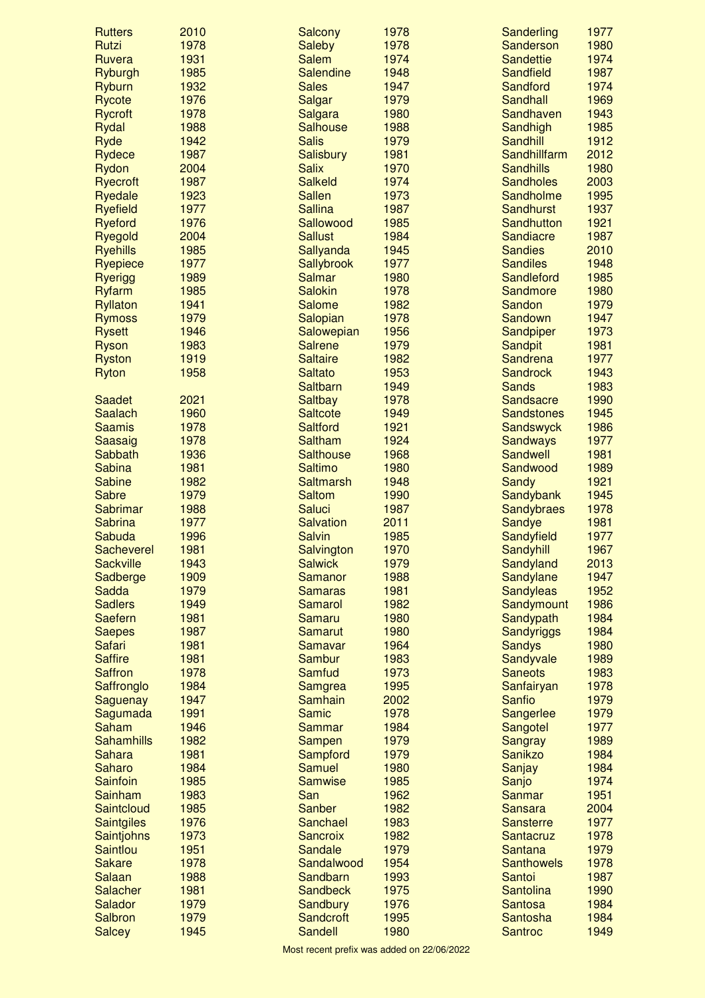| <b>Rutters</b>                  | 2010         | Salcony                           | 1978         | Sanderling                        | 1977         |
|---------------------------------|--------------|-----------------------------------|--------------|-----------------------------------|--------------|
| Rutzi                           | 1978         | <b>Saleby</b>                     | 1978         | Sanderson                         | 1980         |
| Ruvera                          | 1931         | <b>Salem</b>                      | 1974         | <b>Sandettie</b>                  | 1974         |
| <b>Ryburgh</b>                  | 1985         | <b>Salendine</b>                  | 1948         | Sandfield                         | 1987         |
| Ryburn                          | 1932         | <b>Sales</b>                      | 1947         | Sandford                          | 1974         |
| <b>Rycote</b>                   | 1976         | Salgar                            | 1979         | Sandhall                          | 1969         |
| <b>Rycroft</b>                  | 1978         | Salgara                           | 1980         | Sandhaven                         | 1943         |
| <b>Rydal</b>                    | 1988         | <b>Salhouse</b>                   | 1988         | Sandhigh                          | 1985         |
| Ryde                            | 1942         | <b>Salis</b>                      | 1979         | <b>Sandhill</b>                   | 1912         |
| <b>Rydece</b>                   | 1987         | Salisbury                         | 1981         | Sandhillfarm                      | 2012         |
| Rydon                           | 2004         | <b>Salix</b>                      | 1970         | <b>Sandhills</b>                  | 1980         |
| <b>Ryecroft</b>                 | 1987         | <b>Salkeld</b>                    | 1974         | <b>Sandholes</b>                  | 2003         |
| <b>Ryedale</b>                  | 1923         | <b>Sallen</b>                     | 1973         | Sandholme                         | 1995         |
| <b>Ryefield</b>                 | 1977         | <b>Sallina</b>                    | 1987         | <b>Sandhurst</b>                  | 1937         |
| <b>Ryeford</b>                  | 1976         | Sallowood                         | 1985         | Sandhutton                        | 1921         |
| Ryegold                         | 2004         | <b>Sallust</b>                    | 1984         | Sandiacre                         | 1987         |
| <b>Ryehills</b>                 | 1985         | Sallyanda                         | 1945         | <b>Sandies</b>                    | 2010         |
| Ryepiece                        | 1977         | <b>Sallybrook</b>                 | 1977         | <b>Sandiles</b>                   | 1948         |
| <b>Ryerigg</b>                  | 1989         | <b>Salmar</b>                     | 1980         | Sandleford                        | 1985         |
| <b>Ryfarm</b>                   | 1985         | <b>Salokin</b>                    | 1978         | Sandmore                          | 1980         |
| <b>Ryllaton</b>                 | 1941<br>1979 | <b>Salome</b>                     | 1982<br>1978 | Sandon<br>Sandown                 | 1979<br>1947 |
| <b>Rymoss</b>                   |              | Salopian                          |              |                                   |              |
| <b>Rysett</b>                   | 1946         | Salowepian                        | 1956         | Sandpiper                         | 1973         |
| <b>Ryson</b>                    | 1983<br>1919 | <b>Salrene</b><br><b>Saltaire</b> | 1979<br>1982 | <b>Sandpit</b><br><b>Sandrena</b> | 1981<br>1977 |
| <b>Ryston</b>                   | 1958         | <b>Saltato</b>                    | 1953         | <b>Sandrock</b>                   | 1943         |
| <b>Ryton</b>                    |              | <b>Saltbarn</b>                   | 1949         | <b>Sands</b>                      | 1983         |
| <b>Saadet</b>                   | 2021         | <b>Saltbay</b>                    | 1978         | Sandsacre                         | 1990         |
| <b>Saalach</b>                  | 1960         | <b>Saltcote</b>                   | 1949         | <b>Sandstones</b>                 | 1945         |
| <b>Saamis</b>                   | 1978         | <b>Saltford</b>                   | 1921         | <b>Sandswyck</b>                  | 1986         |
| Saasaig                         | 1978         | Saltham                           | 1924         | <b>Sandways</b>                   | 1977         |
| Sabbath                         | 1936         | <b>Salthouse</b>                  | 1968         | <b>Sandwell</b>                   | 1981         |
| <b>Sabina</b>                   | 1981         | <b>Saltimo</b>                    | 1980         | Sandwood                          | 1989         |
| <b>Sabine</b>                   | 1982         | <b>Saltmarsh</b>                  | 1948         | Sandy                             | 1921         |
| <b>Sabre</b>                    | 1979         | <b>Saltom</b>                     | 1990         | Sandybank                         | 1945         |
| Sabrimar                        | 1988         | Saluci                            | 1987         | <b>Sandybraes</b>                 | 1978         |
| <b>Sabrina</b>                  | 1977         | <b>Salvation</b>                  | 2011         | Sandye                            | 1981         |
| Sabuda                          | 1996         | <b>Salvin</b>                     | 1985         | Sandyfield                        | 1977         |
| Sacheverel                      | 1981         | Salvington                        | 1970         | Sandyhill                         | 1967         |
| <b>Sackville</b>                | 1943         | <b>Salwick</b>                    | 1979         | Sandyland                         | 2013         |
| Sadberge                        | 1909         | Samanor                           | 1988         | Sandylane                         | 1947         |
| Sadda                           | 1979         | <b>Samaras</b>                    | 1981         | <b>Sandyleas</b>                  | 1952         |
| <b>Sadlers</b>                  | 1949         | <b>Samarol</b>                    | 1982         | Sandymount                        | 1986         |
| <b>Saefern</b>                  | 1981         | <b>Samaru</b>                     | 1980         | Sandypath                         | 1984         |
| <b>Saepes</b>                   | 1987         | <b>Samarut</b>                    | 1980         | <b>Sandyriggs</b>                 | 1984         |
| Safari                          | 1981         | <b>Samavar</b>                    | 1964         | <b>Sandys</b>                     | 1980         |
| <b>Saffire</b>                  | 1981         | <b>Sambur</b>                     | 1983         | Sandyvale                         | 1989         |
| <b>Saffron</b>                  | 1978         | Samfud                            | 1973         | <b>Saneots</b>                    | 1983         |
| Saffronglo                      | 1984         | <b>Samgrea</b>                    | 1995         | Sanfairyan                        | 1978         |
| Saguenay                        | 1947         | Samhain                           | 2002         | <b>Sanfio</b>                     | 1979         |
| Sagumada                        | 1991         | <b>Samic</b>                      | 1978         | Sangerlee                         | 1979         |
| Saham                           | 1946         | <b>Sammar</b>                     | 1984         | Sangotel                          | 1977         |
| <b>Sahamhills</b>               | 1982         | <b>Sampen</b>                     | 1979         | <b>Sangray</b>                    | 1989         |
| <b>Sahara</b>                   | 1981         | Sampford                          | 1979         | <b>Sanikzo</b>                    | 1984         |
| <b>Saharo</b>                   | 1984         | <b>Samuel</b>                     | 1980         | Sanjay                            | 1984         |
| <b>Sainfoin</b>                 | 1985         | <b>Samwise</b>                    | 1985         | Sanjo                             | 1974         |
| Sainham                         | 1983         | San                               | 1962         | Sanmar                            | 1951         |
| Saintcloud                      | 1985         | <b>Sanber</b>                     | 1982         | <b>Sansara</b>                    | 2004         |
| <b>Saintgiles</b>               | 1976         | Sanchael                          | 1983         | <b>Sansterre</b>                  | 1977         |
| Saintjohns                      |              | <b>Sancroix</b>                   | 1982         | Santacruz                         | 1978         |
|                                 | 1973         |                                   |              |                                   |              |
| <b>Saintlou</b>                 | 1951         | Sandale                           | 1979         | <b>Santana</b>                    | 1979         |
| <b>Sakare</b>                   | 1978         | Sandalwood                        | 1954         | <b>Santhowels</b>                 | 1978         |
| <b>Salaan</b>                   | 1988         | Sandbarn                          | 1993         | Santoi                            | 1987         |
| Salacher                        | 1981         | <b>Sandbeck</b>                   | 1975         | <b>Santolina</b>                  | 1990         |
| Salador                         | 1979         | Sandbury                          | 1976         | <b>Santosa</b>                    | 1984         |
| <b>Salbron</b><br><b>Salcey</b> | 1979<br>1945 | Sandcroft<br>Sandell              | 1995<br>1980 | Santosha<br><b>Santroc</b>        | 1984<br>1949 |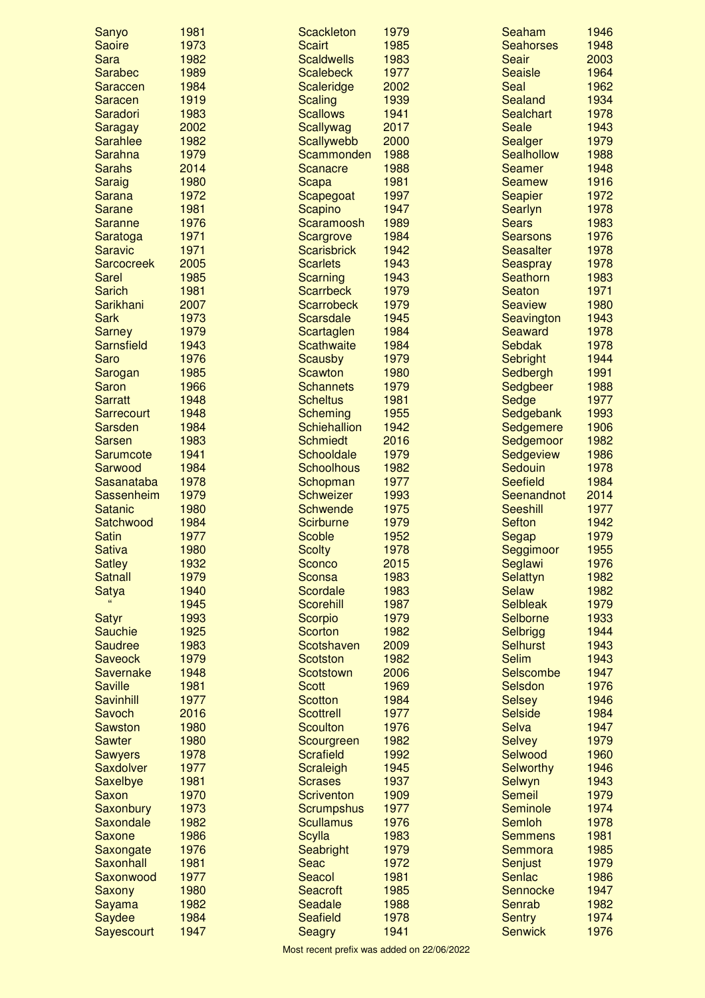| Sanyo                          | 1981         | <b>Scackleton</b>                     | 1979         | Seaham                          | 1946         |
|--------------------------------|--------------|---------------------------------------|--------------|---------------------------------|--------------|
| <b>Saoire</b>                  | 1973         | <b>Scairt</b>                         | 1985         | <b>Seahorses</b>                | 1948         |
| <b>Sara</b>                    | 1982         | <b>Scaldwells</b>                     | 1983         | <b>Seair</b>                    | 2003         |
| <b>Sarabec</b>                 | 1989         | <b>Scalebeck</b>                      | 1977         | <b>Seaisle</b>                  | 1964         |
| Saraccen                       | 1984         | Scaleridge                            | 2002         | Seal                            | 1962         |
| <b>Saracen</b>                 | 1919         | <b>Scaling</b>                        | 1939         | Sealand                         | 1934         |
| Saradori                       | 1983         | <b>Scallows</b>                       | 1941         | <b>Sealchart</b>                | 1978         |
| Saragay                        | 2002         | Scallywag                             | 2017         | <b>Seale</b>                    | 1943         |
| <b>Sarahlee</b>                | 1982         | Scallywebb                            | 2000         | Sealger                         | 1979         |
| Sarahna                        | 1979<br>2014 | Scammonden                            | 1988         | <b>Sealhollow</b>               | 1988<br>1948 |
| <b>Sarahs</b>                  |              | Scanacre                              | 1988         | <b>Seamer</b>                   | 1916         |
| <b>Saraig</b><br><b>Sarana</b> | 1980<br>1972 | <b>Scapa</b>                          | 1981<br>1997 | <b>Seamew</b>                   | 1972         |
| <b>Sarane</b>                  | 1981         | Scapegoat<br>Scapino                  | 1947         | <b>Seapier</b><br>Searlyn       | 1978         |
| <b>Saranne</b>                 | 1976         | Scaramoosh                            | 1989         | <b>Sears</b>                    | 1983         |
| Saratoga                       | 1971         | Scargrove                             | 1984         | <b>Searsons</b>                 | 1976         |
| <b>Saravic</b>                 | 1971         | <b>Scarisbrick</b>                    | 1942         | <b>Seasalter</b>                | 1978         |
| <b>Sarcocreek</b>              | 2005         | <b>Scarlets</b>                       | 1943         | <b>Seaspray</b>                 | 1978         |
| <b>Sarel</b>                   | 1985         | Scarning                              | 1943         | Seathorn                        | 1983         |
| <b>Sarich</b>                  | 1981         | <b>Scarrbeck</b>                      | 1979         | <b>Seaton</b>                   | 1971         |
| Sarikhani                      | 2007         | <b>Scarrobeck</b>                     | 1979         | <b>Seaview</b>                  | 1980         |
| <b>Sark</b>                    | 1973         | <b>Scarsdale</b>                      | 1945         | Seavington                      | 1943         |
| <b>Sarney</b>                  | 1979         | Scartaglen                            | 1984         | <b>Seaward</b>                  | 1978         |
| Sarnsfield                     | 1943         | <b>Scathwaite</b>                     | 1984         | <b>Sebdak</b>                   | 1978         |
| Saro                           | 1976         | <b>Scausby</b>                        | 1979         | Sebright                        | 1944         |
| Sarogan                        | 1985         | <b>Scawton</b>                        | 1980         | Sedbergh                        | 1991         |
| <b>Saron</b>                   | 1966         | <b>Schannets</b>                      | 1979         | Sedgbeer                        | 1988         |
| <b>Sarratt</b>                 | 1948         | <b>Scheltus</b>                       | 1981         | Sedge                           | 1977         |
| Sarrecourt                     | 1948         | <b>Scheming</b>                       | 1955         | Sedgebank                       | 1993         |
| <b>Sarsden</b>                 | 1984         | <b>Schiehallion</b>                   | 1942         | Sedgemere                       | 1906         |
| <b>Sarsen</b>                  | 1983         | <b>Schmiedt</b>                       | 2016         | Sedgemoor                       | 1982         |
| Sarumcote                      | 1941         | <b>Schooldale</b>                     | 1979         | Sedgeview                       | 1986         |
| Sarwood                        | 1984         | <b>Schoolhous</b>                     | 1982         | Sedouin                         | 1978         |
| Sasanataba                     | 1978         | Schopman                              | 1977         | <b>Seefield</b>                 | 1984         |
| Sassenheim                     | 1979         | <b>Schweizer</b>                      | 1993         | Seenandnot                      | 2014         |
| <b>Satanic</b>                 | 1980         | <b>Schwende</b>                       | 1975         | <b>Seeshill</b>                 | 1977         |
| Satchwood<br><b>Satin</b>      | 1984<br>1977 | <b>Scirburne</b><br><b>Scoble</b>     | 1979<br>1952 | <b>Sefton</b>                   | 1942<br>1979 |
| <b>Sativa</b>                  | 1980         | <b>Scolty</b>                         | 1978         | Segap                           | 1955         |
| <b>Satley</b>                  | 1932         | Sconco                                | 2015         | Seggimoor<br>Seglawi            | 1976         |
| <b>Satnall</b>                 | 1979         | Sconsa                                | 1983         | Selattyn                        | 1982         |
| <b>Satya</b>                   | 1940         | Scordale                              | 1983         | <b>Selaw</b>                    | 1982         |
|                                | 1945         | <b>Scorehill</b>                      | 1987         | <b>Selbleak</b>                 | 1979         |
| <b>Satyr</b>                   | 1993         | Scorpio                               | 1979         | Selborne                        | 1933         |
| <b>Sauchie</b>                 | 1925         | <b>Scorton</b>                        | 1982         | Selbrigg                        | 1944         |
| <b>Saudree</b>                 | 1983         | Scotshaven                            | 2009         | <b>Selhurst</b>                 | 1943         |
| <b>Saveock</b>                 | 1979         | <b>Scotston</b>                       | 1982         | <b>Selim</b>                    | 1943         |
| Savernake                      | 1948         | <b>Scotstown</b>                      | 2006         | Selscombe                       | 1947         |
| <b>Saville</b>                 | 1981         | <b>Scott</b>                          | 1969         | Selsdon                         | 1976         |
| <b>Savinhill</b>               | 1977         | <b>Scotton</b>                        | 1984         | <b>Selsey</b>                   | 1946         |
| Savoch                         | 2016         | <b>Scottrell</b>                      | 1977         | <b>Selside</b>                  | 1984         |
| <b>Sawston</b>                 | 1980         | <b>Scoulton</b>                       | 1976         | <b>Selva</b>                    | 1947         |
| <b>Sawter</b>                  | 1980         | Scourgreen                            | 1982         | <b>Selvey</b>                   | 1979         |
| <b>Sawyers</b>                 | 1978         | <b>Scrafield</b>                      | 1992         | Selwood                         | 1960         |
| Saxdolver                      | 1977         | Scraleigh                             | 1945         | <b>Selworthy</b>                | 1946         |
| Saxelbye                       | 1981         | <b>Scrases</b>                        | 1937         | Selwyn                          | 1943         |
| Saxon                          | 1970         | <b>Scriventon</b>                     | 1909         | <b>Semeil</b>                   | 1979         |
| Saxonbury<br>Saxondale         | 1973<br>1982 | <b>Scrumpshus</b><br><b>Scullamus</b> | 1977<br>1976 | Seminole<br><b>Semloh</b>       | 1974<br>1978 |
| Saxone                         | 1986         | <b>Scylla</b>                         | 1983         | <b>Semmens</b>                  | 1981         |
| Saxongate                      | 1976         | Seabright                             | 1979         | <b>Semmora</b>                  | 1985         |
| Saxonhall                      | 1981         | Seac                                  | 1972         | Senjust                         | 1979         |
| Saxonwood                      | 1977         | Seacol                                | 1981         | Senlac                          | 1986         |
| Saxony                         | 1980         | <b>Seacroft</b>                       | 1985         | Sennocke                        | 1947         |
| Sayama                         |              |                                       |              |                                 |              |
|                                |              |                                       |              |                                 |              |
|                                | 1982         | Seadale                               | 1988         | Senrab                          | 1982<br>1974 |
| Saydee<br>Sayescourt           | 1984<br>1947 | <b>Seafield</b><br><b>Seagry</b>      | 1978<br>1941 | <b>Sentry</b><br><b>Senwick</b> | 1976         |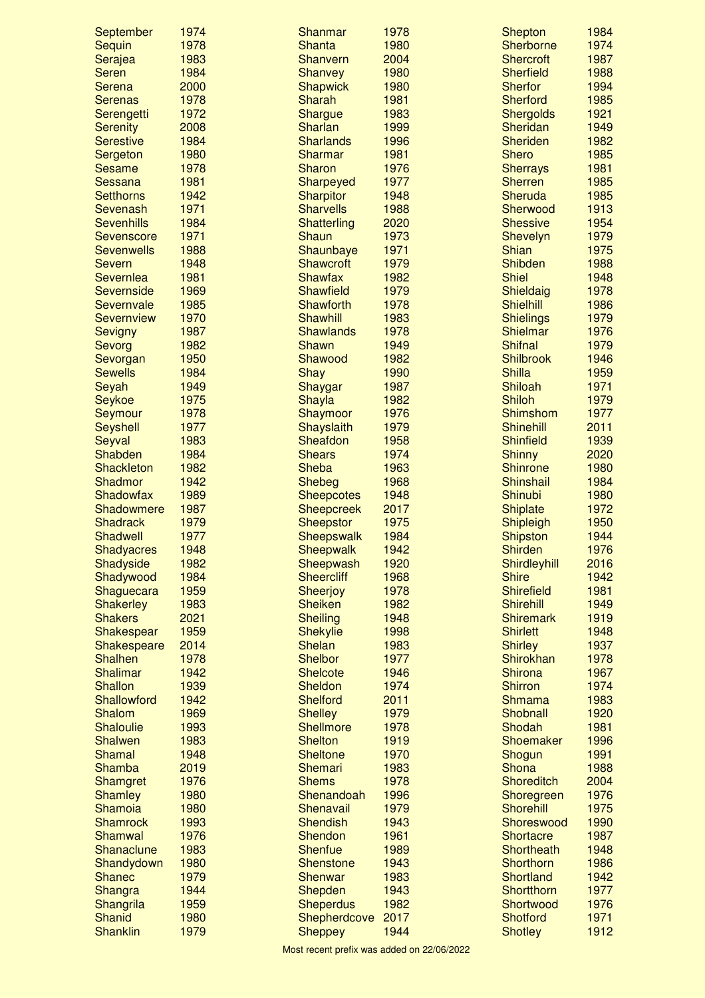| 1983<br>1987<br>Shanvern<br>2004<br><b>Shercroft</b><br>Serajea<br><b>Seren</b><br>1984<br>Shanvey<br>1980<br><b>Sherfield</b><br>1988<br>1994<br>Serena<br>2000<br><b>Shapwick</b><br>1980<br><b>Sherfor</b><br><b>Sharah</b><br>1985<br><b>Serenas</b><br>1978<br>1981<br><b>Sherford</b><br>1972<br>1983<br><b>Shergolds</b><br>1921<br>Serengetti<br><b>Shargue</b><br>1949<br>2008<br>Sharlan<br>1999<br><b>Sheridan</b><br><b>Serenity</b><br>1984<br><b>Sharlands</b><br><b>Sheriden</b><br>1982<br><b>Serestive</b><br>1996<br>Sharmar<br><b>Shero</b><br>1985<br>1980<br>1981<br>Sergeton<br><b>Sharon</b><br>1981<br>1978<br>1976<br><b>Sherrays</b><br><b>Sesame</b><br>1981<br><b>Sherren</b><br>1985<br>Sessana<br>Sharpeyed<br>1977<br>Sheruda<br><b>Setthorns</b><br>1942<br><b>Sharpitor</b><br>1948<br>1985<br>1971<br>Sevenash<br><b>Sharvells</b><br>1988<br>Sherwood<br>1913<br>1984<br>1954<br><b>Sevenhills</b><br><b>Shatterling</b><br>2020<br><b>Shessive</b><br>1971<br>1979<br><b>Shaun</b><br>1973<br>Shevelyn<br><b>Sevenscore</b><br><b>Shian</b><br>1988<br>Shaunbaye<br>1971<br>1975<br><b>Sevenwells</b><br>1979<br><b>Shibden</b><br>1988<br><b>Severn</b><br>1948<br><b>Shawcroft</b><br><b>Shiel</b><br>Severnlea<br>1981<br><b>Shawfax</b><br>1982<br>1948<br>1969<br><b>Shawfield</b><br>1979<br>1978<br>Severnside<br>Shieldaig<br><b>Shielhill</b><br>1985<br><b>Shawforth</b><br>1978<br>1986<br>Severnvale<br>1970<br>1979<br><b>Shawhill</b><br>1983<br><b>Shielings</b><br><b>Severnview</b><br>1976<br>1987<br><b>Shawlands</b><br>1978<br>Shielmar<br><b>Sevigny</b><br>1982<br><b>Shawn</b><br><b>Shifnal</b><br>1979<br>Sevorg<br>1949<br>1950<br>1982<br>1946<br>Shawood<br><b>Shilbrook</b><br>Sevorgan<br><b>Shilla</b><br>1959<br><b>Sewells</b><br>1984<br><b>Shay</b><br>1990<br>Shiloah<br>1971<br>1949<br>Shaygar<br>1987<br>Seyah<br>1979<br>1975<br>Shayla<br>1982<br><b>Shiloh</b><br><b>Seykoe</b><br>1978<br>1976<br><b>Shimshom</b><br>1977<br>Shaymoor<br>Seymour<br>2011<br>1977<br>Shayslaith<br>1979<br><b>Shinehill</b><br><b>Seyshell</b><br><b>Shinfield</b><br>1939<br>1983<br>Sheafdon<br>1958<br>Seyval<br>Shabden<br>1984<br><b>Shears</b><br>1974<br><b>Shinny</b><br>2020<br><b>Sheba</b><br>Shinrone<br>1980<br><b>Shackleton</b><br>1982<br>1963<br>1984<br>1942<br><b>Shebeg</b><br>1968<br>Shinshail<br>Shadmor<br>Shadowfax<br>1989<br><b>Sheepcotes</b><br>1948<br>Shinubi<br>1980<br>1972<br>Shadowmere<br>1987<br><b>Sheepcreek</b><br>2017<br><b>Shiplate</b><br>1979<br>1950<br><b>Shadrack</b><br><b>Sheepstor</b><br>1975<br>Shipleigh<br><b>Shadwell</b><br>1977<br>1984<br><b>Shipston</b><br>1944<br><b>Sheepswalk</b><br><b>Shirden</b><br>1948<br>1942<br>1976<br><b>Shadyacres</b><br>Sheepwalk<br>Shadyside<br>1982<br>Sheepwash<br>1920<br>Shirdleyhill<br>2016<br>1984<br><b>Sheercliff</b><br>1968<br><b>Shire</b><br>1942<br>Shadywood<br>1959<br>1981<br>1978<br><b>Shirefield</b><br>Shaguecara<br><b>Sheerjoy</b><br><b>Shirehill</b><br>1949<br>1983<br><b>Sheiken</b><br>1982<br><b>Shakerley</b><br>1919<br>2021<br><b>Sheiling</b><br>1948<br><b>Shiremark</b><br><b>Shakers</b><br>1959<br><b>Shirlett</b><br>Shakespear<br><b>Shekylie</b><br>1998<br>1948<br>2014<br><b>Shelan</b><br><b>Shirley</b><br>1937<br>1983<br>Shakespeare<br><b>Shalhen</b><br>1978<br><b>Shelbor</b><br>1977<br>Shirokhan<br>1978<br><b>Shalimar</b><br><b>Shirona</b><br>1967<br>1942<br><b>Shelcote</b><br>1946<br>1939<br>Sheldon<br><b>Shirron</b><br>1974<br><b>Shallon</b><br>1974<br>Shallowford<br>1942<br><b>Shelford</b><br>2011<br><b>Shmama</b><br>1983<br>1920<br>Shalom<br>1969<br><b>Shelley</b><br>1979<br>Shobnall<br>1981<br><b>Shaloulie</b><br>1993<br><b>Shellmore</b><br>1978<br>Shodah<br><b>Shalwen</b><br>1983<br><b>Shelton</b><br>1919<br>Shoemaker<br>1996<br>1991<br><b>Shamal</b><br>1948<br><b>Sheltone</b><br>1970<br>Shogun<br><b>Shona</b><br>1988<br><b>Shamba</b><br>2019<br>Shemari<br>1983<br>2004<br>1976<br><b>Shems</b><br>1978<br><b>Shoreditch</b><br><b>Shamgret</b><br>1976<br>1980<br>Shenandoah<br>1996<br>Shoregreen<br><b>Shamley</b><br>1980<br>1979<br><b>Shorehill</b><br>1975<br>Shamoia<br>Shenavail<br>1990<br><b>Shamrock</b><br>1993<br><b>Shendish</b><br>1943<br>Shoreswood<br>1987<br>Shamwal<br>1976<br>Shendon<br>1961<br><b>Shortacre</b><br>1983<br><b>Shenfue</b><br>1989<br>1948<br>Shanaclune<br><b>Shortheath</b><br>1986<br>1980<br><b>Shenstone</b><br>1943<br>Shorthorn<br>Shandydown<br><b>Shortland</b><br>1942<br><b>Shanec</b><br>1979<br>Shenwar<br>1983<br>1944<br>Shortthorn<br>1977<br>Shepden<br>1943<br>Shangra<br>1959<br>1982<br>Shortwood<br>1976<br>Shangrila<br><b>Sheperdus</b><br><b>Shotford</b><br>Shanid<br>1980<br>Shepherdcove<br>2017<br>1971<br><b>Shanklin</b><br>1979<br>1944<br><b>Shotley</b><br>1912<br><b>Sheppey</b> | September | 1974 | Shanmar       | 1978 | Shepton          | 1984 |
|-------------------------------------------------------------------------------------------------------------------------------------------------------------------------------------------------------------------------------------------------------------------------------------------------------------------------------------------------------------------------------------------------------------------------------------------------------------------------------------------------------------------------------------------------------------------------------------------------------------------------------------------------------------------------------------------------------------------------------------------------------------------------------------------------------------------------------------------------------------------------------------------------------------------------------------------------------------------------------------------------------------------------------------------------------------------------------------------------------------------------------------------------------------------------------------------------------------------------------------------------------------------------------------------------------------------------------------------------------------------------------------------------------------------------------------------------------------------------------------------------------------------------------------------------------------------------------------------------------------------------------------------------------------------------------------------------------------------------------------------------------------------------------------------------------------------------------------------------------------------------------------------------------------------------------------------------------------------------------------------------------------------------------------------------------------------------------------------------------------------------------------------------------------------------------------------------------------------------------------------------------------------------------------------------------------------------------------------------------------------------------------------------------------------------------------------------------------------------------------------------------------------------------------------------------------------------------------------------------------------------------------------------------------------------------------------------------------------------------------------------------------------------------------------------------------------------------------------------------------------------------------------------------------------------------------------------------------------------------------------------------------------------------------------------------------------------------------------------------------------------------------------------------------------------------------------------------------------------------------------------------------------------------------------------------------------------------------------------------------------------------------------------------------------------------------------------------------------------------------------------------------------------------------------------------------------------------------------------------------------------------------------------------------------------------------------------------------------------------------------------------------------------------------------------------------------------------------------------------------------------------------------------------------------------------------------------------------------------------------------------------------------------------------------------------------------------------------------------------------------------------------------------------------------------------------------------------------------------------------------------------------------------------------------------------------------------------------------------------------------------------------------------------------------------------------------------------------------------------------------------------------------------------------------------------------------------------------------------------------------------------------------------------------------------------------------------------------------------------------------------------------------------------------------------------------------------------------------------------------------------------------------------------------------|-----------|------|---------------|------|------------------|------|
|                                                                                                                                                                                                                                                                                                                                                                                                                                                                                                                                                                                                                                                                                                                                                                                                                                                                                                                                                                                                                                                                                                                                                                                                                                                                                                                                                                                                                                                                                                                                                                                                                                                                                                                                                                                                                                                                                                                                                                                                                                                                                                                                                                                                                                                                                                                                                                                                                                                                                                                                                                                                                                                                                                                                                                                                                                                                                                                                                                                                                                                                                                                                                                                                                                                                                                                                                                                                                                                                                                                                                                                                                                                                                                                                                                                                                                                                                                                                                                                                                                                                                                                                                                                                                                                                                                                                                                                                                                                                                                                                                                                                                                                                                                                                                                                                                                                                                                                   | Sequin    | 1978 | <b>Shanta</b> | 1980 | <b>Sherborne</b> | 1974 |
|                                                                                                                                                                                                                                                                                                                                                                                                                                                                                                                                                                                                                                                                                                                                                                                                                                                                                                                                                                                                                                                                                                                                                                                                                                                                                                                                                                                                                                                                                                                                                                                                                                                                                                                                                                                                                                                                                                                                                                                                                                                                                                                                                                                                                                                                                                                                                                                                                                                                                                                                                                                                                                                                                                                                                                                                                                                                                                                                                                                                                                                                                                                                                                                                                                                                                                                                                                                                                                                                                                                                                                                                                                                                                                                                                                                                                                                                                                                                                                                                                                                                                                                                                                                                                                                                                                                                                                                                                                                                                                                                                                                                                                                                                                                                                                                                                                                                                                                   |           |      |               |      |                  |      |
|                                                                                                                                                                                                                                                                                                                                                                                                                                                                                                                                                                                                                                                                                                                                                                                                                                                                                                                                                                                                                                                                                                                                                                                                                                                                                                                                                                                                                                                                                                                                                                                                                                                                                                                                                                                                                                                                                                                                                                                                                                                                                                                                                                                                                                                                                                                                                                                                                                                                                                                                                                                                                                                                                                                                                                                                                                                                                                                                                                                                                                                                                                                                                                                                                                                                                                                                                                                                                                                                                                                                                                                                                                                                                                                                                                                                                                                                                                                                                                                                                                                                                                                                                                                                                                                                                                                                                                                                                                                                                                                                                                                                                                                                                                                                                                                                                                                                                                                   |           |      |               |      |                  |      |
|                                                                                                                                                                                                                                                                                                                                                                                                                                                                                                                                                                                                                                                                                                                                                                                                                                                                                                                                                                                                                                                                                                                                                                                                                                                                                                                                                                                                                                                                                                                                                                                                                                                                                                                                                                                                                                                                                                                                                                                                                                                                                                                                                                                                                                                                                                                                                                                                                                                                                                                                                                                                                                                                                                                                                                                                                                                                                                                                                                                                                                                                                                                                                                                                                                                                                                                                                                                                                                                                                                                                                                                                                                                                                                                                                                                                                                                                                                                                                                                                                                                                                                                                                                                                                                                                                                                                                                                                                                                                                                                                                                                                                                                                                                                                                                                                                                                                                                                   |           |      |               |      |                  |      |
|                                                                                                                                                                                                                                                                                                                                                                                                                                                                                                                                                                                                                                                                                                                                                                                                                                                                                                                                                                                                                                                                                                                                                                                                                                                                                                                                                                                                                                                                                                                                                                                                                                                                                                                                                                                                                                                                                                                                                                                                                                                                                                                                                                                                                                                                                                                                                                                                                                                                                                                                                                                                                                                                                                                                                                                                                                                                                                                                                                                                                                                                                                                                                                                                                                                                                                                                                                                                                                                                                                                                                                                                                                                                                                                                                                                                                                                                                                                                                                                                                                                                                                                                                                                                                                                                                                                                                                                                                                                                                                                                                                                                                                                                                                                                                                                                                                                                                                                   |           |      |               |      |                  |      |
|                                                                                                                                                                                                                                                                                                                                                                                                                                                                                                                                                                                                                                                                                                                                                                                                                                                                                                                                                                                                                                                                                                                                                                                                                                                                                                                                                                                                                                                                                                                                                                                                                                                                                                                                                                                                                                                                                                                                                                                                                                                                                                                                                                                                                                                                                                                                                                                                                                                                                                                                                                                                                                                                                                                                                                                                                                                                                                                                                                                                                                                                                                                                                                                                                                                                                                                                                                                                                                                                                                                                                                                                                                                                                                                                                                                                                                                                                                                                                                                                                                                                                                                                                                                                                                                                                                                                                                                                                                                                                                                                                                                                                                                                                                                                                                                                                                                                                                                   |           |      |               |      |                  |      |
|                                                                                                                                                                                                                                                                                                                                                                                                                                                                                                                                                                                                                                                                                                                                                                                                                                                                                                                                                                                                                                                                                                                                                                                                                                                                                                                                                                                                                                                                                                                                                                                                                                                                                                                                                                                                                                                                                                                                                                                                                                                                                                                                                                                                                                                                                                                                                                                                                                                                                                                                                                                                                                                                                                                                                                                                                                                                                                                                                                                                                                                                                                                                                                                                                                                                                                                                                                                                                                                                                                                                                                                                                                                                                                                                                                                                                                                                                                                                                                                                                                                                                                                                                                                                                                                                                                                                                                                                                                                                                                                                                                                                                                                                                                                                                                                                                                                                                                                   |           |      |               |      |                  |      |
|                                                                                                                                                                                                                                                                                                                                                                                                                                                                                                                                                                                                                                                                                                                                                                                                                                                                                                                                                                                                                                                                                                                                                                                                                                                                                                                                                                                                                                                                                                                                                                                                                                                                                                                                                                                                                                                                                                                                                                                                                                                                                                                                                                                                                                                                                                                                                                                                                                                                                                                                                                                                                                                                                                                                                                                                                                                                                                                                                                                                                                                                                                                                                                                                                                                                                                                                                                                                                                                                                                                                                                                                                                                                                                                                                                                                                                                                                                                                                                                                                                                                                                                                                                                                                                                                                                                                                                                                                                                                                                                                                                                                                                                                                                                                                                                                                                                                                                                   |           |      |               |      |                  |      |
|                                                                                                                                                                                                                                                                                                                                                                                                                                                                                                                                                                                                                                                                                                                                                                                                                                                                                                                                                                                                                                                                                                                                                                                                                                                                                                                                                                                                                                                                                                                                                                                                                                                                                                                                                                                                                                                                                                                                                                                                                                                                                                                                                                                                                                                                                                                                                                                                                                                                                                                                                                                                                                                                                                                                                                                                                                                                                                                                                                                                                                                                                                                                                                                                                                                                                                                                                                                                                                                                                                                                                                                                                                                                                                                                                                                                                                                                                                                                                                                                                                                                                                                                                                                                                                                                                                                                                                                                                                                                                                                                                                                                                                                                                                                                                                                                                                                                                                                   |           |      |               |      |                  |      |
|                                                                                                                                                                                                                                                                                                                                                                                                                                                                                                                                                                                                                                                                                                                                                                                                                                                                                                                                                                                                                                                                                                                                                                                                                                                                                                                                                                                                                                                                                                                                                                                                                                                                                                                                                                                                                                                                                                                                                                                                                                                                                                                                                                                                                                                                                                                                                                                                                                                                                                                                                                                                                                                                                                                                                                                                                                                                                                                                                                                                                                                                                                                                                                                                                                                                                                                                                                                                                                                                                                                                                                                                                                                                                                                                                                                                                                                                                                                                                                                                                                                                                                                                                                                                                                                                                                                                                                                                                                                                                                                                                                                                                                                                                                                                                                                                                                                                                                                   |           |      |               |      |                  |      |
|                                                                                                                                                                                                                                                                                                                                                                                                                                                                                                                                                                                                                                                                                                                                                                                                                                                                                                                                                                                                                                                                                                                                                                                                                                                                                                                                                                                                                                                                                                                                                                                                                                                                                                                                                                                                                                                                                                                                                                                                                                                                                                                                                                                                                                                                                                                                                                                                                                                                                                                                                                                                                                                                                                                                                                                                                                                                                                                                                                                                                                                                                                                                                                                                                                                                                                                                                                                                                                                                                                                                                                                                                                                                                                                                                                                                                                                                                                                                                                                                                                                                                                                                                                                                                                                                                                                                                                                                                                                                                                                                                                                                                                                                                                                                                                                                                                                                                                                   |           |      |               |      |                  |      |
|                                                                                                                                                                                                                                                                                                                                                                                                                                                                                                                                                                                                                                                                                                                                                                                                                                                                                                                                                                                                                                                                                                                                                                                                                                                                                                                                                                                                                                                                                                                                                                                                                                                                                                                                                                                                                                                                                                                                                                                                                                                                                                                                                                                                                                                                                                                                                                                                                                                                                                                                                                                                                                                                                                                                                                                                                                                                                                                                                                                                                                                                                                                                                                                                                                                                                                                                                                                                                                                                                                                                                                                                                                                                                                                                                                                                                                                                                                                                                                                                                                                                                                                                                                                                                                                                                                                                                                                                                                                                                                                                                                                                                                                                                                                                                                                                                                                                                                                   |           |      |               |      |                  |      |
|                                                                                                                                                                                                                                                                                                                                                                                                                                                                                                                                                                                                                                                                                                                                                                                                                                                                                                                                                                                                                                                                                                                                                                                                                                                                                                                                                                                                                                                                                                                                                                                                                                                                                                                                                                                                                                                                                                                                                                                                                                                                                                                                                                                                                                                                                                                                                                                                                                                                                                                                                                                                                                                                                                                                                                                                                                                                                                                                                                                                                                                                                                                                                                                                                                                                                                                                                                                                                                                                                                                                                                                                                                                                                                                                                                                                                                                                                                                                                                                                                                                                                                                                                                                                                                                                                                                                                                                                                                                                                                                                                                                                                                                                                                                                                                                                                                                                                                                   |           |      |               |      |                  |      |
|                                                                                                                                                                                                                                                                                                                                                                                                                                                                                                                                                                                                                                                                                                                                                                                                                                                                                                                                                                                                                                                                                                                                                                                                                                                                                                                                                                                                                                                                                                                                                                                                                                                                                                                                                                                                                                                                                                                                                                                                                                                                                                                                                                                                                                                                                                                                                                                                                                                                                                                                                                                                                                                                                                                                                                                                                                                                                                                                                                                                                                                                                                                                                                                                                                                                                                                                                                                                                                                                                                                                                                                                                                                                                                                                                                                                                                                                                                                                                                                                                                                                                                                                                                                                                                                                                                                                                                                                                                                                                                                                                                                                                                                                                                                                                                                                                                                                                                                   |           |      |               |      |                  |      |
|                                                                                                                                                                                                                                                                                                                                                                                                                                                                                                                                                                                                                                                                                                                                                                                                                                                                                                                                                                                                                                                                                                                                                                                                                                                                                                                                                                                                                                                                                                                                                                                                                                                                                                                                                                                                                                                                                                                                                                                                                                                                                                                                                                                                                                                                                                                                                                                                                                                                                                                                                                                                                                                                                                                                                                                                                                                                                                                                                                                                                                                                                                                                                                                                                                                                                                                                                                                                                                                                                                                                                                                                                                                                                                                                                                                                                                                                                                                                                                                                                                                                                                                                                                                                                                                                                                                                                                                                                                                                                                                                                                                                                                                                                                                                                                                                                                                                                                                   |           |      |               |      |                  |      |
|                                                                                                                                                                                                                                                                                                                                                                                                                                                                                                                                                                                                                                                                                                                                                                                                                                                                                                                                                                                                                                                                                                                                                                                                                                                                                                                                                                                                                                                                                                                                                                                                                                                                                                                                                                                                                                                                                                                                                                                                                                                                                                                                                                                                                                                                                                                                                                                                                                                                                                                                                                                                                                                                                                                                                                                                                                                                                                                                                                                                                                                                                                                                                                                                                                                                                                                                                                                                                                                                                                                                                                                                                                                                                                                                                                                                                                                                                                                                                                                                                                                                                                                                                                                                                                                                                                                                                                                                                                                                                                                                                                                                                                                                                                                                                                                                                                                                                                                   |           |      |               |      |                  |      |
|                                                                                                                                                                                                                                                                                                                                                                                                                                                                                                                                                                                                                                                                                                                                                                                                                                                                                                                                                                                                                                                                                                                                                                                                                                                                                                                                                                                                                                                                                                                                                                                                                                                                                                                                                                                                                                                                                                                                                                                                                                                                                                                                                                                                                                                                                                                                                                                                                                                                                                                                                                                                                                                                                                                                                                                                                                                                                                                                                                                                                                                                                                                                                                                                                                                                                                                                                                                                                                                                                                                                                                                                                                                                                                                                                                                                                                                                                                                                                                                                                                                                                                                                                                                                                                                                                                                                                                                                                                                                                                                                                                                                                                                                                                                                                                                                                                                                                                                   |           |      |               |      |                  |      |
|                                                                                                                                                                                                                                                                                                                                                                                                                                                                                                                                                                                                                                                                                                                                                                                                                                                                                                                                                                                                                                                                                                                                                                                                                                                                                                                                                                                                                                                                                                                                                                                                                                                                                                                                                                                                                                                                                                                                                                                                                                                                                                                                                                                                                                                                                                                                                                                                                                                                                                                                                                                                                                                                                                                                                                                                                                                                                                                                                                                                                                                                                                                                                                                                                                                                                                                                                                                                                                                                                                                                                                                                                                                                                                                                                                                                                                                                                                                                                                                                                                                                                                                                                                                                                                                                                                                                                                                                                                                                                                                                                                                                                                                                                                                                                                                                                                                                                                                   |           |      |               |      |                  |      |
|                                                                                                                                                                                                                                                                                                                                                                                                                                                                                                                                                                                                                                                                                                                                                                                                                                                                                                                                                                                                                                                                                                                                                                                                                                                                                                                                                                                                                                                                                                                                                                                                                                                                                                                                                                                                                                                                                                                                                                                                                                                                                                                                                                                                                                                                                                                                                                                                                                                                                                                                                                                                                                                                                                                                                                                                                                                                                                                                                                                                                                                                                                                                                                                                                                                                                                                                                                                                                                                                                                                                                                                                                                                                                                                                                                                                                                                                                                                                                                                                                                                                                                                                                                                                                                                                                                                                                                                                                                                                                                                                                                                                                                                                                                                                                                                                                                                                                                                   |           |      |               |      |                  |      |
|                                                                                                                                                                                                                                                                                                                                                                                                                                                                                                                                                                                                                                                                                                                                                                                                                                                                                                                                                                                                                                                                                                                                                                                                                                                                                                                                                                                                                                                                                                                                                                                                                                                                                                                                                                                                                                                                                                                                                                                                                                                                                                                                                                                                                                                                                                                                                                                                                                                                                                                                                                                                                                                                                                                                                                                                                                                                                                                                                                                                                                                                                                                                                                                                                                                                                                                                                                                                                                                                                                                                                                                                                                                                                                                                                                                                                                                                                                                                                                                                                                                                                                                                                                                                                                                                                                                                                                                                                                                                                                                                                                                                                                                                                                                                                                                                                                                                                                                   |           |      |               |      |                  |      |
|                                                                                                                                                                                                                                                                                                                                                                                                                                                                                                                                                                                                                                                                                                                                                                                                                                                                                                                                                                                                                                                                                                                                                                                                                                                                                                                                                                                                                                                                                                                                                                                                                                                                                                                                                                                                                                                                                                                                                                                                                                                                                                                                                                                                                                                                                                                                                                                                                                                                                                                                                                                                                                                                                                                                                                                                                                                                                                                                                                                                                                                                                                                                                                                                                                                                                                                                                                                                                                                                                                                                                                                                                                                                                                                                                                                                                                                                                                                                                                                                                                                                                                                                                                                                                                                                                                                                                                                                                                                                                                                                                                                                                                                                                                                                                                                                                                                                                                                   |           |      |               |      |                  |      |
|                                                                                                                                                                                                                                                                                                                                                                                                                                                                                                                                                                                                                                                                                                                                                                                                                                                                                                                                                                                                                                                                                                                                                                                                                                                                                                                                                                                                                                                                                                                                                                                                                                                                                                                                                                                                                                                                                                                                                                                                                                                                                                                                                                                                                                                                                                                                                                                                                                                                                                                                                                                                                                                                                                                                                                                                                                                                                                                                                                                                                                                                                                                                                                                                                                                                                                                                                                                                                                                                                                                                                                                                                                                                                                                                                                                                                                                                                                                                                                                                                                                                                                                                                                                                                                                                                                                                                                                                                                                                                                                                                                                                                                                                                                                                                                                                                                                                                                                   |           |      |               |      |                  |      |
|                                                                                                                                                                                                                                                                                                                                                                                                                                                                                                                                                                                                                                                                                                                                                                                                                                                                                                                                                                                                                                                                                                                                                                                                                                                                                                                                                                                                                                                                                                                                                                                                                                                                                                                                                                                                                                                                                                                                                                                                                                                                                                                                                                                                                                                                                                                                                                                                                                                                                                                                                                                                                                                                                                                                                                                                                                                                                                                                                                                                                                                                                                                                                                                                                                                                                                                                                                                                                                                                                                                                                                                                                                                                                                                                                                                                                                                                                                                                                                                                                                                                                                                                                                                                                                                                                                                                                                                                                                                                                                                                                                                                                                                                                                                                                                                                                                                                                                                   |           |      |               |      |                  |      |
|                                                                                                                                                                                                                                                                                                                                                                                                                                                                                                                                                                                                                                                                                                                                                                                                                                                                                                                                                                                                                                                                                                                                                                                                                                                                                                                                                                                                                                                                                                                                                                                                                                                                                                                                                                                                                                                                                                                                                                                                                                                                                                                                                                                                                                                                                                                                                                                                                                                                                                                                                                                                                                                                                                                                                                                                                                                                                                                                                                                                                                                                                                                                                                                                                                                                                                                                                                                                                                                                                                                                                                                                                                                                                                                                                                                                                                                                                                                                                                                                                                                                                                                                                                                                                                                                                                                                                                                                                                                                                                                                                                                                                                                                                                                                                                                                                                                                                                                   |           |      |               |      |                  |      |
|                                                                                                                                                                                                                                                                                                                                                                                                                                                                                                                                                                                                                                                                                                                                                                                                                                                                                                                                                                                                                                                                                                                                                                                                                                                                                                                                                                                                                                                                                                                                                                                                                                                                                                                                                                                                                                                                                                                                                                                                                                                                                                                                                                                                                                                                                                                                                                                                                                                                                                                                                                                                                                                                                                                                                                                                                                                                                                                                                                                                                                                                                                                                                                                                                                                                                                                                                                                                                                                                                                                                                                                                                                                                                                                                                                                                                                                                                                                                                                                                                                                                                                                                                                                                                                                                                                                                                                                                                                                                                                                                                                                                                                                                                                                                                                                                                                                                                                                   |           |      |               |      |                  |      |
|                                                                                                                                                                                                                                                                                                                                                                                                                                                                                                                                                                                                                                                                                                                                                                                                                                                                                                                                                                                                                                                                                                                                                                                                                                                                                                                                                                                                                                                                                                                                                                                                                                                                                                                                                                                                                                                                                                                                                                                                                                                                                                                                                                                                                                                                                                                                                                                                                                                                                                                                                                                                                                                                                                                                                                                                                                                                                                                                                                                                                                                                                                                                                                                                                                                                                                                                                                                                                                                                                                                                                                                                                                                                                                                                                                                                                                                                                                                                                                                                                                                                                                                                                                                                                                                                                                                                                                                                                                                                                                                                                                                                                                                                                                                                                                                                                                                                                                                   |           |      |               |      |                  |      |
|                                                                                                                                                                                                                                                                                                                                                                                                                                                                                                                                                                                                                                                                                                                                                                                                                                                                                                                                                                                                                                                                                                                                                                                                                                                                                                                                                                                                                                                                                                                                                                                                                                                                                                                                                                                                                                                                                                                                                                                                                                                                                                                                                                                                                                                                                                                                                                                                                                                                                                                                                                                                                                                                                                                                                                                                                                                                                                                                                                                                                                                                                                                                                                                                                                                                                                                                                                                                                                                                                                                                                                                                                                                                                                                                                                                                                                                                                                                                                                                                                                                                                                                                                                                                                                                                                                                                                                                                                                                                                                                                                                                                                                                                                                                                                                                                                                                                                                                   |           |      |               |      |                  |      |
|                                                                                                                                                                                                                                                                                                                                                                                                                                                                                                                                                                                                                                                                                                                                                                                                                                                                                                                                                                                                                                                                                                                                                                                                                                                                                                                                                                                                                                                                                                                                                                                                                                                                                                                                                                                                                                                                                                                                                                                                                                                                                                                                                                                                                                                                                                                                                                                                                                                                                                                                                                                                                                                                                                                                                                                                                                                                                                                                                                                                                                                                                                                                                                                                                                                                                                                                                                                                                                                                                                                                                                                                                                                                                                                                                                                                                                                                                                                                                                                                                                                                                                                                                                                                                                                                                                                                                                                                                                                                                                                                                                                                                                                                                                                                                                                                                                                                                                                   |           |      |               |      |                  |      |
|                                                                                                                                                                                                                                                                                                                                                                                                                                                                                                                                                                                                                                                                                                                                                                                                                                                                                                                                                                                                                                                                                                                                                                                                                                                                                                                                                                                                                                                                                                                                                                                                                                                                                                                                                                                                                                                                                                                                                                                                                                                                                                                                                                                                                                                                                                                                                                                                                                                                                                                                                                                                                                                                                                                                                                                                                                                                                                                                                                                                                                                                                                                                                                                                                                                                                                                                                                                                                                                                                                                                                                                                                                                                                                                                                                                                                                                                                                                                                                                                                                                                                                                                                                                                                                                                                                                                                                                                                                                                                                                                                                                                                                                                                                                                                                                                                                                                                                                   |           |      |               |      |                  |      |
|                                                                                                                                                                                                                                                                                                                                                                                                                                                                                                                                                                                                                                                                                                                                                                                                                                                                                                                                                                                                                                                                                                                                                                                                                                                                                                                                                                                                                                                                                                                                                                                                                                                                                                                                                                                                                                                                                                                                                                                                                                                                                                                                                                                                                                                                                                                                                                                                                                                                                                                                                                                                                                                                                                                                                                                                                                                                                                                                                                                                                                                                                                                                                                                                                                                                                                                                                                                                                                                                                                                                                                                                                                                                                                                                                                                                                                                                                                                                                                                                                                                                                                                                                                                                                                                                                                                                                                                                                                                                                                                                                                                                                                                                                                                                                                                                                                                                                                                   |           |      |               |      |                  |      |
|                                                                                                                                                                                                                                                                                                                                                                                                                                                                                                                                                                                                                                                                                                                                                                                                                                                                                                                                                                                                                                                                                                                                                                                                                                                                                                                                                                                                                                                                                                                                                                                                                                                                                                                                                                                                                                                                                                                                                                                                                                                                                                                                                                                                                                                                                                                                                                                                                                                                                                                                                                                                                                                                                                                                                                                                                                                                                                                                                                                                                                                                                                                                                                                                                                                                                                                                                                                                                                                                                                                                                                                                                                                                                                                                                                                                                                                                                                                                                                                                                                                                                                                                                                                                                                                                                                                                                                                                                                                                                                                                                                                                                                                                                                                                                                                                                                                                                                                   |           |      |               |      |                  |      |
|                                                                                                                                                                                                                                                                                                                                                                                                                                                                                                                                                                                                                                                                                                                                                                                                                                                                                                                                                                                                                                                                                                                                                                                                                                                                                                                                                                                                                                                                                                                                                                                                                                                                                                                                                                                                                                                                                                                                                                                                                                                                                                                                                                                                                                                                                                                                                                                                                                                                                                                                                                                                                                                                                                                                                                                                                                                                                                                                                                                                                                                                                                                                                                                                                                                                                                                                                                                                                                                                                                                                                                                                                                                                                                                                                                                                                                                                                                                                                                                                                                                                                                                                                                                                                                                                                                                                                                                                                                                                                                                                                                                                                                                                                                                                                                                                                                                                                                                   |           |      |               |      |                  |      |
|                                                                                                                                                                                                                                                                                                                                                                                                                                                                                                                                                                                                                                                                                                                                                                                                                                                                                                                                                                                                                                                                                                                                                                                                                                                                                                                                                                                                                                                                                                                                                                                                                                                                                                                                                                                                                                                                                                                                                                                                                                                                                                                                                                                                                                                                                                                                                                                                                                                                                                                                                                                                                                                                                                                                                                                                                                                                                                                                                                                                                                                                                                                                                                                                                                                                                                                                                                                                                                                                                                                                                                                                                                                                                                                                                                                                                                                                                                                                                                                                                                                                                                                                                                                                                                                                                                                                                                                                                                                                                                                                                                                                                                                                                                                                                                                                                                                                                                                   |           |      |               |      |                  |      |
|                                                                                                                                                                                                                                                                                                                                                                                                                                                                                                                                                                                                                                                                                                                                                                                                                                                                                                                                                                                                                                                                                                                                                                                                                                                                                                                                                                                                                                                                                                                                                                                                                                                                                                                                                                                                                                                                                                                                                                                                                                                                                                                                                                                                                                                                                                                                                                                                                                                                                                                                                                                                                                                                                                                                                                                                                                                                                                                                                                                                                                                                                                                                                                                                                                                                                                                                                                                                                                                                                                                                                                                                                                                                                                                                                                                                                                                                                                                                                                                                                                                                                                                                                                                                                                                                                                                                                                                                                                                                                                                                                                                                                                                                                                                                                                                                                                                                                                                   |           |      |               |      |                  |      |
|                                                                                                                                                                                                                                                                                                                                                                                                                                                                                                                                                                                                                                                                                                                                                                                                                                                                                                                                                                                                                                                                                                                                                                                                                                                                                                                                                                                                                                                                                                                                                                                                                                                                                                                                                                                                                                                                                                                                                                                                                                                                                                                                                                                                                                                                                                                                                                                                                                                                                                                                                                                                                                                                                                                                                                                                                                                                                                                                                                                                                                                                                                                                                                                                                                                                                                                                                                                                                                                                                                                                                                                                                                                                                                                                                                                                                                                                                                                                                                                                                                                                                                                                                                                                                                                                                                                                                                                                                                                                                                                                                                                                                                                                                                                                                                                                                                                                                                                   |           |      |               |      |                  |      |
|                                                                                                                                                                                                                                                                                                                                                                                                                                                                                                                                                                                                                                                                                                                                                                                                                                                                                                                                                                                                                                                                                                                                                                                                                                                                                                                                                                                                                                                                                                                                                                                                                                                                                                                                                                                                                                                                                                                                                                                                                                                                                                                                                                                                                                                                                                                                                                                                                                                                                                                                                                                                                                                                                                                                                                                                                                                                                                                                                                                                                                                                                                                                                                                                                                                                                                                                                                                                                                                                                                                                                                                                                                                                                                                                                                                                                                                                                                                                                                                                                                                                                                                                                                                                                                                                                                                                                                                                                                                                                                                                                                                                                                                                                                                                                                                                                                                                                                                   |           |      |               |      |                  |      |
|                                                                                                                                                                                                                                                                                                                                                                                                                                                                                                                                                                                                                                                                                                                                                                                                                                                                                                                                                                                                                                                                                                                                                                                                                                                                                                                                                                                                                                                                                                                                                                                                                                                                                                                                                                                                                                                                                                                                                                                                                                                                                                                                                                                                                                                                                                                                                                                                                                                                                                                                                                                                                                                                                                                                                                                                                                                                                                                                                                                                                                                                                                                                                                                                                                                                                                                                                                                                                                                                                                                                                                                                                                                                                                                                                                                                                                                                                                                                                                                                                                                                                                                                                                                                                                                                                                                                                                                                                                                                                                                                                                                                                                                                                                                                                                                                                                                                                                                   |           |      |               |      |                  |      |
|                                                                                                                                                                                                                                                                                                                                                                                                                                                                                                                                                                                                                                                                                                                                                                                                                                                                                                                                                                                                                                                                                                                                                                                                                                                                                                                                                                                                                                                                                                                                                                                                                                                                                                                                                                                                                                                                                                                                                                                                                                                                                                                                                                                                                                                                                                                                                                                                                                                                                                                                                                                                                                                                                                                                                                                                                                                                                                                                                                                                                                                                                                                                                                                                                                                                                                                                                                                                                                                                                                                                                                                                                                                                                                                                                                                                                                                                                                                                                                                                                                                                                                                                                                                                                                                                                                                                                                                                                                                                                                                                                                                                                                                                                                                                                                                                                                                                                                                   |           |      |               |      |                  |      |
|                                                                                                                                                                                                                                                                                                                                                                                                                                                                                                                                                                                                                                                                                                                                                                                                                                                                                                                                                                                                                                                                                                                                                                                                                                                                                                                                                                                                                                                                                                                                                                                                                                                                                                                                                                                                                                                                                                                                                                                                                                                                                                                                                                                                                                                                                                                                                                                                                                                                                                                                                                                                                                                                                                                                                                                                                                                                                                                                                                                                                                                                                                                                                                                                                                                                                                                                                                                                                                                                                                                                                                                                                                                                                                                                                                                                                                                                                                                                                                                                                                                                                                                                                                                                                                                                                                                                                                                                                                                                                                                                                                                                                                                                                                                                                                                                                                                                                                                   |           |      |               |      |                  |      |
|                                                                                                                                                                                                                                                                                                                                                                                                                                                                                                                                                                                                                                                                                                                                                                                                                                                                                                                                                                                                                                                                                                                                                                                                                                                                                                                                                                                                                                                                                                                                                                                                                                                                                                                                                                                                                                                                                                                                                                                                                                                                                                                                                                                                                                                                                                                                                                                                                                                                                                                                                                                                                                                                                                                                                                                                                                                                                                                                                                                                                                                                                                                                                                                                                                                                                                                                                                                                                                                                                                                                                                                                                                                                                                                                                                                                                                                                                                                                                                                                                                                                                                                                                                                                                                                                                                                                                                                                                                                                                                                                                                                                                                                                                                                                                                                                                                                                                                                   |           |      |               |      |                  |      |
|                                                                                                                                                                                                                                                                                                                                                                                                                                                                                                                                                                                                                                                                                                                                                                                                                                                                                                                                                                                                                                                                                                                                                                                                                                                                                                                                                                                                                                                                                                                                                                                                                                                                                                                                                                                                                                                                                                                                                                                                                                                                                                                                                                                                                                                                                                                                                                                                                                                                                                                                                                                                                                                                                                                                                                                                                                                                                                                                                                                                                                                                                                                                                                                                                                                                                                                                                                                                                                                                                                                                                                                                                                                                                                                                                                                                                                                                                                                                                                                                                                                                                                                                                                                                                                                                                                                                                                                                                                                                                                                                                                                                                                                                                                                                                                                                                                                                                                                   |           |      |               |      |                  |      |
|                                                                                                                                                                                                                                                                                                                                                                                                                                                                                                                                                                                                                                                                                                                                                                                                                                                                                                                                                                                                                                                                                                                                                                                                                                                                                                                                                                                                                                                                                                                                                                                                                                                                                                                                                                                                                                                                                                                                                                                                                                                                                                                                                                                                                                                                                                                                                                                                                                                                                                                                                                                                                                                                                                                                                                                                                                                                                                                                                                                                                                                                                                                                                                                                                                                                                                                                                                                                                                                                                                                                                                                                                                                                                                                                                                                                                                                                                                                                                                                                                                                                                                                                                                                                                                                                                                                                                                                                                                                                                                                                                                                                                                                                                                                                                                                                                                                                                                                   |           |      |               |      |                  |      |
|                                                                                                                                                                                                                                                                                                                                                                                                                                                                                                                                                                                                                                                                                                                                                                                                                                                                                                                                                                                                                                                                                                                                                                                                                                                                                                                                                                                                                                                                                                                                                                                                                                                                                                                                                                                                                                                                                                                                                                                                                                                                                                                                                                                                                                                                                                                                                                                                                                                                                                                                                                                                                                                                                                                                                                                                                                                                                                                                                                                                                                                                                                                                                                                                                                                                                                                                                                                                                                                                                                                                                                                                                                                                                                                                                                                                                                                                                                                                                                                                                                                                                                                                                                                                                                                                                                                                                                                                                                                                                                                                                                                                                                                                                                                                                                                                                                                                                                                   |           |      |               |      |                  |      |
|                                                                                                                                                                                                                                                                                                                                                                                                                                                                                                                                                                                                                                                                                                                                                                                                                                                                                                                                                                                                                                                                                                                                                                                                                                                                                                                                                                                                                                                                                                                                                                                                                                                                                                                                                                                                                                                                                                                                                                                                                                                                                                                                                                                                                                                                                                                                                                                                                                                                                                                                                                                                                                                                                                                                                                                                                                                                                                                                                                                                                                                                                                                                                                                                                                                                                                                                                                                                                                                                                                                                                                                                                                                                                                                                                                                                                                                                                                                                                                                                                                                                                                                                                                                                                                                                                                                                                                                                                                                                                                                                                                                                                                                                                                                                                                                                                                                                                                                   |           |      |               |      |                  |      |
|                                                                                                                                                                                                                                                                                                                                                                                                                                                                                                                                                                                                                                                                                                                                                                                                                                                                                                                                                                                                                                                                                                                                                                                                                                                                                                                                                                                                                                                                                                                                                                                                                                                                                                                                                                                                                                                                                                                                                                                                                                                                                                                                                                                                                                                                                                                                                                                                                                                                                                                                                                                                                                                                                                                                                                                                                                                                                                                                                                                                                                                                                                                                                                                                                                                                                                                                                                                                                                                                                                                                                                                                                                                                                                                                                                                                                                                                                                                                                                                                                                                                                                                                                                                                                                                                                                                                                                                                                                                                                                                                                                                                                                                                                                                                                                                                                                                                                                                   |           |      |               |      |                  |      |
|                                                                                                                                                                                                                                                                                                                                                                                                                                                                                                                                                                                                                                                                                                                                                                                                                                                                                                                                                                                                                                                                                                                                                                                                                                                                                                                                                                                                                                                                                                                                                                                                                                                                                                                                                                                                                                                                                                                                                                                                                                                                                                                                                                                                                                                                                                                                                                                                                                                                                                                                                                                                                                                                                                                                                                                                                                                                                                                                                                                                                                                                                                                                                                                                                                                                                                                                                                                                                                                                                                                                                                                                                                                                                                                                                                                                                                                                                                                                                                                                                                                                                                                                                                                                                                                                                                                                                                                                                                                                                                                                                                                                                                                                                                                                                                                                                                                                                                                   |           |      |               |      |                  |      |
|                                                                                                                                                                                                                                                                                                                                                                                                                                                                                                                                                                                                                                                                                                                                                                                                                                                                                                                                                                                                                                                                                                                                                                                                                                                                                                                                                                                                                                                                                                                                                                                                                                                                                                                                                                                                                                                                                                                                                                                                                                                                                                                                                                                                                                                                                                                                                                                                                                                                                                                                                                                                                                                                                                                                                                                                                                                                                                                                                                                                                                                                                                                                                                                                                                                                                                                                                                                                                                                                                                                                                                                                                                                                                                                                                                                                                                                                                                                                                                                                                                                                                                                                                                                                                                                                                                                                                                                                                                                                                                                                                                                                                                                                                                                                                                                                                                                                                                                   |           |      |               |      |                  |      |
|                                                                                                                                                                                                                                                                                                                                                                                                                                                                                                                                                                                                                                                                                                                                                                                                                                                                                                                                                                                                                                                                                                                                                                                                                                                                                                                                                                                                                                                                                                                                                                                                                                                                                                                                                                                                                                                                                                                                                                                                                                                                                                                                                                                                                                                                                                                                                                                                                                                                                                                                                                                                                                                                                                                                                                                                                                                                                                                                                                                                                                                                                                                                                                                                                                                                                                                                                                                                                                                                                                                                                                                                                                                                                                                                                                                                                                                                                                                                                                                                                                                                                                                                                                                                                                                                                                                                                                                                                                                                                                                                                                                                                                                                                                                                                                                                                                                                                                                   |           |      |               |      |                  |      |
|                                                                                                                                                                                                                                                                                                                                                                                                                                                                                                                                                                                                                                                                                                                                                                                                                                                                                                                                                                                                                                                                                                                                                                                                                                                                                                                                                                                                                                                                                                                                                                                                                                                                                                                                                                                                                                                                                                                                                                                                                                                                                                                                                                                                                                                                                                                                                                                                                                                                                                                                                                                                                                                                                                                                                                                                                                                                                                                                                                                                                                                                                                                                                                                                                                                                                                                                                                                                                                                                                                                                                                                                                                                                                                                                                                                                                                                                                                                                                                                                                                                                                                                                                                                                                                                                                                                                                                                                                                                                                                                                                                                                                                                                                                                                                                                                                                                                                                                   |           |      |               |      |                  |      |
|                                                                                                                                                                                                                                                                                                                                                                                                                                                                                                                                                                                                                                                                                                                                                                                                                                                                                                                                                                                                                                                                                                                                                                                                                                                                                                                                                                                                                                                                                                                                                                                                                                                                                                                                                                                                                                                                                                                                                                                                                                                                                                                                                                                                                                                                                                                                                                                                                                                                                                                                                                                                                                                                                                                                                                                                                                                                                                                                                                                                                                                                                                                                                                                                                                                                                                                                                                                                                                                                                                                                                                                                                                                                                                                                                                                                                                                                                                                                                                                                                                                                                                                                                                                                                                                                                                                                                                                                                                                                                                                                                                                                                                                                                                                                                                                                                                                                                                                   |           |      |               |      |                  |      |
|                                                                                                                                                                                                                                                                                                                                                                                                                                                                                                                                                                                                                                                                                                                                                                                                                                                                                                                                                                                                                                                                                                                                                                                                                                                                                                                                                                                                                                                                                                                                                                                                                                                                                                                                                                                                                                                                                                                                                                                                                                                                                                                                                                                                                                                                                                                                                                                                                                                                                                                                                                                                                                                                                                                                                                                                                                                                                                                                                                                                                                                                                                                                                                                                                                                                                                                                                                                                                                                                                                                                                                                                                                                                                                                                                                                                                                                                                                                                                                                                                                                                                                                                                                                                                                                                                                                                                                                                                                                                                                                                                                                                                                                                                                                                                                                                                                                                                                                   |           |      |               |      |                  |      |
|                                                                                                                                                                                                                                                                                                                                                                                                                                                                                                                                                                                                                                                                                                                                                                                                                                                                                                                                                                                                                                                                                                                                                                                                                                                                                                                                                                                                                                                                                                                                                                                                                                                                                                                                                                                                                                                                                                                                                                                                                                                                                                                                                                                                                                                                                                                                                                                                                                                                                                                                                                                                                                                                                                                                                                                                                                                                                                                                                                                                                                                                                                                                                                                                                                                                                                                                                                                                                                                                                                                                                                                                                                                                                                                                                                                                                                                                                                                                                                                                                                                                                                                                                                                                                                                                                                                                                                                                                                                                                                                                                                                                                                                                                                                                                                                                                                                                                                                   |           |      |               |      |                  |      |
|                                                                                                                                                                                                                                                                                                                                                                                                                                                                                                                                                                                                                                                                                                                                                                                                                                                                                                                                                                                                                                                                                                                                                                                                                                                                                                                                                                                                                                                                                                                                                                                                                                                                                                                                                                                                                                                                                                                                                                                                                                                                                                                                                                                                                                                                                                                                                                                                                                                                                                                                                                                                                                                                                                                                                                                                                                                                                                                                                                                                                                                                                                                                                                                                                                                                                                                                                                                                                                                                                                                                                                                                                                                                                                                                                                                                                                                                                                                                                                                                                                                                                                                                                                                                                                                                                                                                                                                                                                                                                                                                                                                                                                                                                                                                                                                                                                                                                                                   |           |      |               |      |                  |      |
|                                                                                                                                                                                                                                                                                                                                                                                                                                                                                                                                                                                                                                                                                                                                                                                                                                                                                                                                                                                                                                                                                                                                                                                                                                                                                                                                                                                                                                                                                                                                                                                                                                                                                                                                                                                                                                                                                                                                                                                                                                                                                                                                                                                                                                                                                                                                                                                                                                                                                                                                                                                                                                                                                                                                                                                                                                                                                                                                                                                                                                                                                                                                                                                                                                                                                                                                                                                                                                                                                                                                                                                                                                                                                                                                                                                                                                                                                                                                                                                                                                                                                                                                                                                                                                                                                                                                                                                                                                                                                                                                                                                                                                                                                                                                                                                                                                                                                                                   |           |      |               |      |                  |      |
|                                                                                                                                                                                                                                                                                                                                                                                                                                                                                                                                                                                                                                                                                                                                                                                                                                                                                                                                                                                                                                                                                                                                                                                                                                                                                                                                                                                                                                                                                                                                                                                                                                                                                                                                                                                                                                                                                                                                                                                                                                                                                                                                                                                                                                                                                                                                                                                                                                                                                                                                                                                                                                                                                                                                                                                                                                                                                                                                                                                                                                                                                                                                                                                                                                                                                                                                                                                                                                                                                                                                                                                                                                                                                                                                                                                                                                                                                                                                                                                                                                                                                                                                                                                                                                                                                                                                                                                                                                                                                                                                                                                                                                                                                                                                                                                                                                                                                                                   |           |      |               |      |                  |      |
|                                                                                                                                                                                                                                                                                                                                                                                                                                                                                                                                                                                                                                                                                                                                                                                                                                                                                                                                                                                                                                                                                                                                                                                                                                                                                                                                                                                                                                                                                                                                                                                                                                                                                                                                                                                                                                                                                                                                                                                                                                                                                                                                                                                                                                                                                                                                                                                                                                                                                                                                                                                                                                                                                                                                                                                                                                                                                                                                                                                                                                                                                                                                                                                                                                                                                                                                                                                                                                                                                                                                                                                                                                                                                                                                                                                                                                                                                                                                                                                                                                                                                                                                                                                                                                                                                                                                                                                                                                                                                                                                                                                                                                                                                                                                                                                                                                                                                                                   |           |      |               |      |                  |      |
|                                                                                                                                                                                                                                                                                                                                                                                                                                                                                                                                                                                                                                                                                                                                                                                                                                                                                                                                                                                                                                                                                                                                                                                                                                                                                                                                                                                                                                                                                                                                                                                                                                                                                                                                                                                                                                                                                                                                                                                                                                                                                                                                                                                                                                                                                                                                                                                                                                                                                                                                                                                                                                                                                                                                                                                                                                                                                                                                                                                                                                                                                                                                                                                                                                                                                                                                                                                                                                                                                                                                                                                                                                                                                                                                                                                                                                                                                                                                                                                                                                                                                                                                                                                                                                                                                                                                                                                                                                                                                                                                                                                                                                                                                                                                                                                                                                                                                                                   |           |      |               |      |                  |      |
|                                                                                                                                                                                                                                                                                                                                                                                                                                                                                                                                                                                                                                                                                                                                                                                                                                                                                                                                                                                                                                                                                                                                                                                                                                                                                                                                                                                                                                                                                                                                                                                                                                                                                                                                                                                                                                                                                                                                                                                                                                                                                                                                                                                                                                                                                                                                                                                                                                                                                                                                                                                                                                                                                                                                                                                                                                                                                                                                                                                                                                                                                                                                                                                                                                                                                                                                                                                                                                                                                                                                                                                                                                                                                                                                                                                                                                                                                                                                                                                                                                                                                                                                                                                                                                                                                                                                                                                                                                                                                                                                                                                                                                                                                                                                                                                                                                                                                                                   |           |      |               |      |                  |      |
|                                                                                                                                                                                                                                                                                                                                                                                                                                                                                                                                                                                                                                                                                                                                                                                                                                                                                                                                                                                                                                                                                                                                                                                                                                                                                                                                                                                                                                                                                                                                                                                                                                                                                                                                                                                                                                                                                                                                                                                                                                                                                                                                                                                                                                                                                                                                                                                                                                                                                                                                                                                                                                                                                                                                                                                                                                                                                                                                                                                                                                                                                                                                                                                                                                                                                                                                                                                                                                                                                                                                                                                                                                                                                                                                                                                                                                                                                                                                                                                                                                                                                                                                                                                                                                                                                                                                                                                                                                                                                                                                                                                                                                                                                                                                                                                                                                                                                                                   |           |      |               |      |                  |      |
|                                                                                                                                                                                                                                                                                                                                                                                                                                                                                                                                                                                                                                                                                                                                                                                                                                                                                                                                                                                                                                                                                                                                                                                                                                                                                                                                                                                                                                                                                                                                                                                                                                                                                                                                                                                                                                                                                                                                                                                                                                                                                                                                                                                                                                                                                                                                                                                                                                                                                                                                                                                                                                                                                                                                                                                                                                                                                                                                                                                                                                                                                                                                                                                                                                                                                                                                                                                                                                                                                                                                                                                                                                                                                                                                                                                                                                                                                                                                                                                                                                                                                                                                                                                                                                                                                                                                                                                                                                                                                                                                                                                                                                                                                                                                                                                                                                                                                                                   |           |      |               |      |                  |      |
|                                                                                                                                                                                                                                                                                                                                                                                                                                                                                                                                                                                                                                                                                                                                                                                                                                                                                                                                                                                                                                                                                                                                                                                                                                                                                                                                                                                                                                                                                                                                                                                                                                                                                                                                                                                                                                                                                                                                                                                                                                                                                                                                                                                                                                                                                                                                                                                                                                                                                                                                                                                                                                                                                                                                                                                                                                                                                                                                                                                                                                                                                                                                                                                                                                                                                                                                                                                                                                                                                                                                                                                                                                                                                                                                                                                                                                                                                                                                                                                                                                                                                                                                                                                                                                                                                                                                                                                                                                                                                                                                                                                                                                                                                                                                                                                                                                                                                                                   |           |      |               |      |                  |      |
|                                                                                                                                                                                                                                                                                                                                                                                                                                                                                                                                                                                                                                                                                                                                                                                                                                                                                                                                                                                                                                                                                                                                                                                                                                                                                                                                                                                                                                                                                                                                                                                                                                                                                                                                                                                                                                                                                                                                                                                                                                                                                                                                                                                                                                                                                                                                                                                                                                                                                                                                                                                                                                                                                                                                                                                                                                                                                                                                                                                                                                                                                                                                                                                                                                                                                                                                                                                                                                                                                                                                                                                                                                                                                                                                                                                                                                                                                                                                                                                                                                                                                                                                                                                                                                                                                                                                                                                                                                                                                                                                                                                                                                                                                                                                                                                                                                                                                                                   |           |      |               |      |                  |      |
|                                                                                                                                                                                                                                                                                                                                                                                                                                                                                                                                                                                                                                                                                                                                                                                                                                                                                                                                                                                                                                                                                                                                                                                                                                                                                                                                                                                                                                                                                                                                                                                                                                                                                                                                                                                                                                                                                                                                                                                                                                                                                                                                                                                                                                                                                                                                                                                                                                                                                                                                                                                                                                                                                                                                                                                                                                                                                                                                                                                                                                                                                                                                                                                                                                                                                                                                                                                                                                                                                                                                                                                                                                                                                                                                                                                                                                                                                                                                                                                                                                                                                                                                                                                                                                                                                                                                                                                                                                                                                                                                                                                                                                                                                                                                                                                                                                                                                                                   |           |      |               |      |                  |      |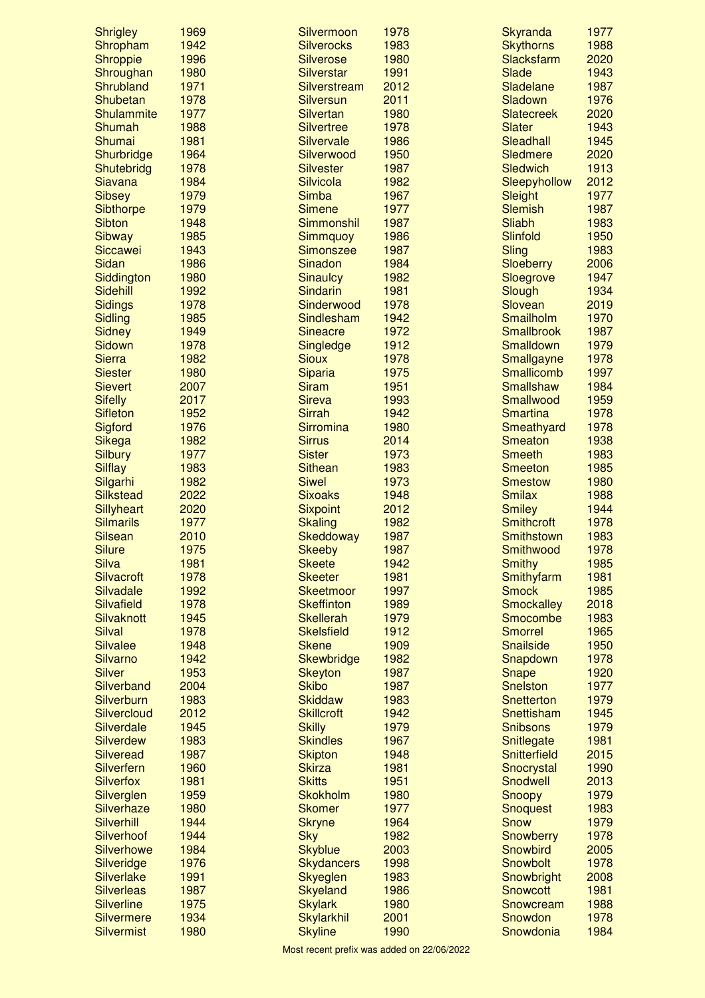| <b>Shrigley</b>                | 1969         | Silvermoon                     | 1978         | Skyranda                        | 1977         |
|--------------------------------|--------------|--------------------------------|--------------|---------------------------------|--------------|
| Shropham                       | 1942         | <b>Silverocks</b>              | 1983         | <b>Skythorns</b>                | 1988         |
| Shroppie                       | 1996         | <b>Silverose</b>               | 1980         | <b>Slacksfarm</b>               | 2020         |
| Shroughan                      | 1980         | <b>Silverstar</b>              | 1991         | Slade                           | 1943         |
| Shrubland                      | 1971         | Silverstream                   | 2012         | Sladelane                       | 1987         |
| Shubetan                       | 1978         | <b>Silversun</b>               | 2011         | Sladown                         | 1976         |
| <b>Shulammite</b>              | 1977         | <b>Silvertan</b>               | 1980         | <b>Slatecreek</b>               | 2020         |
| Shumah                         | 1988         | <b>Silvertree</b>              | 1978         | <b>Slater</b>                   | 1943         |
| Shumai                         | 1981         | Silvervale                     | 1986         | Sleadhall                       | 1945         |
| Shurbridge                     | 1964         | Silverwood                     | 1950         | <b>Sledmere</b>                 | 2020         |
| Shutebridg<br><b>Siavana</b>   | 1978<br>1984 | <b>Silvester</b><br>Silvicola  | 1987<br>1982 | <b>Sledwich</b>                 | 1913<br>2012 |
| <b>Sibsey</b>                  | 1979         | <b>Simba</b>                   | 1967         | Sleepyhollow<br>Sleight         | 1977         |
| Sibthorpe                      | 1979         | <b>Simene</b>                  | 1977         | <b>Slemish</b>                  | 1987         |
| <b>Sibton</b>                  | 1948         | Simmonshil                     | 1987         | Sliabh                          | 1983         |
| <b>Sibway</b>                  | 1985         | <b>Simmquoy</b>                | 1986         | Slinfold                        | 1950         |
| Siccawei                       | 1943         | <b>Simonszee</b>               | 1987         | Sling                           | 1983         |
| Sidan                          | 1986         | Sinadon                        | 1984         | Sloeberry                       | 2006         |
| Siddington                     | 1980         | <b>Sinaulcy</b>                | 1982         | Sloegrove                       | 1947         |
| Sidehill                       | 1992         | Sindarin                       | 1981         | Slough                          | 1934         |
| <b>Sidings</b>                 | 1978         | Sinderwood                     | 1978         | Slovean                         | 2019         |
| <b>Sidling</b>                 | 1985         | Sindlesham                     | 1942         | Smailholm                       | 1970         |
| <b>Sidney</b>                  | 1949         | <b>Sineacre</b>                | 1972         | <b>Smallbrook</b>               | 1987         |
| Sidown                         | 1978         | Singledge                      | 1912         | <b>Smalldown</b>                | 1979         |
| <b>Sierra</b>                  | 1982         | <b>Sioux</b>                   | 1978         | Smallgayne                      | 1978         |
| <b>Siester</b>                 | 1980         | Siparia                        | 1975         | Smallicomb                      | 1997         |
| <b>Sievert</b>                 | 2007         | <b>Siram</b>                   | 1951         | <b>Smallshaw</b>                | 1984         |
| <b>Sifelly</b>                 | 2017         | <b>Sireva</b>                  | 1993         | Smallwood                       | 1959         |
| <b>Sifleton</b>                | 1952         | <b>Sirrah</b>                  | 1942         | <b>Smartina</b>                 | 1978         |
| Sigford                        | 1976         | Sirromina                      | 1980         | Smeathyard                      | 1978         |
| Sikega                         | 1982         | <b>Sirrus</b>                  | 2014         | <b>Smeaton</b>                  | 1938         |
| <b>Silbury</b>                 | 1977         | <b>Sister</b>                  | 1973         | <b>Smeeth</b>                   | 1983         |
| <b>Silflay</b>                 | 1983         | <b>Sithean</b>                 | 1983         | <b>Smeeton</b>                  | 1985         |
| Silgarhi<br><b>Silkstead</b>   | 1982<br>2022 | <b>Siwel</b><br><b>Sixoaks</b> | 1973<br>1948 | <b>Smestow</b><br><b>Smilax</b> | 1980<br>1988 |
| Sillyheart                     | 2020         | <b>Sixpoint</b>                | 2012         | <b>Smiley</b>                   | 1944         |
| <b>Silmarils</b>               | 1977         | <b>Skaling</b>                 | 1982         | <b>Smithcroft</b>               | 1978         |
| <b>Silsean</b>                 | 2010         | Skeddoway                      | 1987         | <b>Smithstown</b>               | 1983         |
| <b>Silure</b>                  | 1975         | <b>Skeeby</b>                  | 1987         | Smithwood                       | 1978         |
| <b>Silva</b>                   | 1981         | <b>Skeete</b>                  | 1942         | <b>Smithy</b>                   | 1985         |
| <b>Silvacroft</b>              | 1978         | <b>Skeeter</b>                 | 1981         | Smithyfarm                      | 1981         |
| Silvadale                      | 1992         | <b>Skeetmoor</b>               | 1997         | <b>Smock</b>                    | 1985         |
| Silvafield                     | 1978         | <b>Skeffinton</b>              | 1989         | <b>Smockalley</b>               | 2018         |
| Silvaknott                     | 1945         | <b>Skellerah</b>               | 1979         | Smocombe                        | 1983         |
| <b>Silval</b>                  | 1978         | <b>Skelsfield</b>              | 1912         | <b>Smorrel</b>                  | 1965         |
| <b>Silvalee</b>                | 1948         | <b>Skene</b>                   | 1909         | <b>Snailside</b>                | 1950         |
| <b>Silvarno</b>                | 1942         | <b>Skewbridge</b>              | 1982         | Snapdown                        | 1978         |
| <b>Silver</b>                  | 1953         | <b>Skeyton</b>                 | 1987         | Snape                           | 1920         |
| Silverband                     | 2004         | <b>Skibo</b>                   | 1987         | <b>Snelston</b>                 | 1977         |
| <b>Silverburn</b>              | 1983         | <b>Skiddaw</b>                 | 1983         | Snetterton                      | 1979         |
| Silvercloud                    | 2012         | <b>Skillcroft</b>              | 1942         | Snettisham                      | 1945         |
| <b>Silverdale</b>              | 1945         | <b>Skilly</b>                  | 1979         | <b>Snibsons</b>                 | 1979         |
| <b>Silverdew</b>               | 1983         | <b>Skindles</b>                | 1967         | Snitlegate                      | 1981         |
| <b>Silveread</b>               | 1987         | <b>Skipton</b>                 | 1948         | Snitterfield                    | 2015         |
| Silverfern<br><b>Silverfox</b> | 1960<br>1981 | <b>Skirza</b><br><b>Skitts</b> | 1981<br>1951 | Snocrystal<br>Snodwell          | 1990<br>2013 |
| Silverglen                     | 1959         | <b>Skokholm</b>                | 1980         | Snoopy                          | 1979         |
| Silverhaze                     | 1980         | <b>Skomer</b>                  | 1977         | <b>Snoquest</b>                 | 1983         |
| Silverhill                     | 1944         | <b>Skryne</b>                  | 1964         | <b>Snow</b>                     | 1979         |
| Silverhoof                     | 1944         | <b>Sky</b>                     | 1982         | Snowberry                       | 1978         |
| <b>Silverhowe</b>              | 1984         | <b>Skyblue</b>                 | 2003         | Snowbird                        | 2005         |
| Silveridge                     | 1976         | <b>Skydancers</b>              | 1998         | Snowbolt                        | 1978         |
| <b>Silverlake</b>              | 1991         | Skyeglen                       | 1983         | Snowbright                      | 2008         |
| <b>Silverleas</b>              | 1987         | Skyeland                       | 1986         | <b>Snowcott</b>                 | 1981         |
| <b>Silverline</b>              | 1975         | <b>Skylark</b>                 | 1980         | Snowcream                       | 1988         |
| <b>Silvermere</b>              | 1934         | <b>Skylarkhil</b>              | 2001         | Snowdon                         | 1978         |
| <b>Silvermist</b>              | 1980         | <b>Skyline</b>                 | 1990         | Snowdonia                       | 1984         |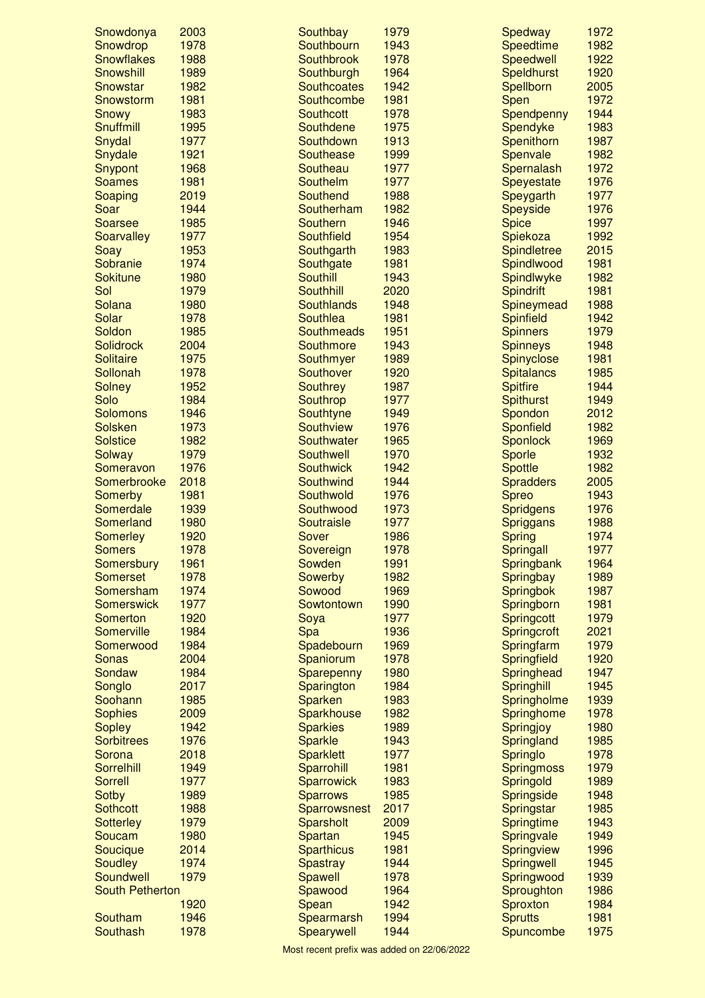| Snowdonya                           | 2003         | Southbay                    | 1979         | Spedway                        | 1972         |
|-------------------------------------|--------------|-----------------------------|--------------|--------------------------------|--------------|
| Snowdrop                            | 1978         | Southbourn                  | 1943         | <b>Speedtime</b>               | 1982         |
| <b>Snowflakes</b>                   | 1988         | <b>Southbrook</b>           | 1978         | Speedwell                      | 1922         |
| Snowshill                           | 1989         | Southburgh                  | 1964         | <b>Speldhurst</b>              | 1920         |
| Snowstar                            | 1982         | <b>Southcoates</b>          | 1942         | Spellborn                      | 2005         |
| Snowstorm                           | 1981         | Southcombe                  | 1981         | Spen                           | 1972         |
| Snowy                               | 1983         | <b>Southcott</b>            | 1978         | Spendpenny                     | 1944         |
| Snuffmill                           | 1995         | Southdene                   | 1975         | Spendyke                       | 1983         |
| Snydal                              | 1977         | Southdown                   | 1913         | Spenithorn                     | 1987         |
| Snydale                             | 1921         | <b>Southease</b>            | 1999<br>1977 | Spenvale                       | 1982<br>1972 |
| Snypont<br><b>Soames</b>            | 1968<br>1981 | Southeau<br><b>Southelm</b> | 1977         | Spernalash                     | 1976         |
| Soaping                             | 2019         | Southend                    | 1988         | <b>Speyestate</b><br>Speygarth | 1977         |
| Soar                                | 1944         | Southerham                  | 1982         | Speyside                       | 1976         |
| <b>Soarsee</b>                      | 1985         | <b>Southern</b>             | 1946         | <b>Spice</b>                   | 1997         |
| <b>Soarvalley</b>                   | 1977         | Southfield                  | 1954         | Spiekoza                       | 1992         |
| Soay                                | 1953         | Southgarth                  | 1983         | <b>Spindletree</b>             | 2015         |
| Sobranie                            | 1974         | Southgate                   | 1981         | Spindlwood                     | 1981         |
| <b>Sokitune</b>                     | 1980         | <b>Southill</b>             | 1943         | Spindlwyke                     | 1982         |
| Sol                                 | 1979         | <b>Southhill</b>            | 2020         | <b>Spindrift</b>               | 1981         |
| Solana                              | 1980         | <b>Southlands</b>           | 1948         | Spineymead                     | 1988         |
| Solar                               | 1978         | Southlea                    | 1981         | <b>Spinfield</b>               | 1942         |
| Soldon                              | 1985         | <b>Southmeads</b>           | 1951         | <b>Spinners</b>                | 1979         |
| <b>Solidrock</b>                    | 2004         | Southmore                   | 1943         | <b>Spinneys</b>                | 1948         |
| <b>Solitaire</b>                    | 1975         | Southmyer                   | 1989         | Spinyclose                     | 1981         |
| Sollonah                            | 1978         | Southover                   | 1920         | <b>Spitalancs</b>              | 1985         |
| <b>Solney</b>                       | 1952         | <b>Southrey</b>             | 1987         | <b>Spitfire</b>                | 1944         |
| Solo                                | 1984         | Southrop                    | 1977         | <b>Spithurst</b>               | 1949         |
| <b>Solomons</b>                     | 1946         | Southtyne                   | 1949         | Spondon                        | 2012         |
| <b>Solsken</b>                      | 1973         | Southview                   | 1976         | Sponfield                      | 1982         |
| <b>Solstice</b>                     | 1982         | Southwater                  | 1965         | <b>Sponlock</b>                | 1969         |
| <b>Solway</b>                       | 1979         | Southwell                   | 1970         | Sporle                         | 1932         |
| Someravon                           | 1976         | <b>Southwick</b>            | 1942         | <b>Spottle</b>                 | 1982         |
| Somerbrooke                         | 2018         | Southwind                   | 1944         | <b>Spradders</b>               | 2005         |
| Somerby                             | 1981         | Southwold                   | 1976         | <b>Spreo</b>                   | 1943         |
| Somerdale<br>Somerland              | 1939         | Southwood                   | 1973         | <b>Spridgens</b>               | 1976<br>1988 |
| <b>Somerley</b>                     | 1980<br>1920 | Soutraisle<br>Sover         | 1977<br>1986 | <b>Spriggans</b>               | 1974         |
| <b>Somers</b>                       | 1978         | Sovereign                   | 1978         | <b>Spring</b><br>Springall     | 1977         |
| Somersbury                          | 1961         | Sowden                      | 1991         | Springbank                     | 1964         |
| <b>Somerset</b>                     | 1978         | Sowerby                     | 1982         | Springbay                      | 1989         |
| Somersham                           | 1974         | Sowood                      | 1969         | <b>Springbok</b>               | 1987         |
| <b>Somerswick</b>                   | 1977         | Sowtontown                  | 1990         | Springborn                     | 1981         |
| <b>Somerton</b>                     | 1920         | Soya                        | 1977         | Springcott                     | 1979         |
| Somerville                          | 1984         | <b>Spa</b>                  | 1936         | Springcroft                    | 2021         |
| Somerwood                           | 1984         | Spadebourn                  | 1969         | Springfarm                     | 1979         |
| <b>Sonas</b>                        | 2004         | Spaniorum                   | 1978         | Springfield                    | 1920         |
| Sondaw                              | 1984         | Sparepenny                  | 1980         | Springhead                     | 1947         |
| Songlo                              | 2017         | Sparington                  | 1984         | Springhill                     | 1945         |
| Soohann                             | 1985         | Sparken                     | 1983         | Springholme                    | 1939         |
| <b>Sophies</b>                      | 2009         | Sparkhouse                  | 1982         | Springhome                     | 1978         |
| <b>Sopley</b>                       | 1942         | <b>Sparkies</b>             | 1989         | Springjoy                      | 1980         |
| <b>Sorbitrees</b>                   | 1976         | Sparkle                     | 1943         | Springland                     | 1985         |
| Sorona                              | 2018         | <b>Sparklett</b>            | 1977         | Springlo                       | 1978         |
| Sorrelhill                          | 1949         | Sparrohill                  | 1981         | <b>Springmoss</b>              | 1979         |
| <b>Sorrell</b>                      | 1977         | <b>Sparrowick</b>           | 1983         | Springold                      | 1989         |
| <b>Sotby</b>                        | 1989         | <b>Sparrows</b>             | 1985         | Springside                     | 1948         |
| <b>Sothcott</b><br><b>Sotterley</b> | 1988<br>1979 | Sparrowsnest                | 2017<br>2009 | Springstar<br>Springtime       | 1985<br>1943 |
| Soucam                              | 1980         | Sparsholt<br>Spartan        | 1945         | Springvale                     | 1949         |
| Soucique                            | 2014         | <b>Sparthicus</b>           | 1981         | Springview                     | 1996         |
| <b>Soudley</b>                      | 1974         | <b>Spastray</b>             | 1944         | Springwell                     | 1945         |
| Soundwell                           | 1979         | Spawell                     | 1978         | Springwood                     | 1939         |
| <b>South Petherton</b>              |              | Spawood                     | 1964         | Sproughton                     | 1986         |
|                                     | 1920         | Spean                       | 1942         | Sproxton                       | 1984         |
| Southam                             | 1946         | Spearmarsh                  | 1994         | <b>Sprutts</b>                 | 1981         |
| Southash                            | 1978         | Spearywell                  | 1944         | Spuncombe                      | 1975         |
|                                     |              |                             |              |                                |              |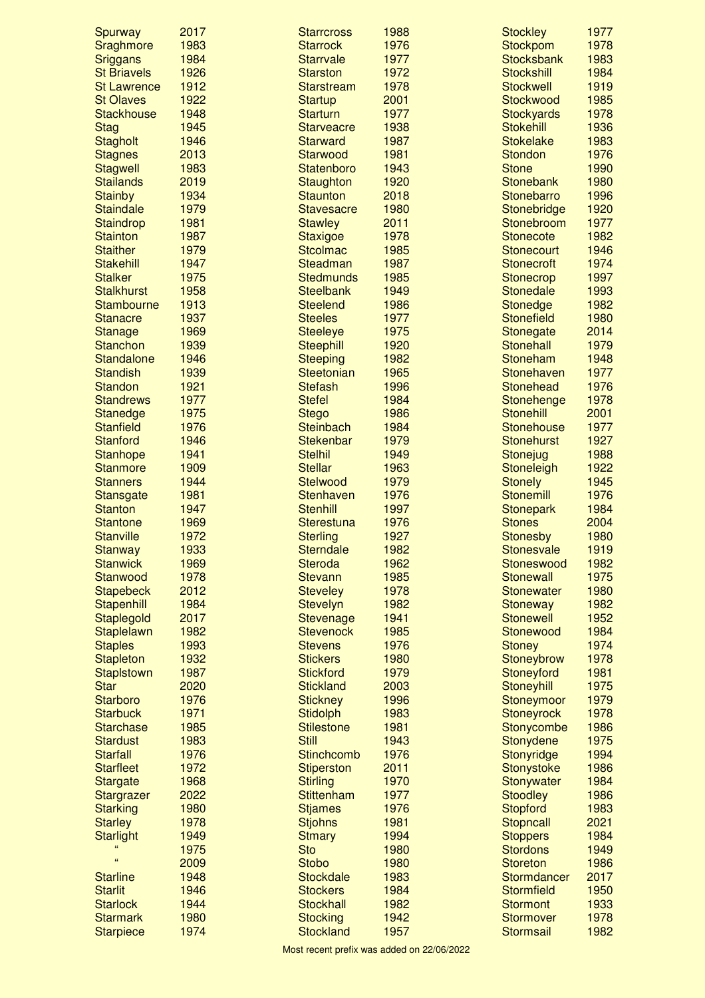| Spurway            | 2017 | <b>Starrcross</b> | 1988 | <b>Stockley</b>   | 1977 |
|--------------------|------|-------------------|------|-------------------|------|
| Sraghmore          | 1983 | <b>Starrock</b>   | 1976 | Stockpom          | 1978 |
| <b>Sriggans</b>    | 1984 | <b>Starrvale</b>  | 1977 | <b>Stocksbank</b> | 1983 |
| <b>St Briavels</b> | 1926 | <b>Starston</b>   | 1972 | <b>Stockshill</b> | 1984 |
| <b>St Lawrence</b> | 1912 | <b>Starstream</b> | 1978 | <b>Stockwell</b>  | 1919 |
| <b>St Olaves</b>   | 1922 | <b>Startup</b>    | 2001 | <b>Stockwood</b>  | 1985 |
| <b>Stackhouse</b>  | 1948 | <b>Starturn</b>   | 1977 | <b>Stockyards</b> | 1978 |
| <b>Stag</b>        | 1945 | <b>Starveacre</b> | 1938 | <b>Stokehill</b>  | 1936 |
| <b>Stagholt</b>    | 1946 | <b>Starward</b>   | 1987 | <b>Stokelake</b>  | 1983 |
| <b>Stagnes</b>     | 2013 | Starwood          | 1981 | <b>Stondon</b>    | 1976 |
| <b>Stagwell</b>    | 1983 | Statenboro        | 1943 | <b>Stone</b>      | 1990 |
| <b>Stailands</b>   | 2019 | Staughton         | 1920 | <b>Stonebank</b>  | 1980 |
| <b>Stainby</b>     | 1934 | <b>Staunton</b>   | 2018 | <b>Stonebarro</b> | 1996 |
| <b>Staindale</b>   | 1979 | <b>Stavesacre</b> | 1980 | Stonebridge       | 1920 |
| Staindrop          | 1981 | <b>Stawley</b>    | 2011 | Stonebroom        | 1977 |
| <b>Stainton</b>    | 1987 | <b>Staxigoe</b>   | 1978 | <b>Stonecote</b>  | 1982 |
| <b>Staither</b>    | 1979 | <b>Stcolmac</b>   | 1985 | <b>Stonecourt</b> | 1946 |
| <b>Stakehill</b>   | 1947 | Steadman          | 1987 | <b>Stonecroft</b> | 1974 |
| <b>Stalker</b>     | 1975 | <b>Stedmunds</b>  | 1985 | Stonecrop         | 1997 |
| <b>Stalkhurst</b>  | 1958 | <b>Steelbank</b>  | 1949 | <b>Stonedale</b>  | 1993 |
| <b>Stambourne</b>  | 1913 | <b>Steelend</b>   | 1986 | <b>Stonedge</b>   | 1982 |
| <b>Stanacre</b>    | 1937 | <b>Steeles</b>    | 1977 | <b>Stonefield</b> | 1980 |
| <b>Stanage</b>     | 1969 | <b>Steeleye</b>   | 1975 | Stonegate         | 2014 |
| <b>Stanchon</b>    | 1939 | <b>Steephill</b>  | 1920 | <b>Stonehall</b>  | 1979 |
| <b>Standalone</b>  | 1946 | <b>Steeping</b>   | 1982 | Stoneham          | 1948 |
| <b>Standish</b>    | 1939 | Steetonian        | 1965 | Stonehaven        | 1977 |
| <b>Standon</b>     | 1921 | <b>Stefash</b>    | 1996 | Stonehead         | 1976 |
| <b>Standrews</b>   | 1977 | <b>Stefel</b>     | 1984 | Stonehenge        | 1978 |
| Stanedge           | 1975 | <b>Stego</b>      | 1986 | <b>Stonehill</b>  | 2001 |
| <b>Stanfield</b>   | 1976 | <b>Steinbach</b>  | 1984 | <b>Stonehouse</b> | 1977 |
| <b>Stanford</b>    | 1946 | <b>Stekenbar</b>  | 1979 | <b>Stonehurst</b> | 1927 |
| <b>Stanhope</b>    | 1941 | <b>Stelhil</b>    | 1949 | Stonejug          | 1988 |
| <b>Stanmore</b>    | 1909 | <b>Stellar</b>    | 1963 | Stoneleigh        | 1922 |
| <b>Stanners</b>    | 1944 | <b>Stelwood</b>   | 1979 | <b>Stonely</b>    | 1945 |
| <b>Stansgate</b>   | 1981 | Stenhaven         | 1976 | <b>Stonemill</b>  | 1976 |
| <b>Stanton</b>     | 1947 | <b>Stenhill</b>   | 1997 | <b>Stonepark</b>  | 1984 |
| <b>Stantone</b>    | 1969 | Sterestuna        | 1976 | <b>Stones</b>     | 2004 |
| <b>Stanville</b>   | 1972 | <b>Sterling</b>   | 1927 | <b>Stonesby</b>   | 1980 |
| <b>Stanway</b>     | 1933 | <b>Sterndale</b>  | 1982 | <b>Stonesvale</b> | 1919 |
| <b>Stanwick</b>    | 1969 | <b>Steroda</b>    | 1962 | Stoneswood        | 1982 |
| Stanwood           | 1978 | <b>Stevann</b>    | 1985 | <b>Stonewall</b>  | 1975 |
| <b>Stapebeck</b>   | 2012 | <b>Steveley</b>   | 1978 | <b>Stonewater</b> | 1980 |
| Stapenhill         | 1984 | <b>Stevelyn</b>   | 1982 | <b>Stoneway</b>   | 1982 |
| Staplegold         | 2017 | Stevenage         | 1941 | <b>Stonewell</b>  | 1952 |
| Staplelawn         | 1982 | <b>Stevenock</b>  | 1985 | Stonewood         | 1984 |
| <b>Staples</b>     | 1993 | <b>Stevens</b>    | 1976 | <b>Stoney</b>     | 1974 |
| <b>Stapleton</b>   | 1932 | <b>Stickers</b>   | 1980 | Stoneybrow        | 1978 |
| <b>Staplstown</b>  | 1987 | <b>Stickford</b>  | 1979 | Stoneyford        | 1981 |
| <b>Star</b>        | 2020 | <b>Stickland</b>  | 2003 | Stoneyhill        | 1975 |
| <b>Starboro</b>    | 1976 | <b>Stickney</b>   | 1996 | Stoneymoor        | 1979 |
| <b>Starbuck</b>    | 1971 | <b>Stidolph</b>   | 1983 | <b>Stoneyrock</b> | 1978 |
| <b>Starchase</b>   | 1985 | <b>Stilestone</b> | 1981 | Stonycombe        | 1986 |
| <b>Stardust</b>    | 1983 | <b>Still</b>      | 1943 | Stonydene         | 1975 |
| <b>Starfall</b>    | 1976 | <b>Stinchcomb</b> | 1976 | Stonyridge        | 1994 |
| <b>Starfleet</b>   | 1972 | <b>Stiperston</b> | 2011 | Stonystoke        | 1986 |
| <b>Stargate</b>    | 1968 | <b>Stirling</b>   | 1970 | Stonywater        | 1984 |
| Stargrazer         | 2022 | <b>Stittenham</b> | 1977 | <b>Stoodley</b>   | 1986 |
| <b>Starking</b>    | 1980 | <b>Stjames</b>    | 1976 | <b>Stopford</b>   | 1983 |
| <b>Starley</b>     | 1978 | <b>Stjohns</b>    | 1981 | Stopncall         | 2021 |
| <b>Starlight</b>   | 1949 | <b>Stmary</b>     | 1994 | <b>Stoppers</b>   | 1984 |
| 66                 | 1975 | <b>Sto</b>        | 1980 | <b>Stordons</b>   | 1949 |
| $\mathbf{G}$       | 2009 | <b>Stobo</b>      | 1980 | <b>Storeton</b>   | 1986 |
| <b>Starline</b>    | 1948 | <b>Stockdale</b>  | 1983 | Stormdancer       | 2017 |
| <b>Starlit</b>     | 1946 | <b>Stockers</b>   | 1984 | <b>Stormfield</b> | 1950 |
| <b>Starlock</b>    | 1944 | <b>Stockhall</b>  | 1982 | <b>Stormont</b>   | 1933 |
| <b>Starmark</b>    | 1980 | <b>Stocking</b>   | 1942 | <b>Stormover</b>  | 1978 |
| <b>Starpiece</b>   | 1974 | <b>Stockland</b>  | 1957 | <b>Stormsail</b>  | 1982 |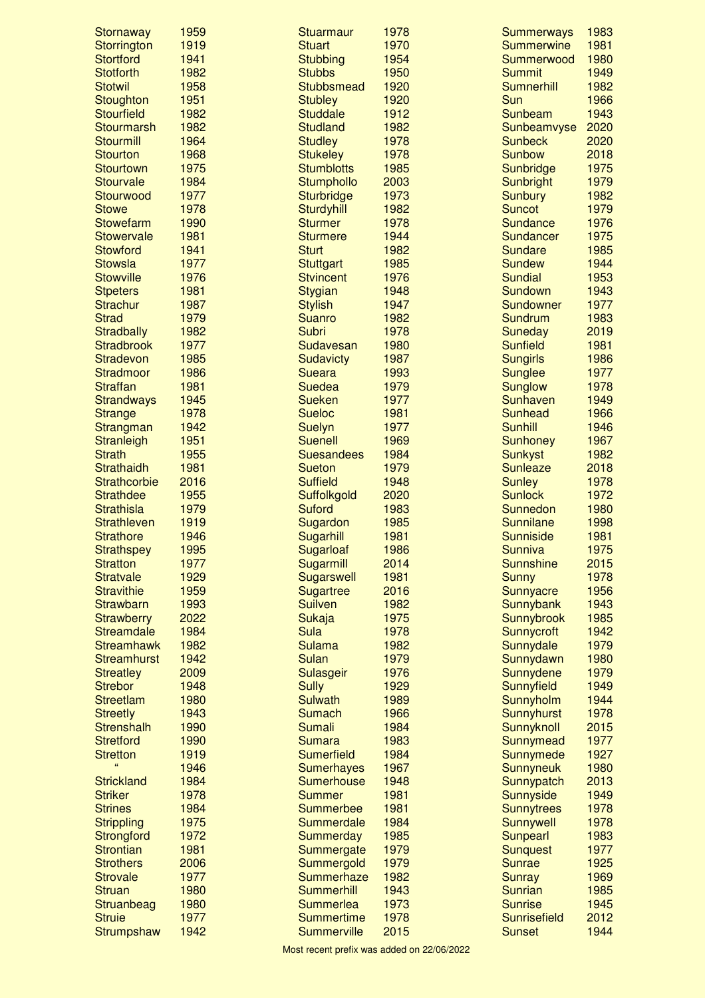| <b>Stornaway</b>                           | 1959         | <b>Stuarmaur</b>                  | 1978         | <b>Summerways</b>               | 1983         |
|--------------------------------------------|--------------|-----------------------------------|--------------|---------------------------------|--------------|
| Storrington                                | 1919         | <b>Stuart</b>                     | 1970         | <b>Summerwine</b>               | 1981         |
| <b>Stortford</b>                           | 1941         | <b>Stubbing</b>                   | 1954         | Summerwood                      | 1980         |
| <b>Stotforth</b>                           | 1982         | <b>Stubbs</b>                     | 1950         | <b>Summit</b>                   | 1949         |
| <b>Stotwil</b>                             | 1958         | <b>Stubbsmead</b>                 | 1920         | <b>Sumnerhill</b>               | 1982         |
| Stoughton                                  | 1951         | <b>Stubley</b><br><b>Studdale</b> | 1920         | Sun<br>Sunbeam                  | 1966<br>1943 |
| <b>Stourfield</b>                          | 1982<br>1982 | <b>Studland</b>                   | 1912<br>1982 |                                 | 2020         |
| Stourmarsh<br><b>Stourmill</b>             | 1964         | <b>Studley</b>                    | 1978         | Sunbeamvyse<br><b>Sunbeck</b>   | 2020         |
| <b>Stourton</b>                            | 1968         | <b>Stukeley</b>                   | 1978         | <b>Sunbow</b>                   | 2018         |
| <b>Stourtown</b>                           | 1975         | <b>Stumblotts</b>                 | 1985         | Sunbridge                       | 1975         |
| <b>Stourvale</b>                           | 1984         | Stumphollo                        | 2003         | Sunbright                       | 1979         |
| Stourwood                                  | 1977         | <b>Sturbridge</b>                 | 1973         | <b>Sunbury</b>                  | 1982         |
| <b>Stowe</b>                               | 1978         | Sturdyhill                        | 1982         | <b>Suncot</b>                   | 1979         |
| <b>Stowefarm</b>                           | 1990         | <b>Sturmer</b>                    | 1978         | Sundance                        | 1976         |
| <b>Stowervale</b>                          | 1981         | <b>Sturmere</b>                   | 1944         | Sundancer                       | 1975         |
| Stowford                                   | 1941         | <b>Sturt</b>                      | 1982         | <b>Sundare</b>                  | 1985         |
| <b>Stowsla</b>                             | 1977         | <b>Stuttgart</b>                  | 1985         | <b>Sundew</b>                   | 1944         |
| <b>Stowville</b>                           | 1976         | <b>Stvincent</b>                  | 1976         | <b>Sundial</b>                  | 1953         |
| <b>Stpeters</b>                            | 1981         | <b>Stygian</b>                    | 1948         | Sundown                         | 1943         |
| <b>Strachur</b>                            | 1987         | <b>Stylish</b>                    | 1947         | Sundowner                       | 1977         |
| <b>Strad</b>                               | 1979         | <b>Suanro</b>                     | 1982         | Sundrum                         | 1983         |
| <b>Stradbally</b>                          | 1982         | Subri                             | 1978         | Suneday                         | 2019         |
| <b>Stradbrook</b>                          | 1977         | Sudavesan                         | 1980         | <b>Sunfield</b>                 | 1981         |
| Stradevon                                  | 1985         | <b>Sudavicty</b>                  | 1987         | <b>Sungirls</b>                 | 1986         |
| <b>Stradmoor</b>                           | 1986         | <b>Sueara</b>                     | 1993         | <b>Sunglee</b>                  | 1977         |
| <b>Straffan</b>                            | 1981         | <b>Suedea</b>                     | 1979         | <b>Sunglow</b>                  | 1978         |
| <b>Strandways</b>                          | 1945         | <b>Sueken</b>                     | 1977         | Sunhaven                        | 1949         |
| <b>Strange</b>                             | 1978         | <b>Sueloc</b>                     | 1981         | <b>Sunhead</b>                  | 1966         |
| Strangman                                  | 1942         | <b>Suelyn</b>                     | 1977         | <b>Sunhill</b>                  | 1946         |
| <b>Stranleigh</b>                          | 1951         | <b>Suenell</b>                    | 1969         | <b>Sunhoney</b>                 | 1967         |
| <b>Strath</b>                              | 1955         | <b>Suesandees</b>                 | 1984         | <b>Sunkyst</b>                  | 1982         |
| <b>Strathaidh</b>                          | 1981         | <b>Sueton</b>                     | 1979         | <b>Sunleaze</b>                 | 2018         |
| <b>Strathcorbie</b>                        | 2016         | <b>Suffield</b>                   | 1948         | <b>Sunley</b><br><b>Sunlock</b> | 1978         |
| <b>Strathdee</b>                           | 1955<br>1979 | Suffolkgold                       | 2020         |                                 | 1972<br>1980 |
| <b>Strathisla</b><br><b>Strathleven</b>    | 1919         | Suford<br>Sugardon                | 1983<br>1985 | Sunnedon<br><b>Sunnilane</b>    | 1998         |
| <b>Strathore</b>                           | 1946         | Sugarhill                         | 1981         | <b>Sunniside</b>                | 1981         |
| <b>Strathspey</b>                          | 1995         | Sugarloaf                         | 1986         | Sunniva                         | 1975         |
| <b>Stratton</b>                            | 1977         | Sugarmill                         | 2014         | <b>Sunnshine</b>                | 2015         |
| <b>Stratvale</b>                           | 1929         | Sugarswell                        | 1981         | <b>Sunny</b>                    | 1978         |
| <b>Stravithie</b>                          | 1959         | Sugartree                         | 2016         | Sunnyacre                       | 1956         |
| <b>Strawbarn</b>                           | 1993         | <b>Suilven</b>                    | 1982         | Sunnybank                       | 1943         |
| <b>Strawberry</b>                          | 2022         | Sukaja                            | 1975         | Sunnybrook                      | 1985         |
| <b>Streamdale</b>                          | 1984         | Sula                              | 1978         | <b>Sunnycroft</b>               | 1942         |
| <b>Streamhawk</b>                          | 1982         | <b>Sulama</b>                     | 1982         | Sunnydale                       | 1979         |
| <b>Streamhurst</b>                         | 1942         | Sulan                             | 1979         | Sunnydawn                       | 1980         |
| <b>Streatley</b>                           | 2009         | Sulasgeir                         | 1976         | Sunnydene                       | 1979         |
| <b>Strebor</b>                             | 1948         | <b>Sully</b>                      | 1929         | <b>Sunnyfield</b>               | 1949         |
| <b>Streetlam</b>                           | 1980         | <b>Sulwath</b>                    | 1989         | Sunnyholm                       | 1944         |
| <b>Streetly</b>                            | 1943         | <b>Sumach</b>                     | 1966         | Sunnyhurst                      | 1978         |
| <b>Strenshalh</b>                          | 1990         | <b>Sumali</b>                     | 1984         | Sunnyknoll                      | 2015         |
| <b>Stretford</b>                           | 1990         | <b>Sumara</b>                     | 1983         | Sunnymead                       | 1977         |
| <b>Stretton</b><br>$\overline{\mathbf{a}}$ | 1919         | <b>Sumerfield</b>                 | 1984         | Sunnymede                       | 1927         |
|                                            | 1946         | <b>Sumerhayes</b>                 | 1967         | <b>Sunnyneuk</b>                | 1980         |
| <b>Strickland</b>                          | 1984         | <b>Sumerhouse</b>                 | 1948<br>1981 | Sunnypatch                      | 2013<br>1949 |
| <b>Striker</b><br><b>Strines</b>           | 1978<br>1984 | <b>Summer</b><br>Summerbee        | 1981         | Sunnyside                       | 1978         |
| <b>Strippling</b>                          | 1975         | Summerdale                        | 1984         | <b>Sunnytrees</b><br>Sunnywell  | 1978         |
| Strongford                                 | 1972         | Summerday                         | 1985         | Sunpearl                        | 1983         |
| <b>Strontian</b>                           | 1981         | Summergate                        | 1979         | <b>Sunquest</b>                 | 1977         |
| <b>Strothers</b>                           | 2006         | Summergold                        | 1979         | <b>Sunrae</b>                   | 1925         |
| <b>Strovale</b>                            | 1977         | Summerhaze                        | 1982         | <b>Sunray</b>                   | 1969         |
| <b>Struan</b>                              | 1980         | <b>Summerhill</b>                 | 1943         | <b>Sunrian</b>                  | 1985         |
| Struanbeag                                 | 1980         | <b>Summerlea</b>                  | 1973         | <b>Sunrise</b>                  | 1945         |
| <b>Struie</b>                              | 1977         | <b>Summertime</b>                 | 1978         | Sunrisefield                    | 2012         |
| Strumpshaw                                 | 1942         | <b>Summerville</b>                | 2015         | <b>Sunset</b>                   | 1944         |
|                                            |              |                                   |              |                                 |              |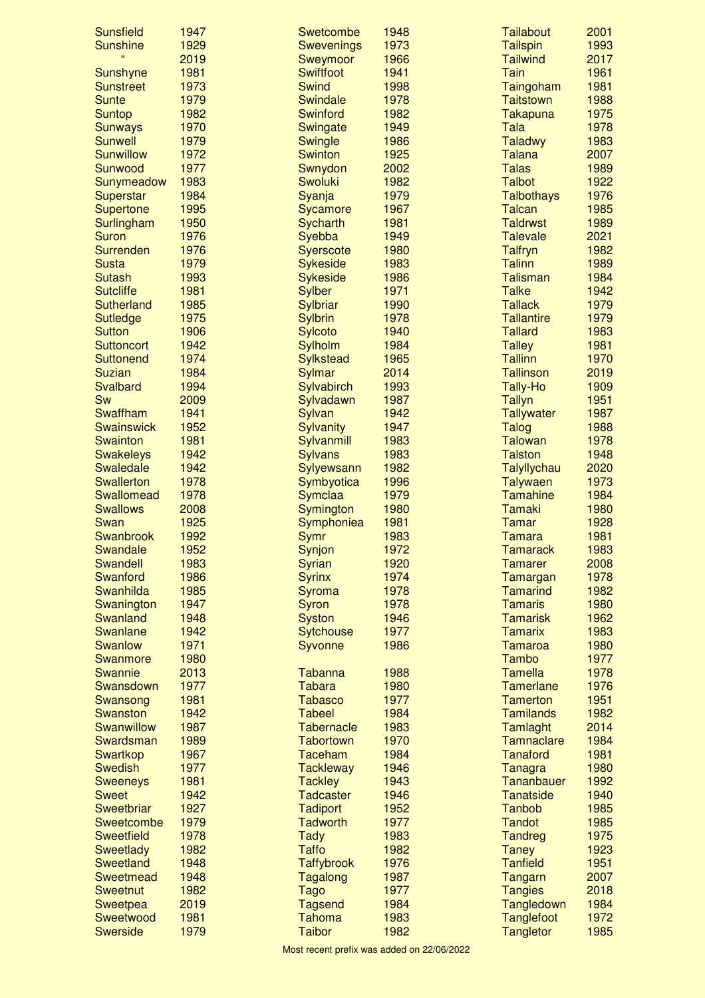| <b>Sunsfield</b>  | 1947 | Swetcombe         | 1948 | Tailabout              | 2001 |
|-------------------|------|-------------------|------|------------------------|------|
| <b>Sunshine</b>   | 1929 | <b>Swevenings</b> | 1973 | <b>Tailspin</b>        | 1993 |
| 66                | 2019 | Sweymoor          | 1966 | <b>Tailwind</b>        | 2017 |
| Sunshyne          | 1981 | <b>Swiftfoot</b>  | 1941 | Tain                   | 1961 |
| <b>Sunstreet</b>  | 1973 | <b>Swind</b>      | 1998 | Taingoham              | 1981 |
| <b>Sunte</b>      | 1979 | Swindale          | 1978 | <b>Taitstown</b>       | 1988 |
| <b>Suntop</b>     | 1982 | <b>Swinford</b>   | 1982 | <b>Takapuna</b>        | 1975 |
| <b>Sunways</b>    | 1970 | Swingate          | 1949 | Tala                   | 1978 |
| <b>Sunwell</b>    | 1979 | Swingle           | 1986 | <b>Taladwy</b>         | 1983 |
| <b>Sunwillow</b>  | 1972 | <b>Swinton</b>    | 1925 | <b>Talana</b>          | 2007 |
| Sunwood           | 1977 | Swnydon           | 2002 | <b>Talas</b>           | 1989 |
| Sunymeadow        | 1983 | <b>Swoluki</b>    | 1982 | <b>Talbot</b>          | 1922 |
| Superstar         | 1984 | Syanja            | 1979 | <b>Talbothays</b>      | 1976 |
| <b>Supertone</b>  | 1995 | Sycamore          | 1967 | <b>Talcan</b>          | 1985 |
| Surlingham        | 1950 | Sycharth          | 1981 | <b>Taldrwst</b>        | 1989 |
| <b>Suron</b>      | 1976 | Syebba            | 1949 | <b>Talevale</b>        | 2021 |
| Surrenden         | 1976 | <b>Syerscote</b>  | 1980 | <b>Talfryn</b>         | 1982 |
| <b>Susta</b>      | 1979 | <b>Sykeside</b>   | 1983 | <b>Talinn</b>          | 1989 |
| <b>Sutash</b>     | 1993 | <b>Sykeside</b>   | 1986 | <b>Talisman</b>        | 1984 |
| <b>Sutcliffe</b>  | 1981 | <b>Sylber</b>     | 1971 | <b>Talke</b>           | 1942 |
| <b>Sutherland</b> | 1985 | Sylbriar          | 1990 | <b>Tallack</b>         | 1979 |
| <b>Sutledge</b>   | 1975 | <b>Sylbrin</b>    | 1978 | <b>Tallantire</b>      | 1979 |
| <b>Sutton</b>     | 1906 | <b>Sylcoto</b>    | 1940 | <b>Tallard</b>         | 1983 |
| <b>Suttoncort</b> | 1942 | Sylholm           | 1984 | <b>Talley</b>          | 1981 |
| <b>Suttonend</b>  | 1974 | <b>Sylkstead</b>  | 1965 | <b>Tallinn</b>         | 1970 |
| <b>Suzian</b>     | 1984 |                   | 2014 | <b>Tallinson</b>       | 2019 |
|                   |      | Sylmar            |      |                        |      |
| Svalbard          | 1994 | Sylvabirch        | 1993 | Tally-Ho               | 1909 |
| Sw                | 2009 | Sylvadawn         | 1987 | <b>Tallyn</b>          | 1951 |
| Swaffham          | 1941 | Sylvan            | 1942 | <b>Tallywater</b>      | 1987 |
| <b>Swainswick</b> | 1952 | <b>Sylvanity</b>  | 1947 | <b>Talog</b>           | 1988 |
| <b>Swainton</b>   | 1981 | Sylvanmill        | 1983 | <b>Talowan</b>         | 1978 |
| <b>Swakeleys</b>  | 1942 | <b>Sylvans</b>    | 1983 | <b>Talston</b>         | 1948 |
| <b>Swaledale</b>  | 1942 | Sylyewsann        | 1982 | Talyllychau            | 2020 |
| <b>Swallerton</b> | 1978 | Symbyotica        | 1996 | <b>Talywaen</b>        | 1973 |
| <b>Swallomead</b> | 1978 | Symclaa           | 1979 | <b>Tamahine</b>        | 1984 |
| <b>Swallows</b>   | 2008 | Symington         | 1980 | <b>Tamaki</b>          | 1980 |
| Swan              | 1925 | Symphoniea        | 1981 | Tamar                  | 1928 |
| Swanbrook         | 1992 | Symr              | 1983 | <b>Tamara</b>          | 1981 |
| Swandale          | 1952 | Synjon            | 1972 | <b>Tamarack</b>        | 1983 |
| <b>Swandell</b>   | 1983 | Syrian            | 1920 | Tamarer                | 2008 |
| Swanford          | 1986 | <b>Syrinx</b>     | 1974 | Tamargan               | 1978 |
| <b>Swanhilda</b>  | 1985 | Syroma            | 1978 | <b>Tamarind</b>        | 1982 |
| Swanington        | 1947 | Syron             | 1978 | <b>Tamaris</b>         | 1980 |
| Swanland          | 1948 | <b>Syston</b>     | 1946 | <b>Tamarisk</b>        | 1962 |
| <b>Swanlane</b>   | 1942 | <b>Sytchouse</b>  | 1977 | <b>Tamarix</b>         | 1983 |
| <b>Swanlow</b>    | 1971 | Syvonne           | 1986 | <b>Tamaroa</b>         | 1980 |
| Swanmore          | 1980 |                   |      | Tambo                  | 1977 |
| Swannie           | 2013 | Tabanna           | 1988 | <b>Tamella</b>         | 1978 |
| Swansdown         | 1977 | <b>Tabara</b>     | 1980 | Tamerlane              | 1976 |
| Swansong          | 1981 | <b>Tabasco</b>    | 1977 | <b>Tamerton</b>        | 1951 |
| Swanston          | 1942 | <b>Tabeel</b>     | 1984 | <b>Tamilands</b>       | 1982 |
| Swanwillow        | 1987 | <b>Tabernacle</b> | 1983 |                        | 2014 |
|                   | 1989 | <b>Tabortown</b>  | 1970 | Tamlaght<br>Tamnaclare | 1984 |
| Swardsman         |      |                   |      |                        | 1981 |
| Swartkop          | 1967 | Taceham           | 1984 | <b>Tanaford</b>        |      |
| <b>Swedish</b>    | 1977 | <b>Tackleway</b>  | 1946 | Tanagra                | 1980 |
| <b>Sweeneys</b>   | 1981 | <b>Tackley</b>    | 1943 | Tananbauer             | 1992 |
| <b>Sweet</b>      | 1942 | <b>Tadcaster</b>  | 1946 | <b>Tanatside</b>       | 1940 |
| Sweetbriar        | 1927 | <b>Tadiport</b>   | 1952 | <b>Tanbob</b>          | 1985 |
| <b>Sweetcombe</b> | 1979 | <b>Tadworth</b>   | 1977 | <b>Tandot</b>          | 1985 |
| <b>Sweetfield</b> | 1978 | <b>Tady</b>       | 1983 | <b>Tandreg</b>         | 1975 |
| <b>Sweetlady</b>  | 1982 | <b>Taffo</b>      | 1982 | <b>Taney</b>           | 1923 |
| <b>Sweetland</b>  | 1948 | <b>Taffybrook</b> | 1976 | <b>Tanfield</b>        | 1951 |
| Sweetmead         | 1948 | Tagalong          | 1987 | Tangarn                | 2007 |
| <b>Sweetnut</b>   | 1982 | <b>Tago</b>       | 1977 | <b>Tangies</b>         | 2018 |
| Sweetpea          | 2019 | <b>Tagsend</b>    | 1984 | Tangledown             | 1984 |
| Sweetwood         | 1981 | <b>Tahoma</b>     | 1983 | <b>Tanglefoot</b>      | 1972 |
| <b>Swerside</b>   | 1979 | <b>Taibor</b>     | 1982 | <b>Tangletor</b>       | 1985 |
|                   |      |                   |      |                        |      |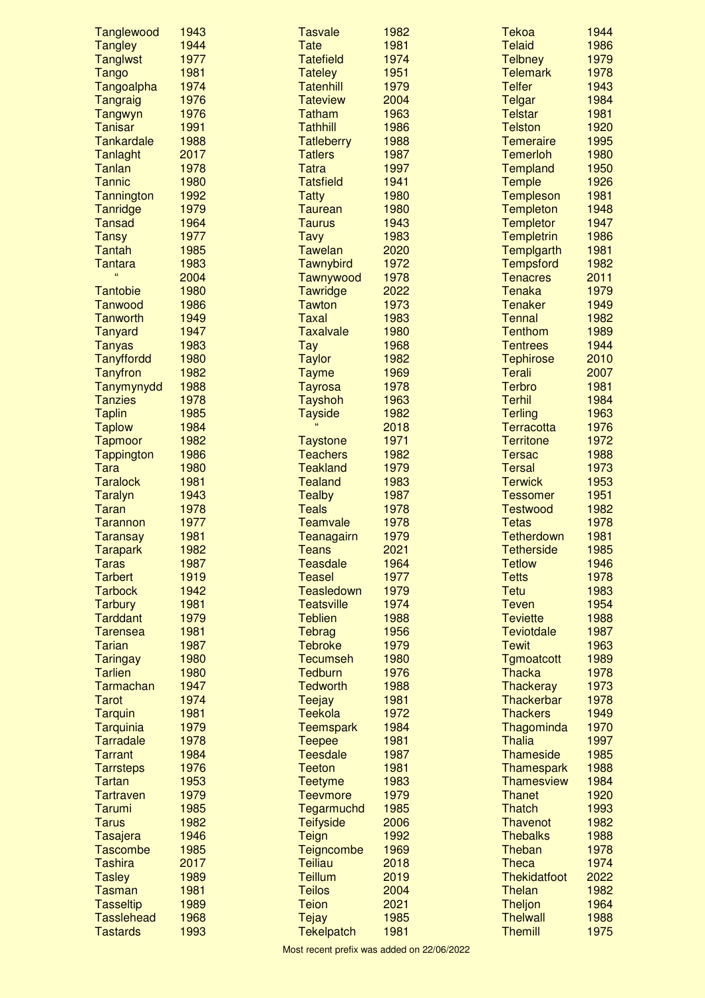| Tanglewood        | 1943 | <b>Tasvale</b>    | 1982 | <b>Tekoa</b>                      | 1944 |
|-------------------|------|-------------------|------|-----------------------------------|------|
| <b>Tangley</b>    | 1944 | <b>Tate</b>       | 1981 | <b>Telaid</b>                     | 1986 |
| <b>Tanglwst</b>   | 1977 | <b>Tatefield</b>  | 1974 | <b>Telbney</b>                    | 1979 |
| <b>Tango</b>      | 1981 | <b>Tateley</b>    | 1951 | <b>Telemark</b>                   | 1978 |
| Tangoalpha        | 1974 | <b>Tatenhill</b>  | 1979 | <b>Telfer</b>                     | 1943 |
| Tangraig          | 1976 | <b>Tateview</b>   | 2004 | Telgar                            | 1984 |
| Tangwyn           | 1976 | <b>Tatham</b>     | 1963 | <b>Telstar</b>                    | 1981 |
| <b>Tanisar</b>    | 1991 | <b>Tathhill</b>   | 1986 | <b>Telston</b>                    | 1920 |
| <b>Tankardale</b> | 1988 | <b>Tatleberry</b> | 1988 | <b>Temeraire</b>                  | 1995 |
| <b>Tanlaght</b>   | 2017 | <b>Tatlers</b>    | 1987 | <b>Temerloh</b>                   | 1980 |
| Tanlan            | 1978 | <b>Tatra</b>      | 1997 | <b>Templand</b>                   | 1950 |
| <b>Tannic</b>     | 1980 | <b>Tatsfield</b>  | 1941 | Temple                            | 1926 |
| Tannington        | 1992 | <b>Tatty</b>      | 1980 | <b>Templeson</b>                  | 1981 |
| Tanridge          | 1979 | <b>Taurean</b>    | 1980 | <b>Templeton</b>                  | 1948 |
| <b>Tansad</b>     | 1964 | <b>Taurus</b>     | 1943 | <b>Templetor</b>                  | 1947 |
| <b>Tansy</b>      | 1977 | <b>Tavy</b>       | 1983 | <b>Templetrin</b>                 | 1986 |
| <b>Tantah</b>     | 1985 | <b>Tawelan</b>    | 2020 | Templgarth                        | 1981 |
| <b>Tantara</b>    | 1983 | Tawnybird         | 1972 | <b>Tempsford</b>                  | 1982 |
|                   | 2004 | Tawnywood         | 1978 | <b>Tenacres</b>                   | 2011 |
| <b>Tantobie</b>   | 1980 | Tawridge          | 2022 | <b>Tenaka</b>                     | 1979 |
| Tanwood           | 1986 | <b>Tawton</b>     | 1973 | <b>Tenaker</b>                    | 1949 |
| Tanworth          | 1949 | <b>Taxal</b>      | 1983 | <b>Tennal</b>                     | 1982 |
| <b>Tanyard</b>    | 1947 | <b>Taxalvale</b>  | 1980 | <b>Tenthom</b>                    | 1989 |
| <b>Tanyas</b>     | 1983 | <b>Tay</b>        | 1968 | <b>Tentrees</b>                   | 1944 |
|                   | 1980 |                   | 1982 |                                   | 2010 |
| <b>Tanyffordd</b> |      | <b>Taylor</b>     |      | <b>Tephirose</b><br><b>Terali</b> | 2007 |
| <b>Tanyfron</b>   | 1982 | <b>Tayme</b>      | 1969 |                                   |      |
| Tanymynydd        | 1988 | <b>Tayrosa</b>    | 1978 | <b>Terbro</b>                     | 1981 |
| <b>Tanzies</b>    | 1978 | <b>Tayshoh</b>    | 1963 | <b>Terhil</b>                     | 1984 |
| <b>Taplin</b>     | 1985 | <b>Tayside</b>    | 1982 | <b>Terling</b>                    | 1963 |
| <b>Taplow</b>     | 1984 |                   | 2018 | <b>Terracotta</b>                 | 1976 |
| <b>Tapmoor</b>    | 1982 | <b>Taystone</b>   | 1971 | <b>Territone</b>                  | 1972 |
| <b>Tappington</b> | 1986 | <b>Teachers</b>   | 1982 | <b>Tersac</b>                     | 1988 |
| <b>Tara</b>       | 1980 | <b>Teakland</b>   | 1979 | <b>Tersal</b>                     | 1973 |
| <b>Taralock</b>   | 1981 | <b>Tealand</b>    | 1983 | <b>Terwick</b>                    | 1953 |
| <b>Taralyn</b>    | 1943 | <b>Tealby</b>     | 1987 | <b>Tessomer</b>                   | 1951 |
| <b>Taran</b>      | 1978 | <b>Teals</b>      | 1978 | <b>Testwood</b>                   | 1982 |
| Tarannon          | 1977 | <b>Teamvale</b>   | 1978 | <b>Tetas</b>                      | 1978 |
| <b>Taransay</b>   | 1981 | <b>Teanagairn</b> | 1979 | <b>Tetherdown</b>                 | 1981 |
| <b>Tarapark</b>   | 1982 | <b>Teans</b>      | 2021 | <b>Tetherside</b>                 | 1985 |
| Taras             | 1987 | <b>Teasdale</b>   | 1964 | <b>Tetlow</b>                     | 1946 |
| <b>Tarbert</b>    | 1919 | <b>Teasel</b>     | 1977 | <b>Tetts</b>                      | 1978 |
| <b>Tarbock</b>    | 1942 | Teasledown        | 1979 | <b>Tetu</b>                       | 1983 |
| <b>Tarbury</b>    | 1981 | <b>Teatsville</b> | 1974 | <b>Teven</b>                      | 1954 |
| <b>Tarddant</b>   | 1979 | <b>Teblien</b>    | 1988 | <b>Teviette</b>                   | 1988 |
| <b>Tarensea</b>   | 1981 | Tebrag            | 1956 | <b>Teviotdale</b>                 | 1987 |
| <b>Tarian</b>     | 1987 | <b>Tebroke</b>    | 1979 | <b>Tewit</b>                      | 1963 |
| <b>Taringay</b>   | 1980 | <b>Tecumseh</b>   | 1980 | <b>Tgmoatcott</b>                 | 1989 |
| <b>Tarlien</b>    | 1980 | <b>Tedburn</b>    | 1976 | <b>Thacka</b>                     | 1978 |
| Tarmachan         | 1947 | <b>Tedworth</b>   | 1988 | <b>Thackeray</b>                  | 1973 |
| <b>Tarot</b>      | 1974 | <b>Teejay</b>     | 1981 | <b>Thackerbar</b>                 | 1978 |
| <b>Tarquin</b>    | 1981 | <b>Teekola</b>    | 1972 | <b>Thackers</b>                   | 1949 |
| Tarquinia         | 1979 | <b>Teemspark</b>  | 1984 | Thagominda                        | 1970 |
| Tarradale         | 1978 | <b>Teepee</b>     | 1981 | <b>Thalia</b>                     | 1997 |
| <b>Tarrant</b>    | 1984 | <b>Teesdale</b>   | 1987 | <b>Thameside</b>                  | 1985 |
| <b>Tarrsteps</b>  | 1976 | <b>Teeton</b>     | 1981 | <b>Thamespark</b>                 | 1988 |
| Tartan            | 1953 | <b>Teetyme</b>    | 1983 | <b>Thamesview</b>                 | 1984 |
| <b>Tartraven</b>  | 1979 | <b>Teevmore</b>   | 1979 | <b>Thanet</b>                     | 1920 |
| Tarumi            | 1985 | Tegarmuchd        | 1985 | <b>Thatch</b>                     | 1993 |
| <b>Tarus</b>      | 1982 | <b>Teifyside</b>  | 2006 | Thavenot                          | 1982 |
| Tasajera          | 1946 | Teign             | 1992 | <b>Thebalks</b>                   | 1988 |
| <b>Tascombe</b>   | 1985 | Teigncombe        | 1969 | Theban                            | 1978 |
| <b>Tashira</b>    | 2017 | <b>Teiliau</b>    | 2018 | <b>Theca</b>                      | 1974 |
| <b>Tasley</b>     | 1989 | <b>Teillum</b>    | 2019 | <b>Thekidatfoot</b>               | 2022 |
| <b>Tasman</b>     | 1981 | <b>Teilos</b>     | 2004 | Thelan                            | 1982 |
| <b>Tasseltip</b>  | 1989 | <b>Teion</b>      | 2021 | Theljon                           | 1964 |
| <b>Tasslehead</b> | 1968 |                   | 1985 | <b>Thelwall</b>                   | 1988 |
|                   |      | <b>Tejay</b>      |      |                                   |      |
| <b>Tastards</b>   | 1993 | <b>Tekelpatch</b> | 1981 | <b>Themill</b>                    | 1975 |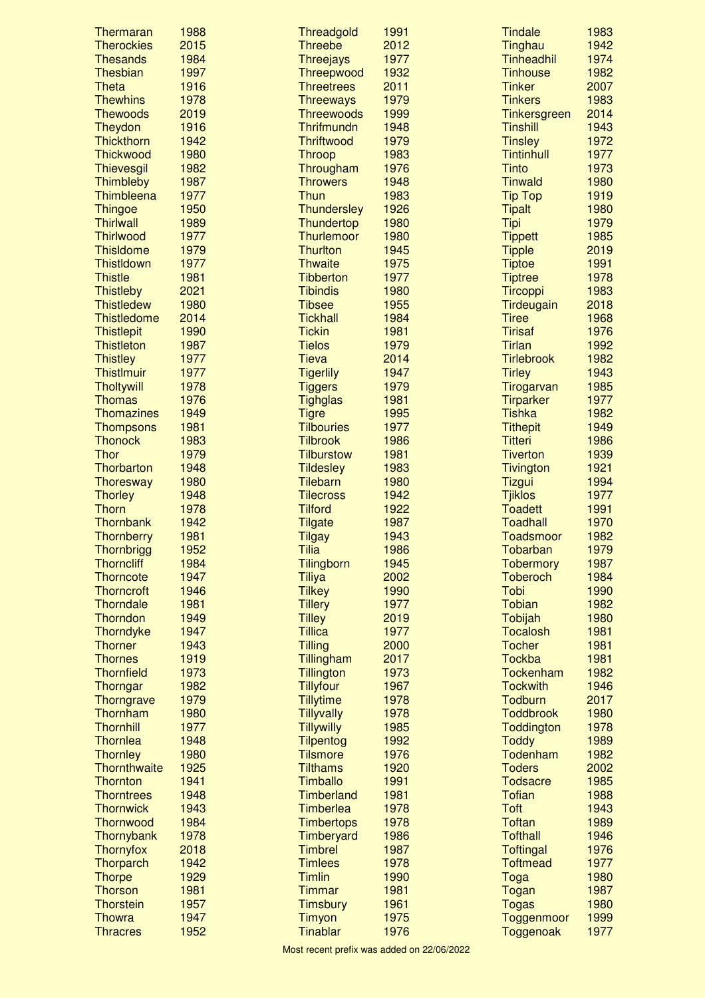| Thermaran                     | 1988         | Threadgold                           | 1991         | <b>Tindale</b>                   | 1983         |
|-------------------------------|--------------|--------------------------------------|--------------|----------------------------------|--------------|
| <b>Therockies</b>             | 2015         | <b>Threebe</b>                       | 2012         | Tinghau                          | 1942         |
| <b>Thesands</b>               | 1984         | <b>Threejays</b>                     | 1977         | <b>Tinheadhil</b>                | 1974         |
| Thesbian                      | 1997         | Threepwood                           | 1932         | <b>Tinhouse</b>                  | 1982         |
| <b>Theta</b>                  | 1916         | <b>Threetrees</b>                    | 2011         | <b>Tinker</b>                    | 2007         |
| <b>Thewhins</b>               | 1978         | <b>Threeways</b>                     | 1979         | <b>Tinkers</b>                   | 1983         |
| <b>Thewoods</b>               | 2019         | <b>Threewoods</b>                    | 1999         | Tinkersgreen                     | 2014         |
| Theydon                       | 1916         | Thrifmundn                           | 1948         | <b>Tinshill</b>                  | 1943         |
| Thickthorn                    | 1942         | <b>Thriftwood</b>                    | 1979         | <b>Tinsley</b>                   | 1972         |
| <b>Thickwood</b>              | 1980         | <b>Throop</b>                        | 1983         | <b>Tintinhull</b>                | 1977         |
| Thievesgil<br>Thimbleby       | 1982<br>1987 | Througham<br><b>Throwers</b>         | 1976<br>1948 | <b>Tinto</b><br><b>Tinwald</b>   | 1973<br>1980 |
| Thimbleena                    | 1977         | Thun                                 | 1983         | <b>Tip Top</b>                   | 1919         |
| <b>Thingoe</b>                | 1950         | <b>Thundersley</b>                   | 1926         | <b>Tipalt</b>                    | 1980         |
| <b>Thirlwall</b>              | 1989         | Thundertop                           | 1980         | <b>Tipi</b>                      | 1979         |
| <b>Thirlwood</b>              | 1977         | <b>Thurlemoor</b>                    | 1980         | <b>Tippett</b>                   | 1985         |
| <b>Thisldome</b>              | 1979         | <b>Thurlton</b>                      | 1945         | <b>Tipple</b>                    | 2019         |
| <b>ThistIdown</b>             | 1977         | <b>Thwaite</b>                       | 1975         | <b>Tiptoe</b>                    | 1991         |
| <b>Thistle</b>                | 1981         | <b>Tibberton</b>                     | 1977         | <b>Tiptree</b>                   | 1978         |
| <b>Thistleby</b>              | 2021         | <b>Tibindis</b>                      | 1980         | <b>Tircoppi</b>                  | 1983         |
| <b>Thistledew</b>             | 1980         | <b>Tibsee</b>                        | 1955         | Tirdeugain                       | 2018         |
| <b>Thistledome</b>            | 2014         | <b>Tickhall</b>                      | 1984         | <b>Tiree</b>                     | 1968         |
| <b>Thistlepit</b>             | 1990         | <b>Tickin</b>                        | 1981         | <b>Tirisaf</b>                   | 1976         |
| <b>Thistleton</b>             | 1987         | <b>Tielos</b>                        | 1979         | <b>Tirlan</b>                    | 1992         |
| <b>Thistley</b>               | 1977         | <b>Tieva</b>                         | 2014         | <b>Tirlebrook</b>                | 1982         |
| <b>ThistImuir</b>             | 1977         | <b>Tigerlily</b>                     | 1947         | <b>Tirley</b>                    | 1943         |
| <b>Tholtywill</b>             | 1978         | <b>Tiggers</b>                       | 1979         | Tirogarvan                       | 1985         |
| <b>Thomas</b>                 | 1976         | <b>Tighglas</b>                      | 1981         | <b>Tirparker</b>                 | 1977         |
| <b>Thomazines</b>             | 1949         | <b>Tigre</b>                         | 1995         | <b>Tishka</b>                    | 1982         |
| <b>Thompsons</b>              | 1981         | <b>Tilbouries</b>                    | 1977         | <b>Tithepit</b>                  | 1949         |
| <b>Thonock</b>                | 1983         | <b>Tilbrook</b>                      | 1986         | <b>Titteri</b>                   | 1986         |
| <b>Thor</b>                   | 1979         | <b>Tilburstow</b>                    | 1981         | <b>Tiverton</b>                  | 1939         |
| Thorbarton                    | 1948         | <b>Tildesley</b>                     | 1983         | Tivington                        | 1921         |
| Thoresway                     | 1980         | <b>Tilebarn</b>                      | 1980         | <b>Tizgui</b>                    | 1994         |
| <b>Thorley</b>                | 1948         | <b>Tilecross</b>                     | 1942<br>1922 | <b>Tjiklos</b><br><b>Toadett</b> | 1977         |
| <b>Thorn</b><br>Thornbank     | 1978<br>1942 | <b>Tilford</b><br><b>Tilgate</b>     | 1987         | <b>Toadhall</b>                  | 1991<br>1970 |
| Thornberry                    | 1981         | <b>Tilgay</b>                        | 1943         | <b>Toadsmoor</b>                 | 1982         |
| Thornbrigg                    | 1952         | <b>Tilia</b>                         | 1986         | Tobarban                         | 1979         |
| <b>Thorncliff</b>             | 1984         | <b>Tilingborn</b>                    | 1945         | <b>Tobermory</b>                 | 1987         |
| <b>Thorncote</b>              | 1947         | <b>Tiliya</b>                        | 2002         | <b>Toberoch</b>                  | 1984         |
| <b>Thorncroft</b>             | 1946         | <b>Tilkey</b>                        | 1990         | Tobi                             | 1990         |
| <b>Thorndale</b>              | 1981         | <b>Tillery</b>                       | 1977         | <b>Tobian</b>                    | 1982         |
| Thorndon                      | 1949         | <b>Tilley</b>                        | 2019         | Tobijah                          | 1980         |
| Thorndyke                     | 1947         | <b>Tillica</b>                       | 1977         | <b>Tocalosh</b>                  | 1981         |
| <b>Thorner</b>                | 1943         | <b>Tilling</b>                       | 2000         | <b>Tocher</b>                    | 1981         |
| <b>Thornes</b>                | 1919         | Tillingham                           | 2017         | <b>Tockba</b>                    | 1981         |
| <b>Thornfield</b>             | 1973         | <b>Tillington</b>                    | 1973         | Tockenham                        | 1982         |
| Thorngar                      | 1982         | <b>Tillyfour</b>                     | 1967         | <b>Tockwith</b>                  | 1946         |
| Thorngrave                    | 1979         | <b>Tillytime</b>                     | 1978         | Todburn                          | 2017         |
| Thornham                      | 1980         | <b>Tillyvally</b>                    | 1978         | <b>Toddbrook</b>                 | 1980         |
| <b>Thornhill</b>              | 1977         | <b>Tillywilly</b>                    | 1985         | Toddington                       | 1978         |
| Thornlea                      | 1948         | <b>Tilpentog</b>                     | 1992         | <b>Toddy</b>                     | 1989         |
| Thornley                      | 1980         | <b>Tilsmore</b>                      | 1976         | Todenham                         | 1982         |
| Thornthwaite                  | 1925         | <b>Tilthams</b>                      | 1920         | <b>Toders</b>                    | 2002         |
| Thornton                      | 1941<br>1948 | <b>Timballo</b><br><b>Timberland</b> | 1991         | <b>Todsacre</b><br><b>Tofian</b> | 1985         |
| <b>Thorntrees</b>             | 1943         | <b>Timberlea</b>                     | 1981         | <b>Toft</b>                      | 1988         |
| <b>Thornwick</b><br>Thornwood | 1984         | <b>Timbertops</b>                    | 1978<br>1978 | <b>Toftan</b>                    | 1943<br>1989 |
| Thornybank                    | 1978         | Timberyard                           | 1986         | <b>Tofthall</b>                  | 1946         |
| <b>Thornyfox</b>              | 2018         | <b>Timbrel</b>                       | 1987         | <b>Toftingal</b>                 | 1976         |
| Thorparch                     | 1942         | <b>Timlees</b>                       | 1978         | <b>Toftmead</b>                  | 1977         |
| <b>Thorpe</b>                 | 1929         | <b>Timlin</b>                        | 1990         | Toga                             | 1980         |
| <b>Thorson</b>                | 1981         | Timmar                               | 1981         | Togan                            | 1987         |
| <b>Thorstein</b>              | 1957         | <b>Timsbury</b>                      | 1961         | <b>Togas</b>                     | 1980         |
| <b>Thowra</b>                 | 1947         | <b>Timyon</b>                        | 1975         | Toggenmoor                       | 1999         |
| <b>Thracres</b>               | 1952         | <b>Tinablar</b>                      | 1976         | Toggenoak                        | 1977         |
|                               |              |                                      |              |                                  |              |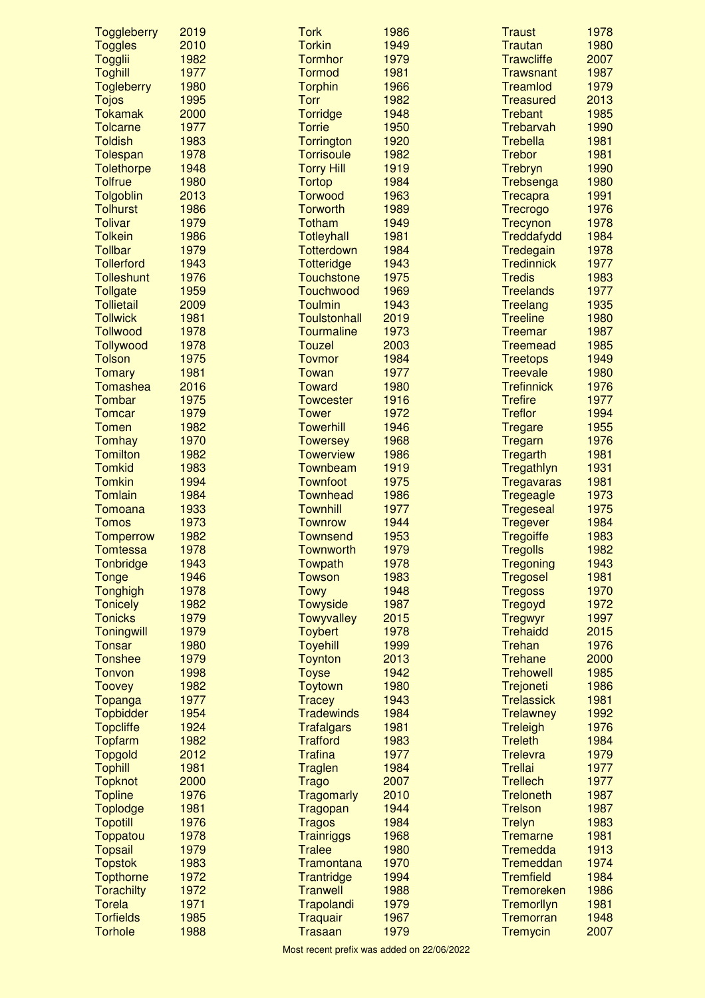| Toggleberry                      | 2019         | <b>Tork</b>                        | 1986         | <b>Traust</b>                       | 1978         |
|----------------------------------|--------------|------------------------------------|--------------|-------------------------------------|--------------|
| <b>Toggles</b>                   | 2010         | <b>Torkin</b>                      | 1949         | <b>Trautan</b>                      | 1980         |
| Togglii                          | 1982         | <b>Tormhor</b>                     | 1979         | <b>Trawcliffe</b>                   | 2007         |
| <b>Toghill</b>                   | 1977         | <b>Tormod</b>                      | 1981         | <b>Trawsnant</b>                    | 1987         |
| <b>Togleberry</b>                | 1980         | <b>Torphin</b>                     | 1966         | Treamlod                            | 1979         |
| <b>Tojos</b>                     | 1995         | <b>Torr</b>                        | 1982         | <b>Treasured</b>                    | 2013         |
| <b>Tokamak</b>                   | 2000         | <b>Torridge</b>                    | 1948         | <b>Trebant</b>                      | 1985         |
| <b>Tolcarne</b>                  | 1977         | <b>Torrie</b>                      | 1950         | Trebarvah                           | 1990         |
| <b>Toldish</b>                   | 1983         | <b>Torrington</b>                  | 1920         | <b>Trebella</b>                     | 1981         |
| Tolespan                         | 1978         | <b>Torrisoule</b>                  | 1982         | <b>Trebor</b>                       | 1981         |
| <b>Tolethorpe</b>                | 1948         | <b>Torry Hill</b>                  | 1919         | Trebryn                             | 1990         |
| <b>Tolfrue</b>                   | 1980<br>2013 | <b>Tortop</b><br><b>Torwood</b>    | 1984         | Trebsenga                           | 1980<br>1991 |
| Tolgoblin<br><b>Tolhurst</b>     | 1986         | <b>Torworth</b>                    | 1963<br>1989 | Trecapra<br>Trecrogo                | 1976         |
| <b>Tolivar</b>                   | 1979         | <b>Totham</b>                      | 1949         | Trecynon                            | 1978         |
| <b>Tolkein</b>                   | 1986         | Totleyhall                         | 1981         | Treddafydd                          | 1984         |
| <b>Tollbar</b>                   | 1979         | <b>Totterdown</b>                  | 1984         | Tredegain                           | 1978         |
| <b>Tollerford</b>                | 1943         | <b>Totteridge</b>                  | 1943         | <b>Tredinnick</b>                   | 1977         |
| <b>Tolleshunt</b>                | 1976         | <b>Touchstone</b>                  | 1975         | <b>Tredis</b>                       | 1983         |
| <b>Tollgate</b>                  | 1959         | Touchwood                          | 1969         | <b>Treelands</b>                    | 1977         |
| <b>Tollietail</b>                | 2009         | <b>Toulmin</b>                     | 1943         | Treelang                            | 1935         |
| <b>Tollwick</b>                  | 1981         | <b>Toulstonhall</b>                | 2019         | <b>Treeline</b>                     | 1980         |
| <b>Tollwood</b>                  | 1978         | <b>Tourmaline</b>                  | 1973         | <b>Treemar</b>                      | 1987         |
| <b>Tollywood</b>                 | 1978         | <b>Touzel</b>                      | 2003         | <b>Treemead</b>                     | 1985         |
| <b>Tolson</b>                    | 1975         | <b>Tovmor</b>                      | 1984         | <b>Treetops</b>                     | 1949         |
| <b>Tomary</b>                    | 1981         | Towan                              | 1977         | <b>Treevale</b>                     | 1980         |
| Tomashea                         | 2016         | <b>Toward</b>                      | 1980         | <b>Trefinnick</b>                   | 1976         |
| Tombar                           | 1975         | <b>Towcester</b>                   | 1916         | <b>Trefire</b>                      | 1977         |
| <b>Tomcar</b>                    | 1979         | <b>Tower</b>                       | 1972         | <b>Treflor</b>                      | 1994         |
| <b>Tomen</b>                     | 1982         | <b>Towerhill</b>                   | 1946         | <b>Tregare</b>                      | 1955         |
| <b>Tomhay</b>                    | 1970         | <b>Towersey</b>                    | 1968         | Tregarn                             | 1976         |
| <b>Tomilton</b>                  | 1982         | <b>Towerview</b>                   | 1986         | Tregarth                            | 1981         |
| <b>Tomkid</b>                    | 1983         | Townbeam                           | 1919         | Tregathlyn                          | 1931         |
| <b>Tomkin</b>                    | 1994         | <b>Townfoot</b>                    | 1975         | <b>Tregavaras</b>                   | 1981         |
| <b>Tomlain</b>                   | 1984         | <b>Townhead</b>                    | 1986         | <b>Tregeagle</b>                    | 1973         |
| Tomoana                          | 1933         | <b>Townhill</b><br><b>Townrow</b>  | 1977         | <b>Tregeseal</b>                    | 1975         |
| <b>Tomos</b><br><b>Tomperrow</b> | 1973<br>1982 | <b>Townsend</b>                    | 1944<br>1953 | <b>Tregever</b><br><b>Tregoiffe</b> | 1984<br>1983 |
| <b>Tomtessa</b>                  | 1978         | <b>Townworth</b>                   | 1979         | <b>Tregolls</b>                     | 1982         |
| Tonbridge                        | 1943         | Towpath                            | 1978         | <b>Tregoning</b>                    | 1943         |
| <b>Tonge</b>                     | 1946         | <b>Towson</b>                      | 1983         | <b>Tregosel</b>                     | 1981         |
| Tonghigh                         | 1978         | <b>Towy</b>                        | 1948         | <b>Tregoss</b>                      | 1970         |
| <b>Tonicely</b>                  | 1982         | <b>Towyside</b>                    | 1987         | <b>Tregoyd</b>                      | 1972         |
| <b>Tonicks</b>                   | 1979         | <b>Towyvalley</b>                  | 2015         | <b>Tregwyr</b>                      | 1997         |
| <b>Toningwill</b>                | 1979         | <b>Toybert</b>                     | 1978         | <b>Trehaidd</b>                     | 2015         |
| Tonsar                           | 1980         | <b>Toyehill</b>                    | 1999         | <b>Trehan</b>                       | 1976         |
| <b>Tonshee</b>                   | 1979         | <b>Toynton</b>                     | 2013         | <b>Trehane</b>                      | 2000         |
| Tonvon                           | 1998         | <b>Toyse</b>                       | 1942         | <b>Trehowell</b>                    | 1985         |
| <b>Toovey</b>                    | 1982         | <b>Toytown</b>                     | 1980         | Trejoneti                           | 1986         |
| Topanga                          | 1977         | <b>Tracey</b>                      | 1943         | <b>Trelassick</b>                   | 1981         |
| <b>Topbidder</b>                 | 1954         | <b>Tradewinds</b>                  | 1984         | <b>Trelawney</b>                    | 1992         |
| <b>Topcliffe</b>                 | 1924         | <b>Trafalgars</b>                  | 1981         | Treleigh                            | 1976         |
| <b>Topfarm</b>                   | 1982         | <b>Trafford</b>                    | 1983         | <b>Treleth</b>                      | 1984         |
| <b>Topgold</b>                   | 2012         | <b>Trafina</b>                     | 1977         | <b>Trelevra</b>                     | 1979         |
| <b>Tophill</b>                   | 1981         | <b>Traglen</b>                     | 1984         | <b>Trellai</b>                      | 1977         |
| <b>Topknot</b>                   | 2000         | Trago                              | 2007         | <b>Trellech</b>                     | 1977         |
| <b>Topline</b>                   | 1976         | Tragomarly                         | 2010<br>1944 | <b>Treloneth</b><br><b>Trelson</b>  | 1987<br>1987 |
| <b>Toplodge</b>                  | 1981<br>1976 | Tragopan                           | 1984         | <b>Trelyn</b>                       | 1983         |
| <b>Topotill</b><br>Toppatou      | 1978         | <b>Tragos</b><br><b>Trainriggs</b> | 1968         | <b>Tremarne</b>                     | 1981         |
| <b>Topsail</b>                   | 1979         | <b>Tralee</b>                      | 1980         | <b>Tremedda</b>                     | 1913         |
| <b>Topstok</b>                   | 1983         | <b>Tramontana</b>                  | 1970         | Tremeddan                           | 1974         |
| <b>Topthorne</b>                 | 1972         | Trantridge                         | 1994         | <b>Tremfield</b>                    | 1984         |
| <b>Torachilty</b>                | 1972         | <b>Tranwell</b>                    | 1988         | <b>Tremoreken</b>                   | 1986         |
| <b>Torela</b>                    | 1971         | Trapolandi                         | 1979         | Tremorllyn                          | 1981         |
| <b>Torfields</b>                 | 1985         | <b>Traquair</b>                    | 1967         | Tremorran                           | 1948         |
| <b>Torhole</b>                   | 1988         | <b>Trasaan</b>                     | 1979         | Tremycin                            | 2007         |
|                                  |              |                                    |              |                                     |              |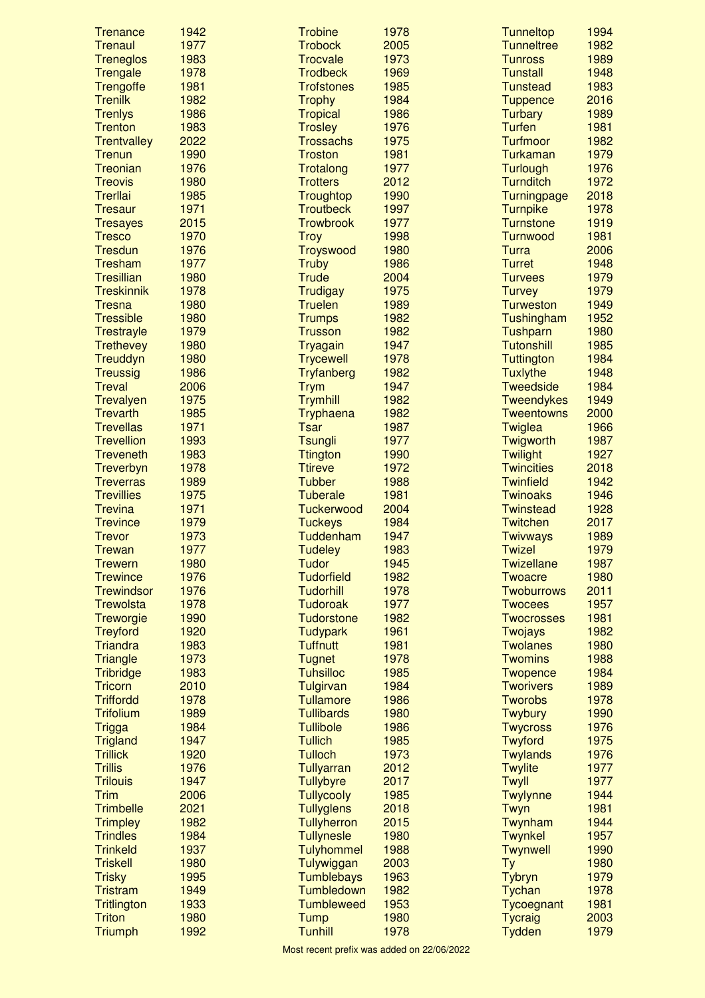| <b>Trenance</b>                    | 1942         | <b>Trobine</b>                      | 1978         | <b>Tunneltop</b>                    | 1994         |
|------------------------------------|--------------|-------------------------------------|--------------|-------------------------------------|--------------|
| <b>Trenaul</b>                     | 1977         | <b>Trobock</b>                      | 2005         | <b>Tunneltree</b>                   | 1982         |
| <b>Treneglos</b>                   | 1983         | <b>Trocvale</b>                     | 1973         | <b>Tunross</b>                      | 1989         |
| Trengale                           | 1978         | <b>Trodbeck</b>                     | 1969         | <b>Tunstall</b>                     | 1948         |
| Trengoffe                          | 1981         | <b>Trofstones</b>                   | 1985         | <b>Tunstead</b>                     | 1983         |
| <b>Trenilk</b>                     | 1982         | <b>Trophy</b>                       | 1984         | <b>Tuppence</b>                     | 2016         |
| <b>Trenlys</b>                     | 1986         | <b>Tropical</b>                     | 1986         | <b>Turbary</b>                      | 1989         |
| <b>Trenton</b>                     | 1983         | <b>Trosley</b>                      | 1976         | <b>Turfen</b>                       | 1981         |
| <b>Trentvalley</b>                 | 2022         | <b>Trossachs</b>                    | 1975         | <b>Turfmoor</b>                     | 1982         |
| <b>Trenun</b>                      | 1990         | <b>Troston</b>                      | 1981         | <b>Turkaman</b>                     | 1979         |
| Treonian                           | 1976         | Trotalong                           | 1977         | <b>Turlough</b>                     | 1976         |
| <b>Treovis</b>                     | 1980         | <b>Trotters</b>                     | 2012         | <b>Turnditch</b>                    | 1972<br>2018 |
| Trerllai<br><b>Tresaur</b>         | 1985<br>1971 | Troughtop<br><b>Troutbeck</b>       | 1990<br>1997 | Turningpage                         | 1978         |
| <b>Tresayes</b>                    | 2015         | <b>Trowbrook</b>                    | 1977         | <b>Turnpike</b><br><b>Turnstone</b> | 1919         |
| <b>Tresco</b>                      | 1970         | <b>Troy</b>                         | 1998         | <b>Turnwood</b>                     | 1981         |
| <b>Tresdun</b>                     | 1976         | Troyswood                           | 1980         | <b>Turra</b>                        | 2006         |
| <b>Tresham</b>                     | 1977         | <b>Truby</b>                        | 1986         | <b>Turret</b>                       | 1948         |
| <b>Tresillian</b>                  | 1980         | <b>Trude</b>                        | 2004         | <b>Turvees</b>                      | 1979         |
| <b>Treskinnik</b>                  | 1978         | Trudigay                            | 1975         | <b>Turvey</b>                       | 1979         |
| <b>Tresna</b>                      | 1980         | <b>Truelen</b>                      | 1989         | <b>Turweston</b>                    | 1949         |
| <b>Tressible</b>                   | 1980         | <b>Trumps</b>                       | 1982         | Tushingham                          | 1952         |
| <b>Trestrayle</b>                  | 1979         | <b>Trusson</b>                      | 1982         | Tushparn                            | 1980         |
| <b>Trethevey</b>                   | 1980         | <b>Tryagain</b>                     | 1947         | <b>Tutonshill</b>                   | 1985         |
| Treuddyn                           | 1980         | <b>Trycewell</b>                    | 1978         | <b>Tuttington</b>                   | 1984         |
| <b>Treussig</b>                    | 1986         | <b>Tryfanberg</b>                   | 1982         | <b>Tuxlythe</b>                     | 1948         |
| <b>Treval</b>                      | 2006         | <b>Trym</b>                         | 1947         | <b>Tweedside</b>                    | 1984         |
| Trevalyen                          | 1975         | <b>Trymhill</b>                     | 1982         | <b>Tweendykes</b>                   | 1949         |
| <b>Trevarth</b>                    | 1985         | Tryphaena                           | 1982         | <b>Tweentowns</b>                   | 2000         |
| <b>Trevellas</b>                   | 1971         | <b>Tsar</b>                         | 1987         | Twiglea                             | 1966         |
| <b>Trevellion</b>                  | 1993         | <b>Tsungli</b>                      | 1977         | Twigworth                           | 1987         |
| <b>Treveneth</b>                   | 1983         | <b>Ttington</b>                     | 1990         | <b>Twilight</b>                     | 1927         |
| Treverbyn                          | 1978         | <b>Ttireve</b>                      | 1972         | <b>Twincities</b>                   | 2018         |
| <b>Treverras</b>                   | 1989         | <b>Tubber</b>                       | 1988         | <b>Twinfield</b>                    | 1942         |
| <b>Trevillies</b>                  | 1975         | <b>Tuberale</b>                     | 1981         | <b>Twinoaks</b>                     | 1946         |
| <b>Trevina</b>                     | 1971         | Tuckerwood                          | 2004         | <b>Twinstead</b>                    | 1928         |
| <b>Trevince</b>                    | 1979         | <b>Tuckeys</b>                      | 1984         | <b>Twitchen</b>                     | 2017         |
| <b>Trevor</b>                      | 1973         | Tuddenham                           | 1947         | <b>Twivways</b>                     | 1989         |
| <b>Trewan</b>                      | 1977         | <b>Tudeley</b>                      | 1983         | <b>Twizel</b>                       | 1979         |
| <b>Trewern</b>                     | 1980         | <b>Tudor</b>                        | 1945         | <b>Twizellane</b>                   | 1987         |
| <b>Trewince</b>                    | 1976         | <b>Tudorfield</b>                   | 1982         | <b>Twoacre</b>                      | 1980         |
| <b>Trewindsor</b>                  | 1976         | <b>Tudorhill</b><br><b>Tudoroak</b> | 1978         | <b>Twoburrows</b>                   | 2011         |
| <b>Trewolsta</b>                   | 1978<br>1990 | <b>Tudorstone</b>                   | 1977<br>1982 | <b>Twocees</b><br><b>Twocrosses</b> | 1957<br>1981 |
| Treworgie                          | 1920         |                                     | 1961         |                                     | 1982         |
| <b>Treyford</b><br><b>Triandra</b> | 1983         | <b>Tudypark</b><br><b>Tuffnutt</b>  | 1981         | Twojays<br><b>Twolanes</b>          | 1980         |
| <b>Triangle</b>                    | 1973         | <b>Tugnet</b>                       | 1978         | <b>Twomins</b>                      | 1988         |
| <b>Tribridge</b>                   | 1983         | <b>Tuhsilloc</b>                    | 1985         | <b>Twopence</b>                     | 1984         |
| <b>Tricorn</b>                     | 2010         | Tulgirvan                           | 1984         | <b>Tworivers</b>                    | 1989         |
| <b>Triffordd</b>                   | 1978         | <b>Tullamore</b>                    | 1986         | <b>Tworobs</b>                      | 1978         |
| <b>Trifolium</b>                   | 1989         | <b>Tullibards</b>                   | 1980         | <b>Twybury</b>                      | 1990         |
| <b>Trigga</b>                      | 1984         | <b>Tullibole</b>                    | 1986         | <b>Twycross</b>                     | 1976         |
| <b>Trigland</b>                    | 1947         | <b>Tullich</b>                      | 1985         | <b>Twyford</b>                      | 1975         |
| <b>Trillick</b>                    | 1920         | <b>Tulloch</b>                      | 1973         | <b>Twylands</b>                     | 1976         |
| <b>Trillis</b>                     | 1976         | Tullyarran                          | 2012         | <b>Twylite</b>                      | 1977         |
| <b>Trilouis</b>                    | 1947         | <b>Tullybyre</b>                    | 2017         | Twyll                               | 1977         |
| <b>Trim</b>                        | 2006         | <b>Tullycooly</b>                   | 1985         | Twylynne                            | 1944         |
| <b>Trimbelle</b>                   | 2021         | <b>Tullyglens</b>                   | 2018         | Twyn                                | 1981         |
| <b>Trimpley</b>                    | 1982         | <b>Tullyherron</b>                  | 2015         | Twynham                             | 1944         |
| <b>Trindles</b>                    | 1984         | <b>Tullynesle</b>                   | 1980         | <b>Twynkel</b>                      | 1957         |
| <b>Trinkeld</b>                    | 1937         | <b>Tulyhommel</b>                   | 1988         | Twynwell                            | 1990         |
| <b>Triskell</b>                    | 1980         | Tulywiggan                          | 2003         | Ty                                  | 1980         |
| <b>Trisky</b>                      |              | <b>Tumblebays</b>                   | 1963         | <b>Tybryn</b>                       | 1979         |
|                                    | 1995         |                                     |              |                                     |              |
| <b>Tristram</b>                    | 1949         | Tumbledown                          | 1982         | Tychan                              | 1978         |
| <b>Tritlington</b>                 | 1933         | <b>Tumbleweed</b>                   | 1953         | Tycoegnant                          | 1981         |
| <b>Triton</b><br><b>Triumph</b>    | 1980<br>1992 | <b>Tump</b><br><b>Tunhill</b>       | 1980<br>1978 | <b>Tycraig</b><br><b>Tydden</b>     | 2003<br>1979 |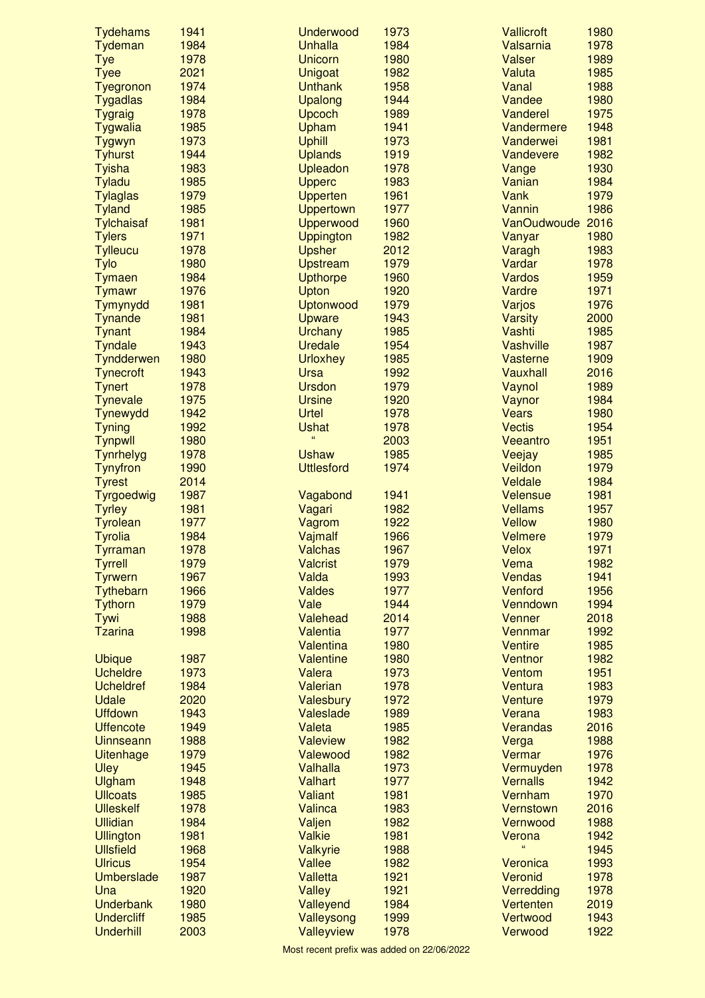| <b>Tydehams</b>                   | 1941         | <b>Underwood</b>             | 1973         | <b>Vallicroft</b>        | 1980         |
|-----------------------------------|--------------|------------------------------|--------------|--------------------------|--------------|
| Tydeman                           | 1984         | <b>Unhalla</b>               | 1984         | Valsarnia                | 1978         |
| <b>Tye</b>                        | 1978         | <b>Unicorn</b>               | 1980         | Valser                   | 1989         |
| <b>Tyee</b>                       | 2021         | Unigoat                      | 1982         | Valuta                   | 1985         |
| Tyegronon                         | 1974         | <b>Unthank</b>               | 1958         | Vanal                    | 1988         |
| <b>Tygadlas</b>                   | 1984         | Upalong                      | 1944         | Vandee                   | 1980         |
| <b>Tygraig</b><br>Tygwalia        | 1978<br>1985 | Upcoch<br>Upham              | 1989<br>1941 | Vanderel<br>Vandermere   | 1975<br>1948 |
| Tygwyn                            | 1973         | <b>Uphill</b>                | 1973         | Vanderwei                | 1981         |
| <b>Tyhurst</b>                    | 1944         | <b>Uplands</b>               | 1919         | Vandevere                | 1982         |
| <b>Tyisha</b>                     | 1983         | <b>Upleadon</b>              | 1978         | Vange                    | 1930         |
| <b>Tyladu</b>                     | 1985         | <b>Upperc</b>                | 1983         | Vanian                   | 1984         |
| <b>Tylaglas</b>                   | 1979         | <b>Upperten</b>              | 1961         | Vank                     | 1979         |
| <b>Tyland</b>                     | 1985         | <b>Uppertown</b>             | 1977         | Vannin                   | 1986         |
| <b>Tylchaisaf</b>                 | 1981         | Upperwood                    | 1960         | VanOudwoude 2016         |              |
| <b>Tylers</b>                     | 1971         | <b>Uppington</b>             | 1982         | Vanyar                   | 1980         |
| <b>Tylleucu</b>                   | 1978         | <b>Upsher</b>                | 2012         | Varagh                   | 1983         |
| Tylo                              | 1980         | <b>Upstream</b>              | 1979         | Vardar                   | 1978         |
| <b>Tymaen</b>                     | 1984         | <b>Upthorpe</b>              | 1960         | <b>Vardos</b>            | 1959         |
| <b>Tymawr</b>                     | 1976         | Upton                        | 1920         | Vardre                   | 1971         |
| Tymynydd<br>Tynande               | 1981<br>1981 | Uptonwood                    | 1979<br>1943 | Varjos<br><b>Varsity</b> | 1976<br>2000 |
| <b>Tynant</b>                     | 1984         | Upware<br><b>Urchany</b>     | 1985         | Vashti                   | 1985         |
| <b>Tyndale</b>                    | 1943         | Uredale                      | 1954         | Vashville                | 1987         |
| Tyndderwen                        | 1980         | <b>Urloxhey</b>              | 1985         | Vasterne                 | 1909         |
| <b>Tynecroft</b>                  | 1943         | <b>Ursa</b>                  | 1992         | Vauxhall                 | 2016         |
| <b>Tynert</b>                     | 1978         | <b>Ursdon</b>                | 1979         | Vaynol                   | 1989         |
| <b>Tynevale</b>                   | 1975         | <b>Ursine</b>                | 1920         | Vaynor                   | 1984         |
| Tynewydd                          | 1942         | Urtel                        | 1978         | <b>Vears</b>             | 1980         |
| <b>Tyning</b>                     | 1992         | <b>Ushat</b>                 | 1978         | <b>Vectis</b>            | 1954         |
| <b>Tynpwll</b>                    | 1980         | 66                           | 2003         | Veeantro                 | 1951         |
| Tynrhelyg                         | 1978         | <b>Ushaw</b>                 | 1985         | Veejay                   | 1985         |
| <b>Tynyfron</b>                   | 1990         | <b>Uttlesford</b>            | 1974         | Veildon                  | 1979         |
| <b>Tyrest</b>                     | 2014         |                              |              | Veldale                  | 1984         |
| Tyrgoedwig                        | 1987         | Vagabond                     | 1941         | Velensue                 | 1981         |
| <b>Tyrley</b>                     | 1981<br>1977 | Vagari                       | 1982<br>1922 | <b>Vellams</b><br>Vellow | 1957<br>1980 |
| <b>Tyrolean</b><br><b>Tyrolia</b> | 1984         | Vagrom<br>Vajmalf            | 1966         | <b>Velmere</b>           | 1979         |
| Tyrraman                          | 1978         | <b>Valchas</b>               | 1967         | <b>Velox</b>             | 1971         |
| <b>Tyrrell</b>                    | 1979         | <b>Valcrist</b>              | 1979         | Vema                     | 1982         |
| <b>Tyrwern</b>                    | 1967         | Valda                        | 1993         | <b>Vendas</b>            | 1941         |
| Tythebarn                         | 1966         | <b>Valdes</b>                | 1977         | Venford                  | 1956         |
| <b>Tythorn</b>                    | 1979         | Vale                         | 1944         | Venndown                 | 1994         |
| Tywi                              | 1988         | Valehead                     | 2014         | Venner                   | 2018         |
| <b>Tzarina</b>                    | 1998         | Valentia                     | 1977         | Vennmar                  | 1992         |
|                                   |              | <b>Valentina</b>             | 1980         | <b>Ventire</b>           | 1985         |
| <b>Ubique</b>                     | 1987         | <b>Valentine</b>             | 1980         | Ventnor                  | 1982         |
| <b>Ucheldre</b>                   | 1973         | Valera                       | 1973         | Ventom                   | 1951         |
| <b>Ucheldref</b><br>Udale         | 1984<br>2020 | Valerian<br><b>Valesbury</b> | 1978<br>1972 | Ventura<br>Venture       | 1983<br>1979 |
| <b>Uffdown</b>                    | 1943         | Valeslade                    | 1989         | Verana                   | 1983         |
| <b>Uffencote</b>                  | 1949         | Valeta                       | 1985         | <b>Verandas</b>          | 2016         |
| Uinnseann                         | 1988         | <b>Valeview</b>              | 1982         | Verga                    | 1988         |
| <b>Uitenhage</b>                  | 1979         | Valewood                     | 1982         | Vermar                   | 1976         |
| Uley                              | 1945         | <b>Valhalla</b>              | 1973         | Vermuyden                | 1978         |
| Ulgham                            | 1948         | <b>Valhart</b>               | 1977         | <b>Vernalls</b>          | 1942         |
| <b>Ullcoats</b>                   | 1985         | <b>Valiant</b>               | 1981         | Vernham                  | 1970         |
| <b>Ulleskelf</b>                  | 1978         | <b>Valinca</b>               | 1983         | Vernstown                | 2016         |
| <b>Ullidian</b>                   | 1984         | Valjen                       | 1982         | Vernwood                 | 1988         |
| <b>Ullington</b>                  | 1981         | <b>Valkie</b>                | 1981         | Verona<br>Ġ.             | 1942         |
| <b>Ullsfield</b>                  | 1968         | Valkyrie                     | 1988         |                          | 1945         |
| <b>Ulricus</b>                    | 1954         | Vallee                       | 1982         | Veronica                 | 1993         |
| Umberslade<br>Una                 | 1987<br>1920 | <b>Valletta</b>              | 1921         | Veronid                  | 1978<br>1978 |
| <b>Underbank</b>                  | 1980         | <b>Valley</b><br>Valleyend   | 1921<br>1984 | Verredding<br>Vertenten  | 2019         |
| <b>Undercliff</b>                 | 1985         | Valleysong                   | 1999         | Vertwood                 | 1943         |
| <b>Underhill</b>                  | 2003         | Valleyview                   | 1978         | Verwood                  | 1922         |
|                                   |              |                              |              |                          |              |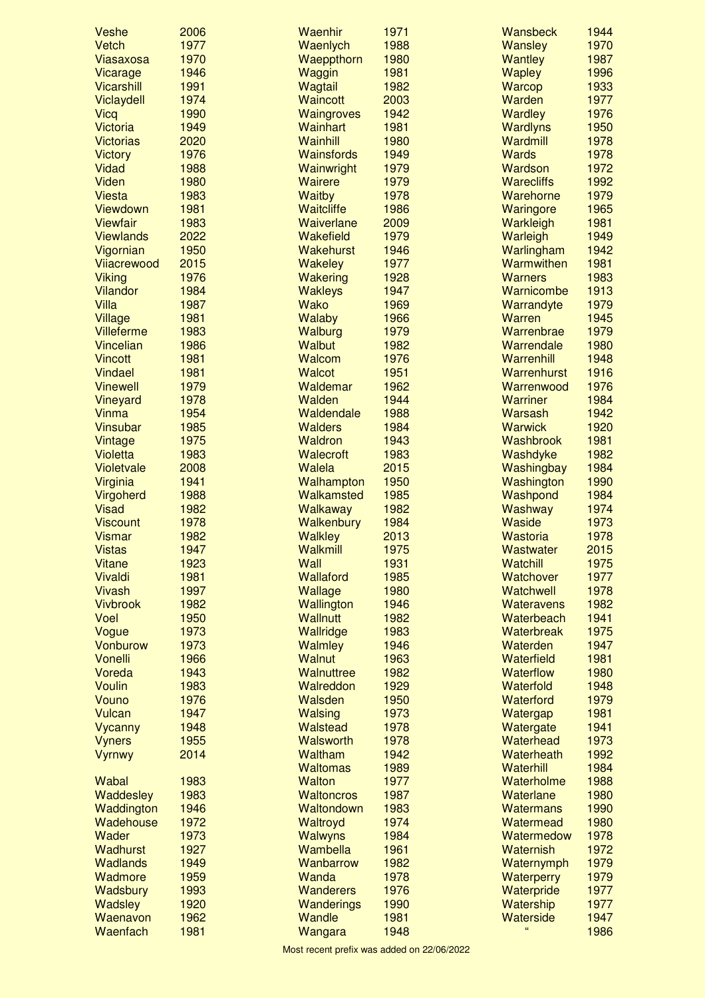| Veshe                   | 2006         | Waenhir           | 1971         | <b>Wansbeck</b>       | 1944         |
|-------------------------|--------------|-------------------|--------------|-----------------------|--------------|
| Vetch                   | 1977         | Waenlych          | 1988         | <b>Wansley</b>        | 1970         |
| Viasaxosa               | 1970         | Waeppthorn        | 1980         | <b>Wantley</b>        | 1987         |
| Vicarage                | 1946         | Waggin            | 1981         | <b>Wapley</b>         | 1996         |
| <b>Vicarshill</b>       | 1991         | Wagtail           | 1982         | Warcop                | 1933         |
| Viclaydell              | 1974         | <b>Waincott</b>   | 2003         | Warden                | 1977         |
| Vicq                    | 1990         | <b>Waingroves</b> | 1942         | <b>Wardley</b>        | 1976         |
| <b>Victoria</b>         | 1949         | Wainhart          | 1981         | <b>Wardlyns</b>       | 1950         |
| <b>Victorias</b>        | 2020         | Wainhill          | 1980         | Wardmill              | 1978         |
| <b>Victory</b>          | 1976         | <b>Wainsfords</b> | 1949         | <b>Wards</b>          | 1978         |
| Vidad                   | 1988         | Wainwright        | 1979         | Wardson               | 1972         |
| <b>Viden</b>            | 1980         | <b>Wairere</b>    | 1979         | <b>Warecliffs</b>     | 1992         |
| <b>Viesta</b>           | 1983         | <b>Waitby</b>     | 1978         | Warehorne             | 1979         |
| Viewdown                | 1981         | Waitcliffe        | 1986         | Waringore             | 1965         |
| <b>Viewfair</b>         | 1983         | Waiverlane        | 2009         | Warkleigh             | 1981         |
| <b>Viewlands</b>        | 2022         | Wakefield         | 1979         | Warleigh              | 1949         |
| Vigornian               | 1950         | <b>Wakehurst</b>  | 1946         | Warlingham            | 1942         |
| Vijacrewood             | 2015         | <b>Wakeley</b>    | 1977         | Warmwithen            | 1981         |
| <b>Viking</b>           | 1976         | Wakering          | 1928         | <b>Warners</b>        | 1983         |
| Vilandor                | 1984         | <b>Wakleys</b>    | 1947         | Warnicombe            | 1913         |
| Villa                   | 1987         | <b>Wako</b>       | 1969         | Warrandyte            | 1979         |
| <b>Village</b>          | 1981         | <b>Walaby</b>     | 1966         | Warren                | 1945         |
| <b>Villeferme</b>       | 1983         | Walburg           | 1979         | Warrenbrae            | 1979         |
| <b>Vincelian</b>        | 1986         | <b>Walbut</b>     | 1982         | Warrendale            | 1980         |
| <b>Vincott</b>          | 1981         | Walcom            | 1976         | Warrenhill            | 1948         |
| <b>Vindael</b>          | 1981         | <b>Walcot</b>     | 1951         | Warrenhurst           | 1916         |
| <b>Vinewell</b>         | 1979         | Waldemar          | 1962         | Warrenwood            | 1976         |
| Vineyard                | 1978         | Walden            | 1944         | <b>Warriner</b>       | 1984         |
| Vinma                   | 1954         | Waldendale        | 1988         | Warsash               | 1942         |
| <b>Vinsubar</b>         | 1985         | <b>Walders</b>    | 1984         | <b>Warwick</b>        | 1920         |
| Vintage                 | 1975         | <b>Waldron</b>    | 1943         | <b>Washbrook</b>      | 1981         |
| <b>Violetta</b>         | 1983         | Walecroft         | 1983         | Washdyke              | 1982         |
| Violetvale              | 2008         | Walela            | 2015         | Washingbay            | 1984         |
| Virginia                | 1941         | Walhampton        | 1950         | Washington            | 1990         |
| Virgoherd               | 1988         | Walkamsted        | 1985         | Washpond              | 1984         |
| <b>Visad</b>            | 1982         | Walkaway          | 1982         | <b>Washway</b>        | 1974         |
| <b>Viscount</b>         | 1978         | Walkenbury        | 1984         | Waside<br>Wastoria    | 1973         |
| <b>Vismar</b>           | 1982         | <b>Walkley</b>    | 2013         |                       | 1978         |
| <b>Vistas</b><br>Vitane | 1947<br>1923 | Walkmill<br>Wall  | 1975<br>1931 | Wastwater<br>Watchill | 2015<br>1975 |
| Vivaldi                 | 1981         | <b>Wallaford</b>  | 1985         | Watchover             | 1977         |
| <b>Vivash</b>           | 1997         | Wallage           | 1980         | Watchwell             | 1978         |
| <b>Vivbrook</b>         | 1982         | Wallington        | 1946         | <b>Wateravens</b>     | 1982         |
| Voel                    | 1950         | <b>Wallnutt</b>   | 1982         | Waterbeach            | 1941         |
| Vogue                   | 1973         | Wallridge         | 1983         | Waterbreak            | 1975         |
| Vonburow                | 1973         | Walmley           | 1946         | Waterden              | 1947         |
| Vonelli                 | 1966         | Walnut            | 1963         | Waterfield            | 1981         |
| Voreda                  | 1943         | Walnuttree        | 1982         | <b>Waterflow</b>      | 1980         |
| <b>Voulin</b>           | 1983         | Walreddon         | 1929         | Waterfold             | 1948         |
| Vouno                   | 1976         | Walsden           | 1950         | Waterford             | 1979         |
| Vulcan                  | 1947         | Walsing           | 1973         | Watergap              | 1981         |
| Vycanny                 | 1948         | Walstead          | 1978         | Watergate             | 1941         |
| <b>Vyners</b>           | 1955         | <b>Walsworth</b>  | 1978         | Waterhead             | 1973         |
| Vyrnwy                  | 2014         | Waltham           | 1942         | Waterheath            | 1992         |
|                         |              | <b>Waltomas</b>   | 1989         | Waterhill             | 1984         |
| Wabal                   | 1983         | <b>Walton</b>     | 1977         | Waterholme            | 1988         |
| Waddesley               | 1983         | <b>Waltoncros</b> | 1987         | Waterlane             | 1980         |
| Waddington              | 1946         | Waltondown        | 1983         | <b>Watermans</b>      | 1990         |
| Wadehouse               | 1972         | Waltroyd          | 1974         | Watermead             | 1980         |
| Wader                   | 1973         | Walwyns           | 1984         | Watermedow            | 1978         |
| Wadhurst                | 1927         | Wambella          | 1961         | <b>Waternish</b>      | 1972         |
| <b>Wadlands</b>         | 1949         | Wanbarrow         | 1982         | Waternymph            | 1979         |
| Wadmore                 | 1959         | Wanda             | 1978         | Waterperry            | 1979         |
| Wadsbury                | 1993         | <b>Wanderers</b>  | 1976         | Waterpride            | 1977         |
| <b>Wadsley</b>          | 1920         | Wanderings        | 1990         | Watership             | 1977         |
| Waenavon                | 1962         | Wandle            | 1981         | Waterside             | 1947         |
| Waenfach                | 1981         | Wangara           | 1948         | $\epsilon\epsilon$    | 1986         |
|                         |              |                   |              |                       |              |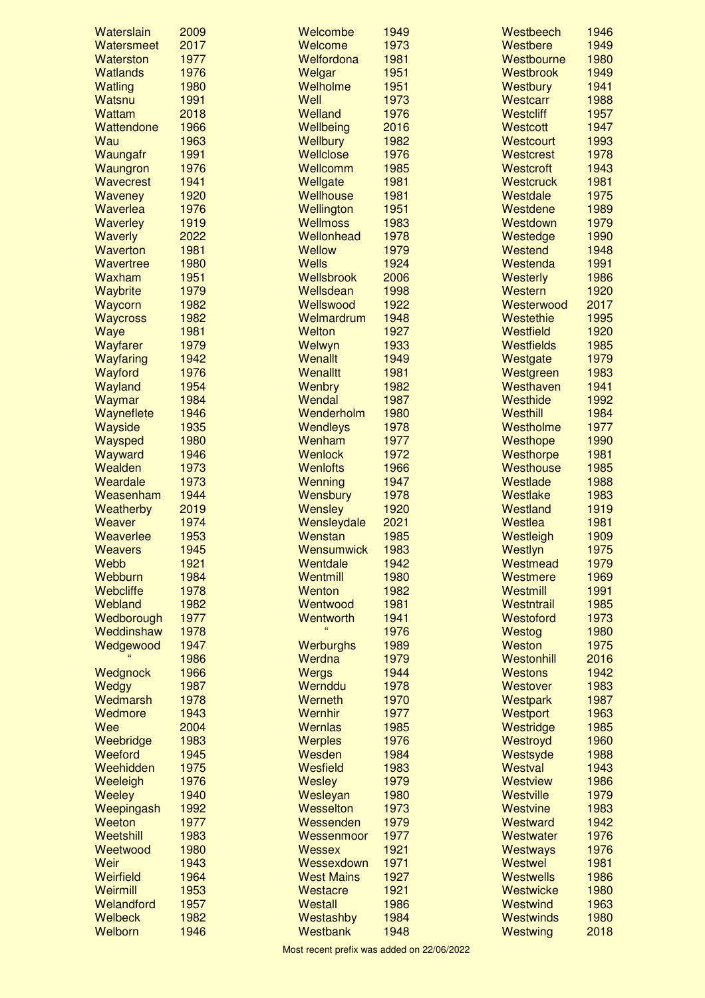| Waterslain       | 2009 | Welcombe          | 1949 | Westbeech         | 1946 |
|------------------|------|-------------------|------|-------------------|------|
| Watersmeet       | 2017 | Welcome           | 1973 | Westbere          | 1949 |
| Waterston        | 1977 | Welfordona        | 1981 | Westbourne        | 1980 |
| <b>Watlands</b>  | 1976 | Welgar            | 1951 | Westbrook         | 1949 |
| <b>Watling</b>   | 1980 | Welholme          | 1951 | <b>Westbury</b>   | 1941 |
| Watsnu           | 1991 | Well              | 1973 | Westcarr          | 1988 |
| <b>Wattam</b>    | 2018 | Welland           | 1976 | <b>Westcliff</b>  | 1957 |
| Wattendone       | 1966 | Wellbeing         | 2016 | <b>Westcott</b>   | 1947 |
| Wau              | 1963 | <b>Wellbury</b>   | 1982 | Westcourt         | 1993 |
| Waungafr         | 1991 | Wellclose         | 1976 | Westcrest         | 1978 |
| Waungron         | 1976 | Wellcomm          | 1985 | <b>Westcroft</b>  | 1943 |
| <b>Wavecrest</b> | 1941 | Wellgate          | 1981 | <b>Westcruck</b>  | 1981 |
| Waveney          | 1920 | Wellhouse         | 1981 | Westdale          | 1975 |
| Waverlea         | 1976 | Wellington        | 1951 | Westdene          | 1989 |
| <b>Waverley</b>  | 1919 | <b>Wellmoss</b>   | 1983 | Westdown          | 1979 |
| Waverly          | 2022 | Wellonhead        | 1978 | Westedge          | 1990 |
| <b>Waverton</b>  | 1981 | <b>Wellow</b>     | 1979 | Westend           | 1948 |
| Wavertree        | 1980 | <b>Wells</b>      | 1924 | Westenda          | 1991 |
| Waxham           | 1951 | Wellsbrook        | 2006 | <b>Westerly</b>   | 1986 |
| Waybrite         | 1979 | Wellsdean         | 1998 | Western           | 1920 |
| Waycorn          | 1982 | Wellswood         | 1922 | Westerwood        | 2017 |
| <b>Waycross</b>  | 1982 | Welmardrum        | 1948 | Westethie         | 1995 |
| Waye             | 1981 | Welton            | 1927 | Westfield         | 1920 |
|                  | 1979 |                   | 1933 | <b>Westfields</b> | 1985 |
| Wayfarer         |      | Welwyn            |      |                   |      |
| Wayfaring        | 1942 | Wenallt           | 1949 | Westgate          | 1979 |
| Wayford          | 1976 | Wenalltt          | 1981 | Westgreen         | 1983 |
| Wayland          | 1954 | Wenbry            | 1982 | Westhaven         | 1941 |
| Waymar           | 1984 | Wendal            | 1987 | Westhide          | 1992 |
| Wayneflete       | 1946 | Wenderholm        | 1980 | Westhill          | 1984 |
| Wayside          | 1935 | Wendleys          | 1978 | Westholme         | 1977 |
| Waysped          | 1980 | Wenham            | 1977 | Westhope          | 1990 |
| Wayward          | 1946 | <b>Wenlock</b>    | 1972 | Westhorpe         | 1981 |
| Wealden          | 1973 | <b>Wenlofts</b>   | 1966 | Westhouse         | 1985 |
| Weardale         | 1973 | Wenning           | 1947 | Westlade          | 1988 |
| Weasenham        | 1944 | Wensbury          | 1978 | Westlake          | 1983 |
| Weatherby        | 2019 | Wensley           | 1920 | Westland          | 1919 |
| Weaver           | 1974 | Wensleydale       | 2021 | Westlea           | 1981 |
| Weaverlee        | 1953 | Wenstan           | 1985 | Westleigh         | 1909 |
| <b>Weavers</b>   | 1945 | Wensumwick        | 1983 | Westlyn           | 1975 |
| Webb             | 1921 | Wentdale          | 1942 | Westmead          | 1979 |
| Webburn          | 1984 | Wentmill          | 1980 | Westmere          | 1969 |
| Webcliffe        | 1978 | Wenton            | 1982 | Westmill          | 1991 |
| Webland          | 1982 | Wentwood          | 1981 | Westntrail        | 1985 |
| Wedborough       | 1977 | Wentworth         | 1941 | Westoford         | 1973 |
| Weddinshaw       | 1978 |                   | 1976 | Westog            | 1980 |
| Wedgewood        | 1947 | Werburghs         | 1989 | Weston            | 1975 |
|                  | 1986 | Werdna            | 1979 | Westonhill        | 2016 |
| Wedgnock         | 1966 | Wergs             | 1944 | <b>Westons</b>    | 1942 |
| Wedgy            | 1987 | Wernddu           | 1978 | Westover          | 1983 |
| Wedmarsh         | 1978 | Werneth           | 1970 | <b>Westpark</b>   | 1987 |
| Wedmore          | 1943 | Wernhir           | 1977 | Westport          | 1963 |
| Wee              | 2004 | Wernlas           | 1985 | Westridge         | 1985 |
| Weebridge        | 1983 | <b>Werples</b>    | 1976 | Westroyd          | 1960 |
| Weeford          | 1945 | Wesden            | 1984 | Westsyde          | 1988 |
| Weehidden        | 1975 | Wesfield          | 1983 | <b>Westval</b>    | 1943 |
| Weeleigh         | 1976 | Wesley            | 1979 | <b>Westview</b>   | 1986 |
| <b>Weeley</b>    | 1940 | Wesleyan          | 1980 | <b>Westville</b>  | 1979 |
| Weepingash       | 1992 | Wesselton         | 1973 | <b>Westvine</b>   | 1983 |
| Weeton           | 1977 | Wessenden         | 1979 | Westward          | 1942 |
| Weetshill        | 1983 | Wessenmoor        | 1977 | Westwater         | 1976 |
| Weetwood         | 1980 | Wessex            | 1921 | <b>Westways</b>   | 1976 |
| Weir             | 1943 | Wessexdown        | 1971 | <b>Westwel</b>    | 1981 |
| Weirfield        | 1964 | <b>West Mains</b> | 1927 | <b>Westwells</b>  | 1986 |
|                  |      |                   |      |                   |      |
| Weirmill         | 1953 | Westacre          | 1921 | Westwicke         | 1980 |
| Welandford       | 1957 | <b>Westall</b>    | 1986 | Westwind          | 1963 |
| <b>Welbeck</b>   | 1982 | Westashby         | 1984 | <b>Westwinds</b>  | 1980 |
| Welborn          | 1946 | Westbank          | 1948 | Westwing          | 2018 |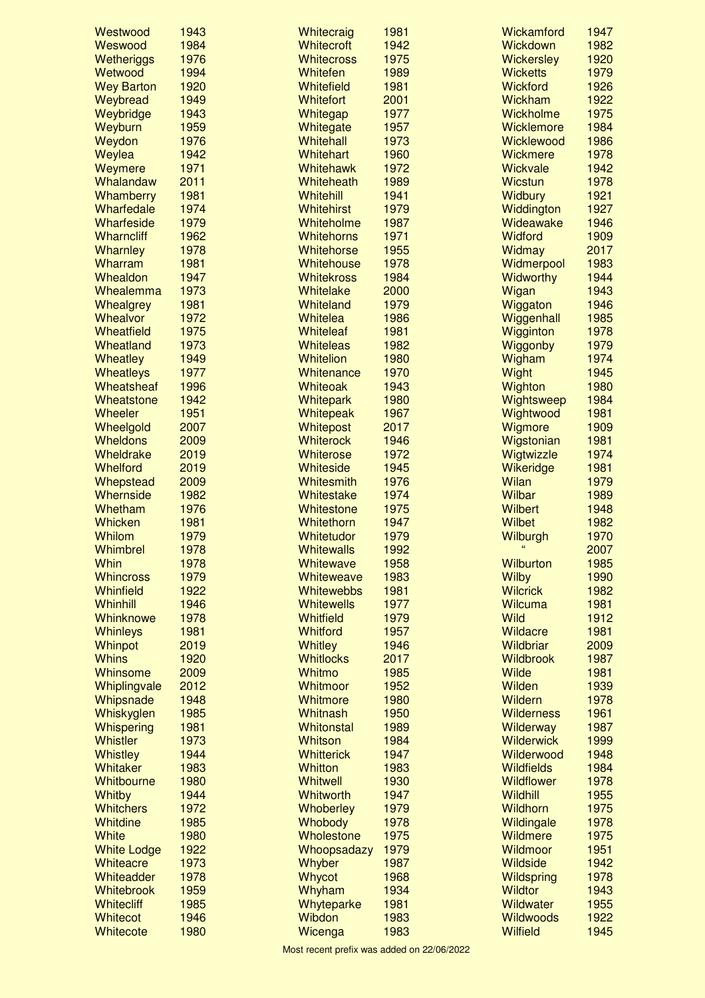| Westwood                | 1943         | Whitecraig                  | 1981         | Wickamford               | 1947         |
|-------------------------|--------------|-----------------------------|--------------|--------------------------|--------------|
| Weswood                 | 1984         | <b>Whitecroft</b>           | 1942         | <b>Wickdown</b>          | 1982         |
| Wetheriggs              | 1976         | <b>Whitecross</b>           | 1975         | <b>Wickersley</b>        | 1920         |
| Wetwood                 | 1994         | Whitefen                    | 1989         | <b>Wicketts</b>          | 1979         |
| <b>Wey Barton</b>       | 1920         | Whitefield                  | 1981         | <b>Wickford</b>          | 1926         |
| Weybread                | 1949         | <b>Whitefort</b>            | 2001         | Wickham                  | 1922         |
| Weybridge               | 1943         | Whitegap                    | 1977         | Wickholme                | 1975         |
| Weyburn                 | 1959         | Whitegate                   | 1957         | Wicklemore               | 1984         |
| Weydon                  | 1976         | Whitehall                   | 1973         | Wicklewood               | 1986         |
| Weylea                  | 1942         | <b>Whitehart</b>            | 1960         | Wickmere                 | 1978         |
| Weymere                 | 1971         | <b>Whitehawk</b>            | 1972         | Wickvale                 | 1942         |
| Whalandaw               | 2011         | Whiteheath                  | 1989         | <b>Wicstun</b>           | 1978         |
| Whamberry               | 1981         | Whitehill                   | 1941         | Widbury                  | 1921         |
| Wharfedale              | 1974         | <b>Whitehirst</b>           | 1979         | Widdington               | 1927         |
| Wharfeside              | 1979         | Whiteholme                  | 1987         | Wideawake                | 1946         |
| <b>Wharncliff</b>       | 1962         | <b>Whitehorns</b>           | 1971         | <b>Widford</b>           | 1909         |
| Wharnley                | 1978         | <b>Whitehorse</b>           | 1955         | Widmay                   | 2017         |
| Wharram                 | 1981         | Whitehouse                  | 1978         | Widmerpool               | 1983         |
| Whealdon                | 1947         | <b>Whitekross</b>           | 1984         | Widworthy                | 1944         |
| Whealemma               | 1973         | Whitelake                   | 2000         | Wigan                    | 1943         |
| Whealgrey               | 1981         | Whiteland                   | 1979         | Wiggaton                 | 1946         |
| Whealvor                | 1972         | <b>Whitelea</b>             | 1986         | Wiggenhall               | 1985         |
| Wheatfield              | 1975         | <b>Whiteleaf</b>            | 1981         | Wigginton                | 1978         |
| Wheatland               | 1973         | <b>Whiteleas</b>            | 1982         | Wiggonby                 | 1979         |
| <b>Wheatley</b>         | 1949         | Whitelion                   | 1980         | Wigham                   | 1974         |
| <b>Wheatleys</b>        | 1977         | Whitenance                  | 1970         | Wight                    | 1945         |
| Wheatsheaf              | 1996         | Whiteoak                    | 1943         | Wighton                  | 1980         |
| Wheatstone              | 1942         | Whitepark                   | 1980         | Wightsweep               | 1984         |
| Wheeler                 | 1951         | Whitepeak                   | 1967         | Wightwood                | 1981         |
| Wheelgold               | 2007         | Whitepost                   | 2017         | Wigmore                  | 1909         |
| <b>Wheldons</b>         | 2009         | <b>Whiterock</b>            | 1946         | Wigstonian               | 1981         |
| Wheldrake               | 2019         | Whiterose                   | 1972         | Wigtwizzle               | 1974         |
| Whelford                | 2019         | Whiteside                   | 1945         | Wikeridge                | 1981         |
| Whepstead               | 2009         | Whitesmith                  | 1976         | Wilan                    | 1979         |
| Whernside               | 1982         | Whitestake                  | 1974         | Wilbar                   | 1989         |
| Whetham                 | 1976         | Whitestone                  | 1975         | <b>Wilbert</b>           | 1948         |
| Whicken                 | 1981         | Whitethorn                  | 1947         | Wilbet                   | 1982         |
| Whilom                  | 1979         | Whitetudor                  | 1979         | Wilburgh                 | 1970         |
| Whimbrel                | 1978         | <b>Whitewalls</b>           | 1992         |                          | 2007         |
| Whin                    | 1978         | Whitewave                   | 1958         | <b>Wilburton</b>         | 1985         |
| <b>Whincross</b>        | 1979         | Whiteweave                  | 1983         | <b>Wilby</b>             | 1990         |
| Whinfield               | 1922         | <b>Whitewebbs</b>           | 1981         | <b>Wilcrick</b>          | 1982         |
| Whinhill                | 1946         | <b>Whitewells</b>           | 1977         | <b>Wilcuma</b>           | 1981         |
| Whinknowe               | 1978         | <b>Whitfield</b>            | 1979         | <b>Wild</b>              | 1912         |
|                         | 1981         | <b>Whitford</b>             | 1957         | Wildacre                 | 1981         |
| <b>Whinleys</b>         | 2019         | <b>Whitley</b>              | 1946         | Wildbriar                | 2009         |
| Whinpot<br><b>Whins</b> | 1920         | <b>Whitlocks</b>            | 2017         | <b>Wildbrook</b>         | 1987         |
| Whinsome                |              | Whitmo                      |              | <b>Wilde</b>             | 1981         |
|                         | 2009         |                             | 1985         |                          |              |
| Whiplingvale            | 2012<br>1948 | Whitmoor<br><b>Whitmore</b> | 1952<br>1980 | Wilden<br><b>Wildern</b> | 1939<br>1978 |
| Whipsnade               |              | <b>Whitnash</b>             |              | <b>Wilderness</b>        | 1961         |
| Whiskyglen              | 1985         |                             | 1950         |                          |              |
| Whispering              | 1981         | <b>Whitonstal</b>           | 1989         | Wilderway                | 1987         |
| <b>Whistler</b>         | 1973         | Whitson                     | 1984         | <b>Wilderwick</b>        | 1999         |
| <b>Whistley</b>         | 1944         | <b>Whitterick</b>           | 1947         | Wilderwood               | 1948         |
| Whitaker                | 1983         | <b>Whitton</b>              | 1983         | <b>Wildfields</b>        | 1984         |
| Whitbourne              | 1980         | <b>Whitwell</b>             | 1930         | Wildflower               | 1978         |
| Whitby                  | 1944         | <b>Whitworth</b>            | 1947         | Wildhill                 | 1955         |
| <b>Whitchers</b>        | 1972         | Whoberley                   | 1979         | <b>Wildhorn</b>          | 1975         |
| <b>Whitdine</b>         | 1985         | Whobody                     | 1978         | Wildingale               | 1978         |
| <b>White</b>            | 1980         | Wholestone                  | 1975         | Wildmere                 | 1975         |
| <b>White Lodge</b>      | 1922         | Whoopsadazy                 | 1979         | Wildmoor                 | 1951         |
| Whiteacre               | 1973         | Whyber                      | 1987         | <b>Wildside</b>          | 1942         |
| Whiteadder              | 1978         | Whycot                      | 1968         | <b>Wildspring</b>        | 1978         |
| <b>Whitebrook</b>       | 1959         | Whyham                      | 1934         | <b>Wildtor</b>           | 1943         |
| <b>Whitecliff</b>       | 1985         | Whyteparke                  | 1981         | Wildwater                | 1955         |
| Whitecot                | 1946         | Wibdon                      | 1983         | <b>Wildwoods</b>         | 1922         |
| Whitecote               | 1980         | Wicenga                     | 1983         | <b>Wilfield</b>          | 1945         |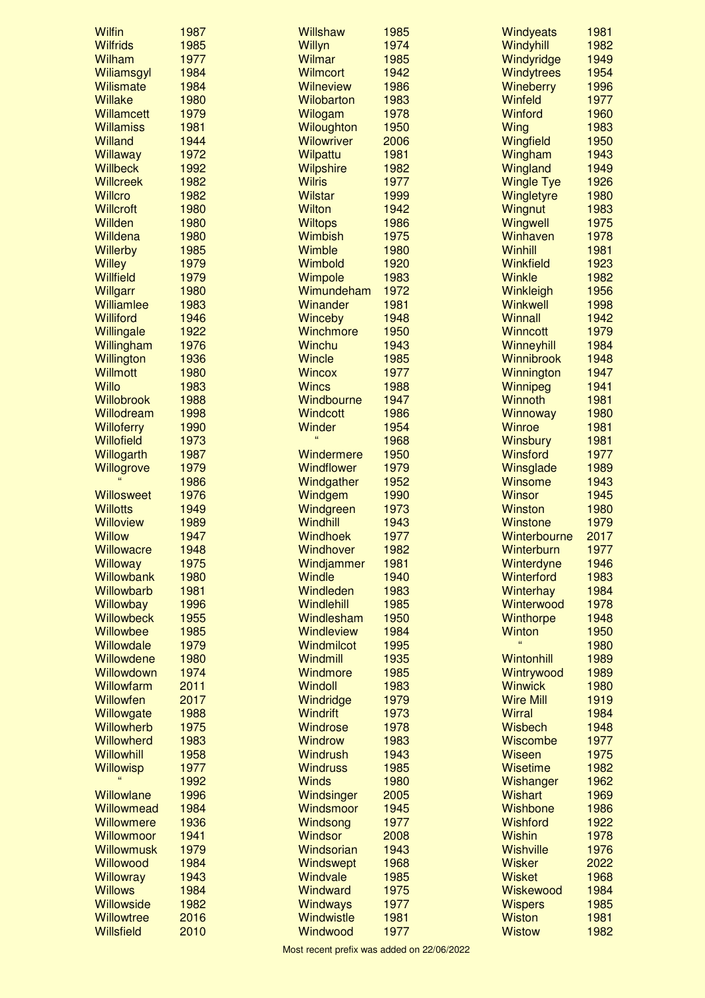| <b>Wilfin</b>                          | 1987         | <b>Willshaw</b>              | 1985         | <b>Windyeats</b>               | 1981         |
|----------------------------------------|--------------|------------------------------|--------------|--------------------------------|--------------|
| <b>Wilfrids</b>                        | 1985         | Willyn                       | 1974         | Windyhill                      | 1982         |
| <b>Wilham</b>                          | 1977         | Wilmar                       | 1985         | Windyridge                     | 1949         |
| Wiliamsgyl                             | 1984         | <b>Wilmcort</b>              | 1942         | Windytrees                     | 1954         |
| <b>Wilismate</b>                       | 1984         | <b>Wilneview</b>             | 1986         | <b>Wineberry</b>               | 1996         |
| <b>Willake</b>                         | 1980         | <b>Wilobarton</b>            | 1983         | <b>Winfeld</b>                 | 1977         |
| <b>Willamcett</b>                      | 1979         | Wilogam                      | 1978         | <b>Winford</b>                 | 1960         |
| <b>Willamiss</b>                       | 1981         | Wiloughton                   | 1950         | Wing                           | 1983         |
| Willand                                | 1944         | <b>Wilowriver</b>            | 2006         | Wingfield                      | 1950         |
| Willaway<br><b>Willbeck</b>            | 1972<br>1992 | Wilpattu<br><b>Wilpshire</b> | 1981<br>1982 | Wingham<br>Wingland            | 1943<br>1949 |
| <b>Willcreek</b>                       | 1982         | <b>Wilris</b>                | 1977         | <b>Wingle Tye</b>              | 1926         |
| <b>Willcro</b>                         | 1982         | <b>Wilstar</b>               | 1999         | Wingletyre                     | 1980         |
| <b>Willcroft</b>                       | 1980         | <b>Wilton</b>                | 1942         | Wingnut                        | 1983         |
| <b>Willden</b>                         | 1980         | <b>Wiltops</b>               | 1986         | Wingwell                       | 1975         |
| Willdena                               | 1980         | <b>Wimbish</b>               | 1975         | Winhaven                       | 1978         |
| <b>Willerby</b>                        | 1985         | Wimble                       | 1980         | Winhill                        | 1981         |
| <b>Willey</b>                          | 1979         | Wimbold                      | 1920         | Winkfield                      | 1923         |
| <b>Willfield</b>                       | 1979         | Wimpole                      | 1983         | Winkle                         | 1982         |
| Willgarr                               | 1980         | Wimundeham                   | 1972         | Winkleigh                      | 1956         |
| <b>Williamlee</b>                      | 1983         | Winander                     | 1981         | Winkwell                       | 1998         |
| Williford                              | 1946         | Winceby                      | 1948         | <b>Winnall</b>                 | 1942         |
| Willingale                             | 1922         | Winchmore                    | 1950         | <b>Winncott</b>                | 1979         |
| Willingham                             | 1976         | Winchu                       | 1943         | Winneyhill                     | 1984         |
| Willington                             | 1936         | <b>Wincle</b>                | 1985         | <b>Winnibrook</b>              | 1948         |
| <b>Willmott</b>                        | 1980         | <b>Wincox</b>                | 1977         | Winnington                     | 1947         |
| <b>Willo</b>                           | 1983         | <b>Wincs</b>                 | 1988         | Winnipeg                       | 1941         |
| Willobrook                             | 1988         | Windbourne                   | 1947         | Winnoth                        | 1981         |
| Willodream<br><b>Willoferry</b>        | 1998<br>1990 | <b>Windcott</b><br>Winder    | 1986<br>1954 | Winnoway<br>Winroe             | 1980<br>1981 |
| Willofield                             | 1973         | $\epsilon$                   | 1968         | <b>Winsbury</b>                | 1981         |
| Willogarth                             | 1987         | Windermere                   | 1950         | Winsford                       | 1977         |
| Willogrove                             | 1979         | Windflower                   | 1979         | Winsglade                      | 1989         |
|                                        | 1986         | Windgather                   | 1952         | Winsome                        | 1943         |
| Willosweet                             | 1976         | Windgem                      | 1990         | <b>Winsor</b>                  | 1945         |
| <b>Willotts</b>                        | 1949         | Windgreen                    | 1973         | <b>Winston</b>                 | 1980         |
| <b>Willoview</b>                       | 1989         | Windhill                     | 1943         | <b>Winstone</b>                | 1979         |
| <b>Willow</b>                          | 1947         | Windhoek                     | 1977         | Winterbourne                   | 2017         |
| <b>Willowacre</b>                      | 1948         | Windhover                    | 1982         | Winterburn                     | 1977         |
| Willoway                               | 1975         | Windjammer                   | 1981         | Winterdyne                     | 1946         |
| <b>Willowbank</b>                      | 1980         | <b>Windle</b>                | 1940         | <b>Winterford</b>              | 1983         |
| Willowbarb                             | 1981         | Windleden                    | 1983         | Winterhay                      | 1984         |
| Willowbay                              | 1996         | Windlehill                   | 1985         | Winterwood                     | 1978         |
| <b>Willowbeck</b>                      | 1955         | Windlesham                   | 1950         | Winthorpe                      | 1948         |
| Willowbee                              | 1985         |                              |              |                                |              |
| Willowdale                             |              | <b>Windleview</b>            | 1984         | Winton                         | 1950         |
|                                        | 1979         | Windmilcot                   | 1995         | $\epsilon$                     | 1980         |
| Willowdene                             | 1980         | Windmill                     | 1935         | <b>Wintonhill</b>              | 1989         |
| Willowdown                             | 1974         | Windmore                     | 1985         | Wintrywood                     | 1989         |
| Willowfarm                             | 2011         | <b>Windoll</b>               | 1983         | <b>Winwick</b>                 | 1980         |
| Willowfen                              | 2017         | Windridge                    | 1979         | <b>Wire Mill</b>               | 1919         |
| Willowgate                             | 1988         | <b>Windrift</b>              | 1973         | <b>Wirral</b>                  | 1984         |
| Willowherb                             | 1975         | Windrose                     | 1978         | Wisbech                        | 1948         |
| Willowherd                             | 1983         | <b>Windrow</b>               | 1983         | <b>Wiscombe</b>                | 1977         |
| Willowhill                             | 1958         | <b>Windrush</b>              | 1943         | <b>Wiseen</b>                  | 1975         |
| <b>Willowisp</b>                       | 1977         | <b>Windruss</b>              | 1985         | <b>Wisetime</b>                | 1982         |
| Willowlane                             | 1992         | <b>Winds</b>                 | 1980         | Wishanger                      | 1962         |
| <b>Willowmead</b>                      | 1996<br>1984 | Windsinger<br>Windsmoor      | 2005<br>1945 | <b>Wishart</b><br>Wishbone     | 1969<br>1986 |
| Willowmere                             | 1936         | Windsong                     | 1977         | <b>Wishford</b>                | 1922         |
| Willowmoor                             | 1941         | <b>Windsor</b>               | 2008         | <b>Wishin</b>                  | 1978         |
| Willowmusk                             | 1979         | Windsorian                   | 1943         | <b>Wishville</b>               | 1976         |
| Willowood                              | 1984         | Windswept                    | 1968         | <b>Wisker</b>                  | 2022         |
| <b>Willowray</b>                       | 1943         | Windvale                     | 1985         | <b>Wisket</b>                  | 1968         |
| <b>Willows</b>                         | 1984         | Windward                     | 1975         | Wiskewood                      | 1984         |
| <b>Willowside</b>                      | 1982         | Windways                     | 1977         | <b>Wispers</b>                 | 1985         |
| <b>Willowtree</b><br><b>Willsfield</b> | 2016<br>2010 | Windwistle<br>Windwood       | 1981<br>1977 | <b>Wiston</b><br><b>Wistow</b> | 1981<br>1982 |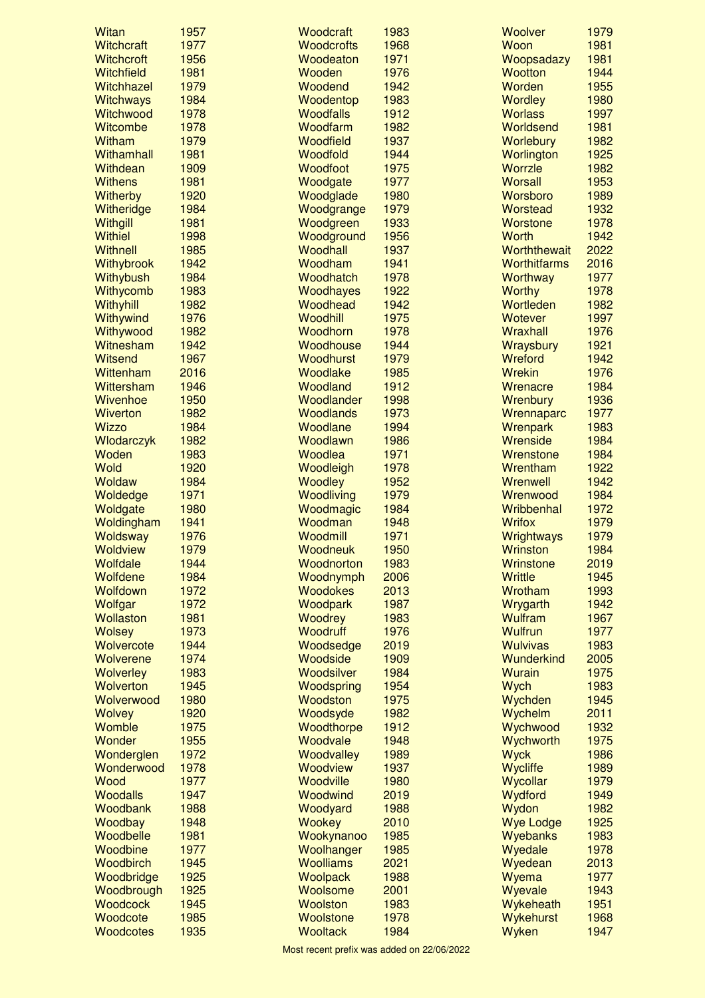| <b>Witan</b>                | 1957         | Woodcraft                    | 1983         | Woolver                      | 1979         |
|-----------------------------|--------------|------------------------------|--------------|------------------------------|--------------|
| <b>Witchcraft</b>           | 1977         | <b>Woodcrofts</b>            | 1968         | Woon                         | 1981         |
| <b>Witchcroft</b>           | 1956         | Woodeaton                    | 1971         | Woopsadazy                   | 1981         |
| Witchfield                  | 1981         | Wooden                       | 1976         | <b>Wootton</b>               | 1944         |
| Witchhazel                  | 1979         | Woodend                      | 1942         | Worden                       | 1955         |
| <b>Witchways</b>            | 1984         | Woodentop                    | 1983         | <b>Wordley</b>               | 1980         |
| Witchwood                   | 1978         | <b>Woodfalls</b>             | 1912         | <b>Worlass</b>               | 1997         |
| Witcombe                    | 1978         | Woodfarm                     | 1982         | Worldsend                    | 1981         |
| Witham                      | 1979         | <b>Woodfield</b>             | 1937         | Worlebury                    | 1982         |
| Withamhall                  | 1981         | Woodfold                     | 1944         | Worlington                   | 1925         |
| Withdean                    | 1909         | Woodfoot                     | 1975         | Worrzle                      | 1982         |
| <b>Withens</b>              | 1981         | Woodgate                     | 1977         | <b>Worsall</b>               | 1953         |
| <b>Witherby</b>             | 1920         | Woodglade                    | 1980         | Worsboro                     | 1989         |
| Witheridge                  | 1984         | Woodgrange                   | 1979         | Worstead                     | 1932         |
| Withgill                    | 1981         | Woodgreen                    | 1933         | <b>Worstone</b>              | 1978         |
| <b>Withiel</b>              | 1998         | Woodground                   | 1956         | Worth                        | 1942         |
| Withnell                    | 1985         | Woodhall                     | 1937         | Worththewait                 | 2022         |
| Withybrook                  | 1942         | Woodham                      | 1941         | <b>Worthitfarms</b>          | 2016         |
| Withybush                   | 1984         | Woodhatch                    | 1978         | <b>Worthway</b>              | 1977         |
| Withycomb                   | 1983         | Woodhayes                    | 1922         | <b>Worthy</b>                | 1978         |
| Withyhill                   | 1982         | Woodhead                     | 1942         | Wortleden                    | 1982         |
| Withywind                   | 1976         | Woodhill                     | 1975         | <b>Wotever</b>               | 1997         |
| Withywood                   | 1982         | Woodhorn                     | 1978         | Wraxhall                     | 1976         |
| Witnesham                   | 1942         | Woodhouse                    | 1944         | Wraysbury                    | 1921         |
| <b>Witsend</b>              | 1967         | Woodhurst                    | 1979         | Wreford                      | 1942         |
| Wittenham                   | 2016         | Woodlake                     | 1985         | Wrekin                       | 1976         |
| Wittersham                  | 1946         | Woodland                     | 1912         | Wrenacre                     | 1984         |
| Wivenhoe                    | 1950         | Woodlander                   | 1998         | Wrenbury                     | 1936         |
| <b>Wiverton</b>             | 1982         | <b>Woodlands</b>             | 1973         | Wrennaparc                   | 1977         |
| <b>Wizzo</b>                | 1984         | Woodlane                     | 1994         | Wrenpark                     | 1983         |
| Wlodarczyk                  | 1982         | Woodlawn                     | 1986         | Wrenside                     | 1984         |
| Woden                       | 1983         | Woodlea                      | 1971         | Wrenstone                    | 1984         |
| Wold                        | 1920         | Woodleigh                    | 1978         | Wrentham                     | 1922         |
| <b>Woldaw</b>               | 1984         | Woodley                      | 1952         | <b>Wrenwell</b>              | 1942         |
| Woldedge                    | 1971         | Woodliving                   | 1979         | Wrenwood                     | 1984         |
| Woldgate                    | 1980         | Woodmagic                    | 1984         | Wribbenhal                   | 1972         |
| Woldingham                  | 1941<br>1976 | Woodman                      | 1948<br>1971 | <b>Wrifox</b>                | 1979<br>1979 |
| Woldsway                    | 1979         | Woodmill                     |              | <b>Wrightways</b>            | 1984         |
| <b>Woldview</b><br>Wolfdale | 1944         | Woodneuk<br>Woodnorton       | 1950<br>1983 | <b>Wrinston</b><br>Wrinstone | 2019         |
| Wolfdene                    | 1984         |                              | 2006         | Writtle                      | 1945         |
| Wolfdown                    | 1972         | Woodnymph<br><b>Woodokes</b> | 2013         | Wrotham                      | 1993         |
| Wolfgar                     | 1972         | Woodpark                     | 1987         | Wrygarth                     | 1942         |
| <b>Wollaston</b>            | 1981         | <b>Woodrey</b>               | 1983         | <b>Wulfram</b>               | 1967         |
| <b>Wolsey</b>               | 1973         | Woodruff                     | 1976         | <b>Wulfrun</b>               | 1977         |
| Wolvercote                  | 1944         | Woodsedge                    | 2019         | <b>Wulvivas</b>              | 1983         |
| Wolverene                   | 1974         | Woodside                     | 1909         | Wunderkind                   | 2005         |
| <b>Wolverley</b>            | 1983         | Woodsilver                   | 1984         | <b>Wurain</b>                | 1975         |
| <b>Wolverton</b>            | 1945         | Woodspring                   | 1954         | Wych                         | 1983         |
| Wolverwood                  | 1980         | Woodston                     | 1975         | Wychden                      | 1945         |
| <b>Wolvey</b>               | 1920         | Woodsyde                     | 1982         | Wychelm                      | 2011         |
| Womble                      | 1975         | Woodthorpe                   | 1912         | Wychwood                     | 1932         |
| Wonder                      | 1955         | Woodvale                     | 1948         | Wychworth                    | 1975         |
| Wonderglen                  | 1972         | Woodvalley                   | 1989         | <b>Wyck</b>                  | 1986         |
| Wonderwood                  | 1978         | <b>Woodview</b>              | 1937         | Wycliffe                     | 1989         |
| Wood                        | 1977         | <b>Woodville</b>             | 1980         | Wycollar                     | 1979         |
| <b>Woodalls</b>             | 1947         | Woodwind                     | 2019         | Wydford                      | 1949         |
| Woodbank                    | 1988         | Woodyard                     | 1988         | Wydon                        | 1982         |
| Woodbay                     | 1948         | <b>Wookey</b>                | 2010         | <b>Wye Lodge</b>             | 1925         |
| Woodbelle                   | 1981         | Wookynanoo                   | 1985         | Wyebanks                     | 1983         |
| Woodbine                    | 1977         | Woolhanger                   | 1985         | Wyedale                      | 1978         |
| Woodbirch                   | 1945         | <b>Woolliams</b>             | 2021         | Wyedean                      | 2013         |
| Woodbridge                  | 1925         | <b>Woolpack</b>              | 1988         | Wyema                        | 1977         |
| Woodbrough                  | 1925         | Woolsome                     | 2001         | Wyevale                      | 1943         |
| Woodcock                    | 1945         | <b>Woolston</b>              | 1983         | Wykeheath                    | 1951         |
| Woodcote                    | 1985         | Woolstone                    | 1978         | Wykehurst                    | 1968         |
| Woodcotes                   | 1935         | <b>Wooltack</b>              | 1984         | Wyken                        | 1947         |
|                             |              |                              |              |                              |              |